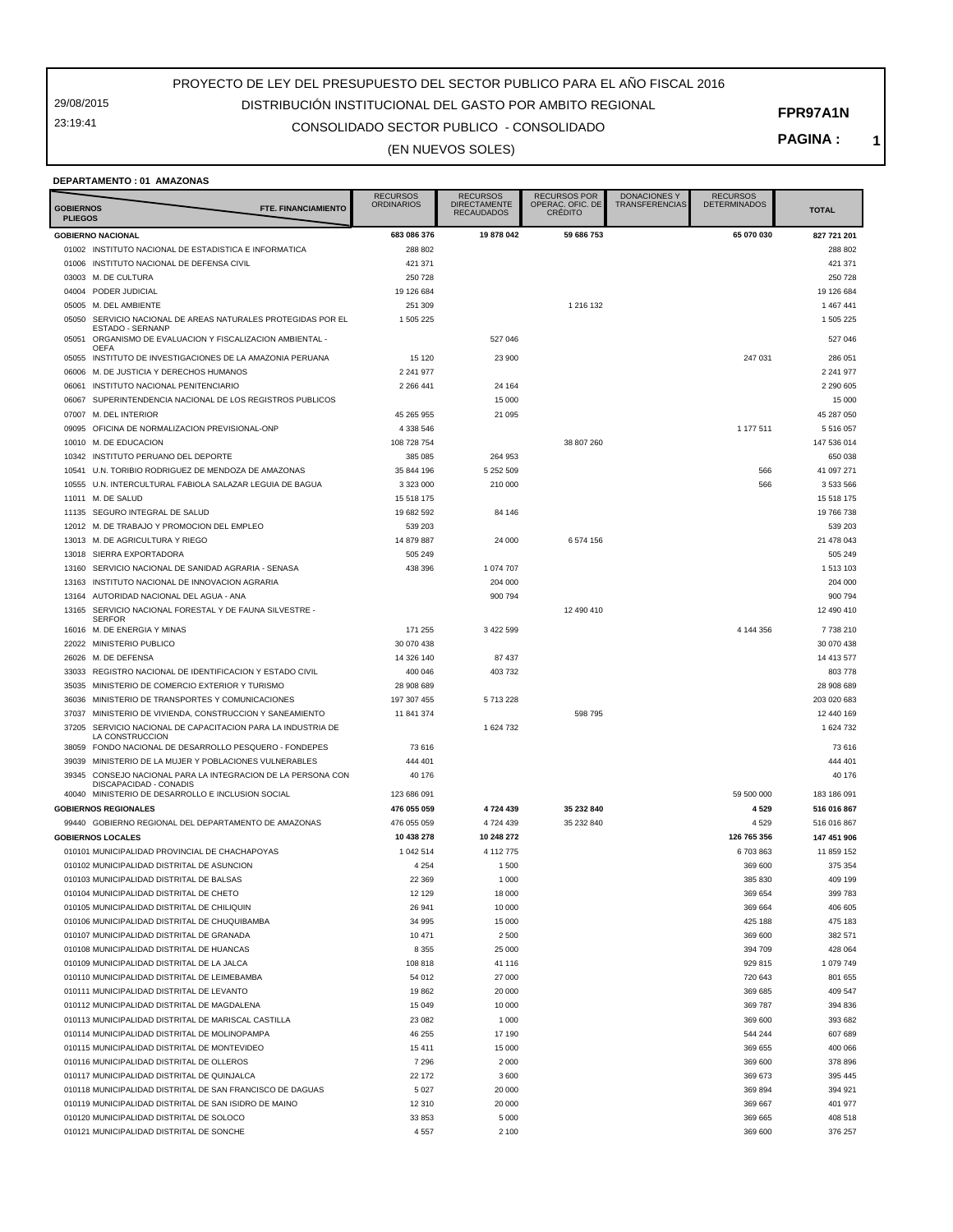29/08/2015 23:19:41

## CONSOLIDADO SECTOR PUBLICO - CONSOLIDADO DISTRIBUCIÓN INSTITUCIONAL DEL GASTO POR AMBITO REGIONAL

**PAGINA : 1**

#### (EN NUEVOS SOLES)

#### **DEPARTAMENTO : 01 AMAZONAS**

| <b>GOBIERNOS</b><br><b>PLIEGOS</b> | FTE. FINANCIAMIENTO                                                                                          | <b>RECURSOS</b><br>ORDINARIOS | <b>RECURSOS</b><br><b>DIRECTAMENTE</b><br><b>RECAUDADOS</b> | RECURSOS POR<br>OPERAÇ. OFIC. DE<br><b>CREDITO</b> | <b>DONACIONES Y</b><br>TRANSFERENCIAS | <b>RECURSOS</b><br><b>DETERMINADOS</b> | <b>TOTAL</b>            |
|------------------------------------|--------------------------------------------------------------------------------------------------------------|-------------------------------|-------------------------------------------------------------|----------------------------------------------------|---------------------------------------|----------------------------------------|-------------------------|
|                                    | <b>GOBIERNO NACIONAL</b>                                                                                     | 683 086 376                   | 19 878 042                                                  | 59 686 753                                         |                                       | 65 070 030                             | 827 721 201             |
|                                    | 01002 INSTITUTO NACIONAL DE ESTADISTICA E INFORMATICA                                                        | 288 802                       |                                                             |                                                    |                                       |                                        | 288 802                 |
|                                    | 01006 INSTITUTO NACIONAL DE DEFENSA CIVIL                                                                    | 421 371                       |                                                             |                                                    |                                       |                                        | 421 371                 |
|                                    | 03003 M. DE CULTURA                                                                                          | 250 728                       |                                                             |                                                    |                                       |                                        | 250 728                 |
|                                    | 04004 PODER JUDICIAL                                                                                         | 19 126 684                    |                                                             |                                                    |                                       |                                        | 19 126 684              |
|                                    | 05005 M. DEL AMBIENTE                                                                                        | 251 309                       |                                                             | 1 216 132                                          |                                       |                                        | 1 467 441               |
|                                    |                                                                                                              |                               |                                                             |                                                    |                                       |                                        |                         |
| 05050                              | SERVICIO NACIONAL DE AREAS NATURALES PROTEGIDAS POR EL<br>ESTADO - SERNANP                                   | 1 505 225                     |                                                             |                                                    |                                       |                                        | 1 505 225               |
| 05051                              | ORGANISMO DE EVALUACION Y FISCALIZACION AMBIENTAL -<br>OFFA                                                  |                               | 527 046                                                     |                                                    |                                       |                                        | 527 046                 |
| 05055                              | INSTITUTO DE INVESTIGACIONES DE LA AMAZONIA PERUANA                                                          | 15 120                        | 23 900                                                      |                                                    |                                       | 247 031                                | 286 051                 |
| 06006                              | M. DE JUSTICIA Y DERECHOS HUMANOS                                                                            | 2 241 977                     |                                                             |                                                    |                                       |                                        | 2 241 977               |
| 06061                              | INSTITUTO NACIONAL PENITENCIARIO                                                                             | 2 266 441                     | 24 164                                                      |                                                    |                                       |                                        | 2 2 9 0 6 0 5           |
| 06067                              | SUPERINTENDENCIA NACIONAL DE LOS REGISTROS PUBLICOS                                                          |                               | 15 000                                                      |                                                    |                                       |                                        | 15 000                  |
| 07007                              | M. DEL INTERIOR                                                                                              | 45 265 955                    | 21 095                                                      |                                                    |                                       |                                        | 45 287 050              |
| 09095                              | OFICINA DE NORMALIZACION PREVISIONAL-ONP                                                                     | 4 338 546                     |                                                             |                                                    |                                       | 1 177 511                              | 5 516 057               |
| 10010                              | M. DE EDUCACION                                                                                              | 108 728 754                   |                                                             | 38 807 260                                         |                                       |                                        | 147 536 014             |
| 10342                              | INSTITUTO PERUANO DEL DEPORTE                                                                                | 385 085                       | 264 953                                                     |                                                    |                                       |                                        | 650 038                 |
| 10541                              | U.N. TORIBIO RODRIGUEZ DE MENDOZA DE AMAZONAS                                                                | 35 844 196                    | 5 252 509                                                   |                                                    |                                       | 566                                    | 41 097 271              |
| 10555                              | U.N. INTERCULTURAL FABIOLA SALAZAR LEGUIA DE BAGUA                                                           | 3 3 2 3 0 0 0                 | 210 000                                                     |                                                    |                                       | 566                                    | 3 533 566               |
| 11011                              | M. DE SALUD                                                                                                  | 15 518 175                    |                                                             |                                                    |                                       |                                        | 15 518 175              |
| 11135                              | SEGURO INTEGRAL DE SALUD                                                                                     | 19 682 592                    | 84 146                                                      |                                                    |                                       |                                        | 19 766 738              |
| 12012                              | M. DE TRABAJO Y PROMOCION DEL EMPLEO                                                                         | 539 203                       |                                                             |                                                    |                                       |                                        | 539 203                 |
| 13013                              | M. DE AGRICULTURA Y RIEGO                                                                                    | 14 879 887                    | 24 000                                                      | 6574156                                            |                                       |                                        | 21 478 043              |
|                                    |                                                                                                              |                               |                                                             |                                                    |                                       |                                        |                         |
| 13018                              | SIERRA EXPORTADORA                                                                                           | 505 249                       |                                                             |                                                    |                                       |                                        | 505 249                 |
| 13160                              | SERVICIO NACIONAL DE SANIDAD AGRARIA - SENASA                                                                | 438 396                       | 1 074 707                                                   |                                                    |                                       |                                        | 1 513 103               |
| 13163                              | INSTITUTO NACIONAL DE INNOVACION AGRARIA                                                                     |                               | 204 000                                                     |                                                    |                                       |                                        | 204 000                 |
| 13164                              | AUTORIDAD NACIONAL DEL AGUA - ANA                                                                            |                               | 900 794                                                     |                                                    |                                       |                                        | 900 794                 |
|                                    | 13165 SERVICIO NACIONAL FORESTAL Y DE FAUNA SILVESTRE -<br><b>SERFOR</b>                                     |                               |                                                             | 12 490 410                                         |                                       |                                        | 12 490 410              |
|                                    | 16016 M. DE ENERGIA Y MINAS                                                                                  | 171 255                       | 3 422 599                                                   |                                                    |                                       | 4 144 356                              | 7738210                 |
|                                    | 22022 MINISTERIO PUBLICO                                                                                     | 30 070 438                    |                                                             |                                                    |                                       |                                        | 30 070 438              |
| 26026                              | M. DE DEFENSA                                                                                                | 14 326 140                    | 87 437                                                      |                                                    |                                       |                                        | 14 413 577              |
| 33033                              | REGISTRO NACIONAL DE IDENTIFICACION Y ESTADO CIVIL                                                           | 400 046                       | 403 732                                                     |                                                    |                                       |                                        | 803 778                 |
| 35035                              | MINISTERIO DE COMERCIO EXTERIOR Y TURISMO                                                                    | 28 908 689                    |                                                             |                                                    |                                       |                                        | 28 908 689              |
|                                    |                                                                                                              |                               |                                                             |                                                    |                                       |                                        |                         |
| 36036                              | MINISTERIO DE TRANSPORTES Y COMUNICACIONES                                                                   | 197 307 455                   | 5 713 228                                                   |                                                    |                                       |                                        | 203 020 683             |
| 37037<br>37205                     | MINISTERIO DE VIVIENDA, CONSTRUCCION Y SANEAMIENTO<br>SERVICIO NACIONAL DE CAPACITACION PARA LA INDUSTRIA DE | 11 841 374                    | 1 624 732                                                   | 598 795                                            |                                       |                                        | 12 440 169<br>1 624 732 |
| 38059                              | LA CONSTRUCCION<br>FONDO NACIONAL DE DESARROLLO PESQUERO - FONDEPES                                          | 73 616                        |                                                             |                                                    |                                       |                                        | 73 616                  |
| 39039                              | MINISTERIO DE LA MUJER Y POBLACIONES VULNERABLES                                                             | 444 401                       |                                                             |                                                    |                                       |                                        | 444 401                 |
| 39345                              | CONSEJO NACIONAL PARA LA INTEGRACION DE LA PERSONA CON<br>DISCAPACIDAD - CONADIS                             | 40 176                        |                                                             |                                                    |                                       |                                        | 40 176                  |
|                                    | 40040 MINISTERIO DE DESARROLLO E INCLUSION SOCIAL                                                            | 123 686 091                   |                                                             |                                                    |                                       | 59 500 000                             | 183 186 091             |
|                                    | <b>GOBIERNOS REGIONALES</b>                                                                                  | 476 055 059                   | 4724439                                                     | 35 232 840                                         |                                       | 4529                                   | 516 016 867             |
|                                    | 99440 GOBIERNO REGIONAL DEL DEPARTAMENTO DE AMAZONAS                                                         | 476 055 059                   | 4724439                                                     | 35 232 840                                         |                                       | 4529                                   | 516 016 867             |
|                                    | <b>GOBIERNOS LOCALES</b>                                                                                     | 10 438 278                    | 10 248 272                                                  |                                                    |                                       | 126 765 356                            | 147 451 906             |
|                                    | 010101 MUNICIPALIDAD PROVINCIAL DE CHACHAPOYAS                                                               |                               | 4 112 775                                                   |                                                    |                                       | 6 703 863                              | 11 859 152              |
|                                    |                                                                                                              | 1 042 514<br>4 2 5 4          |                                                             |                                                    |                                       |                                        | 375 354                 |
|                                    | 010102 MUNICIPALIDAD DISTRITAL DE ASUNCION                                                                   |                               | 1500                                                        |                                                    |                                       | 369 600                                |                         |
|                                    | 010103 MUNICIPALIDAD DISTRITAL DE BALSAS                                                                     | 22 369                        | 1 0 0 0                                                     |                                                    |                                       | 385 830                                | 409 199                 |
|                                    | 010104 MUNICIPALIDAD DISTRITAL DE CHETO                                                                      | 12 129                        | 18 000                                                      |                                                    |                                       | 369 654                                | 399 783                 |
|                                    | 010105 MUNICIPALIDAD DISTRITAL DE CHILIQUIN                                                                  | 26 941                        | 10 000                                                      |                                                    |                                       | 369 664                                | 406 605                 |
|                                    | 010106 MUNICIPALIDAD DISTRITAL DE CHUQUIBAMBA                                                                | 34 995                        | 15 000                                                      |                                                    |                                       | 425 188                                | 475 183                 |
|                                    | 010107 MUNICIPALIDAD DISTRITAL DE GRANADA                                                                    | 10 471                        | 2 5 0 0                                                     |                                                    |                                       | 369 600                                | 382 571                 |
|                                    | 010108 MUNICIPALIDAD DISTRITAL DE HUANCAS                                                                    | 8 3 5 5                       | 25 000                                                      |                                                    |                                       | 394 709                                | 428 064                 |
|                                    | 010109 MUNICIPALIDAD DISTRITAL DE LA JALCA                                                                   | 108 818                       | 41 116                                                      |                                                    |                                       | 929 815                                | 1 079 749               |
|                                    | 010110 MUNICIPALIDAD DISTRITAL DE LEIMEBAMBA                                                                 | 54 012                        | 27 000                                                      |                                                    |                                       | 720 643                                | 801 655                 |
|                                    | 010111 MUNICIPALIDAD DISTRITAL DE LEVANTO                                                                    | 19862                         | 20 000                                                      |                                                    |                                       | 369 685                                | 409 547                 |
|                                    | 010112 MUNICIPALIDAD DISTRITAL DE MAGDALENA                                                                  | 15 049                        | 10 000                                                      |                                                    |                                       | 369 787                                | 394 836                 |
|                                    | 010113 MUNICIPALIDAD DISTRITAL DE MARISCAL CASTILLA                                                          | 23 082                        | 1 0 0 0                                                     |                                                    |                                       | 369 600                                | 393 682                 |
|                                    | 010114 MUNICIPALIDAD DISTRITAL DE MOLINOPAMPA                                                                | 46 255                        | 17 190                                                      |                                                    |                                       | 544 244                                | 607 689                 |
|                                    | 010115 MUNICIPALIDAD DISTRITAL DE MONTEVIDEO                                                                 | 15 411                        | 15 000                                                      |                                                    |                                       | 369 655                                | 400 066                 |
|                                    |                                                                                                              |                               |                                                             |                                                    |                                       |                                        |                         |
|                                    | 010116 MUNICIPALIDAD DISTRITAL DE OLLEROS                                                                    | 7 2 9 6                       | 2000                                                        |                                                    |                                       | 369 600                                | 378 896                 |
|                                    | 010117 MUNICIPALIDAD DISTRITAL DE QUINJALCA                                                                  | 22 172                        | 3600                                                        |                                                    |                                       | 369 673                                | 395 445                 |
|                                    | 010118 MUNICIPALIDAD DISTRITAL DE SAN FRANCISCO DE DAGUAS                                                    | 5 0 27                        | 20 000                                                      |                                                    |                                       | 369 894                                | 394 921                 |
|                                    | 010119 MUNICIPALIDAD DISTRITAL DE SAN ISIDRO DE MAINO                                                        | 12 310                        | 20 000                                                      |                                                    |                                       | 369 667                                | 401 977                 |
|                                    | 010120 MUNICIPALIDAD DISTRITAL DE SOLOCO                                                                     | 33 853                        | 5 0 0 0                                                     |                                                    |                                       | 369 665                                | 408 518                 |
|                                    | 010121 MUNICIPALIDAD DISTRITAL DE SONCHE                                                                     | 4 5 5 7                       | 2 100                                                       |                                                    |                                       | 369 600                                | 376 257                 |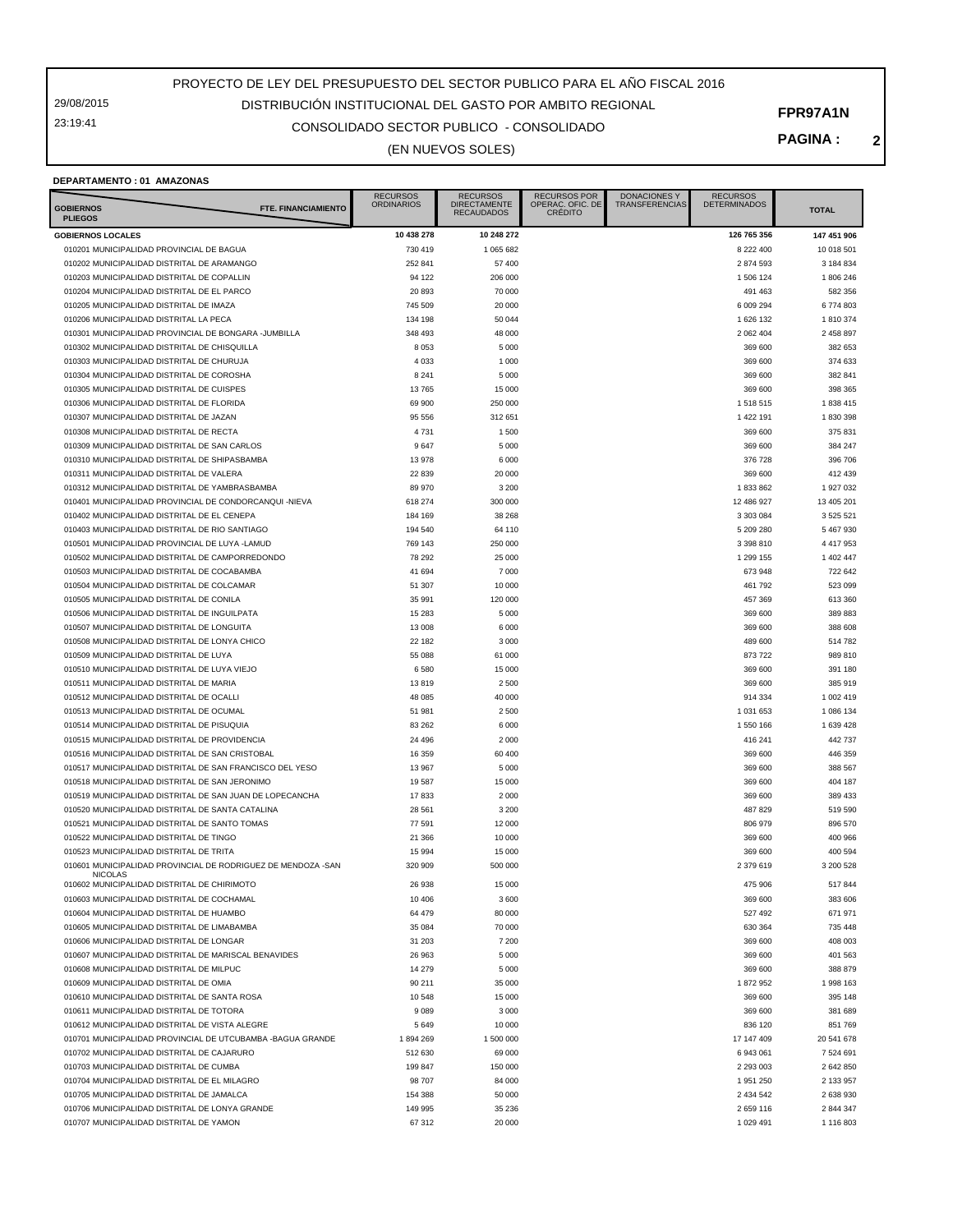29/08/2015 23:19:41

## CONSOLIDADO SECTOR PUBLICO - CONSOLIDADO DISTRIBUCIÓN INSTITUCIONAL DEL GASTO POR AMBITO REGIONAL

**PAGINA : 2**

#### (EN NUEVOS SOLES)

#### **DEPARTAMENTO : 01 AMAZONAS**

| <b>GOBIERNOS</b><br>FTE. FINANCIAMIENTO<br><b>PLIEGOS</b>                                 | <b>RECURSOS</b><br><b>ORDINARIOS</b> | <b>RECURSOS</b><br><b>DIRECTAMENTE</b><br><b>RECAUDADOS</b> | <b>RECURSOS POR</b><br>OPERAÇ. OFIC. DE<br><b>CRÉDITO</b> | <b>DONACIONES Y</b><br><b>TRANSFERENCIAS</b> | <b>RECURSOS</b><br><b>DETERMINADOS</b> | <b>TOTAL</b>           |
|-------------------------------------------------------------------------------------------|--------------------------------------|-------------------------------------------------------------|-----------------------------------------------------------|----------------------------------------------|----------------------------------------|------------------------|
| <b>GOBIERNOS LOCALES</b>                                                                  | 10 438 278                           | 10 248 272                                                  |                                                           |                                              | 126 765 356                            | 147 451 906            |
| 010201 MUNICIPALIDAD PROVINCIAL DE BAGUA                                                  | 730 419                              | 1 065 682                                                   |                                                           |                                              | 8 222 400                              | 10 018 501             |
| 010202 MUNICIPALIDAD DISTRITAL DE ARAMANGO                                                | 252 841                              | 57 400                                                      |                                                           |                                              | 2 874 593                              | 3 184 834              |
| 010203 MUNICIPALIDAD DISTRITAL DE COPALLIN                                                | 94 122                               | 206 000                                                     |                                                           |                                              | 1 506 124                              | 1 806 246              |
| 010204 MUNICIPALIDAD DISTRITAL DE EL PARCO                                                | 20 893                               | 70 000                                                      |                                                           |                                              | 491 463                                | 582 356                |
| 010205 MUNICIPALIDAD DISTRITAL DE IMAZA                                                   | 745 509                              | 20 000                                                      |                                                           |                                              | 6 009 294                              | 6774803                |
| 010206 MUNICIPALIDAD DISTRITAL LA PECA                                                    | 134 198                              | 50 044                                                      |                                                           |                                              | 1 626 132                              | 1810374                |
| 010301 MUNICIPALIDAD PROVINCIAL DE BONGARA -JUMBILLA                                      | 348 493                              | 48 000                                                      |                                                           |                                              | 2 062 404                              | 2 458 897              |
| 010302 MUNICIPALIDAD DISTRITAL DE CHISQUILLA                                              | 8 0 5 3                              | 5 0 0 0                                                     |                                                           |                                              | 369 600                                | 382 653                |
| 010303 MUNICIPALIDAD DISTRITAL DE CHURUJA                                                 | 4 0 3 3                              | 1 0 0 0                                                     |                                                           |                                              | 369 600                                | 374 633                |
| 010304 MUNICIPALIDAD DISTRITAL DE COROSHA<br>010305 MUNICIPALIDAD DISTRITAL DE CUISPES    | 8 2 4 1<br>13765                     | 5 0 0 0                                                     |                                                           |                                              | 369 600<br>369 600                     | 382 841<br>398 365     |
| 010306 MUNICIPALIDAD DISTRITAL DE FLORIDA                                                 | 69 900                               | 15 000<br>250 000                                           |                                                           |                                              | 1518515                                | 1838415                |
| 010307 MUNICIPALIDAD DISTRITAL DE JAZAN                                                   | 95 556                               | 312 651                                                     |                                                           |                                              | 1 422 191                              | 1830398                |
| 010308 MUNICIPALIDAD DISTRITAL DE RECTA                                                   | 4 7 3 1                              | 1500                                                        |                                                           |                                              | 369 600                                | 375 831                |
| 010309 MUNICIPALIDAD DISTRITAL DE SAN CARLOS                                              | 9647                                 | 5 0 0 0                                                     |                                                           |                                              | 369 600                                | 384 247                |
| 010310 MUNICIPALIDAD DISTRITAL DE SHIPASBAMBA                                             | 13 978                               | 6 0 0 0                                                     |                                                           |                                              | 376 728                                | 396 706                |
| 010311 MUNICIPALIDAD DISTRITAL DE VALERA                                                  | 22 839                               | 20 000                                                      |                                                           |                                              | 369 600                                | 412 439                |
| 010312 MUNICIPALIDAD DISTRITAL DE YAMBRASBAMBA                                            | 89 970                               | 3 2 0 0                                                     |                                                           |                                              | 1833862                                | 1 927 032              |
| 010401 MUNICIPALIDAD PROVINCIAL DE CONDORCANQUI -NIEVA                                    | 618 274                              | 300 000                                                     |                                                           |                                              | 12 486 927                             | 13 405 201             |
| 010402 MUNICIPALIDAD DISTRITAL DE EL CENEPA                                               | 184 169                              | 38 268                                                      |                                                           |                                              | 3 303 084                              | 3 525 521              |
| 010403 MUNICIPALIDAD DISTRITAL DE RIO SANTIAGO                                            | 194 540                              | 64 110                                                      |                                                           |                                              | 5 209 280                              | 5 467 930              |
| 010501 MUNICIPALIDAD PROVINCIAL DE LUYA -LAMUD                                            | 769 143                              | 250 000                                                     |                                                           |                                              | 3 398 810                              | 4 4 1 7 9 5 3          |
| 010502 MUNICIPALIDAD DISTRITAL DE CAMPORREDONDO                                           | 78 292                               | 25 000                                                      |                                                           |                                              | 1 299 155                              | 1 402 447              |
| 010503 MUNICIPALIDAD DISTRITAL DE COCABAMBA                                               | 41 694                               | 7 0 0 0                                                     |                                                           |                                              | 673 948                                | 722 642                |
| 010504 MUNICIPALIDAD DISTRITAL DE COLCAMAR                                                | 51 307                               | 10 000                                                      |                                                           |                                              | 461 792                                | 523 099                |
| 010505 MUNICIPALIDAD DISTRITAL DE CONILA                                                  | 35 991                               | 120 000                                                     |                                                           |                                              | 457 369                                | 613 360                |
| 010506 MUNICIPALIDAD DISTRITAL DE INGUILPATA                                              | 15 283                               | 5 0 0 0                                                     |                                                           |                                              | 369 600                                | 389 883                |
| 010507 MUNICIPALIDAD DISTRITAL DE LONGUITA                                                | 13 008                               | 6 0 0 0                                                     |                                                           |                                              | 369 600                                | 388 608                |
| 010508 MUNICIPALIDAD DISTRITAL DE LONYA CHICO                                             | 22 182                               | 3 0 0 0                                                     |                                                           |                                              | 489 600                                | 514 782                |
| 010509 MUNICIPALIDAD DISTRITAL DE LUYA                                                    | 55 088                               | 61 000                                                      |                                                           |                                              | 873722                                 | 989 810                |
| 010510 MUNICIPALIDAD DISTRITAL DE LUYA VIEJO                                              | 6 5 8 0                              | 15 000                                                      |                                                           |                                              | 369 600                                | 391 180                |
| 010511 MUNICIPALIDAD DISTRITAL DE MARIA                                                   | 13819                                | 2500                                                        |                                                           |                                              | 369 600                                | 385 919                |
| 010512 MUNICIPALIDAD DISTRITAL DE OCALLI<br>010513 MUNICIPALIDAD DISTRITAL DE OCUMAL      | 48 085<br>51 981                     | 40 000<br>2500                                              |                                                           |                                              | 914 334<br>1 031 653                   | 1 002 419<br>1 086 134 |
| 010514 MUNICIPALIDAD DISTRITAL DE PISUQUIA                                                | 83 262                               | 6 0 0 0                                                     |                                                           |                                              | 1 550 166                              | 1 639 428              |
| 010515 MUNICIPALIDAD DISTRITAL DE PROVIDENCIA                                             | 24 496                               | 2 0 0 0                                                     |                                                           |                                              | 416 241                                | 442 737                |
| 010516 MUNICIPALIDAD DISTRITAL DE SAN CRISTOBAL                                           | 16 359                               | 60 400                                                      |                                                           |                                              | 369 600                                | 446 359                |
| 010517 MUNICIPALIDAD DISTRITAL DE SAN FRANCISCO DEL YESO                                  | 13 967                               | 5 0 0 0                                                     |                                                           |                                              | 369 600                                | 388 567                |
| 010518 MUNICIPALIDAD DISTRITAL DE SAN JERONIMO                                            | 19 587                               | 15 000                                                      |                                                           |                                              | 369 600                                | 404 187                |
| 010519 MUNICIPALIDAD DISTRITAL DE SAN JUAN DE LOPECANCHA                                  | 17833                                | 2 0 0 0                                                     |                                                           |                                              | 369 600                                | 389 433                |
| 010520 MUNICIPALIDAD DISTRITAL DE SANTA CATALINA                                          | 28 561                               | 3 2 0 0                                                     |                                                           |                                              | 487 829                                | 519 590                |
| 010521 MUNICIPALIDAD DISTRITAL DE SANTO TOMAS                                             | 77 591                               | 12 000                                                      |                                                           |                                              | 806 979                                | 896 570                |
| 010522 MUNICIPALIDAD DISTRITAL DE TINGO                                                   | 21 366                               | 10 000                                                      |                                                           |                                              | 369 600                                | 400 966                |
| 010523 MUNICIPALIDAD DISTRITAL DE TRITA                                                   | 15 994                               | 15 000                                                      |                                                           |                                              | 369 600                                | 400 594                |
| 010601 MUNICIPALIDAD PROVINCIAL DE RODRIGUEZ DE MENDOZA -SAN<br><b>NICOLAS</b>            | 320 909                              | 500 000                                                     |                                                           |                                              | 2 379 619                              | 3 200 528              |
| 010602 MUNICIPALIDAD DISTRITAL DE CHIRIMOTO                                               | 26 938                               | 15 000                                                      |                                                           |                                              | 475 906                                | 517 844                |
| 010603 MUNICIPALIDAD DISTRITAL DE COCHAMAL                                                | 10 40 6                              | 3600                                                        |                                                           |                                              | 369 600                                | 383 606                |
| 010604 MUNICIPALIDAD DISTRITAL DE HUAMBO                                                  | 64 479                               | 80 000                                                      |                                                           |                                              | 527 492                                | 671 971                |
| 010605 MUNICIPALIDAD DISTRITAL DE LIMABAMBA                                               | 35 084                               | 70 000                                                      |                                                           |                                              | 630 364                                | 735 448                |
| 010606 MUNICIPALIDAD DISTRITAL DE LONGAR                                                  | 31 203                               | 7 200                                                       |                                                           |                                              | 369 600                                | 408 003                |
| 010607 MUNICIPALIDAD DISTRITAL DE MARISCAL BENAVIDES                                      | 26 963                               | 5 0 0 0                                                     |                                                           |                                              | 369 600                                | 401 563                |
| 010608 MUNICIPALIDAD DISTRITAL DE MILPUC                                                  | 14 279                               | 5 0 0 0                                                     |                                                           |                                              | 369 600                                | 388 879                |
| 010609 MUNICIPALIDAD DISTRITAL DE OMIA                                                    | 90 211                               | 35 000                                                      |                                                           |                                              | 1872952                                | 1 998 163              |
| 010610 MUNICIPALIDAD DISTRITAL DE SANTA ROSA                                              | 10 548                               | 15 000                                                      |                                                           |                                              | 369 600                                | 395 148                |
| 010611 MUNICIPALIDAD DISTRITAL DE TOTORA                                                  | 9 0 8 9                              | 3 0 0 0                                                     |                                                           |                                              | 369 600                                | 381 689                |
| 010612 MUNICIPALIDAD DISTRITAL DE VISTA ALEGRE                                            | 5 6 4 9                              | 10 000                                                      |                                                           |                                              | 836 120                                | 851 769                |
| 010701 MUNICIPALIDAD PROVINCIAL DE UTCUBAMBA -BAGUA GRANDE                                | 1894269                              | 1 500 000                                                   |                                                           |                                              | 17 147 409                             | 20 541 678             |
| 010702 MUNICIPALIDAD DISTRITAL DE CAJARURO                                                | 512 630                              | 69 000                                                      |                                                           |                                              | 6 943 061                              | 7 524 691              |
| 010703 MUNICIPALIDAD DISTRITAL DE CUMBA                                                   | 199 847                              | 150 000                                                     |                                                           |                                              | 2 293 003                              | 2 642 850              |
| 010704 MUNICIPALIDAD DISTRITAL DE EL MILAGRO<br>010705 MUNICIPALIDAD DISTRITAL DE JAMALCA | 98 707                               | 84 000                                                      |                                                           |                                              | 1 951 250                              | 2 133 957<br>2 638 930 |
| 010706 MUNICIPALIDAD DISTRITAL DE LONYA GRANDE                                            | 154 388<br>149 995                   | 50 000<br>35 236                                            |                                                           |                                              | 2 434 542<br>2659116                   | 2 844 347              |
| 010707 MUNICIPALIDAD DISTRITAL DE YAMON                                                   | 67 312                               | 20 000                                                      |                                                           |                                              | 1 029 491                              | 1 116 803              |
|                                                                                           |                                      |                                                             |                                                           |                                              |                                        |                        |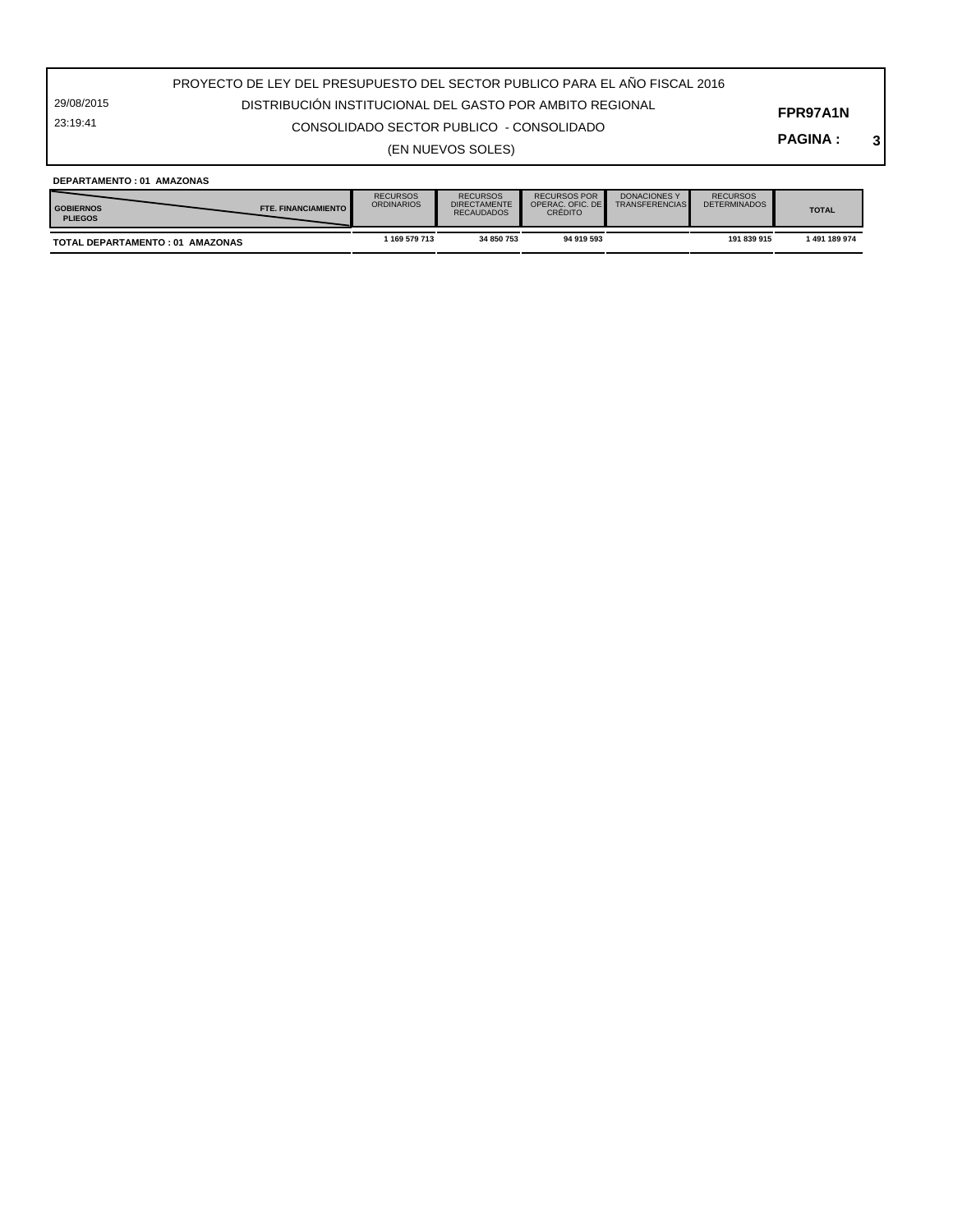29/08/2015 23:19:41

## CONSOLIDADO SECTOR PUBLICO - CONSOLIDADO DISTRIBUCIÓN INSTITUCIONAL DEL GASTO POR AMBITO REGIONAL

**PAGINA : 3 FPR97A1N**

(EN NUEVOS SOLES)

#### **DEPARTAMENTO : 01 AMAZONAS**

| <b>FTE. FINANCIAMIENTO</b><br><b>GOBIERNOS</b><br><b>PLIEGOS</b> | <b>RECURSOS</b><br><b>ORDINARIOS</b> | <b>RECURSOS</b><br><b>DIRECTAMENTE</b><br><b>RECAUDADOS</b> | <b>RECURSOS POR</b><br>OPERAC, OFIC, DE<br><b>CRÉDITO</b> | <b>DONACIONES Y</b><br><b>TRANSFERENCIAS</b> | <b>RECURSOS</b><br><b>DETERMINADOS</b> | <b>TOTAL</b> |
|------------------------------------------------------------------|--------------------------------------|-------------------------------------------------------------|-----------------------------------------------------------|----------------------------------------------|----------------------------------------|--------------|
| <b>TOTAL DEPARTAMENTO: 01 AMAZONAS</b>                           | 1 169 579 713                        | 34 850 753                                                  | 94 919 593                                                |                                              | 191 839 915                            | 1491189974   |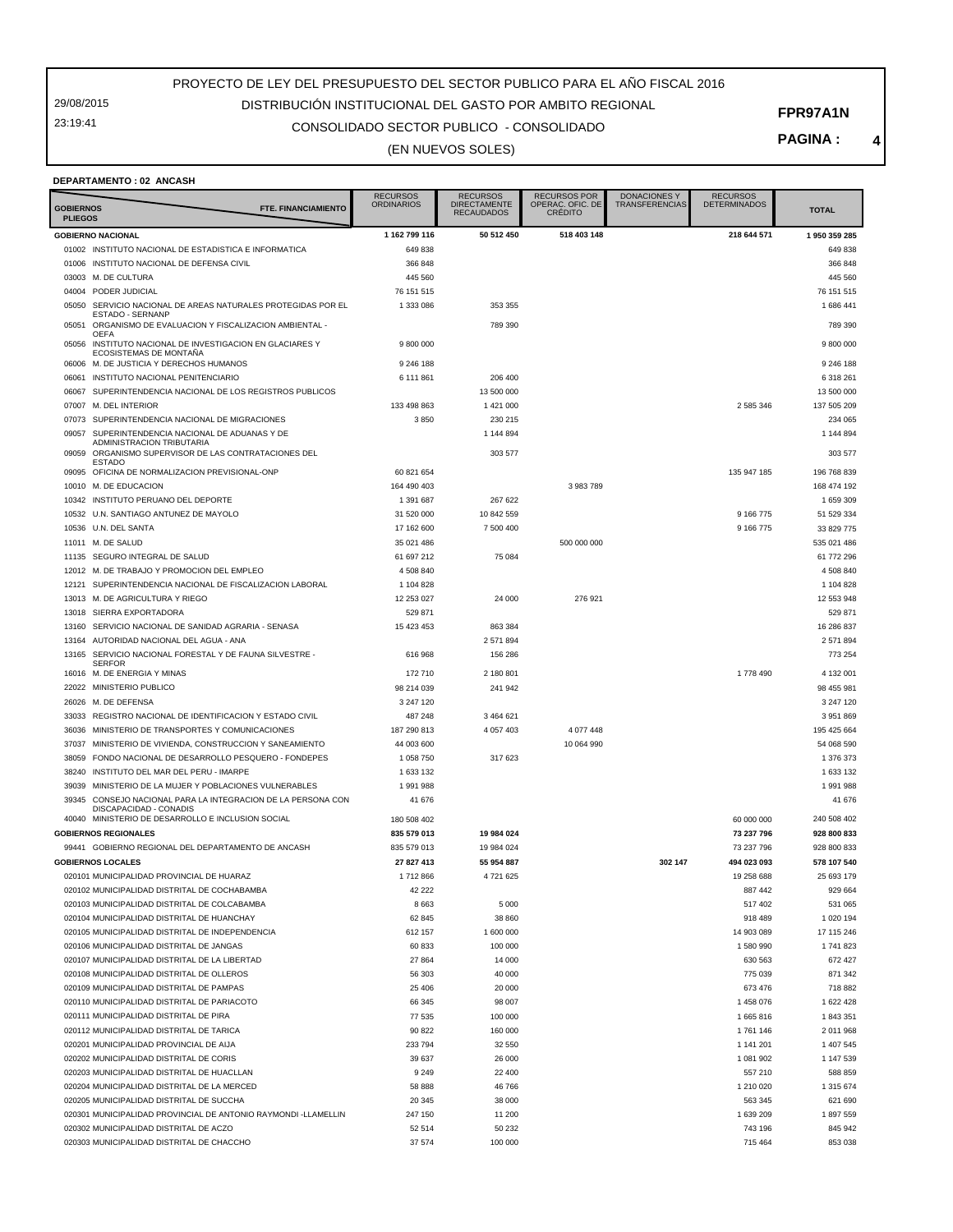29/08/2015 23:19:41

## CONSOLIDADO SECTOR PUBLICO - CONSOLIDADO DISTRIBUCIÓN INSTITUCIONAL DEL GASTO POR AMBITO REGIONAL

#### **PAGINA : 4**

(EN NUEVOS SOLES)

| <b>DEPARTAMENTO:02 ANCASH</b> |  |  |
|-------------------------------|--|--|
|-------------------------------|--|--|

| <b>GOBIERNOS</b><br><b>PLIEGOS</b> | FTE. FINANCIAMIENTO                                                                     | <b>RECURSOS</b><br><b>ORDINARIOS</b> | <b>RECURSOS</b><br><b>DIRECTAMENTE</b><br><b>RECAUDADOS</b> | <b>RECURSOS POR</b><br>OPERAC. OFIC. DE<br><b>CRÉDITO</b> | <b>DONACIONES Y</b><br><b>TRANSFERENCIAS</b> | <b>RECURSOS</b><br><b>DETERMINADOS</b> | <b>TOTAL</b>           |
|------------------------------------|-----------------------------------------------------------------------------------------|--------------------------------------|-------------------------------------------------------------|-----------------------------------------------------------|----------------------------------------------|----------------------------------------|------------------------|
|                                    | <b>GOBIERNO NACIONAL</b>                                                                | 1 162 799 116                        | 50 512 450                                                  | 518 403 148                                               |                                              | 218 644 571                            | 1950359285             |
|                                    | 01002 INSTITUTO NACIONAL DE ESTADISTICA E INFORMATICA                                   | 649 838                              |                                                             |                                                           |                                              |                                        | 649 838                |
|                                    | 01006 INSTITUTO NACIONAL DE DEFENSA CIVIL                                               | 366 848                              |                                                             |                                                           |                                              |                                        | 366 848                |
|                                    | 03003 M. DE CULTURA                                                                     | 445 560                              |                                                             |                                                           |                                              |                                        | 445 560                |
|                                    | 04004 PODER JUDICIAL                                                                    | 76 151 515                           |                                                             |                                                           |                                              |                                        | 76 151 515             |
| 05050                              | SERVICIO NACIONAL DE AREAS NATURALES PROTEGIDAS POR EL<br>ESTADO - SERNANP              | 1 333 086                            | 353 355                                                     |                                                           |                                              |                                        | 1 686 441              |
| 05051                              | ORGANISMO DE EVALUACION Y FISCALIZACION AMBIENTAL -                                     |                                      | 789 390                                                     |                                                           |                                              |                                        | 789 390                |
|                                    | <b>OEFA</b>                                                                             |                                      |                                                             |                                                           |                                              |                                        |                        |
| 05056                              | INSTITUTO NACIONAL DE INVESTIGACION EN GLACIARES Y<br>ECOSISTEMAS DE MONTANA            | 9800000                              |                                                             |                                                           |                                              |                                        | 9 800 000              |
| 06006                              | M. DE JUSTICIA Y DERECHOS HUMANOS                                                       | 9 246 188                            |                                                             |                                                           |                                              |                                        | 9 246 188              |
| 06061                              | INSTITUTO NACIONAL PENITENCIARIO                                                        | 6 111 861                            | 206 400                                                     |                                                           |                                              |                                        | 6 318 261              |
| 06067                              | SUPERINTENDENCIA NACIONAL DE LOS REGISTROS PUBLICOS                                     |                                      | 13 500 000                                                  |                                                           |                                              |                                        | 13 500 000             |
| 07007                              | M. DEL INTERIOR                                                                         | 133 498 863                          | 1 421 000                                                   |                                                           |                                              | 2 585 346                              | 137 505 209            |
|                                    | 07073 SUPERINTENDENCIA NACIONAL DE MIGRACIONES                                          | 3850                                 | 230 215                                                     |                                                           |                                              |                                        | 234 065                |
| 09057                              | SUPERINTENDENCIA NACIONAL DE ADUANAS Y DE<br>ADMINISTRACION TRIBUTARIA                  |                                      | 1 144 894                                                   |                                                           |                                              |                                        | 1 144 894              |
| 09059                              | ORGANISMO SUPERVISOR DE LAS CONTRATACIONES DEL                                          |                                      | 303 577                                                     |                                                           |                                              |                                        | 303 577                |
|                                    | <b>ESTADO</b><br>09095 OFICINA DE NORMALIZACION PREVISIONAL-ONP                         | 60 821 654                           |                                                             |                                                           |                                              | 135 947 185                            | 196 768 839            |
|                                    | 10010 M. DE EDUCACION                                                                   | 164 490 403                          |                                                             | 3983789                                                   |                                              |                                        | 168 474 192            |
|                                    | 10342 INSTITUTO PERUANO DEL DEPORTE                                                     | 1 391 687                            | 267 622                                                     |                                                           |                                              |                                        | 1 659 309              |
|                                    | 10532 U.N. SANTIAGO ANTUNEZ DE MAYOLO                                                   | 31 520 000                           | 10 842 559                                                  |                                                           |                                              | 9 166 775                              | 51 529 334             |
|                                    | 10536 U.N. DEL SANTA                                                                    | 17 162 600                           | 7 500 400                                                   |                                                           |                                              | 9 166 775                              | 33 829 775             |
|                                    | 11011 M. DE SALUD                                                                       | 35 021 486                           |                                                             | 500 000 000                                               |                                              |                                        | 535 021 486            |
|                                    | 11135 SEGURO INTEGRAL DE SALUD                                                          | 61 697 212                           | 75 084                                                      |                                                           |                                              |                                        | 61 772 296             |
|                                    | 12012 M. DE TRABAJO Y PROMOCION DEL EMPLEO                                              | 4 508 840                            |                                                             |                                                           |                                              |                                        | 4 508 840              |
| 12121                              | SUPERINTENDENCIA NACIONAL DE FISCALIZACION LABORAL                                      | 1 104 828                            |                                                             |                                                           |                                              |                                        | 1 104 828              |
|                                    | 13013 M. DE AGRICULTURA Y RIEGO                                                         | 12 253 027                           | 24 000                                                      | 276 921                                                   |                                              |                                        | 12 553 948             |
|                                    | 13018 SIERRA EXPORTADORA                                                                | 529 871                              |                                                             |                                                           |                                              |                                        | 529 871                |
| 13160                              | SERVICIO NACIONAL DE SANIDAD AGRARIA - SENASA                                           | 15 423 453                           | 863 384                                                     |                                                           |                                              |                                        | 16 286 837             |
|                                    | 13164 AUTORIDAD NACIONAL DEL AGUA - ANA                                                 |                                      | 2 571 894                                                   |                                                           |                                              |                                        | 2 571 894              |
|                                    | 13165 SERVICIO NACIONAL FORESTAL Y DE FAUNA SILVESTRE -<br><b>SERFOR</b>                | 616 968                              | 156 286                                                     |                                                           |                                              |                                        | 773 254                |
|                                    | 16016 M. DE ENERGIA Y MINAS                                                             | 172 710                              | 2 180 801                                                   |                                                           |                                              | 1778 490                               | 4 132 001              |
|                                    | 22022 MINISTERIO PUBLICO                                                                | 98 214 039                           | 241 942                                                     |                                                           |                                              |                                        | 98 455 981             |
|                                    | 26026 M. DE DEFENSA                                                                     | 3 247 120                            |                                                             |                                                           |                                              |                                        | 3 247 120              |
| 33033                              | REGISTRO NACIONAL DE IDENTIFICACION Y ESTADO CIVIL                                      | 487 248                              | 3 464 621                                                   |                                                           |                                              |                                        | 3 951 869              |
| 36036                              | MINISTERIO DE TRANSPORTES Y COMUNICACIONES                                              | 187 290 813                          | 4 0 57 4 03                                                 | 4 077 448                                                 |                                              |                                        | 195 425 664            |
| 37037                              | MINISTERIO DE VIVIENDA, CONSTRUCCION Y SANEAMIENTO                                      | 44 003 600                           |                                                             | 10 064 990                                                |                                              |                                        | 54 068 590             |
| 38059                              | FONDO NACIONAL DE DESARROLLO PESQUERO - FONDEPES                                        | 1 058 750                            | 317 623                                                     |                                                           |                                              |                                        | 1 376 373              |
| 38240                              | INSTITUTO DEL MAR DEL PERU - IMARPE                                                     | 1 633 132                            |                                                             |                                                           |                                              |                                        | 1 633 132              |
|                                    | 39039 MINISTERIO DE LA MUJER Y POBLACIONES VULNERABLES                                  | 1991988                              |                                                             |                                                           |                                              |                                        | 1 991 988              |
| 39345                              | CONSEJO NACIONAL PARA LA INTEGRACION DE LA PERSONA CON<br>DISCAPACIDAD - CONADIS        | 41 676                               |                                                             |                                                           |                                              |                                        | 41 676                 |
|                                    | 40040 MINISTERIO DE DESARROLLO E INCLUSION SOCIAL                                       | 180 508 402                          |                                                             |                                                           |                                              | 60 000 000                             | 240 508 402            |
|                                    | <b>GOBIERNOS REGIONALES</b>                                                             | 835 579 013                          | 19 984 024                                                  |                                                           |                                              | 73 237 796                             | 928 800 833            |
|                                    | 99441 GOBIERNO REGIONAL DEL DEPARTAMENTO DE ANCASH                                      | 835 579 013                          | 19 984 024                                                  |                                                           |                                              | 73 237 796                             | 928 800 833            |
|                                    | <b>GOBIERNOS LOCALES</b>                                                                | 27 827 413                           | 55 954 887                                                  |                                                           | 302 147                                      | 494 023 093                            | 578 107 540            |
|                                    | 020101 MUNICIPALIDAD PROVINCIAL DE HUARAZ                                               | 1712866                              | 4 721 625                                                   |                                                           |                                              | 19 258 688                             | 25 693 179             |
|                                    | 020102 MUNICIPALIDAD DISTRITAL DE COCHABAMBA                                            | 42 222                               |                                                             |                                                           |                                              | 887 442                                | 929 664                |
|                                    | 020103 MUNICIPALIDAD DISTRITAL DE COLCABAMBA                                            | 8 6 6 3                              | 5 0 0 0                                                     |                                                           |                                              | 517 402                                | 531 065                |
|                                    | 020104 MUNICIPALIDAD DISTRITAL DE HUANCHAY                                              | 62 845                               | 38 860                                                      |                                                           |                                              | 918 489                                | 1 020 194              |
|                                    | 020105 MUNICIPALIDAD DISTRITAL DE INDEPENDENCIA                                         | 612 157                              | 1 600 000                                                   |                                                           |                                              | 14 903 089                             | 17 115 246             |
|                                    | 020106 MUNICIPALIDAD DISTRITAL DE JANGAS                                                | 60 833                               | 100 000                                                     |                                                           |                                              | 1 580 990                              | 1 741 823              |
|                                    | 020107 MUNICIPALIDAD DISTRITAL DE LA LIBERTAD                                           | 27 864                               | 14 000                                                      |                                                           |                                              | 630 563                                | 672 427                |
|                                    | 020108 MUNICIPALIDAD DISTRITAL DE OLLEROS                                               | 56 303                               | 40 000                                                      |                                                           |                                              | 775 039                                | 871 342                |
|                                    | 020109 MUNICIPALIDAD DISTRITAL DE PAMPAS<br>020110 MUNICIPALIDAD DISTRITAL DE PARIACOTO | 25 40 6                              | 20 000                                                      |                                                           |                                              | 673 476                                | 718 882                |
|                                    | 020111 MUNICIPALIDAD DISTRITAL DE PIRA                                                  | 66 345<br>77 535                     | 98 007<br>100 000                                           |                                                           |                                              | 1 458 076<br>1 665 816                 | 1 622 428<br>1 843 351 |
|                                    | 020112 MUNICIPALIDAD DISTRITAL DE TARICA                                                | 90 822                               | 160 000                                                     |                                                           |                                              | 1761 146                               | 2 011 968              |
|                                    | 020201 MUNICIPALIDAD PROVINCIAL DE AIJA                                                 | 233 794                              | 32 550                                                      |                                                           |                                              | 1 141 201                              | 1 407 545              |
|                                    | 020202 MUNICIPALIDAD DISTRITAL DE CORIS                                                 | 39 637                               | 26 000                                                      |                                                           |                                              | 1 081 902                              | 1 147 539              |
|                                    | 020203 MUNICIPALIDAD DISTRITAL DE HUACLLAN                                              | 9 2 4 9                              | 22 400                                                      |                                                           |                                              | 557 210                                | 588 859                |
|                                    | 020204 MUNICIPALIDAD DISTRITAL DE LA MERCED                                             | 58 888                               | 46 766                                                      |                                                           |                                              | 1 210 020                              | 1 315 674              |
|                                    | 020205 MUNICIPALIDAD DISTRITAL DE SUCCHA                                                | 20 345                               | 38 000                                                      |                                                           |                                              | 563 345                                | 621 690                |
|                                    | 020301 MUNICIPALIDAD PROVINCIAL DE ANTONIO RAYMONDI -LLAMELLIN                          | 247 150                              | 11 200                                                      |                                                           |                                              | 1 639 209                              | 1897559                |
|                                    | 020302 MUNICIPALIDAD DISTRITAL DE ACZO                                                  | 52 514                               | 50 232                                                      |                                                           |                                              | 743 196                                | 845 942                |
|                                    | 020303 MUNICIPALIDAD DISTRITAL DE CHACCHO                                               | 37 574                               | 100 000                                                     |                                                           |                                              | 715 464                                | 853 038                |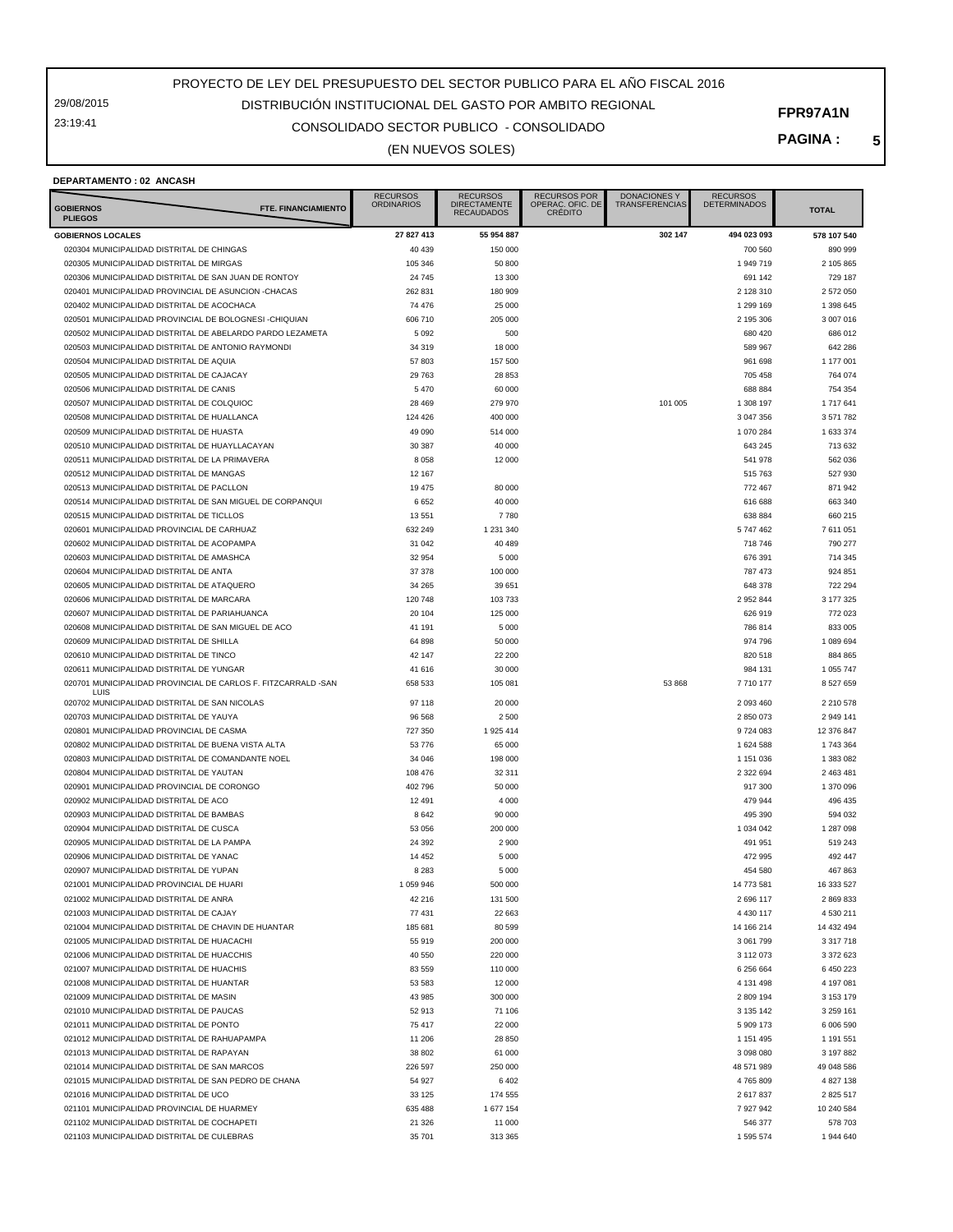29/08/2015 23:19:41

## CONSOLIDADO SECTOR PUBLICO - CONSOLIDADO DISTRIBUCIÓN INSTITUCIONAL DEL GASTO POR AMBITO REGIONAL

**PAGINA : 5 FPR97A1N**

## (EN NUEVOS SOLES)

#### **DEPARTAMENTO : 02 ANCASH**

| <b>FTE. FINANCIAMIENTO</b><br><b>GOBIERNOS</b><br><b>PLIEGOS</b>                                                | <b>RECURSOS</b><br><b>ORDINARIOS</b> | <b>RECURSOS</b><br><b>DIRECTAMENTE</b><br><b>RECAUDADOS</b> | <b>RECURSOS POR</b><br>OPERAÇ. OFIC. DE<br><b>CRÉDITO</b> | <b>DONACIONES Y</b><br><b>TRANSFERENCIAS</b> | <b>RECURSOS</b><br><b>DETERMINADOS</b> | <b>TOTAL</b>           |
|-----------------------------------------------------------------------------------------------------------------|--------------------------------------|-------------------------------------------------------------|-----------------------------------------------------------|----------------------------------------------|----------------------------------------|------------------------|
| <b>GOBIERNOS LOCALES</b>                                                                                        | 27 827 413                           | 55 954 887                                                  |                                                           | 302 147                                      | 494 023 093                            | 578 107 540            |
| 020304 MUNICIPALIDAD DISTRITAL DE CHINGAS                                                                       | 40 439                               | 150 000                                                     |                                                           |                                              | 700 560                                | 890 999                |
| 020305 MUNICIPALIDAD DISTRITAL DE MIRGAS                                                                        | 105 346                              | 50 800                                                      |                                                           |                                              | 1 949 719                              | 2 105 865              |
| 020306 MUNICIPALIDAD DISTRITAL DE SAN JUAN DE RONTOY                                                            | 24 745                               | 13 300                                                      |                                                           |                                              | 691 142                                | 729 187                |
| 020401 MUNICIPALIDAD PROVINCIAL DE ASUNCION -CHACAS                                                             | 262 831                              | 180 909                                                     |                                                           |                                              | 2 128 310                              | 2 572 050              |
| 020402 MUNICIPALIDAD DISTRITAL DE ACOCHACA                                                                      | 74 476                               | 25 000                                                      |                                                           |                                              | 1 299 169                              | 1 398 645              |
| 020501 MUNICIPALIDAD PROVINCIAL DE BOLOGNESI -CHIQUIAN                                                          | 606 710                              | 205 000                                                     |                                                           |                                              | 2 195 306                              | 3 007 016              |
| 020502 MUNICIPALIDAD DISTRITAL DE ABELARDO PARDO LEZAMETA<br>020503 MUNICIPALIDAD DISTRITAL DE ANTONIO RAYMONDI | 5 0 9 2<br>34 319                    | 500<br>18 000                                               |                                                           |                                              | 680 420<br>589 967                     | 686 012<br>642 286     |
| 020504 MUNICIPALIDAD DISTRITAL DE AQUIA                                                                         | 57 803                               | 157 500                                                     |                                                           |                                              | 961 698                                | 1 177 001              |
| 020505 MUNICIPALIDAD DISTRITAL DE CAJACAY                                                                       | 29 763                               | 28 853                                                      |                                                           |                                              | 705 458                                | 764 074                |
| 020506 MUNICIPALIDAD DISTRITAL DE CANIS                                                                         | 5 4 7 0                              | 60 000                                                      |                                                           |                                              | 688 884                                | 754 354                |
| 020507 MUNICIPALIDAD DISTRITAL DE COLQUIOC                                                                      | 28 4 69                              | 279 970                                                     |                                                           | 101 005                                      | 1 308 197                              | 1 717 641              |
| 020508 MUNICIPALIDAD DISTRITAL DE HUALLANCA                                                                     | 124 426                              | 400 000                                                     |                                                           |                                              | 3 047 356                              | 3 571 782              |
| 020509 MUNICIPALIDAD DISTRITAL DE HUASTA                                                                        | 49 090                               | 514 000                                                     |                                                           |                                              | 1 070 284                              | 1 633 374              |
| 020510 MUNICIPALIDAD DISTRITAL DE HUAYLLACAYAN                                                                  | 30 387                               | 40 000                                                      |                                                           |                                              | 643 245                                | 713 632                |
| 020511 MUNICIPALIDAD DISTRITAL DE LA PRIMAVERA                                                                  | 8 0 5 8                              | 12 000                                                      |                                                           |                                              | 541 978                                | 562 036                |
| 020512 MUNICIPALIDAD DISTRITAL DE MANGAS                                                                        | 12 167                               |                                                             |                                                           |                                              | 515 763                                | 527 930                |
| 020513 MUNICIPALIDAD DISTRITAL DE PACLLON<br>020514 MUNICIPALIDAD DISTRITAL DE SAN MIGUEL DE CORPANQUI          | 19 475<br>6652                       | 80 000<br>40 000                                            |                                                           |                                              | 772 467<br>616 688                     | 871 942<br>663 340     |
| 020515 MUNICIPALIDAD DISTRITAL DE TICLLOS                                                                       | 13 551                               | 7780                                                        |                                                           |                                              | 638 884                                | 660 215                |
| 020601 MUNICIPALIDAD PROVINCIAL DE CARHUAZ                                                                      | 632 249                              | 1 231 340                                                   |                                                           |                                              | 5 747 462                              | 7 611 051              |
| 020602 MUNICIPALIDAD DISTRITAL DE ACOPAMPA                                                                      | 31 042                               | 40 489                                                      |                                                           |                                              | 718 746                                | 790 277                |
| 020603 MUNICIPALIDAD DISTRITAL DE AMASHCA                                                                       | 32 954                               | 5 0 0 0                                                     |                                                           |                                              | 676 391                                | 714 345                |
| 020604 MUNICIPALIDAD DISTRITAL DE ANTA                                                                          | 37 378                               | 100 000                                                     |                                                           |                                              | 787 473                                | 924 851                |
| 020605 MUNICIPALIDAD DISTRITAL DE ATAQUERO                                                                      | 34 265                               | 39 651                                                      |                                                           |                                              | 648 378                                | 722 294                |
| 020606 MUNICIPALIDAD DISTRITAL DE MARCARA                                                                       | 120 748                              | 103733                                                      |                                                           |                                              | 2 952 844                              | 3 177 325              |
| 020607 MUNICIPALIDAD DISTRITAL DE PARIAHUANCA                                                                   | 20 104                               | 125 000                                                     |                                                           |                                              | 626 919                                | 772 023                |
| 020608 MUNICIPALIDAD DISTRITAL DE SAN MIGUEL DE ACO                                                             | 41 191                               | 5 0 0 0                                                     |                                                           |                                              | 786814                                 | 833 005                |
| 020609 MUNICIPALIDAD DISTRITAL DE SHILLA                                                                        | 64 898                               | 50 000                                                      |                                                           |                                              | 974 796                                | 1 089 694              |
| 020610 MUNICIPALIDAD DISTRITAL DE TINCO<br>020611 MUNICIPALIDAD DISTRITAL DE YUNGAR                             | 42 147<br>41 616                     | 22 200<br>30 000                                            |                                                           |                                              | 820 518<br>984 131                     | 884 865<br>1 055 747   |
| 020701 MUNICIPALIDAD PROVINCIAL DE CARLOS F. FITZCARRALD -SAN                                                   | 658 533                              | 105 081                                                     |                                                           | 53 868                                       | 7710177                                | 8 527 659              |
| LUIS<br>020702 MUNICIPALIDAD DISTRITAL DE SAN NICOLAS                                                           | 97 118                               | 20 000                                                      |                                                           |                                              | 2 093 460                              | 2 210 578              |
| 020703 MUNICIPALIDAD DISTRITAL DE YAUYA                                                                         | 96 568                               | 2 500                                                       |                                                           |                                              | 2 850 073                              | 2 949 141              |
| 020801 MUNICIPALIDAD PROVINCIAL DE CASMA                                                                        | 727 350                              | 1 925 414                                                   |                                                           |                                              | 9724083                                | 12 376 847             |
| 020802 MUNICIPALIDAD DISTRITAL DE BUENA VISTA ALTA                                                              | 53 776                               | 65 000                                                      |                                                           |                                              | 1 624 588                              | 1 743 364              |
| 020803 MUNICIPALIDAD DISTRITAL DE COMANDANTE NOEL                                                               | 34 046                               | 198 000                                                     |                                                           |                                              | 1 151 036                              | 1 383 082              |
| 020804 MUNICIPALIDAD DISTRITAL DE YAUTAN                                                                        | 108 476                              | 32 311                                                      |                                                           |                                              | 2 322 694                              | 2 463 481              |
| 020901 MUNICIPALIDAD PROVINCIAL DE CORONGO                                                                      | 402 796                              | 50 000                                                      |                                                           |                                              | 917 300                                | 1 370 096              |
| 020902 MUNICIPALIDAD DISTRITAL DE ACO                                                                           | 12 491                               | 4 0 0 0                                                     |                                                           |                                              | 479 944                                | 496 435                |
| 020903 MUNICIPALIDAD DISTRITAL DE BAMBAS                                                                        | 8 6 4 2                              | 90 000                                                      |                                                           |                                              | 495 390                                | 594 032                |
| 020904 MUNICIPALIDAD DISTRITAL DE CUSCA<br>020905 MUNICIPALIDAD DISTRITAL DE LA PAMPA                           | 53 056<br>24 392                     | 200 000<br>2 9 0 0                                          |                                                           |                                              | 1 034 042<br>491 951                   | 1 287 098<br>519 243   |
| 020906 MUNICIPALIDAD DISTRITAL DE YANAC                                                                         | 14 452                               | 5 0 0 0                                                     |                                                           |                                              | 472 995                                | 492 447                |
| 020907 MUNICIPALIDAD DISTRITAL DE YUPAN                                                                         | 8 2 8 3                              | 5 0 0 0                                                     |                                                           |                                              | 454 580                                | 467 863                |
| 021001 MUNICIPALIDAD PROVINCIAL DE HUARI                                                                        | 1 059 946                            | 500 000                                                     |                                                           |                                              | 14 773 581                             | 16 333 527             |
| 021002 MUNICIPALIDAD DISTRITAL DE ANRA                                                                          | 42 216                               | 131 500                                                     |                                                           |                                              | 2 696 117                              | 2 869 833              |
| 021003 MUNICIPALIDAD DISTRITAL DE CAJAY                                                                         | 77 431                               | 22 663                                                      |                                                           |                                              | 4 4 30 117                             | 4 530 211              |
| 021004 MUNICIPALIDAD DISTRITAL DE CHAVIN DE HUANTAR                                                             | 185 681                              | 80 599                                                      |                                                           |                                              | 14 166 214                             | 14 432 494             |
| 021005 MUNICIPALIDAD DISTRITAL DE HUACACHI                                                                      | 55 919                               | 200 000                                                     |                                                           |                                              | 3 061 799                              | 3 3 1 7 7 1 8          |
| 021006 MUNICIPALIDAD DISTRITAL DE HUACCHIS                                                                      | 40 550                               | 220 000                                                     |                                                           |                                              | 3 112 073                              | 3 372 623              |
| 021007 MUNICIPALIDAD DISTRITAL DE HUACHIS                                                                       | 83 559                               | 110 000                                                     |                                                           |                                              | 6 256 664                              | 6 450 223              |
| 021008 MUNICIPALIDAD DISTRITAL DE HUANTAR                                                                       | 53 583                               | 12 000                                                      |                                                           |                                              | 4 131 498                              | 4 197 081<br>3 153 179 |
| 021009 MUNICIPALIDAD DISTRITAL DE MASIN<br>021010 MUNICIPALIDAD DISTRITAL DE PAUCAS                             | 43 985<br>52 913                     | 300 000<br>71 106                                           |                                                           |                                              | 2 809 194<br>3 135 142                 | 3 259 161              |
| 021011 MUNICIPALIDAD DISTRITAL DE PONTO                                                                         | 75 417                               | 22 000                                                      |                                                           |                                              | 5 909 173                              | 6 006 590              |
| 021012 MUNICIPALIDAD DISTRITAL DE RAHUAPAMPA                                                                    | 11 206                               | 28 8 50                                                     |                                                           |                                              | 1 151 495                              | 1 191 551              |
| 021013 MUNICIPALIDAD DISTRITAL DE RAPAYAN                                                                       | 38 802                               | 61 000                                                      |                                                           |                                              | 3 098 080                              | 3 197 882              |
| 021014 MUNICIPALIDAD DISTRITAL DE SAN MARCOS                                                                    | 226 597                              | 250 000                                                     |                                                           |                                              | 48 571 989                             | 49 048 586             |
| 021015 MUNICIPALIDAD DISTRITAL DE SAN PEDRO DE CHANA                                                            | 54 927                               | 6402                                                        |                                                           |                                              | 4765809                                | 4 827 138              |
| 021016 MUNICIPALIDAD DISTRITAL DE UCO                                                                           | 33 125                               | 174 555                                                     |                                                           |                                              | 2 617 837                              | 2 825 517              |
| 021101 MUNICIPALIDAD PROVINCIAL DE HUARMEY                                                                      | 635 488                              | 1 677 154                                                   |                                                           |                                              | 7 927 942                              | 10 240 584             |
| 021102 MUNICIPALIDAD DISTRITAL DE COCHAPETI                                                                     | 21 3 26                              | 11 000                                                      |                                                           |                                              | 546 377                                | 578 703                |
| 021103 MUNICIPALIDAD DISTRITAL DE CULEBRAS                                                                      | 35 701                               | 313 365                                                     |                                                           |                                              | 1 595 574                              | 1 944 640              |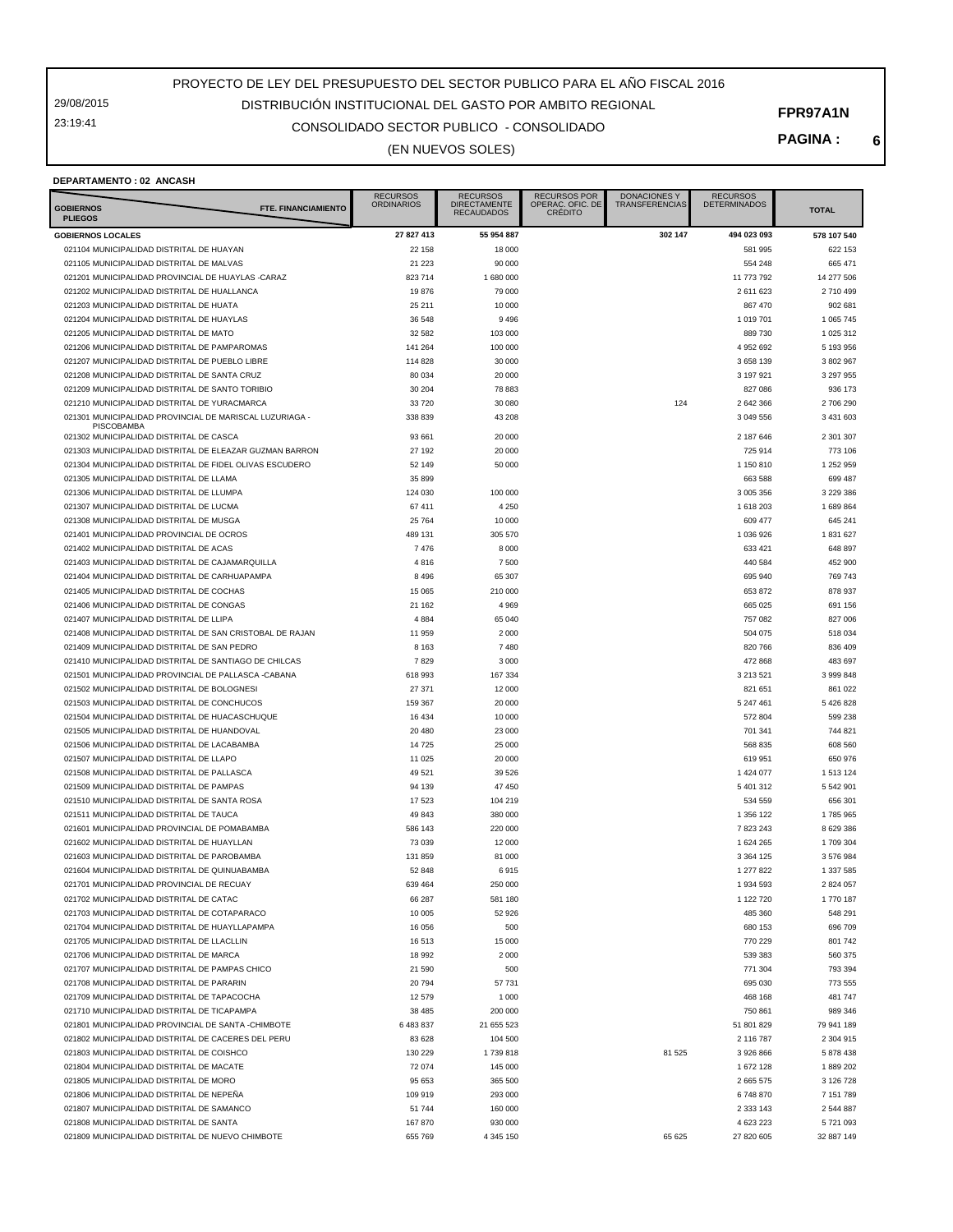29/08/2015 23:19:41

## CONSOLIDADO SECTOR PUBLICO - CONSOLIDADO DISTRIBUCIÓN INSTITUCIONAL DEL GASTO POR AMBITO REGIONAL

**PAGINA : 6**

#### (EN NUEVOS SOLES)

#### **DEPARTAMENTO : 02 ANCASH**

| <b>FTE. FINANCIAMIENTO</b><br><b>GOBIERNOS</b><br><b>PLIEGOS</b>                                        | <b>RECURSOS</b><br><b>ORDINARIOS</b> | <b>RECURSOS</b><br><b>DIRECTAMENTE</b><br><b>RECAUDADOS</b> | <b>RECURSOS POR</b><br>OPERAÇ. OFIC. DE<br>CRÉDITO | <b>DONACIONES Y</b><br><b>TRANSFERENCIAS</b> | <b>RECURSOS</b><br><b>DETERMINADOS</b> | <b>TOTAL</b>             |
|---------------------------------------------------------------------------------------------------------|--------------------------------------|-------------------------------------------------------------|----------------------------------------------------|----------------------------------------------|----------------------------------------|--------------------------|
| <b>GOBIERNOS LOCALES</b>                                                                                | 27 827 413                           | 55 954 887                                                  |                                                    | 302 147                                      | 494 023 093                            | 578 107 540              |
| 021104 MUNICIPALIDAD DISTRITAL DE HUAYAN                                                                | 22 158                               | 18 000                                                      |                                                    |                                              | 581 995                                | 622 153                  |
| 021105 MUNICIPALIDAD DISTRITAL DE MALVAS                                                                | 21 223                               | 90 000                                                      |                                                    |                                              | 554 248                                | 665 471                  |
| 021201 MUNICIPALIDAD PROVINCIAL DE HUAYLAS -CARAZ                                                       | 823 714                              | 1 680 000                                                   |                                                    |                                              | 11 773 792                             | 14 277 506               |
| 021202 MUNICIPALIDAD DISTRITAL DE HUALLANCA                                                             | 19876                                | 79 000                                                      |                                                    |                                              | 2 611 623                              | 2 710 499                |
| 021203 MUNICIPALIDAD DISTRITAL DE HUATA<br>021204 MUNICIPALIDAD DISTRITAL DE HUAYLAS                    | 25 211<br>36 548                     | 10 000<br>9496                                              |                                                    |                                              | 867 470<br>1 019 701                   | 902 681<br>1 0 6 7 7 4 5 |
| 021205 MUNICIPALIDAD DISTRITAL DE MATO                                                                  | 32 582                               | 103 000                                                     |                                                    |                                              | 889730                                 | 1 025 312                |
| 021206 MUNICIPALIDAD DISTRITAL DE PAMPAROMAS                                                            | 141 264                              | 100 000                                                     |                                                    |                                              | 4 952 692                              | 5 193 956                |
| 021207 MUNICIPALIDAD DISTRITAL DE PUEBLO LIBRE                                                          | 114828                               | 30 000                                                      |                                                    |                                              | 3 658 139                              | 3 802 967                |
| 021208 MUNICIPALIDAD DISTRITAL DE SANTA CRUZ                                                            | 80 034                               | 20 000                                                      |                                                    |                                              | 3 197 921                              | 3 297 955                |
| 021209 MUNICIPALIDAD DISTRITAL DE SANTO TORIBIO                                                         | 30 204                               | 78 883                                                      |                                                    |                                              | 827 086                                | 936 173                  |
| 021210 MUNICIPALIDAD DISTRITAL DE YURACMARCA                                                            | 33 720                               | 30 080                                                      |                                                    | 124                                          | 2 642 366                              | 2706290                  |
| 021301 MUNICIPALIDAD PROVINCIAL DE MARISCAL LUZURIAGA -<br>PISCOBAMBA                                   | 338 839                              | 43 208                                                      |                                                    |                                              | 3 049 556                              | 3 431 603                |
| 021302 MUNICIPALIDAD DISTRITAL DE CASCA                                                                 | 93 661                               | 20 000                                                      |                                                    |                                              | 2 187 646                              | 2 301 307                |
| 021303 MUNICIPALIDAD DISTRITAL DE ELEAZAR GUZMAN BARRON                                                 | 27 192                               | 20 000                                                      |                                                    |                                              | 725 914                                | 773 106                  |
| 021304 MUNICIPALIDAD DISTRITAL DE FIDEL OLIVAS ESCUDERO                                                 | 52 149                               | 50 000                                                      |                                                    |                                              | 1 150 810                              | 1 252 959                |
| 021305 MUNICIPALIDAD DISTRITAL DE LLAMA                                                                 | 35 899                               |                                                             |                                                    |                                              | 663 588                                | 699 487                  |
| 021306 MUNICIPALIDAD DISTRITAL DE LLUMPA<br>021307 MUNICIPALIDAD DISTRITAL DE LUCMA                     | 124 030<br>67 411                    | 100 000<br>4 2 5 0                                          |                                                    |                                              | 3 005 356<br>1 618 203                 | 3 229 386<br>1 689 864   |
| 021308 MUNICIPALIDAD DISTRITAL DE MUSGA                                                                 | 25 764                               | 10 000                                                      |                                                    |                                              | 609 477                                | 645 241                  |
| 021401 MUNICIPALIDAD PROVINCIAL DE OCROS                                                                | 489 131                              | 305 570                                                     |                                                    |                                              | 1 036 926                              | 1 831 627                |
| 021402 MUNICIPALIDAD DISTRITAL DE ACAS                                                                  | 7476                                 | 8 0 0 0                                                     |                                                    |                                              | 633 421                                | 648 897                  |
| 021403 MUNICIPALIDAD DISTRITAL DE CAJAMAROUILLA                                                         | 4816                                 | 7500                                                        |                                                    |                                              | 440 584                                | 452 900                  |
| 021404 MUNICIPALIDAD DISTRITAL DE CARHUAPAMPA                                                           | 8 4 9 6                              | 65 307                                                      |                                                    |                                              | 695 940                                | 769 743                  |
| 021405 MUNICIPALIDAD DISTRITAL DE COCHAS                                                                | 15 065                               | 210 000                                                     |                                                    |                                              | 653 872                                | 878 937                  |
| 021406 MUNICIPALIDAD DISTRITAL DE CONGAS                                                                | 21 162                               | 4 9 6 9                                                     |                                                    |                                              | 665 025                                | 691 156                  |
| 021407 MUNICIPALIDAD DISTRITAL DE LLIPA                                                                 | 4 8 8 4                              | 65 040                                                      |                                                    |                                              | 757 082                                | 827 006                  |
| 021408 MUNICIPALIDAD DISTRITAL DE SAN CRISTOBAL DE RAJAN<br>021409 MUNICIPALIDAD DISTRITAL DE SAN PEDRO | 11 959                               | 2 0 0 0                                                     |                                                    |                                              | 504 075                                | 518 034                  |
| 021410 MUNICIPALIDAD DISTRITAL DE SANTIAGO DE CHILCAS                                                   | 8 1 6 3<br>7829                      | 7480<br>3 0 0 0                                             |                                                    |                                              | 820 766<br>472 868                     | 836 409<br>483 697       |
| 021501 MUNICIPALIDAD PROVINCIAL DE PALLASCA -CABANA                                                     | 618 993                              | 167 334                                                     |                                                    |                                              | 3 213 521                              | 3 999 848                |
| 021502 MUNICIPALIDAD DISTRITAL DE BOLOGNESI                                                             | 27 371                               | 12 000                                                      |                                                    |                                              | 821 651                                | 861 022                  |
| 021503 MUNICIPALIDAD DISTRITAL DE CONCHUCOS                                                             | 159 367                              | 20 000                                                      |                                                    |                                              | 5 247 461                              | 5 426 828                |
| 021504 MUNICIPALIDAD DISTRITAL DE HUACASCHUQUE                                                          | 16 434                               | 10 000                                                      |                                                    |                                              | 572 804                                | 599 238                  |
| 021505 MUNICIPALIDAD DISTRITAL DE HUANDOVAL                                                             | 20 480                               | 23 000                                                      |                                                    |                                              | 701 341                                | 744 821                  |
| 021506 MUNICIPALIDAD DISTRITAL DE LACABAMBA                                                             | 14 725                               | 25 000                                                      |                                                    |                                              | 568 835                                | 608 560                  |
| 021507 MUNICIPALIDAD DISTRITAL DE LLAPO                                                                 | 11 025                               | 20 000                                                      |                                                    |                                              | 619 951                                | 650 976                  |
| 021508 MUNICIPALIDAD DISTRITAL DE PALLASCA                                                              | 49 521                               | 39 5 26                                                     |                                                    |                                              | 1 424 077                              | 1 513 124                |
| 021509 MUNICIPALIDAD DISTRITAL DE PAMPAS<br>021510 MUNICIPALIDAD DISTRITAL DE SANTA ROSA                | 94 139<br>17 523                     | 47 450<br>104 219                                           |                                                    |                                              | 5 401 312<br>534 559                   | 5 542 901<br>656 301     |
| 021511 MUNICIPALIDAD DISTRITAL DE TAUCA                                                                 | 49 843                               | 380 000                                                     |                                                    |                                              | 1 356 122                              | 1785 965                 |
| 021601 MUNICIPALIDAD PROVINCIAL DE POMABAMBA                                                            | 586 143                              | 220 000                                                     |                                                    |                                              | 7 823 243                              | 8 629 386                |
| 021602 MUNICIPALIDAD DISTRITAL DE HUAYLLAN                                                              | 73 039                               | 12 000                                                      |                                                    |                                              | 1 624 265                              | 1709304                  |
| 021603 MUNICIPALIDAD DISTRITAL DE PAROBAMBA                                                             | 131 859                              | 81 000                                                      |                                                    |                                              | 3 3 6 4 1 2 5                          | 3 576 984                |
| 021604 MUNICIPALIDAD DISTRITAL DE QUINUABAMBA                                                           | 52 848                               | 6915                                                        |                                                    |                                              | 1 277 822                              | 1 337 585                |
| 021701 MUNICIPALIDAD PROVINCIAL DE RECUAY                                                               | 639 464                              | 250 000                                                     |                                                    |                                              | 1 934 593                              | 2 824 057                |
| 021702 MUNICIPALIDAD DISTRITAL DE CATAC                                                                 | 66 287                               | 581 180                                                     |                                                    |                                              | 1 122 720                              | 1770 187                 |
| 021703 MUNICIPALIDAD DISTRITAL DE COTAPARACO                                                            | 10 005                               | 52 926                                                      |                                                    |                                              | 485 360                                | 548 291                  |
| 021704 MUNICIPALIDAD DISTRITAL DE HUAYLLAPAMPA<br>021705 MUNICIPALIDAD DISTRITAL DE LLACLLIN            | 16 056<br>16 513                     | 500<br>15 000                                               |                                                    |                                              | 680 153<br>770 229                     | 696 709<br>801 742       |
| 021706 MUNICIPALIDAD DISTRITAL DE MARCA                                                                 | 18 992                               | 2 0 0 0                                                     |                                                    |                                              | 539 383                                | 560 375                  |
| 021707 MUNICIPALIDAD DISTRITAL DE PAMPAS CHICO                                                          | 21 590                               | 500                                                         |                                                    |                                              | 771 304                                | 793 394                  |
| 021708 MUNICIPALIDAD DISTRITAL DE PARARIN                                                               | 20 794                               | 57 731                                                      |                                                    |                                              | 695 030                                | 773 555                  |
| 021709 MUNICIPALIDAD DISTRITAL DE TAPACOCHA                                                             | 12 579                               | 1 0 0 0                                                     |                                                    |                                              | 468 168                                | 481 747                  |
| 021710 MUNICIPALIDAD DISTRITAL DE TICAPAMPA                                                             | 38 485                               | 200 000                                                     |                                                    |                                              | 750 861                                | 989 346                  |
| 021801 MUNICIPALIDAD PROVINCIAL DE SANTA -CHIMBOTE                                                      | 6 483 837                            | 21 655 523                                                  |                                                    |                                              | 51 801 829                             | 79 941 189               |
| 021802 MUNICIPALIDAD DISTRITAL DE CACERES DEL PERU                                                      | 83 628                               | 104 500                                                     |                                                    |                                              | 2 116 787                              | 2 304 915                |
| 021803 MUNICIPALIDAD DISTRITAL DE COISHCO                                                               | 130 229                              | 1739818                                                     |                                                    | 81 525                                       | 3 926 866                              | 5 878 438                |
| 021804 MUNICIPALIDAD DISTRITAL DE MACATE<br>021805 MUNICIPALIDAD DISTRITAL DE MORO                      | 72 074<br>95 653                     | 145 000<br>365 500                                          |                                                    |                                              | 1 672 128<br>2 665 575                 | 1889 202<br>3 126 728    |
| 021806 MUNICIPALIDAD DISTRITAL DE NEPEÑA                                                                | 109 919                              | 293 000                                                     |                                                    |                                              | 6748870                                | 7 151 789                |
| 021807 MUNICIPALIDAD DISTRITAL DE SAMANCO                                                               | 51 744                               | 160 000                                                     |                                                    |                                              | 2 3 3 1 4 3                            | 2 544 887                |
| 021808 MUNICIPALIDAD DISTRITAL DE SANTA                                                                 | 167870                               | 930 000                                                     |                                                    |                                              | 4 623 223                              | 5 721 093                |
| 021809 MUNICIPALIDAD DISTRITAL DE NUEVO CHIMBOTE                                                        | 655 769                              | 4 345 150                                                   |                                                    | 65 625                                       | 27 820 605                             | 32 887 149               |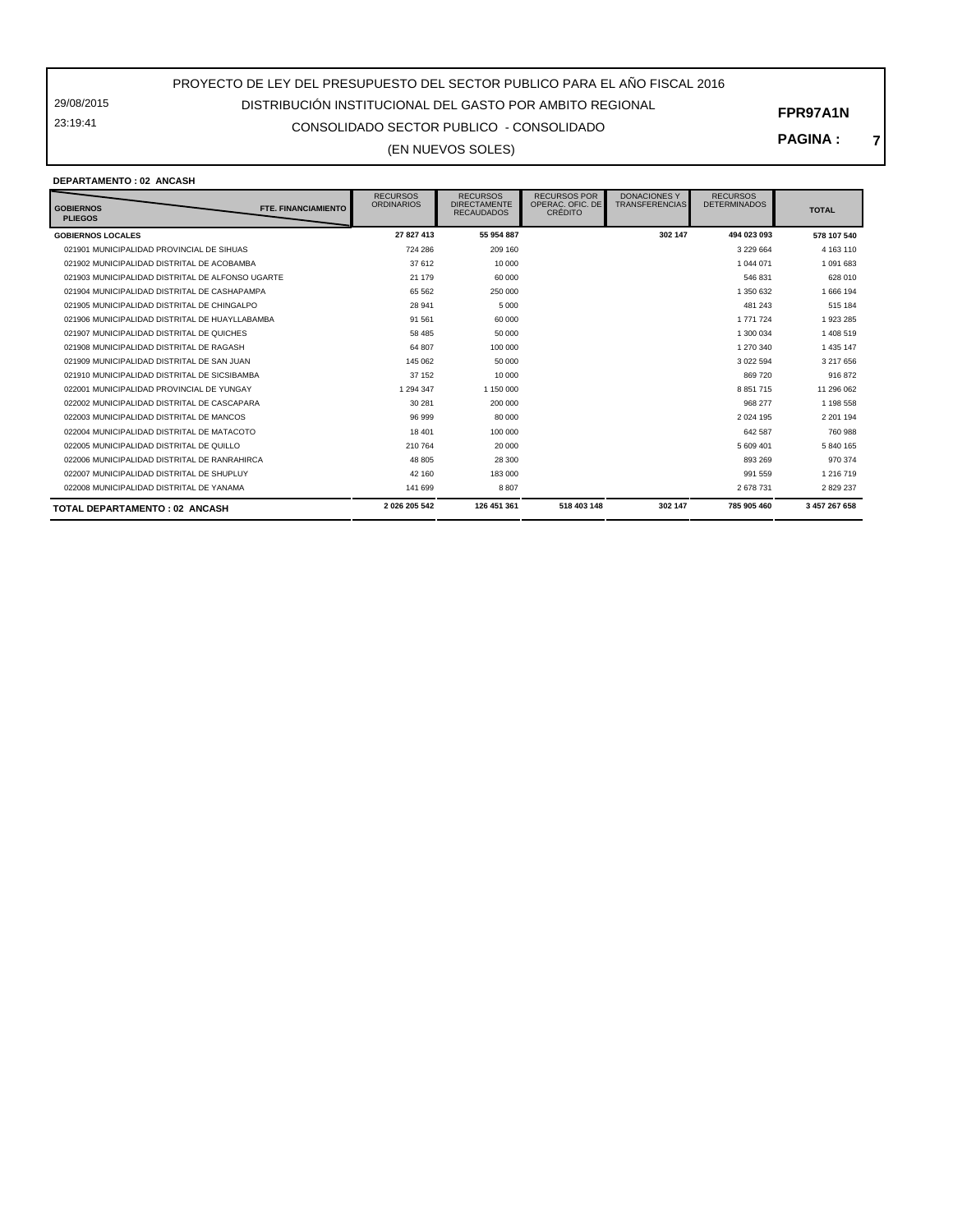29/08/2015 23:19:41

## CONSOLIDADO SECTOR PUBLICO - CONSOLIDADO DISTRIBUCIÓN INSTITUCIONAL DEL GASTO POR AMBITO REGIONAL

(EN NUEVOS SOLES)

#### **PAGINA : 7**

#### **DEPARTAMENTO : 02 ANCASH**

| FTE. FINANCIAMIENTO<br><b>GOBIERNOS</b><br><b>PLIEGOS</b> | <b>RECURSOS</b><br><b>ORDINARIOS</b> | <b>RECURSOS</b><br><b>DIRECTAMENTE</b><br><b>RECAUDADOS</b> | <b>RECURSOS POR</b><br>OPERAC, OFIC, DE<br><b>CRÉDITO</b> | <b>DONACIONES Y</b><br><b>TRANSFERENCIAS</b> | <b>RECURSOS</b><br><b>DETERMINADOS</b> | <b>TOTAL</b>  |
|-----------------------------------------------------------|--------------------------------------|-------------------------------------------------------------|-----------------------------------------------------------|----------------------------------------------|----------------------------------------|---------------|
| <b>GOBIERNOS LOCALES</b>                                  | 27 827 413                           | 55 954 887                                                  |                                                           | 302 147                                      | 494 023 093                            | 578 107 540   |
| 021901 MUNICIPALIDAD PROVINCIAL DE SIHUAS                 | 724 286                              | 209 160                                                     |                                                           |                                              | 3 229 664                              | 4 163 110     |
| 021902 MUNICIPALIDAD DISTRITAL DE ACOBAMBA                | 37 612                               | 10.000                                                      |                                                           |                                              | 1 044 071                              | 1 091 683     |
| 021903 MUNICIPALIDAD DISTRITAL DE ALFONSO UGARTE          | 21 179                               | 60 000                                                      |                                                           |                                              | 546 831                                | 628 010       |
| 021904 MUNICIPALIDAD DISTRITAL DE CASHAPAMPA              | 65 5 62                              | 250 000                                                     |                                                           |                                              | 1 350 632                              | 1666 194      |
| 021905 MUNICIPALIDAD DISTRITAL DE CHINGALPO               | 28 941                               | 5 0 0 0                                                     |                                                           |                                              | 481 243                                | 515 184       |
| 021906 MUNICIPALIDAD DISTRITAL DE HUAYLLABAMBA            | 91 561                               | 60 000                                                      |                                                           |                                              | 1 771 724                              | 1923285       |
| 021907 MUNICIPALIDAD DISTRITAL DE QUICHES                 | 58 485                               | 50 000                                                      |                                                           |                                              | 1 300 034                              | 1 408 519     |
| 021908 MUNICIPALIDAD DISTRITAL DE RAGASH                  | 64 807                               | 100 000                                                     |                                                           |                                              | 1 270 340                              | 1 435 147     |
| 021909 MUNICIPALIDAD DISTRITAL DE SAN JUAN                | 145 062                              | 50,000                                                      |                                                           |                                              | 3 022 594                              | 3 217 656     |
| 021910 MUNICIPALIDAD DISTRITAL DE SICSIBAMBA              | 37 152                               | 10 000                                                      |                                                           |                                              | 869720                                 | 916 872       |
| 022001 MUNICIPALIDAD PROVINCIAL DE YUNGAY                 | 1 2 9 4 3 4 7                        | 1 150 000                                                   |                                                           |                                              | 8 8 5 1 7 1 5                          | 11 296 062    |
| 022002 MUNICIPALIDAD DISTRITAL DE CASCAPARA               | 30 281                               | 200,000                                                     |                                                           |                                              | 968 277                                | 1 198 558     |
| 022003 MUNICIPALIDAD DISTRITAL DE MANCOS                  | 96 999                               | 80 000                                                      |                                                           |                                              | 2 0 24 1 95                            | 2 201 194     |
| 022004 MUNICIPALIDAD DISTRITAL DE MATACOTO                | 18 401                               | 100 000                                                     |                                                           |                                              | 642 587                                | 760 988       |
| 022005 MUNICIPALIDAD DISTRITAL DE QUILLO                  | 210764                               | 20 000                                                      |                                                           |                                              | 5 609 401                              | 5 840 165     |
| 022006 MUNICIPALIDAD DISTRITAL DE RANRAHIRCA              | 48 805                               | 28 300                                                      |                                                           |                                              | 893 269                                | 970 374       |
| 022007 MUNICIPALIDAD DISTRITAL DE SHUPLUY                 | 42 160                               | 183 000                                                     |                                                           |                                              | 991 559                                | 1 216 719     |
| 022008 MUNICIPALIDAD DISTRITAL DE YANAMA                  | 141 699                              | 8807                                                        |                                                           |                                              | 2 678 731                              | 2 829 237     |
| <b>TOTAL DEPARTAMENTO: 02 ANCASH</b>                      | 2026 205 542                         | 126 451 361                                                 | 518 403 148                                               | 302 147                                      | 785 905 460                            | 3 457 267 658 |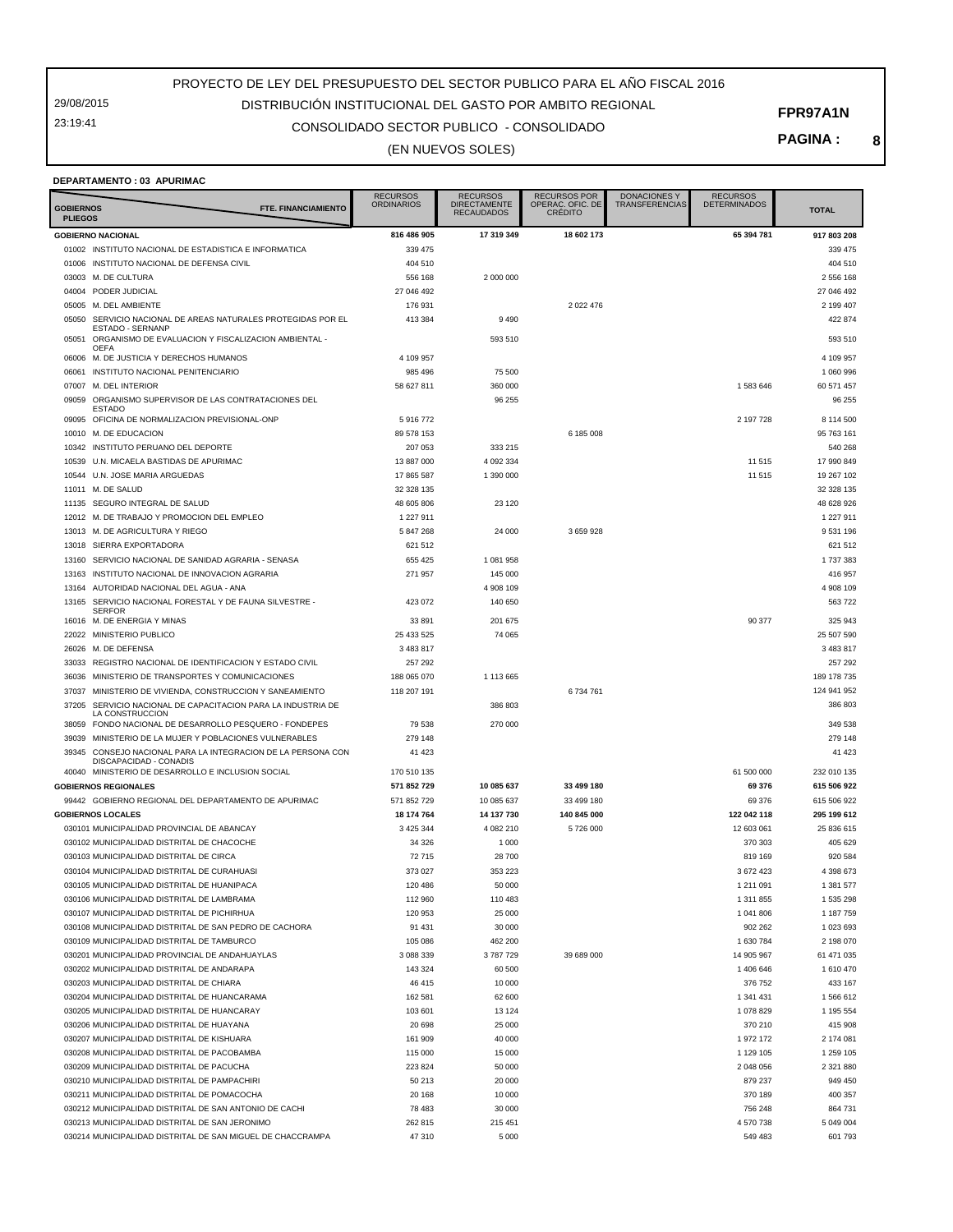29/08/2015 23:19:41

## CONSOLIDADO SECTOR PUBLICO - CONSOLIDADO DISTRIBUCIÓN INSTITUCIONAL DEL GASTO POR AMBITO REGIONAL

#### **PAGINA : 8**

(EN NUEVOS SOLES)

#### **DEPARTAMENTO : 03 APURIMAC**

| <b>GOBIERNOS</b><br><b>PLIEGOS</b> | FTE. FINANCIAMIENTO                                                                      | <b>RECURSOS</b><br><b>ORDINARIOS</b> | <b>RECURSOS</b><br><b>DIRECTAMENTE</b><br><b>RECAUDADOS</b> | <b>RECURSOS POR</b><br>OPERAÇ. OFIC. DE<br><b>CRÉDITO</b> | <b>DONACIONES Y</b><br>TRANSFERENCIAS | <b>RECURSOS</b><br><b>DETERMINADOS</b> | <b>TOTAL</b>       |
|------------------------------------|------------------------------------------------------------------------------------------|--------------------------------------|-------------------------------------------------------------|-----------------------------------------------------------|---------------------------------------|----------------------------------------|--------------------|
|                                    | <b>GOBIERNO NACIONAL</b>                                                                 | 816 486 905                          | 17 319 349                                                  | 18 602 173                                                |                                       | 65 394 781                             | 917 803 208        |
|                                    | 01002 INSTITUTO NACIONAL DE ESTADISTICA E INFORMATICA                                    | 339 475                              |                                                             |                                                           |                                       |                                        | 339 475            |
| 01006                              | INSTITUTO NACIONAL DE DEFENSA CIVIL                                                      | 404 510                              |                                                             |                                                           |                                       |                                        | 404 510            |
| 03003                              | M. DE CULTURA                                                                            | 556 168                              | 2 000 000                                                   |                                                           |                                       |                                        | 2 556 168          |
|                                    | 04004 PODER JUDICIAL                                                                     | 27 046 492                           |                                                             |                                                           |                                       |                                        | 27 046 492         |
| 05005                              | M. DEL AMBIENTE                                                                          | 176 931                              |                                                             | 2 0 2 2 4 7 6                                             |                                       |                                        | 2 199 407          |
| 05050                              | SERVICIO NACIONAL DE AREAS NATURALES PROTEGIDAS POR EL                                   | 413 384                              | 9490                                                        |                                                           |                                       |                                        | 422 874            |
| 05051                              | ESTADO - SERNANP<br>ORGANISMO DE EVALUACION Y FISCALIZACION AMBIENTAL -                  |                                      | 593 510                                                     |                                                           |                                       |                                        | 593 510            |
|                                    | <b>OEFA</b>                                                                              |                                      |                                                             |                                                           |                                       |                                        |                    |
| 06006                              | M. DE JUSTICIA Y DERECHOS HUMANOS                                                        | 4 109 957                            |                                                             |                                                           |                                       |                                        | 4 109 957          |
| 06061                              | INSTITUTO NACIONAL PENITENCIARIO                                                         | 985 496                              | 75 500                                                      |                                                           |                                       |                                        | 1 060 996          |
| 07007                              | M. DEL INTERIOR                                                                          | 58 627 811                           | 360 000                                                     |                                                           |                                       | 1 583 646                              | 60 571 457         |
| 09059                              | ORGANISMO SUPERVISOR DE LAS CONTRATACIONES DEL<br><b>ESTADO</b>                          |                                      | 96 255                                                      |                                                           |                                       |                                        | 96 255             |
| 09095                              | OFICINA DE NORMALIZACION PREVISIONAL-ONP                                                 | 5916772                              |                                                             |                                                           |                                       | 2 197 728                              | 8 114 500          |
| 10010                              | M. DE EDUCACION                                                                          | 89 578 153                           |                                                             | 6 185 008                                                 |                                       |                                        | 95 763 161         |
| 10342                              | INSTITUTO PERUANO DEL DEPORTE                                                            | 207 053                              | 333 215                                                     |                                                           |                                       |                                        | 540 268            |
| 10539                              | U.N. MICAELA BASTIDAS DE APURIMAC                                                        | 13 887 000                           | 4 092 334                                                   |                                                           |                                       | 11 515                                 | 17 990 849         |
| 10544                              | U.N. JOSE MARIA ARGUEDAS                                                                 | 17 865 587                           | 1 390 000                                                   |                                                           |                                       | 11 515                                 | 19 267 102         |
| 11011                              | M. DE SALUD                                                                              | 32 328 135                           |                                                             |                                                           |                                       |                                        | 32 328 135         |
| 11135                              | SEGURO INTEGRAL DE SALUD                                                                 | 48 605 806                           | 23 1 20                                                     |                                                           |                                       |                                        | 48 628 926         |
| 12012                              | M. DE TRABAJO Y PROMOCION DEL EMPLEO                                                     | 1 227 911                            |                                                             |                                                           |                                       |                                        | 1 227 911          |
| 13013                              | M. DE AGRICULTURA Y RIEGO                                                                | 5 847 268                            | 24 000                                                      | 3659928                                                   |                                       |                                        | 9 531 196          |
| 13018                              | SIERRA EXPORTADORA                                                                       | 621 512                              |                                                             |                                                           |                                       |                                        | 621 512            |
| 13160                              | SERVICIO NACIONAL DE SANIDAD AGRARIA - SENASA                                            | 655 425                              | 1 081 958                                                   |                                                           |                                       |                                        | 1 737 383          |
| 13163                              | INSTITUTO NACIONAL DE INNOVACION AGRARIA                                                 | 271 957                              | 145 000                                                     |                                                           |                                       |                                        | 416 957            |
| 13164                              | AUTORIDAD NACIONAL DEL AGUA - ANA                                                        |                                      | 4 908 109                                                   |                                                           |                                       |                                        | 4 908 109          |
| 13165                              | SERVICIO NACIONAL FORESTAL Y DE FAUNA SILVESTRE -<br><b>SERFOR</b>                       | 423 072                              | 140 650                                                     |                                                           |                                       |                                        | 563 722            |
|                                    | 16016 M. DE ENERGIA Y MINAS                                                              | 33 891                               | 201 675                                                     |                                                           |                                       | 90 377                                 | 325 943            |
|                                    | 22022 MINISTERIO PUBLICO                                                                 | 25 433 525                           | 74 065                                                      |                                                           |                                       |                                        | 25 507 590         |
| 26026                              | M. DE DEFENSA                                                                            | 3 483 817                            |                                                             |                                                           |                                       |                                        | 3 483 817          |
| 33033                              | REGISTRO NACIONAL DE IDENTIFICACION Y ESTADO CIVIL                                       | 257 292                              |                                                             |                                                           |                                       |                                        | 257 292            |
| 36036                              | MINISTERIO DE TRANSPORTES Y COMUNICACIONES                                               | 188 065 070                          | 1 113 665                                                   |                                                           |                                       |                                        | 189 178 735        |
| 37037                              | MINISTERIO DE VIVIENDA, CONSTRUCCION Y SANEAMIENTO                                       | 118 207 191                          |                                                             | 6734761                                                   |                                       |                                        | 124 941 952        |
| 37205                              | SERVICIO NACIONAL DE CAPACITACION PARA LA INDUSTRIA DE                                   |                                      | 386 803                                                     |                                                           |                                       |                                        | 386 803            |
|                                    | LA CONSTRUCCION<br>38059 FONDO NACIONAL DE DESARROLLO PESQUERO - FONDEPES                | 79 538                               | 270 000                                                     |                                                           |                                       |                                        | 349 538            |
| 39039                              | MINISTERIO DE LA MUJER Y POBLACIONES VULNERABLES                                         | 279 148                              |                                                             |                                                           |                                       |                                        | 279 148            |
| 39345                              | CONSEJO NACIONAL PARA LA INTEGRACION DE LA PERSONA CON                                   | 41 423                               |                                                             |                                                           |                                       |                                        | 41 423             |
|                                    | DISCAPACIDAD - CONADIS                                                                   |                                      |                                                             |                                                           |                                       |                                        |                    |
| 40040                              | MINISTERIO DE DESARROLLO E INCLUSION SOCIAL                                              | 170 510 135                          |                                                             |                                                           |                                       | 61 500 000                             | 232 010 135        |
|                                    | <b>GOBIERNOS REGIONALES</b>                                                              | 571 852 729                          | 10 085 637                                                  | 33 499 180                                                |                                       | 69 376                                 | 615 506 922        |
|                                    | 99442 GOBIERNO REGIONAL DEL DEPARTAMENTO DE APURIMAC                                     | 571 852 729                          | 10 085 637                                                  | 33 499 180                                                |                                       | 69 376                                 | 615 506 922        |
|                                    | <b>GOBIERNOS LOCALES</b>                                                                 | 18 174 764                           | 14 137 730                                                  | 140 845 000                                               |                                       | 122 042 118                            | 295 199 612        |
|                                    | 030101 MUNICIPALIDAD PROVINCIAL DE ABANCAY<br>030102 MUNICIPALIDAD DISTRITAL DE CHACOCHE | 3 4 2 5 3 4 4                        | 4 082 210                                                   | 5726000                                                   |                                       | 12 603 061                             | 25 836 615         |
|                                    | 030103 MUNICIPALIDAD DISTRITAL DE CIRCA                                                  | 34 326<br>72 715                     | 1 0 0 0<br>28 700                                           |                                                           |                                       | 370 303<br>819 169                     | 405 629<br>920 584 |
|                                    | 030104 MUNICIPALIDAD DISTRITAL DE CURAHUASI                                              | 373 027                              | 353 223                                                     |                                                           |                                       | 3 672 423                              | 4 398 673          |
|                                    | 030105 MUNICIPALIDAD DISTRITAL DE HUANIPACA                                              | 120 486                              | 50 000                                                      |                                                           |                                       | 1 211 091                              | 1 381 577          |
|                                    | 030106 MUNICIPALIDAD DISTRITAL DE LAMBRAMA                                               | 112 960                              | 110 483                                                     |                                                           |                                       | 1 311 855                              | 1 535 298          |
|                                    | 030107 MUNICIPALIDAD DISTRITAL DE PICHIRHUA                                              | 120 953                              | 25 000                                                      |                                                           |                                       | 1 041 806                              | 1 187 759          |
|                                    | 030108 MUNICIPALIDAD DISTRITAL DE SAN PEDRO DE CACHORA                                   | 91 431                               | 30 000                                                      |                                                           |                                       | 902 262                                | 1 023 693          |
|                                    | 030109 MUNICIPALIDAD DISTRITAL DE TAMBURCO                                               | 105 086                              | 462 200                                                     |                                                           |                                       | 1 630 784                              | 2 198 070          |
|                                    | 030201 MUNICIPALIDAD PROVINCIAL DE ANDAHUAYLAS                                           | 3 088 339                            | 3787729                                                     | 39 689 000                                                |                                       | 14 905 967                             | 61 471 035         |
|                                    | 030202 MUNICIPALIDAD DISTRITAL DE ANDARAPA                                               | 143 324                              | 60 500                                                      |                                                           |                                       | 1 406 646                              | 1 610 470          |
|                                    | 030203 MUNICIPALIDAD DISTRITAL DE CHIARA                                                 | 46 415                               | 10 000                                                      |                                                           |                                       | 376 752                                | 433 167            |
|                                    | 030204 MUNICIPALIDAD DISTRITAL DE HUANCARAMA                                             | 162 581                              | 62 600                                                      |                                                           |                                       | 1 341 431                              | 1566612            |
|                                    | 030205 MUNICIPALIDAD DISTRITAL DE HUANCARAY                                              | 103 601                              | 13 1 24                                                     |                                                           |                                       | 1 078 829                              | 1 195 554          |
|                                    | 030206 MUNICIPALIDAD DISTRITAL DE HUAYANA                                                | 20 698                               | 25 000                                                      |                                                           |                                       | 370 210                                | 415 908            |
|                                    | 030207 MUNICIPALIDAD DISTRITAL DE KISHUARA                                               | 161 909                              | 40 000                                                      |                                                           |                                       | 1 972 172                              | 2 174 081          |
|                                    | 030208 MUNICIPALIDAD DISTRITAL DE PACOBAMBA                                              | 115 000                              | 15 000                                                      |                                                           |                                       | 1 129 105                              | 1 259 105          |
|                                    | 030209 MUNICIPALIDAD DISTRITAL DE PACUCHA                                                | 223 824                              | 50 000                                                      |                                                           |                                       | 2 048 056                              | 2 321 880          |
|                                    | 030210 MUNICIPALIDAD DISTRITAL DE PAMPACHIRI                                             | 50 213                               | 20 000                                                      |                                                           |                                       | 879 237                                | 949 450            |
|                                    | 030211 MUNICIPALIDAD DISTRITAL DE POMACOCHA                                              | 20 168                               | 10 000                                                      |                                                           |                                       | 370 189                                | 400 357            |
|                                    | 030212 MUNICIPALIDAD DISTRITAL DE SAN ANTONIO DE CACHI                                   | 78 483                               | 30 000                                                      |                                                           |                                       | 756 248                                | 864 731            |
|                                    | 030213 MUNICIPALIDAD DISTRITAL DE SAN JERONIMO                                           | 262 815                              | 215 451                                                     |                                                           |                                       | 4 570 738                              | 5 049 004          |
|                                    | 030214 MUNICIPALIDAD DISTRITAL DE SAN MIGUEL DE CHACCRAMPA                               | 47 310                               | 5 0 0 0                                                     |                                                           |                                       | 549 483                                | 601 793            |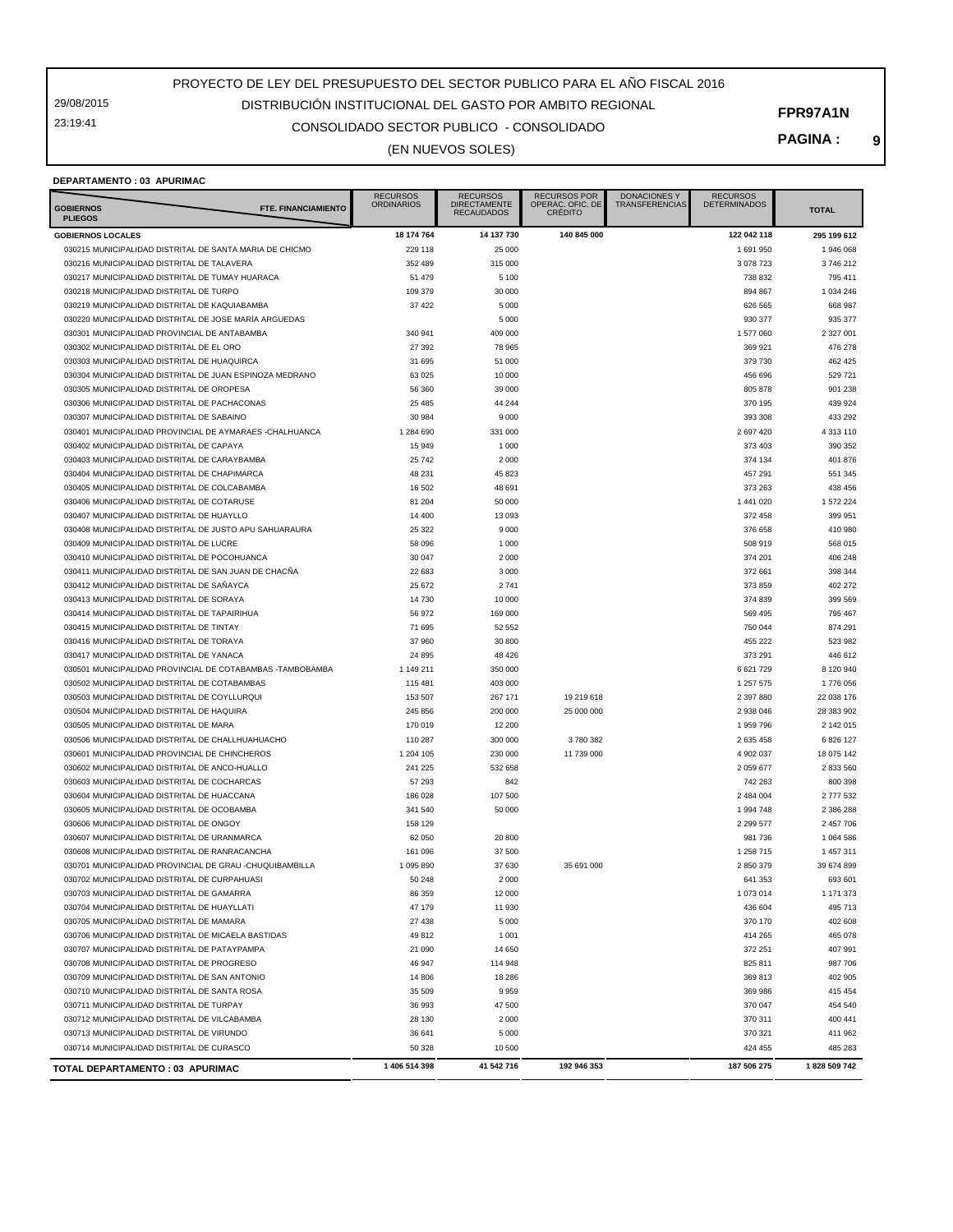29/08/2015 23:19:41

## CONSOLIDADO SECTOR PUBLICO - CONSOLIDADO DISTRIBUCIÓN INSTITUCIONAL DEL GASTO POR AMBITO REGIONAL

**PAGINA : 9**

#### (EN NUEVOS SOLES)

#### **DEPARTAMENTO : 03 APURIMAC**

| <b>FTE. FINANCIAMIENTO</b><br><b>GOBIERNOS</b><br><b>PLIEGOS</b>                                     | <b>RECURSOS</b><br><b>ORDINARIOS</b> | <b>RECURSOS</b><br><b>DIRECTAMENTE</b><br><b>RECAUDADOS</b> | <b>RECURSOS POR</b><br>OPERAÇ. OFIC. DE<br><b>CRÉDITO</b> | <b>DONACIONES Y</b><br><b>TRANSFERENCIAS</b> | <b>RECURSOS</b><br><b>DETERMINADOS</b> | <b>TOTAL</b>           |
|------------------------------------------------------------------------------------------------------|--------------------------------------|-------------------------------------------------------------|-----------------------------------------------------------|----------------------------------------------|----------------------------------------|------------------------|
| <b>GOBIERNOS LOCALES</b>                                                                             | 18 174 764                           | 14 137 730                                                  | 140 845 000                                               |                                              | 122 042 118                            | 295 199 612            |
| 030215 MUNICIPALIDAD DISTRITAL DE SANTA MARIA DE CHICMO                                              | 229 118                              | 25 000                                                      |                                                           |                                              | 1 691 950                              | 1 946 068              |
| 030216 MUNICIPALIDAD DISTRITAL DE TALAVERA                                                           | 352 489                              | 315 000                                                     |                                                           |                                              | 3 078 723                              | 3746212                |
| 030217 MUNICIPALIDAD DISTRITAL DE TUMAY HUARACA                                                      | 51 479                               | 5 100                                                       |                                                           |                                              | 738 832                                | 795 411                |
| 030218 MUNICIPALIDAD DISTRITAL DE TURPO                                                              | 109 379                              | 30 000                                                      |                                                           |                                              | 894 867                                | 1 0 34 2 46            |
| 030219 MUNICIPALIDAD DISTRITAL DE KAQUIABAMBA                                                        | 37 422                               | 5 0 0 0                                                     |                                                           |                                              | 626 565                                | 668 987                |
| 030220 MUNICIPALIDAD DISTRITAL DE JOSE MARÍA ARGUEDAS                                                |                                      | 5 0 0 0                                                     |                                                           |                                              | 930 377                                | 935 377                |
| 030301 MUNICIPALIDAD PROVINCIAL DE ANTABAMBA                                                         | 340 941                              | 409 000                                                     |                                                           |                                              | 1 577 060                              | 2 327 001              |
| 030302 MUNICIPALIDAD DISTRITAL DE EL ORO                                                             | 27 392                               | 78 965                                                      |                                                           |                                              | 369 921                                | 476 278                |
| 030303 MUNICIPALIDAD DISTRITAL DE HUAQUIRCA                                                          | 31 695                               | 51 000                                                      |                                                           |                                              | 379 730                                | 462 425                |
| 030304 MUNICIPALIDAD DISTRITAL DE JUAN ESPINOZA MEDRANO<br>030305 MUNICIPALIDAD DISTRITAL DE OROPESA | 63 025<br>56 360                     | 10 000<br>39 000                                            |                                                           |                                              | 456 696<br>805 878                     | 529 721<br>901 238     |
| 030306 MUNICIPALIDAD DISTRITAL DE PACHACONAS                                                         | 25 4 85                              | 44 244                                                      |                                                           |                                              | 370 195                                | 439 924                |
| 030307 MUNICIPALIDAD DISTRITAL DE SABAINO                                                            | 30 984                               | 9 0 0 0                                                     |                                                           |                                              | 393 308                                | 433 292                |
| 030401 MUNICIPALIDAD PROVINCIAL DE AYMARAES -CHALHUANCA                                              | 1 284 690                            | 331 000                                                     |                                                           |                                              | 2 697 420                              | 4 313 110              |
| 030402 MUNICIPALIDAD DISTRITAL DE CAPAYA                                                             | 15 949                               | 1 0 0 0                                                     |                                                           |                                              | 373 403                                | 390 352                |
| 030403 MUNICIPALIDAD DISTRITAL DE CARAYBAMBA                                                         | 25 742                               | 2 0 0 0                                                     |                                                           |                                              | 374 134                                | 401 876                |
| 030404 MUNICIPALIDAD DISTRITAL DE CHAPIMARCA                                                         | 48 231                               | 45 823                                                      |                                                           |                                              | 457 291                                | 551 345                |
| 030405 MUNICIPALIDAD DISTRITAL DE COLCABAMBA                                                         | 16 502                               | 48 691                                                      |                                                           |                                              | 373 263                                | 438 456                |
| 030406 MUNICIPALIDAD DISTRITAL DE COTARUSE                                                           | 81 204                               | 50 000                                                      |                                                           |                                              | 1 441 020                              | 1 572 224              |
| 030407 MUNICIPALIDAD DISTRITAL DE HUAYLLO                                                            | 14 400                               | 13 093                                                      |                                                           |                                              | 372 458                                | 399 951                |
| 030408 MUNICIPALIDAD DISTRITAL DE JUSTO APU SAHUARAURA                                               | 25 322                               | 9 0 0 0                                                     |                                                           |                                              | 376 658                                | 410 980                |
| 030409 MUNICIPALIDAD DISTRITAL DE LUCRE                                                              | 58 096                               | 1 0 0 0                                                     |                                                           |                                              | 508 919                                | 568 015                |
| 030410 MUNICIPALIDAD DISTRITAL DE POCOHUANCA                                                         | 30 047                               | 2 0 0 0                                                     |                                                           |                                              | 374 201                                | 406 248                |
| 030411 MUNICIPALIDAD DISTRITAL DE SAN JUAN DE CHACÑA                                                 | 22 683                               | 3 0 0 0                                                     |                                                           |                                              | 372 661                                | 398 344                |
| 030412 MUNICIPALIDAD DISTRITAL DE SAÑAYCA                                                            | 25 672                               | 2741                                                        |                                                           |                                              | 373 859                                | 402 272                |
| 030413 MUNICIPALIDAD DISTRITAL DE SORAYA                                                             | 14 730                               | 10 000                                                      |                                                           |                                              | 374 839                                | 399 569                |
| 030414 MUNICIPALIDAD DISTRITAL DE TAPAIRIHUA                                                         | 56 972                               | 169 000                                                     |                                                           |                                              | 569 495                                | 795 467                |
| 030415 MUNICIPALIDAD DISTRITAL DE TINTAY                                                             | 71 695                               | 52 552                                                      |                                                           |                                              | 750 044                                | 874 291                |
| 030416 MUNICIPALIDAD DISTRITAL DE TORAYA                                                             | 37 960                               | 30 800                                                      |                                                           |                                              | 455 222                                | 523 982                |
| 030417 MUNICIPALIDAD DISTRITAL DE YANACA                                                             | 24 8 95                              | 48 4 26                                                     |                                                           |                                              | 373 291                                | 446 612                |
| 030501 MUNICIPALIDAD PROVINCIAL DE COTABAMBAS -TAMBOBAMBA                                            | 1 149 211                            | 350 000                                                     |                                                           |                                              | 6 621 729                              | 8 120 940              |
| 030502 MUNICIPALIDAD DISTRITAL DE COTABAMBAS                                                         | 115 481                              | 403 000                                                     |                                                           |                                              | 1 257 575                              | 1776 056               |
| 030503 MUNICIPALIDAD DISTRITAL DE COYLLURQUI                                                         | 153 507                              | 267 171                                                     | 19 219 618                                                |                                              | 2 397 880                              | 22 038 176             |
| 030504 MUNICIPALIDAD DISTRITAL DE HAQUIRA                                                            | 245 856                              | 200 000                                                     | 25 000 000                                                |                                              | 2 938 046                              | 28 383 902             |
| 030505 MUNICIPALIDAD DISTRITAL DE MARA                                                               | 170 019                              | 12 200                                                      |                                                           |                                              | 1 959 796                              | 2 142 015              |
| 030506 MUNICIPALIDAD DISTRITAL DE CHALLHUAHUACHO                                                     | 110 287                              | 300 000                                                     | 3780382                                                   |                                              | 2 635 458                              | 6 826 127              |
| 030601 MUNICIPALIDAD PROVINCIAL DE CHINCHEROS                                                        | 1 204 105                            | 230 000                                                     | 11 739 000                                                |                                              | 4 902 037                              | 18 075 142             |
| 030602 MUNICIPALIDAD DISTRITAL DE ANCO-HUALLO                                                        | 241 225                              | 532 658                                                     |                                                           |                                              | 2 059 677                              | 2 833 560              |
| 030603 MUNICIPALIDAD DISTRITAL DE COCHARCAS                                                          | 57 293                               | 842                                                         |                                                           |                                              | 742 263                                | 800 398                |
| 030604 MUNICIPALIDAD DISTRITAL DE HUACCANA<br>030605 MUNICIPALIDAD DISTRITAL DE OCOBAMBA             | 186 028<br>341 540                   | 107 500<br>50 000                                           |                                                           |                                              | 2 484 004<br>1 994 748                 | 2 777 532<br>2 386 288 |
| 030606 MUNICIPALIDAD DISTRITAL DE ONGOY                                                              | 158 129                              |                                                             |                                                           |                                              | 2 2 9 5 7 7                            | 2 457 706              |
| 030607 MUNICIPALIDAD DISTRITAL DE URANMARCA                                                          | 62 050                               | 20 800                                                      |                                                           |                                              | 981 736                                | 1 0 64 5 86            |
| 030608 MUNICIPALIDAD DISTRITAL DE RANRACANCHA                                                        | 161 096                              | 37 500                                                      |                                                           |                                              | 1 258 715                              | 1 457 311              |
| 030701 MUNICIPALIDAD PROVINCIAL DE GRAU -CHUQUIBAMBILLA                                              | 1 095 890                            | 37 630                                                      | 35 691 000                                                |                                              | 2 850 379                              | 39 674 899             |
| 030702 MUNICIPALIDAD DISTRITAL DE CURPAHUASI                                                         | 50 248                               | 2000                                                        |                                                           |                                              | 641 353                                | 693 601                |
| 030703 MUNICIPALIDAD DISTRITAL DE GAMARRA                                                            | 86 359                               | 12 000                                                      |                                                           |                                              | 1 073 014                              | 1 171 373              |
| 030704 MUNICIPALIDAD DISTRITAL DE HUAYLLATI                                                          | 47 179                               | 11 930                                                      |                                                           |                                              | 436 604                                | 495 713                |
| 030705 MUNICIPALIDAD DISTRITAL DE MAMARA                                                             | 27 438                               | 5 0 0 0                                                     |                                                           |                                              | 370 170                                | 402 608                |
| 030706 MUNICIPALIDAD DISTRITAL DE MICAELA BASTIDAS                                                   | 49 812                               | 1 0 0 1                                                     |                                                           |                                              | 414 265                                | 465 078                |
| 030707 MUNICIPALIDAD DISTRITAL DE PATAYPAMPA                                                         | 21 090                               | 14 650                                                      |                                                           |                                              | 372 251                                | 407 991                |
| 030708 MUNICIPALIDAD DISTRITAL DE PROGRESO                                                           | 46 947                               | 114 948                                                     |                                                           |                                              | 825 811                                | 987 706                |
| 030709 MUNICIPALIDAD DISTRITAL DE SAN ANTONIO                                                        | 14 806                               | 18 28 6                                                     |                                                           |                                              | 369 813                                | 402 905                |
| 030710 MUNICIPALIDAD DISTRITAL DE SANTA ROSA                                                         | 35 509                               | 9959                                                        |                                                           |                                              | 369 986                                | 415 454                |
| 030711 MUNICIPALIDAD DISTRITAL DE TURPAY                                                             | 36 993                               | 47 500                                                      |                                                           |                                              | 370 047                                | 454 540                |
| 030712 MUNICIPALIDAD DISTRITAL DE VILCABAMBA                                                         | 28 130                               | 2 0 0 0                                                     |                                                           |                                              | 370 311                                | 400 441                |
| 030713 MUNICIPALIDAD DISTRITAL DE VIRUNDO                                                            | 36 641                               | 5 0 0 0                                                     |                                                           |                                              | 370 321                                | 411 962                |
| 030714 MUNICIPALIDAD DISTRITAL DE CURASCO                                                            | 50 328                               | 10 500                                                      |                                                           |                                              | 424 455                                | 485 283                |
| TOTAL DEPARTAMENTO : 03 APURIMAC                                                                     | 1 406 514 398                        | 41 542 716                                                  | 192 946 353                                               |                                              | 187 506 275                            | 1828 509 742           |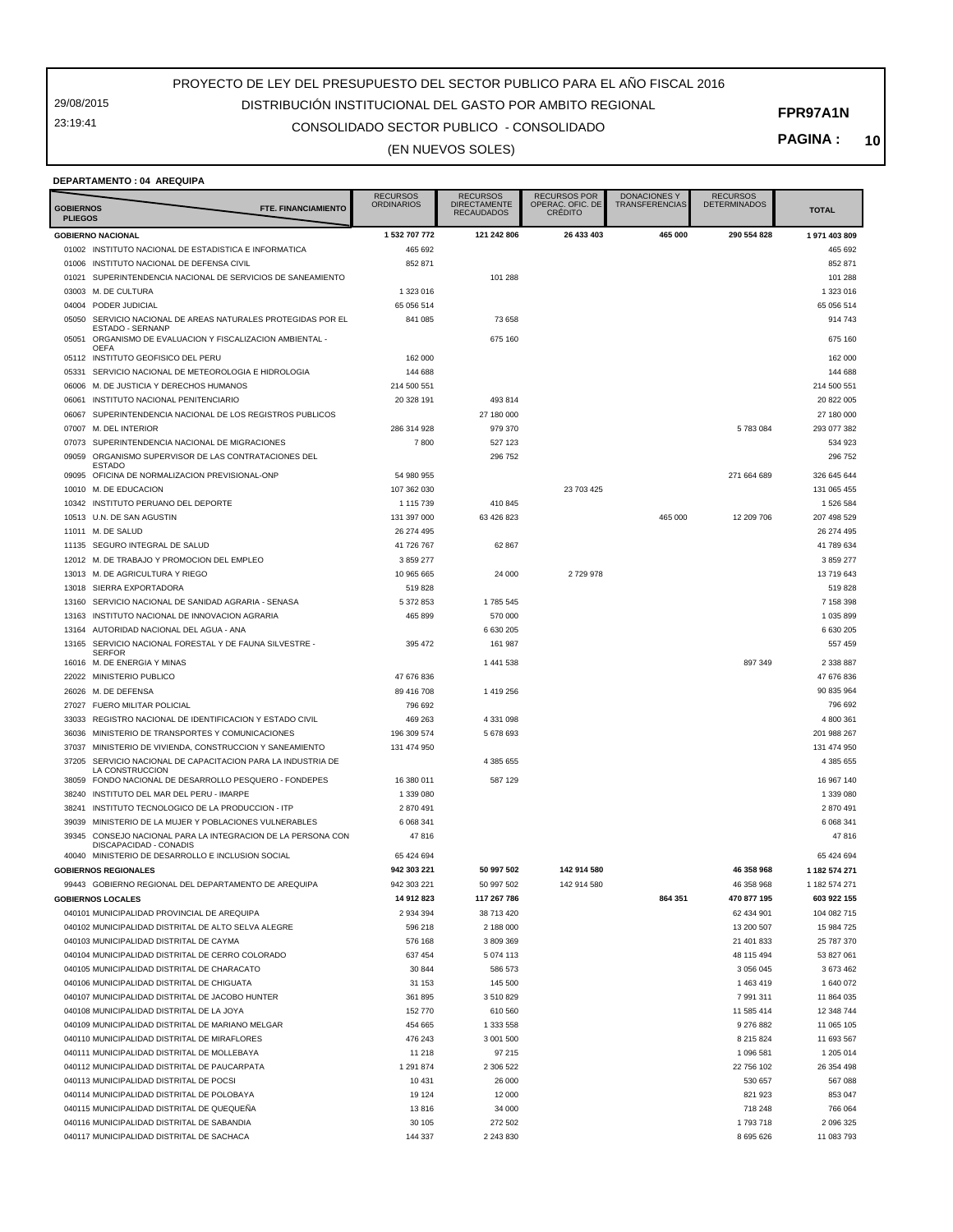29/08/2015 23:19:41

## CONSOLIDADO SECTOR PUBLICO - CONSOLIDADO DISTRIBUCIÓN INSTITUCIONAL DEL GASTO POR AMBITO REGIONAL

**PAGINA : 10**

#### (EN NUEVOS SOLES)

#### **DEPARTAMENTO : 04 AREQUIPA**

| <b>GOBIERNOS</b><br><b>PLIEGOS</b> | FTE. FINANCIAMIENTO                                                                         | <b>RECURSOS</b><br>ORDINARIOS | <b>RECURSOS</b><br><b>DIRECTAMENTE</b><br><b>RECAUDADOS</b> | <b>RECURSOS POR</b><br>OPERAÇ. OFIC. DE<br><b>CRÉDITO</b> | <b>DONACIONES Y</b><br><b>TRANSFERENCIAS</b> | <b>RECURSOS</b><br><b>DETERMINADOS</b> | <b>TOTAL</b>              |
|------------------------------------|---------------------------------------------------------------------------------------------|-------------------------------|-------------------------------------------------------------|-----------------------------------------------------------|----------------------------------------------|----------------------------------------|---------------------------|
|                                    | <b>GOBIERNO NACIONAL</b>                                                                    | 1 532 707 772                 | 121 242 806                                                 | 26 433 403                                                | 465 000                                      | 290 554 828                            | 1971 403 809              |
|                                    | 01002 INSTITUTO NACIONAL DE ESTADISTICA E INFORMATICA                                       | 465 692                       |                                                             |                                                           |                                              |                                        | 465 692                   |
| 01006                              | INSTITUTO NACIONAL DE DEFENSA CIVIL                                                         | 852 871                       |                                                             |                                                           |                                              |                                        | 852 871                   |
| 01021                              | SUPERINTENDENCIA NACIONAL DE SERVICIOS DE SANEAMIENTO                                       |                               | 101 288                                                     |                                                           |                                              |                                        | 101 288                   |
| 03003                              | M. DE CULTURA                                                                               | 1 323 016                     |                                                             |                                                           |                                              |                                        | 1 323 016                 |
| 04004                              | PODER JUDICIAL                                                                              | 65 056 514                    |                                                             |                                                           |                                              |                                        | 65 056 514                |
| 05050                              | SERVICIO NACIONAL DE AREAS NATURALES PROTEGIDAS POR EL<br>ESTADO - SERNANP                  | 841 085                       | 73 658                                                      |                                                           |                                              |                                        | 914 743                   |
| 05051                              | ORGANISMO DE EVALUACION Y FISCALIZACION AMBIENTAL -<br><b>OEFA</b>                          |                               | 675 160                                                     |                                                           |                                              |                                        | 675 160                   |
| 05112                              | INSTITUTO GEOFISICO DEL PERU                                                                | 162 000                       |                                                             |                                                           |                                              |                                        | 162 000                   |
| 05331                              | SERVICIO NACIONAL DE METEOROLOGIA E HIDROLOGIA                                              | 144 688                       |                                                             |                                                           |                                              |                                        | 144 688                   |
| 06006                              | M. DE JUSTICIA Y DERECHOS HUMANOS                                                           | 214 500 551                   |                                                             |                                                           |                                              |                                        | 214 500 551               |
| 06061                              | INSTITUTO NACIONAL PENITENCIARIO                                                            | 20 328 191                    | 493 814                                                     |                                                           |                                              |                                        | 20 822 005                |
| 06067<br>07007                     | SUPERINTENDENCIA NACIONAL DE LOS REGISTROS PUBLICOS<br>M. DEL INTERIOR                      | 286 314 928                   | 27 180 000<br>979 370                                       |                                                           |                                              | 5 783 084                              | 27 180 000<br>293 077 382 |
| 07073                              | SUPERINTENDENCIA NACIONAL DE MIGRACIONES                                                    | 7800                          | 527 123                                                     |                                                           |                                              |                                        | 534 923                   |
| 09059                              | ORGANISMO SUPERVISOR DE LAS CONTRATACIONES DEL                                              |                               | 296 752                                                     |                                                           |                                              |                                        | 296 752                   |
|                                    | <b>ESTADO</b>                                                                               |                               |                                                             |                                                           |                                              |                                        |                           |
| 09095                              | OFICINA DE NORMALIZACION PREVISIONAL-ONP                                                    | 54 980 955                    |                                                             |                                                           |                                              | 271 664 689                            | 326 645 644               |
| 10010                              | M. DE EDUCACION                                                                             | 107 362 030                   |                                                             | 23 703 425                                                |                                              |                                        | 131 065 455               |
| 10342                              | INSTITUTO PERUANO DEL DEPORTE                                                               | 1 1 1 5 7 3 9                 | 410 845                                                     |                                                           |                                              |                                        | 1 526 584                 |
| 10513                              | U.N. DE SAN AGUSTIN                                                                         | 131 397 000                   | 63 426 823                                                  |                                                           | 465 000                                      | 12 209 706                             | 207 498 529               |
| 11011<br>11135                     | M. DE SALUD<br>SEGURO INTEGRAL DE SALUD                                                     | 26 274 495<br>41 726 767      | 62 867                                                      |                                                           |                                              |                                        | 26 274 495<br>41 789 634  |
| 12012                              | M. DE TRABAJO Y PROMOCION DEL EMPLEO                                                        | 3859277                       |                                                             |                                                           |                                              |                                        | 3 859 277                 |
| 13013                              | M. DE AGRICULTURA Y RIEGO                                                                   | 10 965 665                    | 24 000                                                      | 2729978                                                   |                                              |                                        | 13 719 643                |
| 13018                              | SIERRA EXPORTADORA                                                                          | 519828                        |                                                             |                                                           |                                              |                                        | 519828                    |
| 13160                              | SERVICIO NACIONAL DE SANIDAD AGRARIA - SENASA                                               | 5 372 853                     | 1785 545                                                    |                                                           |                                              |                                        | 7 158 398                 |
| 13163                              | INSTITUTO NACIONAL DE INNOVACION AGRARIA                                                    | 465 899                       | 570 000                                                     |                                                           |                                              |                                        | 1 035 899                 |
| 13164                              | AUTORIDAD NACIONAL DEL AGUA - ANA                                                           |                               | 6 630 205                                                   |                                                           |                                              |                                        | 6 630 205                 |
| 13165                              | SERVICIO NACIONAL FORESTAL Y DE FAUNA SILVESTRE -                                           | 395 472                       | 161 987                                                     |                                                           |                                              |                                        | 557 459                   |
| 16016                              | <b>SERFOR</b><br>M. DE ENERGIA Y MINAS                                                      |                               | 1 441 538                                                   |                                                           |                                              | 897 349                                | 2 338 887                 |
|                                    | 22022 MINISTERIO PUBLICO                                                                    | 47 676 836                    |                                                             |                                                           |                                              |                                        | 47 676 836                |
|                                    | 26026 M. DE DEFENSA                                                                         | 89 416 708                    | 1 419 256                                                   |                                                           |                                              |                                        | 90 835 964                |
| 27027                              | FUERO MILITAR POLICIAL                                                                      | 796 692                       |                                                             |                                                           |                                              |                                        | 796 692                   |
| 33033                              | REGISTRO NACIONAL DE IDENTIFICACION Y ESTADO CIVIL                                          | 469 263                       | 4 331 098                                                   |                                                           |                                              |                                        | 4 800 361                 |
| 36036                              | MINISTERIO DE TRANSPORTES Y COMUNICACIONES                                                  | 196 309 574                   | 5 678 693                                                   |                                                           |                                              |                                        | 201 988 267               |
| 37037                              | MINISTERIO DE VIVIENDA, CONSTRUCCION Y SANEAMIENTO                                          | 131 474 950                   |                                                             |                                                           |                                              |                                        | 131 474 950               |
| 37205                              | SERVICIO NACIONAL DE CAPACITACION PARA LA INDUSTRIA DE                                      |                               | 4 385 655                                                   |                                                           |                                              |                                        | 4 385 655                 |
| 38059                              | LA CONSTRUCCION<br>FONDO NACIONAL DE DESARROLLO PESQUERO - FONDEPES                         | 16 380 011                    | 587 129                                                     |                                                           |                                              |                                        | 16 967 140                |
| 38240                              | INSTITUTO DEL MAR DEL PERU - IMARPE                                                         | 1 339 080                     |                                                             |                                                           |                                              |                                        | 1 339 080                 |
| 38241                              | INSTITUTO TECNOLOGICO DE LA PRODUCCION - ITP                                                | 2870491                       |                                                             |                                                           |                                              |                                        | 2 870 491                 |
| 39039                              | MINISTERIO DE LA MUJER Y POBLACIONES VULNERABLES                                            | 6 0 68 3 41                   |                                                             |                                                           |                                              |                                        | 6 068 341                 |
| 39345                              | CONSEJO NACIONAL PARA LA INTEGRACION DE LA PERSONA CON                                      | 47816                         |                                                             |                                                           |                                              |                                        | 47816                     |
| 40040                              | DISCAPACIDAD - CONADIS<br>MINISTERIO DE DESARROLLO E INCLUSION SOCIAL                       | 65 424 694                    |                                                             |                                                           |                                              |                                        | 65 424 694                |
|                                    | <b>GOBIERNOS REGIONALES</b>                                                                 | 942 303 221                   | 50 997 502                                                  | 142 914 580                                               |                                              | 46 358 968                             | 1 182 574 271             |
|                                    | 99443 GOBIERNO REGIONAL DEL DEPARTAMENTO DE AREQUIPA                                        | 942 303 221                   | 50 997 502                                                  | 142 914 580                                               |                                              | 46 358 968                             | 1 182 574 271             |
|                                    | <b>GOBIERNOS LOCALES</b>                                                                    | 14 912 823                    | 117 267 786                                                 |                                                           | 864 351                                      | 470 877 195                            | 603 922 155               |
|                                    | 040101 MUNICIPALIDAD PROVINCIAL DE AREQUIPA                                                 | 2 934 394                     | 38 713 420                                                  |                                                           |                                              | 62 434 901                             | 104 082 715               |
|                                    | 040102 MUNICIPALIDAD DISTRITAL DE ALTO SELVA ALEGRE                                         | 596 218                       | 2 188 000                                                   |                                                           |                                              | 13 200 507                             | 15 984 725                |
|                                    | 040103 MUNICIPALIDAD DISTRITAL DE CAYMA                                                     | 576 168                       | 3 809 369                                                   |                                                           |                                              | 21 401 833                             | 25 787 370                |
|                                    | 040104 MUNICIPALIDAD DISTRITAL DE CERRO COLORADO                                            | 637 454                       | 5 074 113                                                   |                                                           |                                              | 48 115 494                             | 53 827 061                |
|                                    | 040105 MUNICIPALIDAD DISTRITAL DE CHARACATO                                                 | 30 844                        | 586 573                                                     |                                                           |                                              | 3 056 045                              | 3 673 462                 |
|                                    | 040106 MUNICIPALIDAD DISTRITAL DE CHIGUATA                                                  | 31 153                        | 145 500                                                     |                                                           |                                              | 1 463 419                              | 1 640 072                 |
|                                    | 040107 MUNICIPALIDAD DISTRITAL DE JACOBO HUNTER                                             | 361 895                       | 3510829                                                     |                                                           |                                              | 7 991 311                              | 11 864 035                |
|                                    | 040108 MUNICIPALIDAD DISTRITAL DE LA JOYA                                                   | 152 770                       | 610 560                                                     |                                                           |                                              | 11 585 414                             | 12 348 744                |
|                                    | 040109 MUNICIPALIDAD DISTRITAL DE MARIANO MELGAR                                            | 454 665                       | 1 333 558                                                   |                                                           |                                              | 9 276 882                              | 11 065 105                |
|                                    | 040110 MUNICIPALIDAD DISTRITAL DE MIRAFLORES<br>040111 MUNICIPALIDAD DISTRITAL DE MOLLEBAYA | 476 243<br>11 218             | 3 001 500<br>97 215                                         |                                                           |                                              | 8 215 8 24                             | 11 693 567<br>1 205 014   |
|                                    | 040112 MUNICIPALIDAD DISTRITAL DE PAUCARPATA                                                | 1 291 874                     | 2 306 522                                                   |                                                           |                                              | 1 096 581<br>22 756 102                | 26 354 498                |
|                                    | 040113 MUNICIPALIDAD DISTRITAL DE POCSI                                                     | 10 431                        | 26 000                                                      |                                                           |                                              | 530 657                                | 567 088                   |
|                                    | 040114 MUNICIPALIDAD DISTRITAL DE POLOBAYA                                                  | 19 124                        | 12 000                                                      |                                                           |                                              | 821 923                                | 853 047                   |
|                                    | 040115 MUNICIPALIDAD DISTRITAL DE QUEQUEÑA                                                  | 13816                         | 34 000                                                      |                                                           |                                              | 718 248                                | 766 064                   |
|                                    | 040116 MUNICIPALIDAD DISTRITAL DE SABANDIA                                                  | 30 105                        | 272 502                                                     |                                                           |                                              | 1793718                                | 2 096 325                 |
|                                    | 040117 MUNICIPALIDAD DISTRITAL DE SACHACA                                                   | 144 337                       | 2 243 830                                                   |                                                           |                                              | 8 695 626                              | 11 083 793                |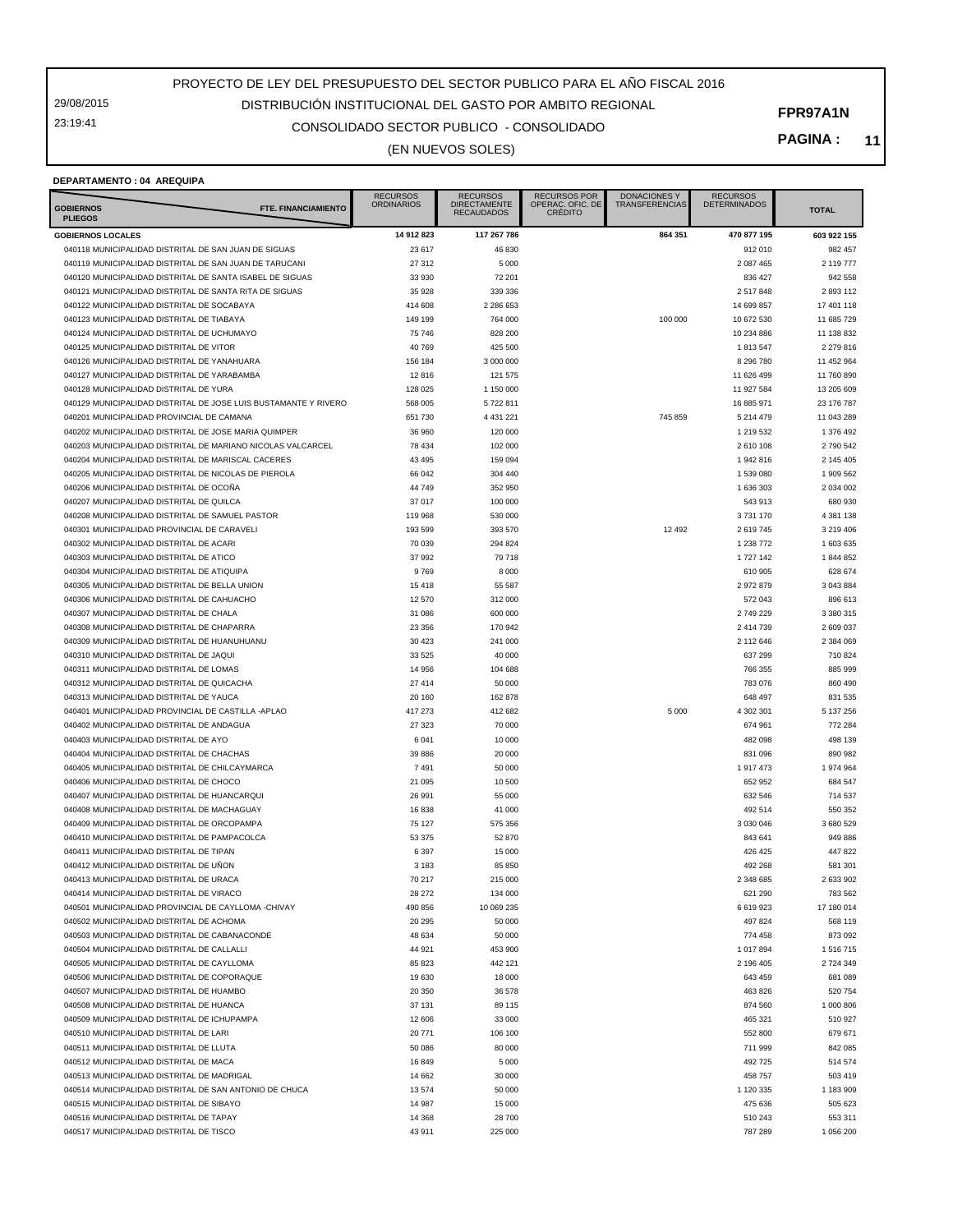29/08/2015 23:19:41

## CONSOLIDADO SECTOR PUBLICO - CONSOLIDADO DISTRIBUCIÓN INSTITUCIONAL DEL GASTO POR AMBITO REGIONAL

**PAGINA : 11**

#### (EN NUEVOS SOLES)

#### **DEPARTAMENTO : 04 AREQUIPA**

| <b>GOBIERNOS</b><br>FTE. FINANCIAMIENTO<br><b>PLIEGOS</b>                                            | <b>RECURSOS</b><br><b>ORDINARIOS</b> | <b>RECURSOS</b><br><b>DIRECTAMENTE</b><br><b>RECAUDADOS</b> | <b>RECURSOS POR</b><br>OPERAC, OFIC, DE<br><b>CRÉDITO</b> | <b>DONACIONES Y</b><br><b>TRANSFERENCIAS</b> | <b>RECURSOS</b><br><b>DETERMINADOS</b> | <b>TOTAL</b>            |
|------------------------------------------------------------------------------------------------------|--------------------------------------|-------------------------------------------------------------|-----------------------------------------------------------|----------------------------------------------|----------------------------------------|-------------------------|
| <b>GOBIERNOS LOCALES</b>                                                                             | 14 912 823                           | 117 267 786                                                 |                                                           | 864 351                                      | 470 877 195                            | 603 922 155             |
| 040118 MUNICIPALIDAD DISTRITAL DE SAN JUAN DE SIGUAS                                                 | 23 617                               | 46 830                                                      |                                                           |                                              | 912 010                                | 982 457                 |
| 040119 MUNICIPALIDAD DISTRITAL DE SAN JUAN DE TARUCANI                                               | 27 312                               | 5 0 0 0                                                     |                                                           |                                              | 2 087 465                              | 2 119 777               |
| 040120 MUNICIPALIDAD DISTRITAL DE SANTA ISABEL DE SIGUAS                                             | 33 930                               | 72 201                                                      |                                                           |                                              | 836 427                                | 942 558                 |
| 040121 MUNICIPALIDAD DISTRITAL DE SANTA RITA DE SIGUAS<br>040122 MUNICIPALIDAD DISTRITAL DE SOCABAYA | 35 928<br>414 608                    | 339 336<br>2 286 653                                        |                                                           |                                              | 2 517 848<br>14 699 857                | 2 893 112<br>17 401 118 |
| 040123 MUNICIPALIDAD DISTRITAL DE TIABAYA                                                            | 149 199                              | 764 000                                                     |                                                           | 100 000                                      | 10 672 530                             | 11 685 729              |
| 040124 MUNICIPALIDAD DISTRITAL DE UCHUMAYO                                                           | 75 746                               | 828 200                                                     |                                                           |                                              | 10 234 886                             | 11 138 832              |
| 040125 MUNICIPALIDAD DISTRITAL DE VITOR                                                              | 40 769                               | 425 500                                                     |                                                           |                                              | 1813547                                | 2 279 816               |
| 040126 MUNICIPALIDAD DISTRITAL DE YANAHUARA                                                          | 156 184                              | 3 000 000                                                   |                                                           |                                              | 8 296 780                              | 11 452 964              |
| 040127 MUNICIPALIDAD DISTRITAL DE YARABAMBA                                                          | 12816                                | 121 575                                                     |                                                           |                                              | 11 626 499                             | 11 760 890              |
| 040128 MUNICIPALIDAD DISTRITAL DE YURA                                                               | 128 025                              | 1 150 000                                                   |                                                           |                                              | 11 927 584                             | 13 205 609              |
| 040129 MUNICIPALIDAD DISTRITAL DE JOSE LUIS BUSTAMANTE Y RIVERO                                      | 568 005                              | 5722811                                                     |                                                           |                                              | 16 885 971                             | 23 176 787              |
| 040201 MUNICIPALIDAD PROVINCIAL DE CAMANA                                                            | 651 730                              | 4 431 221                                                   |                                                           | 745 859                                      | 5 214 479                              | 11 043 289              |
| 040202 MUNICIPALIDAD DISTRITAL DE JOSE MARIA QUIMPER                                                 | 36 960                               | 120 000                                                     |                                                           |                                              | 1 219 532                              | 1 376 492               |
| 040203 MUNICIPALIDAD DISTRITAL DE MARIANO NICOLAS VALCARCEL                                          | 78 434                               | 102 000                                                     |                                                           |                                              | 2 610 108                              | 2 790 542               |
| 040204 MUNICIPALIDAD DISTRITAL DE MARISCAL CACERES                                                   | 43 4 95                              | 159 094                                                     |                                                           |                                              | 1942816                                | 2 145 405               |
| 040205 MUNICIPALIDAD DISTRITAL DE NICOLAS DE PIEROLA<br>040206 MUNICIPALIDAD DISTRITAL DE OCOÑA      | 66 042<br>44 749                     | 304 440<br>352 950                                          |                                                           |                                              | 1 539 080                              | 1 909 562<br>2 034 002  |
| 040207 MUNICIPALIDAD DISTRITAL DE QUILCA                                                             | 37 017                               | 100 000                                                     |                                                           |                                              | 1 636 303<br>543 913                   | 680 930                 |
| 040208 MUNICIPALIDAD DISTRITAL DE SAMUEL PASTOR                                                      | 119 968                              | 530 000                                                     |                                                           |                                              | 3731170                                | 4 381 138               |
| 040301 MUNICIPALIDAD PROVINCIAL DE CARAVELI                                                          | 193 599                              | 393 570                                                     |                                                           | 12 4 9 2                                     | 2 619 745                              | 3 219 406               |
| 040302 MUNICIPALIDAD DISTRITAL DE ACARI                                                              | 70 039                               | 294 824                                                     |                                                           |                                              | 1 238 772                              | 1 603 635               |
| 040303 MUNICIPALIDAD DISTRITAL DE ATICO                                                              | 37 992                               | 79 718                                                      |                                                           |                                              | 1727142                                | 1844852                 |
| 040304 MUNICIPALIDAD DISTRITAL DE ATIQUIPA                                                           | 9769                                 | 8 0 0 0                                                     |                                                           |                                              | 610 905                                | 628 674                 |
| 040305 MUNICIPALIDAD DISTRITAL DE BELLA UNION                                                        | 15 4 18                              | 55 587                                                      |                                                           |                                              | 2972879                                | 3 043 884               |
| 040306 MUNICIPALIDAD DISTRITAL DE CAHUACHO                                                           | 12 570                               | 312 000                                                     |                                                           |                                              | 572 043                                | 896 613                 |
| 040307 MUNICIPALIDAD DISTRITAL DE CHALA                                                              | 31 086                               | 600 000                                                     |                                                           |                                              | 2 749 229                              | 3 380 315               |
| 040308 MUNICIPALIDAD DISTRITAL DE CHAPARRA                                                           | 23 35 6                              | 170 942                                                     |                                                           |                                              | 2 414 739                              | 2 609 037               |
| 040309 MUNICIPALIDAD DISTRITAL DE HUANUHUANU                                                         | 30 4 23                              | 241 000                                                     |                                                           |                                              | 2 112 646                              | 2 384 069               |
| 040310 MUNICIPALIDAD DISTRITAL DE JAQUI                                                              | 33 525                               | 40 000                                                      |                                                           |                                              | 637 299                                | 710 824                 |
| 040311 MUNICIPALIDAD DISTRITAL DE LOMAS                                                              | 14 956                               | 104 688                                                     |                                                           |                                              | 766 355                                | 885 999                 |
| 040312 MUNICIPALIDAD DISTRITAL DE QUICACHA                                                           | 27 414                               | 50 000                                                      |                                                           |                                              | 783 076                                | 860 490                 |
| 040313 MUNICIPALIDAD DISTRITAL DE YAUCA<br>040401 MUNICIPALIDAD PROVINCIAL DE CASTILLA -APLAO        | 20 160<br>417 273                    | 162 878<br>412 682                                          |                                                           | 5 0 0 0                                      | 648 497<br>4 302 301                   | 831 535<br>5 137 256    |
| 040402 MUNICIPALIDAD DISTRITAL DE ANDAGUA                                                            | 27 323                               | 70 000                                                      |                                                           |                                              | 674 961                                | 772 284                 |
| 040403 MUNICIPALIDAD DISTRITAL DE AYO                                                                | 6 0 4 1                              | 10 000                                                      |                                                           |                                              | 482 098                                | 498 139                 |
| 040404 MUNICIPALIDAD DISTRITAL DE CHACHAS                                                            | 39 886                               | 20 000                                                      |                                                           |                                              | 831 096                                | 890 982                 |
| 040405 MUNICIPALIDAD DISTRITAL DE CHILCAYMARCA                                                       | 7 4 9 1                              | 50 000                                                      |                                                           |                                              | 1 917 473                              | 1 974 964               |
| 040406 MUNICIPALIDAD DISTRITAL DE CHOCO                                                              | 21 095                               | 10 500                                                      |                                                           |                                              | 652 952                                | 684 547                 |
| 040407 MUNICIPALIDAD DISTRITAL DE HUANCARQUI                                                         | 26 991                               | 55 000                                                      |                                                           |                                              | 632 546                                | 714 537                 |
| 040408 MUNICIPALIDAD DISTRITAL DE MACHAGUAY                                                          | 16 838                               | 41 000                                                      |                                                           |                                              | 492 514                                | 550 352                 |
| 040409 MUNICIPALIDAD DISTRITAL DE ORCOPAMPA                                                          | 75 127                               | 575 356                                                     |                                                           |                                              | 3 030 046                              | 3 680 529               |
| 040410 MUNICIPALIDAD DISTRITAL DE PAMPACOLCA                                                         | 53 375                               | 52 870                                                      |                                                           |                                              | 843 641                                | 949 886                 |
| 040411 MUNICIPALIDAD DISTRITAL DE TIPAN                                                              | 6 3 9 7                              | 15 000                                                      |                                                           |                                              | 426 425                                | 447 822                 |
| 040412 MUNICIPALIDAD DISTRITAL DE UNON                                                               | 3 1 8 3                              | 85 850                                                      |                                                           |                                              | 492 268                                | 581 301                 |
| 040413 MUNICIPALIDAD DISTRITAL DE URACA                                                              | 70 217                               | 215 000                                                     |                                                           |                                              | 2 348 685                              | 2 633 902               |
| 040414 MUNICIPALIDAD DISTRITAL DE VIRACO                                                             | 28 27 2                              | 134 000                                                     |                                                           |                                              | 621 290                                | 783 562                 |
| 040501 MUNICIPALIDAD PROVINCIAL DE CAYLLOMA -CHIVAY<br>040502 MUNICIPALIDAD DISTRITAL DE ACHOMA      | 490 856<br>20 29 5                   | 10 069 235<br>50 000                                        |                                                           |                                              | 6 619 923<br>497 824                   | 17 180 014<br>568 119   |
| 040503 MUNICIPALIDAD DISTRITAL DE CABANACONDE                                                        | 48 634                               | 50 000                                                      |                                                           |                                              | 774 458                                | 873 092                 |
| 040504 MUNICIPALIDAD DISTRITAL DE CALLALLI                                                           | 44 921                               | 453 900                                                     |                                                           |                                              | 1 017 894                              | 1 516 715               |
| 040505 MUNICIPALIDAD DISTRITAL DE CAYLLOMA                                                           | 85 823                               | 442 121                                                     |                                                           |                                              | 2 196 405                              | 2 724 349               |
| 040506 MUNICIPALIDAD DISTRITAL DE COPORAQUE                                                          | 19 630                               | 18 000                                                      |                                                           |                                              | 643 459                                | 681 089                 |
| 040507 MUNICIPALIDAD DISTRITAL DE HUAMBO                                                             | 20 350                               | 36 578                                                      |                                                           |                                              | 463 826                                | 520 754                 |
| 040508 MUNICIPALIDAD DISTRITAL DE HUANCA                                                             | 37 131                               | 89 115                                                      |                                                           |                                              | 874 560                                | 1 000 806               |
| 040509 MUNICIPALIDAD DISTRITAL DE ICHUPAMPA                                                          | 12 606                               | 33 000                                                      |                                                           |                                              | 465 321                                | 510 927                 |
| 040510 MUNICIPALIDAD DISTRITAL DE LARI                                                               | 20 771                               | 106 100                                                     |                                                           |                                              | 552 800                                | 679 671                 |
| 040511 MUNICIPALIDAD DISTRITAL DE LLUTA                                                              | 50 086                               | 80 000                                                      |                                                           |                                              | 711 999                                | 842 085                 |
| 040512 MUNICIPALIDAD DISTRITAL DE MACA                                                               | 16 849                               | 5 0 0 0                                                     |                                                           |                                              | 492 725                                | 514 574                 |
| 040513 MUNICIPALIDAD DISTRITAL DE MADRIGAL                                                           | 14 662                               | 30 000                                                      |                                                           |                                              | 458 757                                | 503 419                 |
| 040514 MUNICIPALIDAD DISTRITAL DE SAN ANTONIO DE CHUCA                                               | 13 574                               | 50 000                                                      |                                                           |                                              | 1 120 335                              | 1 183 909               |
| 040515 MUNICIPALIDAD DISTRITAL DE SIBAYO<br>040516 MUNICIPALIDAD DISTRITAL DE TAPAY                  | 14 987                               | 15 000                                                      |                                                           |                                              | 475 636                                | 505 623                 |
| 040517 MUNICIPALIDAD DISTRITAL DE TISCO                                                              | 14 3 68<br>43 911                    | 28 700<br>225 000                                           |                                                           |                                              | 510 243<br>787 289                     | 553 311<br>1 056 200    |
|                                                                                                      |                                      |                                                             |                                                           |                                              |                                        |                         |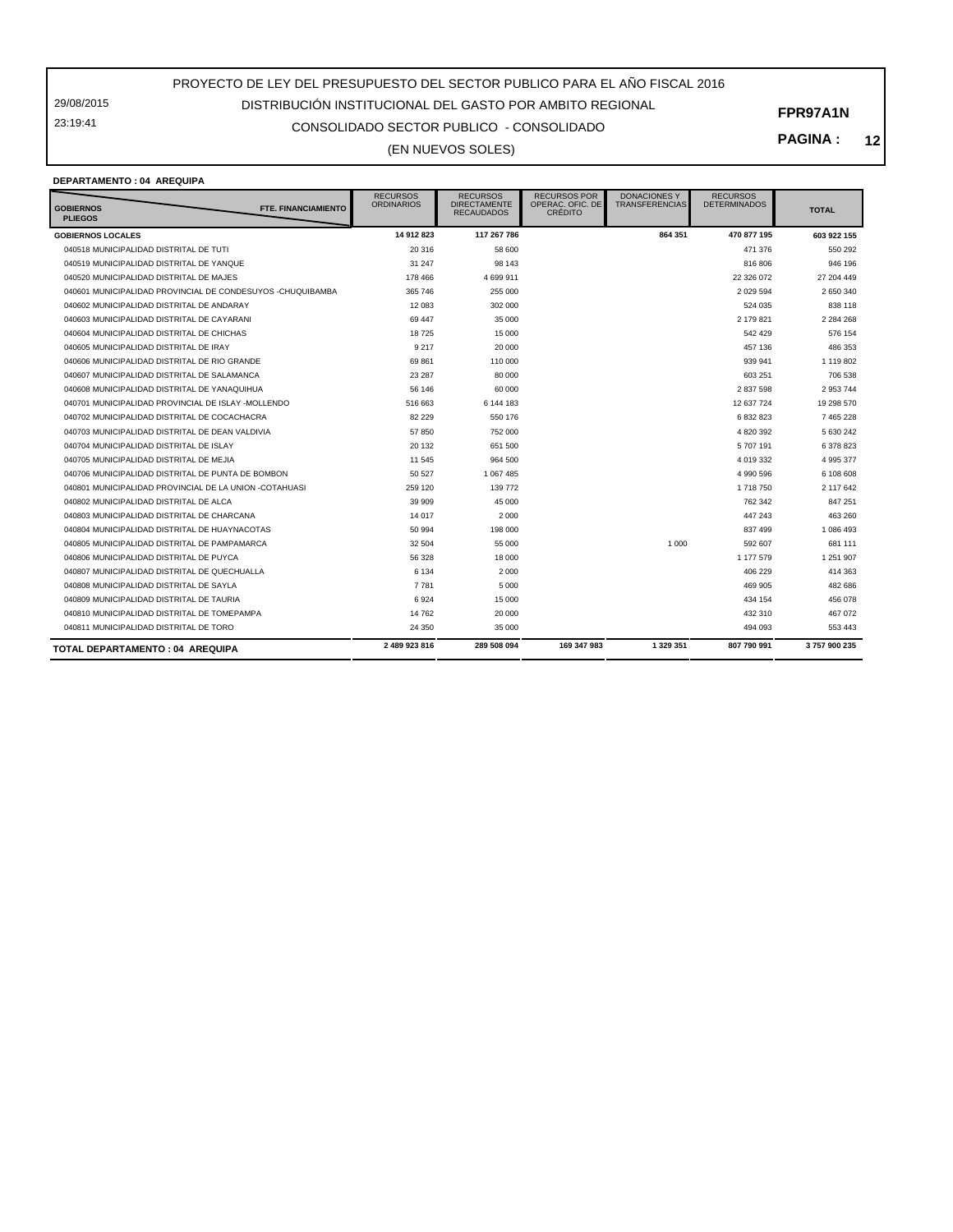29/08/2015 23:19:41

## CONSOLIDADO SECTOR PUBLICO - CONSOLIDADO

**PAGINA : 12**

**FPR97A1N**

#### (EN NUEVOS SOLES)

#### **DEPARTAMENTO : 04 AREQUIPA**

| <b>GOBIERNOS</b><br><b>PLIEGOS</b>                         | <b>FTE. FINANCIAMIENTO</b> | <b>RECURSOS</b><br><b>ORDINARIOS</b> | <b>RECURSOS</b><br><b>DIRECTAMENTE</b><br><b>RECAUDADOS</b> | <b>RECURSOS POR</b><br>OPERAC. OFIC. DE<br><b>CRÉDITO</b> | <b>DONACIONES Y</b><br><b>TRANSFERENCIAS</b> | <b>RECURSOS</b><br><b>DETERMINADOS</b> | <b>TOTAL</b>  |
|------------------------------------------------------------|----------------------------|--------------------------------------|-------------------------------------------------------------|-----------------------------------------------------------|----------------------------------------------|----------------------------------------|---------------|
| <b>GOBIERNOS LOCALES</b>                                   |                            | 14 912 823                           | 117 267 786                                                 |                                                           | 864 351                                      | 470 877 195                            | 603 922 155   |
| 040518 MUNICIPALIDAD DISTRITAL DE TUTI                     |                            | 20 316                               | 58 600                                                      |                                                           |                                              | 471 376                                | 550 292       |
| 040519 MUNICIPALIDAD DISTRITAL DE YANQUE                   |                            | 31 247                               | 98 143                                                      |                                                           |                                              | 816 806                                | 946 196       |
| 040520 MUNICIPALIDAD DISTRITAL DE MAJES                    |                            | 178 466                              | 4 699 911                                                   |                                                           |                                              | 22 326 072                             | 27 204 449    |
| 040601 MUNICIPALIDAD PROVINCIAL DE CONDESUYOS -CHUQUIBAMBA |                            | 365 746                              | 255 000                                                     |                                                           |                                              | 2 0 29 5 94                            | 2 650 340     |
| 040602 MUNICIPALIDAD DISTRITAL DE ANDARAY                  |                            | 12 083                               | 302 000                                                     |                                                           |                                              | 524 035                                | 838 118       |
| 040603 MUNICIPALIDAD DISTRITAL DE CAYARANI                 |                            | 69 447                               | 35 000                                                      |                                                           |                                              | 2 179 821                              | 2 2 8 4 2 6 8 |
| 040604 MUNICIPALIDAD DISTRITAL DE CHICHAS                  |                            | 18725                                | 15 000                                                      |                                                           |                                              | 542 429                                | 576 154       |
| 040605 MUNICIPALIDAD DISTRITAL DE IRAY                     |                            | 9 2 1 7                              | 20 000                                                      |                                                           |                                              | 457 136                                | 486 353       |
| 040606 MUNICIPALIDAD DISTRITAL DE RIO GRANDE               |                            | 69 861                               | 110 000                                                     |                                                           |                                              | 939 941                                | 1 119 802     |
| 040607 MUNICIPALIDAD DISTRITAL DE SALAMANCA                |                            | 23 287                               | 80 000                                                      |                                                           |                                              | 603 251                                | 706 538       |
| 040608 MUNICIPALIDAD DISTRITAL DE YANAQUIHUA               |                            | 56 146                               | 60 000                                                      |                                                           |                                              | 2 837 598                              | 2 953 744     |
| 040701 MUNICIPALIDAD PROVINCIAL DE ISLAY -MOLLENDO         |                            | 516 663                              | 6 144 183                                                   |                                                           |                                              | 12 637 724                             | 19 298 570    |
| 040702 MUNICIPALIDAD DISTRITAL DE COCACHACRA               |                            | 82 229                               | 550 176                                                     |                                                           |                                              | 6 832 823                              | 7 465 228     |
| 040703 MUNICIPALIDAD DISTRITAL DE DEAN VALDIVIA            |                            | 57 850                               | 752 000                                                     |                                                           |                                              | 4 820 392                              | 5 630 242     |
| 040704 MUNICIPALIDAD DISTRITAL DE ISLAY                    |                            | 20 132                               | 651 500                                                     |                                                           |                                              | 5 707 191                              | 6 378 823     |
| 040705 MUNICIPALIDAD DISTRITAL DE MEJIA                    |                            | 11 545                               | 964 500                                                     |                                                           |                                              | 4 019 332                              | 4 995 377     |
| 040706 MUNICIPALIDAD DISTRITAL DE PUNTA DE BOMBON          |                            | 50 527                               | 1 067 485                                                   |                                                           |                                              | 4 990 596                              | 6 108 608     |
| 040801 MUNICIPALIDAD PROVINCIAL DE LA UNION -COTAHUASI     |                            | 259 120                              | 139 772                                                     |                                                           |                                              | 1 718 750                              | 2 117 642     |
| 040802 MUNICIPALIDAD DISTRITAL DE ALCA                     |                            | 39 909                               | 45 000                                                      |                                                           |                                              | 762 342                                | 847 251       |
| 040803 MUNICIPALIDAD DISTRITAL DE CHARCANA                 |                            | 14 017                               | 2000                                                        |                                                           |                                              | 447 243                                | 463 260       |
| 040804 MUNICIPALIDAD DISTRITAL DE HUAYNACOTAS              |                            | 50 994                               | 198 000                                                     |                                                           |                                              | 837 499                                | 1 086 493     |
| 040805 MUNICIPALIDAD DISTRITAL DE PAMPAMARCA               |                            | 32 504                               | 55 000                                                      |                                                           | 1 0 0 0                                      | 592 607                                | 681 111       |
| 040806 MUNICIPALIDAD DISTRITAL DE PUYCA                    |                            | 56 328                               | 18 000                                                      |                                                           |                                              | 1 177 579                              | 1 251 907     |
| 040807 MUNICIPALIDAD DISTRITAL DE QUECHUALLA               |                            | 6 1 3 4                              | 2000                                                        |                                                           |                                              | 406 229                                | 414 363       |
| 040808 MUNICIPALIDAD DISTRITAL DE SAYLA                    |                            | 7 7 8 1                              | 5 0 0 0                                                     |                                                           |                                              | 469 905                                | 482 686       |
| 040809 MUNICIPALIDAD DISTRITAL DE TAURIA                   |                            | 6924                                 | 15 000                                                      |                                                           |                                              | 434 154                                | 456 078       |
| 040810 MUNICIPALIDAD DISTRITAL DE TOMEPAMPA                |                            | 14 762                               | 20 000                                                      |                                                           |                                              | 432 310                                | 467 072       |
| 040811 MUNICIPALIDAD DISTRITAL DE TORO                     |                            | 24 350                               | 35 000                                                      |                                                           |                                              | 494 093                                | 553 443       |
| TOTAL DEPARTAMENTO: 04 AREQUIPA                            |                            | 2 489 923 816                        | 289 508 094                                                 | 169 347 983                                               | 1 329 351                                    | 807 790 991                            | 3757900235    |

# DISTRIBUCIÓN INSTITUCIONAL DEL GASTO POR AMBITO REGIONAL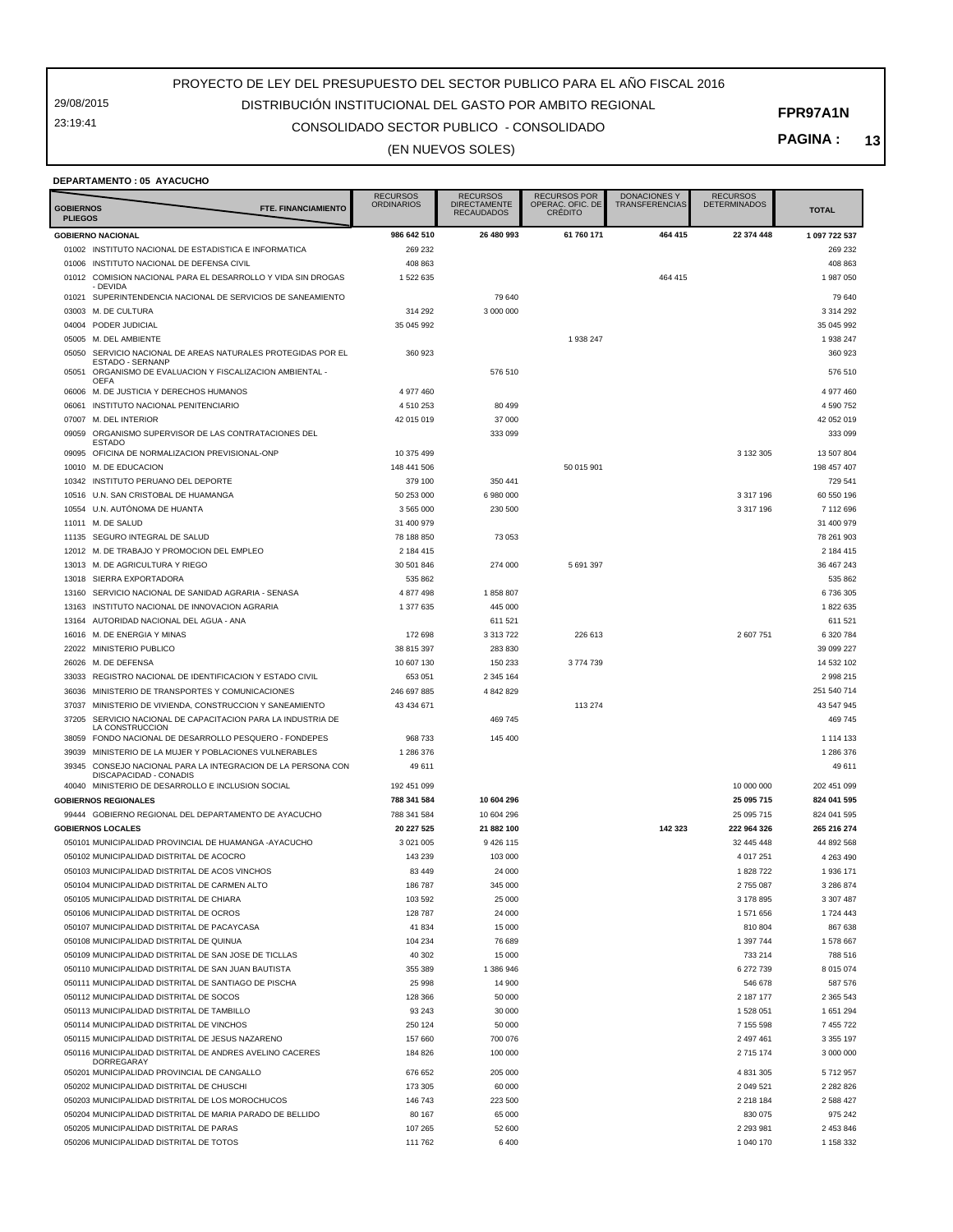29/08/2015 23:19:41

## CONSOLIDADO SECTOR PUBLICO - CONSOLIDADO DISTRIBUCIÓN INSTITUCIONAL DEL GASTO POR AMBITO REGIONAL

#### **PAGINA : 13**

#### (EN NUEVOS SOLES)

#### **DEPARTAMENTO : 05 AYACUCHO**

| <b>GOBIERNOS</b><br><b>PLIEGOS</b> | FTE. FINANCIAMIENTO                                                              | <b>RECURSOS</b><br><b>ORDINARIOS</b> | <b>RECURSOS</b><br><b>DIRECTAMENTE</b><br><b>RECAUDADOS</b> | <b>RECURSOS POR</b><br>OPERAC, OFIC, DE<br><b>CRÉDITO</b> | <b>DONACIONES Y</b><br><b>TRANSFERENCIAS</b> | <b>RECURSOS</b><br><b>DETERMINADOS</b> | <b>TOTAL</b>  |
|------------------------------------|----------------------------------------------------------------------------------|--------------------------------------|-------------------------------------------------------------|-----------------------------------------------------------|----------------------------------------------|----------------------------------------|---------------|
|                                    | <b>GOBIERNO NACIONAL</b>                                                         | 986 642 510                          | 26 480 993                                                  | 61 760 171                                                | 464 415                                      | 22 374 448                             | 1 097 722 537 |
|                                    | 01002 INSTITUTO NACIONAL DE ESTADISTICA E INFORMATICA                            | 269 232                              |                                                             |                                                           |                                              |                                        | 269 232       |
|                                    | 01006 INSTITUTO NACIONAL DE DEFENSA CIVIL                                        | 408 863                              |                                                             |                                                           |                                              |                                        | 408 863       |
|                                    | 01012 COMISION NACIONAL PARA EL DESARROLLO Y VIDA SIN DROGAS                     | 1 522 635                            |                                                             |                                                           | 464 415                                      |                                        | 1 987 050     |
|                                    | - DEVIDA                                                                         |                                      |                                                             |                                                           |                                              |                                        |               |
| 01021                              | SUPERINTENDENCIA NACIONAL DE SERVICIOS DE SANEAMIENTO                            |                                      | 79 640                                                      |                                                           |                                              |                                        | 79 640        |
|                                    | 03003 M. DE CULTURA                                                              | 314 292                              | 3 000 000                                                   |                                                           |                                              |                                        | 3 3 1 4 2 9 2 |
| 04004                              | PODER JUDICIAL                                                                   | 35 045 992                           |                                                             |                                                           |                                              |                                        | 35 045 992    |
| 05005                              | M. DEL AMBIENTE                                                                  |                                      |                                                             | 1938 247                                                  |                                              |                                        | 1 938 247     |
| 05050                              | SERVICIO NACIONAL DE AREAS NATURALES PROTEGIDAS POR EL<br>ESTADO - SERNANP       | 360 923                              |                                                             |                                                           |                                              |                                        | 360 923       |
| 05051                              | ORGANISMO DE EVALUACION Y FISCALIZACION AMBIENTAL -                              |                                      | 576 510                                                     |                                                           |                                              |                                        | 576 510       |
| 06006                              | <b>OEFA</b><br>M. DE JUSTICIA Y DERECHOS HUMANOS                                 | 4 977 460                            |                                                             |                                                           |                                              |                                        | 4 977 460     |
| 06061                              | INSTITUTO NACIONAL PENITENCIARIO                                                 | 4510253                              | 80 499                                                      |                                                           |                                              |                                        | 4 590 752     |
| 07007                              | M. DEL INTERIOR                                                                  | 42 015 019                           | 37 000                                                      |                                                           |                                              |                                        | 42 052 019    |
| 09059                              | ORGANISMO SUPERVISOR DE LAS CONTRATACIONES DEL                                   |                                      | 333 099                                                     |                                                           |                                              |                                        | 333 099       |
|                                    | <b>ESTADO</b>                                                                    |                                      |                                                             |                                                           |                                              |                                        |               |
| 09095                              | OFICINA DE NORMALIZACION PREVISIONAL-ONP                                         | 10 375 499                           |                                                             |                                                           |                                              | 3 132 305                              | 13 507 804    |
| 10010                              | M. DE EDUCACION                                                                  | 148 441 506                          |                                                             | 50 015 901                                                |                                              |                                        | 198 457 407   |
| 10342                              | INSTITUTO PERUANO DEL DEPORTE                                                    | 379 100                              | 350 441                                                     |                                                           |                                              |                                        | 729 541       |
| 10516                              | U.N. SAN CRISTOBAL DE HUAMANGA                                                   | 50 253 000                           | 6 980 000                                                   |                                                           |                                              | 3 317 196                              | 60 550 196    |
| 10554                              | U.N. AUTÓNOMA DE HUANTA                                                          | 3 5 6 5 0 0 0                        | 230 500                                                     |                                                           |                                              | 3 317 196                              | 7 112 696     |
| 11011                              | M. DE SALUD                                                                      | 31 400 979                           |                                                             |                                                           |                                              |                                        | 31 400 979    |
| 11135                              | SEGURO INTEGRAL DE SALUD                                                         | 78 188 850                           | 73 053                                                      |                                                           |                                              |                                        | 78 261 903    |
|                                    | 12012 M. DE TRABAJO Y PROMOCION DEL EMPLEO                                       | 2 184 415                            |                                                             |                                                           |                                              |                                        | 2 184 415     |
| 13013                              | M. DE AGRICULTURA Y RIEGO                                                        | 30 501 846                           | 274 000                                                     | 5 691 397                                                 |                                              |                                        | 36 467 243    |
| 13018                              | SIERRA EXPORTADORA                                                               | 535 862                              |                                                             |                                                           |                                              |                                        | 535 862       |
| 13160                              | SERVICIO NACIONAL DE SANIDAD AGRARIA - SENASA                                    | 4 877 498                            | 1858807                                                     |                                                           |                                              |                                        | 6 736 305     |
| 13163                              | INSTITUTO NACIONAL DE INNOVACION AGRARIA                                         | 1 377 635                            | 445 000                                                     |                                                           |                                              |                                        | 1822635       |
| 13164                              | AUTORIDAD NACIONAL DEL AGUA - ANA                                                |                                      | 611 521                                                     |                                                           |                                              |                                        | 611 521       |
| 16016                              | M. DE ENERGIA Y MINAS                                                            | 172 698                              | 3 313 722                                                   | 226 613                                                   |                                              | 2 607 751                              | 6 320 784     |
| 22022                              | MINISTERIO PUBLICO                                                               | 38 815 397                           | 283 830                                                     |                                                           |                                              |                                        | 39 099 227    |
| 26026                              | M. DE DEFENSA                                                                    | 10 607 130                           | 150 233                                                     | 3774739                                                   |                                              |                                        | 14 532 102    |
| 33033                              | REGISTRO NACIONAL DE IDENTIFICACION Y ESTADO CIVIL                               | 653 051                              | 2 345 164                                                   |                                                           |                                              |                                        | 2 998 215     |
| 36036                              | MINISTERIO DE TRANSPORTES Y COMUNICACIONES                                       | 246 697 885                          | 4 842 829                                                   |                                                           |                                              |                                        | 251 540 714   |
| 37037                              | MINISTERIO DE VIVIENDA, CONSTRUCCION Y SANEAMIENTO                               | 43 434 671                           |                                                             | 113 274                                                   |                                              |                                        | 43 547 945    |
| 37205                              | SERVICIO NACIONAL DE CAPACITACION PARA LA INDUSTRIA DE                           |                                      | 469 745                                                     |                                                           |                                              |                                        | 469 745       |
|                                    | LA CONSTRUCCION                                                                  |                                      |                                                             |                                                           |                                              |                                        |               |
| 38059                              | FONDO NACIONAL DE DESARROLLO PESQUERO - FONDEPES                                 | 968733                               | 145 400                                                     |                                                           |                                              |                                        | 1 114 133     |
| 39039                              | MINISTERIO DE LA MUJER Y POBLACIONES VULNERABLES                                 | 1 286 376                            |                                                             |                                                           |                                              |                                        | 1 286 376     |
| 39345                              | CONSEJO NACIONAL PARA LA INTEGRACION DE LA PERSONA CON<br>DISCAPACIDAD - CONADIS | 49 611                               |                                                             |                                                           |                                              |                                        | 49 611        |
| 40040                              | MINISTERIO DE DESARROLLO E INCLUSION SOCIAL                                      | 192 451 099                          |                                                             |                                                           |                                              | 10 000 000                             | 202 451 099   |
|                                    | <b>GOBIERNOS REGIONALES</b>                                                      | 788 341 584                          | 10 604 296                                                  |                                                           |                                              | 25 095 715                             | 824 041 595   |
|                                    | 99444 GOBIERNO REGIONAL DEL DEPARTAMENTO DE AYACUCHO                             | 788 341 584                          | 10 604 296                                                  |                                                           |                                              | 25 095 715                             | 824 041 595   |
|                                    | <b>GOBIERNOS LOCALES</b>                                                         | 20 227 525                           | 21 882 100                                                  |                                                           | 142 323                                      | 222 964 326                            | 265 216 274   |
|                                    | 050101 MUNICIPALIDAD PROVINCIAL DE HUAMANGA -AYACUCHO                            | 3 0 21 0 05                          | 9 4 2 6 1 1 5                                               |                                                           |                                              | 32 445 448                             | 44 892 568    |
|                                    | 050102 MUNICIPALIDAD DISTRITAL DE ACOCRO                                         | 143 239                              | 103 000                                                     |                                                           |                                              | 4 017 251                              | 4 263 490     |
|                                    |                                                                                  |                                      |                                                             |                                                           |                                              |                                        |               |
|                                    | 050103 MUNICIPALIDAD DISTRITAL DE ACOS VINCHOS                                   | 83 449                               | 24 000                                                      |                                                           |                                              | 1828722                                | 1 936 171     |
|                                    | 050104 MUNICIPALIDAD DISTRITAL DE CARMEN ALTO                                    | 186 787                              | 345 000                                                     |                                                           |                                              | 2 755 087                              | 3 286 874     |
|                                    | 050105 MUNICIPALIDAD DISTRITAL DE CHIARA                                         | 103 592                              | 25 000                                                      |                                                           |                                              | 3 178 895                              | 3 307 487     |
|                                    | 050106 MUNICIPALIDAD DISTRITAL DE OCROS                                          | 128 787                              | 24 000                                                      |                                                           |                                              | 1571656                                | 1 724 443     |
|                                    | 050107 MUNICIPALIDAD DISTRITAL DE PACAYCASA                                      | 41 834                               | 15 000                                                      |                                                           |                                              | 810 804                                | 867 638       |
|                                    | 050108 MUNICIPALIDAD DISTRITAL DE QUINUA                                         | 104 234                              | 76 689                                                      |                                                           |                                              | 1 397 744                              | 1578 667      |
|                                    | 050109 MUNICIPALIDAD DISTRITAL DE SAN JOSE DE TICLLAS                            | 40 30 2                              | 15 000                                                      |                                                           |                                              | 733 214                                | 788 516       |
|                                    | 050110 MUNICIPALIDAD DISTRITAL DE SAN JUAN BAUTISTA                              | 355 389                              | 1 386 946                                                   |                                                           |                                              | 6 272 739                              | 8 0 1 5 0 7 4 |
|                                    | 050111 MUNICIPALIDAD DISTRITAL DE SANTIAGO DE PISCHA                             | 25 998                               | 14 900                                                      |                                                           |                                              | 546 678                                | 587 576       |
|                                    | 050112 MUNICIPALIDAD DISTRITAL DE SOCOS                                          | 128 366                              | 50 000                                                      |                                                           |                                              | 2 187 177                              | 2 365 543     |
|                                    | 050113 MUNICIPALIDAD DISTRITAL DE TAMBILLO                                       | 93 243                               | 30 000                                                      |                                                           |                                              | 1 528 051                              | 1 651 294     |
|                                    | 050114 MUNICIPALIDAD DISTRITAL DE VINCHOS                                        | 250 124                              | 50 000                                                      |                                                           |                                              | 7 155 598                              | 7 455 722     |
|                                    | 050115 MUNICIPALIDAD DISTRITAL DE JESUS NAZARENO                                 | 157 660                              | 700 076                                                     |                                                           |                                              | 2 497 461                              | 3 3 5 1 9 7   |
|                                    | 050116 MUNICIPALIDAD DISTRITAL DE ANDRES AVELINO CACERES                         | 184 826                              | 100 000                                                     |                                                           |                                              | 2 715 174                              | 3 000 000     |
|                                    | DORREGARAY<br>050201 MUNICIPALIDAD PROVINCIAL DE CANGALLO                        | 676 652                              | 205 000                                                     |                                                           |                                              | 4 831 305                              | 5712957       |
|                                    | 050202 MUNICIPALIDAD DISTRITAL DE CHUSCHI                                        | 173 305                              | 60 000                                                      |                                                           |                                              | 2 049 521                              | 2 2 8 2 8 2 6 |
|                                    | 050203 MUNICIPALIDAD DISTRITAL DE LOS MOROCHUCOS                                 | 146 743                              | 223 500                                                     |                                                           |                                              | 2 2 1 8 1 8 4                          | 2 588 427     |
|                                    | 050204 MUNICIPALIDAD DISTRITAL DE MARIA PARADO DE BELLIDO                        | 80 167                               | 65 000                                                      |                                                           |                                              | 830 075                                | 975 242       |
|                                    | 050205 MUNICIPALIDAD DISTRITAL DE PARAS                                          | 107 265                              | 52 600                                                      |                                                           |                                              | 2 2 9 3 9 8 1                          | 2 453 846     |
|                                    | 050206 MUNICIPALIDAD DISTRITAL DE TOTOS                                          | 111 762                              | 6400                                                        |                                                           |                                              | 1 040 170                              | 1 158 332     |
|                                    |                                                                                  |                                      |                                                             |                                                           |                                              |                                        |               |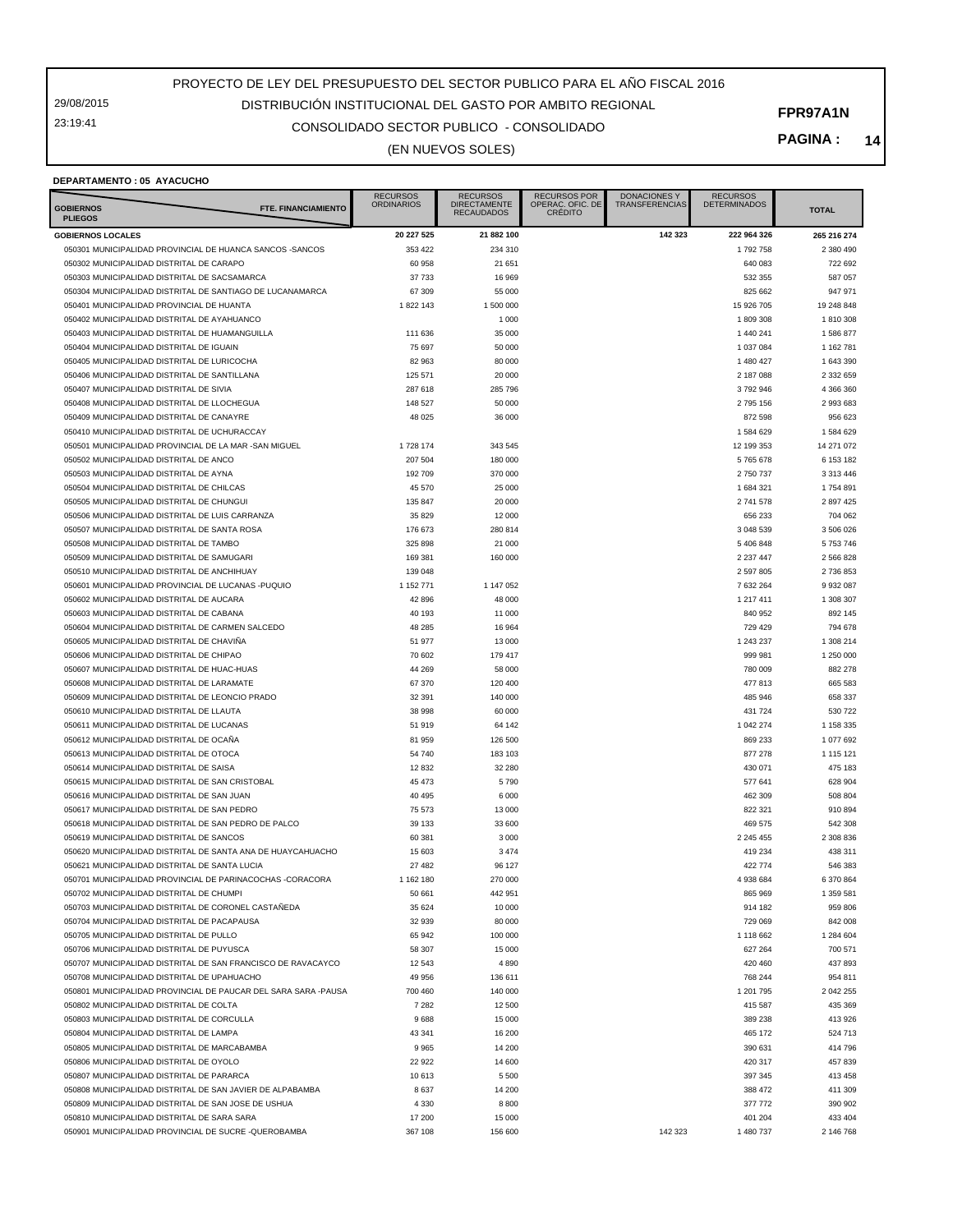#### PROYECTO DE LEY DEL PRESUPUESTO DEL SECTOR PUBLICO PARA EL AÑO FISCAL 2016 DISTRIBUCIÓN INSTITUCIONAL DEL GASTO POR AMBITO REGIONAL

29/08/2015 23:19:41

## CONSOLIDADO SECTOR PUBLICO - CONSOLIDADO

**PAGINA : 14**

#### (EN NUEVOS SOLES)

#### **DEPARTAMENTO : 05 AYACUCHO**

| <b>GOBIERNOS</b><br>FTE. FINANCIAMIENTO<br><b>PLIEGOS</b>                                       | <b>RECURSOS</b><br><b>ORDINARIOS</b> | <b>RECURSOS</b><br><b>DIRECTAMENTE</b><br><b>RECAUDADOS</b> | <b>RECURSOS POR</b><br>OPERAC, OFIC, DE<br><b>CRÉDITO</b> | <b>DONACIONES Y</b><br><b>TRANSFERENCIAS</b> | <b>RECURSOS</b><br><b>DETERMINADOS</b> | <b>TOTAL</b>         |
|-------------------------------------------------------------------------------------------------|--------------------------------------|-------------------------------------------------------------|-----------------------------------------------------------|----------------------------------------------|----------------------------------------|----------------------|
| <b>GOBIERNOS LOCALES</b>                                                                        | 20 227 525                           | 21 882 100                                                  |                                                           | 142 323                                      | 222 964 326                            | 265 216 274          |
| 050301 MUNICIPALIDAD PROVINCIAL DE HUANCA SANCOS -SANCOS                                        | 353 422                              | 234 310                                                     |                                                           |                                              | 1792758                                | 2 380 490            |
| 050302 MUNICIPALIDAD DISTRITAL DE CARAPO                                                        | 60 958                               | 21 651                                                      |                                                           |                                              | 640 083                                | 722 692              |
| 050303 MUNICIPALIDAD DISTRITAL DE SACSAMARCA                                                    | 37 733                               | 16 969                                                      |                                                           |                                              | 532 355                                | 587 057              |
| 050304 MUNICIPALIDAD DISTRITAL DE SANTIAGO DE LUCANAMARCA                                       | 67 309                               | 55 000                                                      |                                                           |                                              | 825 662                                | 947 971              |
| 050401 MUNICIPALIDAD PROVINCIAL DE HUANTA                                                       | 1822 143                             | 1 500 000                                                   |                                                           |                                              | 15 926 705                             | 19 248 848           |
| 050402 MUNICIPALIDAD DISTRITAL DE AYAHUANCO<br>050403 MUNICIPALIDAD DISTRITAL DE HUAMANGUILLA   |                                      | 1 0 0 0                                                     |                                                           |                                              | 1809308                                | 1810308<br>1586877   |
| 050404 MUNICIPALIDAD DISTRITAL DE IGUAIN                                                        | 111 636<br>75 697                    | 35 000<br>50 000                                            |                                                           |                                              | 1 440 241<br>1 037 084                 | 1 162 781            |
| 050405 MUNICIPALIDAD DISTRITAL DE LURICOCHA                                                     | 82 963                               | 80 000                                                      |                                                           |                                              | 1 480 427                              | 1 643 390            |
| 050406 MUNICIPALIDAD DISTRITAL DE SANTILLANA                                                    | 125 571                              | 20 000                                                      |                                                           |                                              | 2 187 088                              | 2 332 659            |
| 050407 MUNICIPALIDAD DISTRITAL DE SIVIA                                                         | 287 618                              | 285 796                                                     |                                                           |                                              | 3792946                                | 4 366 360            |
| 050408 MUNICIPALIDAD DISTRITAL DE LLOCHEGUA                                                     | 148 527                              | 50 000                                                      |                                                           |                                              | 2 795 156                              | 2 993 683            |
| 050409 MUNICIPALIDAD DISTRITAL DE CANAYRE                                                       | 48 025                               | 36 000                                                      |                                                           |                                              | 872 598                                | 956 623              |
| 050410 MUNICIPALIDAD DISTRITAL DE UCHURACCAY                                                    |                                      |                                                             |                                                           |                                              | 1584629                                | 1584629              |
| 050501 MUNICIPALIDAD PROVINCIAL DE LA MAR -SAN MIGUEL                                           | 1728 174                             | 343 545                                                     |                                                           |                                              | 12 199 353                             | 14 271 072           |
| 050502 MUNICIPALIDAD DISTRITAL DE ANCO                                                          | 207 504                              | 180 000                                                     |                                                           |                                              | 5765678                                | 6 153 182            |
| 050503 MUNICIPALIDAD DISTRITAL DE AYNA                                                          | 192 709                              | 370 000                                                     |                                                           |                                              | 2 750 737                              | 3 313 446            |
| 050504 MUNICIPALIDAD DISTRITAL DE CHILCAS                                                       | 45 570                               | 25 000                                                      |                                                           |                                              | 1 684 321                              | 1754891              |
| 050505 MUNICIPALIDAD DISTRITAL DE CHUNGUI                                                       | 135 847                              | 20 000                                                      |                                                           |                                              | 2 741 578                              | 2 897 425            |
| 050506 MUNICIPALIDAD DISTRITAL DE LUIS CARRANZA                                                 | 35 829                               | 12 000                                                      |                                                           |                                              | 656 233                                | 704 062              |
| 050507 MUNICIPALIDAD DISTRITAL DE SANTA ROSA                                                    | 176 673                              | 280 814                                                     |                                                           |                                              | 3 048 539                              | 3 506 026            |
| 050508 MUNICIPALIDAD DISTRITAL DE TAMBO                                                         | 325 898                              | 21 000                                                      |                                                           |                                              | 5 406 848                              | 5 753 746            |
| 050509 MUNICIPALIDAD DISTRITAL DE SAMUGARI                                                      | 169 381                              | 160 000                                                     |                                                           |                                              | 2 2 3 7 4 4 7                          | 2 566 828            |
| 050510 MUNICIPALIDAD DISTRITAL DE ANCHIHUAY                                                     | 139 048                              |                                                             |                                                           |                                              | 2 597 805                              | 2 736 853            |
| 050601 MUNICIPALIDAD PROVINCIAL DE LUCANAS -PUQUIO                                              | 1 152 771                            | 1 147 052                                                   |                                                           |                                              | 7 632 264                              | 9 9 3 2 0 8 7        |
| 050602 MUNICIPALIDAD DISTRITAL DE AUCARA                                                        | 42 896                               | 48 000                                                      |                                                           |                                              | 1 217 411                              | 1 308 307            |
| 050603 MUNICIPALIDAD DISTRITAL DE CABANA<br>050604 MUNICIPALIDAD DISTRITAL DE CARMEN SALCEDO    | 40 193                               | 11 000                                                      |                                                           |                                              | 840 952                                | 892 145              |
| 050605 MUNICIPALIDAD DISTRITAL DE CHAVIÑA                                                       | 48 285<br>51 977                     | 16 964                                                      |                                                           |                                              | 729 429                                | 794 678<br>1 308 214 |
| 050606 MUNICIPALIDAD DISTRITAL DE CHIPAO                                                        | 70 602                               | 13 000<br>179 417                                           |                                                           |                                              | 1 243 237<br>999 981                   | 1 250 000            |
| 050607 MUNICIPALIDAD DISTRITAL DE HUAC-HUAS                                                     | 44 269                               | 58 000                                                      |                                                           |                                              | 780 009                                | 882 278              |
| 050608 MUNICIPALIDAD DISTRITAL DE LARAMATE                                                      | 67 370                               | 120 400                                                     |                                                           |                                              | 477813                                 | 665 583              |
| 050609 MUNICIPALIDAD DISTRITAL DE LEONCIO PRADO                                                 | 32 391                               | 140 000                                                     |                                                           |                                              | 485 946                                | 658 337              |
| 050610 MUNICIPALIDAD DISTRITAL DE LLAUTA                                                        | 38 998                               | 60 000                                                      |                                                           |                                              | 431 724                                | 530 722              |
| 050611 MUNICIPALIDAD DISTRITAL DE LUCANAS                                                       | 51 919                               | 64 142                                                      |                                                           |                                              | 1 042 274                              | 1 158 335            |
| 050612 MUNICIPALIDAD DISTRITAL DE OCAÑA                                                         | 81 959                               | 126 500                                                     |                                                           |                                              | 869 233                                | 1 077 692            |
| 050613 MUNICIPALIDAD DISTRITAL DE OTOCA                                                         | 54 740                               | 183 103                                                     |                                                           |                                              | 877 278                                | 1 115 121            |
| 050614 MUNICIPALIDAD DISTRITAL DE SAISA                                                         | 12 832                               | 32 280                                                      |                                                           |                                              | 430 071                                | 475 183              |
| 050615 MUNICIPALIDAD DISTRITAL DE SAN CRISTOBAL                                                 | 45 473                               | 5790                                                        |                                                           |                                              | 577 641                                | 628 904              |
| 050616 MUNICIPALIDAD DISTRITAL DE SAN JUAN                                                      | 40 495                               | 6 0 0 0                                                     |                                                           |                                              | 462 309                                | 508 804              |
| 050617 MUNICIPALIDAD DISTRITAL DE SAN PEDRO                                                     | 75 573                               | 13 000                                                      |                                                           |                                              | 822 321                                | 910 894              |
| 050618 MUNICIPALIDAD DISTRITAL DE SAN PEDRO DE PALCO                                            | 39 133                               | 33 600                                                      |                                                           |                                              | 469 575                                | 542 308              |
| 050619 MUNICIPALIDAD DISTRITAL DE SANCOS                                                        | 60 381                               | 3 0 0 0                                                     |                                                           |                                              | 2 245 455                              | 2 308 836            |
| 050620 MUNICIPALIDAD DISTRITAL DE SANTA ANA DE HUAYCAHUACHO                                     | 15 603                               | 3 4 7 4                                                     |                                                           |                                              | 419 234                                | 438 311              |
| 050621 MUNICIPALIDAD DISTRITAL DE SANTA LUCIA                                                   | 27 482                               | 96 127                                                      |                                                           |                                              | 422 774                                | 546 383              |
| 050701 MUNICIPALIDAD PROVINCIAL DE PARINACOCHAS -CORACORA                                       | 1 162 180                            | 270 000                                                     |                                                           |                                              | 4 938 684                              | 6 370 864            |
| 050702 MUNICIPALIDAD DISTRITAL DE CHUMPI<br>050703 MUNICIPALIDAD DISTRITAL DE CORONEL CASTAÑEDA | 50 661                               | 442 951                                                     |                                                           |                                              | 865 969                                | 1 359 581            |
| 050704 MUNICIPALIDAD DISTRITAL DE PACAPAUSA                                                     | 35 624<br>32 939                     | 10 000<br>80 000                                            |                                                           |                                              | 914 182<br>729 069                     | 959 806<br>842 008   |
| 050705 MUNICIPALIDAD DISTRITAL DE PULLO                                                         | 65 942                               | 100 000                                                     |                                                           |                                              | 1 118 662                              | 1 284 604            |
| 050706 MUNICIPALIDAD DISTRITAL DE PUYUSCA                                                       | 58 307                               | 15 000                                                      |                                                           |                                              | 627 264                                | 700 571              |
| 050707 MUNICIPALIDAD DISTRITAL DE SAN FRANCISCO DE RAVACAYCO                                    | 12 543                               | 4890                                                        |                                                           |                                              | 420 460                                | 437 893              |
| 050708 MUNICIPALIDAD DISTRITAL DE UPAHUACHO                                                     | 49 956                               | 136 611                                                     |                                                           |                                              | 768 244                                | 954 811              |
| 050801 MUNICIPALIDAD PROVINCIAL DE PAUCAR DEL SARA SARA -PAUSA                                  | 700 460                              | 140 000                                                     |                                                           |                                              | 1 201 795                              | 2 042 255            |
| 050802 MUNICIPALIDAD DISTRITAL DE COLTA                                                         | 7 2 8 2                              | 12 500                                                      |                                                           |                                              | 415 587                                | 435 369              |
| 050803 MUNICIPALIDAD DISTRITAL DE CORCULLA                                                      | 9688                                 | 15 000                                                      |                                                           |                                              | 389 238                                | 413 926              |
| 050804 MUNICIPALIDAD DISTRITAL DE LAMPA                                                         | 43 341                               | 16 200                                                      |                                                           |                                              | 465 172                                | 524 713              |
| 050805 MUNICIPALIDAD DISTRITAL DE MARCABAMBA                                                    | 9 9 6 5                              | 14 200                                                      |                                                           |                                              | 390 631                                | 414 796              |
| 050806 MUNICIPALIDAD DISTRITAL DE OYOLO                                                         | 22 922                               | 14 600                                                      |                                                           |                                              | 420 317                                | 457 839              |
| 050807 MUNICIPALIDAD DISTRITAL DE PARARCA                                                       | 10 613                               | 5 5 0 0                                                     |                                                           |                                              | 397 345                                | 413 458              |
| 050808 MUNICIPALIDAD DISTRITAL DE SAN JAVIER DE ALPABAMBA                                       | 8 6 3 7                              | 14 200                                                      |                                                           |                                              | 388 472                                | 411 309              |
| 050809 MUNICIPALIDAD DISTRITAL DE SAN JOSE DE USHUA                                             | 4 3 3 0                              | 8800                                                        |                                                           |                                              | 377 772                                | 390 902              |
| 050810 MUNICIPALIDAD DISTRITAL DE SARA SARA                                                     | 17 200                               | 15 000                                                      |                                                           |                                              | 401 204                                | 433 404              |
| 050901 MUNICIPALIDAD PROVINCIAL DE SUCRE - QUEROBAMBA                                           | 367 108                              | 156 600                                                     |                                                           | 142 323                                      | 1 480 737                              | 2 146 768            |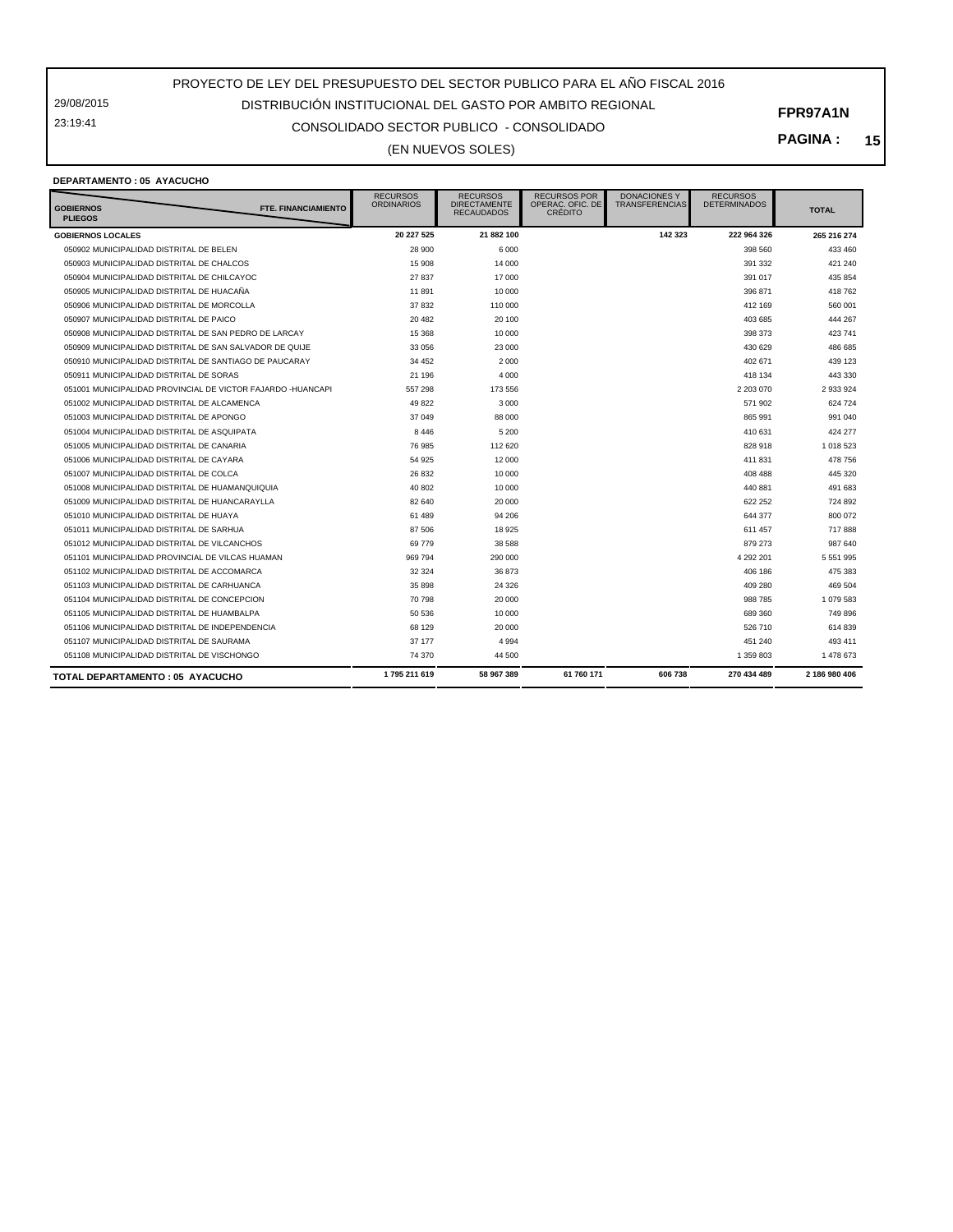#### PROYECTO DE LEY DEL PRESUPUESTO DEL SECTOR PUBLICO PARA EL AÑO FISCAL 2016 DISTRIBUCIÓN INSTITUCIONAL DEL GASTO POR AMBITO REGIONAL

29/08/2015 23:19:41

## CONSOLIDADO SECTOR PUBLICO - CONSOLIDADO

(EN NUEVOS SOLES)

**PAGINA : 15**

#### **DEPARTAMENTO : 05 AYACUCHO**

| <b>GOBIERNOS</b><br><b>FTE. FINANCIAMIENTO</b><br><b>PLIEGOS</b> | <b>RECURSOS</b><br><b>ORDINARIOS</b> | <b>RECURSOS</b><br><b>DIRECTAMENTE</b><br><b>RECAUDADOS</b> | <b>RECURSOS POR</b><br>OPERAC. OFIC. DE<br><b>CRÉDITO</b> | <b>DONACIONES Y</b><br><b>TRANSFERENCIAS</b> | <b>RECURSOS</b><br><b>DETERMINADOS</b> | <b>TOTAL</b>  |
|------------------------------------------------------------------|--------------------------------------|-------------------------------------------------------------|-----------------------------------------------------------|----------------------------------------------|----------------------------------------|---------------|
| <b>GOBIERNOS LOCALES</b>                                         | 20 227 525                           | 21 882 100                                                  |                                                           | 142 323                                      | 222 964 326                            | 265 216 274   |
| 050902 MUNICIPALIDAD DISTRITAL DE BELEN                          | 28 900                               | 6000                                                        |                                                           |                                              | 398 560                                | 433 460       |
| 050903 MUNICIPALIDAD DISTRITAL DE CHALCOS                        | 15 908                               | 14 000                                                      |                                                           |                                              | 391 332                                | 421 240       |
| 050904 MUNICIPALIDAD DISTRITAL DE CHILCAYOC                      | 27 837                               | 17 000                                                      |                                                           |                                              | 391 017                                | 435 854       |
| 050905 MUNICIPALIDAD DISTRITAL DE HUACAÑA                        | 11 891                               | 10 000                                                      |                                                           |                                              | 396 871                                | 418 762       |
| 050906 MUNICIPALIDAD DISTRITAL DE MORCOLLA                       | 37 832                               | 110 000                                                     |                                                           |                                              | 412 169                                | 560 001       |
| 050907 MUNICIPALIDAD DISTRITAL DE PAICO                          | 20 482                               | 20 100                                                      |                                                           |                                              | 403 685                                | 444 267       |
| 050908 MUNICIPALIDAD DISTRITAL DE SAN PEDRO DE LARCAY            | 15 368                               | 10 000                                                      |                                                           |                                              | 398 373                                | 423 741       |
| 050909 MUNICIPALIDAD DISTRITAL DE SAN SALVADOR DE QUIJE          | 33 056                               | 23 000                                                      |                                                           |                                              | 430 629                                | 486 685       |
| 050910 MUNICIPALIDAD DISTRITAL DE SANTIAGO DE PAUCARAY           | 34 452                               | 2000                                                        |                                                           |                                              | 402 671                                | 439 123       |
| 050911 MUNICIPALIDAD DISTRITAL DE SORAS                          | 21 196                               | 4 0 0 0                                                     |                                                           |                                              | 418 134                                | 443 330       |
| 051001 MUNICIPALIDAD PROVINCIAL DE VICTOR FAJARDO -HUANCAPI      | 557 298                              | 173 556                                                     |                                                           |                                              | 2 203 070                              | 2 933 924     |
| 051002 MUNICIPALIDAD DISTRITAL DE ALCAMENCA                      | 49 822                               | 3 0 0 0                                                     |                                                           |                                              | 571 902                                | 624 724       |
| 051003 MUNICIPALIDAD DISTRITAL DE APONGO                         | 37 049                               | 88 000                                                      |                                                           |                                              | 865 991                                | 991 040       |
| 051004 MUNICIPALIDAD DISTRITAL DE ASQUIPATA                      | 8 4 4 6                              | 5 2 0 0                                                     |                                                           |                                              | 410 631                                | 424 277       |
| 051005 MUNICIPALIDAD DISTRITAL DE CANARIA                        | 76 985                               | 112 620                                                     |                                                           |                                              | 828 918                                | 1 018 523     |
| 051006 MUNICIPALIDAD DISTRITAL DE CAYARA                         | 54 925                               | 12 000                                                      |                                                           |                                              | 411 831                                | 478 756       |
| 051007 MUNICIPALIDAD DISTRITAL DE COLCA                          | 26 832                               | 10 000                                                      |                                                           |                                              | 408 488                                | 445 320       |
| 051008 MUNICIPALIDAD DISTRITAL DE HUAMANQUIQUIA                  | 40 802                               | 10 000                                                      |                                                           |                                              | 440 881                                | 491 683       |
| 051009 MUNICIPALIDAD DISTRITAL DE HUANCARAYLLA                   | 82 640                               | 20 000                                                      |                                                           |                                              | 622 252                                | 724 892       |
| 051010 MUNICIPALIDAD DISTRITAL DE HUAYA                          | 61 489                               | 94 206                                                      |                                                           |                                              | 644 377                                | 800 072       |
| 051011 MUNICIPALIDAD DISTRITAL DE SARHUA                         | 87 506                               | 18 9 25                                                     |                                                           |                                              | 611 457                                | 717888        |
| 051012 MUNICIPALIDAD DISTRITAL DE VILCANCHOS                     | 69779                                | 38 588                                                      |                                                           |                                              | 879 273                                | 987 640       |
| 051101 MUNICIPALIDAD PROVINCIAL DE VILCAS HUAMAN                 | 969 794                              | 290 000                                                     |                                                           |                                              | 4 292 201                              | 5 551 995     |
| 051102 MUNICIPALIDAD DISTRITAL DE ACCOMARCA                      | 32 324                               | 36873                                                       |                                                           |                                              | 406 186                                | 475 383       |
| 051103 MUNICIPALIDAD DISTRITAL DE CARHUANCA                      | 35 898                               | 24 3 26                                                     |                                                           |                                              | 409 280                                | 469 504       |
| 051104 MUNICIPALIDAD DISTRITAL DE CONCEPCION                     | 70 798                               | 20 000                                                      |                                                           |                                              | 988 785                                | 1 079 583     |
| 051105 MUNICIPALIDAD DISTRITAL DE HUAMBALPA                      | 50 536                               | 10 000                                                      |                                                           |                                              | 689 360                                | 749 896       |
| 051106 MUNICIPALIDAD DISTRITAL DE INDEPENDENCIA                  | 68 129                               | 20 000                                                      |                                                           |                                              | 526 710                                | 614 839       |
| 051107 MUNICIPALIDAD DISTRITAL DE SAURAMA                        | 37 177                               | 4 9 9 4                                                     |                                                           |                                              | 451 240                                | 493 411       |
| 051108 MUNICIPALIDAD DISTRITAL DE VISCHONGO                      | 74 370                               | 44 500                                                      |                                                           |                                              | 1 359 803                              | 1 478 673     |
| TOTAL DEPARTAMENTO : 05 AYACUCHO                                 | 1795 211 619                         | 58 967 389                                                  | 61 760 171                                                | 606 738                                      | 270 434 489                            | 2 186 980 406 |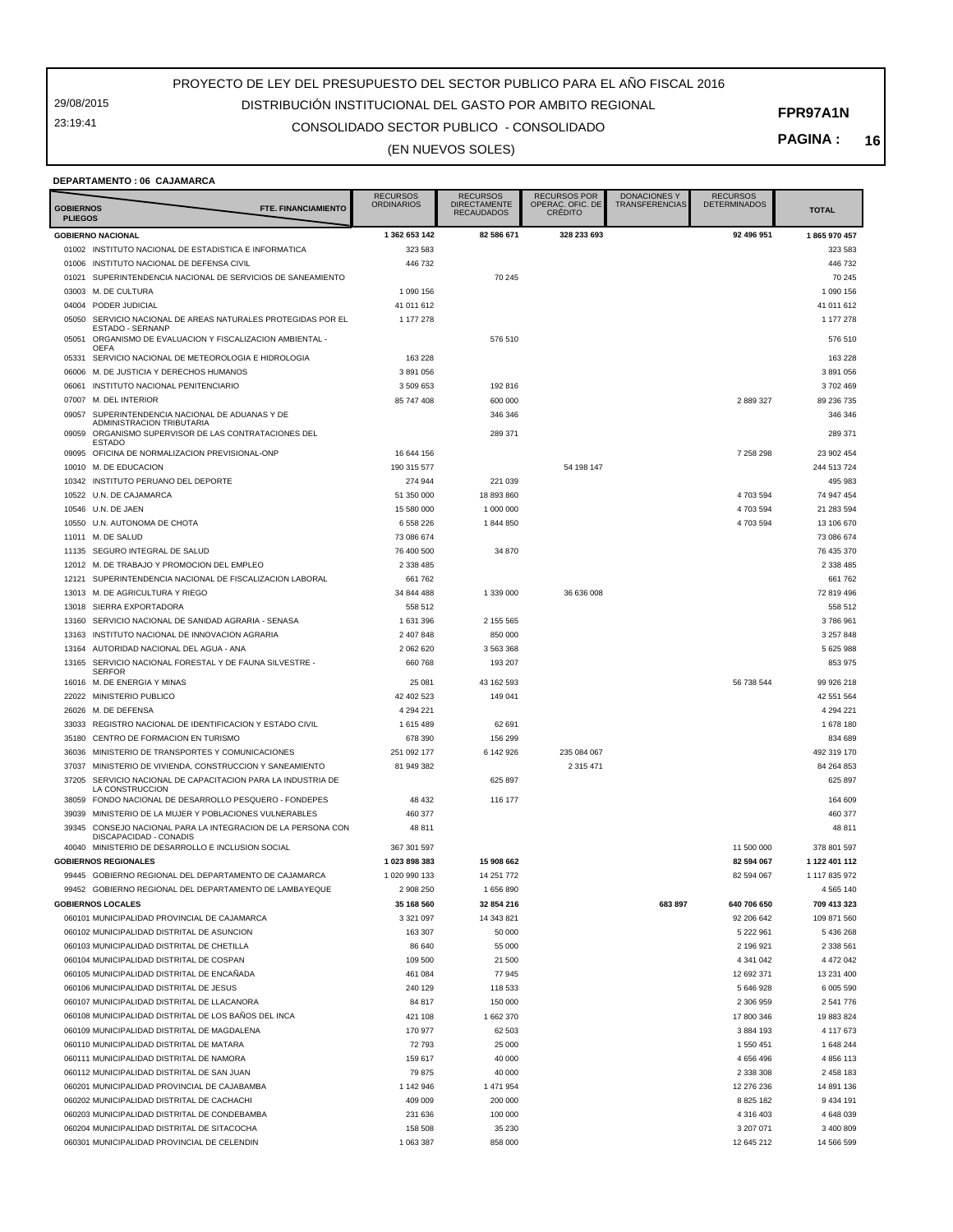29/08/2015 23:19:41

## CONSOLIDADO SECTOR PUBLICO - CONSOLIDADO DISTRIBUCIÓN INSTITUCIONAL DEL GASTO POR AMBITO REGIONAL

**PAGINA : 16**

**FPR97A1N**

#### (EN NUEVOS SOLES)

#### **DEPARTAMENTO : 06 CAJAMARCA**

| <b>GOBIERNOS</b><br><b>PLIEGOS</b> | FTE. FINANCIAMIENTO                                                                     | <b>RECURSOS</b><br><b>ORDINARIOS</b> | <b>RECURSOS</b><br><b>DIRECTAMENTE</b><br><b>RECAUDADOS</b> | <b>RECURSOS POR</b><br>OPERAC. OFIC. DE<br><b>CRÉDITO</b> | <b>DONACIONES Y</b><br>TRANSFERENCIAS | <b>RECURSOS</b><br>DETERMINADOS | <b>TOTAL</b>           |
|------------------------------------|-----------------------------------------------------------------------------------------|--------------------------------------|-------------------------------------------------------------|-----------------------------------------------------------|---------------------------------------|---------------------------------|------------------------|
|                                    | <b>GOBIERNO NACIONAL</b>                                                                | 1 362 653 142                        | 82 586 671                                                  | 328 233 693                                               |                                       | 92 496 951                      | 1865970457             |
|                                    | 01002 INSTITUTO NACIONAL DE ESTADISTICA E INFORMATICA                                   | 323 583                              |                                                             |                                                           |                                       |                                 | 323 583                |
| 01006                              | INSTITUTO NACIONAL DE DEFENSA CIVIL                                                     | 446732                               |                                                             |                                                           |                                       |                                 | 446 732                |
| 01021                              | SUPERINTENDENCIA NACIONAL DE SERVICIOS DE SANEAMIENTO                                   |                                      | 70 245                                                      |                                                           |                                       |                                 | 70 245                 |
| 03003                              | M. DE CULTURA                                                                           | 1 0 9 0 1 5 6                        |                                                             |                                                           |                                       |                                 | 1 090 156              |
| 04004                              | PODER JUDICIAL                                                                          | 41 011 612                           |                                                             |                                                           |                                       |                                 | 41 011 612             |
| 05050                              | SERVICIO NACIONAL DE AREAS NATURALES PROTEGIDAS POR EL                                  | 1 177 278                            |                                                             |                                                           |                                       |                                 | 1 177 278              |
| 05051                              | ESTADO - SERNANP<br>ORGANISMO DE EVALUACION Y FISCALIZACION AMBIENTAL -                 |                                      | 576 510                                                     |                                                           |                                       |                                 | 576 510                |
|                                    | <b>OEFA</b>                                                                             |                                      |                                                             |                                                           |                                       |                                 |                        |
| 05331                              | SERVICIO NACIONAL DE METEOROLOGIA E HIDROLOGIA                                          | 163 228                              |                                                             |                                                           |                                       |                                 | 163 228                |
| 06006                              | M. DE JUSTICIA Y DERECHOS HUMANOS                                                       | 3891056                              |                                                             |                                                           |                                       |                                 | 3 891 056              |
| 06061                              | INSTITUTO NACIONAL PENITENCIARIO                                                        | 3509653                              | 192816                                                      |                                                           |                                       |                                 | 3702469                |
| 07007                              | M. DEL INTERIOR                                                                         | 85 747 408                           | 600 000                                                     |                                                           |                                       | 2 889 327                       | 89 236 735             |
| 09057                              | SUPERINTENDENCIA NACIONAL DE ADUANAS Y DE<br>ADMINISTRACION TRIBUTARIA                  |                                      | 346 346                                                     |                                                           |                                       |                                 | 346 346                |
| 09059                              | ORGANISMO SUPERVISOR DE LAS CONTRATACIONES DEL                                          |                                      | 289 371                                                     |                                                           |                                       |                                 | 289 371                |
|                                    | <b>ESTADO</b><br>09095 OFICINA DE NORMALIZACION PREVISIONAL-ONP                         | 16 644 156                           |                                                             |                                                           |                                       | 7 258 298                       | 23 902 454             |
|                                    | 10010 M. DE EDUCACION                                                                   | 190 315 577                          |                                                             | 54 198 147                                                |                                       |                                 | 244 513 724            |
|                                    | 10342 INSTITUTO PERUANO DEL DEPORTE                                                     | 274 944                              | 221 039                                                     |                                                           |                                       |                                 | 495 983                |
|                                    | 10522 U.N. DE CAJAMARCA                                                                 | 51 350 000                           | 18 893 860                                                  |                                                           |                                       | 4 703 594                       | 74 947 454             |
|                                    | 10546 U.N. DE JAEN                                                                      | 15 580 000                           | 1 000 000                                                   |                                                           |                                       | 4 703 594                       | 21 283 594             |
|                                    | 10550 U.N. AUTONOMA DE CHOTA                                                            | 6 558 226                            | 1844850                                                     |                                                           |                                       | 4 703 594                       | 13 106 670             |
|                                    | 11011 M. DE SALUD                                                                       | 73 086 674                           |                                                             |                                                           |                                       |                                 | 73 086 674             |
|                                    | 11135 SEGURO INTEGRAL DE SALUD                                                          | 76 400 500                           | 34 870                                                      |                                                           |                                       |                                 | 76 435 370             |
|                                    | 12012 M. DE TRABAJO Y PROMOCION DEL EMPLEO                                              | 2 3 3 4 4 8 5                        |                                                             |                                                           |                                       |                                 | 2 338 485              |
| 12121                              | SUPERINTENDENCIA NACIONAL DE FISCALIZACION LABORAL                                      | 661762                               |                                                             |                                                           |                                       |                                 | 661 762                |
|                                    | 13013 M. DE AGRICULTURA Y RIEGO                                                         | 34 844 488                           | 1 339 000                                                   | 36 636 008                                                |                                       |                                 | 72 819 496             |
|                                    | 13018 SIERRA EXPORTADORA                                                                | 558 512                              |                                                             |                                                           |                                       |                                 | 558 512                |
| 13160                              | SERVICIO NACIONAL DE SANIDAD AGRARIA - SENASA                                           | 1631396                              | 2 155 565                                                   |                                                           |                                       |                                 | 3786961                |
| 13163                              | INSTITUTO NACIONAL DE INNOVACION AGRARIA                                                | 2 407 848                            | 850 000                                                     |                                                           |                                       |                                 | 3 257 848              |
|                                    | 13164 AUTORIDAD NACIONAL DEL AGUA - ANA                                                 | 2 062 620                            | 3 563 368                                                   |                                                           |                                       |                                 | 5 625 988              |
| 13165                              | SERVICIO NACIONAL FORESTAL Y DE FAUNA SILVESTRE -                                       | 660768                               | 193 207                                                     |                                                           |                                       |                                 | 853 975                |
|                                    | <b>SERFOR</b><br>16016 M. DE ENERGIA Y MINAS                                            | 25 081                               | 43 162 593                                                  |                                                           |                                       | 56 738 544                      | 99 926 218             |
|                                    | 22022 MINISTERIO PUBLICO                                                                | 42 402 523                           | 149 041                                                     |                                                           |                                       |                                 | 42 551 564             |
| 26026                              | M. DE DEFENSA                                                                           | 4 2 9 4 2 2 1                        |                                                             |                                                           |                                       |                                 | 4 2 9 4 2 2 1          |
| 33033                              | REGISTRO NACIONAL DE IDENTIFICACION Y ESTADO CIVIL                                      | 1615489                              | 62 691                                                      |                                                           |                                       |                                 | 1 678 180              |
| 35180                              | CENTRO DE FORMACION EN TURISMO                                                          | 678 390                              | 156 299                                                     |                                                           |                                       |                                 | 834 689                |
| 36036                              | MINISTERIO DE TRANSPORTES Y COMUNICACIONES                                              | 251 092 177                          | 6 142 926                                                   | 235 084 067                                               |                                       |                                 | 492 319 170            |
| 37037                              | MINISTERIO DE VIVIENDA, CONSTRUCCION Y SANEAMIENTO                                      | 81 949 382                           |                                                             | 2 3 1 5 4 7 1                                             |                                       |                                 | 84 264 853             |
|                                    | 37205 SERVICIO NACIONAL DE CAPACITACION PARA LA INDUSTRIA DE                            |                                      | 625 897                                                     |                                                           |                                       |                                 | 625 897                |
|                                    | LA CONSTRUCCION<br>38059 FONDO NACIONAL DE DESARROLLO PESQUERO - FONDEPES               | 48 432                               | 116 177                                                     |                                                           |                                       |                                 | 164 609                |
| 39039                              | MINISTERIO DE LA MUJER Y POBLACIONES VULNERABLES                                        | 460 377                              |                                                             |                                                           |                                       |                                 | 460 377                |
| 39345                              | CONSEJO NACIONAL PARA LA INTEGRACION DE LA PERSONA CON                                  | 48 811                               |                                                             |                                                           |                                       |                                 | 48 811                 |
|                                    | DISCAPACIDAD - CONADIS                                                                  |                                      |                                                             |                                                           |                                       |                                 |                        |
|                                    | 40040 MINISTERIO DE DESARROLLO E INCLUSION SOCIAL                                       | 367 301 597                          |                                                             |                                                           |                                       | 11 500 000                      | 378 801 597            |
|                                    | <b>GOBIERNOS REGIONALES</b>                                                             | 1 023 898 383                        | 15 908 662                                                  |                                                           |                                       | 82 594 067                      | 1 122 401 112          |
|                                    | 99445 GOBIERNO REGIONAL DEL DEPARTAMENTO DE CAJAMARCA                                   | 1 020 990 133                        | 14 251 772                                                  |                                                           |                                       | 82 594 067                      | 1 117 835 972          |
|                                    | 99452 GOBIERNO REGIONAL DEL DEPARTAMENTO DE LAMBAYEQUE                                  | 2 908 250                            | 1 656 890                                                   |                                                           |                                       |                                 | 4 5 65 140             |
|                                    | <b>GOBIERNOS LOCALES</b>                                                                | 35 168 560                           | 32 854 216                                                  |                                                           | 683 897                               | 640 706 650                     | 709 413 323            |
|                                    | 060101 MUNICIPALIDAD PROVINCIAL DE CAJAMARCA                                            | 3 3 2 1 0 9 7                        | 14 343 821                                                  |                                                           |                                       | 92 206 642                      | 109 871 560            |
|                                    | 060102 MUNICIPALIDAD DISTRITAL DE ASUNCION                                              | 163 307                              | 50 000                                                      |                                                           |                                       | 5 222 961                       | 5 436 268              |
|                                    | 060103 MUNICIPALIDAD DISTRITAL DE CHETILLA                                              | 86 640                               | 55 000                                                      |                                                           |                                       | 2 196 921                       | 2 338 561              |
|                                    | 060104 MUNICIPALIDAD DISTRITAL DE COSPAN                                                | 109 500                              | 21 500                                                      |                                                           |                                       | 4 341 042                       | 4 472 042              |
|                                    | 060105 MUNICIPALIDAD DISTRITAL DE ENCAÑADA                                              | 461 084                              | 77945                                                       |                                                           |                                       | 12 692 371                      | 13 231 400             |
|                                    | 060106 MUNICIPALIDAD DISTRITAL DE JESUS                                                 | 240 129                              | 118 533                                                     |                                                           |                                       | 5 646 928                       | 6 005 590              |
|                                    | 060107 MUNICIPALIDAD DISTRITAL DE LLACANORA                                             | 84 817                               | 150 000                                                     |                                                           |                                       | 2 306 959                       | 2 541 776              |
|                                    | 060108 MUNICIPALIDAD DISTRITAL DE LOS BAÑOS DEL INCA                                    | 421 108                              | 1 662 370                                                   |                                                           |                                       | 17 800 346                      | 19 883 824             |
|                                    | 060109 MUNICIPALIDAD DISTRITAL DE MAGDALENA<br>060110 MUNICIPALIDAD DISTRITAL DE MATARA | 170 977                              | 62 503<br>25 000                                            |                                                           |                                       | 3 884 193                       | 4 117 673              |
|                                    | 060111 MUNICIPALIDAD DISTRITAL DE NAMORA                                                | 72 793<br>159 617                    | 40 000                                                      |                                                           |                                       | 1 550 451<br>4 656 496          | 1 648 244<br>4 856 113 |
|                                    | 060112 MUNICIPALIDAD DISTRITAL DE SAN JUAN                                              | 79 875                               | 40 000                                                      |                                                           |                                       | 2 338 308                       | 2 458 183              |
|                                    | 060201 MUNICIPALIDAD PROVINCIAL DE CAJABAMBA                                            | 1 142 946                            | 1 471 954                                                   |                                                           |                                       | 12 276 236                      | 14 891 136             |
|                                    | 060202 MUNICIPALIDAD DISTRITAL DE CACHACHI                                              | 409 009                              | 200 000                                                     |                                                           |                                       | 8 8 25 1 8 2                    | 9 434 191              |
|                                    | 060203 MUNICIPALIDAD DISTRITAL DE CONDEBAMBA                                            | 231 636                              | 100 000                                                     |                                                           |                                       | 4 316 403                       | 4 648 039              |
|                                    | 060204 MUNICIPALIDAD DISTRITAL DE SITACOCHA                                             | 158 508                              | 35 230                                                      |                                                           |                                       | 3 207 071                       | 3 400 809              |
|                                    | 060301 MUNICIPALIDAD PROVINCIAL DE CELENDIN                                             | 1 063 387                            | 858 000                                                     |                                                           |                                       | 12 645 212                      | 14 566 599             |
|                                    |                                                                                         |                                      |                                                             |                                                           |                                       |                                 |                        |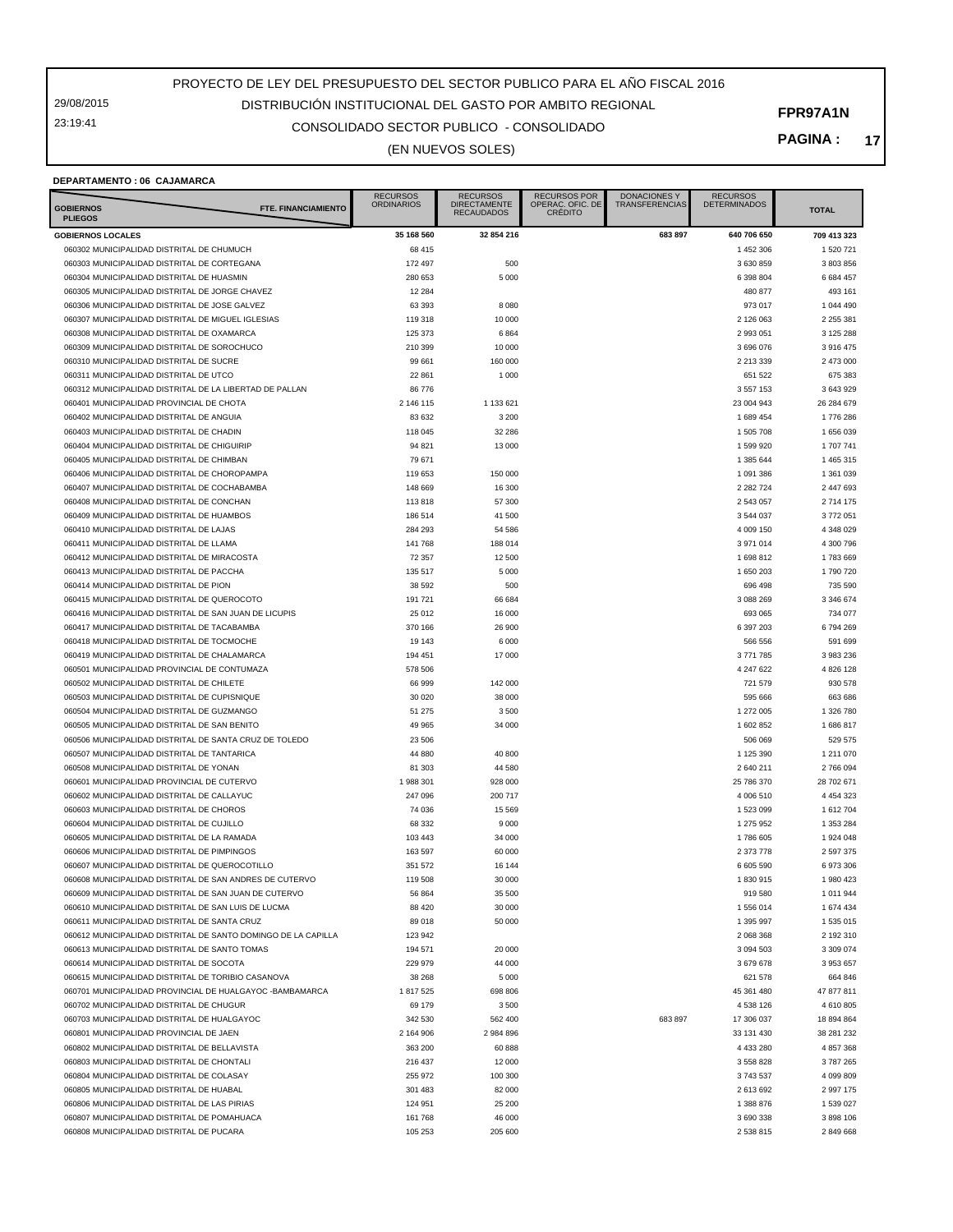29/08/2015 23:19:41

## CONSOLIDADO SECTOR PUBLICO - CONSOLIDADO DISTRIBUCIÓN INSTITUCIONAL DEL GASTO POR AMBITO REGIONAL

**PAGINA : 17**

#### (EN NUEVOS SOLES)

#### **DEPARTAMENTO : 06 CAJAMARCA**

| FTE. FINANCIAMIENTO<br><b>GOBIERNOS</b><br><b>PLIEGOS</b>                                            | <b>RECURSOS</b><br><b>ORDINARIOS</b> | <b>RECURSOS</b><br><b>DIRECTAMENTE</b><br><b>RECAUDADOS</b> | <b>RECURSOS POR</b><br>OPERAC. OFIC. DE<br><b>CRÉDITO</b> | <b>DONACIONES Y</b><br><b>TRANSFERENCIAS</b> | <b>RECURSOS</b><br><b>DETERMINADOS</b> | <b>TOTAL</b>           |
|------------------------------------------------------------------------------------------------------|--------------------------------------|-------------------------------------------------------------|-----------------------------------------------------------|----------------------------------------------|----------------------------------------|------------------------|
| <b>GOBIERNOS LOCALES</b>                                                                             | 35 168 560                           | 32 854 216                                                  |                                                           | 683 897                                      | 640 706 650                            | 709 413 323            |
| 060302 MUNICIPALIDAD DISTRITAL DE CHUMUCH                                                            | 68 415                               |                                                             |                                                           |                                              | 1 452 306                              | 1 520 721              |
| 060303 MUNICIPALIDAD DISTRITAL DE CORTEGANA                                                          | 172 497                              | 500                                                         |                                                           |                                              | 3 630 859                              | 3 803 856              |
| 060304 MUNICIPALIDAD DISTRITAL DE HUASMIN                                                            | 280 653                              | 5 0 0 0                                                     |                                                           |                                              | 6 398 804                              | 6 684 457              |
| 060305 MUNICIPALIDAD DISTRITAL DE JORGE CHAVEZ                                                       | 12 2 8 4                             |                                                             |                                                           |                                              | 480 877                                | 493 161                |
| 060306 MUNICIPALIDAD DISTRITAL DE JOSE GALVEZ                                                        | 63 393                               | 8 0 8 0                                                     |                                                           |                                              | 973 017                                | 1 044 490              |
| 060307 MUNICIPALIDAD DISTRITAL DE MIGUEL IGLESIAS                                                    | 119 318                              | 10 000                                                      |                                                           |                                              | 2 126 063                              | 2 255 381              |
| 060308 MUNICIPALIDAD DISTRITAL DE OXAMARCA<br>060309 MUNICIPALIDAD DISTRITAL DE SOROCHUCO            | 125 373<br>210 399                   | 6864<br>10 000                                              |                                                           |                                              | 2 993 051<br>3 696 076                 | 3 125 288<br>3916475   |
| 060310 MUNICIPALIDAD DISTRITAL DE SUCRE                                                              | 99 661                               | 160 000                                                     |                                                           |                                              | 2 213 339                              | 2 473 000              |
| 060311 MUNICIPALIDAD DISTRITAL DE UTCO                                                               | 22 861                               | 1 0 0 0                                                     |                                                           |                                              | 651 522                                | 675 383                |
| 060312 MUNICIPALIDAD DISTRITAL DE LA LIBERTAD DE PALLAN                                              | 86 776                               |                                                             |                                                           |                                              | 3 5 5 7 1 5 3                          | 3 643 929              |
| 060401 MUNICIPALIDAD PROVINCIAL DE CHOTA                                                             | 2 146 115                            | 1 133 621                                                   |                                                           |                                              | 23 004 943                             | 26 284 679             |
| 060402 MUNICIPALIDAD DISTRITAL DE ANGUIA                                                             | 83 632                               | 3 2 0 0                                                     |                                                           |                                              | 1 689 454                              | 1776 286               |
| 060403 MUNICIPALIDAD DISTRITAL DE CHADIN                                                             | 118 045                              | 32 286                                                      |                                                           |                                              | 1 505 708                              | 1656039                |
| 060404 MUNICIPALIDAD DISTRITAL DE CHIGUIRIP                                                          | 94 821                               | 13 000                                                      |                                                           |                                              | 1 599 920                              | 1 707 741              |
| 060405 MUNICIPALIDAD DISTRITAL DE CHIMBAN                                                            | 79 671                               |                                                             |                                                           |                                              | 1 385 644                              | 1 465 315              |
| 060406 MUNICIPALIDAD DISTRITAL DE CHOROPAMPA                                                         | 119653                               | 150 000                                                     |                                                           |                                              | 1 091 386                              | 1 361 039              |
| 060407 MUNICIPALIDAD DISTRITAL DE COCHABAMBA                                                         | 148 669                              | 16 300                                                      |                                                           |                                              | 2 2 8 2 7 2 4                          | 2 447 693              |
| 060408 MUNICIPALIDAD DISTRITAL DE CONCHAN                                                            | 113818                               | 57 300                                                      |                                                           |                                              | 2 543 057                              | 2 714 175              |
| 060409 MUNICIPALIDAD DISTRITAL DE HUAMBOS                                                            | 186 514                              | 41 500                                                      |                                                           |                                              | 3 544 037                              | 3772051                |
| 060410 MUNICIPALIDAD DISTRITAL DE LAJAS                                                              | 284 293                              | 54 586                                                      |                                                           |                                              | 4 009 150                              | 4 348 029              |
| 060411 MUNICIPALIDAD DISTRITAL DE LLAMA                                                              | 141768                               | 188 014                                                     |                                                           |                                              | 3 971 014                              | 4 300 796              |
| 060412 MUNICIPALIDAD DISTRITAL DE MIRACOSTA                                                          | 72 357                               | 12 500                                                      |                                                           |                                              | 1 698 812                              | 1783669                |
| 060413 MUNICIPALIDAD DISTRITAL DE PACCHA                                                             | 135 517                              | 5 0 0 0                                                     |                                                           |                                              | 1 650 203                              | 1790720                |
| 060414 MUNICIPALIDAD DISTRITAL DE PION                                                               | 38 592                               | 500                                                         |                                                           |                                              | 696 498                                | 735 590                |
| 060415 MUNICIPALIDAD DISTRITAL DE QUEROCOTO<br>060416 MUNICIPALIDAD DISTRITAL DE SAN JUAN DE LICUPIS | 191721<br>25 012                     | 66 684<br>16 000                                            |                                                           |                                              | 3 088 269<br>693 065                   | 3 346 674<br>734 077   |
| 060417 MUNICIPALIDAD DISTRITAL DE TACABAMBA                                                          | 370 166                              | 26 900                                                      |                                                           |                                              | 6 397 203                              | 6794269                |
| 060418 MUNICIPALIDAD DISTRITAL DE TOCMOCHE                                                           | 19 143                               | 6 0 0 0                                                     |                                                           |                                              | 566 556                                | 591 699                |
| 060419 MUNICIPALIDAD DISTRITAL DE CHALAMARCA                                                         | 194 451                              | 17 000                                                      |                                                           |                                              | 3771785                                | 3 983 236              |
| 060501 MUNICIPALIDAD PROVINCIAL DE CONTUMAZA                                                         | 578 506                              |                                                             |                                                           |                                              | 4 247 622                              | 4 826 128              |
| 060502 MUNICIPALIDAD DISTRITAL DE CHILETE                                                            | 66 999                               | 142 000                                                     |                                                           |                                              | 721 579                                | 930 578                |
| 060503 MUNICIPALIDAD DISTRITAL DE CUPISNIQUE                                                         | 30 0 20                              | 38 000                                                      |                                                           |                                              | 595 666                                | 663 686                |
| 060504 MUNICIPALIDAD DISTRITAL DE GUZMANGO                                                           | 51 275                               | 3500                                                        |                                                           |                                              | 1 272 005                              | 1 326 780              |
| 060505 MUNICIPALIDAD DISTRITAL DE SAN BENITO                                                         | 49 965                               | 34 000                                                      |                                                           |                                              | 1 602 852                              | 1 686 817              |
| 060506 MUNICIPALIDAD DISTRITAL DE SANTA CRUZ DE TOLEDO                                               | 23 506                               |                                                             |                                                           |                                              | 506 069                                | 529 575                |
| 060507 MUNICIPALIDAD DISTRITAL DE TANTARICA                                                          | 44 880                               | 40 800                                                      |                                                           |                                              | 1 125 390                              | 1 211 070              |
| 060508 MUNICIPALIDAD DISTRITAL DE YONAN                                                              | 81 303                               | 44 580                                                      |                                                           |                                              | 2 640 211                              | 2 766 094              |
| 060601 MUNICIPALIDAD PROVINCIAL DE CUTERVO                                                           | 1988301                              | 928 000                                                     |                                                           |                                              | 25 786 370                             | 28 702 671             |
| 060602 MUNICIPALIDAD DISTRITAL DE CALLAYUC                                                           | 247 096                              | 200 717                                                     |                                                           |                                              | 4 006 510                              | 4 4 5 4 3 2 3          |
| 060603 MUNICIPALIDAD DISTRITAL DE CHOROS                                                             | 74 036                               | 15 5 6 9                                                    |                                                           |                                              | 1 523 099                              | 1 612 704              |
| 060604 MUNICIPALIDAD DISTRITAL DE CUJILLO<br>060605 MUNICIPALIDAD DISTRITAL DE LA RAMADA             | 68 332                               | 9 0 0 0                                                     |                                                           |                                              | 1 275 952                              | 1 353 284              |
| 060606 MUNICIPALIDAD DISTRITAL DE PIMPINGOS                                                          | 103 443<br>163 597                   | 34 000<br>60 000                                            |                                                           |                                              | 1786 605<br>2 373 778                  | 1924 048<br>2 597 375  |
| 060607 MUNICIPALIDAD DISTRITAL DE QUEROCOTILLO                                                       | 351 572                              | 16 144                                                      |                                                           |                                              | 6 605 590                              | 6 973 306              |
| 060608 MUNICIPALIDAD DISTRITAL DE SAN ANDRES DE CUTERVO                                              | 119 508                              | 30 000                                                      |                                                           |                                              | 1830915                                | 1 980 423              |
| 060609 MUNICIPALIDAD DISTRITAL DE SAN JUAN DE CUTERVO                                                | 56 864                               | 35 500                                                      |                                                           |                                              | 919 580                                | 1 011 944              |
| 060610 MUNICIPALIDAD DISTRITAL DE SAN LUIS DE LUCMA                                                  | 88 4 20                              | 30 000                                                      |                                                           |                                              | 1 556 014                              | 1 674 434              |
| 060611 MUNICIPALIDAD DISTRITAL DE SANTA CRUZ                                                         | 89 018                               | 50 000                                                      |                                                           |                                              | 1 395 997                              | 1 535 015              |
| 060612 MUNICIPALIDAD DISTRITAL DE SANTO DOMINGO DE LA CAPILLA                                        | 123 942                              |                                                             |                                                           |                                              | 2 068 368                              | 2 192 310              |
| 060613 MUNICIPALIDAD DISTRITAL DE SANTO TOMAS                                                        | 194 571                              | 20 000                                                      |                                                           |                                              | 3 094 503                              | 3 309 074              |
| 060614 MUNICIPALIDAD DISTRITAL DE SOCOTA                                                             | 229 979                              | 44 000                                                      |                                                           |                                              | 3 679 678                              | 3 953 657              |
| 060615 MUNICIPALIDAD DISTRITAL DE TORIBIO CASANOVA                                                   | 38 268                               | 5 0 0 0                                                     |                                                           |                                              | 621 578                                | 664 846                |
| 060701 MUNICIPALIDAD PROVINCIAL DE HUALGAYOC -BAMBAMARCA                                             | 1817525                              | 698 806                                                     |                                                           |                                              | 45 361 480                             | 47 877 811             |
| 060702 MUNICIPALIDAD DISTRITAL DE CHUGUR                                                             | 69 179                               | 3500                                                        |                                                           |                                              | 4 538 126                              | 4 610 805              |
| 060703 MUNICIPALIDAD DISTRITAL DE HUALGAYOC                                                          | 342 530                              | 562 400                                                     |                                                           | 683 897                                      | 17 306 037                             | 18 894 864             |
| 060801 MUNICIPALIDAD PROVINCIAL DE JAEN                                                              | 2 164 906                            | 2 984 896                                                   |                                                           |                                              | 33 131 430                             | 38 281 232             |
| 060802 MUNICIPALIDAD DISTRITAL DE BELLAVISTA                                                         | 363 200                              | 60 888                                                      |                                                           |                                              | 4 433 280                              | 4 857 368              |
| 060803 MUNICIPALIDAD DISTRITAL DE CHONTALI<br>060804 MUNICIPALIDAD DISTRITAL DE COLASAY              | 216 437                              | 12 000                                                      |                                                           |                                              | 3 558 828                              | 3787265                |
| 060805 MUNICIPALIDAD DISTRITAL DE HUABAL                                                             | 255 972                              | 100 300<br>82 000                                           |                                                           |                                              | 3 743 537<br>2 613 692                 | 4 099 809<br>2 997 175 |
| 060806 MUNICIPALIDAD DISTRITAL DE LAS PIRIAS                                                         | 301 483<br>124 951                   | 25 200                                                      |                                                           |                                              | 1 388 876                              | 1 539 027              |
| 060807 MUNICIPALIDAD DISTRITAL DE POMAHUACA                                                          | 161768                               | 46 000                                                      |                                                           |                                              | 3 690 338                              | 3 898 106              |
| 060808 MUNICIPALIDAD DISTRITAL DE PUCARA                                                             | 105 253                              | 205 600                                                     |                                                           |                                              | 2 538 815                              | 2 849 668              |
|                                                                                                      |                                      |                                                             |                                                           |                                              |                                        |                        |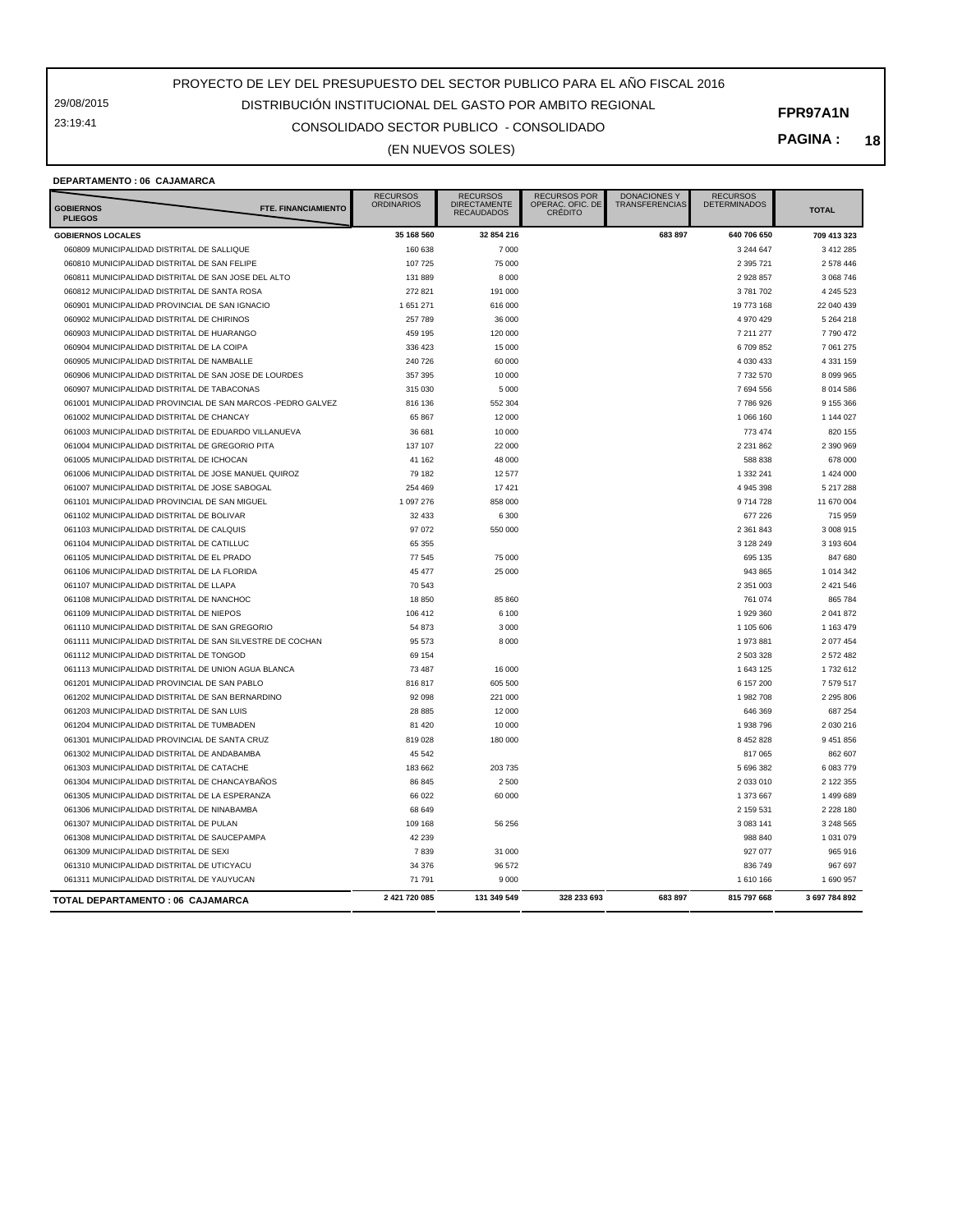29/08/2015 23:19:41

## CONSOLIDADO SECTOR PUBLICO - CONSOLIDADO DISTRIBUCIÓN INSTITUCIONAL DEL GASTO POR AMBITO REGIONAL

**PAGINA : 18**

## (EN NUEVOS SOLES)

#### **DEPARTAMENTO : 06 CAJAMARCA**

| FTE. FINANCIAMIENTO<br><b>GOBIERNOS</b>                     | <b>RECURSOS</b><br><b>ORDINARIOS</b> | <b>RECURSOS</b><br><b>DIRECTAMENTE</b><br><b>RECAUDADOS</b> | <b>RECURSOS POR</b><br>OPERAC. OFIC. DE<br><b>CREDITO</b> | <b>DONACIONES Y</b><br><b>TRANSFERENCIAS</b> | <b>RECURSOS</b><br><b>DETERMINADOS</b> | <b>TOTAL</b>  |
|-------------------------------------------------------------|--------------------------------------|-------------------------------------------------------------|-----------------------------------------------------------|----------------------------------------------|----------------------------------------|---------------|
| <b>PLIEGOS</b>                                              |                                      |                                                             |                                                           |                                              |                                        |               |
| <b>GOBIERNOS LOCALES</b>                                    | 35 168 560                           | 32 854 216                                                  |                                                           | 683 897                                      | 640 706 650                            | 709 413 323   |
| 060809 MUNICIPALIDAD DISTRITAL DE SALLIQUE                  | 160 638                              | 7 0 0 0                                                     |                                                           |                                              | 3 244 647                              | 3 412 285     |
| 060810 MUNICIPALIDAD DISTRITAL DE SAN FELIPE                | 107 725                              | 75 000                                                      |                                                           |                                              | 2 395 721                              | 2 578 446     |
| 060811 MUNICIPALIDAD DISTRITAL DE SAN JOSE DEL ALTO         | 131 889                              | 8 0 0 0                                                     |                                                           |                                              | 2 928 857                              | 3 068 746     |
| 060812 MUNICIPALIDAD DISTRITAL DE SANTA ROSA                | 272 821                              | 191 000                                                     |                                                           |                                              | 3781702                                | 4 245 523     |
| 060901 MUNICIPALIDAD PROVINCIAL DE SAN IGNACIO              | 1 651 271                            | 616 000                                                     |                                                           |                                              | 19 773 168                             | 22 040 439    |
| 060902 MUNICIPALIDAD DISTRITAL DE CHIRINOS                  | 257 789                              | 36 000                                                      |                                                           |                                              | 4 970 429                              | 5 264 218     |
| 060903 MUNICIPALIDAD DISTRITAL DE HUARANGO                  | 459 195                              | 120 000                                                     |                                                           |                                              | 7 211 277                              | 7790472       |
| 060904 MUNICIPALIDAD DISTRITAL DE LA COIPA                  | 336 423                              | 15 000                                                      |                                                           |                                              | 6709852                                | 7 061 275     |
| 060905 MUNICIPALIDAD DISTRITAL DE NAMBALLE                  | 240 726                              | 60 000                                                      |                                                           |                                              | 4 030 433                              | 4 3 3 1 1 5 9 |
| 060906 MUNICIPALIDAD DISTRITAL DE SAN JOSE DE LOURDES       | 357 395                              | 10 000                                                      |                                                           |                                              | 7 732 570                              | 8 0 9 9 9 6 5 |
| 060907 MUNICIPALIDAD DISTRITAL DE TABACONAS                 | 315 030                              | 5 0 0 0                                                     |                                                           |                                              | 7 694 556                              | 8 0 14 5 8 6  |
| 061001 MUNICIPALIDAD PROVINCIAL DE SAN MARCOS -PEDRO GALVEZ | 816 136                              | 552 304                                                     |                                                           |                                              | 7786926                                | 9 155 366     |
| 061002 MUNICIPALIDAD DISTRITAL DE CHANCAY                   | 65 867                               | 12 000                                                      |                                                           |                                              | 1 066 160                              | 1 144 027     |
| 061003 MUNICIPALIDAD DISTRITAL DE EDUARDO VILLANUEVA        | 36 681                               | 10 000                                                      |                                                           |                                              | 773 474                                | 820 155       |
| 061004 MUNICIPALIDAD DISTRITAL DE GREGORIO PITA             | 137 107                              | 22 000                                                      |                                                           |                                              | 2 2 3 1 8 6 2                          | 2 390 969     |
| 061005 MUNICIPALIDAD DISTRITAL DE ICHOCAN                   | 41 162                               | 48 000                                                      |                                                           |                                              | 588 838                                | 678 000       |
| 061006 MUNICIPALIDAD DISTRITAL DE JOSE MANUEL QUIROZ        | 79 182                               | 12 577                                                      |                                                           |                                              | 1 332 241                              | 1 424 000     |
| 061007 MUNICIPALIDAD DISTRITAL DE JOSE SABOGAL              | 254 469                              | 17421                                                       |                                                           |                                              | 4 945 398                              | 5 217 288     |
| 061101 MUNICIPALIDAD PROVINCIAL DE SAN MIGUEL               | 1 097 276                            | 858 000                                                     |                                                           |                                              | 9714728                                | 11 670 004    |
| 061102 MUNICIPALIDAD DISTRITAL DE BOLIVAR                   | 32 433                               | 6 300                                                       |                                                           |                                              | 677 226                                | 715 959       |
| 061103 MUNICIPALIDAD DISTRITAL DE CALQUIS                   | 97 072                               | 550 000                                                     |                                                           |                                              | 2 361 843                              | 3 008 915     |
| 061104 MUNICIPALIDAD DISTRITAL DE CATILLUC                  | 65 355                               |                                                             |                                                           |                                              | 3 128 249                              | 3 193 604     |
| 061105 MUNICIPALIDAD DISTRITAL DE EL PRADO                  | 77 545                               | 75 000                                                      |                                                           |                                              | 695 135                                | 847 680       |
| 061106 MUNICIPALIDAD DISTRITAL DE LA FLORIDA                | 45 477                               | 25 000                                                      |                                                           |                                              | 943 865                                | 1 014 342     |
| 061107 MUNICIPALIDAD DISTRITAL DE LLAPA                     | 70 543                               |                                                             |                                                           |                                              | 2 351 003                              | 2 421 546     |
| 061108 MUNICIPALIDAD DISTRITAL DE NANCHOC                   | 18 850                               | 85 860                                                      |                                                           |                                              | 761 074                                | 865 784       |
| 061109 MUNICIPALIDAD DISTRITAL DE NIEPOS                    | 106 412                              | 6 100                                                       |                                                           |                                              | 1929 360                               | 2 041 872     |
| 061110 MUNICIPALIDAD DISTRITAL DE SAN GREGORIO              | 54 873                               | 3 0 0 0                                                     |                                                           |                                              | 1 105 606                              | 1 163 479     |
| 061111 MUNICIPALIDAD DISTRITAL DE SAN SILVESTRE DE COCHAN   | 95 573                               | 8 0 0 0                                                     |                                                           |                                              | 1 973 881                              | 2 077 454     |
| 061112 MUNICIPALIDAD DISTRITAL DE TONGOD                    | 69 154                               |                                                             |                                                           |                                              | 2 503 328                              | 2 572 482     |
| 061113 MUNICIPALIDAD DISTRITAL DE UNION AGUA BLANCA         | 73 487                               | 16 000                                                      |                                                           |                                              | 1 643 125                              | 1732612       |
| 061201 MUNICIPALIDAD PROVINCIAL DE SAN PABLO                | 816817                               | 605 500                                                     |                                                           |                                              | 6 157 200                              | 7579517       |
| 061202 MUNICIPALIDAD DISTRITAL DE SAN BERNARDINO            | 92 098                               | 221 000                                                     |                                                           |                                              | 1 982 708                              | 2 2 9 5 8 0 6 |
| 061203 MUNICIPALIDAD DISTRITAL DE SAN LUIS                  | 28 885                               | 12 000                                                      |                                                           |                                              | 646 369                                | 687 254       |
| 061204 MUNICIPALIDAD DISTRITAL DE TUMBADEN                  | 81 4 20                              | 10 000                                                      |                                                           |                                              | 1 938 796                              | 2 030 216     |
| 061301 MUNICIPALIDAD PROVINCIAL DE SANTA CRUZ               | 819 028                              | 180 000                                                     |                                                           |                                              | 8 452 828                              | 9 451 856     |
| 061302 MUNICIPALIDAD DISTRITAL DE ANDABAMBA                 | 45 542                               |                                                             |                                                           |                                              | 817065                                 | 862 607       |
| 061303 MUNICIPALIDAD DISTRITAL DE CATACHE                   | 183 662                              | 203 735                                                     |                                                           |                                              | 5 696 382                              | 6 083 779     |
| 061304 MUNICIPALIDAD DISTRITAL DE CHANCAYBAÑOS              | 86 845                               | 2500                                                        |                                                           |                                              | 2 033 010                              | 2 122 355     |
| 061305 MUNICIPALIDAD DISTRITAL DE LA ESPERANZA              | 66 022                               | 60 000                                                      |                                                           |                                              | 1 373 667                              | 1 499 689     |
| 061306 MUNICIPALIDAD DISTRITAL DE NINABAMBA                 | 68 649                               |                                                             |                                                           |                                              | 2 159 531                              | 2 2 2 8 1 8 0 |
| 061307 MUNICIPALIDAD DISTRITAL DE PULAN                     | 109 168                              | 56 256                                                      |                                                           |                                              | 3 083 141                              | 3 248 565     |
| 061308 MUNICIPALIDAD DISTRITAL DE SAUCEPAMPA                | 42 239                               |                                                             |                                                           |                                              | 988 840                                | 1 031 079     |
| 061309 MUNICIPALIDAD DISTRITAL DE SEXI                      | 7839                                 | 31 000                                                      |                                                           |                                              | 927 077                                | 965 916       |
| 061310 MUNICIPALIDAD DISTRITAL DE UTICYACU                  | 34 376                               | 96 572                                                      |                                                           |                                              | 836 749                                | 967 697       |
| 061311 MUNICIPALIDAD DISTRITAL DE YAUYUCAN                  | 71 791                               | 9 0 0 0                                                     |                                                           |                                              | 1 610 166                              | 1 690 957     |
| TOTAL DEPARTAMENTO: 06 CAJAMARCA                            | 2 421 720 085                        | 131 349 549                                                 | 328 233 693                                               | 683 897                                      | 815 797 668                            | 3 697 784 892 |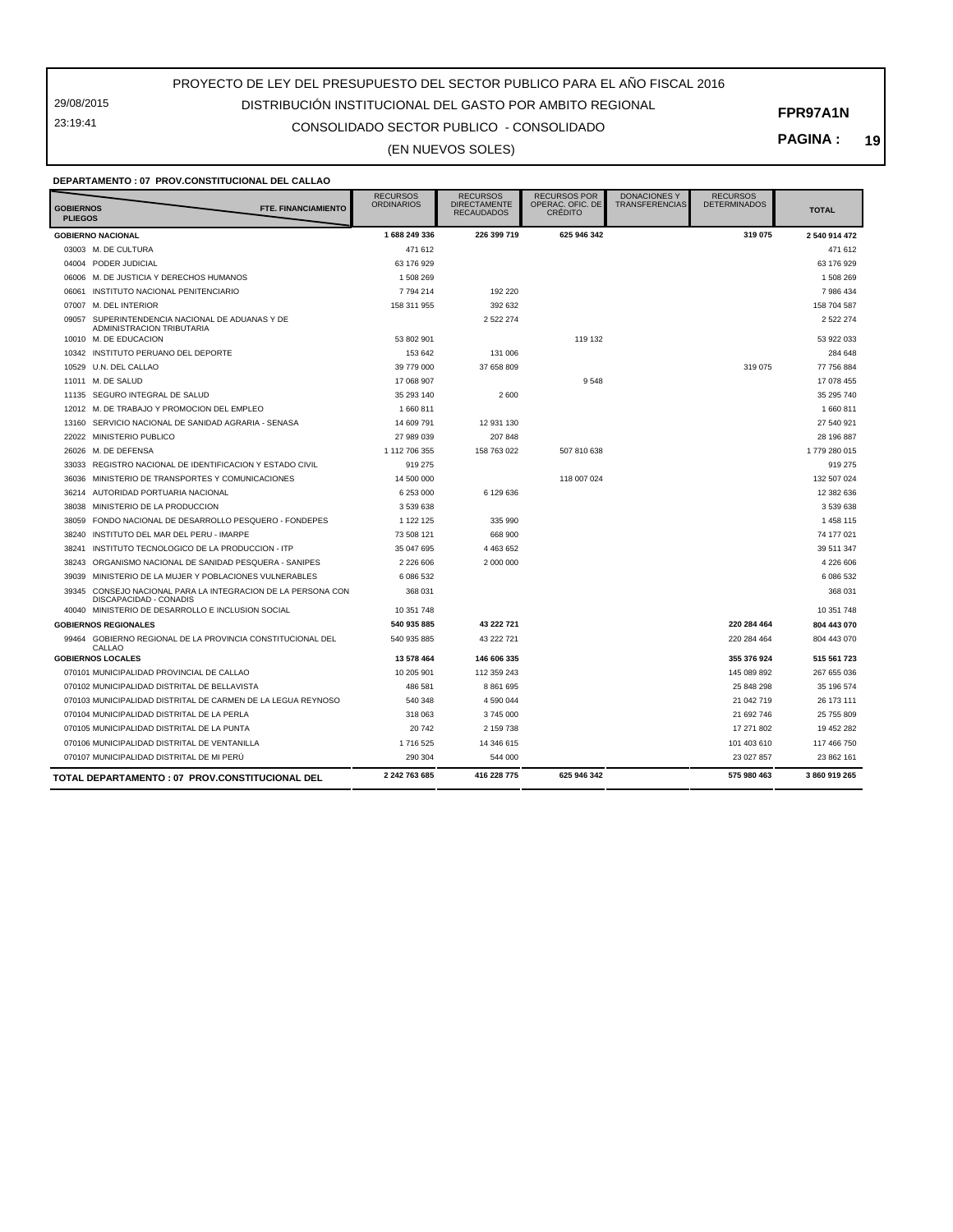29/08/2015 23:19:41

## CONSOLIDADO SECTOR PUBLICO - CONSOLIDADO DISTRIBUCIÓN INSTITUCIONAL DEL GASTO POR AMBITO REGIONAL

#### **PAGINA : 19**

(EN NUEVOS SOLES)

| DEPARTAMENTO : 07  PROV.CONSTITUCIONAL DEL CALLAO |  |
|---------------------------------------------------|--|

| <b>GOBIERNOS</b><br><b>PLIEGOS</b> | FTE. FINANCIAMIENTO                                                              | <b>RECURSOS</b><br><b>ORDINARIOS</b> | <b>RECURSOS</b><br><b>DIRECTAMENTE</b><br><b>RECAUDADOS</b> | <b>RECURSOS POR</b><br>OPERAC. OFIC. DE<br><b>CRÉDITO</b> | <b>DONACIONES Y</b><br><b>TRANSFERENCIAS</b> | <b>RECURSOS</b><br><b>DETERMINADOS</b> | <b>TOTAL</b>  |
|------------------------------------|----------------------------------------------------------------------------------|--------------------------------------|-------------------------------------------------------------|-----------------------------------------------------------|----------------------------------------------|----------------------------------------|---------------|
|                                    | <b>GOBIERNO NACIONAL</b>                                                         | 1 688 249 336                        | 226 399 719                                                 | 625 946 342                                               |                                              | 319 075                                | 2 540 914 472 |
|                                    | 03003 M. DE CULTURA                                                              | 471 612                              |                                                             |                                                           |                                              |                                        | 471 612       |
|                                    | 04004 PODER JUDICIAL                                                             | 63 176 929                           |                                                             |                                                           |                                              |                                        | 63 176 929    |
|                                    | 06006 M. DE JUSTICIA Y DERECHOS HUMANOS                                          | 1508269                              |                                                             |                                                           |                                              |                                        | 1 508 269     |
| 06061                              | INSTITUTO NACIONAL PENITENCIARIO                                                 | 7794214                              | 192 220                                                     |                                                           |                                              |                                        | 7 986 434     |
|                                    | 07007 M. DEL INTERIOR                                                            | 158 311 955                          | 392 632                                                     |                                                           |                                              |                                        | 158 704 587   |
|                                    | 09057 SUPERINTENDENCIA NACIONAL DE ADUANAS Y DE<br>ADMINISTRACION TRIBUTARIA     |                                      | 2 5 2 2 2 7 4                                               |                                                           |                                              |                                        | 2522274       |
|                                    | 10010 M. DE EDUCACION                                                            | 53 802 901                           |                                                             | 119 132                                                   |                                              |                                        | 53 922 033    |
|                                    | 10342 INSTITUTO PERUANO DEL DEPORTE                                              | 153 642                              | 131 006                                                     |                                                           |                                              |                                        | 284 648       |
| 10529                              | U.N. DEL CALLAO                                                                  | 39 779 000                           | 37 658 809                                                  |                                                           |                                              | 319 075                                | 77 756 884    |
| 11011                              | M. DE SALUD                                                                      | 17 068 907                           |                                                             | 9548                                                      |                                              |                                        | 17 078 455    |
| 11135                              | SEGURO INTEGRAL DE SALUD                                                         | 35 293 140                           | 2600                                                        |                                                           |                                              |                                        | 35 295 740    |
|                                    | 12012 M. DE TRABAJO Y PROMOCION DEL EMPLEO                                       | 1660811                              |                                                             |                                                           |                                              |                                        | 1 660 811     |
| 13160                              | SERVICIO NACIONAL DE SANIDAD AGRARIA - SENASA                                    | 14 609 791                           | 12 931 130                                                  |                                                           |                                              |                                        | 27 540 921    |
|                                    | 22022 MINISTERIO PUBLICO                                                         | 27 989 039                           | 207 848                                                     |                                                           |                                              |                                        | 28 196 887    |
|                                    | 26026 M. DE DEFENSA                                                              | 1 112 706 355                        | 158 763 022                                                 | 507 810 638                                               |                                              |                                        | 1779 280 015  |
| 33033                              | REGISTRO NACIONAL DE IDENTIFICACION Y ESTADO CIVIL                               | 919 275                              |                                                             |                                                           |                                              |                                        | 919 275       |
| 36036                              | MINISTERIO DE TRANSPORTES Y COMUNICACIONES                                       | 14 500 000                           |                                                             | 118 007 024                                               |                                              |                                        | 132 507 024   |
| 36214                              | AUTORIDAD PORTUARIA NACIONAL                                                     | 6 253 000                            | 6 129 636                                                   |                                                           |                                              |                                        | 12 382 636    |
| 38038                              | MINISTERIO DE LA PRODUCCION                                                      | 3 539 638                            |                                                             |                                                           |                                              |                                        | 3 539 638     |
| 38059                              | FONDO NACIONAL DE DESARROLLO PESQUERO - FONDEPES                                 | 1 122 125                            | 335 990                                                     |                                                           |                                              |                                        | 1 458 115     |
| 38240                              | INSTITUTO DEL MAR DEL PERU - IMARPE                                              | 73 508 121                           | 668 900                                                     |                                                           |                                              |                                        | 74 177 021    |
| 38241                              | INSTITUTO TECNOLOGICO DE LA PRODUCCION - ITP                                     | 35 047 695                           | 4 4 6 3 6 5 2                                               |                                                           |                                              |                                        | 39 511 347    |
| 38243                              | ORGANISMO NACIONAL DE SANIDAD PESQUERA - SANIPES                                 | 2 2 2 6 0 6                          | 2 000 000                                                   |                                                           |                                              |                                        | 4 226 606     |
| 39039                              | MINISTERIO DE LA MUJER Y POBLACIONES VULNERABLES                                 | 6 086 532                            |                                                             |                                                           |                                              |                                        | 6 086 532     |
| 39345                              | CONSEJO NACIONAL PARA LA INTEGRACION DE LA PERSONA CON<br>DISCAPACIDAD - CONADIS | 368 031                              |                                                             |                                                           |                                              |                                        | 368 031       |
|                                    | 40040 MINISTERIO DE DESARROLLO E INCLUSION SOCIAL                                | 10 351 748                           |                                                             |                                                           |                                              |                                        | 10 351 748    |
|                                    | <b>GOBIERNOS REGIONALES</b>                                                      | 540 935 885                          | 43 222 721                                                  |                                                           |                                              | 220 284 464                            | 804 443 070   |
|                                    | 99464 GOBIERNO REGIONAL DE LA PROVINCIA CONSTITUCIONAL DEL<br>CALLAO             | 540 935 885                          | 43 222 721                                                  |                                                           |                                              | 220 284 464                            | 804 443 070   |
|                                    | <b>GOBIERNOS LOCALES</b>                                                         | 13 578 464                           | 146 606 335                                                 |                                                           |                                              | 355 376 924                            | 515 561 723   |
|                                    | 070101 MUNICIPALIDAD PROVINCIAL DE CALLAO                                        | 10 205 901                           | 112 359 243                                                 |                                                           |                                              | 145 089 892                            | 267 655 036   |
|                                    | 070102 MUNICIPALIDAD DISTRITAL DE BELLAVISTA                                     | 486 581                              | 8 8 6 1 6 9 5                                               |                                                           |                                              | 25 848 298                             | 35 196 574    |
|                                    | 070103 MUNICIPALIDAD DISTRITAL DE CARMEN DE LA LEGUA REYNOSO                     | 540 348                              | 4 590 044                                                   |                                                           |                                              | 21 042 719                             | 26 173 111    |
|                                    | 070104 MUNICIPALIDAD DISTRITAL DE LA PERLA                                       | 318 063                              | 3745000                                                     |                                                           |                                              | 21 692 746                             | 25 755 809    |
|                                    | 070105 MUNICIPALIDAD DISTRITAL DE LA PUNTA                                       | 20742                                | 2 159 738                                                   |                                                           |                                              | 17 271 802                             | 19 452 282    |
|                                    | 070106 MUNICIPALIDAD DISTRITAL DE VENTANILLA                                     | 1716 525                             | 14 346 615                                                  |                                                           |                                              | 101 403 610                            | 117 466 750   |
|                                    | 070107 MUNICIPALIDAD DISTRITAL DE MI PERÚ                                        | 290 304                              | 544 000                                                     |                                                           |                                              | 23 027 857                             | 23 862 161    |
|                                    | TOTAL DEPARTAMENTO : 07 PROV.CONSTITUCIONAL DEL                                  | 2 242 763 685                        | 416 228 775                                                 | 625 946 342                                               |                                              | 575 980 463                            | 3860919265    |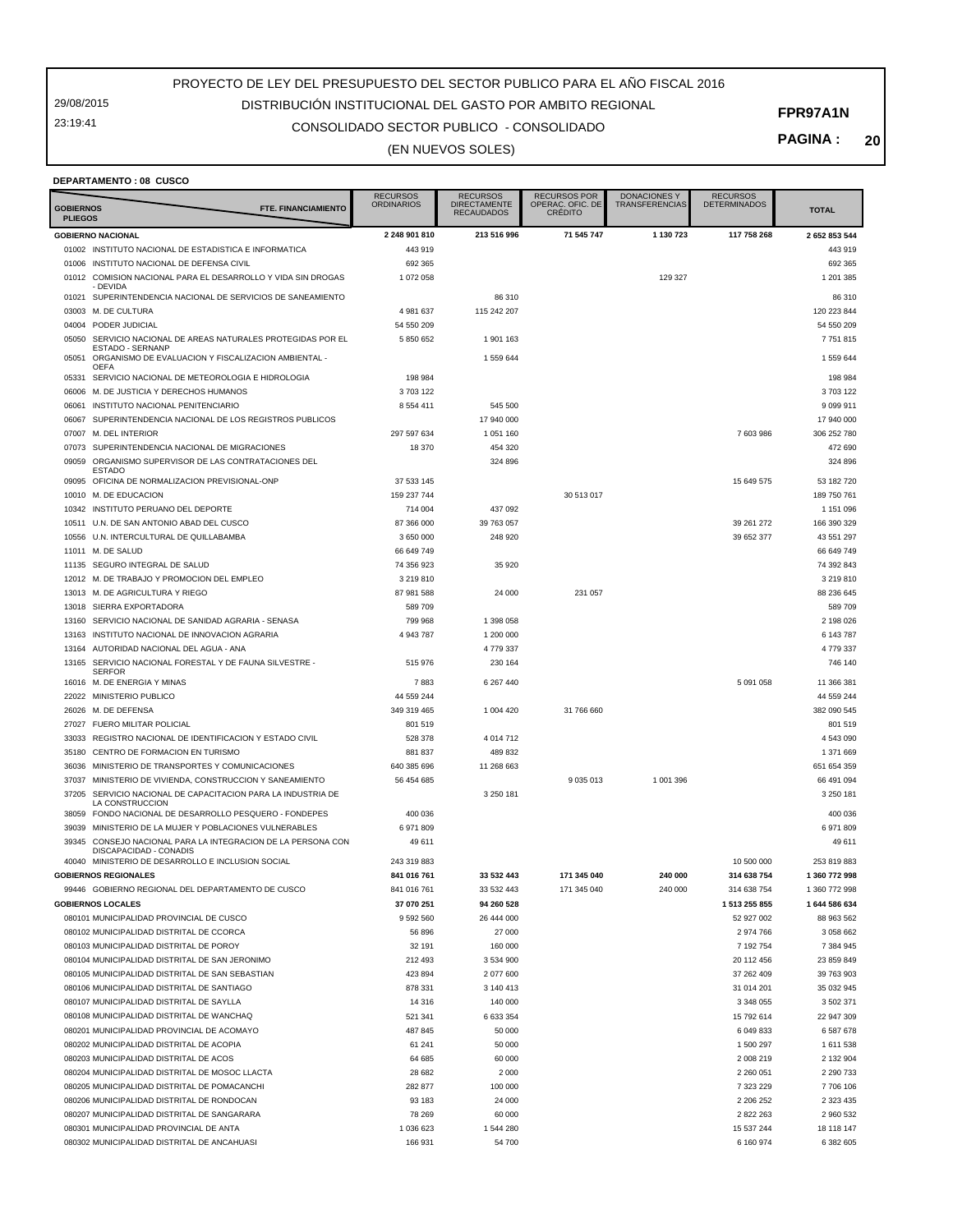29/08/2015 23:19:41

## CONSOLIDADO SECTOR PUBLICO - CONSOLIDADO DISTRIBUCIÓN INSTITUCIONAL DEL GASTO POR AMBITO REGIONAL

#### **PAGINA : 20**

**FPR97A1N**

(EN NUEVOS SOLES)

| <b>DEPARTAMENTO:08 CUSCO</b> |  |  |
|------------------------------|--|--|
|------------------------------|--|--|

| <b>GOBIERNOS</b><br><b>PLIEGOS</b> | <b>FTE. FINANCIAMIENTO</b>                                                | <b>RECURSOS</b><br><b>ORDINARIOS</b> | <b>RECURSOS</b><br><b>DIRECTAMENTE</b><br><b>RECAUDADOS</b> | <b>RECURSOS POR</b><br>OPERAÇ. OFIC. DE<br><b>CREDITO</b> | DONACIONES Y<br><b>TRANSFERENCIAS</b> | <b>RECURSOS</b><br><b>DETERMINADOS</b> | <b>TOTAL</b>  |
|------------------------------------|---------------------------------------------------------------------------|--------------------------------------|-------------------------------------------------------------|-----------------------------------------------------------|---------------------------------------|----------------------------------------|---------------|
|                                    | <b>GOBIERNO NACIONAL</b>                                                  | 2 248 901 810                        | 213 516 996                                                 | 71 545 747                                                | 1 130 723                             | 117 758 268                            | 2 652 853 544 |
|                                    | 01002 INSTITUTO NACIONAL DE ESTADISTICA E INFORMATICA                     | 443 919                              |                                                             |                                                           |                                       |                                        | 443 919       |
|                                    |                                                                           |                                      |                                                             |                                                           |                                       |                                        |               |
|                                    | 01006 INSTITUTO NACIONAL DE DEFENSA CIVIL                                 | 692 365                              |                                                             |                                                           |                                       |                                        | 692 365       |
|                                    | 01012 COMISION NACIONAL PARA EL DESARROLLO Y VIDA SIN DROGAS<br>- DEVIDA  | 1 072 058                            |                                                             |                                                           | 129 327                               |                                        | 1 201 385     |
| 01021                              | SUPERINTENDENCIA NACIONAL DE SERVICIOS DE SANEAMIENTO                     |                                      | 86 310                                                      |                                                           |                                       |                                        | 86 310        |
| 03003                              | M. DE CULTURA                                                             | 4 981 637                            | 115 242 207                                                 |                                                           |                                       |                                        | 120 223 844   |
|                                    | 04004 PODER JUDICIAL                                                      | 54 550 209                           |                                                             |                                                           |                                       |                                        | 54 550 209    |
| 05050                              | SERVICIO NACIONAL DE AREAS NATURALES PROTEGIDAS POR EL                    | 5850652                              | 1 901 163                                                   |                                                           |                                       |                                        | 7 7 5 1 8 1 5 |
|                                    | ESTADO - SERNANP                                                          |                                      |                                                             |                                                           |                                       |                                        |               |
| 05051                              | ORGANISMO DE EVALUACION Y FISCALIZACION AMBIENTAL -<br><b>OEFA</b>        |                                      | 1 559 644                                                   |                                                           |                                       |                                        | 1 559 644     |
| 05331                              | SERVICIO NACIONAL DE METEOROLOGIA E HIDROLOGIA                            | 198 984                              |                                                             |                                                           |                                       |                                        | 198 984       |
| 06006                              | M. DE JUSTICIA Y DERECHOS HUMANOS                                         | 3703122                              |                                                             |                                                           |                                       |                                        | 3 703 122     |
| 06061                              | INSTITUTO NACIONAL PENITENCIARIO                                          | 8 5 5 4 4 1 1                        | 545 500                                                     |                                                           |                                       |                                        | 9 0 9 9 9 1 1 |
| 06067                              | SUPERINTENDENCIA NACIONAL DE LOS REGISTROS PUBLICOS                       |                                      | 17 940 000                                                  |                                                           |                                       |                                        | 17 940 000    |
| 07007                              | M. DEL INTERIOR                                                           | 297 597 634                          | 1 051 160                                                   |                                                           |                                       | 7 603 986                              | 306 252 780   |
| 07073                              | SUPERINTENDENCIA NACIONAL DE MIGRACIONES                                  | 18 370                               | 454 320                                                     |                                                           |                                       |                                        | 472 690       |
| 09059                              | ORGANISMO SUPERVISOR DE LAS CONTRATACIONES DEL                            |                                      | 324 896                                                     |                                                           |                                       |                                        | 324 896       |
|                                    | <b>ESTADO</b>                                                             |                                      |                                                             |                                                           |                                       |                                        |               |
| 09095                              | OFICINA DE NORMALIZACION PREVISIONAL-ONP                                  | 37 533 145                           |                                                             |                                                           |                                       | 15 649 575                             | 53 182 720    |
| 10010                              | M. DE EDUCACION                                                           | 159 237 744                          |                                                             | 30 513 017                                                |                                       |                                        | 189 750 761   |
| 10342                              | INSTITUTO PERUANO DEL DEPORTE                                             | 714 004                              | 437 092                                                     |                                                           |                                       |                                        | 1 151 096     |
| 10511                              | U.N. DE SAN ANTONIO ABAD DEL CUSCO                                        | 87 366 000                           | 39 763 057                                                  |                                                           |                                       | 39 261 272                             | 166 390 329   |
| 10556                              | U.N. INTERCULTURAL DE QUILLABAMBA                                         | 3 650 000                            | 248 920                                                     |                                                           |                                       | 39 652 377                             | 43 551 297    |
|                                    | 11011 M. DE SALUD                                                         | 66 649 749                           |                                                             |                                                           |                                       |                                        | 66 649 749    |
| 11135                              | SEGURO INTEGRAL DE SALUD                                                  | 74 356 923                           | 35 920                                                      |                                                           |                                       |                                        | 74 392 843    |
| 12012                              | M. DE TRABAJO Y PROMOCION DEL EMPLEO                                      | 3 219 810                            |                                                             |                                                           |                                       |                                        | 3 219 810     |
| 13013                              | M. DE AGRICULTURA Y RIEGO                                                 | 87 981 588                           | 24 000                                                      | 231 057                                                   |                                       |                                        | 88 236 645    |
| 13018                              | SIERRA EXPORTADORA                                                        | 589709                               |                                                             |                                                           |                                       |                                        | 589 709       |
| 13160                              | SERVICIO NACIONAL DE SANIDAD AGRARIA - SENASA                             | 799 968                              | 1 398 058                                                   |                                                           |                                       |                                        | 2 198 026     |
| 13163                              | INSTITUTO NACIONAL DE INNOVACION AGRARIA                                  | 4 943 787                            | 1 200 000                                                   |                                                           |                                       |                                        | 6 143 787     |
|                                    |                                                                           |                                      |                                                             |                                                           |                                       |                                        |               |
| 13164                              | AUTORIDAD NACIONAL DEL AGUA - ANA                                         |                                      | 4779337                                                     |                                                           |                                       |                                        | 4 779 337     |
| 13165                              | SERVICIO NACIONAL FORESTAL Y DE FAUNA SILVESTRE -<br><b>SERFOR</b>        | 515 976                              | 230 164                                                     |                                                           |                                       |                                        | 746 140       |
|                                    | 16016 M. DE ENERGIA Y MINAS                                               | 7883                                 | 6 267 440                                                   |                                                           |                                       | 5 091 058                              | 11 366 381    |
|                                    | 22022 MINISTERIO PUBLICO                                                  | 44 559 244                           |                                                             |                                                           |                                       |                                        | 44 559 244    |
| 26026                              | M. DE DEFENSA                                                             | 349 319 465                          | 1 004 420                                                   | 31 766 660                                                |                                       |                                        | 382 090 545   |
| 27027                              | <b>FUERO MILITAR POLICIAL</b>                                             | 801 519                              |                                                             |                                                           |                                       |                                        | 801 519       |
| 33033                              | REGISTRO NACIONAL DE IDENTIFICACION Y ESTADO CIVIL                        | 528 378                              | 4 014 712                                                   |                                                           |                                       |                                        | 4 543 090     |
| 35180                              | CENTRO DE FORMACION EN TURISMO                                            | 881 837                              | 489 832                                                     |                                                           |                                       |                                        | 1 371 669     |
| 36036                              | MINISTERIO DE TRANSPORTES Y COMUNICACIONES                                | 640 385 696                          | 11 268 663                                                  |                                                           |                                       |                                        | 651 654 359   |
| 37037                              |                                                                           |                                      |                                                             | 9 0 3 5 0 1 3                                             | 1 001 396                             |                                        |               |
|                                    | MINISTERIO DE VIVIENDA, CONSTRUCCION Y SANEAMIENTO                        | 56 454 685                           |                                                             |                                                           |                                       |                                        | 66 491 094    |
| 37205                              | SERVICIO NACIONAL DE CAPACITACION PARA LA INDUSTRIA DE<br>LA CONSTRUCCION |                                      | 3 250 181                                                   |                                                           |                                       |                                        | 3 250 181     |
| 38059                              | FONDO NACIONAL DE DESARROLLO PESQUERO - FONDEPES                          | 400 036                              |                                                             |                                                           |                                       |                                        | 400 036       |
| 39039                              | MINISTERIO DE LA MUJER Y POBLACIONES VULNERABLES                          | 6971809                              |                                                             |                                                           |                                       |                                        | 6 971 809     |
| 39345                              | CONSEJO NACIONAL PARA LA INTEGRACION DE LA PERSONA CON                    | 49 611                               |                                                             |                                                           |                                       |                                        | 49 611        |
|                                    | DISCAPACIDAD - CONADIS                                                    |                                      |                                                             |                                                           |                                       |                                        |               |
|                                    | 40040 MINISTERIO DE DESARROLLO E INCLUSION SOCIAL                         | 243 319 883                          |                                                             |                                                           |                                       | 10 500 000                             | 253 819 883   |
|                                    | <b>GOBIERNOS REGIONALES</b>                                               | 841 016 761                          | 33 532 443                                                  | 171 345 040                                               | 240 000                               | 314 638 754                            | 1 360 772 998 |
|                                    | 99446 GOBIERNO REGIONAL DEL DEPARTAMENTO DE CUSCO                         | 841 016 761                          | 33 532 443                                                  | 171 345 040                                               | 240 000                               | 314 638 754                            | 1 360 772 998 |
|                                    | <b>GOBIERNOS LOCALES</b>                                                  | 37 070 251                           | 94 260 528                                                  |                                                           |                                       | 1 513 255 855                          | 1 644 586 634 |
|                                    | 080101 MUNICIPALIDAD PROVINCIAL DE CUSCO                                  | 9 5 9 2 5 6 0                        | 26 444 000                                                  |                                                           |                                       | 52 927 002                             | 88 963 562    |
|                                    | 080102 MUNICIPALIDAD DISTRITAL DE CCORCA                                  | 56 896                               | 27 000                                                      |                                                           |                                       | 2 974 766                              | 3 058 662     |
|                                    | 080103 MUNICIPALIDAD DISTRITAL DE POROY                                   | 32 191                               | 160 000                                                     |                                                           |                                       | 7 192 754                              | 7 384 945     |
|                                    | 080104 MUNICIPALIDAD DISTRITAL DE SAN JERONIMO                            | 212 493                              | 3 534 900                                                   |                                                           |                                       | 20 112 456                             | 23 859 849    |
|                                    | 080105 MUNICIPALIDAD DISTRITAL DE SAN SEBASTIAN                           | 423 894                              | 2 077 600                                                   |                                                           |                                       | 37 262 409                             | 39 763 903    |
|                                    | 080106 MUNICIPALIDAD DISTRITAL DE SANTIAGO                                | 878 331                              | 3 140 413                                                   |                                                           |                                       | 31 014 201                             | 35 032 945    |
|                                    | 080107 MUNICIPALIDAD DISTRITAL DE SAYLLA                                  | 14 316                               | 140 000                                                     |                                                           |                                       | 3 348 055                              | 3 502 371     |
|                                    | 080108 MUNICIPALIDAD DISTRITAL DE WANCHAQ                                 | 521 341                              | 6 633 354                                                   |                                                           |                                       | 15 792 614                             | 22 947 309    |
|                                    | 080201 MUNICIPALIDAD PROVINCIAL DE ACOMAYO                                | 487 845                              | 50 000                                                      |                                                           |                                       | 6 049 833                              | 6 587 678     |
|                                    | 080202 MUNICIPALIDAD DISTRITAL DE ACOPIA                                  |                                      |                                                             |                                                           |                                       |                                        |               |
|                                    | 080203 MUNICIPALIDAD DISTRITAL DE ACOS                                    | 61 241                               | 50 000                                                      |                                                           |                                       | 1 500 297                              | 1 611 538     |
|                                    |                                                                           | 64 685                               | 60 000                                                      |                                                           |                                       | 2 008 219                              | 2 132 904     |
|                                    | 080204 MUNICIPALIDAD DISTRITAL DE MOSOC LLACTA                            | 28 682                               | 2 0 0 0                                                     |                                                           |                                       | 2 260 051                              | 2 2 9 0 7 3 3 |
|                                    | 080205 MUNICIPALIDAD DISTRITAL DE POMACANCHI                              | 282 877                              | 100 000                                                     |                                                           |                                       | 7 323 229                              | 7 706 106     |
|                                    | 080206 MUNICIPALIDAD DISTRITAL DE RONDOCAN                                | 93 183                               | 24 000                                                      |                                                           |                                       | 2 206 252                              | 2 323 435     |
|                                    | 080207 MUNICIPALIDAD DISTRITAL DE SANGARARA                               | 78 269                               | 60 000                                                      |                                                           |                                       | 2 822 263                              | 2 960 532     |
|                                    | 080301 MUNICIPALIDAD PROVINCIAL DE ANTA                                   | 1 036 623                            | 1 544 280                                                   |                                                           |                                       | 15 537 244                             | 18 118 147    |
|                                    | 080302 MUNICIPALIDAD DISTRITAL DE ANCAHUASI                               | 166 931                              | 54 700                                                      |                                                           |                                       | 6 160 974                              | 6 382 605     |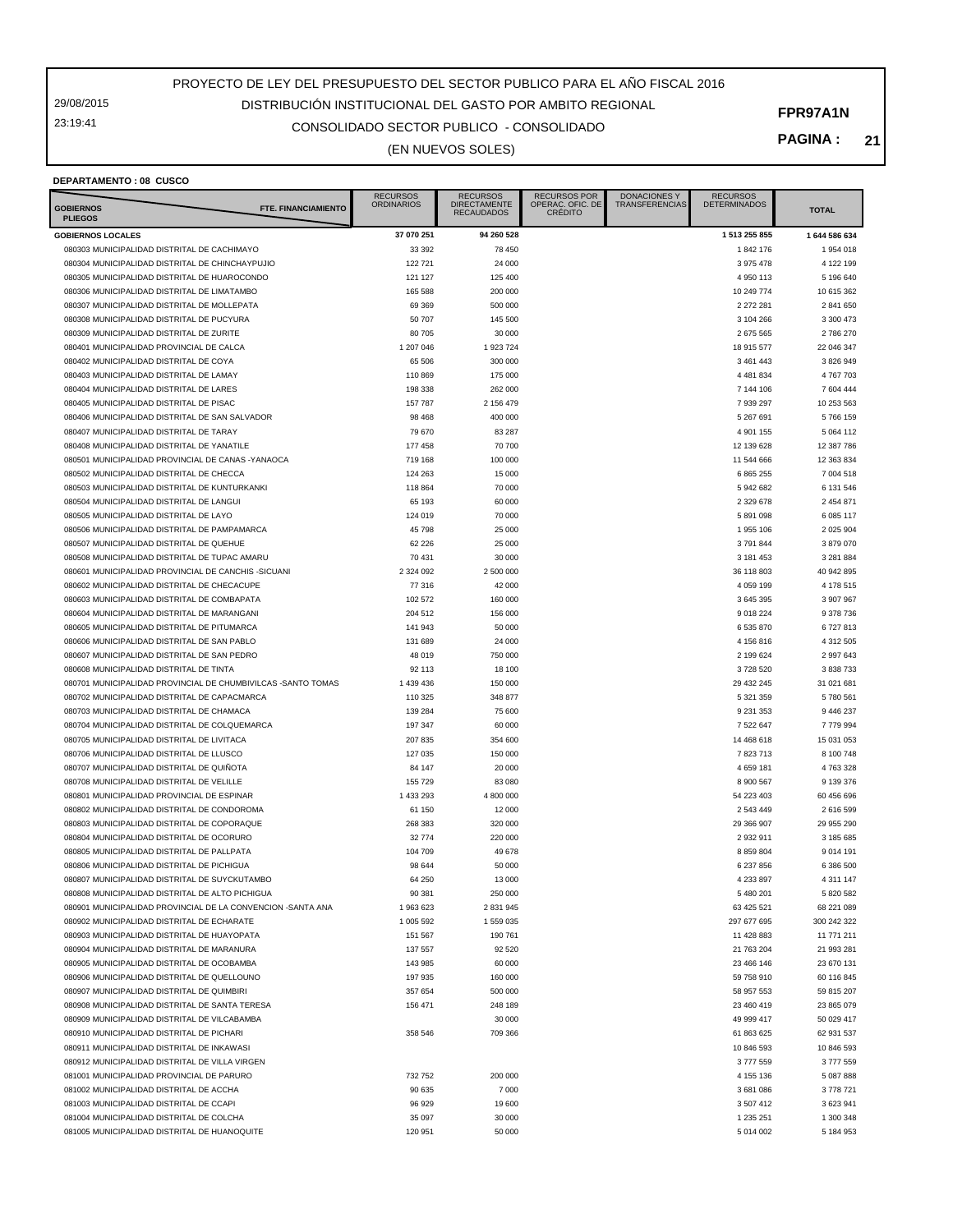29/08/2015 23:19:41

## CONSOLIDADO SECTOR PUBLICO - CONSOLIDADO DISTRIBUCIÓN INSTITUCIONAL DEL GASTO POR AMBITO REGIONAL

(EN NUEVOS SOLES)

**PAGINA : 21**

#### **DEPARTAMENTO : 08 CUSCO**

| FTE. FINANCIAMIENTO<br><b>GOBIERNOS</b><br><b>PLIEGOS</b>                                   | <b>RECURSOS</b><br><b>ORDINARIOS</b> | <b>RECURSOS</b><br><b>DIRECTAMENTE</b><br><b>RECAUDADOS</b> | <b>RECURSOS POR</b><br>OPERAC. OFIC. DE<br><b>CRÉDITO</b> | <b>DONACIONES Y</b><br>TRANSFERENCIAS | <b>RECURSOS</b><br><b>DETERMINADOS</b> | <b>TOTAL</b>            |
|---------------------------------------------------------------------------------------------|--------------------------------------|-------------------------------------------------------------|-----------------------------------------------------------|---------------------------------------|----------------------------------------|-------------------------|
| <b>GOBIERNOS LOCALES</b>                                                                    | 37 070 251                           | 94 260 528                                                  |                                                           |                                       | 1 513 255 855                          | 1644 586 634            |
| 080303 MUNICIPALIDAD DISTRITAL DE CACHIMAYO                                                 | 33 392                               | 78 450                                                      |                                                           |                                       | 1842176                                | 1954018                 |
| 080304 MUNICIPALIDAD DISTRITAL DE CHINCHAYPUJIO                                             | 122 721                              | 24 000                                                      |                                                           |                                       | 3 975 478                              | 4 122 199               |
| 080305 MUNICIPALIDAD DISTRITAL DE HUAROCONDO                                                | 121 127                              | 125 400                                                     |                                                           |                                       | 4 950 113                              | 5 196 640               |
| 080306 MUNICIPALIDAD DISTRITAL DE LIMATAMBO                                                 | 165 588                              | 200 000                                                     |                                                           |                                       | 10 249 774                             | 10 615 362              |
| 080307 MUNICIPALIDAD DISTRITAL DE MOLLEPATA                                                 | 69 369                               | 500 000                                                     |                                                           |                                       | 2 272 281                              | 2 841 650               |
| 080308 MUNICIPALIDAD DISTRITAL DE PUCYURA                                                   | 50 707                               | 145 500                                                     |                                                           |                                       | 3 104 266                              | 3 300 473               |
| 080309 MUNICIPALIDAD DISTRITAL DE ZURITE<br>080401 MUNICIPALIDAD PROVINCIAL DE CALCA        | 80 705<br>1 207 046                  | 30 000<br>1 923 724                                         |                                                           |                                       | 2 675 565<br>18 915 577                | 2 786 270<br>22 046 347 |
| 080402 MUNICIPALIDAD DISTRITAL DE COYA                                                      | 65 506                               | 300 000                                                     |                                                           |                                       | 3 461 443                              | 3 826 949               |
| 080403 MUNICIPALIDAD DISTRITAL DE LAMAY                                                     | 110869                               | 175 000                                                     |                                                           |                                       | 4 481 834                              | 4 767 703               |
| 080404 MUNICIPALIDAD DISTRITAL DE LARES                                                     | 198 338                              | 262 000                                                     |                                                           |                                       | 7 144 106                              | 7 604 444               |
| 080405 MUNICIPALIDAD DISTRITAL DE PISAC                                                     | 157 787                              | 2 156 479                                                   |                                                           |                                       | 7 939 297                              | 10 253 563              |
| 080406 MUNICIPALIDAD DISTRITAL DE SAN SALVADOR                                              | 98 4 68                              | 400 000                                                     |                                                           |                                       | 5 267 691                              | 5766159                 |
| 080407 MUNICIPALIDAD DISTRITAL DE TARAY                                                     | 79 670                               | 83 287                                                      |                                                           |                                       | 4 901 155                              | 5 0 64 1 12             |
| 080408 MUNICIPALIDAD DISTRITAL DE YANATILE                                                  | 177 458                              | 70 700                                                      |                                                           |                                       | 12 139 628                             | 12 387 786              |
| 080501 MUNICIPALIDAD PROVINCIAL DE CANAS - YANAOCA                                          | 719 168                              | 100 000                                                     |                                                           |                                       | 11 544 666                             | 12 363 834              |
| 080502 MUNICIPALIDAD DISTRITAL DE CHECCA                                                    | 124 263                              | 15 000                                                      |                                                           |                                       | 6 865 255                              | 7 004 518               |
| 080503 MUNICIPALIDAD DISTRITAL DE KUNTURKANKI                                               | 118 864                              | 70 000                                                      |                                                           |                                       | 5 942 682                              | 6 131 546               |
| 080504 MUNICIPALIDAD DISTRITAL DE LANGUI                                                    | 65 193                               | 60 000                                                      |                                                           |                                       | 2 329 678                              | 2 454 871               |
| 080505 MUNICIPALIDAD DISTRITAL DE LAYO                                                      | 124 019                              | 70 000                                                      |                                                           |                                       | 5 891 098                              | 6 085 117               |
| 080506 MUNICIPALIDAD DISTRITAL DE PAMPAMARCA                                                | 45 798                               | 25 000                                                      |                                                           |                                       | 1 955 106                              | 2 0 2 5 9 0 4           |
| 080507 MUNICIPALIDAD DISTRITAL DE QUEHUE                                                    | 62 226                               | 25 000                                                      |                                                           |                                       | 3791844                                | 3879070                 |
| 080508 MUNICIPALIDAD DISTRITAL DE TUPAC AMARU                                               | 70 431                               | 30 000                                                      |                                                           |                                       | 3 181 453                              | 3 281 884               |
| 080601 MUNICIPALIDAD PROVINCIAL DE CANCHIS -SICUANI                                         | 2 3 2 4 0 9 2                        | 2 500 000                                                   |                                                           |                                       | 36 118 803                             | 40 942 895              |
| 080602 MUNICIPALIDAD DISTRITAL DE CHECACUPE                                                 | 77 316                               | 42 000                                                      |                                                           |                                       | 4 0 59 1 99                            | 4 178 515               |
| 080603 MUNICIPALIDAD DISTRITAL DE COMBAPATA                                                 | 102 572                              | 160 000                                                     |                                                           |                                       | 3 645 395                              | 3 907 967               |
| 080604 MUNICIPALIDAD DISTRITAL DE MARANGANI<br>080605 MUNICIPALIDAD DISTRITAL DE PITUMARCA  | 204 512<br>141 943                   | 156 000<br>50 000                                           |                                                           |                                       | 9 018 224<br>6 535 870                 | 9 378 736<br>6727813    |
| 080606 MUNICIPALIDAD DISTRITAL DE SAN PABLO                                                 | 131 689                              | 24 000                                                      |                                                           |                                       | 4 156 816                              | 4 312 505               |
| 080607 MUNICIPALIDAD DISTRITAL DE SAN PEDRO                                                 | 48 019                               | 750 000                                                     |                                                           |                                       | 2 199 624                              | 2 997 643               |
| 080608 MUNICIPALIDAD DISTRITAL DE TINTA                                                     | 92 113                               | 18 100                                                      |                                                           |                                       | 3728520                                | 3 838 733               |
| 080701 MUNICIPALIDAD PROVINCIAL DE CHUMBIVILCAS -SANTO TOMAS                                | 1 439 436                            | 150 000                                                     |                                                           |                                       | 29 432 245                             | 31 021 681              |
| 080702 MUNICIPALIDAD DISTRITAL DE CAPACMARCA                                                | 110 325                              | 348 877                                                     |                                                           |                                       | 5 321 359                              | 5 780 561               |
| 080703 MUNICIPALIDAD DISTRITAL DE CHAMACA                                                   | 139 284                              | 75 600                                                      |                                                           |                                       | 9 2 3 1 3 5 3                          | 9 446 237               |
| 080704 MUNICIPALIDAD DISTRITAL DE COLQUEMARCA                                               | 197 347                              | 60 000                                                      |                                                           |                                       | 7 522 647                              | 7 779 994               |
| 080705 MUNICIPALIDAD DISTRITAL DE LIVITACA                                                  | 207 835                              | 354 600                                                     |                                                           |                                       | 14 468 618                             | 15 031 053              |
| 080706 MUNICIPALIDAD DISTRITAL DE LLUSCO                                                    | 127 035                              | 150 000                                                     |                                                           |                                       | 7 823 713                              | 8 100 748               |
| 080707 MUNICIPALIDAD DISTRITAL DE QUIÑOTA                                                   | 84 147                               | 20 000                                                      |                                                           |                                       | 4 659 181                              | 4 763 328               |
| 080708 MUNICIPALIDAD DISTRITAL DE VELILLE                                                   | 155 729                              | 83 080                                                      |                                                           |                                       | 8 900 567                              | 9 139 376               |
| 080801 MUNICIPALIDAD PROVINCIAL DE ESPINAR                                                  | 1 433 293                            | 4 800 000                                                   |                                                           |                                       | 54 223 403                             | 60 456 696              |
| 080802 MUNICIPALIDAD DISTRITAL DE CONDOROMA                                                 | 61 150                               | 12 000                                                      |                                                           |                                       | 2 543 449                              | 2 616 599               |
| 080803 MUNICIPALIDAD DISTRITAL DE COPORAQUE                                                 | 268 383                              | 320,000                                                     |                                                           |                                       | 29 366 907                             | 29 955 290              |
| 080804 MUNICIPALIDAD DISTRITAL DE OCORURO                                                   | 32 774                               | 220,000                                                     |                                                           |                                       | 2 932 911                              | 3 185 685               |
| 080805 MUNICIPALIDAD DISTRITAL DE PALLPATA                                                  | 104 709                              | 49 678                                                      |                                                           |                                       | 8 8 5 9 8 0 4                          | 9 0 1 4 1 9 1           |
| 080806 MUNICIPALIDAD DISTRITAL DE PICHIGUA<br>080807 MUNICIPALIDAD DISTRITAL DE SUYCKUTAMBO | 98 644<br>64 250                     | 50 000<br>13 000                                            |                                                           |                                       | 6 237 856<br>4 233 897                 | 6 386 500<br>4 311 147  |
| 080808 MUNICIPALIDAD DISTRITAL DE ALTO PICHIGUA                                             | 90 381                               | 250 000                                                     |                                                           |                                       | 5 480 201                              | 5 820 582               |
| 080901 MUNICIPALIDAD PROVINCIAL DE LA CONVENCION -SANTA ANA                                 | 1963623                              | 2 831 945                                                   |                                                           |                                       | 63 425 521                             | 68 221 089              |
| 080902 MUNICIPALIDAD DISTRITAL DE ECHARATE                                                  | 1 005 592                            | 1 559 035                                                   |                                                           |                                       | 297 677 695                            | 300 242 322             |
| 080903 MUNICIPALIDAD DISTRITAL DE HUAYOPATA                                                 | 151 567                              | 190 761                                                     |                                                           |                                       | 11 428 883                             | 11 771 211              |
| 080904 MUNICIPALIDAD DISTRITAL DE MARANURA                                                  | 137 557                              | 92 5 20                                                     |                                                           |                                       | 21 763 204                             | 21 993 281              |
| 080905 MUNICIPALIDAD DISTRITAL DE OCOBAMBA                                                  | 143 985                              | 60 000                                                      |                                                           |                                       | 23 466 146                             | 23 670 131              |
| 080906 MUNICIPALIDAD DISTRITAL DE QUELLOUNO                                                 | 197 935                              | 160 000                                                     |                                                           |                                       | 59 758 910                             | 60 116 845              |
| 080907 MUNICIPALIDAD DISTRITAL DE QUIMBIRI                                                  | 357 654                              | 500 000                                                     |                                                           |                                       | 58 957 553                             | 59 815 207              |
| 080908 MUNICIPALIDAD DISTRITAL DE SANTA TERESA                                              | 156 471                              | 248 189                                                     |                                                           |                                       | 23 460 419                             | 23 865 079              |
| 080909 MUNICIPALIDAD DISTRITAL DE VILCABAMBA                                                |                                      | 30 000                                                      |                                                           |                                       | 49 999 417                             | 50 029 417              |
| 080910 MUNICIPALIDAD DISTRITAL DE PICHARI                                                   | 358 546                              | 709 366                                                     |                                                           |                                       | 61 863 625                             | 62 931 537              |
| 080911 MUNICIPALIDAD DISTRITAL DE INKAWASI                                                  |                                      |                                                             |                                                           |                                       | 10 846 593                             | 10 846 593              |
| 080912 MUNICIPALIDAD DISTRITAL DE VILLA VIRGEN                                              |                                      |                                                             |                                                           |                                       | 3777559                                | 3777559                 |
| 081001 MUNICIPALIDAD PROVINCIAL DE PARURO                                                   | 732 752                              | 200 000                                                     |                                                           |                                       | 4 155 136                              | 5 087 888               |
| 081002 MUNICIPALIDAD DISTRITAL DE ACCHA                                                     | 90 635                               | 7 0 0 0                                                     |                                                           |                                       | 3 681 086                              | 3778721                 |
| 081003 MUNICIPALIDAD DISTRITAL DE CCAPI                                                     | 96 929                               | 19 600                                                      |                                                           |                                       | 3 507 412                              | 3 623 941               |
| 081004 MUNICIPALIDAD DISTRITAL DE COLCHA<br>081005 MUNICIPALIDAD DISTRITAL DE HUANOQUITE    | 35 097                               | 30 000                                                      |                                                           |                                       | 1 235 251                              | 1 300 348               |
|                                                                                             | 120 951                              | 50 000                                                      |                                                           |                                       | 5 014 002                              | 5 184 953               |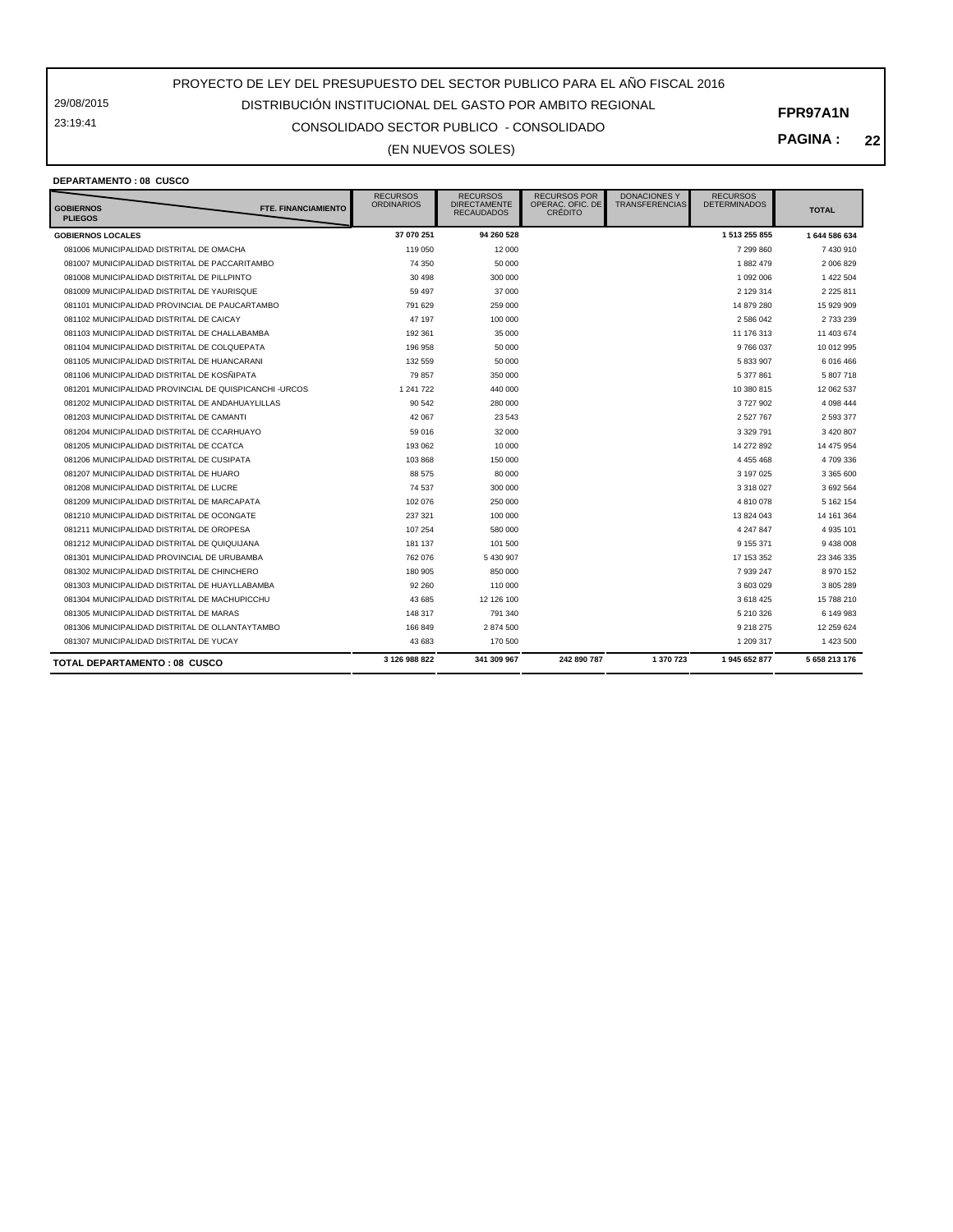29/08/2015 23:19:41

## CONSOLIDADO SECTOR PUBLICO - CONSOLIDADO DISTRIBUCIÓN INSTITUCIONAL DEL GASTO POR AMBITO REGIONAL

(EN NUEVOS SOLES)

**PAGINA : 22**

#### **DEPARTAMENTO : 08 CUSCO**

| <b>GOBIERNOS</b><br><b>FTE. FINANCIAMIENTO</b><br><b>PLIEGOS</b> | <b>RECURSOS</b><br><b>ORDINARIOS</b> | <b>RECURSOS</b><br><b>DIRECTAMENTE</b><br><b>RECAUDADOS</b> | <b>RECURSOS POR</b><br>OPERAC. OFIC. DE<br><b>CRÉDITO</b> | <b>DONACIONES Y</b><br><b>TRANSFERENCIAS</b> | <b>RECURSOS</b><br><b>DETERMINADOS</b> | <b>TOTAL</b>  |
|------------------------------------------------------------------|--------------------------------------|-------------------------------------------------------------|-----------------------------------------------------------|----------------------------------------------|----------------------------------------|---------------|
| <b>GOBIERNOS LOCALES</b>                                         | 37 070 251                           | 94 260 528                                                  |                                                           |                                              | 1 513 255 855                          | 1 644 586 634 |
| 081006 MUNICIPALIDAD DISTRITAL DE OMACHA                         | 119 050                              | 12 000                                                      |                                                           |                                              | 7 299 860                              | 7 430 910     |
| 081007 MUNICIPALIDAD DISTRITAL DE PACCARITAMBO                   | 74 350                               | 50 000                                                      |                                                           |                                              | 1882 479                               | 2 006 829     |
| 081008 MUNICIPALIDAD DISTRITAL DE PILLPINTO                      | 30 498                               | 300 000                                                     |                                                           |                                              | 1 092 006                              | 1 422 504     |
| 081009 MUNICIPALIDAD DISTRITAL DE YAURISQUE                      | 59 497                               | 37 000                                                      |                                                           |                                              | 2 129 314                              | 2 2 2 5 8 1 1 |
| 081101 MUNICIPALIDAD PROVINCIAL DE PAUCARTAMBO                   | 791 629                              | 259 000                                                     |                                                           |                                              | 14 879 280                             | 15 929 909    |
| 081102 MUNICIPALIDAD DISTRITAL DE CAICAY                         | 47 197                               | 100 000                                                     |                                                           |                                              | 2 586 042                              | 2 733 239     |
| 081103 MUNICIPALIDAD DISTRITAL DE CHALLABAMBA                    | 192 361                              | 35 000                                                      |                                                           |                                              | 11 176 313                             | 11 403 674    |
| 081104 MUNICIPALIDAD DISTRITAL DE COLQUEPATA                     | 196 958                              | 50 000                                                      |                                                           |                                              | 9 766 037                              | 10 012 995    |
| 081105 MUNICIPALIDAD DISTRITAL DE HUANCARANI                     | 132 559                              | 50,000                                                      |                                                           |                                              | 5 833 907                              | 6 016 466     |
| 081106 MUNICIPALIDAD DISTRITAL DE KOSÑIPATA                      | 79 857                               | 350 000                                                     |                                                           |                                              | 5 377 861                              | 5 807 718     |
| 081201 MUNICIPALIDAD PROVINCIAL DE QUISPICANCHI -URCOS           | 1 241 722                            | 440 000                                                     |                                                           |                                              | 10 380 815                             | 12 062 537    |
| 081202 MUNICIPALIDAD DISTRITAL DE ANDAHUAYLILLAS                 | 90 542                               | 280 000                                                     |                                                           |                                              | 3727902                                | 4 0 98 4 44   |
| 081203 MUNICIPALIDAD DISTRITAL DE CAMANTI                        | 42 067                               | 23 543                                                      |                                                           |                                              | 2 527 767                              | 2 593 377     |
| 081204 MUNICIPALIDAD DISTRITAL DE CCARHUAYO                      | 59 016                               | 32 000                                                      |                                                           |                                              | 3 3 2 9 7 9 1                          | 3 420 807     |
| 081205 MUNICIPALIDAD DISTRITAL DE CCATCA                         | 193 062                              | 10 000                                                      |                                                           |                                              | 14 272 892                             | 14 475 954    |
| 081206 MUNICIPALIDAD DISTRITAL DE CUSIPATA                       | 103868                               | 150 000                                                     |                                                           |                                              | 4 4 5 4 4 6 8                          | 4709336       |
| 081207 MUNICIPALIDAD DISTRITAL DE HUARO                          | 88 575                               | 80 000                                                      |                                                           |                                              | 3 197 025                              | 3 365 600     |
| 081208 MUNICIPALIDAD DISTRITAL DE LUCRE                          | 74 537                               | 300 000                                                     |                                                           |                                              | 3 3 18 0 27                            | 3 692 564     |
| 081209 MUNICIPALIDAD DISTRITAL DE MARCAPATA                      | 102 076                              | 250 000                                                     |                                                           |                                              | 4 810 078                              | 5 162 154     |
| 081210 MUNICIPALIDAD DISTRITAL DE OCONGATE                       | 237 321                              | 100 000                                                     |                                                           |                                              | 13 824 043                             | 14 161 364    |
| 081211 MUNICIPALIDAD DISTRITAL DE OROPESA                        | 107 254                              | 580 000                                                     |                                                           |                                              | 4 247 847                              | 4 935 101     |
| 081212 MUNICIPALIDAD DISTRITAL DE QUIQUIJANA                     | 181 137                              | 101 500                                                     |                                                           |                                              | 9 155 371                              | 9 438 008     |
| 081301 MUNICIPALIDAD PROVINCIAL DE URUBAMBA                      | 762 076                              | 5 430 907                                                   |                                                           |                                              | 17 153 352                             | 23 346 335    |
| 081302 MUNICIPALIDAD DISTRITAL DE CHINCHERO                      | 180 905                              | 850 000                                                     |                                                           |                                              | 7 939 247                              | 8 970 152     |
| 081303 MUNICIPALIDAD DISTRITAL DE HUAYLLABAMBA                   | 92 260                               | 110 000                                                     |                                                           |                                              | 3 603 029                              | 3 805 289     |
| 081304 MUNICIPALIDAD DISTRITAL DE MACHUPICCHU                    | 43 685                               | 12 126 100                                                  |                                                           |                                              | 3 618 425                              | 15 788 210    |
| 081305 MUNICIPALIDAD DISTRITAL DE MARAS                          | 148 317                              | 791 340                                                     |                                                           |                                              | 5 210 326                              | 6 149 983     |
| 081306 MUNICIPALIDAD DISTRITAL DE OLLANTAYTAMBO                  | 166849                               | 2874500                                                     |                                                           |                                              | 9 218 275                              | 12 259 624    |
| 081307 MUNICIPALIDAD DISTRITAL DE YUCAY                          | 43 683                               | 170 500                                                     |                                                           |                                              | 1 209 317                              | 1 423 500     |
| <b>TOTAL DEPARTAMENTO : 08 CUSCO</b>                             | 3 126 988 822                        | 341 309 967                                                 | 242 890 787                                               | 1 370 723                                    | 1945 652 877                           | 5 658 213 176 |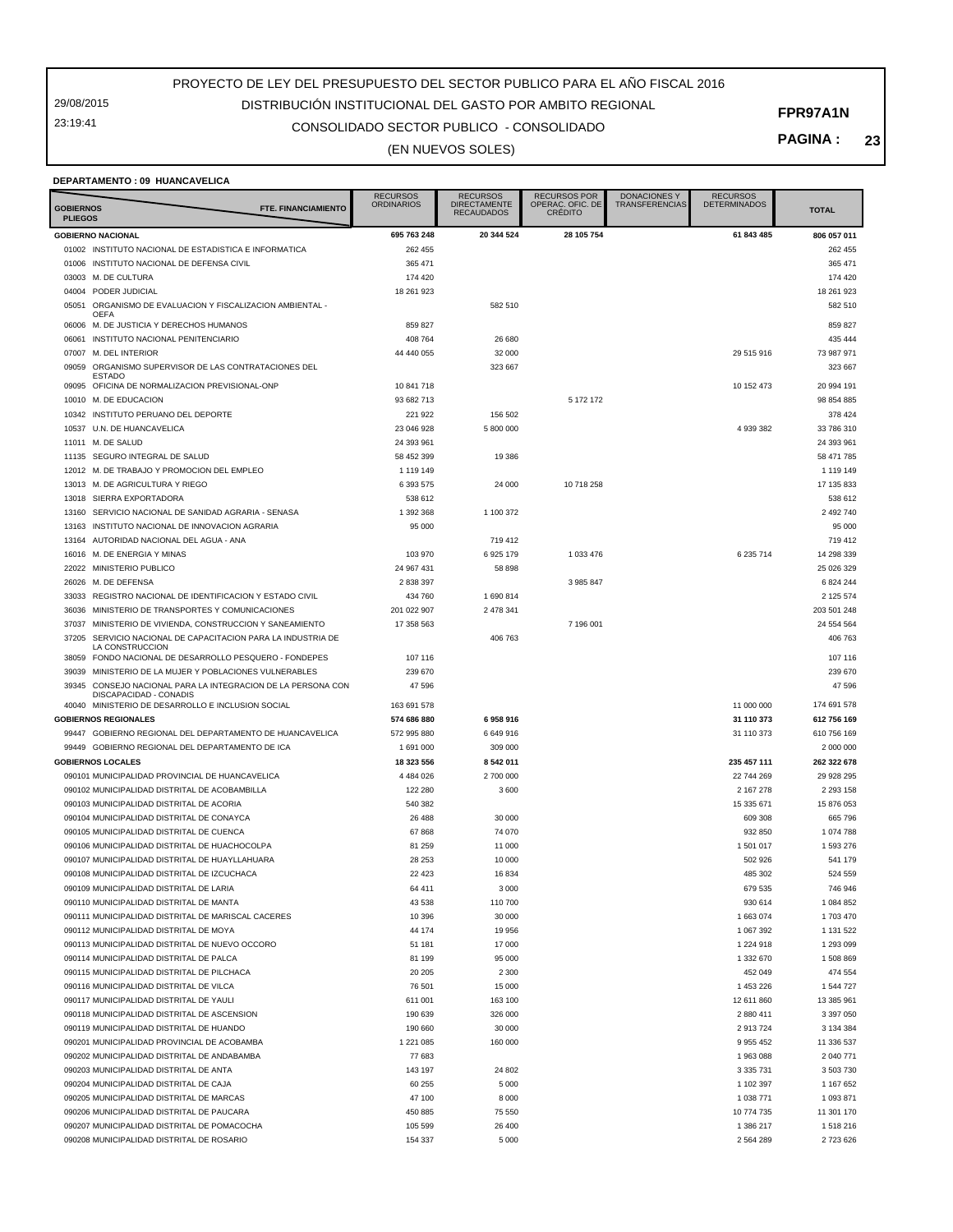29/08/2015 23:19:41

## CONSOLIDADO SECTOR PUBLICO - CONSOLIDADO DISTRIBUCIÓN INSTITUCIONAL DEL GASTO POR AMBITO REGIONAL

#### **PAGINA : 23**

#### (EN NUEVOS SOLES)

#### **DEPARTAMENTO : 09 HUANCAVELICA**

| <b>GOBIERNOS</b><br><b>PLIEGOS</b> | FTE. FINANCIAMIENTO                                                              | <b>RECURSOS</b><br><b>ORDINARIOS</b> | <b>RECURSOS</b><br><b>DIRECTAMENTE</b><br><b>RECAUDADOS</b> | <b>RECURSOS POR</b><br>OPERAÇ. OFIC. DE<br><b>CRÉDITO</b> | <b>DONACIONES Y</b><br><b>TRANSFERENCIAS</b> | <b>RECURSOS</b><br><b>DETERMINADOS</b> | <b>TOTAL</b>  |
|------------------------------------|----------------------------------------------------------------------------------|--------------------------------------|-------------------------------------------------------------|-----------------------------------------------------------|----------------------------------------------|----------------------------------------|---------------|
|                                    | <b>GOBIERNO NACIONAL</b>                                                         | 695 763 248                          | 20 344 524                                                  | 28 105 754                                                |                                              | 61 843 485                             | 806 057 011   |
|                                    | 01002 INSTITUTO NACIONAL DE ESTADISTICA E INFORMATICA                            | 262 455                              |                                                             |                                                           |                                              |                                        | 262 455       |
|                                    | 01006 INSTITUTO NACIONAL DE DEFENSA CIVIL                                        | 365 471                              |                                                             |                                                           |                                              |                                        | 365 471       |
|                                    | 03003 M. DE CULTURA                                                              | 174 420                              |                                                             |                                                           |                                              |                                        | 174 420       |
|                                    | 04004 PODER JUDICIAL                                                             | 18 261 923                           |                                                             |                                                           |                                              |                                        | 18 261 923    |
| 05051                              | ORGANISMO DE EVALUACION Y FISCALIZACION AMBIENTAL -                              |                                      | 582 510                                                     |                                                           |                                              |                                        | 582 510       |
|                                    | OEFA<br>06006 M. DE JUSTICIA Y DERECHOS HUMANOS                                  | 859 827                              |                                                             |                                                           |                                              |                                        | 859 827       |
| 06061                              | INSTITUTO NACIONAL PENITENCIARIO                                                 | 408 764                              | 26 680                                                      |                                                           |                                              |                                        | 435 444       |
| 07007                              | M. DEL INTERIOR                                                                  | 44 440 055                           | 32 000                                                      |                                                           |                                              | 29 515 916                             | 73 987 971    |
| 09059                              | ORGANISMO SUPERVISOR DE LAS CONTRATACIONES DEL                                   |                                      | 323 667                                                     |                                                           |                                              |                                        | 323 667       |
|                                    | <b>ESTADO</b>                                                                    |                                      |                                                             |                                                           |                                              |                                        |               |
|                                    | 09095 OFICINA DE NORMALIZACION PREVISIONAL-ONP                                   | 10 841 718                           |                                                             |                                                           |                                              | 10 152 473                             | 20 994 191    |
|                                    | 10010 M. DE EDUCACION                                                            | 93 682 713                           |                                                             | 5 172 172                                                 |                                              |                                        | 98 854 885    |
|                                    | 10342 INSTITUTO PERUANO DEL DEPORTE                                              | 221 922                              | 156 502                                                     |                                                           |                                              |                                        | 378 424       |
|                                    | 10537 U.N. DE HUANCAVELICA                                                       | 23 046 928                           | 5 800 000                                                   |                                                           |                                              | 4 939 382                              | 33 786 310    |
|                                    | 11011 M. DE SALUD                                                                | 24 393 961                           |                                                             |                                                           |                                              |                                        | 24 393 961    |
|                                    | 11135 SEGURO INTEGRAL DE SALUD                                                   | 58 452 399                           | 19 386                                                      |                                                           |                                              |                                        | 58 471 785    |
|                                    | 12012 M. DE TRABAJO Y PROMOCION DEL EMPLEO                                       | 1 1 1 9 1 4 9                        |                                                             |                                                           |                                              |                                        | 1 119 149     |
|                                    | 13013 M. DE AGRICULTURA Y RIEGO                                                  | 6 393 575                            | 24 000                                                      | 10718258                                                  |                                              |                                        | 17 135 833    |
|                                    | 13018 SIERRA EXPORTADORA                                                         | 538 612                              |                                                             |                                                           |                                              |                                        | 538 612       |
| 13160                              | SERVICIO NACIONAL DE SANIDAD AGRARIA - SENASA                                    | 1 392 368                            | 1 100 372                                                   |                                                           |                                              |                                        | 2 492 740     |
| 13163                              | INSTITUTO NACIONAL DE INNOVACION AGRARIA                                         | 95 000                               |                                                             |                                                           |                                              |                                        | 95 000        |
|                                    | 13164 AUTORIDAD NACIONAL DEL AGUA - ANA                                          |                                      | 719412                                                      |                                                           |                                              |                                        | 719 412       |
|                                    | 16016 M. DE ENERGIA Y MINAS                                                      | 103 970                              | 6 925 179                                                   | 1 033 476                                                 |                                              | 6 235 714                              | 14 298 339    |
|                                    | 22022 MINISTERIO PUBLICO                                                         | 24 967 431                           | 58 898                                                      |                                                           |                                              |                                        | 25 026 329    |
|                                    | 26026 M. DE DEFENSA                                                              | 2838397                              |                                                             | 3 985 847                                                 |                                              |                                        | 6 824 244     |
| 33033                              | REGISTRO NACIONAL DE IDENTIFICACION Y ESTADO CIVIL                               | 434 760                              | 1 690 814                                                   |                                                           |                                              |                                        | 2 125 574     |
| 36036                              | MINISTERIO DE TRANSPORTES Y COMUNICACIONES                                       | 201 022 907                          | 2 478 341                                                   |                                                           |                                              |                                        | 203 501 248   |
| 37037                              | MINISTERIO DE VIVIENDA, CONSTRUCCION Y SANEAMIENTO                               | 17 358 563                           |                                                             | 7 196 001                                                 |                                              |                                        | 24 554 564    |
|                                    | 37205 SERVICIO NACIONAL DE CAPACITACION PARA LA INDUSTRIA DE                     |                                      | 406 763                                                     |                                                           |                                              |                                        | 406 763       |
|                                    | LA CONSTRUCCION                                                                  |                                      |                                                             |                                                           |                                              |                                        |               |
| 38059                              | FONDO NACIONAL DE DESARROLLO PESQUERO - FONDEPES                                 | 107 116                              |                                                             |                                                           |                                              |                                        | 107 116       |
| 39039                              | MINISTERIO DE LA MUJER Y POBLACIONES VULNERABLES                                 | 239 670                              |                                                             |                                                           |                                              |                                        | 239 670       |
| 39345                              | CONSEJO NACIONAL PARA LA INTEGRACION DE LA PERSONA CON<br>DISCAPACIDAD - CONADIS | 47 596                               |                                                             |                                                           |                                              |                                        | 47 596        |
|                                    | 40040 MINISTERIO DE DESARROLLO E INCLUSION SOCIAL                                | 163 691 578                          |                                                             |                                                           |                                              | 11 000 000                             | 174 691 578   |
|                                    | <b>GOBIERNOS REGIONALES</b>                                                      | 574 686 880                          | 6958916                                                     |                                                           |                                              | 31 110 373                             | 612 756 169   |
|                                    | 99447 GOBIERNO REGIONAL DEL DEPARTAMENTO DE HUANCAVELICA                         | 572 995 880                          | 6 649 916                                                   |                                                           |                                              | 31 110 373                             | 610 756 169   |
|                                    | 99449 GOBIERNO REGIONAL DEL DEPARTAMENTO DE ICA                                  | 1691000                              | 309 000                                                     |                                                           |                                              |                                        | 2 000 000     |
|                                    | <b>GOBIERNOS LOCALES</b>                                                         | 18 323 556                           | 8 542 011                                                   |                                                           |                                              | 235 457 111                            | 262 322 678   |
|                                    | 090101 MUNICIPALIDAD PROVINCIAL DE HUANCAVELICA                                  | 4 4 8 4 0 2 6                        | 2 700 000                                                   |                                                           |                                              | 22 744 269                             | 29 928 295    |
|                                    | 090102 MUNICIPALIDAD DISTRITAL DE ACOBAMBILLA                                    | 122 280                              | 3600                                                        |                                                           |                                              | 2 167 278                              | 2 2 9 3 1 5 8 |
|                                    | 090103 MUNICIPALIDAD DISTRITAL DE ACORIA                                         | 540 382                              |                                                             |                                                           |                                              | 15 335 671                             | 15 876 053    |
|                                    | 090104 MUNICIPALIDAD DISTRITAL DE CONAYCA                                        | 26 488                               | 30 000                                                      |                                                           |                                              | 609 308                                | 665 796       |
|                                    | 090105 MUNICIPALIDAD DISTRITAL DE CUENCA                                         | 67 868                               | 74 070                                                      |                                                           |                                              | 932 850                                | 1074788       |
|                                    | 090106 MUNICIPALIDAD DISTRITAL DE HUACHOCOLPA                                    |                                      |                                                             |                                                           |                                              |                                        |               |
|                                    |                                                                                  | 81 259                               | 11 000                                                      |                                                           |                                              | 1 501 017                              | 1 593 276     |
|                                    | 090107 MUNICIPALIDAD DISTRITAL DE HUAYLLAHUARA                                   | 28 25 3                              | 10 000                                                      |                                                           |                                              | 502 926                                | 541 179       |
|                                    | 090108 MUNICIPALIDAD DISTRITAL DE IZCUCHACA                                      | 22 4 23                              | 16834                                                       |                                                           |                                              | 485 302                                | 524 559       |
|                                    | 090109 MUNICIPALIDAD DISTRITAL DE LARIA                                          | 64 411                               | 3 0 0 0                                                     |                                                           |                                              | 679 535                                | 746 946       |
|                                    | 090110 MUNICIPALIDAD DISTRITAL DE MANTA                                          | 43 538                               | 110 700                                                     |                                                           |                                              | 930 614                                | 1 084 852     |
|                                    | 090111 MUNICIPALIDAD DISTRITAL DE MARISCAL CACERES                               | 10 396                               | 30 000                                                      |                                                           |                                              | 1 663 074                              | 1703 470      |
|                                    | 090112 MUNICIPALIDAD DISTRITAL DE MOYA                                           | 44 174                               | 19 956                                                      |                                                           |                                              | 1 067 392                              | 1 131 522     |
|                                    | 090113 MUNICIPALIDAD DISTRITAL DE NUEVO OCCORO                                   | 51 181                               | 17 000                                                      |                                                           |                                              | 1 224 918                              | 1 293 099     |
|                                    | 090114 MUNICIPALIDAD DISTRITAL DE PALCA                                          | 81 199                               | 95 000                                                      |                                                           |                                              | 1 332 670                              | 1 508 869     |
|                                    | 090115 MUNICIPALIDAD DISTRITAL DE PILCHACA                                       | 20 20 5                              | 2 3 0 0                                                     |                                                           |                                              | 452 049                                | 474 554       |
|                                    | 090116 MUNICIPALIDAD DISTRITAL DE VILCA                                          | 76 501                               | 15 000                                                      |                                                           |                                              | 1 453 226                              | 1 544 727     |
|                                    | 090117 MUNICIPALIDAD DISTRITAL DE YAULI                                          | 611 001                              | 163 100                                                     |                                                           |                                              | 12 611 860                             | 13 385 961    |
|                                    | 090118 MUNICIPALIDAD DISTRITAL DE ASCENSION                                      | 190 639                              | 326 000                                                     |                                                           |                                              | 2 880 411                              | 3 397 050     |
|                                    | 090119 MUNICIPALIDAD DISTRITAL DE HUANDO                                         | 190 660                              | 30 000                                                      |                                                           |                                              | 2 913 724                              | 3 134 384     |
|                                    | 090201 MUNICIPALIDAD PROVINCIAL DE ACOBAMBA                                      | 1 221 085                            | 160 000                                                     |                                                           |                                              | 9 9 5 4 4 5 2                          | 11 336 537    |
|                                    | 090202 MUNICIPALIDAD DISTRITAL DE ANDABAMBA                                      | 77 683                               |                                                             |                                                           |                                              | 1963088                                | 2 040 771     |
|                                    | 090203 MUNICIPALIDAD DISTRITAL DE ANTA                                           | 143 197                              | 24 802                                                      |                                                           |                                              | 3 3 3 7 3 1                            | 3 503 730     |
|                                    | 090204 MUNICIPALIDAD DISTRITAL DE CAJA                                           | 60 255                               | 5 0 0 0                                                     |                                                           |                                              | 1 102 397                              | 1 167 652     |
|                                    | 090205 MUNICIPALIDAD DISTRITAL DE MARCAS                                         | 47 100                               | 8 0 0 0                                                     |                                                           |                                              | 1 038 771                              | 1 093 871     |
|                                    | 090206 MUNICIPALIDAD DISTRITAL DE PAUCARA                                        | 450 885                              | 75 550                                                      |                                                           |                                              | 10 774 735                             | 11 301 170    |
|                                    | 090207 MUNICIPALIDAD DISTRITAL DE POMACOCHA                                      | 105 599                              | 26 400                                                      |                                                           |                                              | 1 386 217                              | 1518216       |
|                                    | 090208 MUNICIPALIDAD DISTRITAL DE ROSARIO                                        | 154 337                              | 5 0 0 0                                                     |                                                           |                                              | 2 5 6 4 2 8 9                          | 2 723 626     |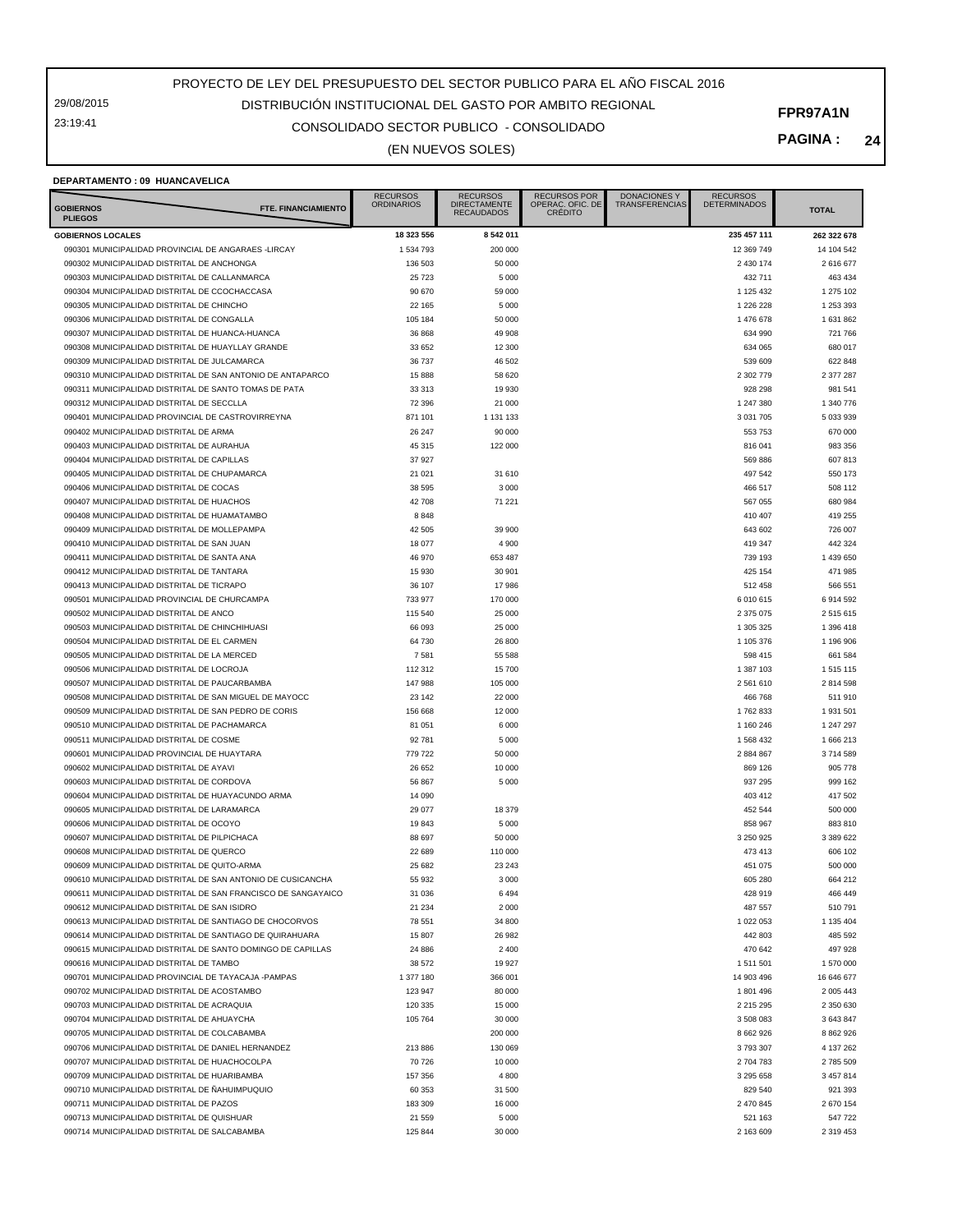29/08/2015 23:19:41

## CONSOLIDADO SECTOR PUBLICO - CONSOLIDADO DISTRIBUCIÓN INSTITUCIONAL DEL GASTO POR AMBITO REGIONAL

**PAGINA : 24**

#### (EN NUEVOS SOLES)

#### **DEPARTAMENTO : 09 HUANCAVELICA**

| FTE. FINANCIAMIENTO<br><b>GOBIERNOS</b><br><b>PLIEGOS</b>                                 | <b>RECURSOS</b><br><b>ORDINARIOS</b> | <b>RECURSOS</b><br><b>DIRECTAMENTE</b><br><b>RECAUDADOS</b> | <b>RECURSOS POR</b><br>OPERAC. OFIC. DE<br><b>CRÉDITO</b> | DONACIONES Y<br><b>TRANSFERENCIAS</b> | <b>RECURSOS</b><br><b>DETERMINADOS</b> | <b>TOTAL</b>           |
|-------------------------------------------------------------------------------------------|--------------------------------------|-------------------------------------------------------------|-----------------------------------------------------------|---------------------------------------|----------------------------------------|------------------------|
| <b>GOBIERNOS LOCALES</b>                                                                  | 18 323 556                           | 8 542 011                                                   |                                                           |                                       | 235 457 111                            | 262 322 678            |
| 090301 MUNICIPALIDAD PROVINCIAL DE ANGARAES -LIRCAY                                       | 1 534 793                            | 200 000                                                     |                                                           |                                       | 12 369 749                             | 14 104 542             |
| 090302 MUNICIPALIDAD DISTRITAL DE ANCHONGA                                                | 136 503                              | 50 000                                                      |                                                           |                                       | 2 430 174                              | 2 616 677              |
| 090303 MUNICIPALIDAD DISTRITAL DE CALLANMARCA                                             | 25 723                               | 5 0 0 0                                                     |                                                           |                                       | 432 711                                | 463 434                |
| 090304 MUNICIPALIDAD DISTRITAL DE CCOCHACCASA                                             | 90 670                               | 59 000                                                      |                                                           |                                       | 1 125 432                              | 1 275 102              |
| 090305 MUNICIPALIDAD DISTRITAL DE CHINCHO<br>090306 MUNICIPALIDAD DISTRITAL DE CONGALLA   | 22 165<br>105 184                    | 5 0 0 0<br>50 000                                           |                                                           |                                       | 1 226 228<br>1 476 678                 | 1 253 393<br>1 631 862 |
| 090307 MUNICIPALIDAD DISTRITAL DE HUANCA-HUANCA                                           | 36 868                               | 49 908                                                      |                                                           |                                       | 634 990                                | 721 766                |
| 090308 MUNICIPALIDAD DISTRITAL DE HUAYLLAY GRANDE                                         | 33 652                               | 12 300                                                      |                                                           |                                       | 634 065                                | 680 017                |
| 090309 MUNICIPALIDAD DISTRITAL DE JULCAMARCA                                              | 36 737                               | 46 502                                                      |                                                           |                                       | 539 609                                | 622 848                |
| 090310 MUNICIPALIDAD DISTRITAL DE SAN ANTONIO DE ANTAPARCO                                | 15 888                               | 58 620                                                      |                                                           |                                       | 2 302 779                              | 2 377 287              |
| 090311 MUNICIPALIDAD DISTRITAL DE SANTO TOMAS DE PATA                                     | 33 313                               | 19 9 30                                                     |                                                           |                                       | 928 298                                | 981 541                |
| 090312 MUNICIPALIDAD DISTRITAL DE SECCLLA                                                 | 72 396                               | 21 000                                                      |                                                           |                                       | 1 247 380                              | 1 340 776              |
| 090401 MUNICIPALIDAD PROVINCIAL DE CASTROVIRREYNA                                         | 871 101                              | 1 131 133                                                   |                                                           |                                       | 3 0 31 7 0 5                           | 5 033 939              |
| 090402 MUNICIPALIDAD DISTRITAL DE ARMA                                                    | 26 247                               | 90 000                                                      |                                                           |                                       | 553 753                                | 670 000                |
| 090403 MUNICIPALIDAD DISTRITAL DE AURAHUA                                                 | 45 315                               | 122 000                                                     |                                                           |                                       | 816 041                                | 983 356                |
| 090404 MUNICIPALIDAD DISTRITAL DE CAPILLAS                                                | 37 927                               |                                                             |                                                           |                                       | 569 886                                | 607 813                |
| 090405 MUNICIPALIDAD DISTRITAL DE CHUPAMARCA<br>090406 MUNICIPALIDAD DISTRITAL DE COCAS   | 21 021<br>38 595                     | 31 610<br>3 0 0 0                                           |                                                           |                                       | 497 542<br>466 517                     | 550 173<br>508 112     |
| 090407 MUNICIPALIDAD DISTRITAL DE HUACHOS                                                 | 42 708                               | 71 221                                                      |                                                           |                                       | 567 055                                | 680 984                |
| 090408 MUNICIPALIDAD DISTRITAL DE HUAMATAMBO                                              | 8848                                 |                                                             |                                                           |                                       | 410 407                                | 419 255                |
| 090409 MUNICIPALIDAD DISTRITAL DE MOLLEPAMPA                                              | 42 505                               | 39 900                                                      |                                                           |                                       | 643 602                                | 726 007                |
| 090410 MUNICIPALIDAD DISTRITAL DE SAN JUAN                                                | 18 077                               | 4 9 0 0                                                     |                                                           |                                       | 419 347                                | 442 324                |
| 090411 MUNICIPALIDAD DISTRITAL DE SANTA ANA                                               | 46 970                               | 653 487                                                     |                                                           |                                       | 739 193                                | 1 439 650              |
| 090412 MUNICIPALIDAD DISTRITAL DE TANTARA                                                 | 15 930                               | 30 901                                                      |                                                           |                                       | 425 154                                | 471 985                |
| 090413 MUNICIPALIDAD DISTRITAL DE TICRAPO                                                 | 36 107                               | 17986                                                       |                                                           |                                       | 512 458                                | 566 551                |
| 090501 MUNICIPALIDAD PROVINCIAL DE CHURCAMPA                                              | 733 977                              | 170 000                                                     |                                                           |                                       | 6 010 615                              | 6914592                |
| 090502 MUNICIPALIDAD DISTRITAL DE ANCO                                                    | 115 540                              | 25 000                                                      |                                                           |                                       | 2 375 075                              | 2515615                |
| 090503 MUNICIPALIDAD DISTRITAL DE CHINCHIHUASI                                            | 66 093                               | 25 000                                                      |                                                           |                                       | 1 305 325                              | 1 396 418              |
| 090504 MUNICIPALIDAD DISTRITAL DE EL CARMEN                                               | 64 730                               | 26 800                                                      |                                                           |                                       | 1 105 376                              | 1 196 906              |
| 090505 MUNICIPALIDAD DISTRITAL DE LA MERCED<br>090506 MUNICIPALIDAD DISTRITAL DE LOCROJA  | 7581<br>112 312                      | 55 588<br>15 700                                            |                                                           |                                       | 598 415<br>1 387 103                   | 661 584<br>1 515 115   |
| 090507 MUNICIPALIDAD DISTRITAL DE PAUCARBAMBA                                             | 147 988                              | 105 000                                                     |                                                           |                                       | 2 561 610                              | 2 814 598              |
| 090508 MUNICIPALIDAD DISTRITAL DE SAN MIGUEL DE MAYOCC                                    | 23 142                               | 22 000                                                      |                                                           |                                       | 466 768                                | 511 910                |
| 090509 MUNICIPALIDAD DISTRITAL DE SAN PEDRO DE CORIS                                      | 156 668                              | 12 000                                                      |                                                           |                                       | 1762833                                | 1 931 501              |
| 090510 MUNICIPALIDAD DISTRITAL DE PACHAMARCA                                              | 81 051                               | 6 0 0 0                                                     |                                                           |                                       | 1 160 246                              | 1 247 297              |
| 090511 MUNICIPALIDAD DISTRITAL DE COSME                                                   | 92 781                               | 5 0 0 0                                                     |                                                           |                                       | 1 568 432                              | 1 666 213              |
| 090601 MUNICIPALIDAD PROVINCIAL DE HUAYTARA                                               | 779722                               | 50 000                                                      |                                                           |                                       | 2 884 867                              | 3714589                |
| 090602 MUNICIPALIDAD DISTRITAL DE AYAVI                                                   | 26 652                               | 10 000                                                      |                                                           |                                       | 869 126                                | 905 778                |
| 090603 MUNICIPALIDAD DISTRITAL DE CORDOVA                                                 | 56 867                               | 5 0 0 0                                                     |                                                           |                                       | 937 295                                | 999 162                |
| 090604 MUNICIPALIDAD DISTRITAL DE HUAYACUNDO ARMA                                         | 14 090                               |                                                             |                                                           |                                       | 403 412                                | 417 502                |
| 090605 MUNICIPALIDAD DISTRITAL DE LARAMARCA                                               | 29 077                               | 18 379                                                      |                                                           |                                       | 452 544                                | 500 000                |
| 090606 MUNICIPALIDAD DISTRITAL DE OCOYO<br>090607 MUNICIPALIDAD DISTRITAL DE PILPICHACA   | 19843<br>88 697                      | 5 0 0 0<br>50 000                                           |                                                           |                                       | 858 967<br>3 250 925                   | 883 810<br>3 389 622   |
| 090608 MUNICIPALIDAD DISTRITAL DE QUERCO                                                  | 22 689                               | 110 000                                                     |                                                           |                                       | 473 413                                | 606 102                |
| 090609 MUNICIPALIDAD DISTRITAL DE QUITO-ARMA                                              | 25 682                               | 23 24 3                                                     |                                                           |                                       | 451 075                                | 500 000                |
| 090610 MUNICIPALIDAD DISTRITAL DE SAN ANTONIO DE CUSICANCHA                               | 55 932                               | 3 0 0 0                                                     |                                                           |                                       | 605 280                                | 664 212                |
| 090611 MUNICIPALIDAD DISTRITAL DE SAN FRANCISCO DE SANGAYAICO                             | 31 036                               | 6494                                                        |                                                           |                                       | 428 919                                | 466 449                |
| 090612 MUNICIPALIDAD DISTRITAL DE SAN ISIDRO                                              | 21 234                               | 2 0 0 0                                                     |                                                           |                                       | 487 557                                | 510 791                |
| 090613 MUNICIPALIDAD DISTRITAL DE SANTIAGO DE CHOCORVOS                                   | 78 551                               | 34 800                                                      |                                                           |                                       | 1 022 053                              | 1 135 404              |
| 090614 MUNICIPALIDAD DISTRITAL DE SANTIAGO DE QUIRAHUARA                                  | 15 807                               | 26 982                                                      |                                                           |                                       | 442 803                                | 485 592                |
| 090615 MUNICIPALIDAD DISTRITAL DE SANTO DOMINGO DE CAPILLAS                               | 24 886                               | 2 4 0 0                                                     |                                                           |                                       | 470 642                                | 497 928                |
| 090616 MUNICIPALIDAD DISTRITAL DE TAMBO                                                   | 38 572                               | 19 927                                                      |                                                           |                                       | 1 511 501                              | 1 570 000              |
| 090701 MUNICIPALIDAD PROVINCIAL DE TAYACAJA -PAMPAS                                       | 1 377 180                            | 366 001                                                     |                                                           |                                       | 14 903 496                             | 16 646 677             |
| 090702 MUNICIPALIDAD DISTRITAL DE ACOSTAMBO<br>090703 MUNICIPALIDAD DISTRITAL DE ACRAQUIA | 123 947<br>120 335                   | 80 000<br>15 000                                            |                                                           |                                       | 1 801 496<br>2 2 1 5 2 9 5             | 2 005 443<br>2 350 630 |
| 090704 MUNICIPALIDAD DISTRITAL DE AHUAYCHA                                                | 105 764                              | 30 000                                                      |                                                           |                                       | 3 508 083                              | 3 643 847              |
| 090705 MUNICIPALIDAD DISTRITAL DE COLCABAMBA                                              |                                      | 200 000                                                     |                                                           |                                       | 8 662 926                              | 8 862 926              |
| 090706 MUNICIPALIDAD DISTRITAL DE DANIEL HERNANDEZ                                        | 213886                               | 130 069                                                     |                                                           |                                       | 3793307                                | 4 137 262              |
| 090707 MUNICIPALIDAD DISTRITAL DE HUACHOCOLPA                                             | 70 726                               | 10 000                                                      |                                                           |                                       | 2 704 783                              | 2785 509               |
| 090709 MUNICIPALIDAD DISTRITAL DE HUARIBAMBA                                              | 157 356                              | 4 8 0 0                                                     |                                                           |                                       | 3 295 658                              | 3 457 814              |
| 090710 MUNICIPALIDAD DISTRITAL DE NAHUIMPUQUIO                                            | 60 353                               | 31 500                                                      |                                                           |                                       | 829 540                                | 921 393                |
| 090711 MUNICIPALIDAD DISTRITAL DE PAZOS                                                   | 183 309                              | 16 000                                                      |                                                           |                                       | 2 470 845                              | 2 670 154              |
| 090713 MUNICIPALIDAD DISTRITAL DE QUISHUAR                                                | 21 559                               | 5 0 0 0                                                     |                                                           |                                       | 521 163                                | 547 722                |
| 090714 MUNICIPALIDAD DISTRITAL DE SALCABAMBA                                              | 125 844                              | 30 000                                                      |                                                           |                                       | 2 163 609                              | 2 319 453              |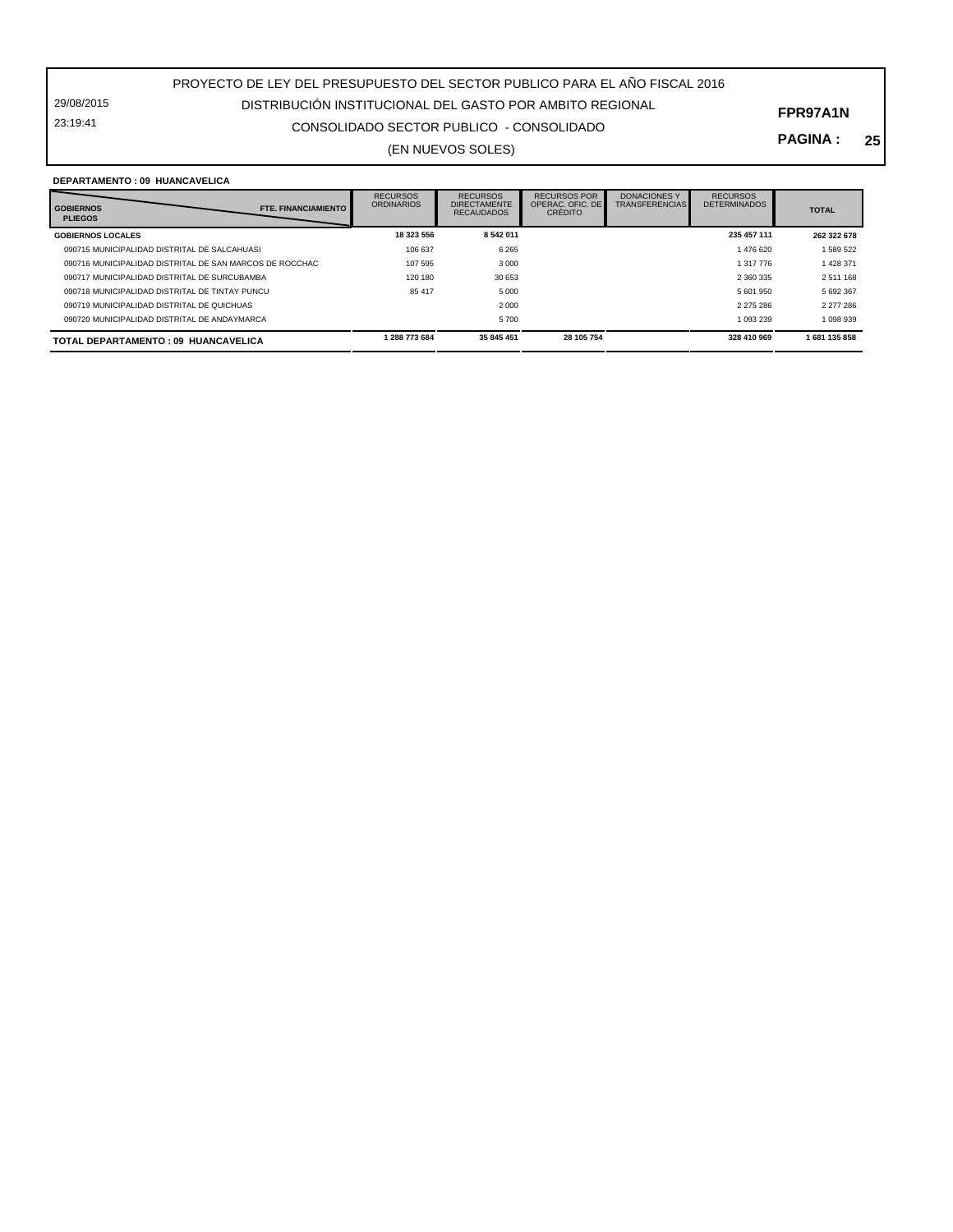29/08/2015 23:19:41

## CONSOLIDADO SECTOR PUBLICO - CONSOLIDADO DISTRIBUCIÓN INSTITUCIONAL DEL GASTO POR AMBITO REGIONAL

(EN NUEVOS SOLES)

#### **PAGINA : 25**

**FPR97A1N**

**DEPARTAMENTO : 09 HUANCAVELICA**

| <b>FTE. FINANCIAMIENTO</b><br><b>GOBIERNOS</b><br><b>PLIEGOS</b> | <b>RECURSOS</b><br><b>ORDINARIOS</b> | <b>RECURSOS</b><br><b>DIRECTAMENTE</b><br><b>RECAUDADOS</b> | <b>RECURSOS POR</b><br>OPERAC, OFIC, DE<br><b>CRÉDITO</b> | <b>DONACIONES Y</b><br><b>TRANSFERENCIAS</b> | <b>RECURSOS</b><br><b>DETERMINADOS</b> | <b>TOTAL</b> |
|------------------------------------------------------------------|--------------------------------------|-------------------------------------------------------------|-----------------------------------------------------------|----------------------------------------------|----------------------------------------|--------------|
| <b>GOBIERNOS LOCALES</b>                                         | 18 323 556                           | 8542011                                                     |                                                           |                                              | 235 457 111                            | 262 322 678  |
| 090715 MUNICIPALIDAD DISTRITAL DE SALCAHUASI                     | 106 637                              | 6 2 6 5                                                     |                                                           |                                              | 1476620                                | 1 589 522    |
| 090716 MUNICIPALIDAD DISTRITAL DE SAN MARCOS DE ROCCHAC          | 107 595                              | 3 0 0 0                                                     |                                                           |                                              | 1 317 776                              | 1 428 371    |
| 090717 MUNICIPALIDAD DISTRITAL DE SURCUBAMBA                     | 120 180                              | 30 653                                                      |                                                           |                                              | 2 360 335                              | 2 511 168    |
| 090718 MUNICIPALIDAD DISTRITAL DE TINTAY PUNCU                   | 85 417                               | 5 0 0 0                                                     |                                                           |                                              | 5 601 950                              | 5 692 367    |
| 090719 MUNICIPALIDAD DISTRITAL DE QUICHUAS                       |                                      | 2000                                                        |                                                           |                                              | 2 275 286                              | 2 277 286    |
| 090720 MUNICIPALIDAD DISTRITAL DE ANDAYMARCA                     |                                      | 5700                                                        |                                                           |                                              | 1 093 239                              | 1 098 939    |
| TOTAL DEPARTAMENTO : 09 HUANCAVELICA                             | 1 288 773 684                        | 35 845 451                                                  | 28 105 754                                                |                                              | 328 410 969                            | 1681 135 858 |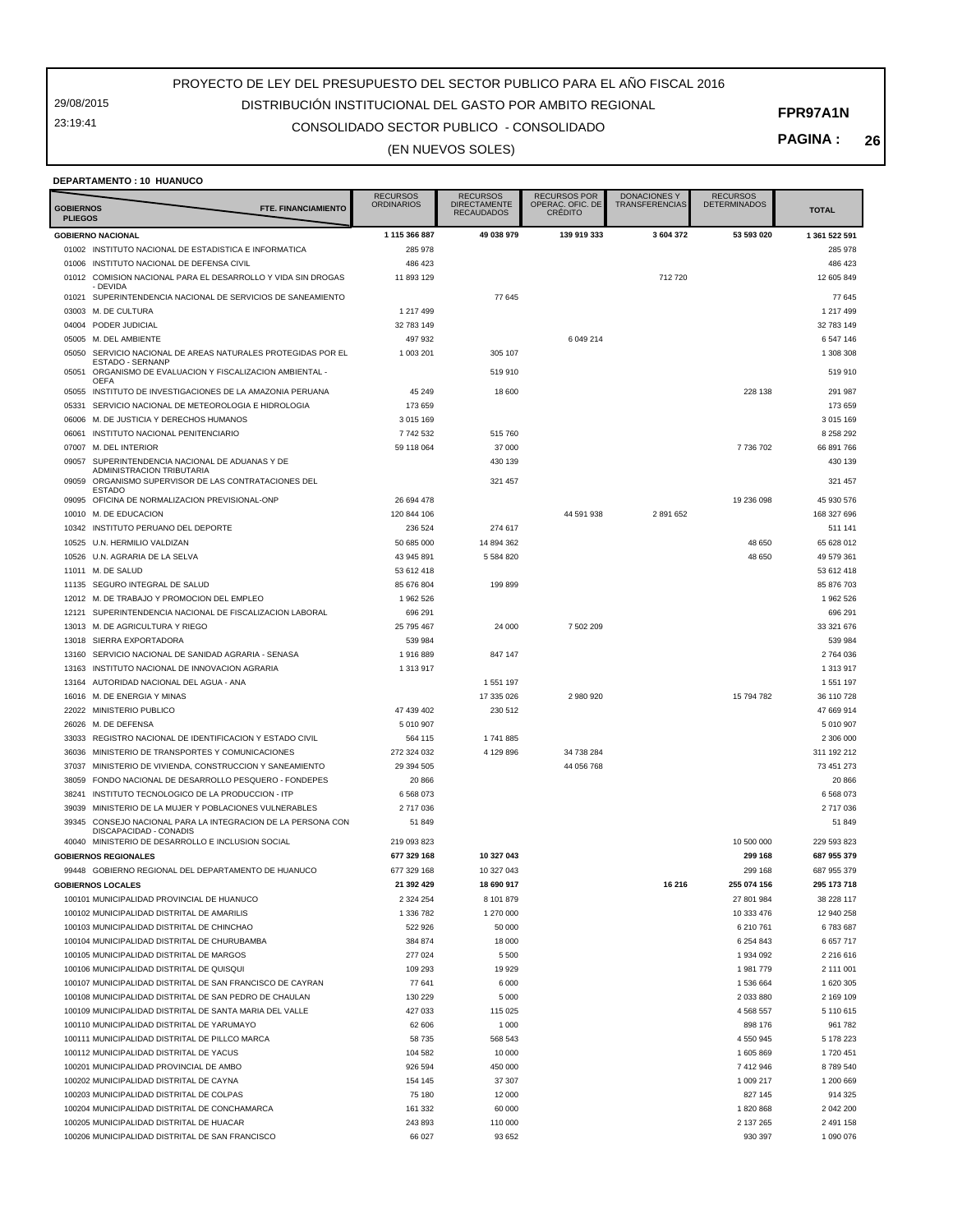29/08/2015 23:19:41

## CONSOLIDADO SECTOR PUBLICO - CONSOLIDADO DISTRIBUCIÓN INSTITUCIONAL DEL GASTO POR AMBITO REGIONAL

**PAGINA : 26**

#### (EN NUEVOS SOLES)

#### **DEPARTAMENTO : 10 HUANUCO**

| <b>GOBIERNOS</b><br><b>PLIEGOS</b> | FTE. FINANCIAMIENTO                                                              | <b>RECURSOS</b><br><b>ORDINARIOS</b> | <b>RECURSOS</b><br><b>DIRECTAMENTE</b><br><b>RECAUDADOS</b> | <b>RECURSOS POR</b><br>OPERAÇ. OFIC. DE<br><b>CREDITO</b> | <b>DONACIONES Y</b><br><b>TRANSFERENCIAS</b> | <b>RECURSOS</b><br><b>DETERMINADOS</b> | TOTAL                     |
|------------------------------------|----------------------------------------------------------------------------------|--------------------------------------|-------------------------------------------------------------|-----------------------------------------------------------|----------------------------------------------|----------------------------------------|---------------------------|
|                                    | <b>GOBIERNO NACIONAL</b>                                                         | 1 115 366 887                        | 49 038 979                                                  | 139 919 333                                               | 3 604 372                                    | 53 593 020                             | 1 361 522 591             |
|                                    | 01002 INSTITUTO NACIONAL DE ESTADISTICA E INFORMATICA                            | 285 978                              |                                                             |                                                           |                                              |                                        | 285 978                   |
|                                    | 01006 INSTITUTO NACIONAL DE DEFENSA CIVIL                                        | 486 423                              |                                                             |                                                           |                                              |                                        | 486 423                   |
|                                    | 01012 COMISION NACIONAL PARA EL DESARROLLO Y VIDA SIN DROGAS                     | 11 893 129                           |                                                             |                                                           | 712720                                       |                                        | 12 605 849                |
| 01021                              | - DEVIDA<br>SUPERINTENDENCIA NACIONAL DE SERVICIOS DE SANEAMIENTO                |                                      | 77 645                                                      |                                                           |                                              |                                        | 77 645                    |
| 03003                              | M. DE CULTURA                                                                    | 1 217 499                            |                                                             |                                                           |                                              |                                        | 1 217 499                 |
| 04004                              | PODER JUDICIAL                                                                   | 32 783 149                           |                                                             |                                                           |                                              |                                        | 32 783 149                |
| 05005                              | M. DEL AMBIENTE                                                                  | 497 932                              |                                                             | 6 049 214                                                 |                                              |                                        | 6 547 146                 |
| 05050                              | SERVICIO NACIONAL DE AREAS NATURALES PROTEGIDAS POR EL                           | 1 003 201                            | 305 107                                                     |                                                           |                                              |                                        | 1 308 308                 |
|                                    | ESTADO - SERNANP                                                                 |                                      |                                                             |                                                           |                                              |                                        |                           |
| 05051                              | ORGANISMO DE EVALUACION Y FISCALIZACION AMBIENTAL -<br>OEFA                      |                                      | 519910                                                      |                                                           |                                              |                                        | 519 910                   |
| 05055                              | INSTITUTO DE INVESTIGACIONES DE LA AMAZONIA PERUANA                              | 45 249                               | 18 600                                                      |                                                           |                                              | 228 138                                | 291 987                   |
| 05331                              | SERVICIO NACIONAL DE METEOROLOGIA E HIDROLOGIA                                   | 173 659                              |                                                             |                                                           |                                              |                                        | 173 659                   |
| 06006                              | M. DE JUSTICIA Y DERECHOS HUMANOS                                                | 3 0 1 5 1 6 9                        |                                                             |                                                           |                                              |                                        | 3 015 169                 |
| 06061                              | INSTITUTO NACIONAL PENITENCIARIO                                                 | 7742532                              | 515 760                                                     |                                                           |                                              |                                        | 8 258 292                 |
| 07007                              | M. DEL INTERIOR                                                                  | 59 118 064                           | 37 000                                                      |                                                           |                                              | 7 736 702                              | 66 891 766                |
| 09057                              | SUPERINTENDENCIA NACIONAL DE ADUANAS Y DE<br>ADMINISTRACION TRIBUTARIA           |                                      | 430 139                                                     |                                                           |                                              |                                        | 430 139                   |
| 09059                              | ORGANISMO SUPERVISOR DE LAS CONTRATACIONES DEL                                   |                                      | 321 457                                                     |                                                           |                                              |                                        | 321 457                   |
|                                    | <b>ESTADO</b>                                                                    |                                      |                                                             |                                                           |                                              |                                        |                           |
| 09095<br>10010                     | OFICINA DE NORMALIZACION PREVISIONAL-ONP<br>M. DE EDUCACION                      | 26 694 478<br>120 844 106            |                                                             |                                                           | 2 891 652                                    | 19 236 098                             | 45 930 576<br>168 327 696 |
| 10342                              | INSTITUTO PERUANO DEL DEPORTE                                                    |                                      | 274 617                                                     | 44 591 938                                                |                                              |                                        |                           |
| 10525                              | U.N. HERMILIO VALDIZAN                                                           | 236 524<br>50 685 000                | 14 894 362                                                  |                                                           |                                              | 48 650                                 | 511 141<br>65 628 012     |
| 10526                              | U.N. AGRARIA DE LA SELVA                                                         | 43 945 891                           | 5 584 820                                                   |                                                           |                                              | 48 650                                 | 49 579 361                |
|                                    | 11011 M. DE SALUD                                                                | 53 612 418                           |                                                             |                                                           |                                              |                                        | 53 612 418                |
| 11135                              | SEGURO INTEGRAL DE SALUD                                                         | 85 676 804                           | 199899                                                      |                                                           |                                              |                                        | 85 876 703                |
| 12012                              | M. DE TRABAJO Y PROMOCION DEL EMPLEO                                             | 1962 526                             |                                                             |                                                           |                                              |                                        | 1 962 526                 |
| 12121                              | SUPERINTENDENCIA NACIONAL DE FISCALIZACION LABORAL                               | 696 291                              |                                                             |                                                           |                                              |                                        | 696 291                   |
| 13013                              | M. DE AGRICULTURA Y RIEGO                                                        | 25 795 467                           | 24 000                                                      | 7 502 209                                                 |                                              |                                        | 33 321 676                |
| 13018                              | SIERRA EXPORTADORA                                                               | 539 984                              |                                                             |                                                           |                                              |                                        | 539 984                   |
| 13160                              | SERVICIO NACIONAL DE SANIDAD AGRARIA - SENASA                                    | 1916889                              | 847 147                                                     |                                                           |                                              |                                        | 2 764 036                 |
| 13163                              | INSTITUTO NACIONAL DE INNOVACION AGRARIA                                         | 1 313 917                            |                                                             |                                                           |                                              |                                        | 1 313 917                 |
| 13164                              | AUTORIDAD NACIONAL DEL AGUA - ANA                                                |                                      | 1 551 197                                                   |                                                           |                                              |                                        | 1 551 197                 |
| 16016                              | M. DE ENERGIA Y MINAS                                                            |                                      | 17 335 026                                                  | 2 980 920                                                 |                                              | 15 794 782                             | 36 110 728                |
|                                    | 22022 MINISTERIO PUBLICO                                                         | 47 439 402                           | 230 512                                                     |                                                           |                                              |                                        | 47 669 914                |
| 26026                              | M. DE DEFENSA                                                                    | 5 010 907                            |                                                             |                                                           |                                              |                                        | 5 010 907                 |
| 33033                              | REGISTRO NACIONAL DE IDENTIFICACION Y ESTADO CIVIL                               | 564 115                              | 1741885                                                     |                                                           |                                              |                                        | 2 306 000                 |
| 36036                              | MINISTERIO DE TRANSPORTES Y COMUNICACIONES                                       | 272 324 032                          | 4 129 896                                                   | 34 738 284                                                |                                              |                                        | 311 192 212               |
| 37037                              | MINISTERIO DE VIVIENDA, CONSTRUCCION Y SANEAMIENTO                               | 29 394 505                           |                                                             | 44 056 768                                                |                                              |                                        | 73 451 273                |
| 38059                              | FONDO NACIONAL DE DESARROLLO PESQUERO - FONDEPES                                 | 20 866                               |                                                             |                                                           |                                              |                                        | 20 866                    |
| 38241                              | INSTITUTO TECNOLOGICO DE LA PRODUCCION - ITP                                     | 6 5 68 0 73                          |                                                             |                                                           |                                              |                                        | 6 5 68 0 73               |
| 39039                              | MINISTERIO DE LA MUJER Y POBLACIONES VULNERABLES                                 | 2717036                              |                                                             |                                                           |                                              |                                        | 2 717 036                 |
| 39345                              | CONSEJO NACIONAL PARA LA INTEGRACION DE LA PERSONA CON<br>DISCAPACIDAD - CONADIS | 51 849                               |                                                             |                                                           |                                              |                                        | 51 849                    |
| 40040                              | MINISTERIO DE DESARROLLO E INCLUSION SOCIAL                                      | 219 093 823                          |                                                             |                                                           |                                              | 10 500 000                             | 229 593 823               |
|                                    | <b>GOBIERNOS REGIONALES</b>                                                      | 677 329 168                          | 10 327 043                                                  |                                                           |                                              | 299 168                                | 687 955 379               |
|                                    | 99448 GOBIERNO REGIONAL DEL DEPARTAMENTO DE HUANUCO                              | 677 329 168                          | 10 327 043                                                  |                                                           |                                              | 299 168                                | 687 955 379               |
|                                    | <b>GOBIERNOS LOCALES</b>                                                         | 21 392 429                           | 18 690 917                                                  |                                                           | 16 216                                       | 255 074 156                            | 295 173 718               |
|                                    | 100101 MUNICIPALIDAD PROVINCIAL DE HUANUCO                                       | 2 3 2 4 2 5 4                        | 8 101 879                                                   |                                                           |                                              | 27 801 984                             | 38 228 117                |
|                                    | 100102 MUNICIPALIDAD DISTRITAL DE AMARILIS                                       | 1 336 782                            | 1 270 000                                                   |                                                           |                                              | 10 333 476                             | 12 940 258                |
|                                    | 100103 MUNICIPALIDAD DISTRITAL DE CHINCHAO                                       | 522 926                              | 50 000                                                      |                                                           |                                              | 6 210 761                              | 6 783 687                 |
|                                    | 100104 MUNICIPALIDAD DISTRITAL DE CHURUBAMBA                                     | 384 874                              | 18 000                                                      |                                                           |                                              | 6 254 843                              | 6 657 717                 |
|                                    | 100105 MUNICIPALIDAD DISTRITAL DE MARGOS                                         | 277 024                              | 5 5 0 0                                                     |                                                           |                                              | 1 934 092                              | 2 216 616                 |
|                                    | 100106 MUNICIPALIDAD DISTRITAL DE QUISQUI                                        | 109 293                              | 19929                                                       |                                                           |                                              | 1981779                                | 2 111 001                 |
|                                    | 100107 MUNICIPALIDAD DISTRITAL DE SAN FRANCISCO DE CAYRAN                        | 77 641                               | 6 0 0 0                                                     |                                                           |                                              | 1 536 664                              | 1 620 305                 |
|                                    | 100108 MUNICIPALIDAD DISTRITAL DE SAN PEDRO DE CHAULAN                           | 130 229                              | 5 0 0 0                                                     |                                                           |                                              | 2 033 880                              | 2 169 109                 |
|                                    | 100109 MUNICIPALIDAD DISTRITAL DE SANTA MARIA DEL VALLE                          | 427 033                              | 115 025                                                     |                                                           |                                              | 4 5 68 5 57                            | 5 110 615                 |
|                                    | 100110 MUNICIPALIDAD DISTRITAL DE YARUMAYO                                       | 62 606                               | 1 0 0 0                                                     |                                                           |                                              | 898 176                                | 961 782                   |
|                                    | 100111 MUNICIPALIDAD DISTRITAL DE PILLCO MARCA                                   | 58 735                               | 568 543                                                     |                                                           |                                              | 4 550 945                              | 5 178 223                 |
|                                    | 100112 MUNICIPALIDAD DISTRITAL DE YACUS                                          | 104 582                              | 10 000                                                      |                                                           |                                              | 1 605 869                              | 1 720 451                 |
|                                    | 100201 MUNICIPALIDAD PROVINCIAL DE AMBO                                          | 926 594                              | 450 000                                                     |                                                           |                                              | 7 412 946                              | 8789540                   |
|                                    | 100202 MUNICIPALIDAD DISTRITAL DE CAYNA                                          | 154 145                              | 37 307                                                      |                                                           |                                              | 1 009 217                              | 1 200 669                 |
|                                    | 100203 MUNICIPALIDAD DISTRITAL DE COLPAS                                         | 75 180                               | 12 000                                                      |                                                           |                                              | 827 145                                | 914 325                   |
|                                    | 100204 MUNICIPALIDAD DISTRITAL DE CONCHAMARCA                                    | 161 332                              | 60 000                                                      |                                                           |                                              | 1820868                                | 2 042 200                 |
|                                    | 100205 MUNICIPALIDAD DISTRITAL DE HUACAR                                         | 243 893                              | 110 000                                                     |                                                           |                                              | 2 137 265                              | 2 491 158                 |
|                                    | 100206 MUNICIPALIDAD DISTRITAL DE SAN FRANCISCO                                  | 66 027                               | 93 652                                                      |                                                           |                                              | 930 397                                | 1 090 076                 |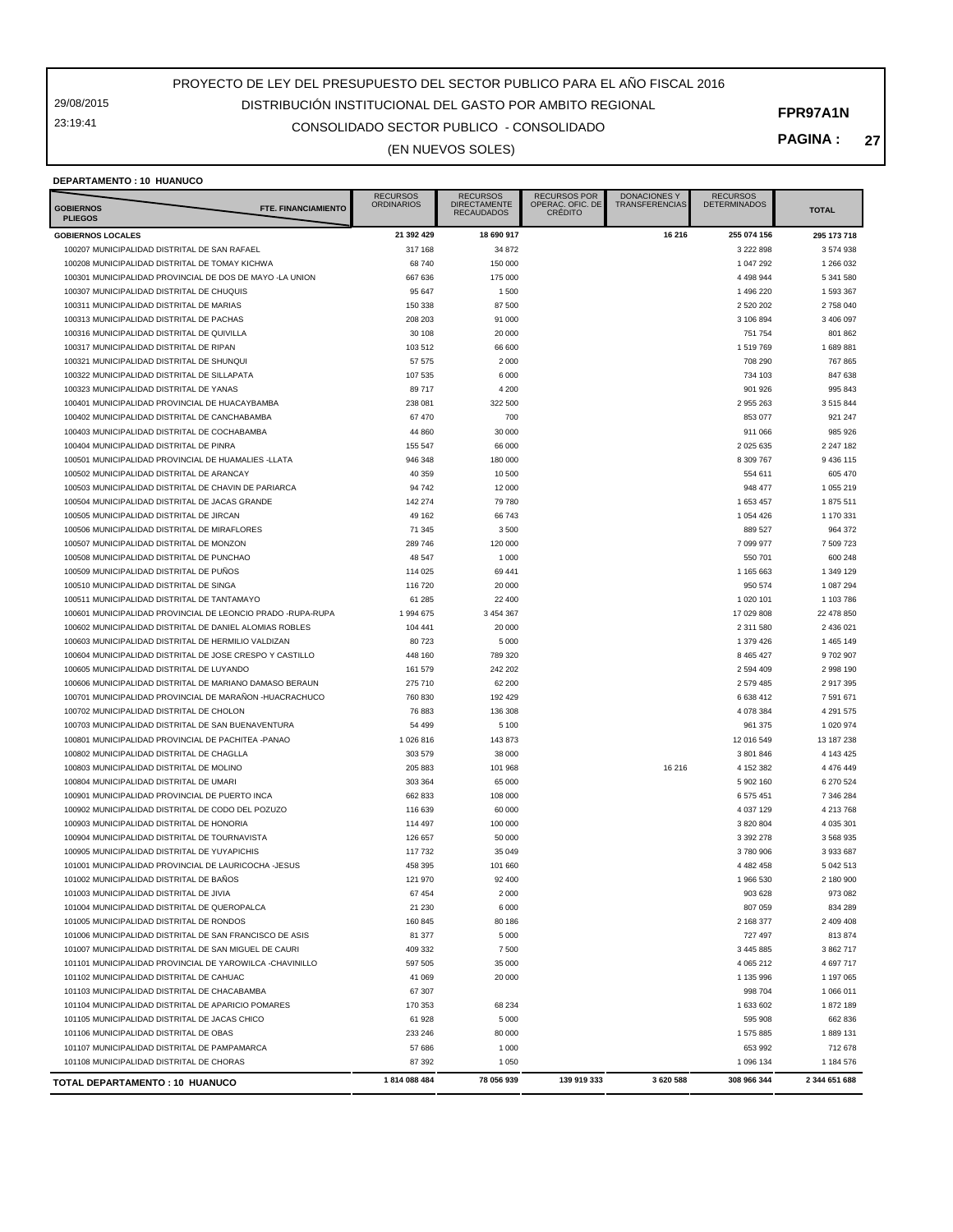29/08/2015 23:19:41

## CONSOLIDADO SECTOR PUBLICO - CONSOLIDADO DISTRIBUCIÓN INSTITUCIONAL DEL GASTO POR AMBITO REGIONAL

(EN NUEVOS SOLES)

**PAGINA : 27**

#### **DEPARTAMENTO : 10 HUANUCO**

| <b>FTE. FINANCIAMIENTO</b><br><b>GOBIERNOS</b><br><b>PLIEGOS</b>                                   | <b>RECURSOS</b><br><b>ORDINARIOS</b> | <b>RECURSOS</b><br><b>DIRECTAMENTE</b><br><b>RECAUDADOS</b> | <b>RECURSOS POR</b><br>OPERAÇ. OFIC. DE<br><b>CRÉDITO</b> | <b>DONACIONES Y</b><br><b>TRANSFERENCIAS</b> | <b>RECURSOS</b><br><b>DETERMINADOS</b> | <b>TOTAL</b>           |
|----------------------------------------------------------------------------------------------------|--------------------------------------|-------------------------------------------------------------|-----------------------------------------------------------|----------------------------------------------|----------------------------------------|------------------------|
| <b>GOBIERNOS LOCALES</b>                                                                           | 21 392 429                           | 18 690 917                                                  |                                                           | 16 216                                       | 255 074 156                            | 295 173 718            |
| 100207 MUNICIPALIDAD DISTRITAL DE SAN RAFAEL                                                       | 317 168                              | 34 872                                                      |                                                           |                                              | 3 222 898                              | 3 574 938              |
| 100208 MUNICIPALIDAD DISTRITAL DE TOMAY KICHWA                                                     | 68 740                               | 150 000                                                     |                                                           |                                              | 1 047 292                              | 1 266 032              |
| 100301 MUNICIPALIDAD PROVINCIAL DE DOS DE MAYO -LA UNION                                           | 667 636                              | 175 000                                                     |                                                           |                                              | 4 4 9 8 9 4 4                          | 5 341 580              |
| 100307 MUNICIPALIDAD DISTRITAL DE CHUQUIS                                                          | 95 647                               | 1500                                                        |                                                           |                                              | 1 496 220                              | 1 593 367              |
| 100311 MUNICIPALIDAD DISTRITAL DE MARIAS                                                           | 150 338                              | 87 500                                                      |                                                           |                                              | 2 520 202                              | 2 758 040              |
| 100313 MUNICIPALIDAD DISTRITAL DE PACHAS                                                           | 208 203                              | 91 000                                                      |                                                           |                                              | 3 106 894                              | 3 406 097              |
| 100316 MUNICIPALIDAD DISTRITAL DE QUIVILLA                                                         | 30 108                               | 20 000                                                      |                                                           |                                              | 751 754                                | 801 862                |
| 100317 MUNICIPALIDAD DISTRITAL DE RIPAN<br>100321 MUNICIPALIDAD DISTRITAL DE SHUNQUI               | 103 512                              | 66 600                                                      |                                                           |                                              | 1519769                                | 1 689 881              |
| 100322 MUNICIPALIDAD DISTRITAL DE SILLAPATA                                                        | 57 575<br>107 535                    | 2 0 0 0<br>6 0 0 0                                          |                                                           |                                              | 708 290<br>734 103                     | 767 865<br>847 638     |
| 100323 MUNICIPALIDAD DISTRITAL DE YANAS                                                            | 89 717                               | 4 2 0 0                                                     |                                                           |                                              | 901 926                                | 995 843                |
| 100401 MUNICIPALIDAD PROVINCIAL DE HUACAYBAMBA                                                     | 238 081                              | 322 500                                                     |                                                           |                                              | 2 955 263                              | 3 515 844              |
| 100402 MUNICIPALIDAD DISTRITAL DE CANCHABAMBA                                                      | 67 470                               | 700                                                         |                                                           |                                              | 853 077                                | 921 247                |
| 100403 MUNICIPALIDAD DISTRITAL DE COCHABAMBA                                                       | 44 860                               | 30 000                                                      |                                                           |                                              | 911 066                                | 985 926                |
| 100404 MUNICIPALIDAD DISTRITAL DE PINRA                                                            | 155 547                              | 66 000                                                      |                                                           |                                              | 2 0 2 5 6 3 5                          | 2 247 182              |
| 100501 MUNICIPALIDAD PROVINCIAL DE HUAMALIES -LLATA                                                | 946 348                              | 180 000                                                     |                                                           |                                              | 8 309 767                              | 9 436 115              |
| 100502 MUNICIPALIDAD DISTRITAL DE ARANCAY                                                          | 40 359                               | 10 500                                                      |                                                           |                                              | 554 611                                | 605 470                |
| 100503 MUNICIPALIDAD DISTRITAL DE CHAVIN DE PARIARCA                                               | 94 742                               | 12 000                                                      |                                                           |                                              | 948 477                                | 1 055 219              |
| 100504 MUNICIPALIDAD DISTRITAL DE JACAS GRANDE                                                     | 142 274                              | 79 780                                                      |                                                           |                                              | 1 653 457                              | 1875 511               |
| 100505 MUNICIPALIDAD DISTRITAL DE JIRCAN                                                           | 49 162                               | 66743                                                       |                                                           |                                              | 1 0 54 4 26                            | 1 170 331              |
| 100506 MUNICIPALIDAD DISTRITAL DE MIRAFLORES                                                       | 71 345                               | 3500                                                        |                                                           |                                              | 889 527                                | 964 372                |
| 100507 MUNICIPALIDAD DISTRITAL DE MONZON                                                           | 289746                               | 120 000                                                     |                                                           |                                              | 7 099 977                              | 7 509 723              |
| 100508 MUNICIPALIDAD DISTRITAL DE PUNCHAO                                                          | 48 547                               | 1 0 0 0                                                     |                                                           |                                              | 550 701                                | 600 248                |
| 100509 MUNICIPALIDAD DISTRITAL DE PUÑOS                                                            | 114 025                              | 69 441                                                      |                                                           |                                              | 1 165 663                              | 1 349 129              |
| 100510 MUNICIPALIDAD DISTRITAL DE SINGA<br>100511 MUNICIPALIDAD DISTRITAL DE TANTAMAYO             | 116 720<br>61 285                    | 20 000<br>22 400                                            |                                                           |                                              | 950 574<br>1 020 101                   | 1 087 294<br>1 103 786 |
| 100601 MUNICIPALIDAD PROVINCIAL DE LEONCIO PRADO -RUPA-RUPA                                        | 1994 675                             | 3 454 367                                                   |                                                           |                                              | 17 029 808                             | 22 478 850             |
| 100602 MUNICIPALIDAD DISTRITAL DE DANIEL ALOMIAS ROBLES                                            | 104 441                              | 20 000                                                      |                                                           |                                              | 2 311 580                              | 2 436 021              |
| 100603 MUNICIPALIDAD DISTRITAL DE HERMILIO VALDIZAN                                                | 80 723                               | 5 0 0 0                                                     |                                                           |                                              | 1 379 426                              | 1 465 149              |
| 100604 MUNICIPALIDAD DISTRITAL DE JOSE CRESPO Y CASTILLO                                           | 448 160                              | 789 320                                                     |                                                           |                                              | 8 4 6 5 4 2 7                          | 9702907                |
| 100605 MUNICIPALIDAD DISTRITAL DE LUYANDO                                                          | 161 579                              | 242 202                                                     |                                                           |                                              | 2 594 409                              | 2 998 190              |
| 100606 MUNICIPALIDAD DISTRITAL DE MARIANO DAMASO BERAUN                                            | 275 710                              | 62 200                                                      |                                                           |                                              | 2 579 485                              | 2 917 395              |
| 100701 MUNICIPALIDAD PROVINCIAL DE MARAÑON - HUACRACHUCO                                           | 760 830                              | 192 429                                                     |                                                           |                                              | 6 638 412                              | 7 591 671              |
| 100702 MUNICIPALIDAD DISTRITAL DE CHOLON                                                           | 76 883                               | 136 308                                                     |                                                           |                                              | 4 078 384                              | 4 291 575              |
| 100703 MUNICIPALIDAD DISTRITAL DE SAN BUENAVENTURA                                                 | 54 499                               | 5 1 0 0                                                     |                                                           |                                              | 961 375                                | 1 020 974              |
| 100801 MUNICIPALIDAD PROVINCIAL DE PACHITEA -PANAO                                                 | 1026816                              | 143 873                                                     |                                                           |                                              | 12 016 549                             | 13 187 238             |
| 100802 MUNICIPALIDAD DISTRITAL DE CHAGLLA                                                          | 303 579                              | 38 000                                                      |                                                           |                                              | 3 801 846                              | 4 143 425              |
| 100803 MUNICIPALIDAD DISTRITAL DE MOLINO                                                           | 205 883                              | 101 968                                                     |                                                           | 16 216                                       | 4 152 382                              | 4 476 449              |
| 100804 MUNICIPALIDAD DISTRITAL DE UMARI<br>100901 MUNICIPALIDAD PROVINCIAL DE PUERTO INCA          | 303 364                              | 65 000                                                      |                                                           |                                              | 5 902 160                              | 6 270 524              |
| 100902 MUNICIPALIDAD DISTRITAL DE CODO DEL POZUZO                                                  | 662 833<br>116 639                   | 108 000<br>60 000                                           |                                                           |                                              | 6 575 451<br>4 037 129                 | 7 346 284<br>4 213 768 |
| 100903 MUNICIPALIDAD DISTRITAL DE HONORIA                                                          | 114 497                              | 100 000                                                     |                                                           |                                              | 3 820 804                              | 4 035 301              |
| 100904 MUNICIPALIDAD DISTRITAL DE TOURNAVISTA                                                      | 126 657                              | 50 000                                                      |                                                           |                                              | 3 3 9 2 2 7 8                          | 3 568 935              |
| 100905 MUNICIPALIDAD DISTRITAL DE YUYAPICHIS                                                       | 117732                               | 35 049                                                      |                                                           |                                              | 3780906                                | 3 933 687              |
| 101001 MUNICIPALIDAD PROVINCIAL DE LAURICOCHA -JESUS                                               | 458 395                              | 101 660                                                     |                                                           |                                              | 4 4 8 2 4 5 8                          | 5 042 513              |
| 101002 MUNICIPALIDAD DISTRITAL DE BAÑOS                                                            | 121 970                              | 92 400                                                      |                                                           |                                              | 1 966 530                              | 2 180 900              |
| 101003 MUNICIPALIDAD DISTRITAL DE JIVIA                                                            | 67 454                               | 2 0 0 0                                                     |                                                           |                                              | 903 628                                | 973 082                |
| 101004 MUNICIPALIDAD DISTRITAL DE QUEROPALCA                                                       | 21 230                               | 6 0 0 0                                                     |                                                           |                                              | 807 059                                | 834 289                |
| 101005 MUNICIPALIDAD DISTRITAL DE RONDOS                                                           | 160 845                              | 80 186                                                      |                                                           |                                              | 2 168 377                              | 2 409 408              |
| 101006 MUNICIPALIDAD DISTRITAL DE SAN FRANCISCO DE ASIS                                            | 81 377                               | 5 0 0 0                                                     |                                                           |                                              | 727 497                                | 813 874                |
| 101007 MUNICIPALIDAD DISTRITAL DE SAN MIGUEL DE CAURI                                              | 409 332                              | 7500                                                        |                                                           |                                              | 3 445 885                              | 3 862 717              |
| 101101 MUNICIPALIDAD PROVINCIAL DE YAROWILCA -CHAVINILLO                                           | 597 505                              | 35 000                                                      |                                                           |                                              | 4 0 65 212                             | 4 697 717              |
| 101102 MUNICIPALIDAD DISTRITAL DE CAHUAC                                                           | 41 069                               | 20 000                                                      |                                                           |                                              | 1 135 996                              | 1 197 065              |
| 101103 MUNICIPALIDAD DISTRITAL DE CHACABAMBA<br>101104 MUNICIPALIDAD DISTRITAL DE APARICIO POMARES | 67 307<br>170 353                    | 68 234                                                      |                                                           |                                              | 998 704<br>1 633 602                   | 1 066 011<br>1872 189  |
| 101105 MUNICIPALIDAD DISTRITAL DE JACAS CHICO                                                      | 61 928                               | 5 0 0 0                                                     |                                                           |                                              | 595 908                                | 662 836                |
| 101106 MUNICIPALIDAD DISTRITAL DE OBAS                                                             | 233 246                              | 80 000                                                      |                                                           |                                              | 1 575 885                              | 1889 131               |
| 101107 MUNICIPALIDAD DISTRITAL DE PAMPAMARCA                                                       | 57 686                               | 1 0 0 0                                                     |                                                           |                                              | 653 992                                | 712 678                |
| 101108 MUNICIPALIDAD DISTRITAL DE CHORAS                                                           | 87 392                               | 1 0 5 0                                                     |                                                           |                                              | 1 096 134                              | 1 184 576              |
| TOTAL DEPARTAMENTO: 10 HUANUCO                                                                     | 1814 088 484                         | 78 056 939                                                  | 139 919 333                                               | 3 620 588                                    | 308 966 344                            | 2 344 651 688          |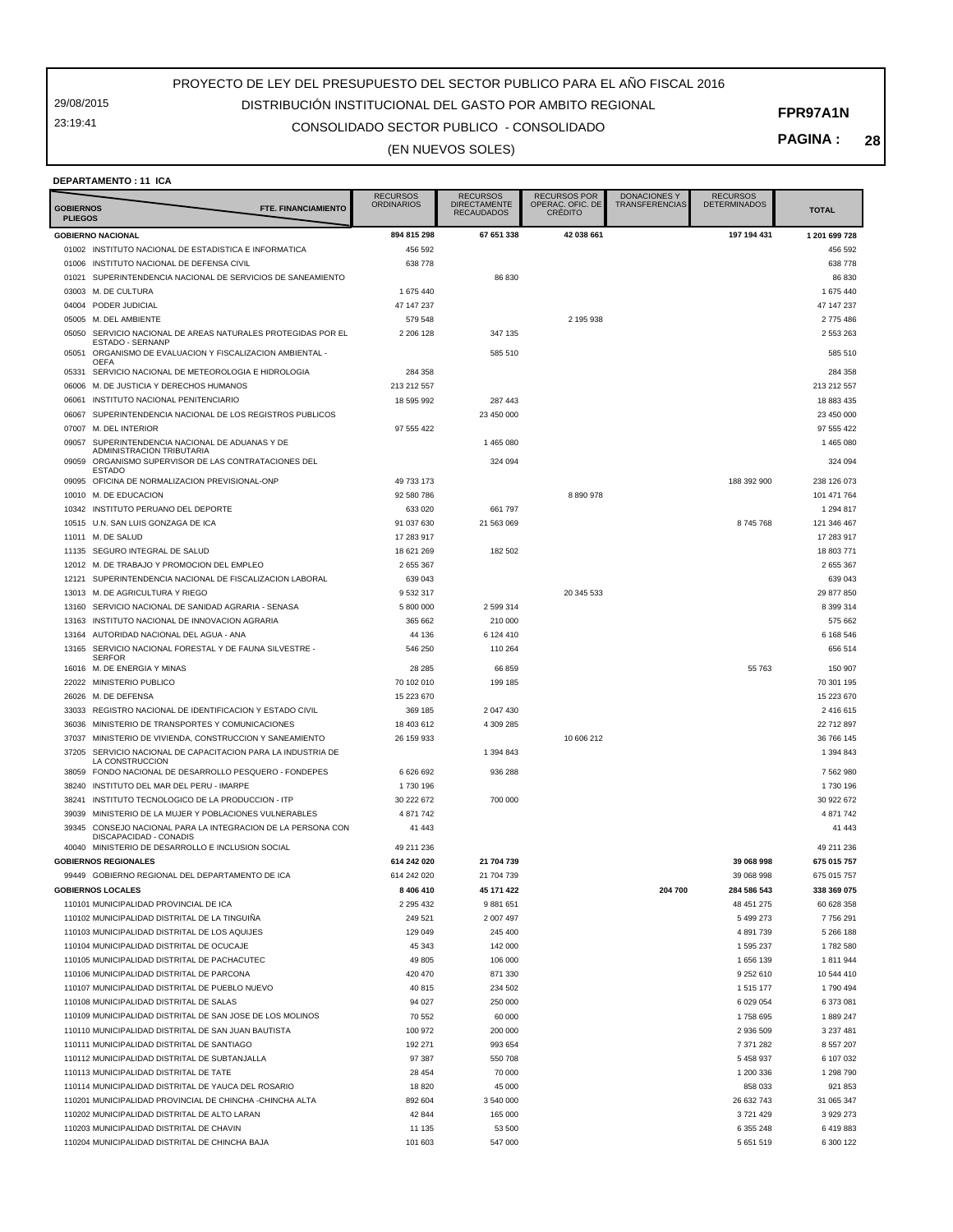29/08/2015 23:19:41

## CONSOLIDADO SECTOR PUBLICO - CONSOLIDADO

(EN NUEVOS SOLES)

**PAGINA : 28**

#### **DEPARTAMENTO : 11 ICA**

# **FPR97A1N**

DISTRIBUCIÓN INSTITUCIONAL DEL GASTO POR AMBITO REGIONAL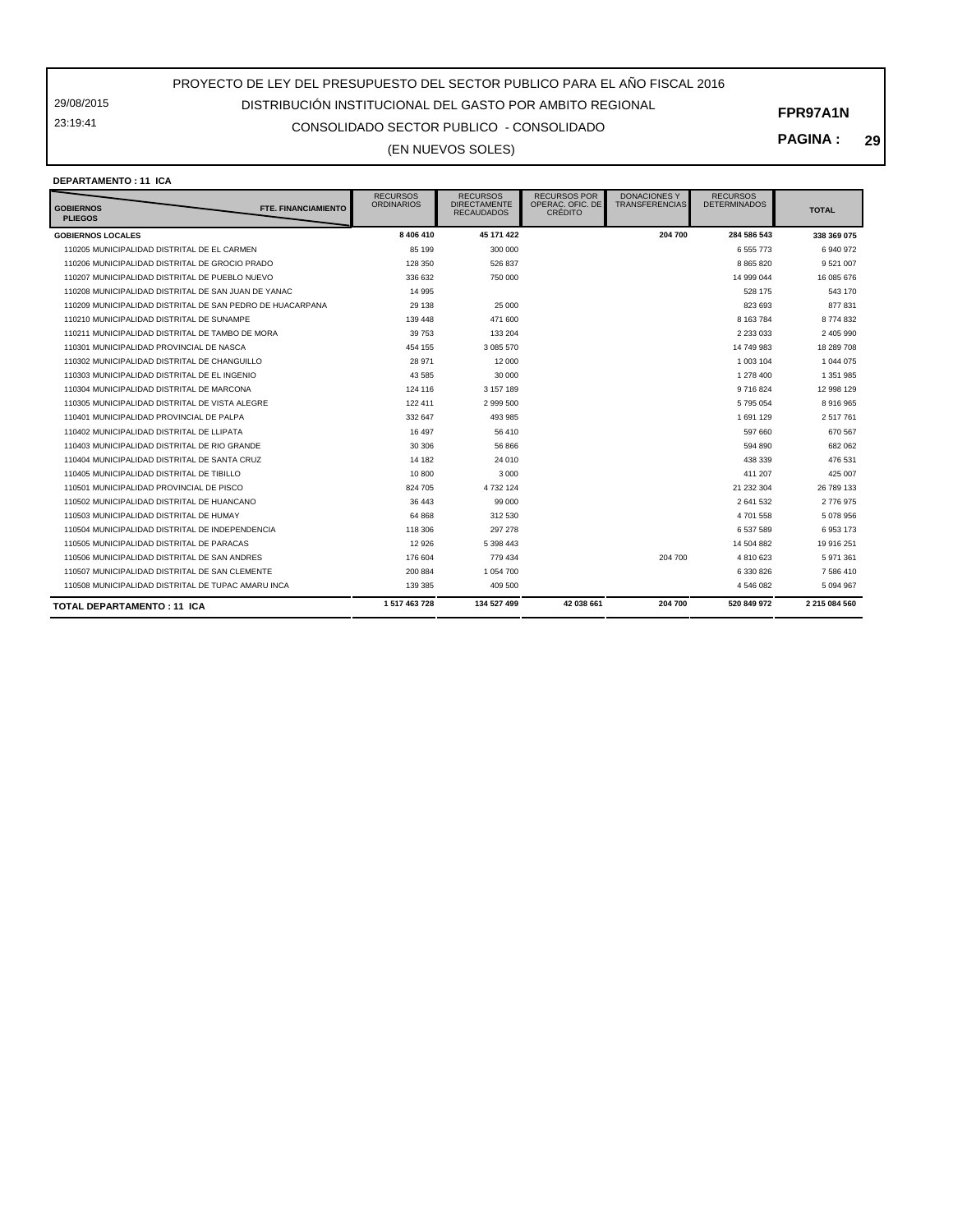29/08/2015 23:19:41

## CONSOLIDADO SECTOR PUBLICO - CONSOLIDADO DISTRIBUCIÓN INSTITUCIONAL DEL GASTO POR AMBITO REGIONAL

**PAGINA : 29**

**FPR97A1N**

(EN NUEVOS SOLES)

| <b>DEPARTAMENTO : 11 ICA</b> |  |  |  |
|------------------------------|--|--|--|
|------------------------------|--|--|--|

| <b>GOBIERNOS</b><br><b>FTE. FINANCIAMIENTO</b><br><b>PLIEGOS</b> | <b>RECURSOS</b><br><b>ORDINARIOS</b> | <b>RECURSOS</b><br><b>DIRECTAMENTE</b><br><b>RECAUDADOS</b> | <b>RECURSOS POR</b><br>OPERAC, OFIC, DE<br><b>CRÉDITO</b> | <b>DONACIONES Y</b><br><b>TRANSFERENCIAS</b> | <b>RECURSOS</b><br><b>DETERMINADOS</b> | <b>TOTAL</b>  |
|------------------------------------------------------------------|--------------------------------------|-------------------------------------------------------------|-----------------------------------------------------------|----------------------------------------------|----------------------------------------|---------------|
| <b>GOBIERNOS LOCALES</b>                                         | 8 406 410                            | 45 171 422                                                  |                                                           | 204 700                                      | 284 586 543                            | 338 369 075   |
| 110205 MUNICIPALIDAD DISTRITAL DE EL CARMEN                      | 85 199                               | 300 000                                                     |                                                           |                                              | 6 555 773                              | 6 940 972     |
| 110206 MUNICIPALIDAD DISTRITAL DE GROCIO PRADO                   | 128 350                              | 526 837                                                     |                                                           |                                              | 8 8 6 5 8 2 0                          | 9521007       |
| 110207 MUNICIPALIDAD DISTRITAL DE PUEBLO NUEVO                   | 336 632                              | 750 000                                                     |                                                           |                                              | 14 999 044                             | 16 085 676    |
| 110208 MUNICIPALIDAD DISTRITAL DE SAN JUAN DE YANAC              | 14 995                               |                                                             |                                                           |                                              | 528 175                                | 543 170       |
| 110209 MUNICIPALIDAD DISTRITAL DE SAN PEDRO DE HUACARPANA        | 29 138                               | 25,000                                                      |                                                           |                                              | 823 693                                | 877 831       |
| 110210 MUNICIPALIDAD DISTRITAL DE SUNAMPE                        | 139 448                              | 471 600                                                     |                                                           |                                              | 8 163 784                              | 8774832       |
| 110211 MUNICIPALIDAD DISTRITAL DE TAMBO DE MORA                  | 39 753                               | 133 204                                                     |                                                           |                                              | 2 2 3 0 3 3                            | 2 405 990     |
| 110301 MUNICIPALIDAD PROVINCIAL DE NASCA                         | 454 155                              | 3 085 570                                                   |                                                           |                                              | 14 749 983                             | 18 289 708    |
| 110302 MUNICIPALIDAD DISTRITAL DE CHANGUILLO                     | 28 971                               | 12 000                                                      |                                                           |                                              | 1 003 104                              | 1 044 075     |
| 110303 MUNICIPALIDAD DISTRITAL DE EL INGENIO                     | 43 585                               | 30 000                                                      |                                                           |                                              | 1 278 400                              | 1 351 985     |
| 110304 MUNICIPALIDAD DISTRITAL DE MARCONA                        | 124 116                              | 3 157 189                                                   |                                                           |                                              | 9 716 824                              | 12 998 129    |
| 110305 MUNICIPALIDAD DISTRITAL DE VISTA ALEGRE                   | 122 411                              | 2 999 500                                                   |                                                           |                                              | 5 795 054                              | 8 916 965     |
| 110401 MUNICIPALIDAD PROVINCIAL DE PALPA                         | 332 647                              | 493 985                                                     |                                                           |                                              | 1691129                                | 2 517 761     |
| 110402 MUNICIPALIDAD DISTRITAL DE LLIPATA                        | 16 497                               | 56410                                                       |                                                           |                                              | 597 660                                | 670 567       |
| 110403 MUNICIPALIDAD DISTRITAL DE RIO GRANDE                     | 30 30 6                              | 56 866                                                      |                                                           |                                              | 594 890                                | 682 062       |
| 110404 MUNICIPALIDAD DISTRITAL DE SANTA CRUZ                     | 14 182                               | 24 010                                                      |                                                           |                                              | 438 339                                | 476 531       |
| 110405 MUNICIPALIDAD DISTRITAL DE TIBILLO                        | 10 800                               | 3 0 0 0                                                     |                                                           |                                              | 411 207                                | 425 007       |
| 110501 MUNICIPALIDAD PROVINCIAL DE PISCO                         | 824 705                              | 4 732 124                                                   |                                                           |                                              | 21 232 304                             | 26 789 133    |
| 110502 MUNICIPALIDAD DISTRITAL DE HUANCANO                       | 36 443                               | 99 000                                                      |                                                           |                                              | 2 641 532                              | 2776975       |
| 110503 MUNICIPALIDAD DISTRITAL DE HUMAY                          | 64 868                               | 312 530                                                     |                                                           |                                              | 4701558                                | 5 078 956     |
| 110504 MUNICIPALIDAD DISTRITAL DE INDEPENDENCIA                  | 118 306                              | 297 278                                                     |                                                           |                                              | 6 537 589                              | 6953173       |
| 110505 MUNICIPALIDAD DISTRITAL DE PARACAS                        | 12 9 26                              | 5 398 443                                                   |                                                           |                                              | 14 504 882                             | 19 916 251    |
| 110506 MUNICIPALIDAD DISTRITAL DE SAN ANDRES                     | 176 604                              | 779 434                                                     |                                                           | 204 700                                      | 4 810 623                              | 5 971 361     |
| 110507 MUNICIPALIDAD DISTRITAL DE SAN CLEMENTE                   | 200 884                              | 1 054 700                                                   |                                                           |                                              | 6 330 826                              | 7 586 410     |
| 110508 MUNICIPALIDAD DISTRITAL DE TUPAC AMARU INCA               | 139 385                              | 409 500                                                     |                                                           |                                              | 4546082                                | 5 0 9 4 9 6 7 |
| TOTAL DEPARTAMENTO: 11 ICA                                       | 1517463728                           | 134 527 499                                                 | 42 038 661                                                | 204 700                                      | 520 849 972                            | 2 215 084 560 |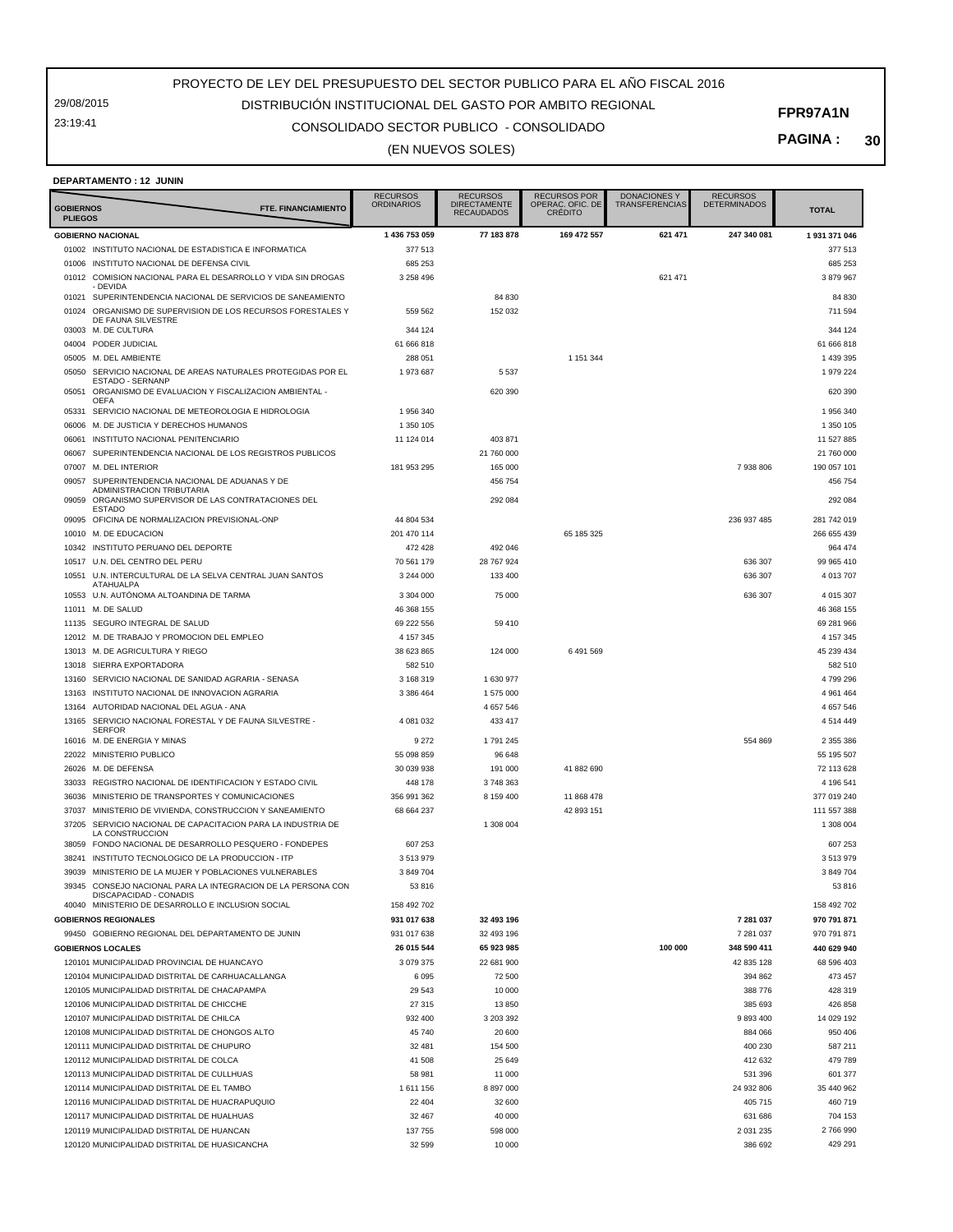29/08/2015 23:19:41

## CONSOLIDADO SECTOR PUBLICO - CONSOLIDADO DISTRIBUCIÓN INSTITUCIONAL DEL GASTO POR AMBITO REGIONAL

**PAGINA : 30**

#### (EN NUEVOS SOLES)

#### **DEPARTAMENTO : 12 JUNIN**

| <b>GOBIERNOS</b><br><b>PLIEGOS</b> | FTE. FINANCIAMIENTO                                                              | <b>RECURSOS</b><br><b>ORDINARIOS</b> | <b>RECURSOS</b><br><b>DIRECTAMENTE</b><br><b>RECAUDADOS</b> | <b>RECURSOS POR</b><br>OPERAÇ. OFIC. DE<br><b>CRÉDITO</b> | <b>DONACIONES Y</b><br><b>TRANSFERENCIAS</b> | <b>RECURSOS</b><br><b>DETERMINADOS</b> | <b>TOTAL</b>  |
|------------------------------------|----------------------------------------------------------------------------------|--------------------------------------|-------------------------------------------------------------|-----------------------------------------------------------|----------------------------------------------|----------------------------------------|---------------|
|                                    | <b>GOBIERNO NACIONAL</b>                                                         | 1 436 753 059                        | 77 183 878                                                  | 169 472 557                                               | 621 471                                      | 247 340 081                            | 1 931 371 046 |
|                                    | 01002 INSTITUTO NACIONAL DE ESTADISTICA E INFORMATICA                            | 377 513                              |                                                             |                                                           |                                              |                                        | 377 513       |
|                                    | 01006 INSTITUTO NACIONAL DE DEFENSA CIVIL                                        | 685 253                              |                                                             |                                                           |                                              |                                        | 685 253       |
|                                    | 01012 COMISION NACIONAL PARA EL DESARROLLO Y VIDA SIN DROGAS                     | 3 258 496                            |                                                             |                                                           | 621 471                                      |                                        | 3 879 967     |
|                                    | - DEVIDA                                                                         |                                      |                                                             |                                                           |                                              |                                        |               |
| 01021                              | SUPERINTENDENCIA NACIONAL DE SERVICIOS DE SANEAMIENTO                            |                                      | 84 830                                                      |                                                           |                                              |                                        | 84 830        |
| 01024                              | ORGANISMO DE SUPERVISION DE LOS RECURSOS FORESTALES Y<br>DE FAUNA SILVESTRE      | 559 562                              | 152 032                                                     |                                                           |                                              |                                        | 711 594       |
|                                    | 03003 M. DE CULTURA                                                              | 344 124                              |                                                             |                                                           |                                              |                                        | 344 124       |
|                                    | 04004 PODER JUDICIAL                                                             | 61 666 818                           |                                                             |                                                           |                                              |                                        | 61 666 818    |
|                                    | 05005 M. DEL AMBIENTE                                                            | 288 051                              |                                                             | 1 151 344                                                 |                                              |                                        | 1 439 395     |
| 05050                              | SERVICIO NACIONAL DE AREAS NATURALES PROTEGIDAS POR EL                           | 1973687                              | 5 5 3 7                                                     |                                                           |                                              |                                        | 1 979 224     |
|                                    | <b>ESTADO - SERNANP</b>                                                          |                                      |                                                             |                                                           |                                              |                                        |               |
| 05051                              | ORGANISMO DE EVALUACION Y FISCALIZACION AMBIENTAL -<br>OEFA                      |                                      | 620 390                                                     |                                                           |                                              |                                        | 620 390       |
| 05331                              | SERVICIO NACIONAL DE METEOROLOGIA E HIDROLOGIA                                   | 1956340                              |                                                             |                                                           |                                              |                                        | 1956340       |
| 06006                              | M. DE JUSTICIA Y DERECHOS HUMANOS                                                | 1 350 105                            |                                                             |                                                           |                                              |                                        | 1 350 105     |
| 06061                              | INSTITUTO NACIONAL PENITENCIARIO                                                 | 11 124 014                           | 403 871                                                     |                                                           |                                              |                                        | 11 527 885    |
| 06067                              | SUPERINTENDENCIA NACIONAL DE LOS REGISTROS PUBLICOS                              |                                      | 21 760 000                                                  |                                                           |                                              |                                        | 21 760 000    |
| 07007                              | M. DEL INTERIOR                                                                  | 181 953 295                          | 165 000                                                     |                                                           |                                              | 7 938 806                              | 190 057 101   |
| 09057                              | SUPERINTENDENCIA NACIONAL DE ADUANAS Y DE                                        |                                      | 456 754                                                     |                                                           |                                              |                                        | 456 754       |
|                                    | ADMINISTRACION TRIBUTARIA                                                        |                                      |                                                             |                                                           |                                              |                                        |               |
| 09059                              | ORGANISMO SUPERVISOR DE LAS CONTRATACIONES DEL<br><b>ESTADO</b>                  |                                      | 292 084                                                     |                                                           |                                              |                                        | 292 084       |
| 09095                              | OFICINA DE NORMALIZACION PREVISIONAL-ONP                                         | 44 804 534                           |                                                             |                                                           |                                              | 236 937 485                            | 281 742 019   |
| 10010                              | M. DE EDUCACION                                                                  | 201 470 114                          |                                                             | 65 185 325                                                |                                              |                                        | 266 655 439   |
| 10342                              | INSTITUTO PERUANO DEL DEPORTE                                                    | 472 428                              | 492 046                                                     |                                                           |                                              |                                        | 964 474       |
|                                    | 10517 U.N. DEL CENTRO DEL PERU                                                   | 70 561 179                           | 28 767 924                                                  |                                                           |                                              | 636 307                                | 99 965 410    |
| 10551                              | U.N. INTERCULTURAL DE LA SELVA CENTRAL JUAN SANTOS                               | 3 244 000                            | 133 400                                                     |                                                           |                                              | 636 307                                | 4 013 707     |
|                                    | <b>ATAHUALPA</b><br>U.N. AUTÓNOMA ALTOANDINA DE TARMA                            |                                      |                                                             |                                                           |                                              |                                        |               |
| 10553                              |                                                                                  | 3 304 000                            | 75 000                                                      |                                                           |                                              | 636 307                                | 4 015 307     |
|                                    | 11011 M. DE SALUD                                                                | 46 368 155                           |                                                             |                                                           |                                              |                                        | 46 368 155    |
|                                    | 11135 SEGURO INTEGRAL DE SALUD                                                   | 69 222 556                           | 59 410                                                      |                                                           |                                              |                                        | 69 281 966    |
| 12012                              | M. DE TRABAJO Y PROMOCION DEL EMPLEO                                             | 4 157 345                            |                                                             |                                                           |                                              |                                        | 4 157 345     |
| 13013                              | M. DE AGRICULTURA Y RIEGO                                                        | 38 623 865                           | 124 000                                                     | 6 491 569                                                 |                                              |                                        | 45 239 434    |
| 13018                              | SIERRA EXPORTADORA                                                               | 582 510                              |                                                             |                                                           |                                              |                                        | 582 510       |
| 13160                              | SERVICIO NACIONAL DE SANIDAD AGRARIA - SENASA                                    | 3 168 319                            | 1 630 977                                                   |                                                           |                                              |                                        | 4799296       |
| 13163                              | INSTITUTO NACIONAL DE INNOVACION AGRARIA                                         | 3 386 464                            | 1 575 000                                                   |                                                           |                                              |                                        | 4 961 464     |
| 13164                              | AUTORIDAD NACIONAL DEL AGUA - ANA                                                |                                      | 4 657 546                                                   |                                                           |                                              |                                        | 4 657 546     |
| 13165                              | SERVICIO NACIONAL FORESTAL Y DE FAUNA SILVESTRE -<br><b>SERFOR</b>               | 4 081 032                            | 433 417                                                     |                                                           |                                              |                                        | 4 5 14 4 49   |
|                                    | 16016 M. DE ENERGIA Y MINAS                                                      | 9 2 7 2                              | 1791245                                                     |                                                           |                                              | 554 869                                | 2 355 386     |
|                                    | 22022 MINISTERIO PUBLICO                                                         | 55 098 859                           | 96 648                                                      |                                                           |                                              |                                        | 55 195 507    |
|                                    | 26026 M. DE DEFENSA                                                              | 30 039 938                           | 191 000                                                     | 41 882 690                                                |                                              |                                        | 72 113 628    |
| 33033                              | REGISTRO NACIONAL DE IDENTIFICACION Y ESTADO CIVIL                               | 448 178                              | 3 748 363                                                   |                                                           |                                              |                                        | 4 196 541     |
| 36036                              | MINISTERIO DE TRANSPORTES Y COMUNICACIONES                                       | 356 991 362                          | 8 159 400                                                   | 11 868 478                                                |                                              |                                        | 377 019 240   |
|                                    | 37037 MINISTERIO DE VIVIENDA, CONSTRUCCION Y SANEAMIENTO                         | 68 664 237                           |                                                             | 42 893 151                                                |                                              |                                        | 111 557 388   |
| 37205                              | SERVICIO NACIONAL DE CAPACITACION PARA LA INDUSTRIA DE                           |                                      | 1 308 004                                                   |                                                           |                                              |                                        | 1 308 004     |
|                                    | LA CONSTRUCCION                                                                  |                                      |                                                             |                                                           |                                              |                                        |               |
|                                    | 38059 FONDO NACIONAL DE DESARROLLO PESQUERO - FONDEPES                           | 607 253                              |                                                             |                                                           |                                              |                                        | 607 253       |
| 38241                              | INSTITUTO TECNOLOGICO DE LA PRODUCCION - ITP                                     | 3513979                              |                                                             |                                                           |                                              |                                        | 3513979       |
|                                    | 39039 MINISTERIO DE LA MUJER Y POBLACIONES VULNERABLES                           | 3849704                              |                                                             |                                                           |                                              |                                        | 3 849 704     |
| 39345                              | CONSEJO NACIONAL PARA LA INTEGRACION DE LA PERSONA CON<br>DISCAPACIDAD - CONADIS | 53816                                |                                                             |                                                           |                                              |                                        | 53816         |
|                                    | 40040 MINISTERIO DE DESARROLLO E INCLUSION SOCIAL                                | 158 492 702                          |                                                             |                                                           |                                              |                                        | 158 492 702   |
|                                    | <b>GOBIERNOS REGIONALES</b>                                                      | 931 017 638                          | 32 493 196                                                  |                                                           |                                              | 7 281 037                              | 970 791 871   |
|                                    | 99450 GOBIERNO REGIONAL DEL DEPARTAMENTO DE JUNIN                                | 931 017 638                          | 32 493 196                                                  |                                                           |                                              | 7 281 037                              | 970 791 871   |
|                                    | <b>GOBIERNOS LOCALES</b>                                                         | 26 015 544                           | 65 923 985                                                  |                                                           | 100 000                                      | 348 590 411                            | 440 629 940   |
|                                    | 120101 MUNICIPALIDAD PROVINCIAL DE HUANCAYO                                      | 3 0 7 9 3 7 5                        | 22 681 900                                                  |                                                           |                                              | 42 835 128                             | 68 596 403    |
|                                    | 120104 MUNICIPALIDAD DISTRITAL DE CARHUACALLANGA                                 | 6 0 9 5                              | 72 500                                                      |                                                           |                                              | 394 862                                | 473 457       |
|                                    | 120105 MUNICIPALIDAD DISTRITAL DE CHACAPAMPA                                     | 29 543                               | 10 000                                                      |                                                           |                                              | 388776                                 | 428 319       |
|                                    | 120106 MUNICIPALIDAD DISTRITAL DE CHICCHE                                        | 27 315                               | 13850                                                       |                                                           |                                              | 385 693                                | 426 858       |
|                                    | 120107 MUNICIPALIDAD DISTRITAL DE CHILCA                                         | 932 400                              | 3 203 392                                                   |                                                           |                                              | 9 893 400                              | 14 029 192    |
|                                    | 120108 MUNICIPALIDAD DISTRITAL DE CHONGOS ALTO                                   | 45 740                               | 20 600                                                      |                                                           |                                              | 884 066                                | 950 406       |
|                                    | 120111 MUNICIPALIDAD DISTRITAL DE CHUPURO                                        | 32 481                               | 154 500                                                     |                                                           |                                              | 400 230                                | 587 211       |
|                                    | 120112 MUNICIPALIDAD DISTRITAL DE COLCA                                          | 41 508                               | 25 649                                                      |                                                           |                                              | 412 632                                | 479 789       |
|                                    | 120113 MUNICIPALIDAD DISTRITAL DE CULLHUAS                                       | 58 981                               | 11 000                                                      |                                                           |                                              | 531 396                                | 601 377       |
|                                    | 120114 MUNICIPALIDAD DISTRITAL DE EL TAMBO                                       | 1611156                              | 8 897 000                                                   |                                                           |                                              | 24 932 806                             | 35 440 962    |
|                                    | 120116 MUNICIPALIDAD DISTRITAL DE HUACRAPUQUIO                                   | 22 4 04                              | 32 600                                                      |                                                           |                                              | 405 715                                | 460 719       |
|                                    | 120117 MUNICIPALIDAD DISTRITAL DE HUALHUAS                                       | 32 467                               | 40 000                                                      |                                                           |                                              | 631 686                                | 704 153       |
|                                    | 120119 MUNICIPALIDAD DISTRITAL DE HUANCAN                                        | 137 755                              | 598 000                                                     |                                                           |                                              | 2 031 235                              | 2766990       |
|                                    | 120120 MUNICIPALIDAD DISTRITAL DE HUASICANCHA                                    | 32 599                               | 10 000                                                      |                                                           |                                              | 386 692                                | 429 291       |
|                                    |                                                                                  |                                      |                                                             |                                                           |                                              |                                        |               |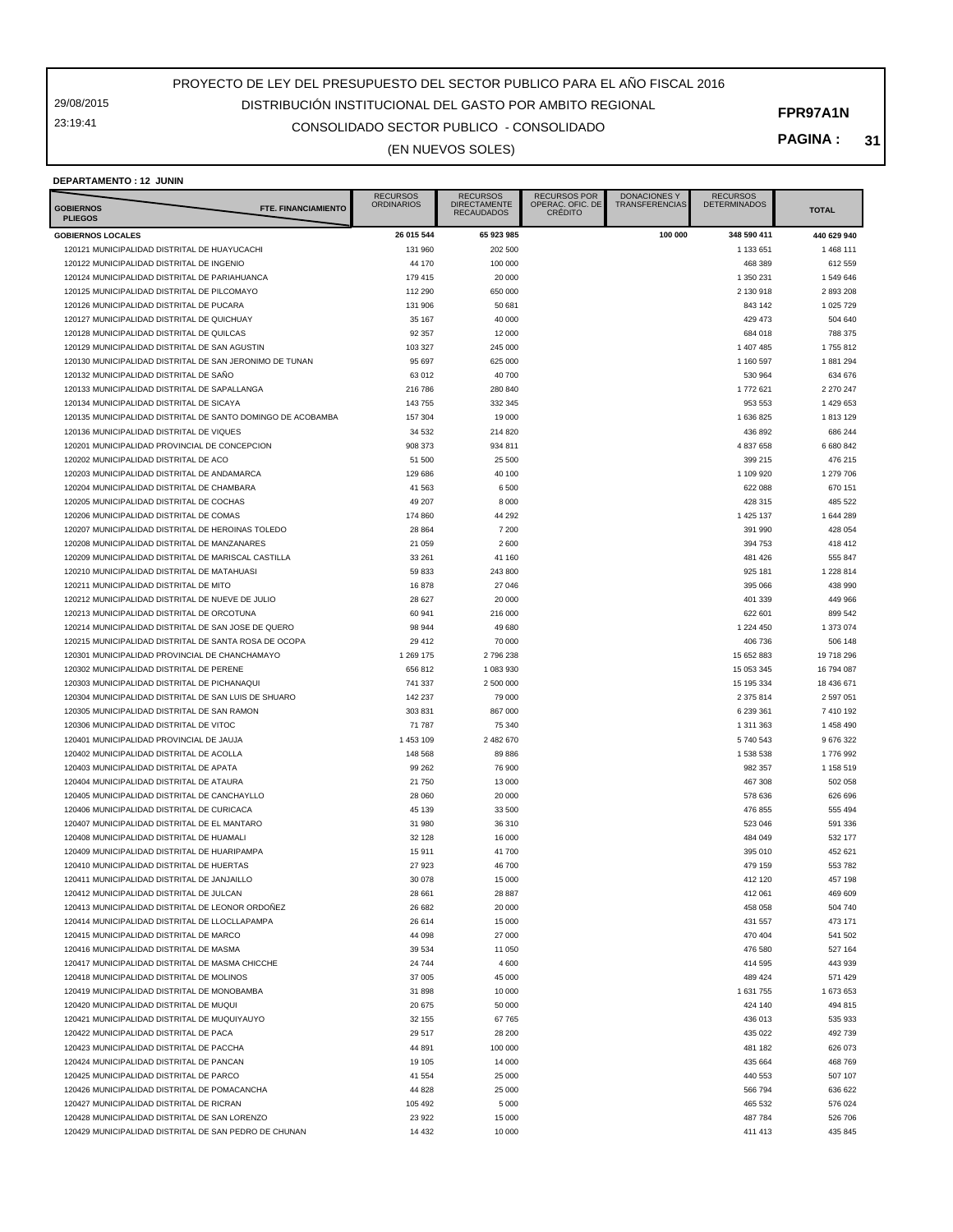29/08/2015 23:19:41

#### CONSOLIDADO SECTOR PUBLICO - CONSOLIDADO DISTRIBUCIÓN INSTITUCIONAL DEL GASTO POR AMBITO REGIONAL

(EN NUEVOS SOLES)

**PAGINA : 31**

## **DEPARTAMENTO : 12 JUNIN**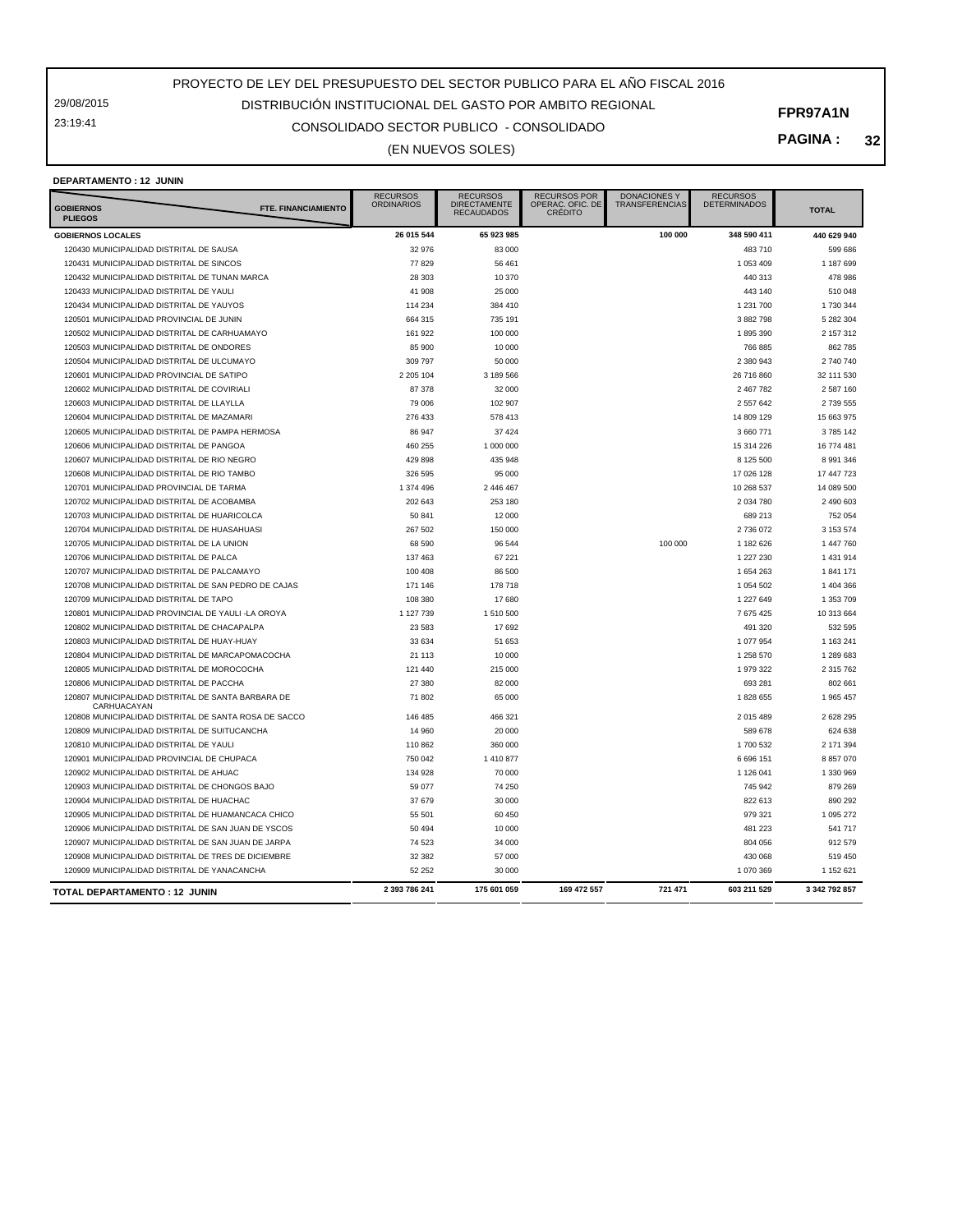29/08/2015 23:19:41

## CONSOLIDADO SECTOR PUBLICO - CONSOLIDADO DISTRIBUCIÓN INSTITUCIONAL DEL GASTO POR AMBITO REGIONAL

(EN NUEVOS SOLES)

**PAGINA : 32**

**FPR97A1N**

#### **DEPARTAMENTO : 12 JUNIN**

| <b>FTE. FINANCIAMIENTO</b><br><b>GOBIERNOS</b><br><b>PLIEGOS</b>  | <b>RECURSOS</b><br><b>ORDINARIOS</b> | <b>RECURSOS</b><br><b>DIRECTAMENTE</b><br><b>RECAUDADOS</b> | <b>RECURSOS POR</b><br>OPERAC. OFIC. DE<br><b>CRÉDITO</b> | <b>DONACIONES Y</b><br><b>TRANSFERENCIAS</b> | <b>RECURSOS</b><br><b>DETERMINADOS</b> | <b>TOTAL</b>  |
|-------------------------------------------------------------------|--------------------------------------|-------------------------------------------------------------|-----------------------------------------------------------|----------------------------------------------|----------------------------------------|---------------|
| <b>GOBIERNOS LOCALES</b>                                          | 26 015 544                           | 65 923 985                                                  |                                                           | 100 000                                      | 348 590 411                            | 440 629 940   |
| 120430 MUNICIPALIDAD DISTRITAL DE SAUSA                           | 32 976                               | 83 000                                                      |                                                           |                                              | 483710                                 | 599 686       |
| 120431 MUNICIPALIDAD DISTRITAL DE SINCOS                          | 77829                                | 56 461                                                      |                                                           |                                              | 1 053 409                              | 1 187 699     |
| 120432 MUNICIPALIDAD DISTRITAL DE TUNAN MARCA                     | 28 30 3                              | 10 370                                                      |                                                           |                                              | 440 313                                | 478 986       |
| 120433 MUNICIPALIDAD DISTRITAL DE YAULI                           | 41 908                               | 25 000                                                      |                                                           |                                              | 443 140                                | 510 048       |
| 120434 MUNICIPALIDAD DISTRITAL DE YAUYOS                          | 114 234                              | 384 410                                                     |                                                           |                                              | 1 231 700                              | 1 730 344     |
| 120501 MUNICIPALIDAD PROVINCIAL DE JUNIN                          | 664 315                              | 735 191                                                     |                                                           |                                              | 3 882 798                              | 5 282 304     |
| 120502 MUNICIPALIDAD DISTRITAL DE CARHUAMAYO                      | 161 922                              | 100 000                                                     |                                                           |                                              | 1895390                                | 2 157 312     |
| 120503 MUNICIPALIDAD DISTRITAL DE ONDORES                         | 85 900                               | 10 000                                                      |                                                           |                                              | 766 885                                | 862 785       |
| 120504 MUNICIPALIDAD DISTRITAL DE ULCUMAYO                        | 309 797                              | 50 000                                                      |                                                           |                                              | 2 380 943                              | 2 740 740     |
| 120601 MUNICIPALIDAD PROVINCIAL DE SATIPO                         | 2 205 104                            | 3 189 566                                                   |                                                           |                                              | 26 716 860                             | 32 111 530    |
| 120602 MUNICIPALIDAD DISTRITAL DE COVIRIALI                       | 87 378                               | 32 000                                                      |                                                           |                                              | 2 467 782                              | 2 587 160     |
| 120603 MUNICIPALIDAD DISTRITAL DE LLAYLLA                         | 79 006                               | 102 907                                                     |                                                           |                                              | 2 557 642                              | 2 739 555     |
| 120604 MUNICIPALIDAD DISTRITAL DE MAZAMARI                        | 276 433                              | 578 413                                                     |                                                           |                                              | 14 809 129                             | 15 663 975    |
| 120605 MUNICIPALIDAD DISTRITAL DE PAMPA HERMOSA                   | 86 947                               | 37 4 24                                                     |                                                           |                                              | 3 660 771                              | 3785142       |
| 120606 MUNICIPALIDAD DISTRITAL DE PANGOA                          | 460 255                              | 1 000 000                                                   |                                                           |                                              | 15 314 226                             | 16 774 481    |
| 120607 MUNICIPALIDAD DISTRITAL DE RIO NEGRO                       | 429 898                              | 435 948                                                     |                                                           |                                              | 8 125 500                              | 8 9 9 1 3 4 6 |
| 120608 MUNICIPALIDAD DISTRITAL DE RIO TAMBO                       | 326 595                              | 95 000                                                      |                                                           |                                              | 17 026 128                             | 17 447 723    |
| 120701 MUNICIPALIDAD PROVINCIAL DE TARMA                          | 1 374 496                            | 2 446 467                                                   |                                                           |                                              | 10 268 537                             | 14 089 500    |
| 120702 MUNICIPALIDAD DISTRITAL DE ACOBAMBA                        | 202 643                              | 253 180                                                     |                                                           |                                              | 2 034 780                              | 2 490 603     |
| 120703 MUNICIPALIDAD DISTRITAL DE HUARICOLCA                      | 50 841                               | 12 000                                                      |                                                           |                                              | 689 213                                | 752 054       |
| 120704 MUNICIPALIDAD DISTRITAL DE HUASAHUASI                      | 267 502                              | 150 000                                                     |                                                           |                                              | 2736072                                | 3 153 574     |
| 120705 MUNICIPALIDAD DISTRITAL DE LA UNION                        | 68 590                               | 96 544                                                      |                                                           | 100 000                                      | 1 182 626                              | 1 447 760     |
| 120706 MUNICIPALIDAD DISTRITAL DE PALCA                           | 137 463                              | 67 221                                                      |                                                           |                                              | 1 227 230                              | 1 431 914     |
| 120707 MUNICIPALIDAD DISTRITAL DE PALCAMAYO                       | 100 408                              | 86 500                                                      |                                                           |                                              | 1 654 263                              | 1841171       |
| 120708 MUNICIPALIDAD DISTRITAL DE SAN PEDRO DE CAJAS              | 171 146                              | 178 718                                                     |                                                           |                                              | 1 054 502                              | 1 404 366     |
| 120709 MUNICIPALIDAD DISTRITAL DE TAPO                            | 108 380                              | 17 680                                                      |                                                           |                                              | 1 227 649                              | 1 353 709     |
| 120801 MUNICIPALIDAD PROVINCIAL DE YAULI -LA OROYA                | 1 127 739                            | 1 510 500                                                   |                                                           |                                              | 7 675 425                              | 10 313 664    |
| 120802 MUNICIPALIDAD DISTRITAL DE CHACAPALPA                      | 23 583                               | 17 692                                                      |                                                           |                                              | 491 320                                | 532 595       |
| 120803 MUNICIPALIDAD DISTRITAL DE HUAY-HUAY                       | 33 634                               | 51 653                                                      |                                                           |                                              | 1 077 954                              | 1 163 241     |
| 120804 MUNICIPALIDAD DISTRITAL DE MARCAPOMACOCHA                  | 21 113                               | 10 000                                                      |                                                           |                                              | 1 258 570                              | 1 289 683     |
| 120805 MUNICIPALIDAD DISTRITAL DE MOROCOCHA                       | 121 440                              | 215 000                                                     |                                                           |                                              | 1 979 322                              | 2 315 762     |
| 120806 MUNICIPALIDAD DISTRITAL DE PACCHA                          | 27 380                               | 82 000                                                      |                                                           |                                              | 693 281                                | 802 661       |
| 120807 MUNICIPALIDAD DISTRITAL DE SANTA BARBARA DE<br>CARHUACAYAN | 71 802                               | 65 000                                                      |                                                           |                                              | 1828655                                | 1 965 457     |
| 120808 MUNICIPALIDAD DISTRITAL DE SANTA ROSA DE SACCO             | 146 485                              | 466 321                                                     |                                                           |                                              | 2 015 489                              | 2 628 295     |
| 120809 MUNICIPALIDAD DISTRITAL DE SUITUCANCHA                     | 14 960                               | 20 000                                                      |                                                           |                                              | 589 678                                | 624 638       |
| 120810 MUNICIPALIDAD DISTRITAL DE YAULI                           | 110 862                              | 360 000                                                     |                                                           |                                              | 1700 532                               | 2 171 394     |
| 120901 MUNICIPALIDAD PROVINCIAL DE CHUPACA                        | 750 042                              | 1 410 877                                                   |                                                           |                                              | 6 696 151                              | 8 857 070     |
| 120902 MUNICIPALIDAD DISTRITAL DE AHUAC                           | 134 928                              | 70 000                                                      |                                                           |                                              | 1 126 041                              | 1 330 969     |
| 120903 MUNICIPALIDAD DISTRITAL DE CHONGOS BAJO                    | 59 077                               | 74 250                                                      |                                                           |                                              | 745 942                                | 879 269       |
| 120904 MUNICIPALIDAD DISTRITAL DE HUACHAC                         | 37 679                               | 30 000                                                      |                                                           |                                              | 822 613                                | 890 292       |
| 120905 MUNICIPALIDAD DISTRITAL DE HUAMANCACA CHICO                | 55 501                               | 60 450                                                      |                                                           |                                              | 979 321                                | 1 095 272     |
| 120906 MUNICIPALIDAD DISTRITAL DE SAN JUAN DE YSCOS               | 50 494                               | 10 000                                                      |                                                           |                                              | 481 223                                | 541 717       |
| 120907 MUNICIPALIDAD DISTRITAL DE SAN JUAN DE JARPA               | 74 523                               | 34 000                                                      |                                                           |                                              | 804 056                                | 912 579       |
| 120908 MUNICIPALIDAD DISTRITAL DE TRES DE DICIEMBRE               | 32 382                               | 57 000                                                      |                                                           |                                              | 430 068                                | 519 450       |
| 120909 MUNICIPALIDAD DISTRITAL DE YANACANCHA                      | 52 252                               | 30 000                                                      |                                                           |                                              | 1 070 369                              | 1 152 621     |
| TOTAL DEPARTAMENTO : 12 JUNIN                                     | 2 393 786 241                        | 175 601 059                                                 | 169 472 557                                               | 721 471                                      | 603 211 529                            | 3 342 792 857 |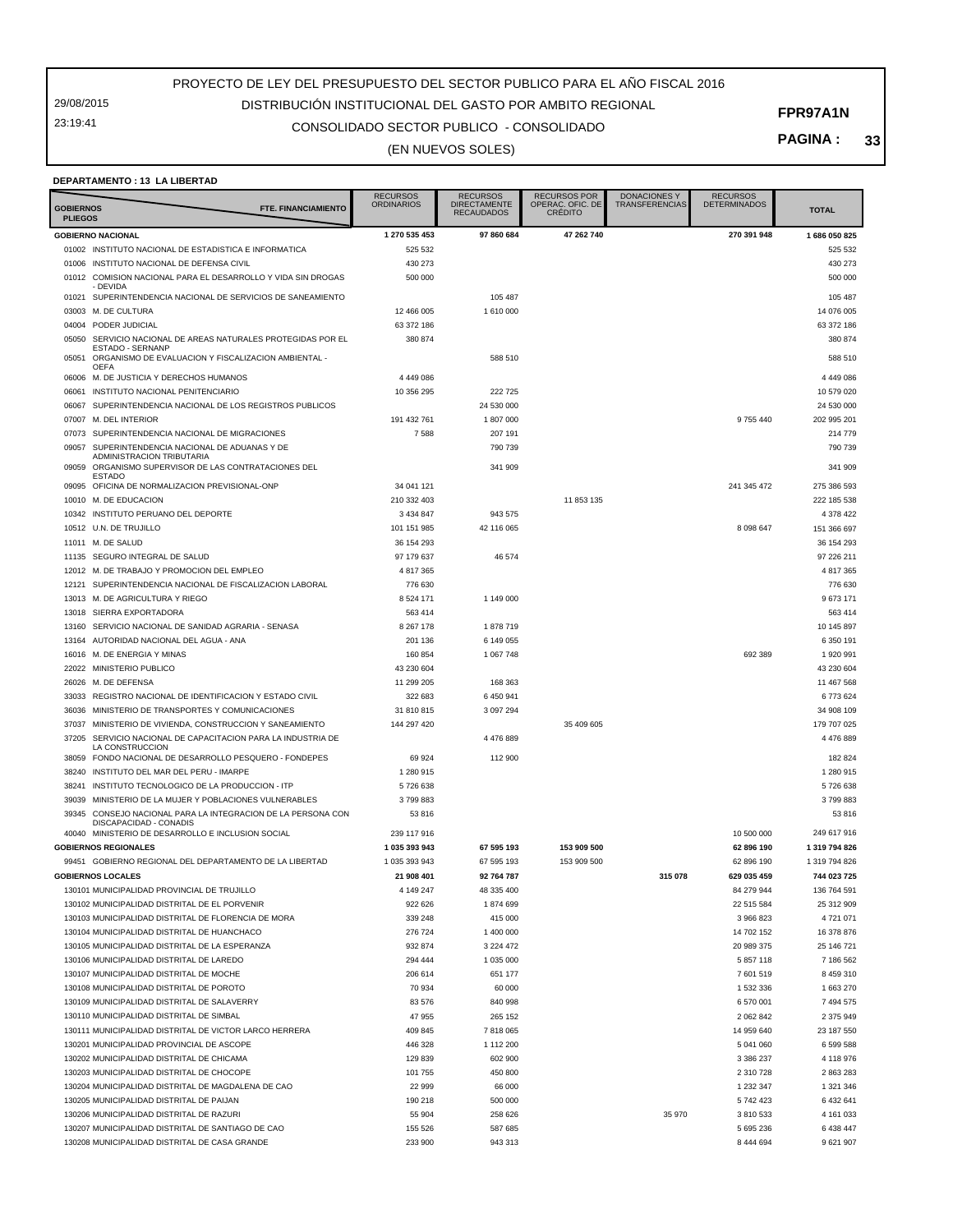29/08/2015 23:19:41

## CONSOLIDADO SECTOR PUBLICO - CONSOLIDADO DISTRIBUCIÓN INSTITUCIONAL DEL GASTO POR AMBITO REGIONAL

#### **PAGINA : 33**

#### (EN NUEVOS SOLES)

| DEPARTAMENTO : 13 LA LIBERTAD |  |
|-------------------------------|--|
|                               |  |

| <b>GOBIERNOS</b><br><b>PLIEGOS</b> | <b>FTE. FINANCIAMIENTO</b>                                                  | <b>RECURSOS</b><br><b>ORDINARIOS</b> | <b>RECURSOS</b><br><b>DIRECTAMENTE</b><br><b>RECAUDADOS</b> | <b>RECURSOS POR</b><br>OPERAC. OFIC. DE<br><b>CREDITO</b> | <b>DONACIONES Y</b><br><b>TRANSFERENCIAS</b> | <b>RECURSOS</b><br><b>DETERMINADOS</b> | <b>TOTAL</b>  |
|------------------------------------|-----------------------------------------------------------------------------|--------------------------------------|-------------------------------------------------------------|-----------------------------------------------------------|----------------------------------------------|----------------------------------------|---------------|
|                                    | <b>GOBIERNO NACIONAL</b>                                                    | 1 270 535 453                        | 97 860 684                                                  | 47 262 740                                                |                                              | 270 391 948                            | 1686 050 825  |
|                                    | 01002 INSTITUTO NACIONAL DE ESTADISTICA E INFORMATICA                       | 525 532                              |                                                             |                                                           |                                              |                                        | 525 532       |
| 01006                              | INSTITUTO NACIONAL DE DEFENSA CIVIL                                         | 430 273                              |                                                             |                                                           |                                              |                                        | 430 273       |
|                                    | 01012 COMISION NACIONAL PARA EL DESARROLLO Y VIDA SIN DROGAS                | 500 000                              |                                                             |                                                           |                                              |                                        | 500 000       |
|                                    | - DEVIDA                                                                    |                                      |                                                             |                                                           |                                              |                                        |               |
| 01021                              | SUPERINTENDENCIA NACIONAL DE SERVICIOS DE SANEAMIENTO                       |                                      | 105 487                                                     |                                                           |                                              |                                        | 105 487       |
| 03003                              | M. DE CULTURA                                                               | 12 466 005                           | 1 610 000                                                   |                                                           |                                              |                                        | 14 076 005    |
|                                    | 04004 PODER JUDICIAL                                                        | 63 372 186                           |                                                             |                                                           |                                              |                                        | 63 372 186    |
| 05050                              | SERVICIO NACIONAL DE AREAS NATURALES PROTEGIDAS POR EL                      | 380 874                              |                                                             |                                                           |                                              |                                        | 380 874       |
| 05051                              | ESTADO - SERNANP<br>ORGANISMO DE EVALUACION Y FISCALIZACION AMBIENTAL -     |                                      | 588 510                                                     |                                                           |                                              |                                        | 588 510       |
|                                    | <b>OEFA</b>                                                                 |                                      |                                                             |                                                           |                                              |                                        |               |
|                                    | 06006 M. DE JUSTICIA Y DERECHOS HUMANOS                                     | 4 4 4 9 0 8 6                        |                                                             |                                                           |                                              |                                        | 4 449 086     |
| 06061                              | INSTITUTO NACIONAL PENITENCIARIO                                            | 10 356 295                           | 222 725                                                     |                                                           |                                              |                                        | 10 579 020    |
| 06067                              | SUPERINTENDENCIA NACIONAL DE LOS REGISTROS PUBLICOS                         |                                      | 24 530 000                                                  |                                                           |                                              |                                        | 24 530 000    |
| 07007                              | M. DEL INTERIOR                                                             | 191 432 761                          | 1 807 000                                                   |                                                           |                                              | 9755440                                | 202 995 201   |
|                                    | 07073 SUPERINTENDENCIA NACIONAL DE MIGRACIONES                              | 7588                                 | 207 191                                                     |                                                           |                                              |                                        | 214 779       |
| 09057                              | SUPERINTENDENCIA NACIONAL DE ADUANAS Y DE                                   |                                      | 790 739                                                     |                                                           |                                              |                                        | 790 739       |
|                                    | ADMINISTRACION TRIBUTARIA                                                   |                                      |                                                             |                                                           |                                              |                                        |               |
| 09059                              | ORGANISMO SUPERVISOR DE LAS CONTRATACIONES DEL<br><b>ESTADO</b>             |                                      | 341 909                                                     |                                                           |                                              |                                        | 341 909       |
| 09095                              | OFICINA DE NORMALIZACION PREVISIONAL-ONP                                    | 34 041 121                           |                                                             |                                                           |                                              | 241 345 472                            | 275 386 593   |
| 10010                              | M. DE EDUCACION                                                             | 210 332 403                          |                                                             | 11 853 135                                                |                                              |                                        | 222 185 538   |
| 10342                              | INSTITUTO PERUANO DEL DEPORTE                                               | 3 4 3 4 8 4 7                        | 943 575                                                     |                                                           |                                              |                                        | 4 378 422     |
|                                    | 10512 U.N. DE TRUJILLO                                                      | 101 151 985                          | 42 116 065                                                  |                                                           |                                              | 8 0 9 8 6 4 7                          | 151 366 697   |
|                                    | 11011 M. DE SALUD                                                           | 36 154 293                           |                                                             |                                                           |                                              |                                        | 36 154 293    |
| 11135                              | SEGURO INTEGRAL DE SALUD                                                    | 97 179 637                           | 46 574                                                      |                                                           |                                              |                                        | 97 226 211    |
| 12012                              | M. DE TRABAJO Y PROMOCION DEL EMPLEO                                        | 4 8 1 7 3 6 5                        |                                                             |                                                           |                                              |                                        | 4 817 365     |
|                                    | SUPERINTENDENCIA NACIONAL DE FISCALIZACION LABORAL                          |                                      |                                                             |                                                           |                                              |                                        |               |
| 12121                              |                                                                             | 776 630                              |                                                             |                                                           |                                              |                                        | 776 630       |
| 13013                              | M. DE AGRICULTURA Y RIEGO                                                   | 8524171                              | 1 149 000                                                   |                                                           |                                              |                                        | 9 673 171     |
| 13018                              | SIERRA EXPORTADORA                                                          | 563 414                              |                                                             |                                                           |                                              |                                        | 563 414       |
| 13160                              | SERVICIO NACIONAL DE SANIDAD AGRARIA - SENASA                               | 8 2 6 7 1 7 8                        | 1878719                                                     |                                                           |                                              |                                        | 10 145 897    |
| 13164                              | AUTORIDAD NACIONAL DEL AGUA - ANA                                           | 201 136                              | 6 149 055                                                   |                                                           |                                              |                                        | 6 350 191     |
| 16016                              | M. DE ENERGIA Y MINAS                                                       | 160 854                              | 1 067 748                                                   |                                                           |                                              | 692 389                                | 1 920 991     |
| 22022                              | MINISTERIO PUBLICO                                                          | 43 230 604                           |                                                             |                                                           |                                              |                                        | 43 230 604    |
| 26026                              | M. DE DEFENSA                                                               | 11 299 205                           | 168 363                                                     |                                                           |                                              |                                        | 11 467 568    |
| 33033                              | REGISTRO NACIONAL DE IDENTIFICACION Y ESTADO CIVIL                          | 322 683                              | 6 450 941                                                   |                                                           |                                              |                                        | 6773624       |
| 36036                              | MINISTERIO DE TRANSPORTES Y COMUNICACIONES                                  | 31 810 815                           | 3 097 294                                                   |                                                           |                                              |                                        | 34 908 109    |
| 37037                              | MINISTERIO DE VIVIENDA, CONSTRUCCION Y SANEAMIENTO                          | 144 297 420                          |                                                             | 35 409 605                                                |                                              |                                        | 179 707 025   |
| 37205                              | SERVICIO NACIONAL DE CAPACITACION PARA LA INDUSTRIA DE                      |                                      | 4 476 889                                                   |                                                           |                                              |                                        | 4 476 889     |
|                                    | LA CONSTRUCCION                                                             |                                      |                                                             |                                                           |                                              |                                        |               |
| 38059                              | FONDO NACIONAL DE DESARROLLO PESQUERO - FONDEPES                            | 69 924                               | 112 900                                                     |                                                           |                                              |                                        | 182824        |
| 38240                              | INSTITUTO DEL MAR DEL PERU - IMARPE                                         | 1 280 915                            |                                                             |                                                           |                                              |                                        | 1 280 915     |
| 38241                              | INSTITUTO TECNOLOGICO DE LA PRODUCCION - ITP                                | 5726638                              |                                                             |                                                           |                                              |                                        | 5726638       |
| 39039                              | MINISTERIO DE LA MUJER Y POBLACIONES VULNERABLES                            | 3799883                              |                                                             |                                                           |                                              |                                        | 3799883       |
| 39345                              | CONSEJO NACIONAL PARA LA INTEGRACION DE LA PERSONA CON                      | 53 816                               |                                                             |                                                           |                                              |                                        | 53816         |
|                                    | DISCAPACIDAD - CONADIS<br>40040 MINISTERIO DE DESARROLLO E INCLUSION SOCIAL | 239 117 916                          |                                                             |                                                           |                                              | 10 500 000                             | 249 617 916   |
|                                    | <b>GOBIERNOS REGIONALES</b>                                                 | 1 035 393 943                        | 67 595 193                                                  | 153 909 500                                               |                                              | 62 896 190                             | 1 319 794 826 |
|                                    |                                                                             | 1 035 393 943                        |                                                             |                                                           |                                              | 62 896 190                             |               |
|                                    | 99451 GOBIERNO REGIONAL DEL DEPARTAMENTO DE LA LIBERTAD                     |                                      | 67 595 193                                                  | 153 909 500                                               |                                              |                                        | 1 319 794 826 |
|                                    | <b>GOBIERNOS LOCALES</b>                                                    | 21 908 401                           | 92 764 787                                                  |                                                           | 315 078                                      | 629 035 459                            | 744 023 725   |
|                                    | 130101 MUNICIPALIDAD PROVINCIAL DE TRUJILLO                                 | 4 149 247                            | 48 335 400                                                  |                                                           |                                              | 84 279 944                             | 136 764 591   |
|                                    | 130102 MUNICIPALIDAD DISTRITAL DE EL PORVENIR                               | 922 626                              | 1874699                                                     |                                                           |                                              | 22 515 584                             | 25 312 909    |
|                                    | 130103 MUNICIPALIDAD DISTRITAL DE FLORENCIA DE MORA                         | 339 248                              | 415 000                                                     |                                                           |                                              | 3 966 823                              | 4 721 071     |
|                                    | 130104 MUNICIPALIDAD DISTRITAL DE HUANCHACO                                 | 276 724                              | 1 400 000                                                   |                                                           |                                              | 14 702 152                             | 16 378 876    |
|                                    | 130105 MUNICIPALIDAD DISTRITAL DE LA ESPERANZA                              | 932 874                              | 3 2 2 4 4 7 2                                               |                                                           |                                              | 20 989 375                             | 25 146 721    |
|                                    | 130106 MUNICIPALIDAD DISTRITAL DE LAREDO                                    | 294 444                              | 1 035 000                                                   |                                                           |                                              | 5 857 118                              | 7 186 562     |
|                                    | 130107 MUNICIPALIDAD DISTRITAL DE MOCHE                                     | 206 614                              | 651 177                                                     |                                                           |                                              | 7 601 519                              | 8 459 310     |
|                                    | 130108 MUNICIPALIDAD DISTRITAL DE POROTO                                    | 70 934                               | 60 000                                                      |                                                           |                                              | 1 532 336                              | 1 663 270     |
|                                    | 130109 MUNICIPALIDAD DISTRITAL DE SALAVERRY                                 | 83 576                               | 840 998                                                     |                                                           |                                              | 6 570 001                              | 7 494 575     |
|                                    | 130110 MUNICIPALIDAD DISTRITAL DE SIMBAL                                    | 47 955                               | 265 152                                                     |                                                           |                                              | 2 062 842                              | 2 375 949     |
|                                    | 130111 MUNICIPALIDAD DISTRITAL DE VICTOR LARCO HERRERA                      | 409 845                              | 7 818 065                                                   |                                                           |                                              | 14 959 640                             | 23 187 550    |
|                                    | 130201 MUNICIPALIDAD PROVINCIAL DE ASCOPE                                   | 446 328                              | 1 112 200                                                   |                                                           |                                              | 5 041 060                              | 6 599 588     |
|                                    | 130202 MUNICIPALIDAD DISTRITAL DE CHICAMA                                   | 129 839                              | 602 900                                                     |                                                           |                                              | 3 386 237                              | 4 118 976     |
|                                    | 130203 MUNICIPALIDAD DISTRITAL DE CHOCOPE                                   |                                      |                                                             |                                                           |                                              |                                        |               |
|                                    |                                                                             | 101 755                              | 450 800                                                     |                                                           |                                              | 2 310 728                              | 2 863 283     |
|                                    | 130204 MUNICIPALIDAD DISTRITAL DE MAGDALENA DE CAO                          | 22 999                               | 66 000                                                      |                                                           |                                              | 1 232 347                              | 1 321 346     |
|                                    | 130205 MUNICIPALIDAD DISTRITAL DE PAIJAN                                    | 190 218                              | 500 000                                                     |                                                           |                                              | 5 742 423                              | 6 432 641     |
|                                    | 130206 MUNICIPALIDAD DISTRITAL DE RAZURI                                    | 55 904                               | 258 626                                                     |                                                           | 35 970                                       | 3 810 533                              | 4 161 033     |
|                                    | 130207 MUNICIPALIDAD DISTRITAL DE SANTIAGO DE CAO                           | 155 526                              | 587 685                                                     |                                                           |                                              | 5 695 236                              | 6 438 447     |
|                                    | 130208 MUNICIPALIDAD DISTRITAL DE CASA GRANDE                               | 233 900                              | 943 313                                                     |                                                           |                                              | 8 444 694                              | 9 621 907     |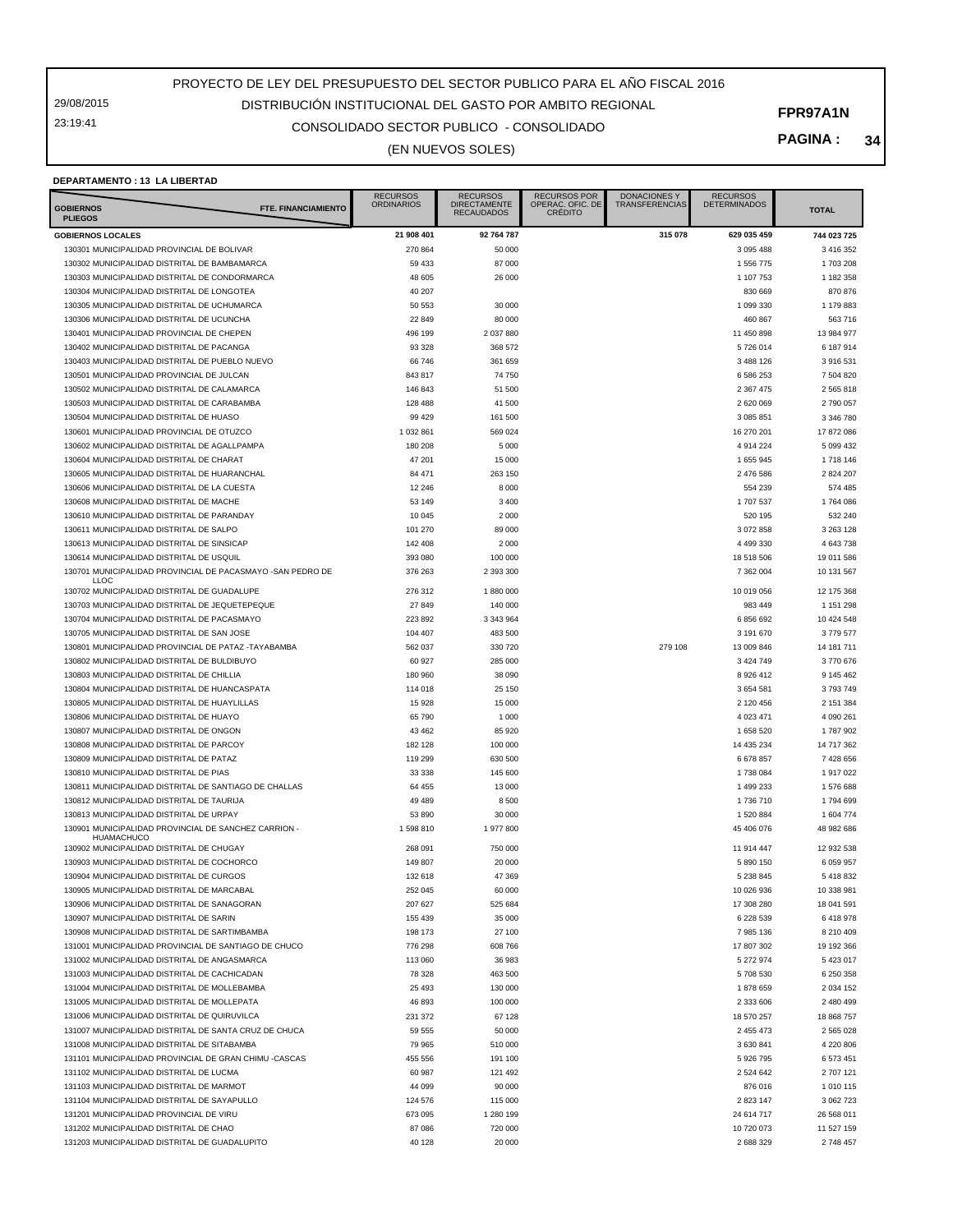29/08/2015 23:19:41

## CONSOLIDADO SECTOR PUBLICO - CONSOLIDADO DISTRIBUCIÓN INSTITUCIONAL DEL GASTO POR AMBITO REGIONAL

**PAGINA : 34**

#### (EN NUEVOS SOLES)

#### **DEPARTAMENTO : 13 LA LIBERTAD**

| FTE. FINANCIAMIENTO<br><b>GOBIERNOS</b><br><b>PLIEGOS</b>                                   | <b>RECURSOS</b><br><b>ORDINARIOS</b> | <b>RECURSOS</b><br><b>DIRECTAMENTE</b><br><b>RECAUDADOS</b> | <b>RECURSOS POR</b><br>OPERAÇ. OFIC. DE<br><b>CRÉDITO</b> | DONACIONES Y<br><b>TRANSFERENCIAS</b> | <b>RECURSOS</b><br><b>DETERMINADOS</b> | <b>TOTAL</b>            |
|---------------------------------------------------------------------------------------------|--------------------------------------|-------------------------------------------------------------|-----------------------------------------------------------|---------------------------------------|----------------------------------------|-------------------------|
| <b>GOBIERNOS LOCALES</b>                                                                    | 21 908 401                           | 92 764 787                                                  |                                                           | 315 078                               | 629 035 459                            | 744 023 725             |
| 130301 MUNICIPALIDAD PROVINCIAL DE BOLIVAR                                                  | 270 864                              | 50 000                                                      |                                                           |                                       | 3 0 9 5 4 8 8                          | 3 416 352               |
| 130302 MUNICIPALIDAD DISTRITAL DE BAMBAMARCA                                                | 59 433                               | 87 000                                                      |                                                           |                                       | 1 556 775                              | 1703208                 |
| 130303 MUNICIPALIDAD DISTRITAL DE CONDORMARCA                                               | 48 605                               | 26 000                                                      |                                                           |                                       | 1 107 753                              | 1 182 358               |
| 130304 MUNICIPALIDAD DISTRITAL DE LONGOTEA                                                  | 40 207                               |                                                             |                                                           |                                       | 830 669                                | 870 876                 |
| 130305 MUNICIPALIDAD DISTRITAL DE UCHUMARCA                                                 | 50 553                               | 30 000                                                      |                                                           |                                       | 1 099 330                              | 1 179 883               |
| 130306 MUNICIPALIDAD DISTRITAL DE UCUNCHA                                                   | 22 849                               | 80 000                                                      |                                                           |                                       | 460 867                                | 563 716                 |
| 130401 MUNICIPALIDAD PROVINCIAL DE CHEPEN                                                   | 496 199                              | 2 037 880                                                   |                                                           |                                       | 11 450 898                             | 13 984 977              |
| 130402 MUNICIPALIDAD DISTRITAL DE PACANGA                                                   | 93 328                               | 368 572                                                     |                                                           |                                       | 5726014                                | 6 187 914               |
| 130403 MUNICIPALIDAD DISTRITAL DE PUEBLO NUEVO<br>130501 MUNICIPALIDAD PROVINCIAL DE JULCAN | 66 746                               | 361 659                                                     |                                                           |                                       | 3 488 126                              | 3 916 531<br>7 504 820  |
| 130502 MUNICIPALIDAD DISTRITAL DE CALAMARCA                                                 | 843 817<br>146 843                   | 74 750<br>51 500                                            |                                                           |                                       | 6 586 253<br>2 367 475                 | 2 565 818               |
| 130503 MUNICIPALIDAD DISTRITAL DE CARABAMBA                                                 | 128 488                              | 41 500                                                      |                                                           |                                       | 2 620 069                              | 2790057                 |
| 130504 MUNICIPALIDAD DISTRITAL DE HUASO                                                     | 99 429                               | 161 500                                                     |                                                           |                                       | 3 085 851                              | 3 346 780               |
| 130601 MUNICIPALIDAD PROVINCIAL DE OTUZCO                                                   | 1 032 861                            | 569 024                                                     |                                                           |                                       | 16 270 201                             | 17 872 086              |
| 130602 MUNICIPALIDAD DISTRITAL DE AGALLPAMPA                                                | 180 208                              | 5 0 0 0                                                     |                                                           |                                       | 4 914 224                              | 5 099 432               |
| 130604 MUNICIPALIDAD DISTRITAL DE CHARAT                                                    | 47 201                               | 15 000                                                      |                                                           |                                       | 1 655 945                              | 1718 146                |
| 130605 MUNICIPALIDAD DISTRITAL DE HUARANCHAL                                                | 84 471                               | 263 150                                                     |                                                           |                                       | 2 476 586                              | 2 824 207               |
| 130606 MUNICIPALIDAD DISTRITAL DE LA CUESTA                                                 | 12 24 6                              | 8 0 0 0                                                     |                                                           |                                       | 554 239                                | 574 485                 |
| 130608 MUNICIPALIDAD DISTRITAL DE MACHE                                                     | 53 149                               | 3 4 0 0                                                     |                                                           |                                       | 1 707 537                              | 1764 086                |
| 130610 MUNICIPALIDAD DISTRITAL DE PARANDAY                                                  | 10 045                               | 2 0 0 0                                                     |                                                           |                                       | 520 195                                | 532 240                 |
| 130611 MUNICIPALIDAD DISTRITAL DE SALPO                                                     | 101 270                              | 89 000                                                      |                                                           |                                       | 3 072 858                              | 3 263 128               |
| 130613 MUNICIPALIDAD DISTRITAL DE SINSICAP                                                  | 142 408                              | 2 0 0 0                                                     |                                                           |                                       | 4 499 330                              | 4 643 738               |
| 130614 MUNICIPALIDAD DISTRITAL DE USQUIL                                                    | 393 080                              | 100 000                                                     |                                                           |                                       | 18 518 506                             | 19 011 586              |
| 130701 MUNICIPALIDAD PROVINCIAL DE PACASMAYO -SAN PEDRO DE<br><b>LLOC</b>                   | 376 263                              | 2 393 300                                                   |                                                           |                                       | 7 362 004                              | 10 131 567              |
| 130702 MUNICIPALIDAD DISTRITAL DE GUADALUPE                                                 | 276 312                              | 1880 000                                                    |                                                           |                                       | 10 019 056                             | 12 175 368              |
| 130703 MUNICIPALIDAD DISTRITAL DE JEQUETEPEQUE                                              | 27 849                               | 140 000                                                     |                                                           |                                       | 983 449                                | 1 151 298               |
| 130704 MUNICIPALIDAD DISTRITAL DE PACASMAYO                                                 | 223 892                              | 3 343 964                                                   |                                                           |                                       | 6 856 692                              | 10 424 548              |
| 130705 MUNICIPALIDAD DISTRITAL DE SAN JOSE                                                  | 104 407                              | 483 500                                                     |                                                           |                                       | 3 191 670                              | 3779577                 |
| 130801 MUNICIPALIDAD PROVINCIAL DE PATAZ -TAYABAMBA                                         | 562 037                              | 330 720                                                     |                                                           | 279 108                               | 13 009 846                             | 14 181 711              |
| 130802 MUNICIPALIDAD DISTRITAL DE BULDIBUYO                                                 | 60 927                               | 285 000                                                     |                                                           |                                       | 3 4 24 7 49                            | 3770676                 |
| 130803 MUNICIPALIDAD DISTRITAL DE CHILLIA                                                   | 180 960                              | 38 090                                                      |                                                           |                                       | 8 9 26 4 12                            | 9 145 462               |
| 130804 MUNICIPALIDAD DISTRITAL DE HUANCASPATA                                               | 114 018                              | 25 150                                                      |                                                           |                                       | 3 654 581                              | 3793749                 |
| 130805 MUNICIPALIDAD DISTRITAL DE HUAYLILLAS                                                | 15 928                               | 15 000                                                      |                                                           |                                       | 2 120 456                              | 2 151 384               |
| 130806 MUNICIPALIDAD DISTRITAL DE HUAYO                                                     | 65 790                               | 1 0 0 0                                                     |                                                           |                                       | 4 023 471                              | 4 090 261               |
| 130807 MUNICIPALIDAD DISTRITAL DE ONGON                                                     | 43 462                               | 85 9 20                                                     |                                                           |                                       | 1 658 520                              | 1787902                 |
| 130808 MUNICIPALIDAD DISTRITAL DE PARCOY<br>130809 MUNICIPALIDAD DISTRITAL DE PATAZ         | 182 128<br>119 299                   | 100 000<br>630 500                                          |                                                           |                                       | 14 435 234<br>6 678 857                | 14 717 362<br>7 428 656 |
| 130810 MUNICIPALIDAD DISTRITAL DE PIAS                                                      | 33 338                               | 145 600                                                     |                                                           |                                       | 1738084                                | 1 917 022               |
| 130811 MUNICIPALIDAD DISTRITAL DE SANTIAGO DE CHALLAS                                       | 64 455                               | 13 000                                                      |                                                           |                                       | 1 499 233                              | 1576688                 |
| 130812 MUNICIPALIDAD DISTRITAL DE TAURIJA                                                   | 49 489                               | 8500                                                        |                                                           |                                       | 1736710                                | 1794699                 |
| 130813 MUNICIPALIDAD DISTRITAL DE URPAY                                                     | 53 890                               | 30 000                                                      |                                                           |                                       | 1 520 884                              | 1 604 774               |
| 130901 MUNICIPALIDAD PROVINCIAL DE SANCHEZ CARRION -                                        | 1598810                              | 1977800                                                     |                                                           |                                       | 45 406 076                             | 48 982 686              |
| <b>HUAMACHUCO</b><br>130902 MUNICIPALIDAD DISTRITAL DE CHUGAY                               | 268 091                              | 750 000                                                     |                                                           |                                       | 11 914 447                             | 12 932 538              |
| 130903 MUNICIPALIDAD DISTRITAL DE COCHORCO                                                  | 149 807                              | 20 000                                                      |                                                           |                                       | 5 890 150                              | 6 059 957               |
| 130904 MUNICIPALIDAD DISTRITAL DE CURGOS                                                    | 132 618                              | 47 369                                                      |                                                           |                                       | 5 238 845                              | 5 418 832               |
| 130905 MUNICIPALIDAD DISTRITAL DE MARCABAL                                                  | 252 045                              | 60,000                                                      |                                                           |                                       | 10 026 936                             | 10 338 981              |
| 130906 MUNICIPALIDAD DISTRITAL DE SANAGORAN                                                 | 207 627                              | 525 684                                                     |                                                           |                                       | 17 308 280                             | 18 041 591              |
| 130907 MUNICIPALIDAD DISTRITAL DE SARIN                                                     | 155 439                              | 35 000                                                      |                                                           |                                       | 6 228 539                              | 6 418 978               |
| 130908 MUNICIPALIDAD DISTRITAL DE SARTIMBAMBA                                               | 198 173                              | 27 100                                                      |                                                           |                                       | 7 985 136                              | 8 210 409               |
| 131001 MUNICIPALIDAD PROVINCIAL DE SANTIAGO DE CHUCO                                        | 776 298                              | 608 766                                                     |                                                           |                                       | 17 807 302                             | 19 192 366              |
| 131002 MUNICIPALIDAD DISTRITAL DE ANGASMARCA                                                | 113 060                              | 36 983                                                      |                                                           |                                       | 5 272 974                              | 5 423 017               |
| 131003 MUNICIPALIDAD DISTRITAL DE CACHICADAN                                                | 78 328                               | 463 500                                                     |                                                           |                                       | 5 708 530                              | 6 250 358               |
| 131004 MUNICIPALIDAD DISTRITAL DE MOLLEBAMBA                                                | 25 4 93                              | 130 000                                                     |                                                           |                                       | 1878659                                | 2 034 152               |
| 131005 MUNICIPALIDAD DISTRITAL DE MOLLEPATA                                                 | 46 893                               | 100 000                                                     |                                                           |                                       | 2 333 606                              | 2 480 499               |
| 131006 MUNICIPALIDAD DISTRITAL DE QUIRUVILCA                                                | 231 372                              | 67 128                                                      |                                                           |                                       | 18 570 257                             | 18 868 757              |
| 131007 MUNICIPALIDAD DISTRITAL DE SANTA CRUZ DE CHUCA                                       | 59 555                               | 50 000                                                      |                                                           |                                       | 2 455 473                              | 2 565 028               |
| 131008 MUNICIPALIDAD DISTRITAL DE SITABAMBA                                                 | 79 965                               | 510 000                                                     |                                                           |                                       | 3 630 841                              | 4 220 806               |
| 131101 MUNICIPALIDAD PROVINCIAL DE GRAN CHIMU -CASCAS                                       | 455 556                              | 191 100                                                     |                                                           |                                       | 5 926 795                              | 6 573 451               |
| 131102 MUNICIPALIDAD DISTRITAL DE LUCMA                                                     | 60 987                               | 121 492                                                     |                                                           |                                       | 2 524 642                              | 2 707 121               |
| 131103 MUNICIPALIDAD DISTRITAL DE MARMOT                                                    | 44 099                               | 90 000                                                      |                                                           |                                       | 876 016                                | 1 010 115               |
| 131104 MUNICIPALIDAD DISTRITAL DE SAYAPULLO<br>131201 MUNICIPALIDAD PROVINCIAL DE VIRU      | 124 576<br>673 095                   | 115 000<br>1 280 199                                        |                                                           |                                       | 2 823 147<br>24 614 717                | 3 062 723<br>26 568 011 |
| 131202 MUNICIPALIDAD DISTRITAL DE CHAO                                                      | 87 086                               | 720 000                                                     |                                                           |                                       | 10 720 073                             | 11 527 159              |
| 131203 MUNICIPALIDAD DISTRITAL DE GUADALUPITO                                               | 40 128                               | 20 000                                                      |                                                           |                                       | 2 688 329                              | 2 748 457               |
|                                                                                             |                                      |                                                             |                                                           |                                       |                                        |                         |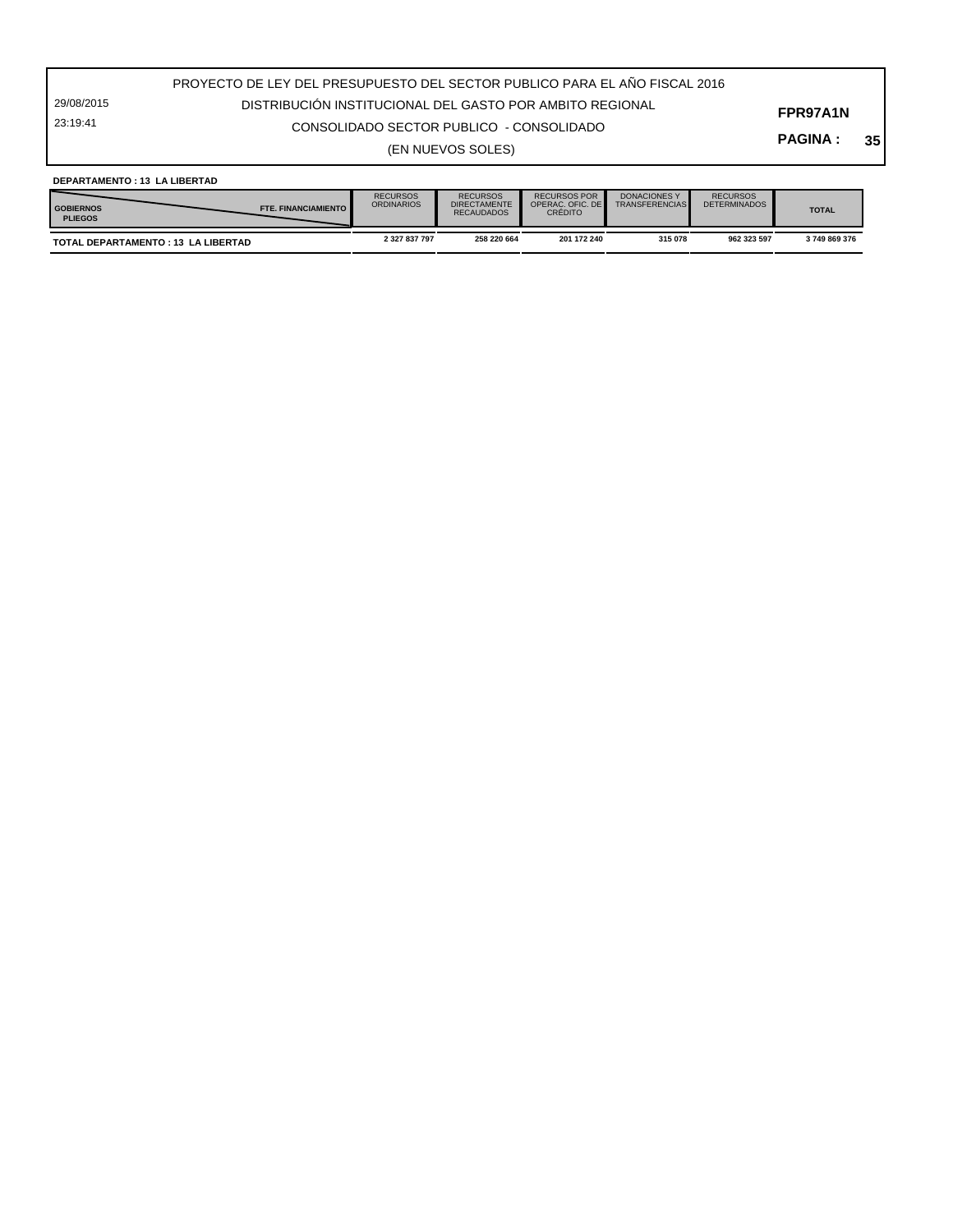29/08/2015 23:19:41

# DISTRIBUCIÓN INSTITUCIONAL DEL GASTO POR AMBITO REGIONAL

CONSOLIDADO SECTOR PUBLICO - CONSOLIDADO

**PAGINA : 35**

**FPR97A1N**

(EN NUEVOS SOLES)

| <b>DEPARTAMENTO: 13 LA LIBERTAD</b> |  |
|-------------------------------------|--|
|-------------------------------------|--|

| <b>FTE. FINANCIAMIENTO</b><br><b>GOBIERNOS</b><br><b>PLIEGOS</b> | <b>RECURSOS</b><br><b>ORDINARIOS</b> | <b>RECURSOS</b><br><b>DIRECTAMENTE</b><br><b>RECAUDADOS</b> | <b>RECURSOS POR</b><br>OPERAC, OFIC, DE<br><b>CRÉDITO</b> | <b>DONACIONES Y</b><br><b>TRANSFERENCIAS</b> | <b>RECURSOS</b><br>DETERMINADOS | <b>TOTAL</b> |
|------------------------------------------------------------------|--------------------------------------|-------------------------------------------------------------|-----------------------------------------------------------|----------------------------------------------|---------------------------------|--------------|
| TOTAL DEPARTAMENTO : 13 LA LIBERTAD                              | 2 327 837 797                        | 258 220 664                                                 | 201 172 240                                               | 315 078                                      | 962 323 597                     | 3749869376   |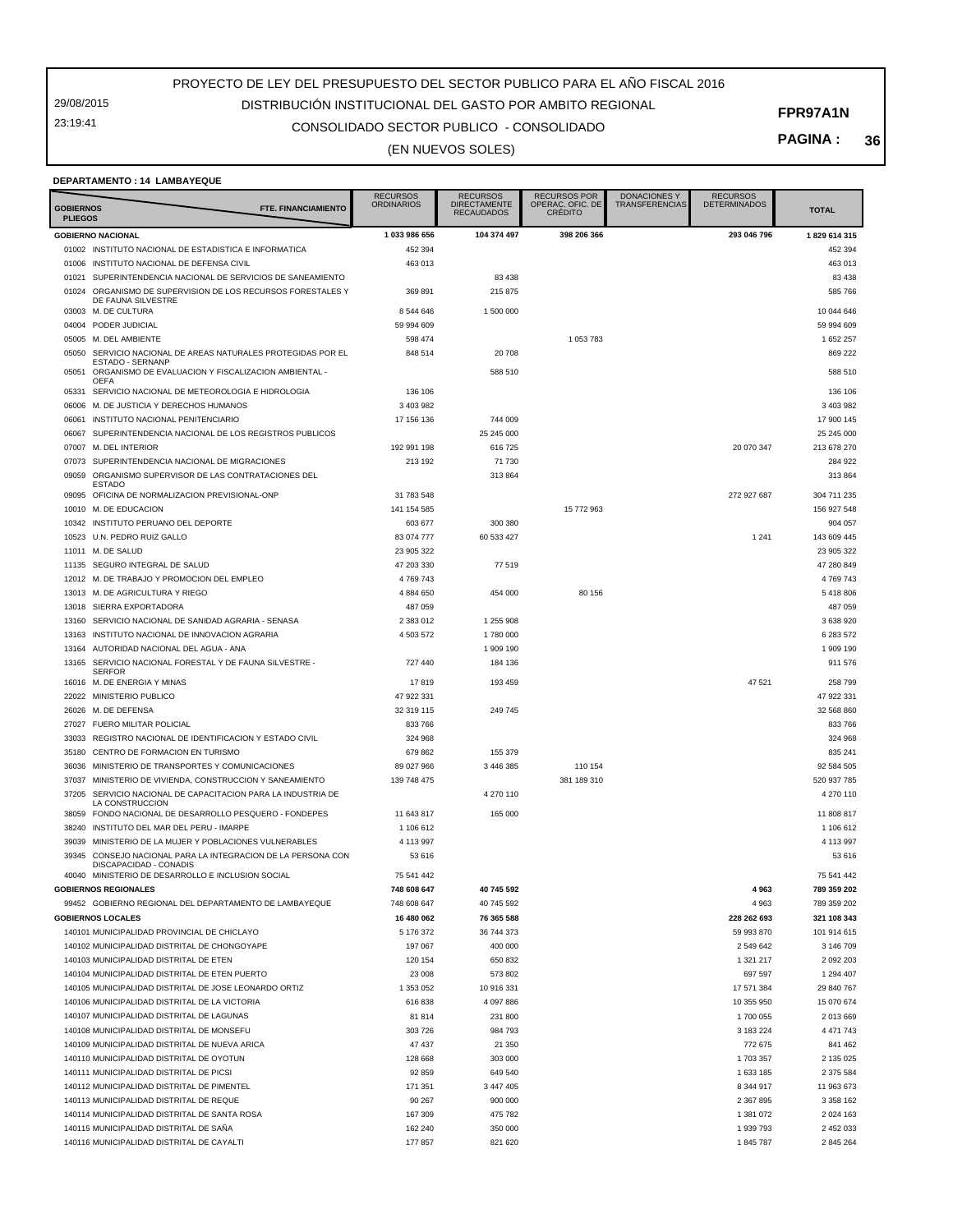29/08/2015 23:19:41

## CONSOLIDADO SECTOR PUBLICO - CONSOLIDADO DISTRIBUCIÓN INSTITUCIONAL DEL GASTO POR AMBITO REGIONAL

#### **PAGINA : 36**

(EN NUEVOS SOLES)

|                                    | -------------                                                                                              | <b>RECURSOS</b>     | <b>RECURSOS</b>                          | <b>RECURSOS POR</b>                | <b>DONACIONES Y</b> | <b>RECURSOS</b>     |                     |
|------------------------------------|------------------------------------------------------------------------------------------------------------|---------------------|------------------------------------------|------------------------------------|---------------------|---------------------|---------------------|
| <b>GOBIERNOS</b><br><b>PLIEGOS</b> | <b>FTE. FINANCIAMIENTO</b>                                                                                 | <b>ORDINARIOS</b>   | <b>DIRECTAMENTE</b><br><b>RECAUDADOS</b> | OPERAC. OFIC. DE<br><b>CREDITO</b> | TRANSFERENCIAS      | <b>DETERMINADOS</b> | <b>TOTAL</b>        |
|                                    | <b>GOBIERNO NACIONAL</b>                                                                                   | 1 033 986 656       | 104 374 497                              | 398 206 366                        |                     | 293 046 796         | 1829 614 315        |
|                                    | 01002 INSTITUTO NACIONAL DE ESTADISTICA E INFORMATICA                                                      | 452 394             |                                          |                                    |                     |                     | 452 394             |
|                                    | 01006 INSTITUTO NACIONAL DE DEFENSA CIVIL                                                                  | 463 013             |                                          |                                    |                     |                     | 463 013             |
| 01021                              | SUPERINTENDENCIA NACIONAL DE SERVICIOS DE SANEAMIENTO                                                      |                     | 83 4 38                                  |                                    |                     |                     | 83 438              |
| 01024                              | ORGANISMO DE SUPERVISION DE LOS RECURSOS FORESTALES Y                                                      | 369891              | 215 875                                  |                                    |                     |                     | 585 766             |
| 03003                              | DE FAUNA SILVESTRE<br>M. DE CULTURA                                                                        | 8 544 646           | 1 500 000                                |                                    |                     |                     | 10 044 646          |
| 04004                              | PODER JUDICIAL                                                                                             | 59 994 609          |                                          |                                    |                     |                     | 59 994 609          |
| 05005                              | M. DEL AMBIENTE                                                                                            | 598 474             |                                          | 1 053 783                          |                     |                     | 1 652 257           |
| 05050                              | SERVICIO NACIONAL DE AREAS NATURALES PROTEGIDAS POR EL                                                     | 848 514             | 20 708                                   |                                    |                     |                     | 869 222             |
| 05051                              | ESTADO - SERNANP<br>ORGANISMO DE EVALUACION Y FISCALIZACION AMBIENTAL -<br>OEFA                            |                     | 588 510                                  |                                    |                     |                     | 588 510             |
| 05331                              | SERVICIO NACIONAL DE METEOROLOGIA E HIDROLOGIA                                                             | 136 106             |                                          |                                    |                     |                     | 136 106             |
| 06006                              | M. DE JUSTICIA Y DERECHOS HUMANOS                                                                          | 3 403 982           |                                          |                                    |                     |                     | 3 403 982           |
| 06061                              | INSTITUTO NACIONAL PENITENCIARIO                                                                           | 17 156 136          | 744 009                                  |                                    |                     |                     | 17 900 145          |
| 06067                              | SUPERINTENDENCIA NACIONAL DE LOS REGISTROS PUBLICOS                                                        |                     | 25 245 000                               |                                    |                     |                     | 25 245 000          |
| 07007                              | M. DEL INTERIOR                                                                                            | 192 991 198         | 616725                                   |                                    |                     | 20 070 347          | 213 678 270         |
| 07073                              | SUPERINTENDENCIA NACIONAL DE MIGRACIONES                                                                   | 213 192             | 71 730                                   |                                    |                     |                     | 284 922             |
| 09059                              | ORGANISMO SUPERVISOR DE LAS CONTRATACIONES DEL<br><b>ESTADO</b>                                            |                     | 313864                                   |                                    |                     |                     | 313 864             |
| 09095                              | OFICINA DE NORMALIZACION PREVISIONAL-ONP                                                                   | 31 783 548          |                                          |                                    |                     | 272 927 687         | 304 711 235         |
| 10010                              | M. DE EDUCACION                                                                                            | 141 154 585         |                                          | 15 772 963                         |                     |                     | 156 927 548         |
| 10342                              | INSTITUTO PERUANO DEL DEPORTE                                                                              | 603 677             | 300 380                                  |                                    |                     |                     | 904 057             |
| 10523                              | U.N. PEDRO RUIZ GALLO                                                                                      | 83 074 777          | 60 533 427                               |                                    |                     | 1 2 4 1             | 143 609 445         |
| 11011                              | M. DE SALUD                                                                                                | 23 905 322          |                                          |                                    |                     |                     | 23 905 322          |
| 11135                              | SEGURO INTEGRAL DE SALUD                                                                                   | 47 203 330          | 77519                                    |                                    |                     |                     | 47 280 849          |
| 12012                              | M. DE TRABAJO Y PROMOCION DEL EMPLEO                                                                       | 4769743             |                                          |                                    |                     |                     | 4769743             |
| 13013                              | M. DE AGRICULTURA Y RIEGO                                                                                  | 4884650             | 454 000                                  | 80 156                             |                     |                     | 5 418 806           |
| 13018                              | SIERRA EXPORTADORA                                                                                         | 487 059             |                                          |                                    |                     |                     | 487 059             |
| 13160                              | SERVICIO NACIONAL DE SANIDAD AGRARIA - SENASA                                                              | 2 383 012           | 1 255 908                                |                                    |                     |                     | 3 638 920           |
| 13163                              | INSTITUTO NACIONAL DE INNOVACION AGRARIA                                                                   | 4 503 572           | 1780 000                                 |                                    |                     |                     | 6 283 572           |
| 13164                              | AUTORIDAD NACIONAL DEL AGUA - ANA                                                                          |                     | 1 909 190                                |                                    |                     |                     | 1 909 190           |
| 13165                              | SERVICIO NACIONAL FORESTAL Y DE FAUNA SILVESTRE -<br><b>SERFOR</b>                                         | 727 440             | 184 136                                  |                                    |                     |                     | 911 576             |
|                                    | 16016 M. DE ENERGIA Y MINAS                                                                                | 17819               | 193 459                                  |                                    |                     | 47 521              | 258 799             |
|                                    | 22022 MINISTERIO PUBLICO                                                                                   | 47 922 331          |                                          |                                    |                     |                     | 47 922 331          |
| 26026                              | M. DE DEFENSA                                                                                              | 32 319 115          | 249 745                                  |                                    |                     |                     | 32 568 860          |
| 27027                              | FUERO MILITAR POLICIAL                                                                                     | 833 766             |                                          |                                    |                     |                     | 833 766             |
| 33033                              | REGISTRO NACIONAL DE IDENTIFICACION Y ESTADO CIVIL                                                         | 324 968             |                                          |                                    |                     |                     | 324 968             |
| 35180                              | CENTRO DE FORMACION EN TURISMO                                                                             | 679 862             | 155 379                                  |                                    |                     |                     | 835 241             |
| 36036                              | MINISTERIO DE TRANSPORTES Y COMUNICACIONES                                                                 | 89 027 966          | 3 446 385                                | 110 154                            |                     |                     | 92 584 505          |
| 37037                              | MINISTERIO DE VIVIENDA, CONSTRUCCION Y SANEAMIENTO                                                         | 139 748 475         |                                          | 381 189 310                        |                     |                     | 520 937 785         |
| 37205                              | SERVICIO NACIONAL DE CAPACITACION PARA LA INDUSTRIA DE<br>LA CONSTRUCCION                                  |                     | 4 270 110                                |                                    |                     |                     | 4 270 110           |
| 38059                              | FONDO NACIONAL DE DESARROLLO PESQUERO - FONDEPES                                                           | 11 643 817          | 165 000                                  |                                    |                     |                     | 11 808 817          |
| 38240                              | INSTITUTO DEL MAR DEL PERU - IMARPE                                                                        | 1 106 612           |                                          |                                    |                     |                     | 1 106 612           |
| 39039<br>39345                     | MINISTERIO DE LA MUJER Y POBLACIONES VULNERABLES<br>CONSEJO NACIONAL PARA LA INTEGRACION DE LA PERSONA CON | 4 113 997<br>53 616 |                                          |                                    |                     |                     | 4 113 997<br>53 616 |
|                                    | DISCAPACIDAD - CONADIS                                                                                     |                     |                                          |                                    |                     |                     |                     |
| 40040                              | MINISTERIO DE DESARROLLO E INCLUSION SOCIAL                                                                | 75 541 442          |                                          |                                    |                     |                     | 75 541 442          |
|                                    | <b>GOBIERNOS REGIONALES</b>                                                                                | 748 608 647         | 40 745 592                               |                                    |                     | 4 9 6 3             | 789 359 202         |
|                                    | 99452 GOBIERNO REGIONAL DEL DEPARTAMENTO DE LAMBAYEQUE                                                     | 748 608 647         | 40 745 592                               |                                    |                     | 4963                | 789 359 202         |
|                                    | <b>GOBIERNOS LOCALES</b>                                                                                   | 16 480 062          | 76 365 588                               |                                    |                     | 228 262 693         | 321 108 343         |
|                                    | 140101 MUNICIPALIDAD PROVINCIAL DE CHICLAYO                                                                | 5 176 372           | 36 744 373                               |                                    |                     | 59 993 870          | 101 914 615         |
|                                    | 140102 MUNICIPALIDAD DISTRITAL DE CHONGOYAPE                                                               | 197 067             | 400 000                                  |                                    |                     | 2 549 642           | 3 146 709           |
|                                    | 140103 MUNICIPALIDAD DISTRITAL DE ETEN                                                                     | 120 154             | 650 832                                  |                                    |                     | 1 321 217           | 2 092 203           |
|                                    | 140104 MUNICIPALIDAD DISTRITAL DE ETEN PUERTO                                                              | 23 008              | 573 802                                  |                                    |                     | 697 597             | 1 294 407           |
|                                    | 140105 MUNICIPALIDAD DISTRITAL DE JOSE LEONARDO ORTIZ                                                      | 1 353 052           | 10 916 331                               |                                    |                     | 17 571 384          | 29 840 767          |
|                                    | 140106 MUNICIPALIDAD DISTRITAL DE LA VICTORIA                                                              | 616838              | 4 097 886                                |                                    |                     | 10 355 950          | 15 070 674          |
|                                    | 140107 MUNICIPALIDAD DISTRITAL DE LAGUNAS                                                                  | 81 814              | 231 800                                  |                                    |                     | 1 700 055           | 2 013 669           |
|                                    | 140108 MUNICIPALIDAD DISTRITAL DE MONSEFU                                                                  | 303726              | 984 793                                  |                                    |                     | 3 183 224           | 4 471 743           |
|                                    | 140109 MUNICIPALIDAD DISTRITAL DE NUEVA ARICA                                                              | 47 437              | 21 350                                   |                                    |                     | 772 675             | 841 462             |
|                                    | 140110 MUNICIPALIDAD DISTRITAL DE OYOTUN                                                                   | 128 668             | 303 000                                  |                                    |                     | 1 703 357           | 2 135 025           |
|                                    | 140111 MUNICIPALIDAD DISTRITAL DE PICSI                                                                    | 92 859              | 649 540                                  |                                    |                     | 1 633 185           | 2 375 584           |
|                                    | 140112 MUNICIPALIDAD DISTRITAL DE PIMENTEL                                                                 | 171 351             | 3 447 405                                |                                    |                     | 8 344 917           | 11 963 673          |
|                                    | 140113 MUNICIPALIDAD DISTRITAL DE REQUE                                                                    | 90 267              | 900 000                                  |                                    |                     | 2 367 895           | 3 358 162           |
|                                    | 140114 MUNICIPALIDAD DISTRITAL DE SANTA ROSA                                                               | 167 309             | 475 782                                  |                                    |                     | 1 381 072           | 2 0 2 4 1 6 3       |
|                                    | 140115 MUNICIPALIDAD DISTRITAL DE SAÑA                                                                     | 162 240             | 350 000                                  |                                    |                     | 1 939 793           | 2 452 033           |
|                                    | 140116 MUNICIPALIDAD DISTRITAL DE CAYALTI                                                                  | 177857              | 821 620                                  |                                    |                     | 1845787             | 2 845 264           |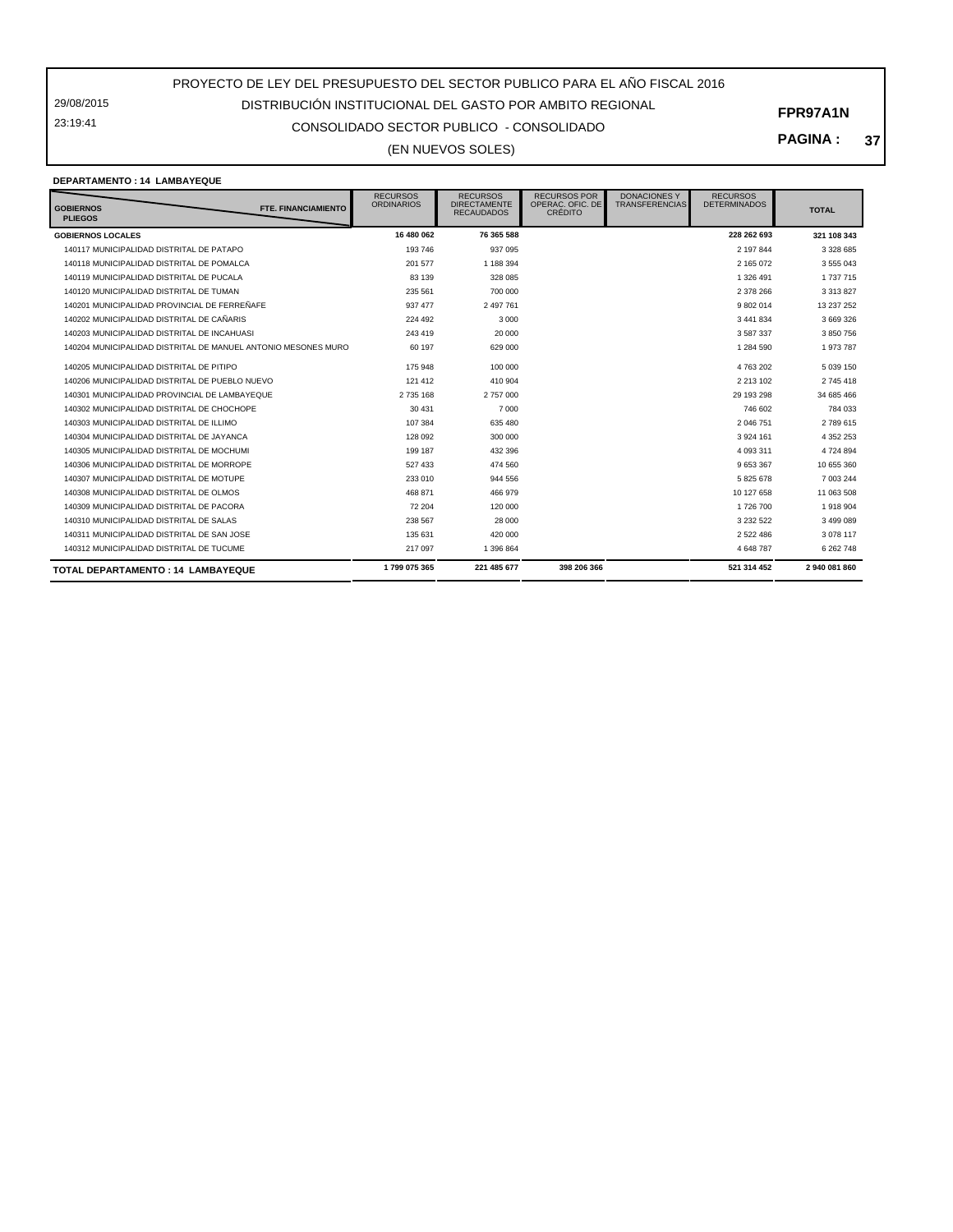#### PROYECTO DE LEY DEL PRESUPUESTO DEL SECTOR PUBLICO PARA EL AÑO FISCAL 2016 DISTRIBUCIÓN INSTITUCIONAL DEL GASTO POR AMBITO REGIONAL

29/08/2015 23:19:41

## CONSOLIDADO SECTOR PUBLICO - CONSOLIDADO

(EN NUEVOS SOLES)

**PAGINA : 37**

**FPR97A1N**

#### **DEPARTAMENTO : 14 LAMBAYEQUE**

| <b>GOBIERNOS</b><br>FTE. FINANCIAMIENTO<br><b>PLIEGOS</b>     | <b>RECURSOS</b><br><b>ORDINARIOS</b> | <b>RECURSOS</b><br><b>DIRECTAMENTE</b><br><b>RECAUDADOS</b> | <b>RECURSOS POR</b><br>OPERAC, OFIC, DE<br><b>CRÉDITO</b> | <b>DONACIONES Y</b><br><b>TRANSFERENCIAS</b> | <b>RECURSOS</b><br><b>DETERMINADOS</b> | <b>TOTAL</b>  |
|---------------------------------------------------------------|--------------------------------------|-------------------------------------------------------------|-----------------------------------------------------------|----------------------------------------------|----------------------------------------|---------------|
| <b>GOBIERNOS LOCALES</b>                                      | 16 480 062                           | 76 365 588                                                  |                                                           |                                              | 228 262 693                            | 321 108 343   |
| 140117 MUNICIPALIDAD DISTRITAL DE PATAPO                      | 193746                               | 937 095                                                     |                                                           |                                              | 2 197 844                              | 3 328 685     |
| 140118 MUNICIPALIDAD DISTRITAL DE POMALCA                     | 201 577                              | 1 188 394                                                   |                                                           |                                              | 2 165 072                              | 3 555 043     |
| 140119 MUNICIPALIDAD DISTRITAL DE PUCALA                      | 83 139                               | 328 085                                                     |                                                           |                                              | 1 326 491                              | 1 737 715     |
| 140120 MUNICIPALIDAD DISTRITAL DE TUMAN                       | 235 561                              | 700 000                                                     |                                                           |                                              | 2 378 266                              | 3 313 827     |
| 140201 MUNICIPALIDAD PROVINCIAL DE FERREÑAFE                  | 937 477                              | 2 497 761                                                   |                                                           |                                              | 9 802 014                              | 13 237 252    |
| 140202 MUNICIPALIDAD DISTRITAL DE CAÑARIS                     | 224 492                              | 3 0 0 0                                                     |                                                           |                                              | 3 441 834                              | 3 669 326     |
| 140203 MUNICIPALIDAD DISTRITAL DE INCAHUASI                   | 243 419                              | 20 000                                                      |                                                           |                                              | 3 587 337                              | 3 850 756     |
| 140204 MUNICIPALIDAD DISTRITAL DE MANUEL ANTONIO MESONES MURO | 60 197                               | 629 000                                                     |                                                           |                                              | 1 284 590                              | 1973787       |
| 140205 MUNICIPALIDAD DISTRITAL DE PITIPO                      | 175 948                              | 100 000                                                     |                                                           |                                              | 4 763 202                              | 5 039 150     |
| 140206 MUNICIPALIDAD DISTRITAL DE PUEBLO NUEVO                | 121 412                              | 410 904                                                     |                                                           |                                              | 2 2 1 3 1 0 2                          | 2 745 418     |
| 140301 MUNICIPALIDAD PROVINCIAL DE LAMBAYEQUE                 | 2735168                              | 2 757 000                                                   |                                                           |                                              | 29 193 298                             | 34 685 466    |
| 140302 MUNICIPALIDAD DISTRITAL DE CHOCHOPE                    | 30 431                               | 7 0 0 0                                                     |                                                           |                                              | 746 602                                | 784 033       |
| 140303 MUNICIPALIDAD DISTRITAL DE ILLIMO                      | 107 384                              | 635 480                                                     |                                                           |                                              | 2 046 751                              | 2789615       |
| 140304 MUNICIPALIDAD DISTRITAL DE JAYANCA                     | 128 092                              | 300 000                                                     |                                                           |                                              | 3 9 24 161                             | 4 3 5 2 2 5 3 |
| 140305 MUNICIPALIDAD DISTRITAL DE MOCHUMI                     | 199 187                              | 432 396                                                     |                                                           |                                              | 4 093 311                              | 4 724 894     |
| 140306 MUNICIPALIDAD DISTRITAL DE MORROPE                     | 527 433                              | 474 560                                                     |                                                           |                                              | 9 653 367                              | 10 655 360    |
| 140307 MUNICIPALIDAD DISTRITAL DE MOTUPE                      | 233 010                              | 944 556                                                     |                                                           |                                              | 5 825 678                              | 7 003 244     |
| 140308 MUNICIPALIDAD DISTRITAL DE OLMOS                       | 468 871                              | 466 979                                                     |                                                           |                                              | 10 127 658                             | 11 063 508    |
| 140309 MUNICIPALIDAD DISTRITAL DE PACORA                      | 72 204                               | 120,000                                                     |                                                           |                                              | 1726700                                | 1918904       |
| 140310 MUNICIPALIDAD DISTRITAL DE SALAS                       | 238 567                              | 28 000                                                      |                                                           |                                              | 3 2 3 2 5 2 2                          | 3 499 089     |
| 140311 MUNICIPALIDAD DISTRITAL DE SAN JOSE                    | 135 631                              | 420 000                                                     |                                                           |                                              | 2522486                                | 3 078 117     |
| 140312 MUNICIPALIDAD DISTRITAL DE TUCUME                      | 217 097                              | 1 396 864                                                   |                                                           |                                              | 4 648 787                              | 6 262 748     |
| <b>TOTAL DEPARTAMENTO: 14 LAMBAYEQUE</b>                      | 1799 075 365                         | 221 485 677                                                 | 398 206 366                                               |                                              | 521 314 452                            | 2940 081 860  |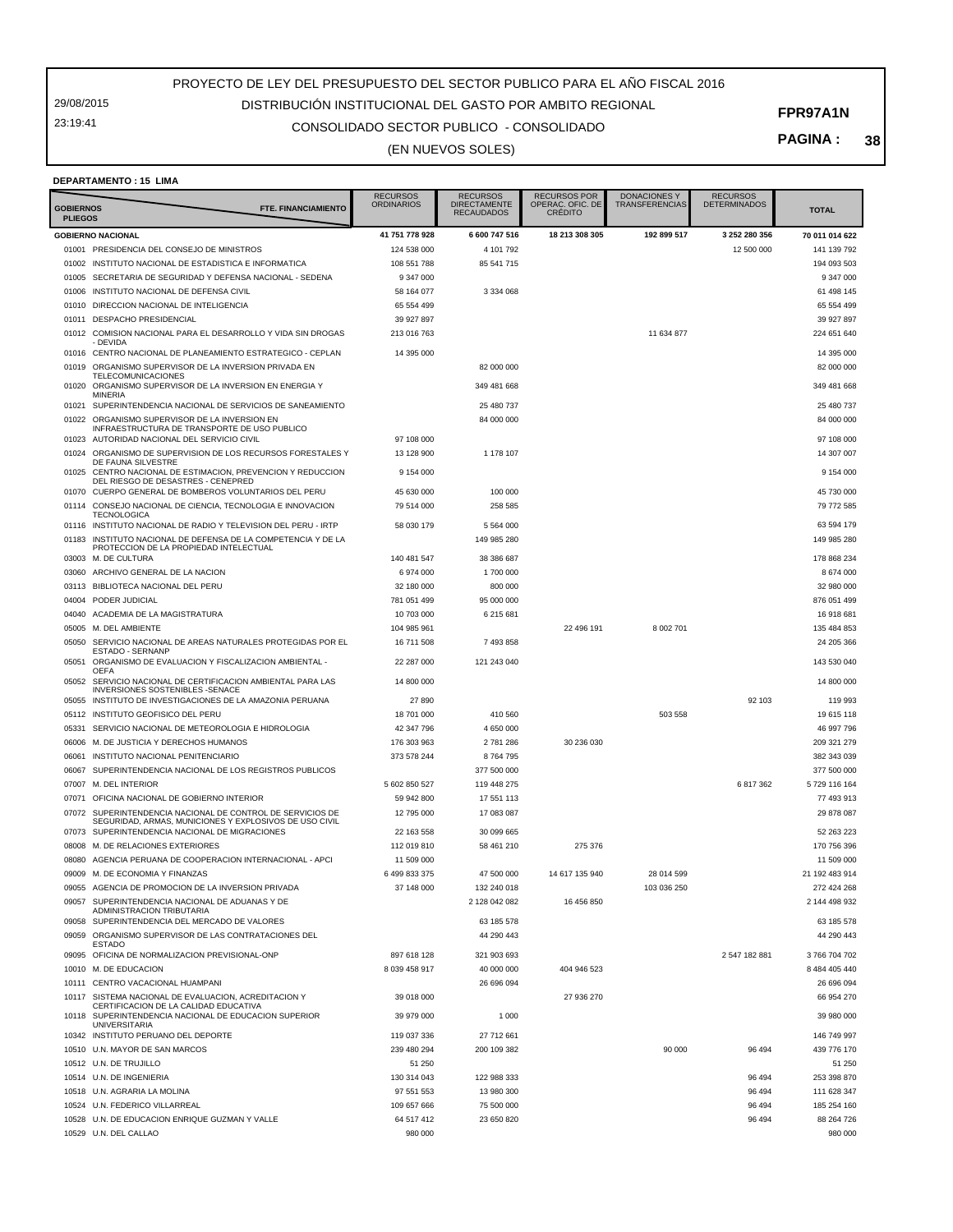29/08/2015 23:19:41

## CONSOLIDADO SECTOR PUBLICO - CONSOLIDADO DISTRIBUCIÓN INSTITUCIONAL DEL GASTO POR AMBITO REGIONAL

#### **PAGINA : 38**

(EN NUEVOS SOLES)

#### **DEPARTAMENTO : 15 LIMA**

| <b>GOBIERNOS</b><br><b>PLIEGOS</b> | FTE. FINANCIAMIENTO                                                                                                                                                    | <b>RECURSOS</b><br><b>ORDINARIOS</b> | <b>RECURSOS</b><br><b>DIRECTAMENTE</b><br><b>RECAUDADOS</b> | <b>RECURSOS POR</b><br>OPERAC. OFIC. DE<br><b>CRÉDITO</b> | <b>DONACIONES Y</b><br><b>TRANSFERENCIAS</b> | <b>RECURSOS</b><br><b>DETERMINADOS</b> | <b>TOTAL</b>              |
|------------------------------------|------------------------------------------------------------------------------------------------------------------------------------------------------------------------|--------------------------------------|-------------------------------------------------------------|-----------------------------------------------------------|----------------------------------------------|----------------------------------------|---------------------------|
|                                    | <b>GOBIERNO NACIONAL</b>                                                                                                                                               | 41 751 778 928                       | 6 600 747 516                                               | 18 213 308 305                                            | 192 899 517                                  | 3 252 280 356                          | 70 011 014 622            |
|                                    | 01001 PRESIDENCIA DEL CONSEJO DE MINISTROS                                                                                                                             | 124 538 000                          | 4 101 792                                                   |                                                           |                                              | 12 500 000                             | 141 139 792               |
| 01002                              | INSTITUTO NACIONAL DE ESTADISTICA E INFORMATICA                                                                                                                        | 108 551 788                          | 85 541 715                                                  |                                                           |                                              |                                        | 194 093 503               |
| 01005                              | SECRETARIA DE SEGURIDAD Y DEFENSA NACIONAL - SEDENA                                                                                                                    | 9 347 000                            |                                                             |                                                           |                                              |                                        | 9 347 000                 |
| 01006                              | INSTITUTO NACIONAL DE DEFENSA CIVIL                                                                                                                                    | 58 164 077                           | 3 3 3 4 0 6 8                                               |                                                           |                                              |                                        | 61 498 145                |
| 01010                              | DIRECCION NACIONAL DE INTELIGENCIA                                                                                                                                     | 65 554 499                           |                                                             |                                                           |                                              |                                        | 65 554 499                |
| 01011                              | DESPACHO PRESIDENCIAL                                                                                                                                                  | 39 927 897                           |                                                             |                                                           |                                              |                                        | 39 927 897                |
| 01012                              | COMISION NACIONAL PARA EL DESARROLLO Y VIDA SIN DROGAS<br>- DEVIDA                                                                                                     | 213 016 763                          |                                                             |                                                           | 11 634 877                                   |                                        | 224 651 640               |
|                                    | 01016 CENTRO NACIONAL DE PLANEAMIENTO ESTRATEGICO - CEPLAN                                                                                                             | 14 395 000                           |                                                             |                                                           |                                              |                                        | 14 395 000                |
| 01019                              | ORGANISMO SUPERVISOR DE LA INVERSION PRIVADA EN<br><b>TELECOMUNICACIONES</b>                                                                                           |                                      | 82 000 000                                                  |                                                           |                                              |                                        | 82 000 000                |
| 01020                              | ORGANISMO SUPERVISOR DE LA INVERSION EN ENERGIA Y                                                                                                                      |                                      | 349 481 668                                                 |                                                           |                                              |                                        | 349 481 668               |
|                                    | <b>MINERIA</b><br>01021 SUPERINTENDENCIA NACIONAL DE SERVICIOS DE SANEAMIENTO                                                                                          |                                      | 25 480 737                                                  |                                                           |                                              |                                        | 25 480 737                |
|                                    | 01022 ORGANISMO SUPERVISOR DE LA INVERSION EN                                                                                                                          |                                      | 84 000 000                                                  |                                                           |                                              |                                        | 84 000 000                |
|                                    | INFRAESTRUCTURA DE TRANSPORTE DE USO PUBLICO                                                                                                                           |                                      |                                                             |                                                           |                                              |                                        |                           |
|                                    | 01023 AUTORIDAD NACIONAL DEL SERVICIO CIVIL                                                                                                                            | 97 108 000                           |                                                             |                                                           |                                              |                                        | 97 108 000                |
|                                    | 01024 ORGANISMO DE SUPERVISION DE LOS RECURSOS FORESTALES Y<br>DE FAUNA SILVESTRE                                                                                      | 13 128 900                           | 1 178 107                                                   |                                                           |                                              |                                        | 14 307 007                |
|                                    | 01025 CENTRO NACIONAL DE ESTIMACION, PREVENCION Y REDUCCION<br>DEL RIESGO DE DESASTRES - CENEPRED                                                                      | 9 154 000                            |                                                             |                                                           |                                              |                                        | 9 154 000                 |
|                                    | 01070 CUERPO GENERAL DE BOMBEROS VOLUNTARIOS DEL PERU                                                                                                                  | 45 630 000                           | 100 000                                                     |                                                           |                                              |                                        | 45 730 000                |
|                                    | 01114 CONSEJO NACIONAL DE CIENCIA, TECNOLOGIA E INNOVACION                                                                                                             | 79 514 000                           | 258 585                                                     |                                                           |                                              |                                        | 79 772 585                |
|                                    | <b>TECNOLOGICA</b><br>01116 INSTITUTO NACIONAL DE RADIO Y TELEVISION DEL PERU - IRTP                                                                                   | 58 030 179                           | 5 5 6 4 0 0 0                                               |                                                           |                                              |                                        | 63 594 179                |
| 01183                              | INSTITUTO NACIONAL DE DEFENSA DE LA COMPETENCIA Y DE LA                                                                                                                |                                      | 149 985 280                                                 |                                                           |                                              |                                        | 149 985 280               |
|                                    | PROTECCION DE LA PROPIEDAD INTELECTUAL                                                                                                                                 |                                      |                                                             |                                                           |                                              |                                        |                           |
| 03003                              | M. DE CULTURA                                                                                                                                                          | 140 481 547                          | 38 386 687                                                  |                                                           |                                              |                                        | 178 868 234               |
| 03060                              | ARCHIVO GENERAL DE LA NACION                                                                                                                                           | 6974000                              | 1700 000                                                    |                                                           |                                              |                                        | 8 674 000                 |
| 03113<br>04004                     | BIBLIOTECA NACIONAL DEL PERU<br>PODER JUDICIAL                                                                                                                         | 32 180 000<br>781 051 499            | 800 000<br>95 000 000                                       |                                                           |                                              |                                        | 32 980 000<br>876 051 499 |
| 04040                              | ACADEMIA DE LA MAGISTRATURA                                                                                                                                            | 10 703 000                           | 6 215 681                                                   |                                                           |                                              |                                        | 16 918 681                |
| 05005                              | M. DEL AMBIENTE                                                                                                                                                        | 104 985 961                          |                                                             | 22 496 191                                                | 8 002 701                                    |                                        | 135 484 853               |
| 05050                              | SERVICIO NACIONAL DE AREAS NATURALES PROTEGIDAS POR EL                                                                                                                 | 16 711 508                           | 7 493 858                                                   |                                                           |                                              |                                        | 24 205 366                |
| 05051                              | ESTADO - SERNANP<br>ORGANISMO DE EVALUACION Y FISCALIZACION AMBIENTAL -<br>OEFA                                                                                        | 22 287 000                           | 121 243 040                                                 |                                                           |                                              |                                        | 143 530 040               |
| 05052                              | SERVICIO NACIONAL DE CERTIFICACION AMBIENTAL PARA LAS                                                                                                                  | 14 800 000                           |                                                             |                                                           |                                              |                                        | 14 800 000                |
|                                    | INVERSIONES SOSTENIBLES - SENACE<br>05055 INSTITUTO DE INVESTIGACIONES DE LA AMAZONIA PERUANA                                                                          | 27 890                               |                                                             |                                                           |                                              | 92 103                                 | 119 993                   |
|                                    | 05112 INSTITUTO GEOFISICO DEL PERU                                                                                                                                     | 18 701 000                           | 410 560                                                     |                                                           | 503 558                                      |                                        | 19 615 118                |
| 05331                              | SERVICIO NACIONAL DE METEOROLOGIA E HIDROLOGIA                                                                                                                         | 42 347 796                           | 4 650 000                                                   |                                                           |                                              |                                        | 46 997 796                |
|                                    | 06006 M. DE JUSTICIA Y DERECHOS HUMANOS                                                                                                                                | 176 303 963                          | 2 781 286                                                   | 30 236 030                                                |                                              |                                        | 209 321 279               |
| 06061                              | INSTITUTO NACIONAL PENITENCIARIO                                                                                                                                       | 373 578 244                          | 8764795                                                     |                                                           |                                              |                                        | 382 343 039               |
|                                    | 06067 SUPERINTENDENCIA NACIONAL DE LOS REGISTROS PUBLICOS                                                                                                              |                                      | 377 500 000                                                 |                                                           |                                              |                                        | 377 500 000               |
|                                    | 07007 M. DEL INTERIOR                                                                                                                                                  | 5 602 850 527                        | 119 448 275                                                 |                                                           |                                              | 6 817 362                              | 5729 116 164              |
|                                    | 07071 OFICINA NACIONAL DE GOBIERNO INTERIOR                                                                                                                            | 59 942 800                           | 17 551 113                                                  |                                                           |                                              |                                        | 77 493 913                |
|                                    | 07072 SUPERINTENDENCIA NACIONAL DE CONTROL DE SERVICIOS DE<br>SEGURIDAD, ARMAS, MUNICIONES Y EXPLOSIVOS DE USO CIVIL<br>07073 SUPERINTENDENCIA NACIONAL DE MIGRACIONES | 12 795 000<br>22 163 558             | 17 083 087<br>30 099 665                                    |                                                           |                                              |                                        | 29 878 087<br>52 263 223  |
|                                    | 08008 M. DE RELACIONES EXTERIORES                                                                                                                                      | 112 019 810                          | 58 461 210                                                  | 275 376                                                   |                                              |                                        | 170 756 396               |
| 08080                              | AGENCIA PERUANA DE COOPERACION INTERNACIONAL - APCI                                                                                                                    | 11 509 000                           |                                                             |                                                           |                                              |                                        | 11 509 000                |
|                                    | 09009 M. DE ECONOMIA Y FINANZAS                                                                                                                                        | 6 499 833 375                        | 47 500 000                                                  | 14 617 135 940                                            | 28 014 599                                   |                                        | 21 192 483 914            |
| 09055                              | AGENCIA DE PROMOCION DE LA INVERSION PRIVADA                                                                                                                           | 37 148 000                           | 132 240 018                                                 |                                                           | 103 036 250                                  |                                        | 272 424 268               |
|                                    | 09057 SUPERINTENDENCIA NACIONAL DE ADUANAS Y DE<br>ADMINISTRACION TRIBUTARIA                                                                                           |                                      | 2 128 042 082                                               | 16 456 850                                                |                                              |                                        | 2 144 498 932             |
| 09058                              | SUPERINTENDENCIA DEL MERCADO DE VALORES                                                                                                                                |                                      | 63 185 578                                                  |                                                           |                                              |                                        | 63 185 578                |
| 09059                              | ORGANISMO SUPERVISOR DE LAS CONTRATACIONES DEL<br><b>ESTADO</b>                                                                                                        |                                      | 44 290 443                                                  |                                                           |                                              |                                        | 44 290 443                |
|                                    | 09095 OFICINA DE NORMALIZACION PREVISIONAL-ONP                                                                                                                         | 897 618 128                          | 321 903 693                                                 |                                                           |                                              | 2 547 182 881                          | 3766704702                |
|                                    | 10010 M. DE EDUCACION                                                                                                                                                  | 8 039 458 917                        | 40 000 000                                                  | 404 946 523                                               |                                              |                                        | 8 484 405 440             |
|                                    | 10111 CENTRO VACACIONAL HUAMPANI                                                                                                                                       |                                      | 26 696 094                                                  |                                                           |                                              |                                        | 26 696 094                |
|                                    | 10117 SISTEMA NACIONAL DE EVALUACION, ACREDITACION Y<br>CERTIFICACION DE LA CALIDAD EDUCATIVA                                                                          | 39 018 000                           |                                                             | 27 936 270                                                |                                              |                                        | 66 954 270                |
| 10118                              | SUPERINTENDENCIA NACIONAL DE EDUCACION SUPERIOR<br><b>UNIVERSITARIA</b>                                                                                                | 39 979 000                           | 1 0 0 0                                                     |                                                           |                                              |                                        | 39 980 000                |
|                                    | 10342 INSTITUTO PERUANO DEL DEPORTE                                                                                                                                    | 119 037 336                          | 27 712 661                                                  |                                                           |                                              |                                        | 146 749 997               |
|                                    | 10510 U.N. MAYOR DE SAN MARCOS                                                                                                                                         | 239 480 294                          | 200 109 382                                                 |                                                           | 90 000                                       | 96 494                                 | 439 776 170               |
|                                    | 10512 U.N. DE TRUJILLO<br>10514 U.N. DE INGENIERIA                                                                                                                     | 51 250<br>130 314 043                | 122 988 333                                                 |                                                           |                                              | 96 494                                 | 51 250<br>253 398 870     |
|                                    | 10518 U.N. AGRARIA LA MOLINA                                                                                                                                           | 97 551 553                           | 13 980 300                                                  |                                                           |                                              | 96 4 94                                | 111 628 347               |
|                                    | 10524 U.N. FEDERICO VILLARREAL                                                                                                                                         | 109 657 666                          | 75 500 000                                                  |                                                           |                                              | 96 494                                 | 185 254 160               |
|                                    | 10528 U.N. DE EDUCACION ENRIQUE GUZMAN Y VALLE                                                                                                                         | 64 517 412                           | 23 650 820                                                  |                                                           |                                              | 96 4 94                                | 88 264 726                |
|                                    | 10529 U.N. DEL CALLAO                                                                                                                                                  | 980 000                              |                                                             |                                                           |                                              |                                        | 980 000                   |
|                                    |                                                                                                                                                                        |                                      |                                                             |                                                           |                                              |                                        |                           |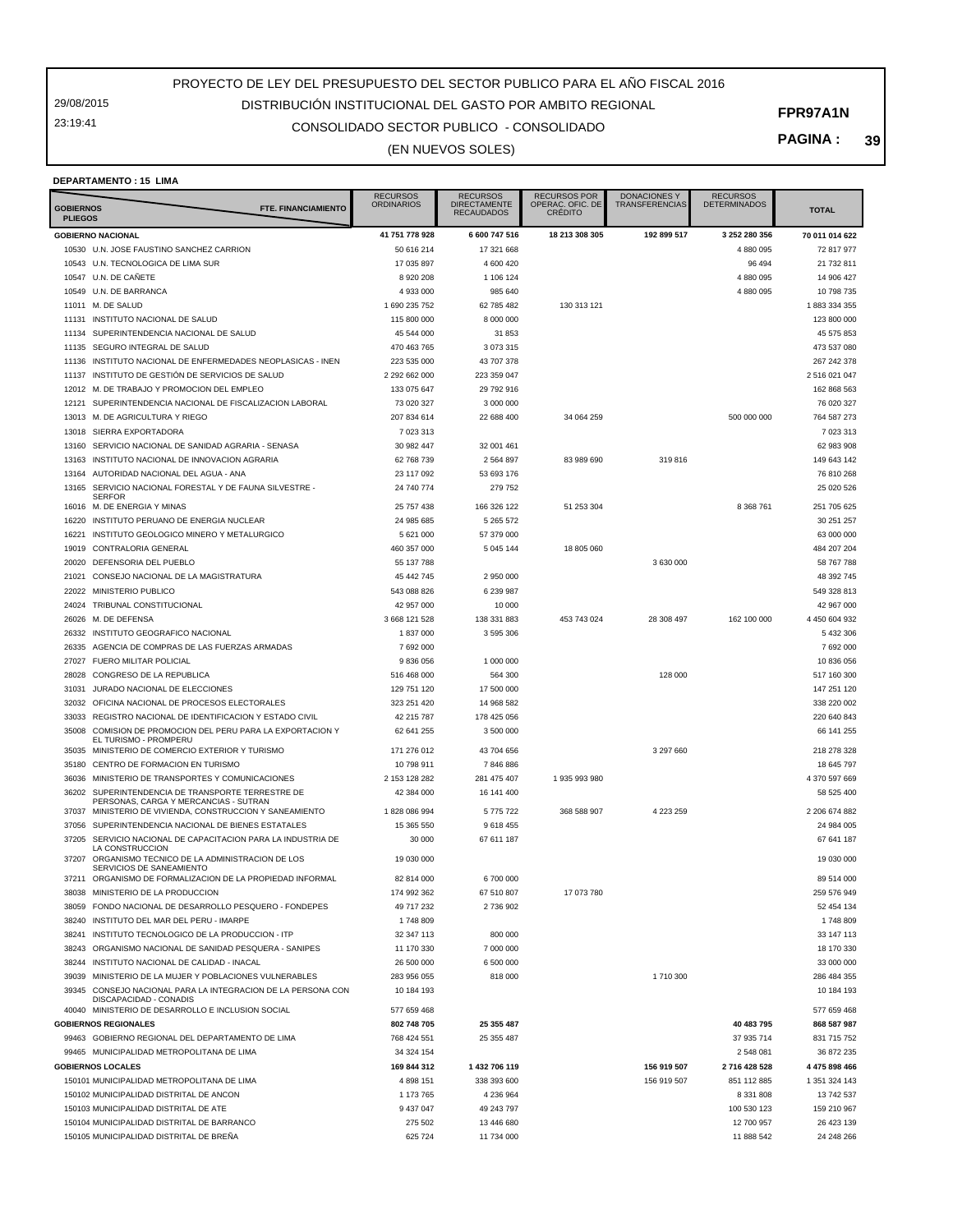29/08/2015 23:19:41

## CONSOLIDADO SECTOR PUBLICO - CONSOLIDADO DISTRIBUCIÓN INSTITUCIONAL DEL GASTO POR AMBITO REGIONAL

(EN NUEVOS SOLES)

#### **PAGINA : 39**

**DEPARTAMENTO : 15 LIMA**

|                                    | PLEANIAMLNIV.IJ LIMA                                                                         | <b>RECURSOS</b> | <b>RECURSOS</b>                          | <b>RECURSOS POR</b>                | <b>DONACIONES Y</b> | <b>RECURSOS</b>     |                |
|------------------------------------|----------------------------------------------------------------------------------------------|-----------------|------------------------------------------|------------------------------------|---------------------|---------------------|----------------|
| <b>GOBIERNOS</b><br><b>PLIEGOS</b> | FTE. FINANCIAMIENTO                                                                          | ORDINARIOS      | <b>DIRECTAMENTE</b><br><b>RECAUDADOS</b> | OPERAC. OFIC. DE<br><b>CRÉDITO</b> | TRANSFERENCIAS      | <b>DETERMINADOS</b> | <b>TOTAL</b>   |
|                                    | <b>GOBIERNO NACIONAL</b>                                                                     | 41 751 778 928  | 6 600 747 516                            | 18 213 308 305                     | 192 899 517         | 3 252 280 356       | 70 011 014 622 |
|                                    | 10530 U.N. JOSE FAUSTINO SANCHEZ CARRION                                                     | 50 616 214      | 17 321 668                               |                                    |                     | 4 880 095           | 72 817 977     |
|                                    | 10543 U.N. TECNOLOGICA DE LIMA SUR                                                           | 17 035 897      | 4 600 420                                |                                    |                     | 96 4 94             | 21 732 811     |
|                                    | 10547 U.N. DE CAÑETE                                                                         | 8 9 20 20 8     | 1 106 124                                |                                    |                     | 4 880 095           | 14 906 427     |
|                                    | 10549 U.N. DE BARRANCA                                                                       | 4 933 000       | 985 640                                  |                                    |                     | 4 880 095           | 10 798 735     |
|                                    | 11011 M. DE SALUD                                                                            | 1 690 235 752   | 62 785 482                               | 130 313 121                        |                     |                     | 1883 334 355   |
| 11131                              | INSTITUTO NACIONAL DE SALUD                                                                  | 115 800 000     | 8 000 000                                |                                    |                     |                     | 123 800 000    |
| 11134                              | SUPERINTENDENCIA NACIONAL DE SALUD                                                           | 45 544 000      | 31853                                    |                                    |                     |                     | 45 575 853     |
| 11135                              | SEGURO INTEGRAL DE SALUD                                                                     | 470 463 765     | 3 073 315                                |                                    |                     |                     | 473 537 080    |
| 11136                              | INSTITUTO NACIONAL DE ENFERMEDADES NEOPLASICAS - INEN                                        | 223 535 000     | 43 707 378                               |                                    |                     |                     | 267 242 378    |
| 11137                              | INSTITUTO DE GESTIÓN DE SERVICIOS DE SALUD                                                   | 2 292 662 000   | 223 359 047                              |                                    |                     |                     | 2516021047     |
|                                    | 12012 M. DE TRABAJO Y PROMOCION DEL EMPLEO                                                   | 133 075 647     | 29 792 916                               |                                    |                     |                     | 162 868 563    |
| 12121                              | SUPERINTENDENCIA NACIONAL DE FISCALIZACION LABORAL                                           | 73 020 327      | 3 000 000                                |                                    |                     |                     | 76 020 327     |
|                                    | 13013 M. DE AGRICULTURA Y RIEGO                                                              | 207 834 614     | 22 688 400                               | 34 064 259                         |                     | 500 000 000         | 764 587 273    |
|                                    | 13018 SIERRA EXPORTADORA                                                                     | 7 023 313       |                                          |                                    |                     |                     | 7 023 313      |
| 13160                              | SERVICIO NACIONAL DE SANIDAD AGRARIA - SENASA                                                | 30 982 447      | 32 001 461                               |                                    |                     |                     | 62 983 908     |
| 13163                              | INSTITUTO NACIONAL DE INNOVACION AGRARIA                                                     | 62 768 739      | 2 5 6 4 8 9 7                            | 83 989 690                         | 319816              |                     | 149 643 142    |
|                                    | 13164 AUTORIDAD NACIONAL DEL AGUA - ANA                                                      | 23 117 092      | 53 693 176                               |                                    |                     |                     | 76 810 268     |
| 13165                              | SERVICIO NACIONAL FORESTAL Y DE FAUNA SILVESTRE -                                            | 24 740 774      | 279 752                                  |                                    |                     |                     | 25 020 526     |
| 16016                              | <b>SERFOR</b><br>M. DE ENERGIA Y MINAS                                                       | 25 757 438      | 166 326 122                              | 51 253 304                         |                     | 8 3 68 7 61         | 251 705 625    |
| 16220                              | INSTITUTO PERUANO DE ENERGIA NUCLEAR                                                         | 24 985 685      | 5 265 572                                |                                    |                     |                     | 30 251 257     |
| 16221                              | INSTITUTO GEOLOGICO MINERO Y METALURGICO                                                     | 5 621 000       | 57 379 000                               |                                    |                     |                     | 63 000 000     |
| 19019                              | CONTRALORIA GENERAL                                                                          | 460 357 000     | 5 045 144                                | 18 805 060                         |                     |                     | 484 207 204    |
| 20020                              | DEFENSORIA DEL PUEBLO                                                                        | 55 137 788      |                                          |                                    | 3 630 000           |                     | 58 767 788     |
| 21021                              | CONSEJO NACIONAL DE LA MAGISTRATURA                                                          | 45 442 745      | 2 950 000                                |                                    |                     |                     | 48 392 745     |
| 22022                              | MINISTERIO PUBLICO                                                                           | 543 088 826     | 6 239 987                                |                                    |                     |                     | 549 328 813    |
| 24024                              | TRIBUNAL CONSTITUCIONAL                                                                      | 42 957 000      | 10 000                                   |                                    |                     |                     | 42 967 000     |
| 26026                              | M. DE DEFENSA                                                                                | 3 668 121 528   | 138 331 883                              | 453 743 024                        | 28 308 497          | 162 100 000         | 4 450 604 932  |
| 26332                              | INSTITUTO GEOGRAFICO NACIONAL                                                                | 1837000         | 3 595 306                                |                                    |                     |                     | 5 432 306      |
| 26335                              | AGENCIA DE COMPRAS DE LAS FUERZAS ARMADAS                                                    | 7 692 000       |                                          |                                    |                     |                     | 7 692 000      |
| 27027                              | FUERO MILITAR POLICIAL                                                                       | 9836056         | 1 000 000                                |                                    |                     |                     | 10 836 056     |
| 28028                              | CONGRESO DE LA REPUBLICA                                                                     | 516 468 000     | 564 300                                  |                                    | 128 000             |                     | 517 160 300    |
| 31031                              | JURADO NACIONAL DE ELECCIONES                                                                | 129 751 120     | 17 500 000                               |                                    |                     |                     | 147 251 120    |
| 32032                              | OFICINA NACIONAL DE PROCESOS ELECTORALES                                                     | 323 251 420     | 14 968 582                               |                                    |                     |                     | 338 220 002    |
| 33033                              | REGISTRO NACIONAL DE IDENTIFICACION Y ESTADO CIVIL                                           | 42 215 787      | 178 425 056                              |                                    |                     |                     | 220 640 843    |
| 35008                              | COMISION DE PROMOCION DEL PERU PARA LA EXPORTACION Y<br>EL TURISMO - PROMPERU                | 62 641 255      | 3 500 000                                |                                    |                     |                     | 66 141 255     |
| 35035                              | MINISTERIO DE COMERCIO EXTERIOR Y TURISMO                                                    | 171 276 012     | 43 704 656                               |                                    | 3 297 660           |                     | 218 278 328    |
| 35180                              | CENTRO DE FORMACION EN TURISMO                                                               | 10 798 911      | 7846886                                  |                                    |                     |                     | 18 645 797     |
| 36036                              | MINISTERIO DE TRANSPORTES Y COMUNICACIONES                                                   | 2 153 128 282   | 281 475 407                              | 1935993980                         |                     |                     | 4 370 597 669  |
| 36202                              | SUPERINTENDENCIA DE TRANSPORTE TERRESTRE DE<br>PERSONAS, CARGA Y MERCANCIAS - SUTRAN         | 42 384 000      | 16 141 400                               |                                    |                     |                     | 58 525 400     |
| 37037                              | MINISTERIO DE VIVIENDA, CONSTRUCCION Y SANEAMIENTO                                           | 1828 086 994    | 5775722                                  | 368 588 907                        | 4 2 2 3 2 5 9       |                     | 2 206 674 882  |
| 37056                              | SUPERINTENDENCIA NACIONAL DE BIENES ESTATALES                                                | 15 365 550      | 9 618 455                                |                                    |                     |                     | 24 984 005     |
| 37205                              | SERVICIO NACIONAL DE CAPACITACION PARA LA INDUSTRIA DE                                       | 30 000          | 67 611 187                               |                                    |                     |                     | 67 641 187     |
| 37207                              | LA CONSTRUCCION<br>ORGANISMO TECNICO DE LA ADMINISTRACION DE LOS<br>SERVICIOS DE SANEAMIENTO | 19 030 000      |                                          |                                    |                     |                     | 19 030 000     |
| 37211                              | ORGANISMO DE FORMALIZACION DE LA PROPIEDAD INFORMAL                                          | 82 814 000      | 6 700 000                                |                                    |                     |                     | 89 514 000     |
|                                    | 38038 MINISTERIO DE LA PRODUCCION                                                            | 174 992 362     | 67 510 807                               | 17 073 780                         |                     |                     | 259 576 949    |
| 38059                              | FONDO NACIONAL DE DESARROLLO PESQUERO - FONDEPES                                             | 49 717 232      | 2736902                                  |                                    |                     |                     | 52 454 134     |
| 38240                              | INSTITUTO DEL MAR DEL PERU - IMARPE                                                          | 1748809         |                                          |                                    |                     |                     | 1748809        |
| 38241                              | INSTITUTO TECNOLOGICO DE LA PRODUCCION - ITP                                                 | 32 347 113      | 800 000                                  |                                    |                     |                     | 33 147 113     |
| 38243                              | ORGANISMO NACIONAL DE SANIDAD PESQUERA - SANIPES                                             | 11 170 330      | 7 000 000                                |                                    |                     |                     | 18 170 330     |
| 38244                              | INSTITUTO NACIONAL DE CALIDAD - INACAL                                                       | 26 500 000      | 6 500 000                                |                                    |                     |                     | 33 000 000     |
|                                    | 39039 MINISTERIO DE LA MUJER Y POBLACIONES VULNERABLES                                       | 283 956 055     | 818 000                                  |                                    | 1710300             |                     | 286 484 355    |
| 39345                              | CONSEJO NACIONAL PARA LA INTEGRACION DE LA PERSONA CON<br>DISCAPACIDAD - CONADIS             | 10 184 193      |                                          |                                    |                     |                     | 10 184 193     |
|                                    | 40040 MINISTERIO DE DESARROLLO E INCLUSION SOCIAL                                            | 577 659 468     |                                          |                                    |                     |                     | 577 659 468    |
|                                    | <b>GOBIERNOS REGIONALES</b>                                                                  | 802 748 705     | 25 355 487                               |                                    |                     | 40 483 795          | 868 587 987    |
|                                    | 99463 GOBIERNO REGIONAL DEL DEPARTAMENTO DE LIMA                                             | 768 424 551     | 25 355 487                               |                                    |                     | 37 935 714          | 831 715 752    |
|                                    | 99465 MUNICIPALIDAD METROPOLITANA DE LIMA                                                    | 34 324 154      |                                          |                                    |                     | 2 548 081           | 36 872 235     |
|                                    | <b>GOBIERNOS LOCALES</b>                                                                     | 169 844 312     | 1 432 706 119                            |                                    | 156 919 507         | 2716 428 528        | 4 475 898 466  |
|                                    | 150101 MUNICIPALIDAD METROPOLITANA DE LIMA                                                   | 4898151         | 338 393 600                              |                                    | 156 919 507         | 851 112 885         | 1 351 324 143  |
|                                    | 150102 MUNICIPALIDAD DISTRITAL DE ANCON                                                      | 1 173 765       | 4 236 964                                |                                    |                     | 8 3 3 1 8 0 8       | 13 742 537     |
|                                    | 150103 MUNICIPALIDAD DISTRITAL DE ATE                                                        | 9 437 047       | 49 243 797                               |                                    |                     | 100 530 123         | 159 210 967    |
|                                    | 150104 MUNICIPALIDAD DISTRITAL DE BARRANCO                                                   | 275 502         | 13 446 680                               |                                    |                     | 12 700 957          | 26 423 139     |
|                                    | 150105 MUNICIPALIDAD DISTRITAL DE BREÑA                                                      | 625 724         | 11 734 000                               |                                    |                     | 11 888 542          | 24 248 266     |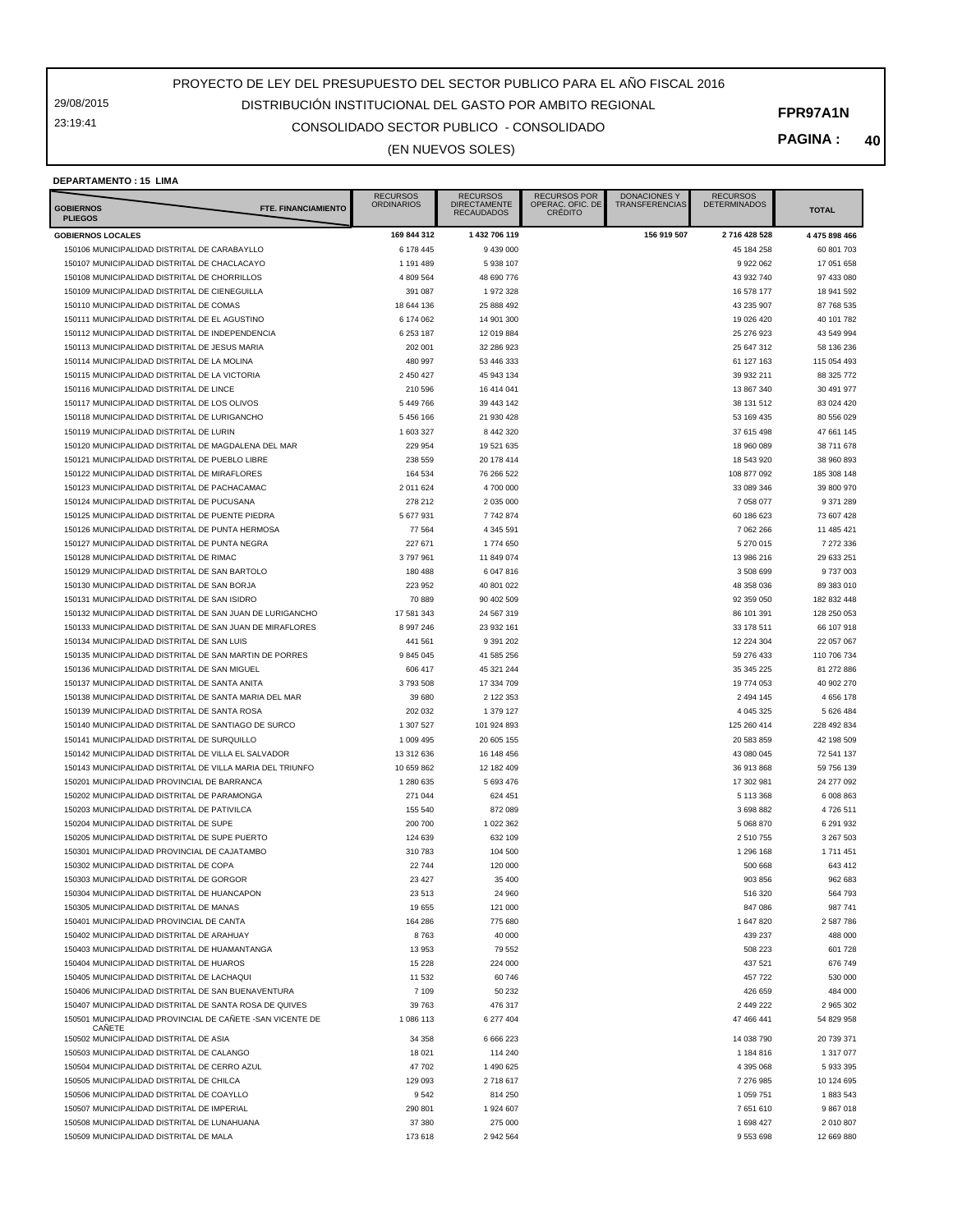29/08/2015 23:19:41

## CONSOLIDADO SECTOR PUBLICO - CONSOLIDADO DISTRIBUCIÓN INSTITUCIONAL DEL GASTO POR AMBITO REGIONAL

(EN NUEVOS SOLES)

**PAGINA : 40**

#### **DEPARTAMENTO : 15 LIMA**

| <b>GOBIERNOS</b><br><b>PLIEGOS</b>                                                                     | FTE. FINANCIAMIENTO | <b>RECURSOS</b><br><b>ORDINARIOS</b> | <b>RECURSOS</b><br><b>DIRECTAMENTE</b><br><b>RECAUDADOS</b> | RECURSOS POR<br>OPERAÇ. OFIC. DE<br><b>CRÉDITO</b> | <b>DONACIONES Y</b><br><b>TRANSFERENCIAS</b> | <b>RECURSOS</b><br>DETERMINADOS | <b>TOTAL</b>             |
|--------------------------------------------------------------------------------------------------------|---------------------|--------------------------------------|-------------------------------------------------------------|----------------------------------------------------|----------------------------------------------|---------------------------------|--------------------------|
| <b>GOBIERNOS LOCALES</b>                                                                               |                     | 169 844 312                          | 1 432 706 119                                               |                                                    | 156 919 507                                  | 2716 428 528                    | 4 475 898 466            |
| 150106 MUNICIPALIDAD DISTRITAL DE CARABAYLLO                                                           |                     | 6 178 445                            | 9 439 000                                                   |                                                    |                                              | 45 184 258                      | 60 801 703               |
| 150107 MUNICIPALIDAD DISTRITAL DE CHACLACAYO                                                           |                     | 1 191 489                            | 5 938 107                                                   |                                                    |                                              | 9 9 2 0 6 2                     | 17 051 658               |
| 150108 MUNICIPALIDAD DISTRITAL DE CHORRILLOS                                                           |                     | 4 809 564                            | 48 690 776                                                  |                                                    |                                              | 43 932 740                      | 97 433 080               |
| 150109 MUNICIPALIDAD DISTRITAL DE CIENEGUILLA                                                          |                     | 391 087                              | 1 972 328                                                   |                                                    |                                              | 16 578 177                      | 18 941 592               |
| 150110 MUNICIPALIDAD DISTRITAL DE COMAS                                                                |                     | 18 644 136                           | 25 888 492                                                  |                                                    |                                              | 43 235 907                      | 87 768 535               |
| 150111 MUNICIPALIDAD DISTRITAL DE EL AGUSTINO                                                          |                     | 6 174 062                            | 14 901 300                                                  |                                                    |                                              | 19 026 420                      | 40 101 782               |
| 150112 MUNICIPALIDAD DISTRITAL DE INDEPENDENCIA                                                        |                     | 6 2 5 3 1 8 7                        | 12 019 884                                                  |                                                    |                                              | 25 276 923                      | 43 549 994               |
| 150113 MUNICIPALIDAD DISTRITAL DE JESUS MARIA                                                          |                     | 202 001                              | 32 286 923                                                  |                                                    |                                              | 25 647 312                      | 58 136 236               |
| 150114 MUNICIPALIDAD DISTRITAL DE LA MOLINA                                                            |                     | 480 997                              | 53 446 333                                                  |                                                    |                                              | 61 127 163                      | 115 054 493              |
| 150115 MUNICIPALIDAD DISTRITAL DE LA VICTORIA<br>150116 MUNICIPALIDAD DISTRITAL DE LINCE               |                     | 2 450 427                            | 45 943 134                                                  |                                                    |                                              | 39 932 211                      | 88 325 772               |
| 150117 MUNICIPALIDAD DISTRITAL DE LOS OLIVOS                                                           |                     | 210 596<br>5 449 766                 | 16 414 041<br>39 443 142                                    |                                                    |                                              | 13 867 340<br>38 131 512        | 30 491 977<br>83 024 420 |
| 150118 MUNICIPALIDAD DISTRITAL DE LURIGANCHO                                                           |                     | 5456166                              | 21 930 428                                                  |                                                    |                                              | 53 169 435                      | 80 556 029               |
| 150119 MUNICIPALIDAD DISTRITAL DE LURIN                                                                |                     | 1 603 327                            | 8 442 320                                                   |                                                    |                                              | 37 615 498                      | 47 661 145               |
| 150120 MUNICIPALIDAD DISTRITAL DE MAGDALENA DEL MAR                                                    |                     | 229 954                              | 19 521 635                                                  |                                                    |                                              | 18 960 089                      | 38 711 678               |
| 150121 MUNICIPALIDAD DISTRITAL DE PUEBLO LIBRE                                                         |                     | 238 559                              | 20 178 414                                                  |                                                    |                                              | 18 543 920                      | 38 960 893               |
| 150122 MUNICIPALIDAD DISTRITAL DE MIRAFLORES                                                           |                     | 164 534                              | 76 266 522                                                  |                                                    |                                              | 108 877 092                     | 185 308 148              |
| 150123 MUNICIPALIDAD DISTRITAL DE PACHACAMAC                                                           |                     | 2 011 624                            | 4 700 000                                                   |                                                    |                                              | 33 089 346                      | 39 800 970               |
| 150124 MUNICIPALIDAD DISTRITAL DE PUCUSANA                                                             |                     | 278 212                              | 2 035 000                                                   |                                                    |                                              | 7 058 077                       | 9 371 289                |
| 150125 MUNICIPALIDAD DISTRITAL DE PUENTE PIEDRA                                                        |                     | 5 677 931                            | 7 742 874                                                   |                                                    |                                              | 60 186 623                      | 73 607 428               |
| 150126 MUNICIPALIDAD DISTRITAL DE PUNTA HERMOSA                                                        |                     | 77 564                               | 4 345 591                                                   |                                                    |                                              | 7 062 266                       | 11 485 421               |
| 150127 MUNICIPALIDAD DISTRITAL DE PUNTA NEGRA                                                          |                     | 227 671                              | 1774 650                                                    |                                                    |                                              | 5 270 015                       | 7 272 336                |
| 150128 MUNICIPALIDAD DISTRITAL DE RIMAC                                                                |                     | 3797961                              | 11 849 074                                                  |                                                    |                                              | 13 986 216                      | 29 633 251               |
| 150129 MUNICIPALIDAD DISTRITAL DE SAN BARTOLO                                                          |                     | 180 488                              | 6 047 816                                                   |                                                    |                                              | 3 508 699                       | 9 737 003                |
| 150130 MUNICIPALIDAD DISTRITAL DE SAN BORJA                                                            |                     | 223 952                              | 40 801 022                                                  |                                                    |                                              | 48 358 036                      | 89 383 010               |
| 150131 MUNICIPALIDAD DISTRITAL DE SAN ISIDRO                                                           |                     | 70 889                               | 90 402 509                                                  |                                                    |                                              | 92 359 050                      | 182 832 448              |
| 150132 MUNICIPALIDAD DISTRITAL DE SAN JUAN DE LURIGANCHO                                               |                     | 17 581 343                           | 24 567 319                                                  |                                                    |                                              | 86 101 391                      | 128 250 053              |
| 150133 MUNICIPALIDAD DISTRITAL DE SAN JUAN DE MIRAFLORES                                               |                     | 8 9 9 7 2 4 6                        | 23 932 161                                                  |                                                    |                                              | 33 178 511                      | 66 107 918               |
| 150134 MUNICIPALIDAD DISTRITAL DE SAN LUIS                                                             |                     | 441 561                              | 9 391 202                                                   |                                                    |                                              | 12 224 304                      | 22 057 067               |
| 150135 MUNICIPALIDAD DISTRITAL DE SAN MARTIN DE PORRES<br>150136 MUNICIPALIDAD DISTRITAL DE SAN MIGUEL |                     | 9845045                              | 41 585 256                                                  |                                                    |                                              | 59 276 433                      | 110 706 734              |
| 150137 MUNICIPALIDAD DISTRITAL DE SANTA ANITA                                                          |                     | 606 417<br>3793508                   | 45 321 244<br>17 334 709                                    |                                                    |                                              | 35 345 225<br>19 774 053        | 81 272 886<br>40 902 270 |
| 150138 MUNICIPALIDAD DISTRITAL DE SANTA MARIA DEL MAR                                                  |                     | 39 680                               | 2 122 353                                                   |                                                    |                                              | 2 494 145                       | 4 656 178                |
| 150139 MUNICIPALIDAD DISTRITAL DE SANTA ROSA                                                           |                     | 202 032                              | 1 379 127                                                   |                                                    |                                              | 4 045 325                       | 5 626 484                |
| 150140 MUNICIPALIDAD DISTRITAL DE SANTIAGO DE SURCO                                                    |                     | 1 307 527                            | 101 924 893                                                 |                                                    |                                              | 125 260 414                     | 228 492 834              |
| 150141 MUNICIPALIDAD DISTRITAL DE SURQUILLO                                                            |                     | 1 009 495                            | 20 605 155                                                  |                                                    |                                              | 20 583 859                      | 42 198 509               |
| 150142 MUNICIPALIDAD DISTRITAL DE VILLA EL SALVADOR                                                    |                     | 13 312 636                           | 16 148 456                                                  |                                                    |                                              | 43 080 045                      | 72 541 137               |
| 150143 MUNICIPALIDAD DISTRITAL DE VILLA MARIA DEL TRIUNFO                                              |                     | 10 659 862                           | 12 182 409                                                  |                                                    |                                              | 36 913 868                      | 59 756 139               |
| 150201 MUNICIPALIDAD PROVINCIAL DE BARRANCA                                                            |                     | 1 280 635                            | 5 693 476                                                   |                                                    |                                              | 17 302 981                      | 24 277 092               |
| 150202 MUNICIPALIDAD DISTRITAL DE PARAMONGA                                                            |                     | 271 044                              | 624 451                                                     |                                                    |                                              | 5 113 368                       | 6 008 863                |
| 150203 MUNICIPALIDAD DISTRITAL DE PATIVILCA                                                            |                     | 155 540                              | 872 089                                                     |                                                    |                                              | 3 698 882                       | 4 726 511                |
| 150204 MUNICIPALIDAD DISTRITAL DE SUPE                                                                 |                     | 200 700                              | 1 022 362                                                   |                                                    |                                              | 5 068 870                       | 6 291 932                |
| 150205 MUNICIPALIDAD DISTRITAL DE SUPE PUERTO                                                          |                     | 124 639                              | 632 109                                                     |                                                    |                                              | 2 510 755                       | 3 267 503                |
| 150301 MUNICIPALIDAD PROVINCIAL DE CAJATAMBO                                                           |                     | 310783                               | 104 500                                                     |                                                    |                                              | 1 296 168                       | 1 711 451                |
| 150302 MUNICIPALIDAD DISTRITAL DE COPA                                                                 |                     | 22 744                               | 120 000                                                     |                                                    |                                              | 500 668                         | 643 412                  |
| 150303 MUNICIPALIDAD DISTRITAL DE GORGOR                                                               |                     | 23 4 27                              | 35 400                                                      |                                                    |                                              | 903 856                         | 962 683                  |
| 150304 MUNICIPALIDAD DISTRITAL DE HUANCAPON                                                            |                     | 23 513                               | 24 960                                                      |                                                    |                                              | 516 320                         | 564 793                  |
| 150305 MUNICIPALIDAD DISTRITAL DE MANAS<br>150401 MUNICIPALIDAD PROVINCIAL DE CANTA                    |                     | 19 655                               | 121 000                                                     |                                                    |                                              | 847 086                         | 987 741                  |
| 150402 MUNICIPALIDAD DISTRITAL DE ARAHUAY                                                              |                     | 164 286<br>8763                      | 775 680<br>40 000                                           |                                                    |                                              | 1 647 820<br>439 237            | 2 587 786<br>488 000     |
| 150403 MUNICIPALIDAD DISTRITAL DE HUAMANTANGA                                                          |                     | 13 953                               | 79 552                                                      |                                                    |                                              | 508 223                         | 601 728                  |
| 150404 MUNICIPALIDAD DISTRITAL DE HUAROS                                                               |                     | 15 2 28                              | 224 000                                                     |                                                    |                                              | 437 521                         | 676 749                  |
| 150405 MUNICIPALIDAD DISTRITAL DE LACHAQUI                                                             |                     | 11 532                               | 60746                                                       |                                                    |                                              | 457 722                         | 530 000                  |
| 150406 MUNICIPALIDAD DISTRITAL DE SAN BUENAVENTURA                                                     |                     | 7 109                                | 50 232                                                      |                                                    |                                              | 426 659                         | 484 000                  |
| 150407 MUNICIPALIDAD DISTRITAL DE SANTA ROSA DE QUIVES                                                 |                     | 39 763                               | 476 317                                                     |                                                    |                                              | 2 449 222                       | 2 965 302                |
| 150501 MUNICIPALIDAD PROVINCIAL DE CAÑETE -SAN VICENTE DE<br>CAÑETE                                    |                     | 1 086 113                            | 6 277 404                                                   |                                                    |                                              | 47 466 441                      | 54 829 958               |
| 150502 MUNICIPALIDAD DISTRITAL DE ASIA                                                                 |                     | 34 358                               | 6 666 223                                                   |                                                    |                                              | 14 038 790                      | 20 739 371               |
| 150503 MUNICIPALIDAD DISTRITAL DE CALANGO                                                              |                     | 18 0 21                              | 114 240                                                     |                                                    |                                              | 1 184 816                       | 1 317 077                |
| 150504 MUNICIPALIDAD DISTRITAL DE CERRO AZUL                                                           |                     | 47 702                               | 1 490 625                                                   |                                                    |                                              | 4 395 068                       | 5 933 395                |
| 150505 MUNICIPALIDAD DISTRITAL DE CHILCA<br>150506 MUNICIPALIDAD DISTRITAL DE COAYLLO                  |                     | 129 093                              | 2718617                                                     |                                                    |                                              | 7 276 985                       | 10 124 695<br>1883 543   |
| 150507 MUNICIPALIDAD DISTRITAL DE IMPERIAL                                                             |                     | 9542<br>290 801                      | 814 250<br>1 924 607                                        |                                                    |                                              | 1 059 751<br>7 651 610          | 9 867 018                |
| 150508 MUNICIPALIDAD DISTRITAL DE LUNAHUANA                                                            |                     | 37 380                               | 275 000                                                     |                                                    |                                              | 1 698 427                       | 2 010 807                |
| 150509 MUNICIPALIDAD DISTRITAL DE MALA                                                                 |                     | 173 618                              | 2 942 564                                                   |                                                    |                                              | 9 553 698                       | 12 669 880               |
|                                                                                                        |                     |                                      |                                                             |                                                    |                                              |                                 |                          |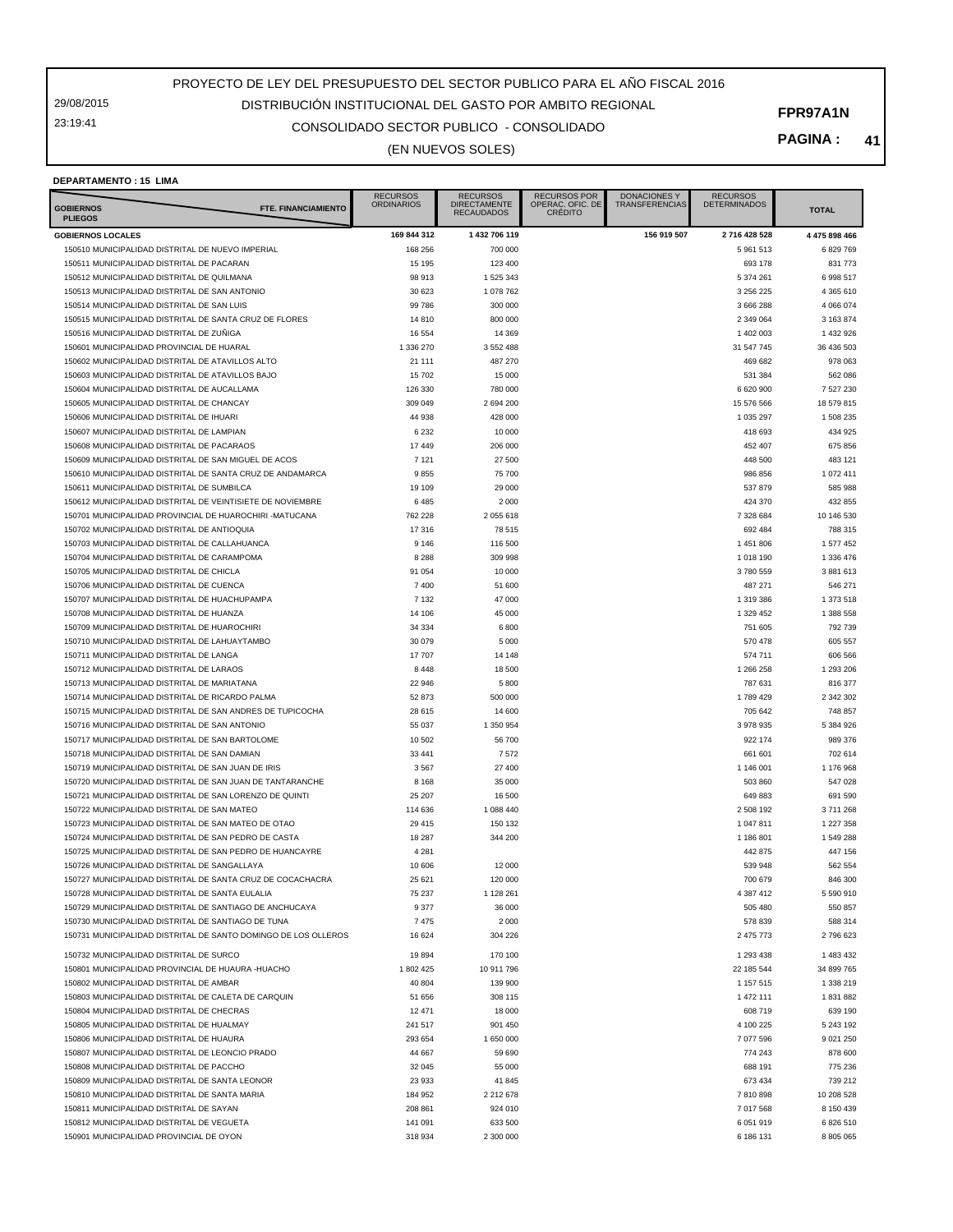29/08/2015 23:19:41

## CONSOLIDADO SECTOR PUBLICO - CONSOLIDADO DISTRIBUCIÓN INSTITUCIONAL DEL GASTO POR AMBITO REGIONAL

(EN NUEVOS SOLES)

**PAGINA : 41**

#### **DEPARTAMENTO : 15 LIMA**

| <b>GOBIERNOS</b><br><b>PLIEGOS</b>                                                                          | <b>FTE. FINANCIAMIENTO</b> | <b>RECURSOS</b><br><b>ORDINARIOS</b> | <b>RECURSOS</b><br><b>DIRECTAMENTE</b><br><b>RECAUDADOS</b> | <b>RECURSOS POR</b><br>OPERAC. OFIC. DE<br><b>CRÉDITO</b> | <b>DONACIONES Y</b><br><b>TRANSFERENCIAS</b> | <b>RECURSOS</b><br><b>DETERMINADOS</b> | <b>TOTAL</b>           |
|-------------------------------------------------------------------------------------------------------------|----------------------------|--------------------------------------|-------------------------------------------------------------|-----------------------------------------------------------|----------------------------------------------|----------------------------------------|------------------------|
| <b>GOBIERNOS LOCALES</b>                                                                                    |                            | 169 844 312                          | 1 432 706 119                                               |                                                           | 156 919 507                                  | 2716 428 528                           | 4 475 898 466          |
| 150510 MUNICIPALIDAD DISTRITAL DE NUEVO IMPERIAL                                                            |                            | 168 256                              | 700 000                                                     |                                                           |                                              | 5 961 513                              | 6 829 769              |
| 150511 MUNICIPALIDAD DISTRITAL DE PACARAN                                                                   |                            | 15 195                               | 123 400                                                     |                                                           |                                              | 693 178                                | 831 773                |
| 150512 MUNICIPALIDAD DISTRITAL DE QUILMANA                                                                  |                            | 98 913                               | 1 525 343                                                   |                                                           |                                              | 5 374 261                              | 6 998 517              |
| 150513 MUNICIPALIDAD DISTRITAL DE SAN ANTONIO                                                               |                            | 30 623                               | 1 078 762                                                   |                                                           |                                              | 3 256 225                              | 4 365 610              |
| 150514 MUNICIPALIDAD DISTRITAL DE SAN LUIS                                                                  |                            | 99 786                               | 300 000                                                     |                                                           |                                              | 3 666 288                              | 4 0 66 0 74            |
| 150515 MUNICIPALIDAD DISTRITAL DE SANTA CRUZ DE FLORES                                                      |                            | 14 8 10                              | 800 000                                                     |                                                           |                                              | 2 349 064                              | 3 163 874              |
| 150516 MUNICIPALIDAD DISTRITAL DE ZUÑIGA                                                                    |                            | 16 554                               | 14 3 69                                                     |                                                           |                                              | 1 402 003                              | 1 432 926              |
| 150601 MUNICIPALIDAD PROVINCIAL DE HUARAL                                                                   |                            | 1 336 270                            | 3 552 488                                                   |                                                           |                                              | 31 547 745                             | 36 436 503             |
| 150602 MUNICIPALIDAD DISTRITAL DE ATAVILLOS ALTO<br>150603 MUNICIPALIDAD DISTRITAL DE ATAVILLOS BAJO        |                            | 21 111<br>15 702                     | 487 270<br>15 000                                           |                                                           |                                              | 469 682                                | 978 063<br>562 086     |
| 150604 MUNICIPALIDAD DISTRITAL DE AUCALLAMA                                                                 |                            | 126 330                              | 780 000                                                     |                                                           |                                              | 531 384<br>6 620 900                   | 7 527 230              |
| 150605 MUNICIPALIDAD DISTRITAL DE CHANCAY                                                                   |                            | 309 049                              | 2 694 200                                                   |                                                           |                                              | 15 576 566                             | 18 579 815             |
| 150606 MUNICIPALIDAD DISTRITAL DE IHUARI                                                                    |                            | 44 938                               | 428 000                                                     |                                                           |                                              | 1 035 297                              | 1 508 235              |
| 150607 MUNICIPALIDAD DISTRITAL DE LAMPIAN                                                                   |                            | 6 2 3 2                              | 10 000                                                      |                                                           |                                              | 418 693                                | 434 925                |
| 150608 MUNICIPALIDAD DISTRITAL DE PACARAOS                                                                  |                            | 17 449                               | 206 000                                                     |                                                           |                                              | 452 407                                | 675 856                |
| 150609 MUNICIPALIDAD DISTRITAL DE SAN MIGUEL DE ACOS                                                        |                            | 7 1 2 1                              | 27 500                                                      |                                                           |                                              | 448 500                                | 483 121                |
| 150610 MUNICIPALIDAD DISTRITAL DE SANTA CRUZ DE ANDAMARCA                                                   |                            | 9855                                 | 75 700                                                      |                                                           |                                              | 986 856                                | 1 072 411              |
| 150611 MUNICIPALIDAD DISTRITAL DE SUMBILCA                                                                  |                            | 19 109                               | 29 000                                                      |                                                           |                                              | 537879                                 | 585 988                |
| 150612 MUNICIPALIDAD DISTRITAL DE VEINTISIETE DE NOVIEMBRE                                                  |                            | 6 4 8 5                              | 2 0 0 0                                                     |                                                           |                                              | 424 370                                | 432 855                |
| 150701 MUNICIPALIDAD PROVINCIAL DE HUAROCHIRI -MATUCANA                                                     |                            | 762 228                              | 2 055 618                                                   |                                                           |                                              | 7 328 684                              | 10 146 530             |
| 150702 MUNICIPALIDAD DISTRITAL DE ANTIOQUIA                                                                 |                            | 17 316                               | 78515                                                       |                                                           |                                              | 692 484                                | 788 315                |
| 150703 MUNICIPALIDAD DISTRITAL DE CALLAHUANCA                                                               |                            | 9 1 4 6                              | 116 500                                                     |                                                           |                                              | 1 451 806                              | 1 577 452              |
| 150704 MUNICIPALIDAD DISTRITAL DE CARAMPOMA                                                                 |                            | 8 2 8 8                              | 309 998                                                     |                                                           |                                              | 1 018 190                              | 1 336 476              |
| 150705 MUNICIPALIDAD DISTRITAL DE CHICLA                                                                    |                            | 91 054                               | 10 000                                                      |                                                           |                                              | 3780 559                               | 3 881 613              |
| 150706 MUNICIPALIDAD DISTRITAL DE CUENCA                                                                    |                            | 7 4 0 0                              | 51 600                                                      |                                                           |                                              | 487 271                                | 546 271                |
| 150707 MUNICIPALIDAD DISTRITAL DE HUACHUPAMPA<br>150708 MUNICIPALIDAD DISTRITAL DE HUANZA                   |                            | 7 1 3 2                              | 47 000                                                      |                                                           |                                              | 1 319 386<br>1 329 452                 | 1 373 518<br>1 388 558 |
| 150709 MUNICIPALIDAD DISTRITAL DE HUAROCHIRI                                                                |                            | 14 10 6<br>34 334                    | 45 000<br>6800                                              |                                                           |                                              | 751 605                                | 792 739                |
| 150710 MUNICIPALIDAD DISTRITAL DE LAHUAYTAMBO                                                               |                            | 30 079                               | 5 0 0 0                                                     |                                                           |                                              | 570 478                                | 605 557                |
| 150711 MUNICIPALIDAD DISTRITAL DE LANGA                                                                     |                            | 17 707                               | 14 148                                                      |                                                           |                                              | 574 711                                | 606 566                |
| 150712 MUNICIPALIDAD DISTRITAL DE LARAOS                                                                    |                            | 8 4 4 8                              | 18 500                                                      |                                                           |                                              | 1 266 258                              | 1 293 206              |
| 150713 MUNICIPALIDAD DISTRITAL DE MARIATANA                                                                 |                            | 22 946                               | 5800                                                        |                                                           |                                              | 787 631                                | 816 377                |
| 150714 MUNICIPALIDAD DISTRITAL DE RICARDO PALMA                                                             |                            | 52 873                               | 500 000                                                     |                                                           |                                              | 1789429                                | 2 342 302              |
| 150715 MUNICIPALIDAD DISTRITAL DE SAN ANDRES DE TUPICOCHA                                                   |                            | 28 615                               | 14 600                                                      |                                                           |                                              | 705 642                                | 748 857                |
| 150716 MUNICIPALIDAD DISTRITAL DE SAN ANTONIO                                                               |                            | 55 037                               | 1 350 954                                                   |                                                           |                                              | 3 978 935                              | 5 384 926              |
| 150717 MUNICIPALIDAD DISTRITAL DE SAN BARTOLOME                                                             |                            | 10 502                               | 56 700                                                      |                                                           |                                              | 922 174                                | 989 376                |
| 150718 MUNICIPALIDAD DISTRITAL DE SAN DAMIAN                                                                |                            | 33 441                               | 7572                                                        |                                                           |                                              | 661 601                                | 702 614                |
| 150719 MUNICIPALIDAD DISTRITAL DE SAN JUAN DE IRIS                                                          |                            | 3567                                 | 27 400                                                      |                                                           |                                              | 1 146 001                              | 1 176 968              |
| 150720 MUNICIPALIDAD DISTRITAL DE SAN JUAN DE TANTARANCHE                                                   |                            | 8 1 6 8                              | 35 000                                                      |                                                           |                                              | 503 860                                | 547 028                |
| 150721 MUNICIPALIDAD DISTRITAL DE SAN LORENZO DE QUINTI                                                     |                            | 25 207                               | 16 500                                                      |                                                           |                                              | 649 883                                | 691 590                |
| 150722 MUNICIPALIDAD DISTRITAL DE SAN MATEO                                                                 |                            | 114 636                              | 1 088 440                                                   |                                                           |                                              | 2 508 192                              | 3711268                |
| 150723 MUNICIPALIDAD DISTRITAL DE SAN MATEO DE OTAO<br>150724 MUNICIPALIDAD DISTRITAL DE SAN PEDRO DE CASTA |                            | 29 4 15                              | 150 132                                                     |                                                           |                                              | 1 047 811                              | 1 227 358<br>1 549 288 |
| 150725 MUNICIPALIDAD DISTRITAL DE SAN PEDRO DE HUANCAYRE                                                    |                            | 18 287<br>4 2 8 1                    | 344 200                                                     |                                                           |                                              | 1 186 801<br>442 875                   | 447 156                |
| 150726 MUNICIPALIDAD DISTRITAL DE SANGALLAYA                                                                |                            | 10 606                               | 12 000                                                      |                                                           |                                              | 539 948                                | 562 554                |
| 150727 MUNICIPALIDAD DISTRITAL DE SANTA CRUZ DE COCACHACRA                                                  |                            | 25 621                               | 120 000                                                     |                                                           |                                              | 700 679                                | 846 300                |
| 150728 MUNICIPALIDAD DISTRITAL DE SANTA EULALIA                                                             |                            | 75 237                               | 1 128 261                                                   |                                                           |                                              | 4 387 412                              | 5 590 910              |
| 150729 MUNICIPALIDAD DISTRITAL DE SANTIAGO DE ANCHUCAYA                                                     |                            | 9 3 7 7                              | 36 000                                                      |                                                           |                                              | 505 480                                | 550 857                |
| 150730 MUNICIPALIDAD DISTRITAL DE SANTIAGO DE TUNA                                                          |                            | 7475                                 | 2 0 0 0                                                     |                                                           |                                              | 578 839                                | 588 314                |
| 150731 MUNICIPALIDAD DISTRITAL DE SANTO DOMINGO DE LOS OLLEROS                                              |                            | 16 624                               | 304 226                                                     |                                                           |                                              | 2 475 773                              | 2796623                |
| 150732 MUNICIPALIDAD DISTRITAL DE SURCO                                                                     |                            | 19894                                | 170 100                                                     |                                                           |                                              | 1 293 438                              | 1 483 432              |
| 150801 MUNICIPALIDAD PROVINCIAL DE HUAURA -HUACHO                                                           |                            | 1 802 425                            | 10 911 796                                                  |                                                           |                                              | 22 185 544                             | 34 899 765             |
| 150802 MUNICIPALIDAD DISTRITAL DE AMBAR                                                                     |                            | 40 804                               | 139 900                                                     |                                                           |                                              | 1 157 515                              | 1 338 219              |
| 150803 MUNICIPALIDAD DISTRITAL DE CALETA DE CARQUIN                                                         |                            | 51 656                               | 308 115                                                     |                                                           |                                              | 1 472 111                              | 1831882                |
| 150804 MUNICIPALIDAD DISTRITAL DE CHECRAS                                                                   |                            | 12 471                               | 18 000                                                      |                                                           |                                              | 608 719                                | 639 190                |
| 150805 MUNICIPALIDAD DISTRITAL DE HUALMAY                                                                   |                            | 241 517                              | 901 450                                                     |                                                           |                                              | 4 100 225                              | 5 243 192              |
| 150806 MUNICIPALIDAD DISTRITAL DE HUAURA<br>150807 MUNICIPALIDAD DISTRITAL DE LEONCIO PRADO                 |                            | 293 654<br>44 667                    | 1 650 000<br>59 690                                         |                                                           |                                              | 7 077 596<br>774 243                   | 9 0 21 2 50<br>878 600 |
| 150808 MUNICIPALIDAD DISTRITAL DE PACCHO                                                                    |                            | 32 045                               | 55 000                                                      |                                                           |                                              | 688 191                                | 775 236                |
| 150809 MUNICIPALIDAD DISTRITAL DE SANTA LEONOR                                                              |                            | 23 933                               | 41 845                                                      |                                                           |                                              | 673 434                                | 739 212                |
| 150810 MUNICIPALIDAD DISTRITAL DE SANTA MARIA                                                               |                            | 184 952                              | 2 212 678                                                   |                                                           |                                              | 7810898                                | 10 208 528             |
| 150811 MUNICIPALIDAD DISTRITAL DE SAYAN                                                                     |                            | 208 861                              | 924 010                                                     |                                                           |                                              | 7 017 568                              | 8 150 439              |
| 150812 MUNICIPALIDAD DISTRITAL DE VEGUETA                                                                   |                            | 141 091                              | 633 500                                                     |                                                           |                                              | 6 051 919                              | 6 826 510              |
| 150901 MUNICIPALIDAD PROVINCIAL DE OYON                                                                     |                            | 318 934                              | 2 300 000                                                   |                                                           |                                              | 6 186 131                              | 8 805 065              |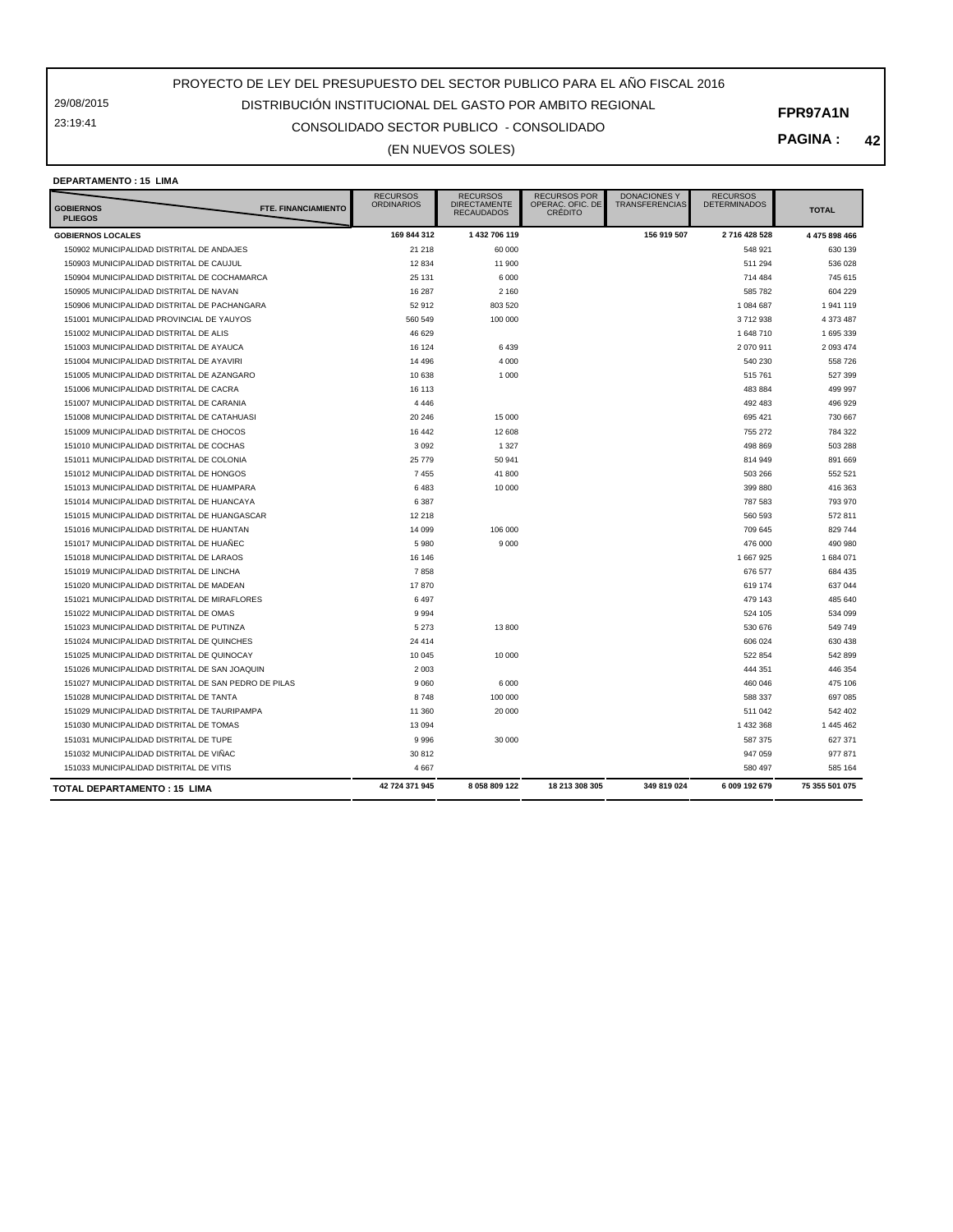29/08/2015 23:19:41

## CONSOLIDADO SECTOR PUBLICO - CONSOLIDADO DISTRIBUCIÓN INSTITUCIONAL DEL GASTO POR AMBITO REGIONAL

(EN NUEVOS SOLES)

**PAGINA : 42**

**FPR97A1N**

**DEPARTAMENTO : 15 LIMA**

| FTE. FINANCIAMIENTO<br><b>GOBIERNOS</b><br><b>PLIEGOS</b> | <b>RECURSOS</b><br><b>ORDINARIOS</b> | <b>RECURSOS</b><br><b>DIRECTAMENTE</b><br><b>RECAUDADOS</b> | <b>RECURSOS POR</b><br>OPERAC. OFIC. DE<br><b>CRÉDITO</b> | <b>DONACIONES Y</b><br><b>TRANSFERENCIAS</b> | <b>RECURSOS</b><br><b>DETERMINADOS</b> | <b>TOTAL</b>   |
|-----------------------------------------------------------|--------------------------------------|-------------------------------------------------------------|-----------------------------------------------------------|----------------------------------------------|----------------------------------------|----------------|
| <b>GOBIERNOS LOCALES</b>                                  | 169 844 312                          | 1 432 706 119                                               |                                                           | 156 919 507                                  | 2716 428 528                           | 4 475 898 466  |
| 150902 MUNICIPALIDAD DISTRITAL DE ANDAJES                 | 21 218                               | 60 000                                                      |                                                           |                                              | 548 921                                | 630 139        |
| 150903 MUNICIPALIDAD DISTRITAL DE CAUJUL                  | 12 834                               | 11 900                                                      |                                                           |                                              | 511 294                                | 536 028        |
| 150904 MUNICIPALIDAD DISTRITAL DE COCHAMARCA              | 25 131                               | 6 0 0 0                                                     |                                                           |                                              | 714 484                                | 745 615        |
| 150905 MUNICIPALIDAD DISTRITAL DE NAVAN                   | 16 287                               | 2 1 6 0                                                     |                                                           |                                              | 585 782                                | 604 229        |
| 150906 MUNICIPALIDAD DISTRITAL DE PACHANGARA              | 52 912                               | 803 520                                                     |                                                           |                                              | 1 084 687                              | 1941119        |
| 151001 MUNICIPALIDAD PROVINCIAL DE YAUYOS                 | 560 549                              | 100 000                                                     |                                                           |                                              | 3712938                                | 4 373 487      |
| 151002 MUNICIPALIDAD DISTRITAL DE ALIS                    | 46 629                               |                                                             |                                                           |                                              | 1648710                                | 1 695 339      |
| 151003 MUNICIPALIDAD DISTRITAL DE AYAUCA                  | 16 124                               | 6439                                                        |                                                           |                                              | 2 070 911                              | 2 093 474      |
| 151004 MUNICIPALIDAD DISTRITAL DE AYAVIRI                 | 14 4 96                              | 4 0 0 0                                                     |                                                           |                                              | 540 230                                | 558 726        |
| 151005 MUNICIPALIDAD DISTRITAL DE AZANGARO                | 10 638                               | 1 0 0 0                                                     |                                                           |                                              | 515 761                                | 527 399        |
| 151006 MUNICIPALIDAD DISTRITAL DE CACRA                   | 16 113                               |                                                             |                                                           |                                              | 483 884                                | 499 997        |
| 151007 MUNICIPALIDAD DISTRITAL DE CARANIA                 | 4 4 4 6                              |                                                             |                                                           |                                              | 492 483                                | 496 929        |
| 151008 MUNICIPALIDAD DISTRITAL DE CATAHUASI               | 20 24 6                              | 15 000                                                      |                                                           |                                              | 695 421                                | 730 667        |
| 151009 MUNICIPALIDAD DISTRITAL DE CHOCOS                  | 16 442                               | 12 608                                                      |                                                           |                                              | 755 272                                | 784 322        |
| 151010 MUNICIPALIDAD DISTRITAL DE COCHAS                  | 3 0 9 2                              | 1 3 2 7                                                     |                                                           |                                              | 498 869                                | 503 288        |
| 151011 MUNICIPALIDAD DISTRITAL DE COLONIA                 | 25 7 7 9                             | 50 941                                                      |                                                           |                                              | 814 949                                | 891 669        |
| 151012 MUNICIPALIDAD DISTRITAL DE HONGOS                  | 7455                                 | 41 800                                                      |                                                           |                                              | 503 266                                | 552 521        |
| 151013 MUNICIPALIDAD DISTRITAL DE HUAMPARA                | 6483                                 | 10 000                                                      |                                                           |                                              | 399 880                                | 416 363        |
| 151014 MUNICIPALIDAD DISTRITAL DE HUANCAYA                | 6 3 8 7                              |                                                             |                                                           |                                              | 787 583                                | 793 970        |
| 151015 MUNICIPALIDAD DISTRITAL DE HUANGASCAR              | 12 218                               |                                                             |                                                           |                                              | 560 593                                | 572 811        |
| 151016 MUNICIPALIDAD DISTRITAL DE HUANTAN                 | 14 099                               | 106 000                                                     |                                                           |                                              | 709 645                                | 829 744        |
| 151017 MUNICIPALIDAD DISTRITAL DE HUAÑEC                  | 5980                                 | 9 0 0 0                                                     |                                                           |                                              | 476 000                                | 490 980        |
| 151018 MUNICIPALIDAD DISTRITAL DE LARAOS                  | 16 14 6                              |                                                             |                                                           |                                              | 1 667 925                              | 1684071        |
| 151019 MUNICIPALIDAD DISTRITAL DE LINCHA                  | 7858                                 |                                                             |                                                           |                                              | 676 577                                | 684 435        |
| 151020 MUNICIPALIDAD DISTRITAL DE MADEAN                  | 17870                                |                                                             |                                                           |                                              | 619 174                                | 637 044        |
| 151021 MUNICIPALIDAD DISTRITAL DE MIRAFLORES              | 6 4 9 7                              |                                                             |                                                           |                                              | 479 143                                | 485 640        |
| 151022 MUNICIPALIDAD DISTRITAL DE OMAS                    | 9994                                 |                                                             |                                                           |                                              | 524 105                                | 534 099        |
| 151023 MUNICIPALIDAD DISTRITAL DE PUTINZA                 | 5 2 7 3                              | 13800                                                       |                                                           |                                              | 530 676                                | 549 749        |
| 151024 MUNICIPALIDAD DISTRITAL DE QUINCHES                | 24 4 14                              |                                                             |                                                           |                                              | 606 024                                | 630 438        |
| 151025 MUNICIPALIDAD DISTRITAL DE QUINOCAY                | 10 045                               | 10 000                                                      |                                                           |                                              | 522 854                                | 542 899        |
| 151026 MUNICIPALIDAD DISTRITAL DE SAN JOAQUIN             | 2 0 0 3                              |                                                             |                                                           |                                              | 444 351                                | 446 354        |
| 151027 MUNICIPALIDAD DISTRITAL DE SAN PEDRO DE PILAS      | 9 0 6 0                              | 6000                                                        |                                                           |                                              | 460 046                                | 475 106        |
| 151028 MUNICIPALIDAD DISTRITAL DE TANTA                   | 8748                                 | 100 000                                                     |                                                           |                                              | 588 337                                | 697 085        |
| 151029 MUNICIPALIDAD DISTRITAL DE TAURIPAMPA              | 11 360                               | 20 000                                                      |                                                           |                                              | 511 042                                | 542 402        |
| 151030 MUNICIPALIDAD DISTRITAL DE TOMAS                   | 13 094                               |                                                             |                                                           |                                              | 1 432 368                              | 1 445 462      |
| 151031 MUNICIPALIDAD DISTRITAL DE TUPE                    | 9 9 9 6                              | 30 000                                                      |                                                           |                                              | 587 375                                | 627 371        |
| 151032 MUNICIPALIDAD DISTRITAL DE VINAC                   | 30 812                               |                                                             |                                                           |                                              | 947 059                                | 977 871        |
| 151033 MUNICIPALIDAD DISTRITAL DE VITIS                   | 4 6 6 7                              |                                                             |                                                           |                                              | 580 497                                | 585 164        |
| TOTAL DEPARTAMENTO : 15 LIMA                              | 42 724 371 945                       | 8 058 809 122                                               | 18 213 308 305                                            | 349 819 024                                  | 6 009 192 679                          | 75 355 501 075 |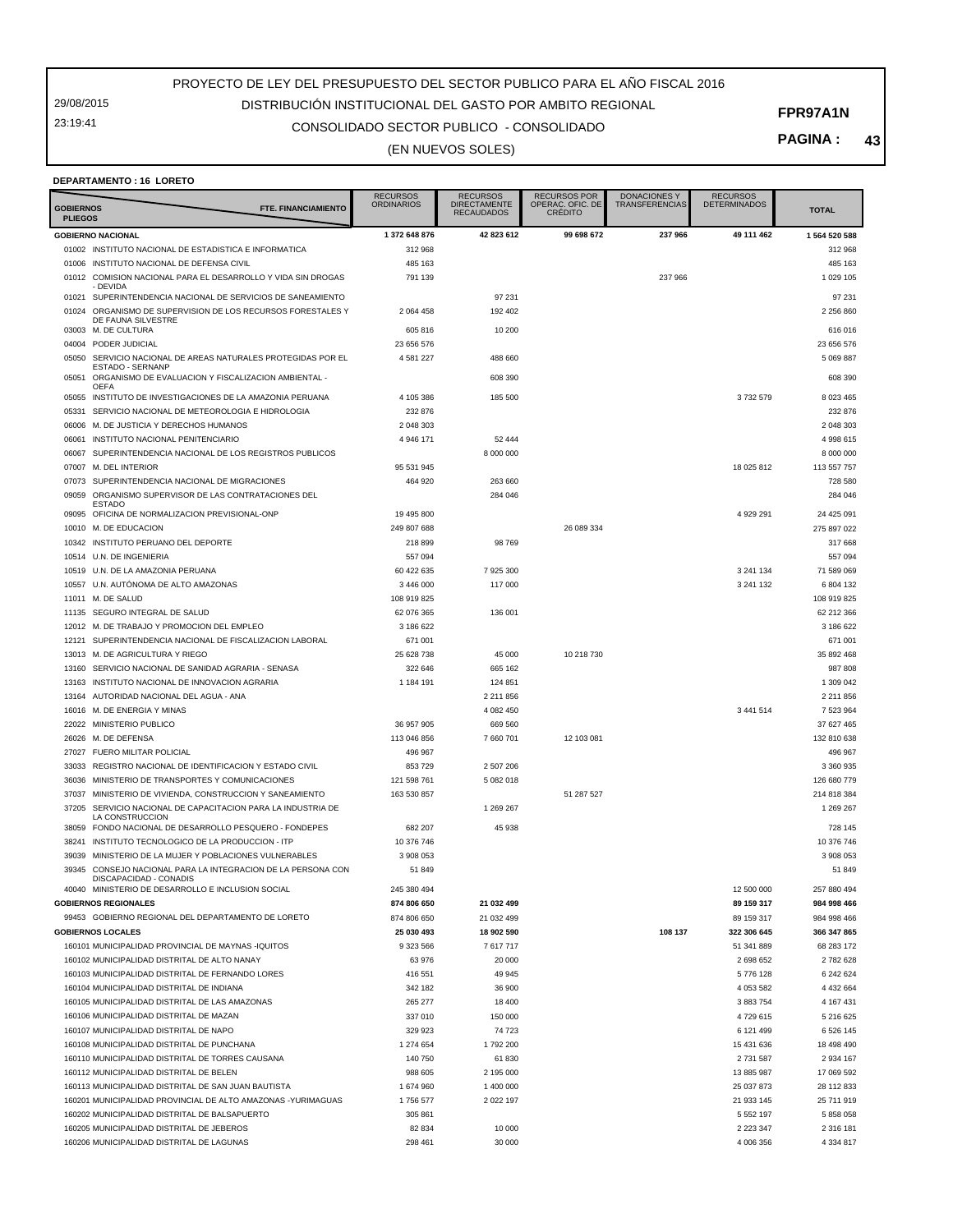29/08/2015 23:19:41

## CONSOLIDADO SECTOR PUBLICO - CONSOLIDADO DISTRIBUCIÓN INSTITUCIONAL DEL GASTO POR AMBITO REGIONAL

#### **PAGINA : 43**

(EN NUEVOS SOLES)

#### **DEPARTAMENTO : 16 LORETO**

|                                    |                                                                                  | <b>RECURSOS</b><br><b>ORDINARIOS</b> | <b>RECURSOS</b><br><b>DIRECTAMENTE</b> | <b>RECURSOS POR</b><br>OPERAÇ. OFIC. DE | <b>DONACIONES Y</b><br>TRANSFERENCIAS | <b>RECURSOS</b><br><b>DETERMINADOS</b> |               |
|------------------------------------|----------------------------------------------------------------------------------|--------------------------------------|----------------------------------------|-----------------------------------------|---------------------------------------|----------------------------------------|---------------|
| <b>GOBIERNOS</b><br><b>PLIEGOS</b> | FTE. FINANCIAMIENTO                                                              |                                      | <b>RECAUDADOS</b>                      | <b>CRÉDITO</b>                          |                                       |                                        | <b>TOTAL</b>  |
|                                    | <b>GOBIERNO NACIONAL</b>                                                         | 1 372 648 876                        | 42 823 612                             | 99 698 672                              | 237 966                               | 49 111 462                             | 1 564 520 588 |
|                                    | 01002 INSTITUTO NACIONAL DE ESTADISTICA E INFORMATICA                            | 312 968                              |                                        |                                         |                                       |                                        | 312 968       |
|                                    | 01006 INSTITUTO NACIONAL DE DEFENSA CIVIL                                        | 485 163                              |                                        |                                         |                                       |                                        | 485 163       |
|                                    | 01012 COMISION NACIONAL PARA EL DESARROLLO Y VIDA SIN DROGAS<br>- DEVIDA         | 791 139                              |                                        |                                         | 237 966                               |                                        | 1 029 105     |
|                                    | 01021 SUPERINTENDENCIA NACIONAL DE SERVICIOS DE SANEAMIENTO                      |                                      | 97 231                                 |                                         |                                       |                                        | 97 231        |
| 01024                              | ORGANISMO DE SUPERVISION DE LOS RECURSOS FORESTALES Y                            | 2 0 64 4 58                          | 192 402                                |                                         |                                       |                                        | 2 256 860     |
|                                    | DE FAUNA SILVESTRE<br>03003 M. DE CULTURA                                        | 605 816                              | 10 200                                 |                                         |                                       |                                        | 616 016       |
|                                    | 04004 PODER JUDICIAL                                                             | 23 656 576                           |                                        |                                         |                                       |                                        | 23 656 576    |
|                                    | 05050 SERVICIO NACIONAL DE AREAS NATURALES PROTEGIDAS POR EL                     | 4 581 227                            | 488 660                                |                                         |                                       |                                        | 5 069 887     |
|                                    | ESTADO - SERNANP                                                                 |                                      |                                        |                                         |                                       |                                        |               |
| 05051                              | ORGANISMO DE EVALUACION Y FISCALIZACION AMBIENTAL -<br><b>OEFA</b>               |                                      | 608 390                                |                                         |                                       |                                        | 608 390       |
| 05055                              | INSTITUTO DE INVESTIGACIONES DE LA AMAZONIA PERUANA                              | 4 105 386                            | 185 500                                |                                         |                                       | 3 7 3 2 5 7 9                          | 8 0 23 4 65   |
| 05331                              | SERVICIO NACIONAL DE METEOROLOGIA E HIDROLOGIA                                   | 232 876                              |                                        |                                         |                                       |                                        | 232 876       |
| 06006                              | M. DE JUSTICIA Y DERECHOS HUMANOS                                                | 2 048 303                            |                                        |                                         |                                       |                                        | 2 048 303     |
| 06061                              | INSTITUTO NACIONAL PENITENCIARIO                                                 | 4 946 171                            | 52 4 4 4                               |                                         |                                       |                                        | 4 998 615     |
| 06067                              | SUPERINTENDENCIA NACIONAL DE LOS REGISTROS PUBLICOS                              |                                      | 8 000 000                              |                                         |                                       |                                        | 8 000 000     |
| 07007                              | M. DEL INTERIOR                                                                  | 95 531 945                           |                                        |                                         |                                       | 18 025 812                             | 113 557 757   |
| 07073                              | SUPERINTENDENCIA NACIONAL DE MIGRACIONES                                         | 464 920                              | 263 660                                |                                         |                                       |                                        | 728 580       |
| 09059                              | ORGANISMO SUPERVISOR DE LAS CONTRATACIONES DEL<br><b>ESTADO</b>                  |                                      | 284 046                                |                                         |                                       |                                        | 284 046       |
| 09095                              | OFICINA DE NORMALIZACION PREVISIONAL-ONP                                         | 19 495 800                           |                                        |                                         |                                       | 4 929 291                              | 24 425 091    |
|                                    | 10010 M. DE EDUCACION                                                            | 249 807 688                          |                                        | 26 089 334                              |                                       |                                        | 275 897 022   |
| 10342                              | INSTITUTO PERUANO DEL DEPORTE                                                    | 218 899                              | 98769                                  |                                         |                                       |                                        | 317 668       |
|                                    | 10514 U.N. DE INGENIERIA                                                         | 557 094                              |                                        |                                         |                                       |                                        | 557 094       |
| 10519                              | U.N. DE LA AMAZONIA PERUANA                                                      | 60 422 635                           | 7 925 300                              |                                         |                                       | 3 241 134                              | 71 589 069    |
| 10557                              | U.N. AUTÓNOMA DE ALTO AMAZONAS                                                   | 3 446 000                            | 117 000                                |                                         |                                       | 3 241 132                              | 6 804 132     |
| 11011                              | M. DE SALUD                                                                      | 108 919 825                          |                                        |                                         |                                       |                                        | 108 919 825   |
| 11135                              | SEGURO INTEGRAL DE SALUD                                                         | 62 076 365                           | 136 001                                |                                         |                                       |                                        | 62 212 366    |
| 12012                              | M. DE TRABAJO Y PROMOCION DEL EMPLEO                                             | 3 186 622                            |                                        |                                         |                                       |                                        | 3 186 622     |
| 12121                              | SUPERINTENDENCIA NACIONAL DE FISCALIZACION LABORAL                               | 671 001                              |                                        |                                         |                                       |                                        | 671 001       |
| 13013                              | M. DE AGRICULTURA Y RIEGO                                                        | 25 628 738                           | 45 000                                 | 10 218 730                              |                                       |                                        | 35 892 468    |
| 13160                              | SERVICIO NACIONAL DE SANIDAD AGRARIA - SENASA                                    | 322 646                              | 665 162                                |                                         |                                       |                                        | 987 808       |
| 13163                              | INSTITUTO NACIONAL DE INNOVACION AGRARIA                                         | 1 184 191                            | 124 851                                |                                         |                                       |                                        | 1 309 042     |
| 13164                              | AUTORIDAD NACIONAL DEL AGUA - ANA                                                |                                      | 2 2 1 8 5 6                            |                                         |                                       |                                        | 2 211 856     |
| 16016                              | M. DE ENERGIA Y MINAS                                                            |                                      | 4 082 450                              |                                         |                                       | 3 441 514                              | 7 523 964     |
| 22022                              | MINISTERIO PUBLICO                                                               | 36 957 905                           | 669 560                                |                                         |                                       |                                        | 37 627 465    |
| 26026                              | M. DE DEFENSA                                                                    | 113 046 856                          | 7 660 701                              | 12 103 081                              |                                       |                                        | 132 810 638   |
| 27027                              | <b>FUERO MILITAR POLICIAL</b>                                                    | 496 967                              |                                        |                                         |                                       |                                        | 496 967       |
| 33033                              | REGISTRO NACIONAL DE IDENTIFICACION Y ESTADO CIVIL                               | 853729                               | 2 507 206                              |                                         |                                       |                                        | 3 360 935     |
| 36036                              | MINISTERIO DE TRANSPORTES Y COMUNICACIONES                                       | 121 598 761                          | 5 082 018                              |                                         |                                       |                                        | 126 680 779   |
| 37037                              | MINISTERIO DE VIVIENDA, CONSTRUCCION Y SANEAMIENTO                               | 163 530 857                          |                                        | 51 287 527                              |                                       |                                        | 214 818 384   |
| 37205                              | SERVICIO NACIONAL DE CAPACITACION PARA LA INDUSTRIA DE<br>LA CONSTRUCCION        |                                      | 1 269 267                              |                                         |                                       |                                        | 1 269 267     |
| 38059                              | FONDO NACIONAL DE DESARROLLO PESQUERO - FONDEPES                                 | 682 207                              | 45 938                                 |                                         |                                       |                                        | 728 145       |
| 38241                              | INSTITUTO TECNOLOGICO DE LA PRODUCCION - ITP                                     | 10 376 746                           |                                        |                                         |                                       |                                        | 10 376 746    |
| 39039                              | MINISTERIO DE LA MUJER Y POBLACIONES VULNERABLES                                 | 3 908 053                            |                                        |                                         |                                       |                                        | 3 908 053     |
| 39345                              | CONSEJO NACIONAL PARA LA INTEGRACION DE LA PERSONA CON<br>DISCAPACIDAD - CONADIS | 51 849                               |                                        |                                         |                                       |                                        | 51 849        |
|                                    | 40040 MINISTERIO DE DESARROLLO E INCLUSION SOCIAL                                | 245 380 494                          |                                        |                                         |                                       | 12 500 000                             | 257 880 494   |
|                                    | <b>GOBIERNOS REGIONALES</b>                                                      | 874 806 650                          | 21 032 499                             |                                         |                                       | 89 159 317                             | 984 998 466   |
|                                    | 99453 GOBIERNO REGIONAL DEL DEPARTAMENTO DE LORETO                               | 874 806 650                          | 21 032 499                             |                                         |                                       | 89 159 317                             | 984 998 466   |
|                                    | <b>GOBIERNOS LOCALES</b>                                                         | 25 030 493                           | 18 902 590                             |                                         | 108 137                               | 322 306 645                            | 366 347 865   |
|                                    | 160101 MUNICIPALIDAD PROVINCIAL DE MAYNAS -IQUITOS                               | 9 323 566                            | 7 617 717                              |                                         |                                       | 51 341 889                             | 68 283 172    |
|                                    | 160102 MUNICIPALIDAD DISTRITAL DE ALTO NANAY                                     | 63 976                               | 20 000                                 |                                         |                                       | 2 698 652                              | 2 782 628     |
|                                    | 160103 MUNICIPALIDAD DISTRITAL DE FERNANDO LORES                                 | 416 551                              | 49 945                                 |                                         |                                       | 5776128                                | 6 242 624     |
|                                    | 160104 MUNICIPALIDAD DISTRITAL DE INDIANA                                        | 342 182                              | 36 900                                 |                                         |                                       | 4 0 53 5 82                            | 4 4 3 2 6 6 4 |
|                                    | 160105 MUNICIPALIDAD DISTRITAL DE LAS AMAZONAS                                   | 265 277                              | 18 400                                 |                                         |                                       | 3 883 754                              | 4 167 431     |
|                                    | 160106 MUNICIPALIDAD DISTRITAL DE MAZAN                                          | 337 010                              | 150 000                                |                                         |                                       | 4729615                                | 5 216 625     |
|                                    | 160107 MUNICIPALIDAD DISTRITAL DE NAPO                                           | 329 923                              | 74 723                                 |                                         |                                       | 6 121 499                              | 6 5 2 6 1 4 5 |
|                                    | 160108 MUNICIPALIDAD DISTRITAL DE PUNCHANA                                       | 1 274 654                            | 1792 200                               |                                         |                                       | 15 431 636                             | 18 498 490    |
|                                    | 160110 MUNICIPALIDAD DISTRITAL DE TORRES CAUSANA                                 | 140 750                              | 61830                                  |                                         |                                       | 2 731 587                              | 2 934 167     |
|                                    | 160112 MUNICIPALIDAD DISTRITAL DE BELEN                                          | 988 605                              | 2 195 000                              |                                         |                                       | 13 885 987                             | 17 069 592    |
|                                    | 160113 MUNICIPALIDAD DISTRITAL DE SAN JUAN BAUTISTA                              | 1674960                              | 1 400 000                              |                                         |                                       | 25 037 873                             | 28 112 833    |
|                                    | 160201 MUNICIPALIDAD PROVINCIAL DE ALTO AMAZONAS - YURIMAGUAS                    | 1756 577                             | 2 0 2 1 1 9 7                          |                                         |                                       | 21 933 145                             | 25 711 919    |
|                                    | 160202 MUNICIPALIDAD DISTRITAL DE BALSAPUERTO                                    | 305 861                              |                                        |                                         |                                       | 5 5 5 2 1 9 7                          | 5 858 058     |
|                                    | 160205 MUNICIPALIDAD DISTRITAL DE JEBEROS                                        | 82 834                               | 10 000                                 |                                         |                                       | 2 2 2 3 3 4 7                          | 2 316 181     |
|                                    | 160206 MUNICIPALIDAD DISTRITAL DE LAGUNAS                                        | 298 461                              | 30 000                                 |                                         |                                       | 4 006 356                              | 4 3 3 4 8 1 7 |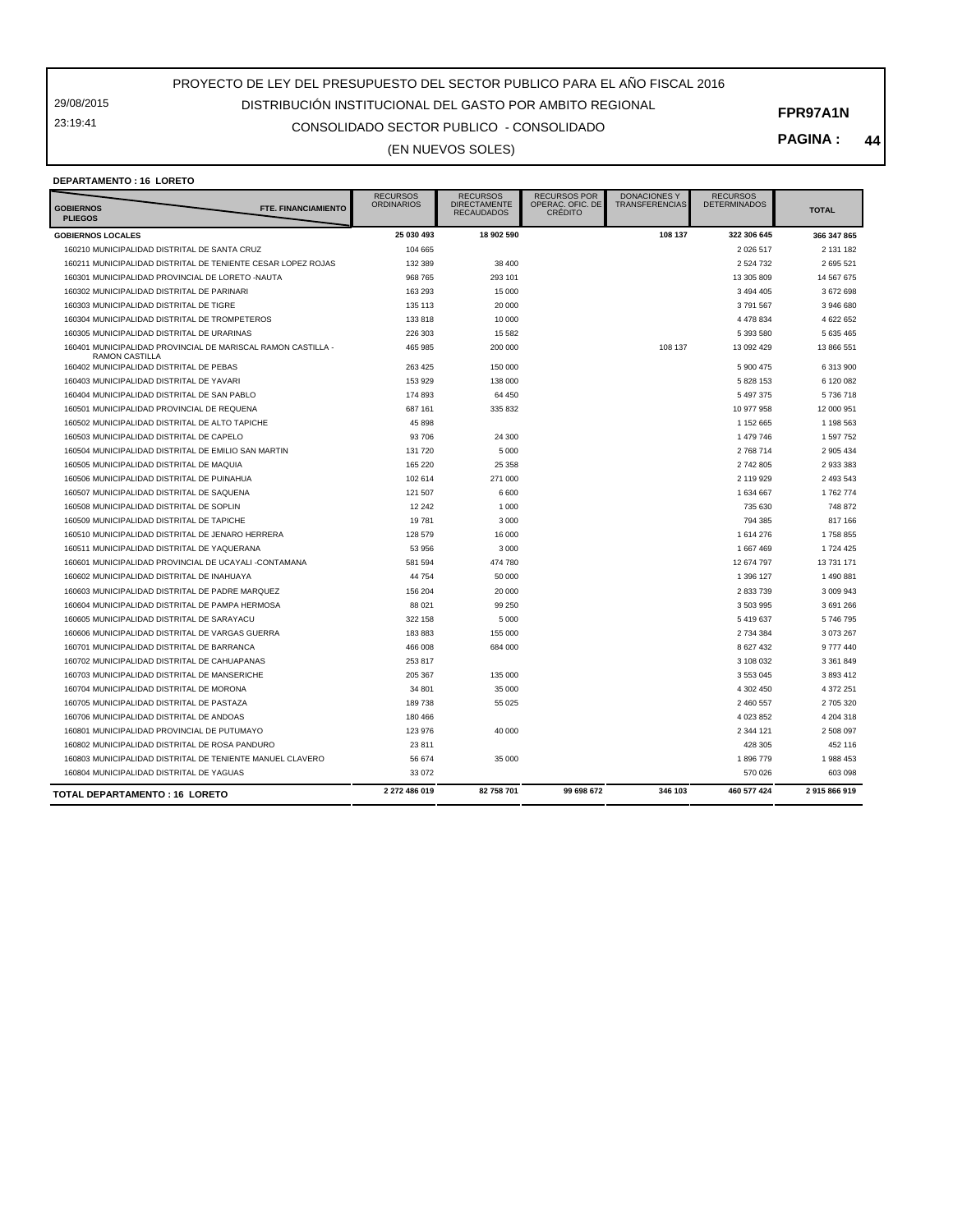29/08/2015 23:19:41

## CONSOLIDADO SECTOR PUBLICO - CONSOLIDADO DISTRIBUCIÓN INSTITUCIONAL DEL GASTO POR AMBITO REGIONAL

(EN NUEVOS SOLES)

**PAGINA : 44**

#### **DEPARTAMENTO : 16 LORETO**

| <b>יים או-יומיה והיה וש</b><br><b>GOBIERNOS</b><br>FTE. FINANCIAMIENTO<br><b>PLIEGOS</b> | <b>RECURSOS</b><br><b>ORDINARIOS</b> | <b>RECURSOS</b><br><b>DIRECTAMENTE</b><br><b>RECAUDADOS</b> | <b>RECURSOS POR</b><br>OPERAC. OFIC. DE<br><b>CRÉDITO</b> | <b>DONACIONES Y</b><br><b>TRANSFERENCIAS</b> | <b>RECURSOS</b><br><b>DETERMINADOS</b> | <b>TOTAL</b> |
|------------------------------------------------------------------------------------------|--------------------------------------|-------------------------------------------------------------|-----------------------------------------------------------|----------------------------------------------|----------------------------------------|--------------|
| <b>GOBIERNOS LOCALES</b>                                                                 | 25 030 493                           | 18 902 590                                                  |                                                           | 108 137                                      | 322 306 645                            | 366 347 865  |
| 160210 MUNICIPALIDAD DISTRITAL DE SANTA CRUZ                                             | 104 665                              |                                                             |                                                           |                                              | 2 0 2 6 5 1 7                          | 2 131 182    |
| 160211 MUNICIPALIDAD DISTRITAL DE TENIENTE CESAR LOPEZ ROJAS                             | 132 389                              | 38 400                                                      |                                                           |                                              | 2 524 732                              | 2 695 521    |
| 160301 MUNICIPALIDAD PROVINCIAL DE LORETO -NAUTA                                         | 968 765                              | 293 101                                                     |                                                           |                                              | 13 305 809                             | 14 567 675   |
| 160302 MUNICIPALIDAD DISTRITAL DE PARINARI                                               | 163 293                              | 15 000                                                      |                                                           |                                              | 3 494 405                              | 3 672 698    |
| 160303 MUNICIPALIDAD DISTRITAL DE TIGRE                                                  | 135 113                              | 20 000                                                      |                                                           |                                              | 3791567                                | 3 946 680    |
| 160304 MUNICIPALIDAD DISTRITAL DE TROMPETEROS                                            | 133818                               | 10 000                                                      |                                                           |                                              | 4 478 834                              | 4 622 652    |
| 160305 MUNICIPALIDAD DISTRITAL DE URARINAS                                               | 226 303                              | 15 5 8 2                                                    |                                                           |                                              | 5 393 580                              | 5 635 465    |
| 160401 MUNICIPALIDAD PROVINCIAL DE MARISCAL RAMON CASTILLA -<br><b>RAMON CASTILLA</b>    | 465 985                              | 200 000                                                     |                                                           | 108 137                                      | 13 092 429                             | 13 866 551   |
| 160402 MUNICIPALIDAD DISTRITAL DE PEBAS                                                  | 263 425                              | 150 000                                                     |                                                           |                                              | 5 900 475                              | 6 313 900    |
| 160403 MUNICIPALIDAD DISTRITAL DE YAVARI                                                 | 153 929                              | 138 000                                                     |                                                           |                                              | 5 828 153                              | 6 120 082    |
| 160404 MUNICIPALIDAD DISTRITAL DE SAN PABLO                                              | 174 893                              | 64 450                                                      |                                                           |                                              | 5 497 375                              | 5736718      |
| 160501 MUNICIPALIDAD PROVINCIAL DE REQUENA                                               | 687 161                              | 335 832                                                     |                                                           |                                              | 10 977 958                             | 12 000 951   |
| 160502 MUNICIPALIDAD DISTRITAL DE ALTO TAPICHE                                           | 45 898                               |                                                             |                                                           |                                              | 1 152 665                              | 1 198 563    |
| 160503 MUNICIPALIDAD DISTRITAL DE CAPELO                                                 | 93 706                               | 24 300                                                      |                                                           |                                              | 1 479 746                              | 1 597 752    |
| 160504 MUNICIPALIDAD DISTRITAL DE EMILIO SAN MARTIN                                      | 131 720                              | 5 0 0 0                                                     |                                                           |                                              | 2 768 714                              | 2 905 434    |
| 160505 MUNICIPALIDAD DISTRITAL DE MAQUIA                                                 | 165 220                              | 25 358                                                      |                                                           |                                              | 2 742 805                              | 2 933 383    |
| 160506 MUNICIPALIDAD DISTRITAL DE PUINAHUA                                               | 102 614                              | 271 000                                                     |                                                           |                                              | 2 119 929                              | 2 493 543    |
| 160507 MUNICIPALIDAD DISTRITAL DE SAQUENA                                                | 121 507                              | 6600                                                        |                                                           |                                              | 1 634 667                              | 1762774      |
| 160508 MUNICIPALIDAD DISTRITAL DE SOPLIN                                                 | 12 24 2                              | 1 0 0 0                                                     |                                                           |                                              | 735 630                                | 748 872      |
| 160509 MUNICIPALIDAD DISTRITAL DE TAPICHE                                                | 19781                                | 3 0 0 0                                                     |                                                           |                                              | 794 385                                | 817 166      |
| 160510 MUNICIPALIDAD DISTRITAL DE JENARO HERRERA                                         | 128 579                              | 16 000                                                      |                                                           |                                              | 1 614 276                              | 1758855      |
| 160511 MUNICIPALIDAD DISTRITAL DE YAQUERANA                                              | 53 956                               | 3 0 0 0                                                     |                                                           |                                              | 1 667 469                              | 1 724 425    |
| 160601 MUNICIPALIDAD PROVINCIAL DE UCAYALI -CONTAMANA                                    | 581 594                              | 474 780                                                     |                                                           |                                              | 12 674 797                             | 13 731 171   |
| 160602 MUNICIPALIDAD DISTRITAL DE INAHUAYA                                               | 44 754                               | 50 000                                                      |                                                           |                                              | 1 396 127                              | 1 490 881    |
| 160603 MUNICIPALIDAD DISTRITAL DE PADRE MARQUEZ                                          | 156 204                              | 20 000                                                      |                                                           |                                              | 2 833 739                              | 3 009 943    |
| 160604 MUNICIPALIDAD DISTRITAL DE PAMPA HERMOSA                                          | 88 021                               | 99 250                                                      |                                                           |                                              | 3 503 995                              | 3 691 266    |
| 160605 MUNICIPALIDAD DISTRITAL DE SARAYACU                                               | 322 158                              | 5 0 0 0                                                     |                                                           |                                              | 5 419 637                              | 5746795      |
| 160606 MUNICIPALIDAD DISTRITAL DE VARGAS GUERRA                                          | 183883                               | 155 000                                                     |                                                           |                                              | 2 734 384                              | 3 073 267    |
| 160701 MUNICIPALIDAD DISTRITAL DE BARRANCA                                               | 466 008                              | 684 000                                                     |                                                           |                                              | 8 627 432                              | 9777440      |
| 160702 MUNICIPALIDAD DISTRITAL DE CAHUAPANAS                                             | 253817                               |                                                             |                                                           |                                              | 3 108 032                              | 3 361 849    |
| 160703 MUNICIPALIDAD DISTRITAL DE MANSERICHE                                             | 205 367                              | 135 000                                                     |                                                           |                                              | 3 553 045                              | 3 893 412    |
| 160704 MUNICIPALIDAD DISTRITAL DE MORONA                                                 | 34 801                               | 35 000                                                      |                                                           |                                              | 4 302 450                              | 4 372 251    |
| 160705 MUNICIPALIDAD DISTRITAL DE PASTAZA                                                | 189738                               | 55 0 25                                                     |                                                           |                                              | 2 460 557                              | 2 705 320    |
| 160706 MUNICIPALIDAD DISTRITAL DE ANDOAS                                                 | 180 466                              |                                                             |                                                           |                                              | 4 023 852                              | 4 204 318    |
| 160801 MUNICIPALIDAD PROVINCIAL DE PUTUMAYO                                              | 123 976                              | 40 000                                                      |                                                           |                                              | 2 344 121                              | 2 508 097    |
| 160802 MUNICIPALIDAD DISTRITAL DE ROSA PANDURO                                           | 23 811                               |                                                             |                                                           |                                              | 428 305                                | 452 116      |
| 160803 MUNICIPALIDAD DISTRITAL DE TENIENTE MANUEL CLAVERO                                | 56 674                               | 35 000                                                      |                                                           |                                              | 1896779                                | 1988 453     |
| 160804 MUNICIPALIDAD DISTRITAL DE YAGUAS                                                 | 33 072                               |                                                             |                                                           |                                              | 570 026                                | 603 098      |
| TOTAL DEPARTAMENTO : 16 LORETO                                                           | 2 272 486 019                        | 82 758 701                                                  | 99 698 672                                                | 346 103                                      | 460 577 424                            | 2915866919   |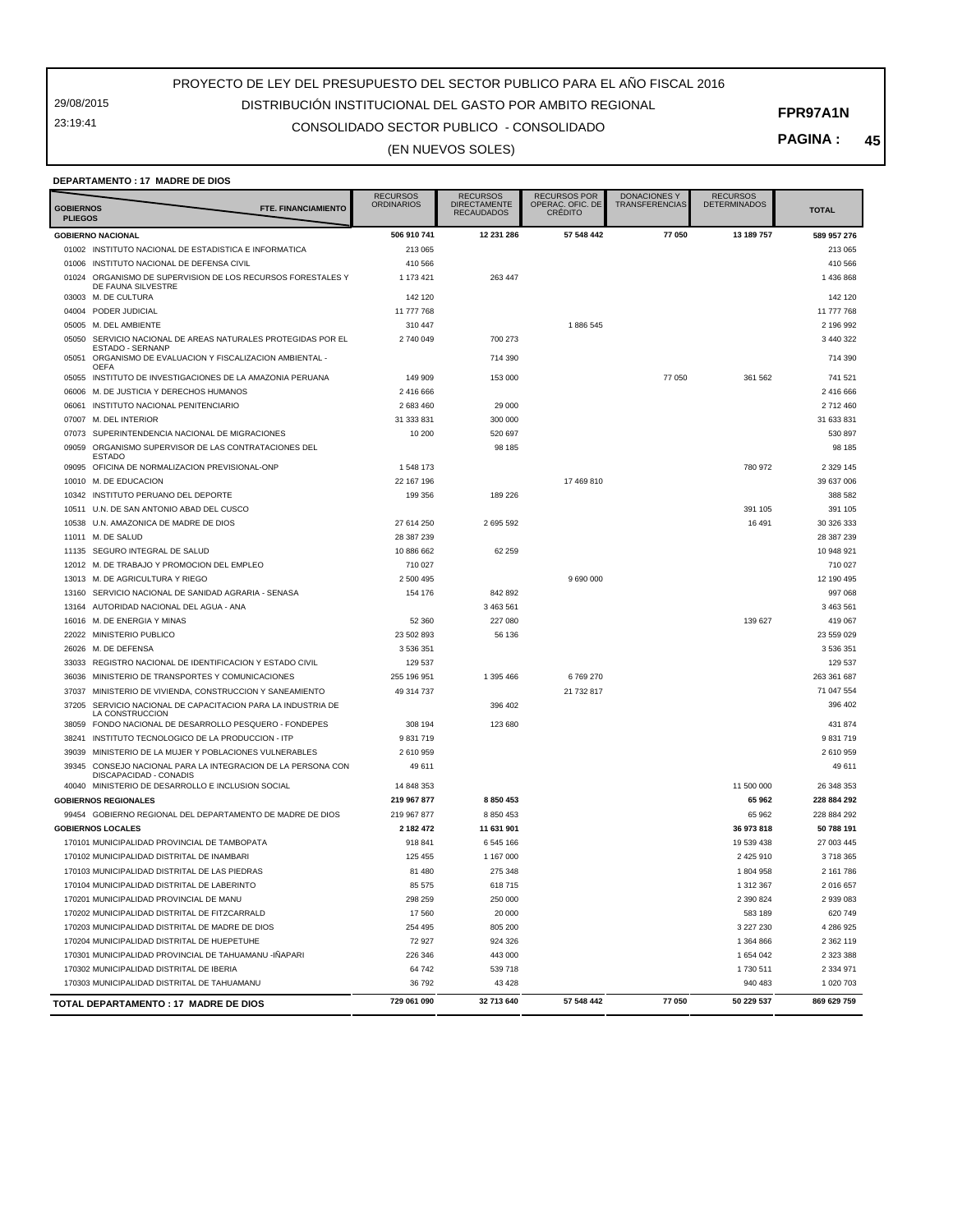29/08/2015 23:19:41

## CONSOLIDADO SECTOR PUBLICO - CONSOLIDADO DISTRIBUCIÓN INSTITUCIONAL DEL GASTO POR AMBITO REGIONAL

#### **PAGINA : 45**

(EN NUEVOS SOLES)

| <b>DEPARTAMENTO : 17 MADRE DE DIOS</b> |
|----------------------------------------|
|----------------------------------------|

| <b>GOBIERNOS</b><br><b>PLIEGOS</b> | <b>FTE. FINANCIAMIENTO</b>                                                       | <b>RECURSOS</b><br><b>ORDINARIOS</b> | <b>RECURSOS</b><br><b>DIRECTAMENTE</b><br><b>RECAUDADOS</b> | <b>RECURSOS POR</b><br>OPERAÇ. OFIC. DE<br><b>CREDITO</b> | <b>DONACIONES Y</b><br><b>TRANSFERENCIAS</b> | <b>RECURSOS</b><br><b>DETERMINADOS</b> | <b>TOTAL</b>  |
|------------------------------------|----------------------------------------------------------------------------------|--------------------------------------|-------------------------------------------------------------|-----------------------------------------------------------|----------------------------------------------|----------------------------------------|---------------|
|                                    | <b>GOBIERNO NACIONAL</b>                                                         | 506 910 741                          | 12 231 286                                                  | 57 548 442                                                | 77 050                                       | 13 189 757                             | 589 957 276   |
|                                    | 01002 INSTITUTO NACIONAL DE ESTADISTICA E INFORMATICA                            | 213 065                              |                                                             |                                                           |                                              |                                        | 213 065       |
| 01006                              | INSTITUTO NACIONAL DE DEFENSA CIVIL                                              | 410 566                              |                                                             |                                                           |                                              |                                        | 410 566       |
| 01024                              | ORGANISMO DE SUPERVISION DE LOS RECURSOS FORESTALES Y<br>DE FAUNA SILVESTRE      | 1 173 421                            | 263 447                                                     |                                                           |                                              |                                        | 1 436 868     |
| 03003                              | M. DE CULTURA                                                                    | 142 120                              |                                                             |                                                           |                                              |                                        | 142 120       |
| 04004                              | PODER JUDICIAL                                                                   | 11 777 768                           |                                                             |                                                           |                                              |                                        | 11 777 768    |
|                                    | 05005 M. DEL AMBIENTE                                                            | 310 447                              |                                                             | 1886545                                                   |                                              |                                        | 2 196 992     |
| 05050                              | SERVICIO NACIONAL DE AREAS NATURALES PROTEGIDAS POR EL                           | 2740049                              | 700 273                                                     |                                                           |                                              |                                        | 3 440 322     |
| 05051                              | ESTADO - SERNANP<br>ORGANISMO DE EVALUACION Y FISCALIZACION AMBIENTAL -          |                                      | 714 390                                                     |                                                           |                                              |                                        | 714 390       |
| 05055                              | <b>OEFA</b><br>INSTITUTO DE INVESTIGACIONES DE LA AMAZONIA PERUANA               | 149 909                              | 153 000                                                     |                                                           | 77 050                                       | 361 562                                | 741 521       |
| 06006                              | M. DE JUSTICIA Y DERECHOS HUMANOS                                                | 2 416 666                            |                                                             |                                                           |                                              |                                        | 2 416 666     |
| 06061                              | INSTITUTO NACIONAL PENITENCIARIO                                                 | 2 683 460                            | 29 000                                                      |                                                           |                                              |                                        | 2 712 460     |
| 07007                              | M. DEL INTERIOR                                                                  | 31 333 831                           | 300 000                                                     |                                                           |                                              |                                        | 31 633 831    |
|                                    |                                                                                  |                                      |                                                             |                                                           |                                              |                                        |               |
| 07073                              | SUPERINTENDENCIA NACIONAL DE MIGRACIONES                                         | 10 200                               | 520 697                                                     |                                                           |                                              |                                        | 530 897       |
| 09059                              | ORGANISMO SUPERVISOR DE LAS CONTRATACIONES DEL<br><b>ESTADO</b>                  |                                      | 98 185                                                      |                                                           |                                              |                                        | 98 185        |
| 09095                              | OFICINA DE NORMALIZACION PREVISIONAL-ONP                                         | 1548173                              |                                                             |                                                           |                                              | 780 972                                | 2 3 2 1 4 5   |
| 10010                              | M. DE EDUCACION                                                                  | 22 167 196                           |                                                             | 17 469 810                                                |                                              |                                        | 39 637 006    |
| 10342                              | INSTITUTO PERUANO DEL DEPORTE                                                    | 199 356                              | 189 226                                                     |                                                           |                                              |                                        | 388 582       |
| 10511                              | U.N. DE SAN ANTONIO ABAD DEL CUSCO                                               |                                      |                                                             |                                                           |                                              | 391 105                                | 391 105       |
| 10538                              | U.N. AMAZONICA DE MADRE DE DIOS                                                  | 27 614 250                           | 2 695 592                                                   |                                                           |                                              | 16 491                                 | 30 326 333    |
| 11011                              | M. DE SALUD                                                                      | 28 387 239                           |                                                             |                                                           |                                              |                                        | 28 387 239    |
|                                    | 11135 SEGURO INTEGRAL DE SALUD                                                   | 10 886 662                           | 62 259                                                      |                                                           |                                              |                                        | 10 948 921    |
| 12012                              | M. DE TRABAJO Y PROMOCION DEL EMPLEO                                             | 710 027                              |                                                             |                                                           |                                              |                                        | 710 027       |
| 13013                              | M. DE AGRICULTURA Y RIEGO                                                        | 2 500 495                            |                                                             | 9690000                                                   |                                              |                                        | 12 190 495    |
| 13160                              | SERVICIO NACIONAL DE SANIDAD AGRARIA - SENASA                                    | 154 176                              | 842 892                                                     |                                                           |                                              |                                        | 997 068       |
|                                    |                                                                                  |                                      |                                                             |                                                           |                                              |                                        |               |
| 13164                              | AUTORIDAD NACIONAL DEL AGUA - ANA                                                |                                      | 3 463 561                                                   |                                                           |                                              |                                        | 3 463 561     |
| 16016                              | M. DE ENERGIA Y MINAS                                                            | 52 360                               | 227 080                                                     |                                                           |                                              | 139 627                                | 419 067       |
| 22022                              | MINISTERIO PUBLICO                                                               | 23 502 893                           | 56 136                                                      |                                                           |                                              |                                        | 23 559 029    |
| 26026                              | M. DE DEFENSA                                                                    | 3 536 351                            |                                                             |                                                           |                                              |                                        | 3 536 351     |
| 33033                              | REGISTRO NACIONAL DE IDENTIFICACION Y ESTADO CIVIL                               | 129 537                              |                                                             |                                                           |                                              |                                        | 129 537       |
| 36036                              | MINISTERIO DE TRANSPORTES Y COMUNICACIONES                                       | 255 196 951                          | 1 395 466                                                   | 6769270                                                   |                                              |                                        | 263 361 687   |
| 37037                              | MINISTERIO DE VIVIENDA, CONSTRUCCION Y SANEAMIENTO                               | 49 314 737                           |                                                             | 21 732 817                                                |                                              |                                        | 71 047 554    |
| 37205                              | SERVICIO NACIONAL DE CAPACITACION PARA LA INDUSTRIA DE<br>LA CONSTRUCCION        |                                      | 396 402                                                     |                                                           |                                              |                                        | 396 402       |
| 38059                              | FONDO NACIONAL DE DESARROLLO PESQUERO - FONDEPES                                 | 308 194                              | 123 680                                                     |                                                           |                                              |                                        | 431 874       |
| 38241                              | INSTITUTO TECNOLOGICO DE LA PRODUCCION - ITP                                     | 9831719                              |                                                             |                                                           |                                              |                                        | 9831719       |
| 39039                              | MINISTERIO DE LA MUJER Y POBLACIONES VULNERABLES                                 | 2610959                              |                                                             |                                                           |                                              |                                        | 2 610 959     |
| 39345                              | CONSEJO NACIONAL PARA LA INTEGRACION DE LA PERSONA CON<br>DISCAPACIDAD - CONADIS | 49 611                               |                                                             |                                                           |                                              |                                        | 49 611        |
| 40040                              | MINISTERIO DE DESARROLLO E INCLUSION SOCIAL                                      | 14 848 353                           |                                                             |                                                           |                                              | 11 500 000                             | 26 348 353    |
|                                    | <b>GOBIERNOS REGIONALES</b>                                                      | 219 967 877                          | 8 8 5 0 4 5 3                                               |                                                           |                                              | 65 962                                 | 228 884 292   |
|                                    | 99454 GOBIERNO REGIONAL DEL DEPARTAMENTO DE MADRE DE DIOS                        | 219 967 877                          | 8 8 5 0 4 5 3                                               |                                                           |                                              | 65 962                                 | 228 884 292   |
|                                    | <b>GOBIERNOS LOCALES</b>                                                         | 2 182 472                            | 11 631 901                                                  |                                                           |                                              | 36 973 818                             | 50 788 191    |
|                                    | 170101 MUNICIPALIDAD PROVINCIAL DE TAMBOPATA                                     | 918 841                              | 6 545 166                                                   |                                                           |                                              | 19 539 438                             | 27 003 445    |
|                                    | 170102 MUNICIPALIDAD DISTRITAL DE INAMBARI                                       | 125 455                              | 1 167 000                                                   |                                                           |                                              | 2 425 910                              | 3718365       |
|                                    | 170103 MUNICIPALIDAD DISTRITAL DE LAS PIEDRAS                                    | 81 480                               | 275 348                                                     |                                                           |                                              | 1804958                                | 2 161 786     |
|                                    | 170104 MUNICIPALIDAD DISTRITAL DE LABERINTO                                      | 85 575                               | 618715                                                      |                                                           |                                              | 1 312 367                              | 2 016 657     |
|                                    | 170201 MUNICIPALIDAD PROVINCIAL DE MANU                                          | 298 259                              | 250 000                                                     |                                                           |                                              | 2 390 824                              | 2 939 083     |
|                                    | 170202 MUNICIPALIDAD DISTRITAL DE FITZCARRALD                                    | 17 560                               | 20 000                                                      |                                                           |                                              | 583 189                                | 620 749       |
|                                    | 170203 MUNICIPALIDAD DISTRITAL DE MADRE DE DIOS                                  | 254 495                              | 805 200                                                     |                                                           |                                              | 3 227 230                              | 4 286 925     |
|                                    | 170204 MUNICIPALIDAD DISTRITAL DE HUEPETUHE                                      | 72 927                               | 924 326                                                     |                                                           |                                              | 1 364 866                              | 2 3 6 2 1 1 9 |
|                                    | 170301 MUNICIPALIDAD PROVINCIAL DE TAHUAMANU -IÑAPARI                            | 226 346                              | 443 000                                                     |                                                           |                                              | 1 654 042                              | 2 323 388     |
|                                    | 170302 MUNICIPALIDAD DISTRITAL DE IBERIA                                         | 64 742                               | 539718                                                      |                                                           |                                              | 1730 511                               | 2 334 971     |
|                                    | 170303 MUNICIPALIDAD DISTRITAL DE TAHUAMANU                                      | 36 792                               | 43 4 28                                                     |                                                           |                                              | 940 483                                | 1 020 703     |
|                                    | TOTAL DEPARTAMENTO : 17 MADRE DE DIOS                                            | 729 061 090                          | 32 713 640                                                  | 57 548 442                                                | 77 050                                       | 50 229 537                             | 869 629 759   |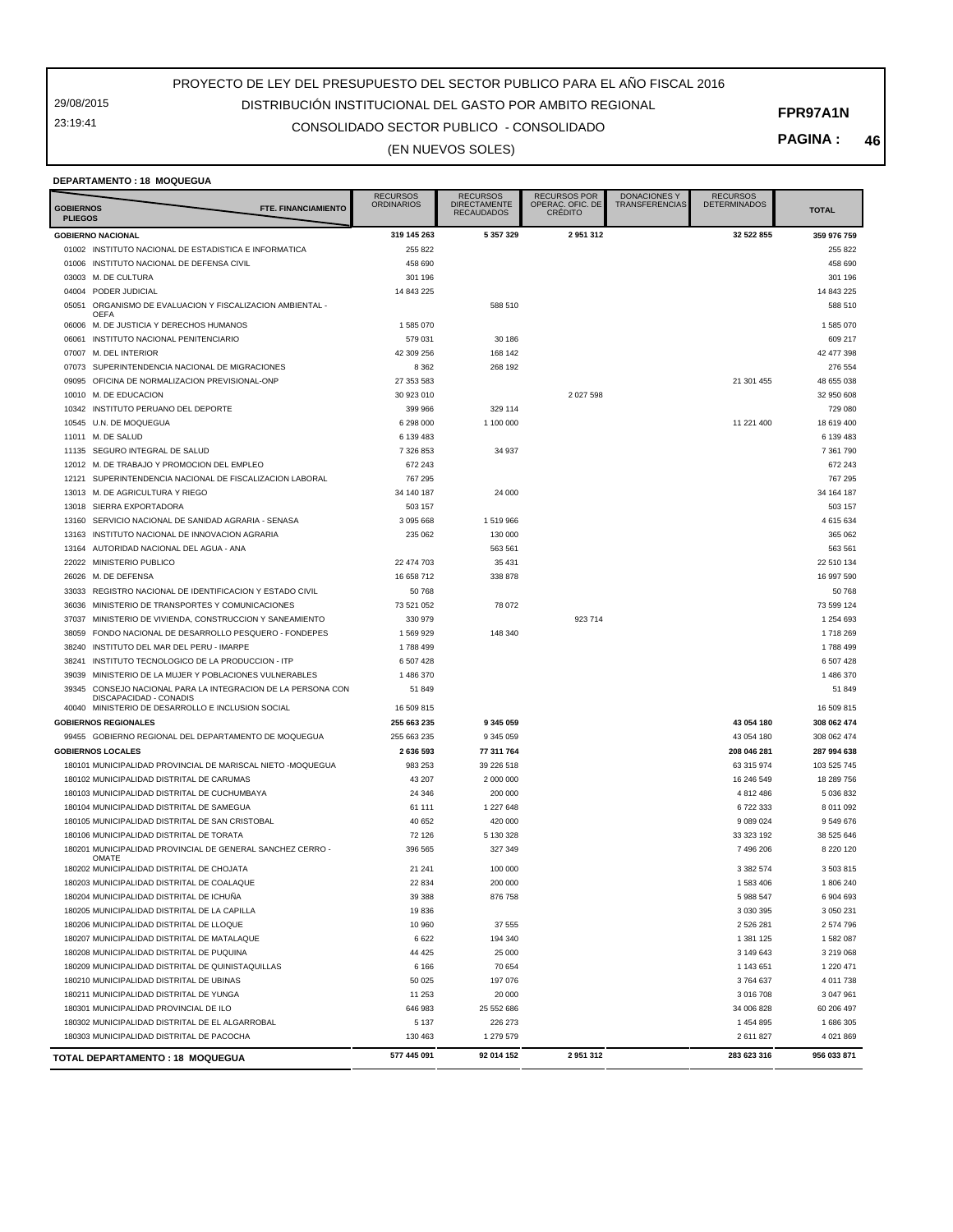29/08/2015 23:19:41

## CONSOLIDADO SECTOR PUBLICO - CONSOLIDADO DISTRIBUCIÓN INSTITUCIONAL DEL GASTO POR AMBITO REGIONAL

**PAGINA : 46**

#### (EN NUEVOS SOLES)

#### **DEPARTAMENTO : 18 MOQUEGUA**

| <b>GOBIERNOS</b><br><b>PLIEGOS</b> | FTE. FINANCIAMIENTO                                                              | <b>RECURSOS</b><br><b>ORDINARIOS</b> | <b>RECURSOS</b><br><b>DIRECTAMENTE</b><br><b>RECAUDADOS</b> | <b>RECURSOS POR</b><br>OPERAÇ. OFIC. DE<br><b>CRÉDITO</b> | <b>DONACIONES Y</b><br><b>TRANSFERENCIAS</b> | <b>RECURSOS</b><br><b>DETERMINADOS</b> | <b>TOTAL</b> |
|------------------------------------|----------------------------------------------------------------------------------|--------------------------------------|-------------------------------------------------------------|-----------------------------------------------------------|----------------------------------------------|----------------------------------------|--------------|
|                                    | <b>GOBIERNO NACIONAL</b>                                                         | 319 145 263                          | 5 357 329                                                   | 2 951 312                                                 |                                              | 32 522 855                             | 359 976 759  |
|                                    | 01002 INSTITUTO NACIONAL DE ESTADISTICA E INFORMATICA                            | 255 822                              |                                                             |                                                           |                                              |                                        | 255 822      |
|                                    | 01006 INSTITUTO NACIONAL DE DEFENSA CIVIL                                        | 458 690                              |                                                             |                                                           |                                              |                                        | 458 690      |
|                                    | 03003 M. DE CULTURA                                                              | 301 196                              |                                                             |                                                           |                                              |                                        | 301 196      |
|                                    | 04004 PODER JUDICIAL                                                             | 14 843 225                           |                                                             |                                                           |                                              |                                        | 14 843 225   |
| 05051                              | ORGANISMO DE EVALUACION Y FISCALIZACION AMBIENTAL -                              |                                      | 588 510                                                     |                                                           |                                              |                                        | 588 510      |
|                                    | OEFA<br>06006 M. DE JUSTICIA Y DERECHOS HUMANOS                                  | 1585070                              |                                                             |                                                           |                                              |                                        | 1 585 070    |
| 06061                              | INSTITUTO NACIONAL PENITENCIARIO                                                 | 579 031                              | 30 186                                                      |                                                           |                                              |                                        | 609 217      |
| 07007                              | M. DEL INTERIOR                                                                  | 42 309 256                           | 168 142                                                     |                                                           |                                              |                                        | 42 477 398   |
|                                    | 07073 SUPERINTENDENCIA NACIONAL DE MIGRACIONES                                   | 8 3 6 2                              | 268 192                                                     |                                                           |                                              |                                        | 276 554      |
| 09095                              | OFICINA DE NORMALIZACION PREVISIONAL-ONP                                         | 27 353 583                           |                                                             |                                                           |                                              | 21 301 455                             | 48 655 038   |
|                                    | 10010 M. DE EDUCACION                                                            | 30 923 010                           |                                                             | 2 0 2 7 5 9 8                                             |                                              |                                        | 32 950 608   |
|                                    | 10342 INSTITUTO PERUANO DEL DEPORTE                                              | 399 966                              | 329 114                                                     |                                                           |                                              |                                        | 729 080      |
|                                    | 10545 U.N. DE MOQUEGUA                                                           | 6 298 000                            | 1 100 000                                                   |                                                           |                                              | 11 221 400                             | 18 619 400   |
|                                    | 11011 M. DE SALUD                                                                | 6 139 483                            |                                                             |                                                           |                                              |                                        | 6 139 483    |
|                                    | 11135 SEGURO INTEGRAL DE SALUD                                                   | 7 326 853                            | 34 937                                                      |                                                           |                                              |                                        | 7 361 790    |
|                                    | 12012 M. DE TRABAJO Y PROMOCION DEL EMPLEO                                       | 672 243                              |                                                             |                                                           |                                              |                                        | 672 243      |
| 12121                              | SUPERINTENDENCIA NACIONAL DE FISCALIZACION LABORAL                               | 767 295                              |                                                             |                                                           |                                              |                                        | 767 295      |
|                                    | 13013 M. DE AGRICULTURA Y RIEGO                                                  | 34 140 187                           | 24 000                                                      |                                                           |                                              |                                        | 34 164 187   |
|                                    | 13018 SIERRA EXPORTADORA                                                         | 503 157                              |                                                             |                                                           |                                              |                                        | 503 157      |
| 13160                              | SERVICIO NACIONAL DE SANIDAD AGRARIA - SENASA                                    | 3 095 668                            | 1519966                                                     |                                                           |                                              |                                        | 4 615 634    |
| 13163                              | INSTITUTO NACIONAL DE INNOVACION AGRARIA                                         | 235 062                              | 130 000                                                     |                                                           |                                              |                                        | 365 062      |
| 13164                              | AUTORIDAD NACIONAL DEL AGUA - ANA                                                |                                      | 563 561                                                     |                                                           |                                              |                                        | 563 561      |
|                                    | 22022 MINISTERIO PUBLICO                                                         | 22 474 703                           | 35 4 31                                                     |                                                           |                                              |                                        | 22 510 134   |
|                                    | 26026 M. DE DEFENSA                                                              | 16 658 712                           | 338 878                                                     |                                                           |                                              |                                        | 16 997 590   |
|                                    | 33033 REGISTRO NACIONAL DE IDENTIFICACION Y ESTADO CIVIL                         | 50 768                               |                                                             |                                                           |                                              |                                        | 50768        |
|                                    | 36036 MINISTERIO DE TRANSPORTES Y COMUNICACIONES                                 | 73 521 052                           | 78 072                                                      |                                                           |                                              |                                        | 73 599 124   |
| 37037                              | MINISTERIO DE VIVIENDA, CONSTRUCCION Y SANEAMIENTO                               | 330 979                              |                                                             | 923 714                                                   |                                              |                                        | 1 254 693    |
| 38059                              | FONDO NACIONAL DE DESARROLLO PESQUERO - FONDEPES                                 | 1569929                              | 148 340                                                     |                                                           |                                              |                                        | 1718 269     |
| 38240                              | INSTITUTO DEL MAR DEL PERU - IMARPE                                              | 1788499                              |                                                             |                                                           |                                              |                                        | 1788 499     |
| 38241                              | INSTITUTO TECNOLOGICO DE LA PRODUCCION - ITP                                     | 6 507 428                            |                                                             |                                                           |                                              |                                        | 6 507 428    |
| 39039                              | MINISTERIO DE LA MUJER Y POBLACIONES VULNERABLES                                 | 1486370                              |                                                             |                                                           |                                              |                                        | 1 486 370    |
| 39345                              | CONSEJO NACIONAL PARA LA INTEGRACION DE LA PERSONA CON<br>DISCAPACIDAD - CONADIS | 51 849                               |                                                             |                                                           |                                              |                                        | 51 849       |
|                                    | 40040 MINISTERIO DE DESARROLLO E INCLUSION SOCIAL                                | 16 509 815                           |                                                             |                                                           |                                              |                                        | 16 509 815   |
|                                    | <b>GOBIERNOS REGIONALES</b>                                                      | 255 663 235                          | 9 345 059                                                   |                                                           |                                              | 43 054 180                             | 308 062 474  |
|                                    | 99455 GOBIERNO REGIONAL DEL DEPARTAMENTO DE MOQUEGUA                             | 255 663 235                          | 9 345 059                                                   |                                                           |                                              | 43 054 180                             | 308 062 474  |
|                                    | <b>GOBIERNOS LOCALES</b>                                                         | 2636593                              | 77 311 764                                                  |                                                           |                                              | 208 046 281                            | 287 994 638  |
|                                    | 180101 MUNICIPALIDAD PROVINCIAL DE MARISCAL NIETO -MOQUEGUA                      | 983 253                              | 39 226 518                                                  |                                                           |                                              | 63 315 974                             | 103 525 745  |
|                                    | 180102 MUNICIPALIDAD DISTRITAL DE CARUMAS                                        | 43 207                               | 2 000 000                                                   |                                                           |                                              | 16 246 549                             | 18 289 756   |
|                                    | 180103 MUNICIPALIDAD DISTRITAL DE CUCHUMBAYA                                     | 24 346                               | 200 000                                                     |                                                           |                                              | 4 812 486                              | 5 036 832    |
|                                    | 180104 MUNICIPALIDAD DISTRITAL DE SAMEGUA                                        | 61 111                               | 1 227 648                                                   |                                                           |                                              | 6722333                                | 8 011 092    |
|                                    | 180105 MUNICIPALIDAD DISTRITAL DE SAN CRISTOBAL                                  | 40 652                               | 420 000                                                     |                                                           |                                              | 9 089 024                              | 9 549 676    |
|                                    | 180106 MUNICIPALIDAD DISTRITAL DE TORATA                                         | 72 126                               | 5 130 328                                                   |                                                           |                                              | 33 323 192                             | 38 525 646   |
|                                    | 180201 MUNICIPALIDAD PROVINCIAL DE GENERAL SANCHEZ CERRO -                       | 396 565                              | 327 349                                                     |                                                           |                                              | 7 496 206                              | 8 2 2 1 2 0  |
|                                    | OMATE<br>180202 MUNICIPALIDAD DISTRITAL DE CHOJATA                               | 21 241                               | 100 000                                                     |                                                           |                                              | 3 382 574                              | 3 503 815    |
|                                    | 180203 MUNICIPALIDAD DISTRITAL DE COALAQUE                                       | 22 834                               | 200 000                                                     |                                                           |                                              | 1 583 406                              | 1 806 240    |
|                                    | 180204 MUNICIPALIDAD DISTRITAL DE ICHUÑA                                         | 39 388                               | 876 758                                                     |                                                           |                                              | 5 988 547                              | 6 904 693    |
|                                    | 180205 MUNICIPALIDAD DISTRITAL DE LA CAPILLA                                     | 19836                                |                                                             |                                                           |                                              | 3 030 395                              | 3 050 231    |
|                                    | 180206 MUNICIPALIDAD DISTRITAL DE LLOQUE                                         | 10 960                               | 37 555                                                      |                                                           |                                              | 2 526 281                              | 2 574 796    |
|                                    | 180207 MUNICIPALIDAD DISTRITAL DE MATALAQUE                                      | 6 6 2 2                              | 194 340                                                     |                                                           |                                              | 1 381 125                              | 1 582 087    |
|                                    | 180208 MUNICIPALIDAD DISTRITAL DE PUQUINA                                        | 44 4 25                              | 25 000                                                      |                                                           |                                              | 3 149 643                              | 3 219 068    |
|                                    | 180209 MUNICIPALIDAD DISTRITAL DE QUINISTAQUILLAS                                | 6 1 6 6                              | 70 654                                                      |                                                           |                                              | 1 143 651                              | 1 220 471    |
|                                    | 180210 MUNICIPALIDAD DISTRITAL DE UBINAS                                         | 50 0 25                              | 197 076                                                     |                                                           |                                              | 3764637                                | 4 011 738    |
|                                    | 180211 MUNICIPALIDAD DISTRITAL DE YUNGA                                          | 11 253                               | 20 000                                                      |                                                           |                                              | 3 016 708                              | 3 047 961    |
|                                    | 180301 MUNICIPALIDAD PROVINCIAL DE ILO                                           | 646 983                              | 25 552 686                                                  |                                                           |                                              | 34 006 828                             | 60 206 497   |
|                                    | 180302 MUNICIPALIDAD DISTRITAL DE EL ALGARROBAL                                  | 5 1 3 7                              | 226 273                                                     |                                                           |                                              | 1 454 895                              | 1 686 305    |
|                                    | 180303 MUNICIPALIDAD DISTRITAL DE PACOCHA                                        | 130 463                              | 1 279 579                                                   |                                                           |                                              | 2 611 827                              | 4 0 21 8 69  |
|                                    | <b>TOTAL DEPARTAMENTO: 18 MOQUEGUA</b>                                           | 577 445 091                          | 92 014 152                                                  | 2951312                                                   |                                              | 283 623 316                            | 956 033 871  |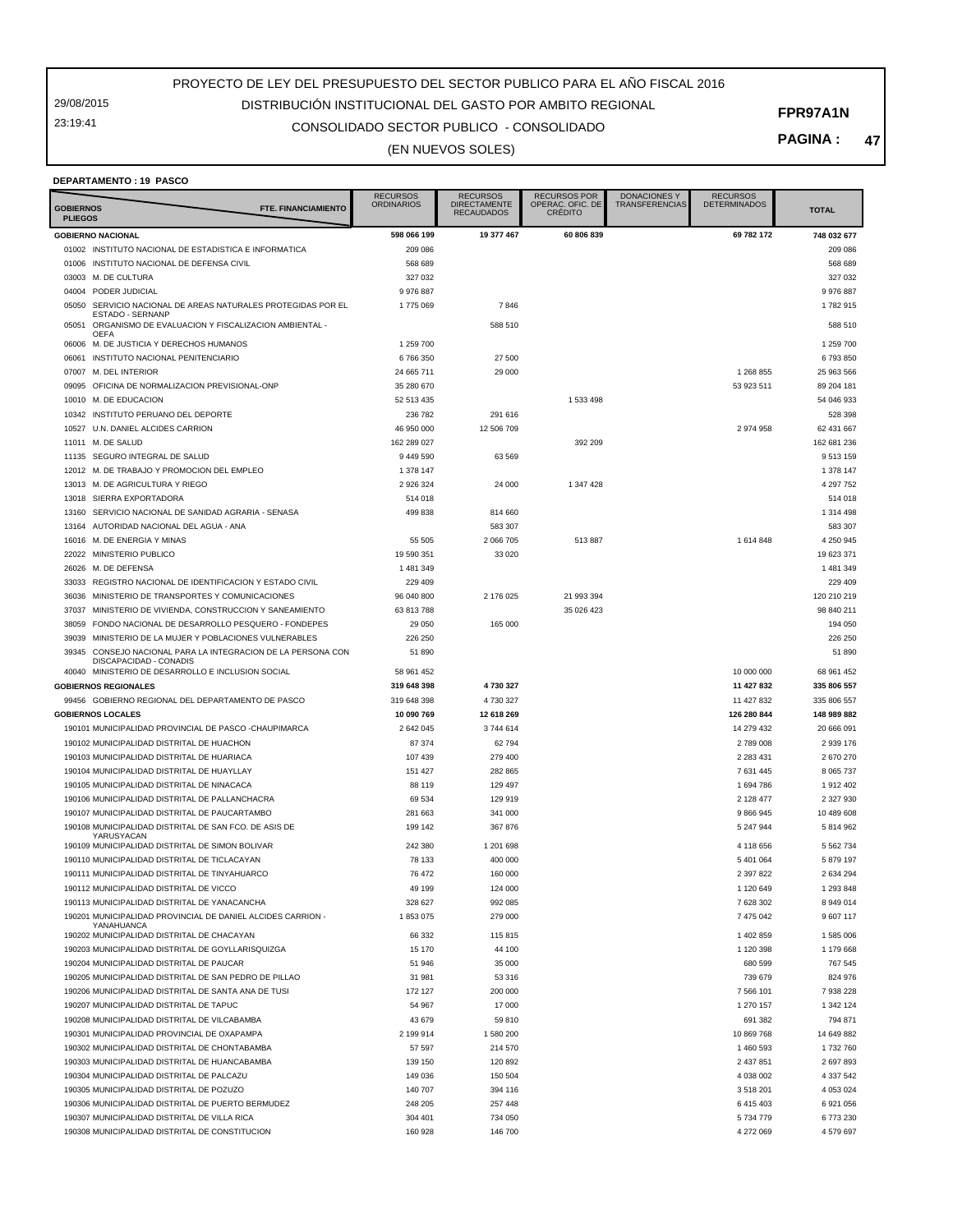29/08/2015 23:19:41

## CONSOLIDADO SECTOR PUBLICO - CONSOLIDADO DISTRIBUCIÓN INSTITUCIONAL DEL GASTO POR AMBITO REGIONAL

**PAGINA : 47**

(EN NUEVOS SOLES)

#### **DEPARTAMENTO : 19 PASCO**

| <b>GOBIERNOS</b><br><b>PLIEGOS</b> | FTE. FINANCIAMIENTO                                           | <b>RECURSOS</b><br><b>ORDINARIOS</b> | <b>RECURSOS</b><br><b>DIRECTAMENTE</b><br><b>RECAUDADOS</b> | <b>RECURSOS POR</b><br>OPERAC. OFIC. DE<br><b>CREDITO</b> | <b>DONACIONES Y</b><br><b>TRANSFERENCIAS</b> | <b>RECURSOS</b><br><b>DETERMINADOS</b> | <b>TOTAL</b>  |
|------------------------------------|---------------------------------------------------------------|--------------------------------------|-------------------------------------------------------------|-----------------------------------------------------------|----------------------------------------------|----------------------------------------|---------------|
|                                    | <b>GOBIERNO NACIONAL</b>                                      | 598 066 199                          | 19 377 467                                                  | 60 806 839                                                |                                              | 69 782 172                             | 748 032 677   |
|                                    | 01002 INSTITUTO NACIONAL DE ESTADISTICA E INFORMATICA         | 209 086                              |                                                             |                                                           |                                              |                                        | 209 086       |
| 01006                              | INSTITUTO NACIONAL DE DEFENSA CIVIL                           | 568 689                              |                                                             |                                                           |                                              |                                        | 568 689       |
| 03003                              | M. DE CULTURA                                                 | 327 032                              |                                                             |                                                           |                                              |                                        | 327 032       |
| 04004                              | PODER JUDICIAL                                                | 9976887                              |                                                             |                                                           |                                              |                                        | 9 976 887     |
| 05050                              | SERVICIO NACIONAL DE AREAS NATURALES PROTEGIDAS POR EL        | 1775069                              | 7846                                                        |                                                           |                                              |                                        | 1782915       |
|                                    | ESTADO - SERNANP                                              |                                      |                                                             |                                                           |                                              |                                        |               |
| 05051                              | ORGANISMO DE EVALUACION Y FISCALIZACION AMBIENTAL -<br>OEFA   |                                      | 588 510                                                     |                                                           |                                              |                                        | 588 510       |
| 06006                              | M. DE JUSTICIA Y DERECHOS HUMANOS                             | 1 259 700                            |                                                             |                                                           |                                              |                                        | 1 259 700     |
| 06061                              | INSTITUTO NACIONAL PENITENCIARIO                              | 6766350                              | 27 500                                                      |                                                           |                                              |                                        | 6793850       |
| 07007                              | M. DEL INTERIOR                                               | 24 665 711                           | 29 000                                                      |                                                           |                                              | 1 268 855                              | 25 963 566    |
| 09095                              | OFICINA DE NORMALIZACION PREVISIONAL-ONP                      | 35 280 670                           |                                                             |                                                           |                                              | 53 923 511                             | 89 204 181    |
| 10010                              | M. DE EDUCACION                                               | 52 513 435                           |                                                             | 1 533 498                                                 |                                              |                                        | 54 046 933    |
| 10342                              | INSTITUTO PERUANO DEL DEPORTE                                 | 236 782                              | 291 616                                                     |                                                           |                                              |                                        | 528 398       |
| 10527                              | U.N. DANIEL ALCIDES CARRION                                   | 46 950 000                           | 12 506 709                                                  |                                                           |                                              | 2 974 958                              | 62 431 667    |
| 11011                              | M. DE SALUD                                                   | 162 289 027                          |                                                             | 392 209                                                   |                                              |                                        | 162 681 236   |
| 11135                              | SEGURO INTEGRAL DE SALUD                                      | 9 449 590                            | 63 569                                                      |                                                           |                                              |                                        | 9513159       |
| 12012                              | M. DE TRABAJO Y PROMOCION DEL EMPLEO                          | 1 378 147                            |                                                             |                                                           |                                              |                                        | 1 378 147     |
| 13013                              | M. DE AGRICULTURA Y RIEGO                                     | 2 926 324                            | 24 000                                                      | 1 347 428                                                 |                                              |                                        | 4 297 752     |
| 13018                              | SIERRA EXPORTADORA                                            | 514 018                              |                                                             |                                                           |                                              |                                        | 514 018       |
| 13160                              | SERVICIO NACIONAL DE SANIDAD AGRARIA - SENASA                 | 499 838                              | 814 660                                                     |                                                           |                                              |                                        | 1 314 498     |
| 13164                              | AUTORIDAD NACIONAL DEL AGUA - ANA                             |                                      | 583 307                                                     |                                                           |                                              |                                        | 583 307       |
| 16016                              | M. DE ENERGIA Y MINAS                                         | 55 505                               | 2 066 705                                                   | 513887                                                    |                                              | 1 614 848                              | 4 250 945     |
| 22022                              | MINISTERIO PUBLICO                                            | 19 590 351                           | 33 0 20                                                     |                                                           |                                              |                                        | 19 623 371    |
| 26026                              | M. DE DEFENSA                                                 | 1481349                              |                                                             |                                                           |                                              |                                        | 1 481 349     |
| 33033                              | REGISTRO NACIONAL DE IDENTIFICACION Y ESTADO CIVIL            | 229 409                              |                                                             |                                                           |                                              |                                        | 229 409       |
| 36036                              | MINISTERIO DE TRANSPORTES Y COMUNICACIONES                    | 96 040 800                           | 2 176 025                                                   | 21 993 394                                                |                                              |                                        | 120 210 219   |
| 37037                              | MINISTERIO DE VIVIENDA, CONSTRUCCION Y SANEAMIENTO            | 63 813 788                           |                                                             | 35 026 423                                                |                                              |                                        | 98 840 211    |
| 38059                              | FONDO NACIONAL DE DESARROLLO PESQUERO - FONDEPES              | 29 050                               | 165 000                                                     |                                                           |                                              |                                        | 194 050       |
| 39039                              | MINISTERIO DE LA MUJER Y POBLACIONES VULNERABLES              | 226 250                              |                                                             |                                                           |                                              |                                        | 226 250       |
| 39345                              | CONSEJO NACIONAL PARA LA INTEGRACION DE LA PERSONA CON        | 51 890                               |                                                             |                                                           |                                              |                                        | 51 890        |
|                                    | DISCAPACIDAD - CONADIS                                        |                                      |                                                             |                                                           |                                              |                                        |               |
| 40040                              | MINISTERIO DE DESARROLLO E INCLUSION SOCIAL                   | 58 961 452                           |                                                             |                                                           |                                              | 10 000 000                             | 68 961 452    |
|                                    | <b>GOBIERNOS REGIONALES</b>                                   | 319 648 398                          | 4730327                                                     |                                                           |                                              | 11 427 832                             | 335 806 557   |
|                                    | 99456 GOBIERNO REGIONAL DEL DEPARTAMENTO DE PASCO             | 319 648 398                          | 4730327                                                     |                                                           |                                              | 11 427 832                             | 335 806 557   |
|                                    | <b>GOBIERNOS LOCALES</b>                                      | 10 090 769                           | 12 618 269                                                  |                                                           |                                              | 126 280 844                            | 148 989 882   |
|                                    | 190101 MUNICIPALIDAD PROVINCIAL DE PASCO -CHAUPIMARCA         | 2 642 045                            | 3744614                                                     |                                                           |                                              | 14 279 432                             | 20 666 091    |
|                                    | 190102 MUNICIPALIDAD DISTRITAL DE HUACHON                     | 87 374                               | 62794                                                       |                                                           |                                              | 2 789 008                              | 2 939 176     |
|                                    | 190103 MUNICIPALIDAD DISTRITAL DE HUARIACA                    | 107 439                              | 279 400                                                     |                                                           |                                              | 2 2 8 3 4 3 1                          | 2 670 270     |
|                                    | 190104 MUNICIPALIDAD DISTRITAL DE HUAYLLAY                    | 151 427                              | 282 865                                                     |                                                           |                                              | 7 631 445                              | 8 0 65 7 37   |
|                                    | 190105 MUNICIPALIDAD DISTRITAL DE NINACACA                    | 88 119                               | 129 497                                                     |                                                           |                                              | 1694786                                | 1 912 402     |
|                                    | 190106 MUNICIPALIDAD DISTRITAL DE PALLANCHACRA                | 69 534                               | 129 919                                                     |                                                           |                                              | 2 128 477                              | 2 327 930     |
|                                    | 190107 MUNICIPALIDAD DISTRITAL DE PAUCARTAMBO                 | 281 663                              | 341 000                                                     |                                                           |                                              | 9 866 945                              | 10 489 608    |
|                                    | 190108 MUNICIPALIDAD DISTRITAL DE SAN FCO. DE ASIS DE         | 199 142                              | 367876                                                      |                                                           |                                              | 5 247 944                              | 5 814 962     |
|                                    | YARUSYACAN<br>190109 MUNICIPALIDAD DISTRITAL DE SIMON BOLIVAR | 242 380                              | 1 201 698                                                   |                                                           |                                              | 4 118 656                              | 5 5 6 2 7 3 4 |
|                                    | 190110 MUNICIPALIDAD DISTRITAL DE TICLACAYAN                  | 78 133                               | 400 000                                                     |                                                           |                                              | 5 401 064                              | 5 879 197     |
|                                    | 190111 MUNICIPALIDAD DISTRITAL DE TINYAHUARCO                 | 76 472                               | 160 000                                                     |                                                           |                                              | 2 397 822                              | 2 634 294     |
|                                    | 190112 MUNICIPALIDAD DISTRITAL DE VICCO                       | 49 199                               | 124 000                                                     |                                                           |                                              | 1 120 649                              | 1 293 848     |
|                                    | 190113 MUNICIPALIDAD DISTRITAL DE YANACANCHA                  | 328 627                              | 992 085                                                     |                                                           |                                              | 7 628 302                              | 8 949 014     |
|                                    | 190201 MUNICIPALIDAD PROVINCIAL DE DANIEL ALCIDES CARRION -   | 1853075                              | 279 000                                                     |                                                           |                                              | 7 475 042                              | 9 607 117     |
|                                    | YANAHUANCA                                                    |                                      |                                                             |                                                           |                                              |                                        |               |
|                                    | 190202 MUNICIPALIDAD DISTRITAL DE CHACAYAN                    | 66 332                               | 115815                                                      |                                                           |                                              | 1 402 859                              | 1 585 006     |
|                                    | 190203 MUNICIPALIDAD DISTRITAL DE GOYLLARISQUIZGA             | 15 170                               | 44 100                                                      |                                                           |                                              | 1 120 398                              | 1 179 668     |
|                                    | 190204 MUNICIPALIDAD DISTRITAL DE PAUCAR                      | 51 946                               | 35 000                                                      |                                                           |                                              | 680 599                                | 767 545       |
|                                    | 190205 MUNICIPALIDAD DISTRITAL DE SAN PEDRO DE PILLAO         | 31 981                               | 53 316                                                      |                                                           |                                              | 739 679                                | 824 976       |
|                                    | 190206 MUNICIPALIDAD DISTRITAL DE SANTA ANA DE TUSI           | 172 127                              | 200 000                                                     |                                                           |                                              | 7 566 101                              | 7 938 228     |
|                                    | 190207 MUNICIPALIDAD DISTRITAL DE TAPUC                       | 54 967                               | 17 000                                                      |                                                           |                                              | 1 270 157                              | 1 342 124     |
|                                    | 190208 MUNICIPALIDAD DISTRITAL DE VILCABAMBA                  | 43 679                               | 59810                                                       |                                                           |                                              | 691 382                                | 794 871       |
|                                    | 190301 MUNICIPALIDAD PROVINCIAL DE OXAPAMPA                   | 2 199 914                            | 1 580 200                                                   |                                                           |                                              | 10 869 768                             | 14 649 882    |
|                                    | 190302 MUNICIPALIDAD DISTRITAL DE CHONTABAMBA                 | 57 597                               | 214 570                                                     |                                                           |                                              | 1 460 593                              | 1 732 760     |
|                                    | 190303 MUNICIPALIDAD DISTRITAL DE HUANCABAMBA                 | 139 150                              | 120 892                                                     |                                                           |                                              | 2 437 851                              | 2 697 893     |
|                                    | 190304 MUNICIPALIDAD DISTRITAL DE PALCAZU                     | 149 036                              | 150 504                                                     |                                                           |                                              | 4 038 002                              | 4 337 542     |
|                                    | 190305 MUNICIPALIDAD DISTRITAL DE POZUZO                      | 140 707                              | 394 116                                                     |                                                           |                                              | 3 518 201                              | 4 053 024     |
|                                    | 190306 MUNICIPALIDAD DISTRITAL DE PUERTO BERMUDEZ             | 248 205                              | 257 448                                                     |                                                           |                                              | 6 415 403                              | 6 921 056     |
|                                    | 190307 MUNICIPALIDAD DISTRITAL DE VILLA RICA                  | 304 401                              | 734 050                                                     |                                                           |                                              | 5 734 779                              | 6773230       |
|                                    | 190308 MUNICIPALIDAD DISTRITAL DE CONSTITUCION                | 160 928                              | 146 700                                                     |                                                           |                                              | 4 272 069                              | 4 579 697     |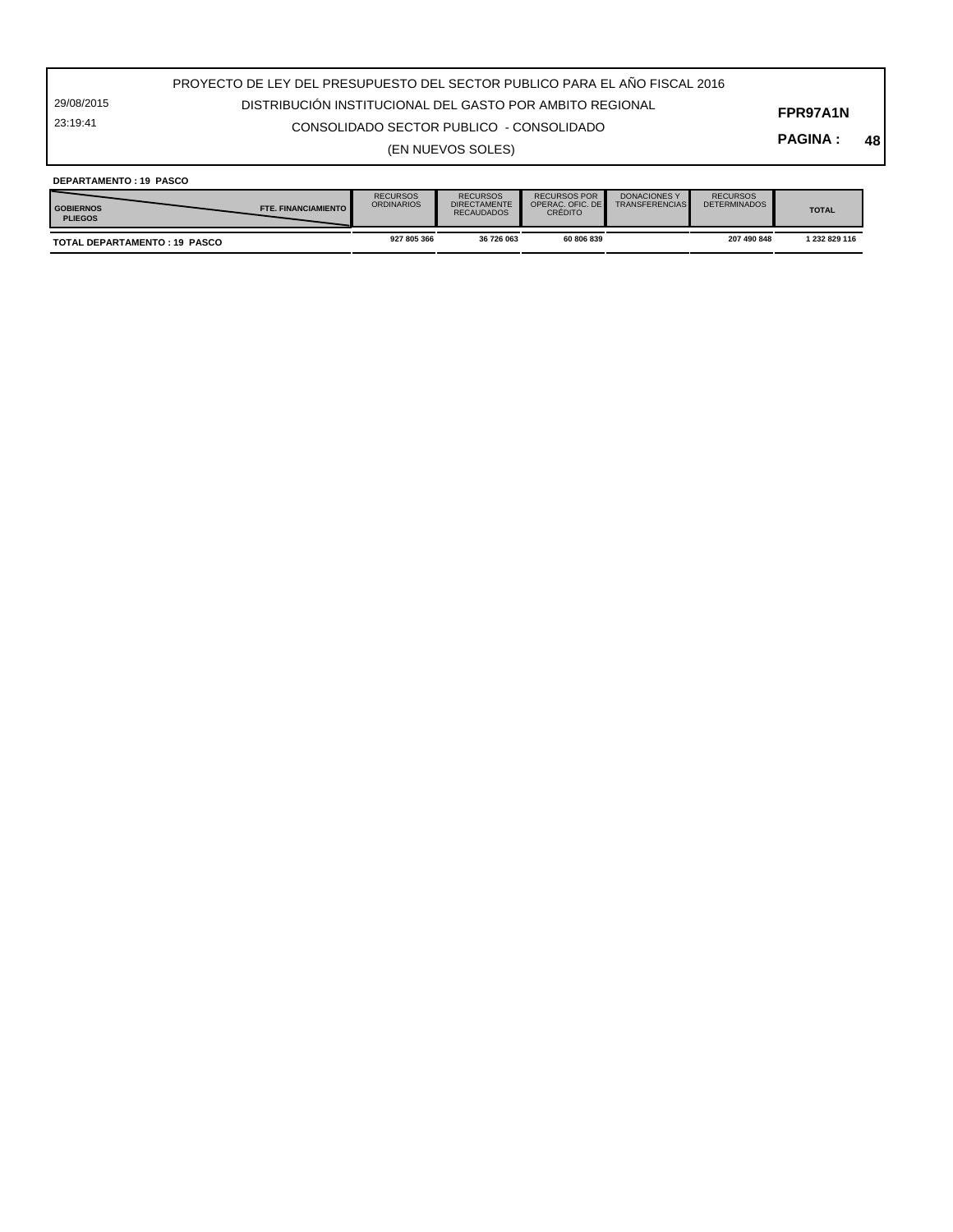29/08/2015 23:19:41

## CONSOLIDADO SECTOR PUBLICO - CONSOLIDADO DISTRIBUCIÓN INSTITUCIONAL DEL GASTO POR AMBITO REGIONAL

**PAGINA : 48**

**FPR97A1N**

#### (EN NUEVOS SOLES)

| <b>DEPARTAMENTO:19 PASCO</b> |  |  |
|------------------------------|--|--|
|------------------------------|--|--|

| <b>FTE. FINANCIAMIENTO</b><br><b>GOBIERNOS</b><br><b>PLIEGOS</b> | <b>RECURSOS</b><br><b>ORDINARIOS</b> | <b>RECURSOS</b><br><b>DIRECTAMENTE</b><br><b>RECAUDADOS</b> | <b>RECURSOS POR</b><br>OPERAC, OFIC, DE<br><b>CRÉDITO</b> | DONACIONES Y<br><b>TRANSFERENCIAS</b> | <b>RECURSOS</b><br><b>DETERMINADOS</b> | <b>TOTAL</b>  |
|------------------------------------------------------------------|--------------------------------------|-------------------------------------------------------------|-----------------------------------------------------------|---------------------------------------|----------------------------------------|---------------|
| <b>TOTAL DEPARTAMENTO: 19 PASCO</b>                              | 927 805 366                          | 36 726 063                                                  | 60 806 839                                                |                                       | 207 490 848                            | 1 232 829 116 |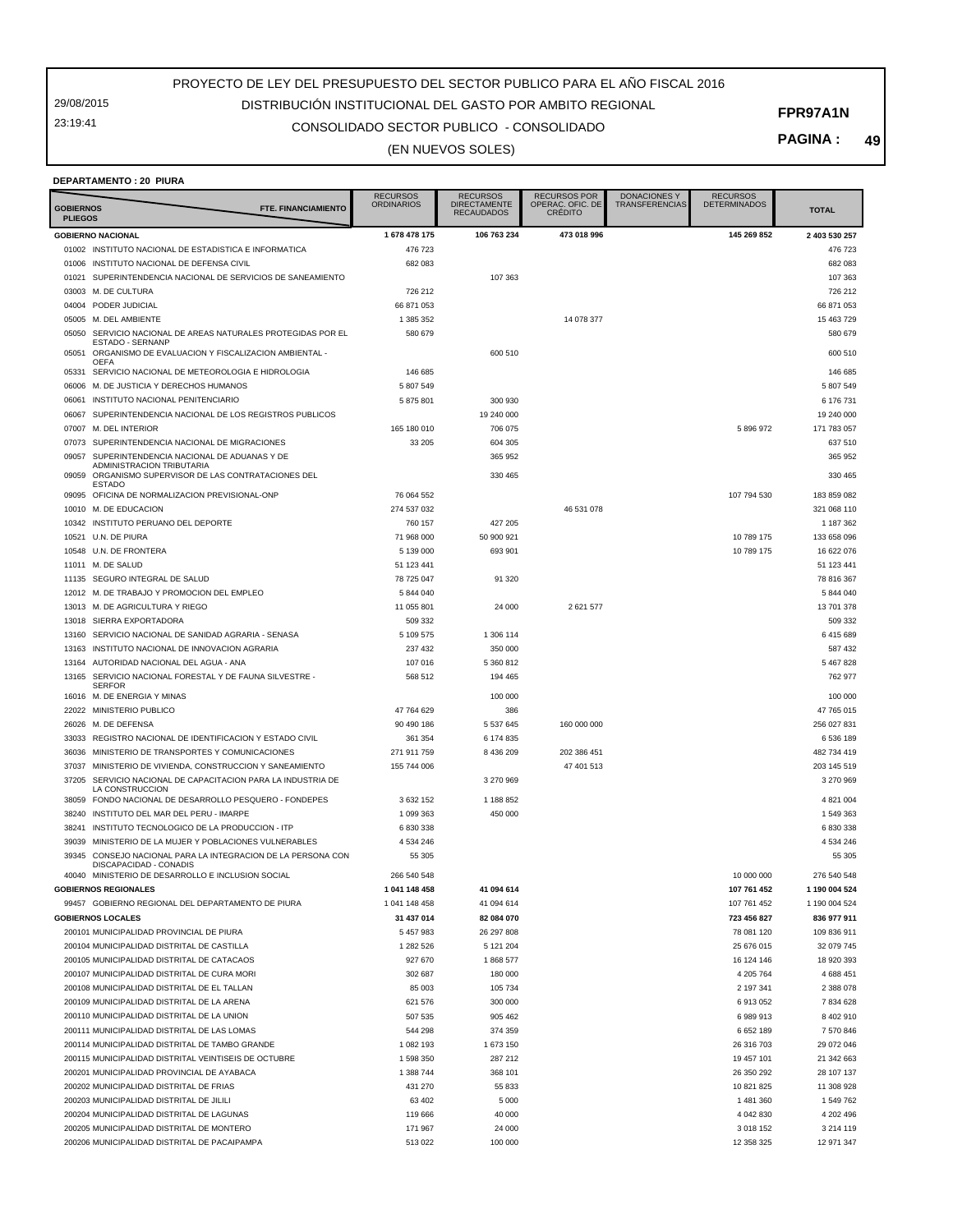29/08/2015 23:19:41

## CONSOLIDADO SECTOR PUBLICO - CONSOLIDADO DISTRIBUCIÓN INSTITUCIONAL DEL GASTO POR AMBITO REGIONAL

**PAGINA : 49**

**FPR97A1N**

#### (EN NUEVOS SOLES)

#### **DEPARTAMENTO : 20 PIURA**

| <b>GOBIERNOS</b><br><b>PLIEGOS</b> | FTE. FINANCIAMIENTO                                                                 | <b>RECURSOS</b><br><b>ORDINARIOS</b> | <b>RECURSOS</b><br><b>DIRECTAMENTE</b><br><b>RECAUDADOS</b> | <b>RECURSOS POR</b><br>OPERAC. OFIC. DE<br><b>CRÉDITO</b> | <b>DONACIONES Y</b><br>TRANSFERENCIAS | <b>RECURSOS</b><br>DETERMINADOS | <b>TOTAL</b>         |
|------------------------------------|-------------------------------------------------------------------------------------|--------------------------------------|-------------------------------------------------------------|-----------------------------------------------------------|---------------------------------------|---------------------------------|----------------------|
|                                    | <b>GOBIERNO NACIONAL</b>                                                            | 1 678 478 175                        | 106 763 234                                                 | 473 018 996                                               |                                       | 145 269 852                     | 2 403 530 257        |
|                                    | 01002 INSTITUTO NACIONAL DE ESTADISTICA E INFORMATICA                               | 476 723                              |                                                             |                                                           |                                       |                                 | 476 723              |
| 01006                              | INSTITUTO NACIONAL DE DEFENSA CIVIL                                                 | 682 083                              |                                                             |                                                           |                                       |                                 | 682 083              |
| 01021                              | SUPERINTENDENCIA NACIONAL DE SERVICIOS DE SANEAMIENTO                               |                                      | 107 363                                                     |                                                           |                                       |                                 | 107 363              |
| 03003                              | M. DE CULTURA                                                                       | 726 212                              |                                                             |                                                           |                                       |                                 | 726 212              |
| 04004                              | PODER JUDICIAL                                                                      | 66 871 053                           |                                                             |                                                           |                                       |                                 | 66 871 053           |
| 05005                              | M. DEL AMBIENTE                                                                     | 1 385 352                            |                                                             | 14 078 377                                                |                                       |                                 | 15 463 729           |
| 05050                              | SERVICIO NACIONAL DE AREAS NATURALES PROTEGIDAS POR EL<br>ESTADO - SERNANP          | 580 679                              |                                                             |                                                           |                                       |                                 | 580 679              |
| 05051                              | ORGANISMO DE EVALUACION Y FISCALIZACION AMBIENTAL -                                 |                                      | 600 510                                                     |                                                           |                                       |                                 | 600 510              |
|                                    | <b>OEFA</b>                                                                         |                                      |                                                             |                                                           |                                       |                                 |                      |
| 05331<br>06006                     | SERVICIO NACIONAL DE METEOROLOGIA E HIDROLOGIA<br>M. DE JUSTICIA Y DERECHOS HUMANOS | 146 685<br>5 807 549                 |                                                             |                                                           |                                       |                                 | 146 685<br>5 807 549 |
| 06061                              | INSTITUTO NACIONAL PENITENCIARIO                                                    | 5 875 801                            | 300 930                                                     |                                                           |                                       |                                 | 6 176 731            |
| 06067                              | SUPERINTENDENCIA NACIONAL DE LOS REGISTROS PUBLICOS                                 |                                      | 19 240 000                                                  |                                                           |                                       |                                 | 19 240 000           |
| 07007                              | M. DEL INTERIOR                                                                     | 165 180 010                          | 706 075                                                     |                                                           |                                       | 5 896 972                       | 171 783 057          |
| 07073                              | SUPERINTENDENCIA NACIONAL DE MIGRACIONES                                            | 33 205                               | 604 305                                                     |                                                           |                                       |                                 | 637 510              |
| 09057                              | SUPERINTENDENCIA NACIONAL DE ADUANAS Y DE                                           |                                      | 365 952                                                     |                                                           |                                       |                                 | 365 952              |
|                                    | ADMINISTRACION TRIBUTARIA                                                           |                                      |                                                             |                                                           |                                       |                                 |                      |
| 09059                              | ORGANISMO SUPERVISOR DE LAS CONTRATACIONES DEL<br><b>ESTADO</b>                     |                                      | 330 465                                                     |                                                           |                                       |                                 | 330 465              |
|                                    | 09095 OFICINA DE NORMALIZACION PREVISIONAL-ONP                                      | 76 064 552                           |                                                             |                                                           |                                       | 107 794 530                     | 183 859 082          |
|                                    | 10010 M. DE EDUCACION                                                               | 274 537 032                          |                                                             | 46 531 078                                                |                                       |                                 | 321 068 110          |
|                                    | 10342 INSTITUTO PERUANO DEL DEPORTE                                                 | 760 157                              | 427 205                                                     |                                                           |                                       |                                 | 1 187 362            |
| 10521                              | U.N. DE PIURA                                                                       | 71 968 000                           | 50 900 921                                                  |                                                           |                                       | 10 789 175                      | 133 658 096          |
|                                    | 10548 U.N. DE FRONTERA                                                              | 5 139 000                            | 693 901                                                     |                                                           |                                       | 10 789 175                      | 16 622 076           |
|                                    | 11011 M. DE SALUD                                                                   | 51 123 441                           |                                                             |                                                           |                                       |                                 | 51 123 441           |
| 11135                              | SEGURO INTEGRAL DE SALUD                                                            | 78 725 047                           | 91 320                                                      |                                                           |                                       |                                 | 78 816 367           |
|                                    | 12012 M. DE TRABAJO Y PROMOCION DEL EMPLEO                                          | 5 844 040                            |                                                             |                                                           |                                       |                                 | 5 844 040            |
|                                    | 13013 M. DE AGRICULTURA Y RIEGO                                                     | 11 055 801                           | 24 000                                                      | 2 621 577                                                 |                                       |                                 | 13 701 378           |
|                                    | 13018 SIERRA EXPORTADORA                                                            | 509 332                              |                                                             |                                                           |                                       |                                 | 509 332              |
| 13160                              | SERVICIO NACIONAL DE SANIDAD AGRARIA - SENASA                                       | 5 109 575                            | 1 306 114                                                   |                                                           |                                       |                                 | 6 415 689            |
| 13163                              | INSTITUTO NACIONAL DE INNOVACION AGRARIA                                            | 237 432                              | 350 000                                                     |                                                           |                                       |                                 | 587 432              |
|                                    | 13164 AUTORIDAD NACIONAL DEL AGUA - ANA                                             | 107 016                              | 5 360 812                                                   |                                                           |                                       |                                 | 5 467 828            |
| 13165                              | SERVICIO NACIONAL FORESTAL Y DE FAUNA SILVESTRE -<br><b>SERFOR</b>                  | 568 512                              | 194 465                                                     |                                                           |                                       |                                 | 762 977              |
|                                    | 16016 M. DE ENERGIA Y MINAS                                                         |                                      | 100 000                                                     |                                                           |                                       |                                 | 100 000              |
|                                    | 22022 MINISTERIO PUBLICO                                                            | 47 764 629                           | 386                                                         |                                                           |                                       |                                 | 47 765 015           |
| 26026                              | M. DE DEFENSA                                                                       | 90 490 186                           | 5 537 645                                                   | 160 000 000                                               |                                       |                                 | 256 027 831          |
| 33033                              | REGISTRO NACIONAL DE IDENTIFICACION Y ESTADO CIVIL                                  | 361 354                              | 6 174 835                                                   |                                                           |                                       |                                 | 6 536 189            |
| 36036                              | MINISTERIO DE TRANSPORTES Y COMUNICACIONES                                          | 271 911 759                          | 8 436 209                                                   | 202 386 451                                               |                                       |                                 | 482 734 419          |
| 37037                              | MINISTERIO DE VIVIENDA, CONSTRUCCION Y SANEAMIENTO                                  | 155 744 006                          |                                                             | 47 401 513                                                |                                       |                                 | 203 145 519          |
| 37205                              | SERVICIO NACIONAL DE CAPACITACION PARA LA INDUSTRIA DE<br>LA CONSTRUCCION           |                                      | 3 270 969                                                   |                                                           |                                       |                                 | 3 270 969            |
| 38059                              | FONDO NACIONAL DE DESARROLLO PESQUERO - FONDEPES                                    | 3 632 152                            | 1 188 852                                                   |                                                           |                                       |                                 | 4 821 004            |
| 38240                              | INSTITUTO DEL MAR DEL PERU - IMARPE                                                 | 1 099 363                            | 450 000                                                     |                                                           |                                       |                                 | 1 549 363            |
| 38241                              | INSTITUTO TECNOLOGICO DE LA PRODUCCION - ITP                                        | 6 830 338                            |                                                             |                                                           |                                       |                                 | 6 830 338            |
| 39039                              | MINISTERIO DE LA MUJER Y POBLACIONES VULNERABLES                                    | 4 5 3 4 2 4 6                        |                                                             |                                                           |                                       |                                 | 4 534 246            |
| 39345                              | CONSEJO NACIONAL PARA LA INTEGRACION DE LA PERSONA CON                              | 55 305                               |                                                             |                                                           |                                       |                                 | 55 305               |
|                                    | DISCAPACIDAD - CONADIS<br>40040 MINISTERIO DE DESARROLLO E INCLUSION SOCIAL         | 266 540 548                          |                                                             |                                                           |                                       | 10 000 000                      | 276 540 548          |
|                                    | <b>GOBIERNOS REGIONALES</b>                                                         | 1 041 148 458                        | 41 094 614                                                  |                                                           |                                       | 107 761 452                     | 1 190 004 524        |
|                                    | 99457 GOBIERNO REGIONAL DEL DEPARTAMENTO DE PIURA                                   | 1 041 148 458                        | 41 094 614                                                  |                                                           |                                       | 107 761 452                     | 1 190 004 524        |
|                                    | <b>GOBIERNOS LOCALES</b>                                                            | 31 437 014                           | 82 084 070                                                  |                                                           |                                       | 723 456 827                     | 836 977 911          |
|                                    | 200101 MUNICIPALIDAD PROVINCIAL DE PIURA                                            | 5457983                              | 26 297 808                                                  |                                                           |                                       | 78 081 120                      | 109 836 911          |
|                                    | 200104 MUNICIPALIDAD DISTRITAL DE CASTILLA                                          | 1 282 526                            | 5 121 204                                                   |                                                           |                                       | 25 676 015                      | 32 079 745           |
|                                    | 200105 MUNICIPALIDAD DISTRITAL DE CATACAOS                                          | 927 670                              | 1868 577                                                    |                                                           |                                       | 16 124 146                      | 18 920 393           |
|                                    | 200107 MUNICIPALIDAD DISTRITAL DE CURA MORI                                         | 302 687                              | 180 000                                                     |                                                           |                                       | 4 205 764                       | 4 688 451            |
|                                    | 200108 MUNICIPALIDAD DISTRITAL DE EL TALLAN                                         | 85 003                               | 105 734                                                     |                                                           |                                       | 2 197 341                       | 2 388 078            |
|                                    | 200109 MUNICIPALIDAD DISTRITAL DE LA ARENA                                          | 621 576                              | 300 000                                                     |                                                           |                                       | 6913052                         | 7834628              |
|                                    | 200110 MUNICIPALIDAD DISTRITAL DE LA UNION                                          | 507 535                              | 905 462                                                     |                                                           |                                       | 6 989 913                       | 8 402 910            |
|                                    | 200111 MUNICIPALIDAD DISTRITAL DE LAS LOMAS                                         | 544 298                              | 374 359                                                     |                                                           |                                       | 6652189                         | 7 570 846            |
|                                    | 200114 MUNICIPALIDAD DISTRITAL DE TAMBO GRANDE                                      | 1 082 193                            | 1 673 150                                                   |                                                           |                                       | 26 316 703                      | 29 072 046           |
|                                    | 200115 MUNICIPALIDAD DISTRITAL VEINTISEIS DE OCTUBRE                                | 1598350                              | 287 212                                                     |                                                           |                                       | 19 457 101                      | 21 342 663           |
|                                    | 200201 MUNICIPALIDAD PROVINCIAL DE AYABACA                                          | 1 388 744                            | 368 101                                                     |                                                           |                                       | 26 350 292                      | 28 107 137           |
|                                    | 200202 MUNICIPALIDAD DISTRITAL DE FRIAS                                             | 431 270                              | 55 833                                                      |                                                           |                                       | 10 821 825                      | 11 308 928           |
|                                    | 200203 MUNICIPALIDAD DISTRITAL DE JILILI                                            | 63 402                               | 5 0 0 0                                                     |                                                           |                                       | 1 481 360                       | 1 549 762            |
|                                    | 200204 MUNICIPALIDAD DISTRITAL DE LAGUNAS                                           | 119 666                              | 40 000                                                      |                                                           |                                       | 4 042 830                       | 4 202 496            |
|                                    | 200205 MUNICIPALIDAD DISTRITAL DE MONTERO                                           | 171 967                              | 24 000                                                      |                                                           |                                       | 3 018 152                       | 3 214 119            |
|                                    | 200206 MUNICIPALIDAD DISTRITAL DE PACAIPAMPA                                        | 513 022                              | 100 000                                                     |                                                           |                                       | 12 358 325                      | 12 971 347           |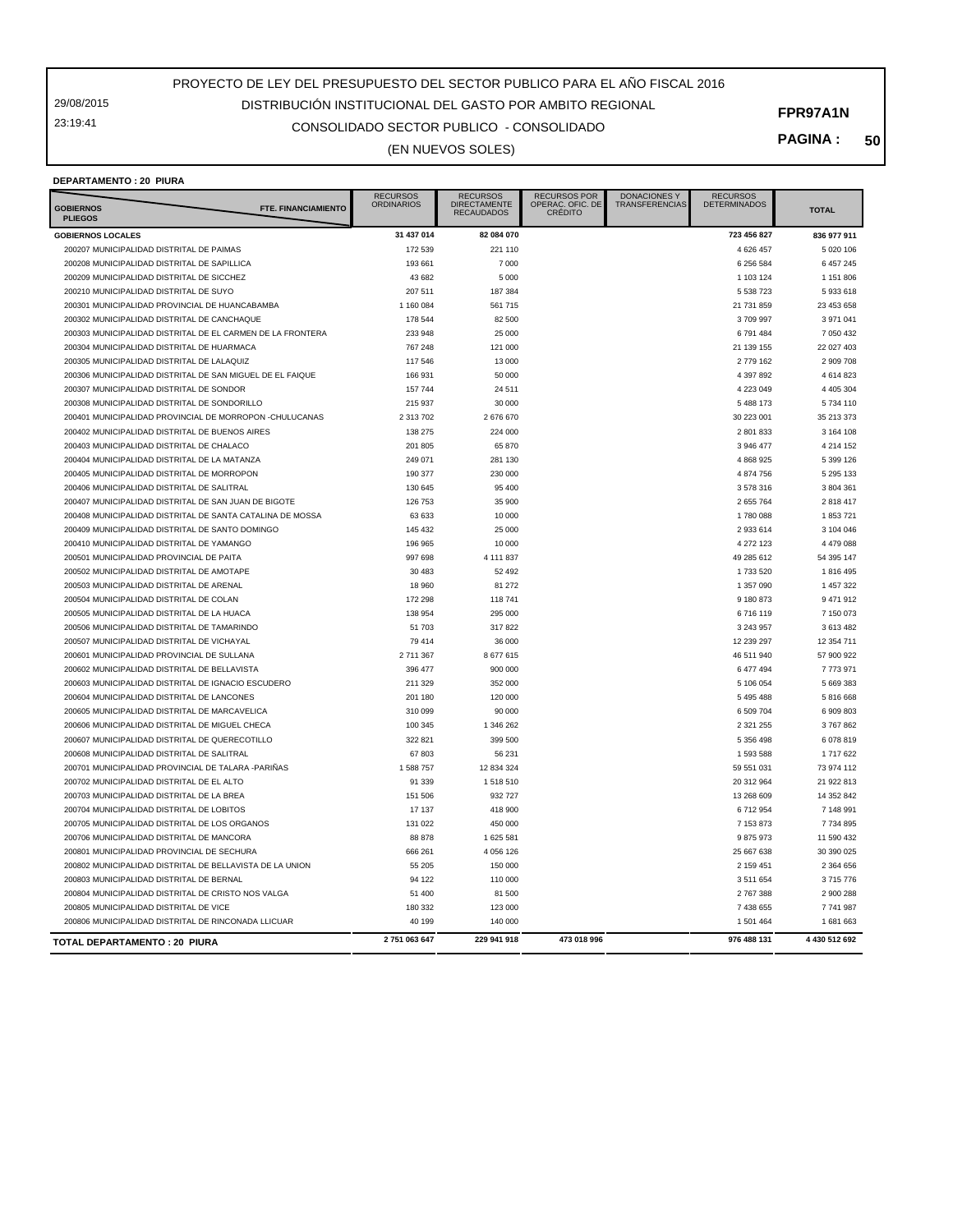29/08/2015 23:19:41

## CONSOLIDADO SECTOR PUBLICO - CONSOLIDADO DISTRIBUCIÓN INSTITUCIONAL DEL GASTO POR AMBITO REGIONAL

(EN NUEVOS SOLES)

**PAGINA : 50**

**FPR97A1N**

#### **DEPARTAMENTO : 20 PIURA**

| FTE. FINANCIAMIENTO<br><b>GOBIERNOS</b><br><b>PLIEGOS</b>  | <b>RECURSOS</b><br><b>ORDINARIOS</b> | <b>RECURSOS</b><br><b>DIRECTAMENTE</b><br><b>RECAUDADOS</b> | <b>RECURSOS POR</b><br>OPERAC. OFIC. DE<br><b>CRÉDITO</b> | <b>DONACIONES Y</b><br><b>TRANSFERENCIAS</b> | <b>RECURSOS</b><br><b>DETERMINADOS</b> | <b>TOTAL</b>  |
|------------------------------------------------------------|--------------------------------------|-------------------------------------------------------------|-----------------------------------------------------------|----------------------------------------------|----------------------------------------|---------------|
| <b>GOBIERNOS LOCALES</b>                                   | 31 437 014                           | 82 084 070                                                  |                                                           |                                              | 723 456 827                            | 836 977 911   |
| 200207 MUNICIPALIDAD DISTRITAL DE PAIMAS                   | 172 539                              | 221 110                                                     |                                                           |                                              | 4 626 457                              | 5 020 106     |
| 200208 MUNICIPALIDAD DISTRITAL DE SAPILLICA                | 193 661                              | 7 0 0 0                                                     |                                                           |                                              | 6 256 584                              | 6 457 245     |
| 200209 MUNICIPALIDAD DISTRITAL DE SICCHEZ                  | 43 682                               | 5 0 0 0                                                     |                                                           |                                              | 1 103 124                              | 1 151 806     |
| 200210 MUNICIPALIDAD DISTRITAL DE SUYO                     | 207 511                              | 187 384                                                     |                                                           |                                              | 5 538 723                              | 5 933 618     |
| 200301 MUNICIPALIDAD PROVINCIAL DE HUANCABAMBA             | 1 160 084                            | 561 715                                                     |                                                           |                                              | 21 731 859                             | 23 453 658    |
| 200302 MUNICIPALIDAD DISTRITAL DE CANCHAQUE                | 178 544                              | 82 500                                                      |                                                           |                                              | 3709997                                | 3 971 041     |
| 200303 MUNICIPALIDAD DISTRITAL DE EL CARMEN DE LA FRONTERA | 233 948                              | 25 000                                                      |                                                           |                                              | 6 791 484                              | 7 050 432     |
| 200304 MUNICIPALIDAD DISTRITAL DE HUARMACA                 | 767 248                              | 121 000                                                     |                                                           |                                              | 21 139 155                             | 22 027 403    |
| 200305 MUNICIPALIDAD DISTRITAL DE LALAQUIZ                 | 117 546                              | 13 000                                                      |                                                           |                                              | 2 779 162                              | 2 909 708     |
| 200306 MUNICIPALIDAD DISTRITAL DE SAN MIGUEL DE EL FAIQUE  | 166 931                              | 50 000                                                      |                                                           |                                              | 4 397 892                              | 4 614 823     |
| 200307 MUNICIPALIDAD DISTRITAL DE SONDOR                   | 157 744                              | 24 5 11                                                     |                                                           |                                              | 4 223 049                              | 4 4 0 5 3 0 4 |
| 200308 MUNICIPALIDAD DISTRITAL DE SONDORILLO               | 215 937                              | 30 000                                                      |                                                           |                                              | 5 488 173                              | 5 734 110     |
| 200401 MUNICIPALIDAD PROVINCIAL DE MORROPON -CHULUCANAS    | 2 313 702                            | 2 676 670                                                   |                                                           |                                              | 30 223 001                             | 35 213 373    |
| 200402 MUNICIPALIDAD DISTRITAL DE BUENOS AIRES             | 138 275                              | 224 000                                                     |                                                           |                                              | 2 801 833                              | 3 164 108     |
| 200403 MUNICIPALIDAD DISTRITAL DE CHALACO                  | 201 805                              | 65 870                                                      |                                                           |                                              | 3 946 477                              | 4 214 152     |
| 200404 MUNICIPALIDAD DISTRITAL DE LA MATANZA               | 249 071                              | 281 130                                                     |                                                           |                                              | 4 868 925                              | 5 399 126     |
| 200405 MUNICIPALIDAD DISTRITAL DE MORROPON                 | 190 377                              | 230 000                                                     |                                                           |                                              | 4 874 756                              | 5 295 133     |
| 200406 MUNICIPALIDAD DISTRITAL DE SALITRAL                 | 130 645                              | 95 400                                                      |                                                           |                                              | 3 578 316                              | 3 804 361     |
| 200407 MUNICIPALIDAD DISTRITAL DE SAN JUAN DE BIGOTE       | 126 753                              | 35 900                                                      |                                                           |                                              | 2 655 764                              | 2 818 417     |
| 200408 MUNICIPALIDAD DISTRITAL DE SANTA CATALINA DE MOSSA  | 63 633                               | 10 000                                                      |                                                           |                                              | 1780 088                               | 1853721       |
| 200409 MUNICIPALIDAD DISTRITAL DE SANTO DOMINGO            | 145 432                              | 25 000                                                      |                                                           |                                              | 2 933 614                              | 3 104 046     |
| 200410 MUNICIPALIDAD DISTRITAL DE YAMANGO                  | 196 965                              | 10 000                                                      |                                                           |                                              | 4 272 123                              | 4 479 088     |
| 200501 MUNICIPALIDAD PROVINCIAL DE PAITA                   | 997 698                              | 4 111 837                                                   |                                                           |                                              | 49 285 612                             | 54 395 147    |
| 200502 MUNICIPALIDAD DISTRITAL DE AMOTAPE                  | 30 483                               | 52 4 9 2                                                    |                                                           |                                              | 1 733 520                              | 1816495       |
| 200503 MUNICIPALIDAD DISTRITAL DE ARENAL                   | 18 960                               | 81 272                                                      |                                                           |                                              | 1 357 090                              | 1 457 322     |
| 200504 MUNICIPALIDAD DISTRITAL DE COLAN                    | 172 298                              | 118741                                                      |                                                           |                                              | 9 180 873                              | 9 471 912     |
| 200505 MUNICIPALIDAD DISTRITAL DE LA HUACA                 | 138 954                              | 295 000                                                     |                                                           |                                              | 6716119                                | 7 150 073     |
| 200506 MUNICIPALIDAD DISTRITAL DE TAMARINDO                | 51 703                               | 317822                                                      |                                                           |                                              | 3 243 957                              | 3 613 482     |
| 200507 MUNICIPALIDAD DISTRITAL DE VICHAYAL                 | 79 414                               | 36 000                                                      |                                                           |                                              | 12 239 297                             | 12 354 711    |
| 200601 MUNICIPALIDAD PROVINCIAL DE SULLANA                 | 2711367                              | 8 677 615                                                   |                                                           |                                              | 46 511 940                             | 57 900 922    |
| 200602 MUNICIPALIDAD DISTRITAL DE BELLAVISTA               | 396 477                              | 900 000                                                     |                                                           |                                              | 6 477 494                              | 7 773 971     |
| 200603 MUNICIPALIDAD DISTRITAL DE IGNACIO ESCUDERO         | 211 329                              | 352 000                                                     |                                                           |                                              | 5 106 054                              | 5 669 383     |
| 200604 MUNICIPALIDAD DISTRITAL DE LANCONES                 | 201 180                              | 120 000                                                     |                                                           |                                              | 5 495 488                              | 5 816 668     |
| 200605 MUNICIPALIDAD DISTRITAL DE MARCAVELICA              | 310 099                              | 90 000                                                      |                                                           |                                              | 6 509 704                              | 6 909 803     |
| 200606 MUNICIPALIDAD DISTRITAL DE MIGUEL CHECA             | 100 345                              | 1 346 262                                                   |                                                           |                                              | 2 3 2 1 2 5 5                          | 3767862       |
| 200607 MUNICIPALIDAD DISTRITAL DE QUERECOTILLO             | 322 821                              | 399 500                                                     |                                                           |                                              | 5 356 498                              | 6 078 819     |
| 200608 MUNICIPALIDAD DISTRITAL DE SALITRAL                 | 67 803                               | 56 231                                                      |                                                           |                                              | 1 593 588                              | 1 717 622     |
| 200701 MUNICIPALIDAD PROVINCIAL DE TALARA -PARIÑAS         | 1588757                              | 12 834 324                                                  |                                                           |                                              | 59 551 031                             | 73 974 112    |
| 200702 MUNICIPALIDAD DISTRITAL DE EL ALTO                  | 91 339                               | 1518510                                                     |                                                           |                                              | 20 312 964                             | 21 922 813    |
| 200703 MUNICIPALIDAD DISTRITAL DE LA BREA                  | 151 506                              | 932727                                                      |                                                           |                                              | 13 268 609                             | 14 352 842    |
| 200704 MUNICIPALIDAD DISTRITAL DE LOBITOS                  | 17 137                               | 418 900                                                     |                                                           |                                              | 6712954                                | 7 148 991     |
| 200705 MUNICIPALIDAD DISTRITAL DE LOS ORGANOS              | 131 022                              | 450 000                                                     |                                                           |                                              | 7 153 873                              | 7 734 895     |
| 200706 MUNICIPALIDAD DISTRITAL DE MANCORA                  | 88 878                               | 1 625 581                                                   |                                                           |                                              | 9875973                                | 11 590 432    |
| 200801 MUNICIPALIDAD PROVINCIAL DE SECHURA                 | 666 261                              | 4 056 126                                                   |                                                           |                                              | 25 667 638                             | 30 390 025    |
| 200802 MUNICIPALIDAD DISTRITAL DE BELLAVISTA DE LA UNION   | 55 205                               | 150 000                                                     |                                                           |                                              | 2 159 451                              | 2 3 6 4 6 5 6 |
| 200803 MUNICIPALIDAD DISTRITAL DE BERNAL                   | 94 122                               | 110 000                                                     |                                                           |                                              | 3 511 654                              | 3715776       |
| 200804 MUNICIPALIDAD DISTRITAL DE CRISTO NOS VALGA         | 51 400                               | 81 500                                                      |                                                           |                                              | 2 767 388                              | 2 900 288     |
| 200805 MUNICIPALIDAD DISTRITAL DE VICE                     | 180 332                              | 123 000                                                     |                                                           |                                              | 7 438 655                              | 7 741 987     |
| 200806 MUNICIPALIDAD DISTRITAL DE RINCONADA LLICUAR        | 40 199                               | 140 000                                                     |                                                           |                                              | 1 501 464                              | 1681663       |
| TOTAL DEPARTAMENTO : 20 PIURA                              | 2751 063 647                         | 229 941 918                                                 | 473 018 996                                               |                                              | 976 488 131                            | 4 430 512 692 |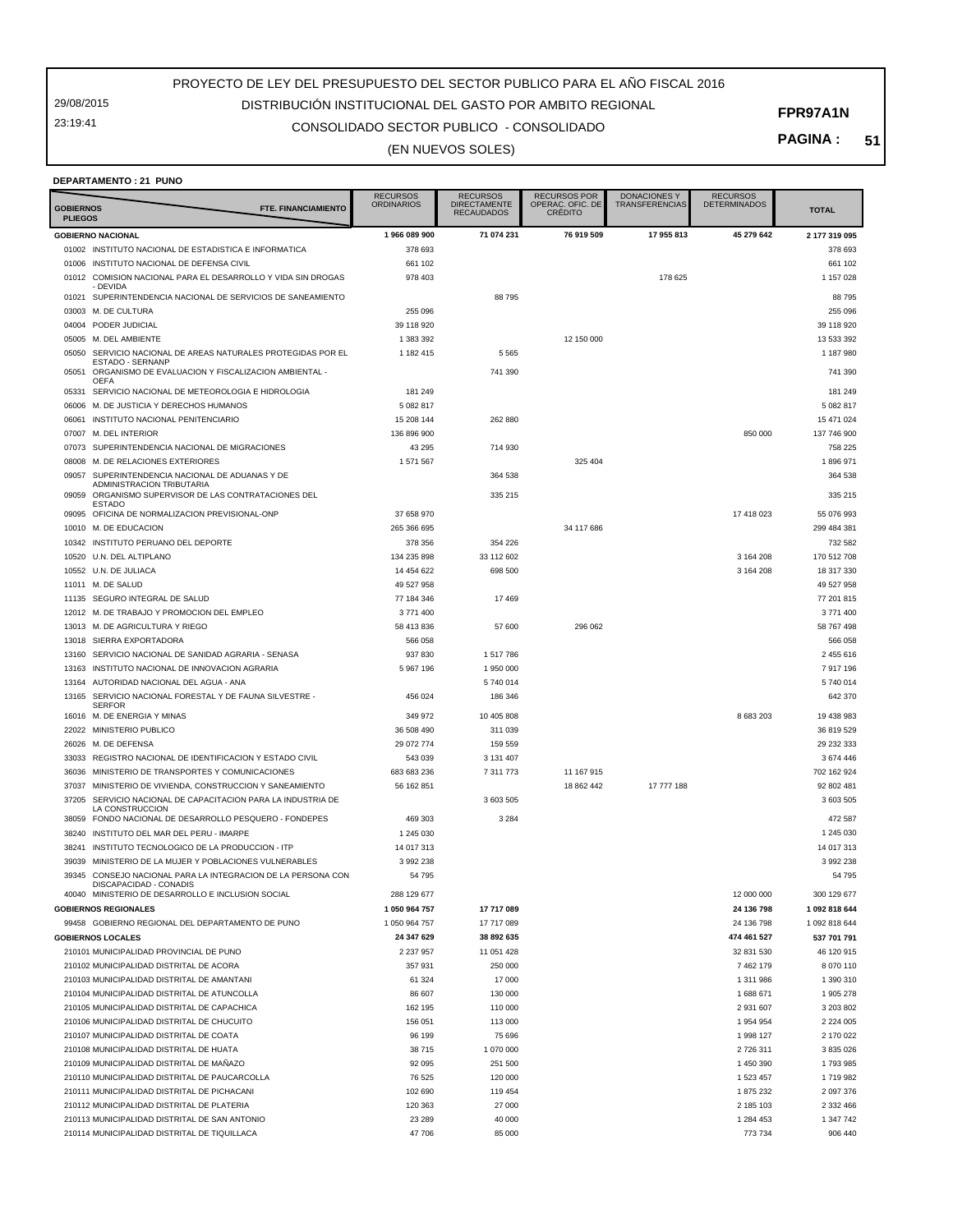29/08/2015 23:19:41

## CONSOLIDADO SECTOR PUBLICO - CONSOLIDADO DISTRIBUCIÓN INSTITUCIONAL DEL GASTO POR AMBITO REGIONAL

#### **PAGINA : 51**

**FPR97A1N**

#### (EN NUEVOS SOLES)

|  |  | <b>DEPARTAMENTO: 21 PUNO</b> |
|--|--|------------------------------|
|  |  |                              |

| <b>GOBIERNOS</b><br><b>PLIEGOS</b> | <b>FTE. FINANCIAMIENTO</b>                                                             | <b>RECURSOS</b><br><b>ORDINARIOS</b> | <b>RECURSOS</b><br><b>DIRECTAMENTE</b><br><b>RECAUDADOS</b> | <b>RECURSOS POR</b><br>OPERAC. OFIC. DE<br><b>CRÉDITO</b> | <b>DONACIONES Y</b><br><b>TRANSFERENCIAS</b> | <b>RECURSOS</b><br><b>DETERMINADOS</b> | <b>TOTAL</b>  |
|------------------------------------|----------------------------------------------------------------------------------------|--------------------------------------|-------------------------------------------------------------|-----------------------------------------------------------|----------------------------------------------|----------------------------------------|---------------|
|                                    | <b>GOBIERNO NACIONAL</b>                                                               | 1966 089 900                         | 71 074 231                                                  | 76 919 509                                                | 17955813                                     | 45 279 642                             | 2 177 319 095 |
|                                    | 01002 INSTITUTO NACIONAL DE ESTADISTICA E INFORMATICA                                  | 378 693                              |                                                             |                                                           |                                              |                                        | 378 693       |
|                                    | 01006 INSTITUTO NACIONAL DE DEFENSA CIVIL                                              | 661 102                              |                                                             |                                                           |                                              |                                        | 661 102       |
|                                    | 01012 COMISION NACIONAL PARA EL DESARROLLO Y VIDA SIN DROGAS                           | 978 403                              |                                                             |                                                           | 178 625                                      |                                        | 1 157 028     |
|                                    | - DEVIDA                                                                               |                                      |                                                             |                                                           |                                              |                                        |               |
|                                    | 01021 SUPERINTENDENCIA NACIONAL DE SERVICIOS DE SANEAMIENTO                            |                                      | 88795                                                       |                                                           |                                              |                                        | 88 795        |
| 03003                              | M. DE CULTURA                                                                          | 255 096                              |                                                             |                                                           |                                              |                                        | 255 096       |
| 04004                              | PODER JUDICIAL                                                                         | 39 118 920                           |                                                             |                                                           |                                              |                                        | 39 118 920    |
| 05005                              | M. DEL AMBIENTE                                                                        | 1 383 392                            |                                                             | 12 150 000                                                |                                              |                                        | 13 533 392    |
| 05050                              | SERVICIO NACIONAL DE AREAS NATURALES PROTEGIDAS POR EL                                 | 1 182 415                            | 5 5 6 5                                                     |                                                           |                                              |                                        | 1 187 980     |
| 05051                              | ESTADO - SERNANP<br>ORGANISMO DE EVALUACION Y FISCALIZACION AMBIENTAL -<br><b>OEFA</b> |                                      | 741 390                                                     |                                                           |                                              |                                        | 741 390       |
| 05331                              | SERVICIO NACIONAL DE METEOROLOGIA E HIDROLOGIA                                         | 181 249                              |                                                             |                                                           |                                              |                                        | 181 249       |
| 06006                              | M. DE JUSTICIA Y DERECHOS HUMANOS                                                      | 5 082 817                            |                                                             |                                                           |                                              |                                        | 5 082 817     |
| 06061                              | INSTITUTO NACIONAL PENITENCIARIO                                                       | 15 208 144                           | 262 880                                                     |                                                           |                                              |                                        | 15 471 024    |
|                                    | 07007 M. DEL INTERIOR                                                                  | 136 896 900                          |                                                             |                                                           |                                              | 850 000                                | 137 746 900   |
| 07073                              | SUPERINTENDENCIA NACIONAL DE MIGRACIONES                                               | 43 295                               | 714 930                                                     |                                                           |                                              |                                        | 758 225       |
| 08008                              | M. DE RELACIONES EXTERIORES                                                            | 1571567                              |                                                             | 325 404                                                   |                                              |                                        | 1896971       |
| 09057                              | SUPERINTENDENCIA NACIONAL DE ADUANAS Y DE                                              |                                      | 364 538                                                     |                                                           |                                              |                                        | 364 538       |
| 09059                              | ADMINISTRACION TRIBUTARIA<br>ORGANISMO SUPERVISOR DE LAS CONTRATACIONES DEL            |                                      | 335 215                                                     |                                                           |                                              |                                        | 335 215       |
|                                    | <b>ESTADO</b>                                                                          |                                      |                                                             |                                                           |                                              | 17 418 023                             |               |
|                                    | 09095 OFICINA DE NORMALIZACION PREVISIONAL-ONP                                         | 37 658 970                           |                                                             |                                                           |                                              |                                        | 55 076 993    |
|                                    | 10010 M. DE EDUCACION                                                                  | 265 366 695                          |                                                             | 34 117 686                                                |                                              |                                        | 299 484 381   |
| 10342                              | INSTITUTO PERUANO DEL DEPORTE                                                          | 378 356                              | 354 226                                                     |                                                           |                                              |                                        | 732 582       |
| 10520                              | U.N. DEL ALTIPLANO                                                                     | 134 235 898                          | 33 112 602                                                  |                                                           |                                              | 3 164 208                              | 170 512 708   |
| 10552                              | U.N. DE JULIACA                                                                        | 14 454 622                           | 698 500                                                     |                                                           |                                              | 3 164 208                              | 18 317 330    |
| 11011                              | M. DE SALUD                                                                            | 49 527 958                           |                                                             |                                                           |                                              |                                        | 49 527 958    |
| 11135                              | SEGURO INTEGRAL DE SALUD                                                               | 77 184 346                           | 17469                                                       |                                                           |                                              |                                        | 77 201 815    |
|                                    | 12012 M. DE TRABAJO Y PROMOCION DEL EMPLEO                                             | 3771400                              |                                                             |                                                           |                                              |                                        | 3771400       |
|                                    | 13013 M. DE AGRICULTURA Y RIEGO                                                        | 58 413 836                           | 57 600                                                      | 296 062                                                   |                                              |                                        | 58 767 498    |
| 13018                              | SIERRA EXPORTADORA                                                                     | 566 058                              |                                                             |                                                           |                                              |                                        | 566 058       |
| 13160                              | SERVICIO NACIONAL DE SANIDAD AGRARIA - SENASA                                          | 937 830                              | 1 517 786                                                   |                                                           |                                              |                                        | 2 455 616     |
| 13163                              | INSTITUTO NACIONAL DE INNOVACION AGRARIA                                               | 5967196                              | 1 950 000                                                   |                                                           |                                              |                                        | 7 917 196     |
| 13164                              | AUTORIDAD NACIONAL DEL AGUA - ANA                                                      |                                      | 5740014                                                     |                                                           |                                              |                                        | 5740014       |
| 13165                              | SERVICIO NACIONAL FORESTAL Y DE FAUNA SILVESTRE -                                      | 456 024                              | 186 346                                                     |                                                           |                                              |                                        | 642 370       |
|                                    | <b>SERFOR</b><br>16016 M. DE ENERGIA Y MINAS                                           | 349 972                              | 10 405 808                                                  |                                                           |                                              | 8 683 203                              | 19 438 983    |
|                                    | 22022 MINISTERIO PUBLICO                                                               | 36 508 490                           | 311 039                                                     |                                                           |                                              |                                        | 36 819 529    |
| 26026                              | M. DE DEFENSA                                                                          | 29 072 774                           | 159 559                                                     |                                                           |                                              |                                        | 29 232 333    |
| 33033                              | REGISTRO NACIONAL DE IDENTIFICACION Y ESTADO CIVIL                                     | 543 039                              | 3 131 407                                                   |                                                           |                                              |                                        | 3 674 446     |
| 36036                              | MINISTERIO DE TRANSPORTES Y COMUNICACIONES                                             | 683 683 236                          | 7 311 773                                                   | 11 167 915                                                |                                              |                                        | 702 162 924   |
| 37037                              | MINISTERIO DE VIVIENDA, CONSTRUCCION Y SANEAMIENTO                                     | 56 162 851                           |                                                             | 18 862 442                                                | 17 777 188                                   |                                        | 92 802 481    |
| 37205                              | SERVICIO NACIONAL DE CAPACITACION PARA LA INDUSTRIA DE                                 |                                      | 3 603 505                                                   |                                                           |                                              |                                        | 3 603 505     |
| 38059                              | LA CONSTRUCCION<br>FONDO NACIONAL DE DESARROLLO PESQUERO - FONDEPES                    | 469 303                              | 3 2 8 4                                                     |                                                           |                                              |                                        | 472 587       |
| 38240                              | INSTITUTO DEL MAR DEL PERU - IMARPE                                                    | 1 245 030                            |                                                             |                                                           |                                              |                                        | 1 245 030     |
| 38241                              | INSTITUTO TECNOLOGICO DE LA PRODUCCION - ITP                                           | 14 017 313                           |                                                             |                                                           |                                              |                                        | 14 017 313    |
| 39039                              | MINISTERIO DE LA MUJER Y POBLACIONES VULNERABLES                                       | 3992238                              |                                                             |                                                           |                                              |                                        | 3 992 238     |
|                                    | 39345 CONSEJO NACIONAL PARA LA INTEGRACION DE LA PERSONA CON                           | 54 795                               |                                                             |                                                           |                                              |                                        | 54 795        |
|                                    | DISCAPACIDAD - CONADIS<br>40040 MINISTERIO DE DESARROLLO E INCLUSION SOCIAL            | 288 129 677                          |                                                             |                                                           |                                              | 12 000 000                             | 300 129 677   |
|                                    | <b>GOBIERNOS REGIONALES</b>                                                            | 1 050 964 757                        | 17 717 089                                                  |                                                           |                                              | 24 136 798                             | 1 092 818 644 |
|                                    | 99458 GOBIERNO REGIONAL DEL DEPARTAMENTO DE PUNO                                       | 1 050 964 757                        | 17 717 089                                                  |                                                           |                                              | 24 136 798                             | 1 092 818 644 |
|                                    | <b>GOBIERNOS LOCALES</b>                                                               | 24 347 629                           | 38 892 635                                                  |                                                           |                                              | 474 461 527                            | 537 701 791   |
|                                    | 210101 MUNICIPALIDAD PROVINCIAL DE PUNO                                                | 2 2 3 7 9 5 7                        | 11 051 428                                                  |                                                           |                                              | 32 831 530                             | 46 120 915    |
|                                    | 210102 MUNICIPALIDAD DISTRITAL DE ACORA                                                | 357 931                              | 250 000                                                     |                                                           |                                              | 7 462 179                              | 8 070 110     |
|                                    | 210103 MUNICIPALIDAD DISTRITAL DE AMANTANI                                             |                                      | 17 000                                                      |                                                           |                                              | 1 311 986                              | 1 390 310     |
|                                    | 210104 MUNICIPALIDAD DISTRITAL DE ATUNCOLLA                                            | 61 324                               | 130 000                                                     |                                                           |                                              | 1 688 671                              | 1 905 278     |
|                                    |                                                                                        | 86 607                               |                                                             |                                                           |                                              |                                        |               |
|                                    | 210105 MUNICIPALIDAD DISTRITAL DE CAPACHICA                                            | 162 195                              | 110 000                                                     |                                                           |                                              | 2 931 607                              | 3 203 802     |
|                                    | 210106 MUNICIPALIDAD DISTRITAL DE CHUCUITO                                             | 156 051                              | 113 000                                                     |                                                           |                                              | 1 954 954                              | 2 2 2 4 0 0 5 |
|                                    | 210107 MUNICIPALIDAD DISTRITAL DE COATA                                                | 96 199                               | 75 696                                                      |                                                           |                                              | 1 998 127                              | 2 170 022     |
|                                    | 210108 MUNICIPALIDAD DISTRITAL DE HUATA                                                | 38 715                               | 1 070 000                                                   |                                                           |                                              | 2 726 311                              | 3 835 026     |
|                                    | 210109 MUNICIPALIDAD DISTRITAL DE MAÑAZO                                               | 92 095                               | 251 500                                                     |                                                           |                                              | 1 450 390                              | 1793985       |
|                                    | 210110 MUNICIPALIDAD DISTRITAL DE PAUCARCOLLA                                          | 76 525                               | 120 000                                                     |                                                           |                                              | 1 523 457                              | 1719982       |
|                                    | 210111 MUNICIPALIDAD DISTRITAL DE PICHACANI                                            | 102 690                              | 119 454                                                     |                                                           |                                              | 1875232                                | 2 097 376     |
|                                    | 210112 MUNICIPALIDAD DISTRITAL DE PLATERIA                                             | 120 363                              | 27 000                                                      |                                                           |                                              | 2 185 103                              | 2 332 466     |
|                                    | 210113 MUNICIPALIDAD DISTRITAL DE SAN ANTONIO                                          | 23 289                               | 40 000                                                      |                                                           |                                              | 1 284 453                              | 1 347 742     |
|                                    | 210114 MUNICIPALIDAD DISTRITAL DE TIQUILLACA                                           | 47 706                               | 85 000                                                      |                                                           |                                              | 773734                                 | 906 440       |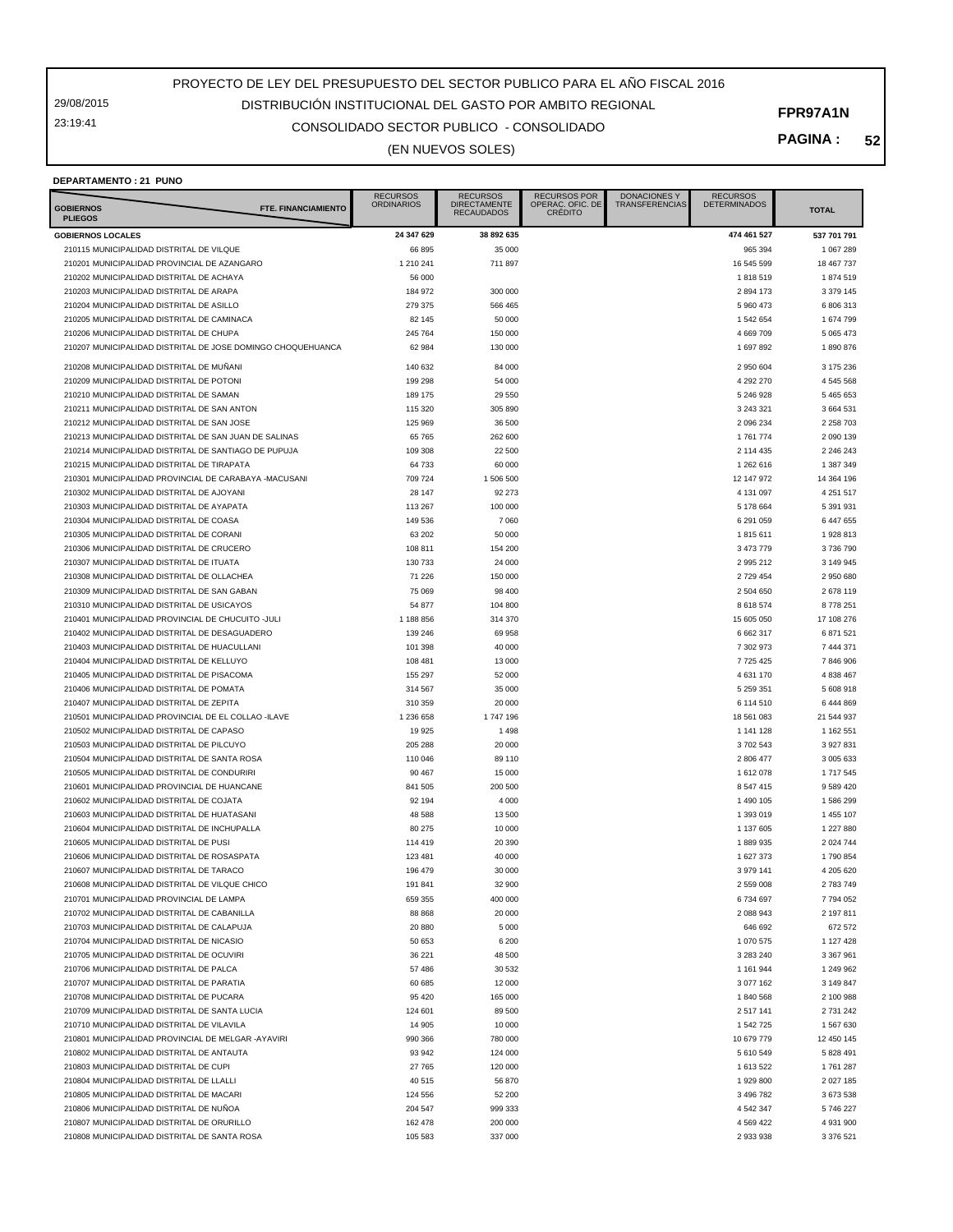29/08/2015 23:19:41

## CONSOLIDADO SECTOR PUBLICO - CONSOLIDADO DISTRIBUCIÓN INSTITUCIONAL DEL GASTO POR AMBITO REGIONAL

(EN NUEVOS SOLES)

**PAGINA : 52**

#### **DEPARTAMENTO : 21 PUNO**

| FTE. FINANCIAMIENTO<br><b>GOBIERNOS</b><br><b>PLIEGOS</b>                                                     | <b>RECURSOS</b><br><b>ORDINARIOS</b> | <b>RECURSOS</b><br><b>DIRECTAMENTE</b><br><b>RECAUDADOS</b> | <b>RECURSOS POR</b><br>OPERAÇ. OFIC. DE<br><b>CRÉDITO</b> | DONACIONES Y<br><b>TRANSFERENCIAS</b> | <b>RECURSOS</b><br><b>DETERMINADOS</b> | <b>TOTAL</b>            |
|---------------------------------------------------------------------------------------------------------------|--------------------------------------|-------------------------------------------------------------|-----------------------------------------------------------|---------------------------------------|----------------------------------------|-------------------------|
| <b>GOBIERNOS LOCALES</b>                                                                                      | 24 347 629                           | 38 892 635                                                  |                                                           |                                       | 474 461 527                            | 537 701 791             |
| 210115 MUNICIPALIDAD DISTRITAL DE VILQUE                                                                      | 66 895                               | 35 000                                                      |                                                           |                                       | 965 394                                | 1 067 289               |
| 210201 MUNICIPALIDAD PROVINCIAL DE AZANGARO                                                                   | 1 210 241                            | 711 897                                                     |                                                           |                                       | 16 545 599                             | 18 467 737              |
| 210202 MUNICIPALIDAD DISTRITAL DE ACHAYA                                                                      | 56 000                               |                                                             |                                                           |                                       | 1818519                                | 1874519                 |
| 210203 MUNICIPALIDAD DISTRITAL DE ARAPA                                                                       | 184 972                              | 300 000                                                     |                                                           |                                       | 2 894 173                              | 3 379 145               |
| 210204 MUNICIPALIDAD DISTRITAL DE ASILLO                                                                      | 279 375                              | 566 465                                                     |                                                           |                                       | 5 960 473                              | 6 806 313               |
| 210205 MUNICIPALIDAD DISTRITAL DE CAMINACA                                                                    | 82 145                               | 50 000                                                      |                                                           |                                       | 1 542 654                              | 1 674 799               |
| 210206 MUNICIPALIDAD DISTRITAL DE CHUPA                                                                       | 245 764                              | 150 000                                                     |                                                           |                                       | 4 669 709                              | 5 065 473               |
| 210207 MUNICIPALIDAD DISTRITAL DE JOSE DOMINGO CHOQUEHUANCA                                                   | 62 984                               | 130 000                                                     |                                                           |                                       | 1 697 892                              | 1890876                 |
| 210208 MUNICIPALIDAD DISTRITAL DE MUÑANI                                                                      | 140 632                              | 84 000                                                      |                                                           |                                       | 2 950 604                              | 3 175 236               |
| 210209 MUNICIPALIDAD DISTRITAL DE POTONI                                                                      | 199 298                              | 54 000                                                      |                                                           |                                       | 4 292 270                              | 4 545 568               |
| 210210 MUNICIPALIDAD DISTRITAL DE SAMAN                                                                       | 189 175                              | 29 550                                                      |                                                           |                                       | 5 246 928                              | 5 465 653               |
| 210211 MUNICIPALIDAD DISTRITAL DE SAN ANTON                                                                   | 115 320                              | 305 890                                                     |                                                           |                                       | 3 243 321                              | 3 664 531               |
| 210212 MUNICIPALIDAD DISTRITAL DE SAN JOSE                                                                    | 125 969                              | 36 500                                                      |                                                           |                                       | 2 096 234                              | 2 2 58 7 0 3            |
| 210213 MUNICIPALIDAD DISTRITAL DE SAN JUAN DE SALINAS<br>210214 MUNICIPALIDAD DISTRITAL DE SANTIAGO DE PUPUJA | 65 765<br>109 308                    | 262 600<br>22 500                                           |                                                           |                                       | 1761774<br>2 114 435                   | 2 090 139<br>2 246 243  |
| 210215 MUNICIPALIDAD DISTRITAL DE TIRAPATA                                                                    | 64 733                               | 60 000                                                      |                                                           |                                       | 1 262 616                              | 1 387 349               |
| 210301 MUNICIPALIDAD PROVINCIAL DE CARABAYA -MACUSANI                                                         | 709 724                              | 1 506 500                                                   |                                                           |                                       | 12 147 972                             | 14 364 196              |
| 210302 MUNICIPALIDAD DISTRITAL DE AJOYANI                                                                     | 28 147                               | 92 273                                                      |                                                           |                                       | 4 131 097                              | 4 2 5 1 5 1 7           |
| 210303 MUNICIPALIDAD DISTRITAL DE AYAPATA                                                                     | 113 267                              | 100 000                                                     |                                                           |                                       | 5 178 664                              | 5 391 931               |
| 210304 MUNICIPALIDAD DISTRITAL DE COASA                                                                       | 149 536                              | 7 0 6 0                                                     |                                                           |                                       | 6 291 059                              | 6 447 655               |
| 210305 MUNICIPALIDAD DISTRITAL DE CORANI                                                                      | 63 202                               | 50 000                                                      |                                                           |                                       | 1815611                                | 1928813                 |
| 210306 MUNICIPALIDAD DISTRITAL DE CRUCERO                                                                     | 108 811                              | 154 200                                                     |                                                           |                                       | 3 473 779                              | 3736790                 |
| 210307 MUNICIPALIDAD DISTRITAL DE ITUATA                                                                      | 130 733                              | 24 000                                                      |                                                           |                                       | 2 995 212                              | 3 149 945               |
| 210308 MUNICIPALIDAD DISTRITAL DE OLLACHEA                                                                    | 71 226                               | 150 000                                                     |                                                           |                                       | 2 729 454                              | 2 950 680               |
| 210309 MUNICIPALIDAD DISTRITAL DE SAN GABAN                                                                   | 75 069                               | 98 400                                                      |                                                           |                                       | 2 504 650                              | 2 678 119               |
| 210310 MUNICIPALIDAD DISTRITAL DE USICAYOS                                                                    | 54 877                               | 104 800                                                     |                                                           |                                       | 8 618 574                              | 8778251                 |
| 210401 MUNICIPALIDAD PROVINCIAL DE CHUCUITO -JULI                                                             | 1 188 856                            | 314 370                                                     |                                                           |                                       | 15 605 050                             | 17 108 276              |
| 210402 MUNICIPALIDAD DISTRITAL DE DESAGUADERO<br>210403 MUNICIPALIDAD DISTRITAL DE HUACULLANI                 | 139 246<br>101 398                   | 69 958<br>40 000                                            |                                                           |                                       | 6 662 317<br>7 302 973                 | 6 871 521<br>7 444 371  |
| 210404 MUNICIPALIDAD DISTRITAL DE KELLUYO                                                                     | 108 481                              | 13 000                                                      |                                                           |                                       | 7 725 425                              | 7 846 906               |
| 210405 MUNICIPALIDAD DISTRITAL DE PISACOMA                                                                    | 155 297                              | 52 000                                                      |                                                           |                                       | 4 631 170                              | 4 838 467               |
| 210406 MUNICIPALIDAD DISTRITAL DE POMATA                                                                      | 314 567                              | 35 000                                                      |                                                           |                                       | 5 259 351                              | 5 608 918               |
| 210407 MUNICIPALIDAD DISTRITAL DE ZEPITA                                                                      | 310 359                              | 20 000                                                      |                                                           |                                       | 6 114 510                              | 6 444 869               |
| 210501 MUNICIPALIDAD PROVINCIAL DE EL COLLAO -ILAVE                                                           | 1 236 658                            | 1747196                                                     |                                                           |                                       | 18 561 083                             | 21 544 937              |
| 210502 MUNICIPALIDAD DISTRITAL DE CAPASO                                                                      | 19 925                               | 1498                                                        |                                                           |                                       | 1 141 128                              | 1 162 551               |
| 210503 MUNICIPALIDAD DISTRITAL DE PILCUYO                                                                     | 205 288                              | 20 000                                                      |                                                           |                                       | 3702543                                | 3 927 831               |
| 210504 MUNICIPALIDAD DISTRITAL DE SANTA ROSA                                                                  | 110 046                              | 89 110                                                      |                                                           |                                       | 2 806 477                              | 3 005 633               |
| 210505 MUNICIPALIDAD DISTRITAL DE CONDURIRI                                                                   | 90 467                               | 15 000                                                      |                                                           |                                       | 1 612 078                              | 1 717 545               |
| 210601 MUNICIPALIDAD PROVINCIAL DE HUANCANE                                                                   | 841 505                              | 200 500                                                     |                                                           |                                       | 8 547 415                              | 9 589 420               |
| 210602 MUNICIPALIDAD DISTRITAL DE COJATA                                                                      | 92 194                               | 4 0 0 0                                                     |                                                           |                                       | 1 490 105                              | 1586299                 |
| 210603 MUNICIPALIDAD DISTRITAL DE HUATASANI                                                                   | 48 588                               | 13 500                                                      |                                                           |                                       | 1 393 019<br>1 137 605                 | 1 455 107               |
| 210604 MUNICIPALIDAD DISTRITAL DE INCHUPALLA<br>210605 MUNICIPALIDAD DISTRITAL DE PUSI                        | 80 275<br>114 419                    | 10 000<br>20 390                                            |                                                           |                                       | 1889935                                | 1 227 880<br>2 0 24 744 |
| 210606 MUNICIPALIDAD DISTRITAL DE ROSASPATA                                                                   | 123 481                              | 40 000                                                      |                                                           |                                       | 1 627 373                              | 1790854                 |
| 210607 MUNICIPALIDAD DISTRITAL DE TARACO                                                                      | 196 479                              | 30 000                                                      |                                                           |                                       | 3 979 141                              | 4 205 620               |
| 210608 MUNICIPALIDAD DISTRITAL DE VILQUE CHICO                                                                | 1918841                              | 32 900                                                      |                                                           |                                       | 2 559 008                              | 2 783 749               |
| 210701 MUNICIPALIDAD PROVINCIAL DE LAMPA                                                                      | 659 355                              | 400 000                                                     |                                                           |                                       | 6734697                                | 7794052                 |
| 210702 MUNICIPALIDAD DISTRITAL DE CABANILLA                                                                   | 88 868                               | 20 000                                                      |                                                           |                                       | 2 088 943                              | 2 197 811               |
| 210703 MUNICIPALIDAD DISTRITAL DE CALAPUJA                                                                    | 20 880                               | 5 0 0 0                                                     |                                                           |                                       | 646 692                                | 672 572                 |
| 210704 MUNICIPALIDAD DISTRITAL DE NICASIO                                                                     | 50 653                               | 6 200                                                       |                                                           |                                       | 1 070 575                              | 1 127 428               |
| 210705 MUNICIPALIDAD DISTRITAL DE OCUVIRI                                                                     | 36 221                               | 48 500                                                      |                                                           |                                       | 3 283 240                              | 3 367 961               |
| 210706 MUNICIPALIDAD DISTRITAL DE PALCA                                                                       | 57 486                               | 30 532                                                      |                                                           |                                       | 1 161 944                              | 1 249 962               |
| 210707 MUNICIPALIDAD DISTRITAL DE PARATIA                                                                     | 60 685                               | 12 000                                                      |                                                           |                                       | 3 077 162                              | 3 149 847               |
| 210708 MUNICIPALIDAD DISTRITAL DE PUCARA                                                                      | 95 4 20                              | 165 000                                                     |                                                           |                                       | 1840 568                               | 2 100 988               |
| 210709 MUNICIPALIDAD DISTRITAL DE SANTA LUCIA                                                                 | 124 601                              | 89 500                                                      |                                                           |                                       | 2 517 141                              | 2 731 242               |
| 210710 MUNICIPALIDAD DISTRITAL DE VILAVILA<br>210801 MUNICIPALIDAD PROVINCIAL DE MELGAR -AYAVIRI              | 14 905<br>990 366                    | 10 000<br>780 000                                           |                                                           |                                       | 1 542 725<br>10 679 779                | 1 567 630<br>12 450 145 |
| 210802 MUNICIPALIDAD DISTRITAL DE ANTAUTA                                                                     | 93 942                               | 124 000                                                     |                                                           |                                       | 5 610 549                              | 5 828 491               |
| 210803 MUNICIPALIDAD DISTRITAL DE CUPI                                                                        | 27 765                               | 120 000                                                     |                                                           |                                       | 1 613 522                              | 1761287                 |
| 210804 MUNICIPALIDAD DISTRITAL DE LLALLI                                                                      | 40 515                               | 56 870                                                      |                                                           |                                       | 1 929 800                              | 2 027 185               |
| 210805 MUNICIPALIDAD DISTRITAL DE MACARI                                                                      | 124 556                              | 52 200                                                      |                                                           |                                       | 3 496 782                              | 3 673 538               |
| 210806 MUNICIPALIDAD DISTRITAL DE NUÑOA                                                                       | 204 547                              | 999 333                                                     |                                                           |                                       | 4 542 347                              | 5 746 227               |
| 210807 MUNICIPALIDAD DISTRITAL DE ORURILLO                                                                    | 162 478                              | 200 000                                                     |                                                           |                                       | 4 5 69 4 22                            | 4 931 900               |
| 210808 MUNICIPALIDAD DISTRITAL DE SANTA ROSA                                                                  | 105 583                              | 337 000                                                     |                                                           |                                       | 2 933 938                              | 3 376 521               |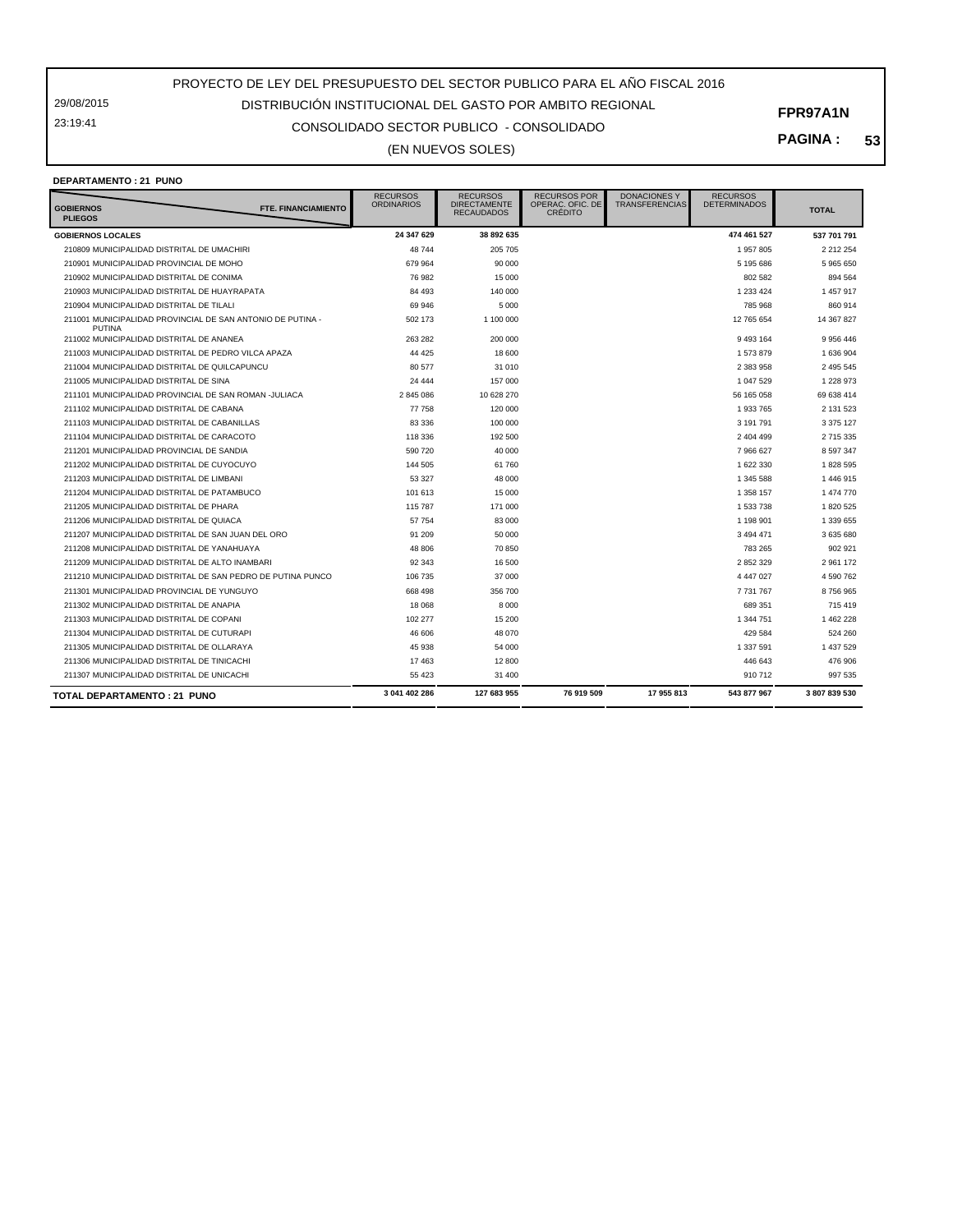29/08/2015 23:19:41

## CONSOLIDADO SECTOR PUBLICO - CONSOLIDADO DISTRIBUCIÓN INSTITUCIONAL DEL GASTO POR AMBITO REGIONAL

(EN NUEVOS SOLES)

**PAGINA : 53**

**FPR97A1N**

#### **DEPARTAMENTO : 21 PUNO**

| <b>GOBIERNOS</b><br><b>FTE. FINANCIAMIENTO</b><br><b>PLIEGOS</b>     | <b>RECURSOS</b><br><b>ORDINARIOS</b> | <b>RECURSOS</b><br><b>DIRECTAMENTE</b><br><b>RECAUDADOS</b> | <b>RECURSOS POR</b><br>OPERAC. OFIC. DE<br><b>CRÉDITO</b> | <b>DONACIONES Y</b><br><b>TRANSFERENCIAS</b> | <b>RECURSOS</b><br><b>DETERMINADOS</b> | <b>TOTAL</b>  |
|----------------------------------------------------------------------|--------------------------------------|-------------------------------------------------------------|-----------------------------------------------------------|----------------------------------------------|----------------------------------------|---------------|
| <b>GOBIERNOS LOCALES</b>                                             | 24 347 629                           | 38 892 635                                                  |                                                           |                                              | 474 461 527                            | 537 701 791   |
| 210809 MUNICIPALIDAD DISTRITAL DE UMACHIRI                           | 48744                                | 205 705                                                     |                                                           |                                              | 1957805                                | 2 2 1 2 2 5 4 |
| 210901 MUNICIPALIDAD PROVINCIAL DE MOHO                              | 679 964                              | 90 000                                                      |                                                           |                                              | 5 195 686                              | 5 965 650     |
| 210902 MUNICIPALIDAD DISTRITAL DE CONIMA                             | 76 982                               | 15 000                                                      |                                                           |                                              | 802 582                                | 894 564       |
| 210903 MUNICIPALIDAD DISTRITAL DE HUAYRAPATA                         | 84 493                               | 140 000                                                     |                                                           |                                              | 1 233 424                              | 1 457 917     |
| 210904 MUNICIPALIDAD DISTRITAL DE TILALI                             | 69 946                               | 5 0 0 0                                                     |                                                           |                                              | 785 968                                | 860 914       |
| 211001 MUNICIPALIDAD PROVINCIAL DE SAN ANTONIO DE PUTINA -<br>PUTINA | 502 173                              | 1 100 000                                                   |                                                           |                                              | 12 765 654                             | 14 367 827    |
| 211002 MUNICIPALIDAD DISTRITAL DE ANANEA                             | 263 282                              | 200 000                                                     |                                                           |                                              | 9 493 164                              | 9 9 5 6 4 4 6 |
| 211003 MUNICIPALIDAD DISTRITAL DE PEDRO VILCA APAZA                  | 44 4 25                              | 18 600                                                      |                                                           |                                              | 1573879                                | 1 636 904     |
| 211004 MUNICIPALIDAD DISTRITAL DE QUILCAPUNCU                        | 80 577                               | 31 010                                                      |                                                           |                                              | 2 383 958                              | 2 495 545     |
| 211005 MUNICIPALIDAD DISTRITAL DE SINA                               | 24 4 4 4                             | 157 000                                                     |                                                           |                                              | 1 047 529                              | 1 228 973     |
| 211101 MUNICIPALIDAD PROVINCIAL DE SAN ROMAN -JULIACA                | 2845086                              | 10 628 270                                                  |                                                           |                                              | 56 165 058                             | 69 638 414    |
| 211102 MUNICIPALIDAD DISTRITAL DE CABANA                             | 77 758                               | 120 000                                                     |                                                           |                                              | 1 933 765                              | 2 131 523     |
| 211103 MUNICIPALIDAD DISTRITAL DE CABANILLAS                         | 83 336                               | 100 000                                                     |                                                           |                                              | 3 191 791                              | 3 375 127     |
| 211104 MUNICIPALIDAD DISTRITAL DE CARACOTO                           | 118 336                              | 192 500                                                     |                                                           |                                              | 2 404 499                              | 2 715 335     |
| 211201 MUNICIPALIDAD PROVINCIAL DE SANDIA                            | 590 720                              | 40 000                                                      |                                                           |                                              | 7966627                                | 8 597 347     |
| 211202 MUNICIPALIDAD DISTRITAL DE CUYOCUYO                           | 144 505                              | 61 760                                                      |                                                           |                                              | 1 622 330                              | 1828 595      |
| 211203 MUNICIPALIDAD DISTRITAL DE LIMBANI                            | 53 327                               | 48 000                                                      |                                                           |                                              | 1 345 588                              | 1 446 915     |
| 211204 MUNICIPALIDAD DISTRITAL DE PATAMBUCO                          | 101 613                              | 15 000                                                      |                                                           |                                              | 1 358 157                              | 1 474 770     |
| 211205 MUNICIPALIDAD DISTRITAL DE PHARA                              | 115 787                              | 171 000                                                     |                                                           |                                              | 1 533 738                              | 1 820 525     |
| 211206 MUNICIPALIDAD DISTRITAL DE QUIACA                             | 57 754                               | 83 000                                                      |                                                           |                                              | 1 198 901                              | 1 339 655     |
| 211207 MUNICIPALIDAD DISTRITAL DE SAN JUAN DEL ORO                   | 91 209                               | 50 000                                                      |                                                           |                                              | 3 494 471                              | 3 635 680     |
| 211208 MUNICIPALIDAD DISTRITAL DE YANAHUAYA                          | 48 806                               | 70850                                                       |                                                           |                                              | 783 265                                | 902 921       |
| 211209 MUNICIPALIDAD DISTRITAL DE ALTO INAMBARI                      | 92 343                               | 16 500                                                      |                                                           |                                              | 2 852 329                              | 2 961 172     |
| 211210 MUNICIPALIDAD DISTRITAL DE SAN PEDRO DE PUTINA PUNCO          | 106 735                              | 37 000                                                      |                                                           |                                              | 4 447 027                              | 4 590 762     |
| 211301 MUNICIPALIDAD PROVINCIAL DE YUNGUYO                           | 668 498                              | 356 700                                                     |                                                           |                                              | 7 731 767                              | 8756965       |
| 211302 MUNICIPALIDAD DISTRITAL DE ANAPIA                             | 18 068                               | 8 0 0 0                                                     |                                                           |                                              | 689 351                                | 715 419       |
| 211303 MUNICIPALIDAD DISTRITAL DE COPANI                             | 102 277                              | 15 200                                                      |                                                           |                                              | 1 344 751                              | 1 462 228     |
| 211304 MUNICIPALIDAD DISTRITAL DE CUTURAPI                           | 46 606                               | 48 070                                                      |                                                           |                                              | 429 584                                | 524 260       |
| 211305 MUNICIPALIDAD DISTRITAL DE OLLARAYA                           | 45 938                               | 54 000                                                      |                                                           |                                              | 1 337 591                              | 1 437 529     |
| 211306 MUNICIPALIDAD DISTRITAL DE TINICACHI                          | 17 463                               | 12 800                                                      |                                                           |                                              | 446 643                                | 476 906       |
| 211307 MUNICIPALIDAD DISTRITAL DE UNICACHI                           | 55 423                               | 31 400                                                      |                                                           |                                              | 910 712                                | 997 535       |
| TOTAL DEPARTAMENTO : 21 PUNO                                         | 3 041 402 286                        | 127 683 955                                                 | 76 919 509                                                | 17 955 813                                   | 543 877 967                            | 3807839530    |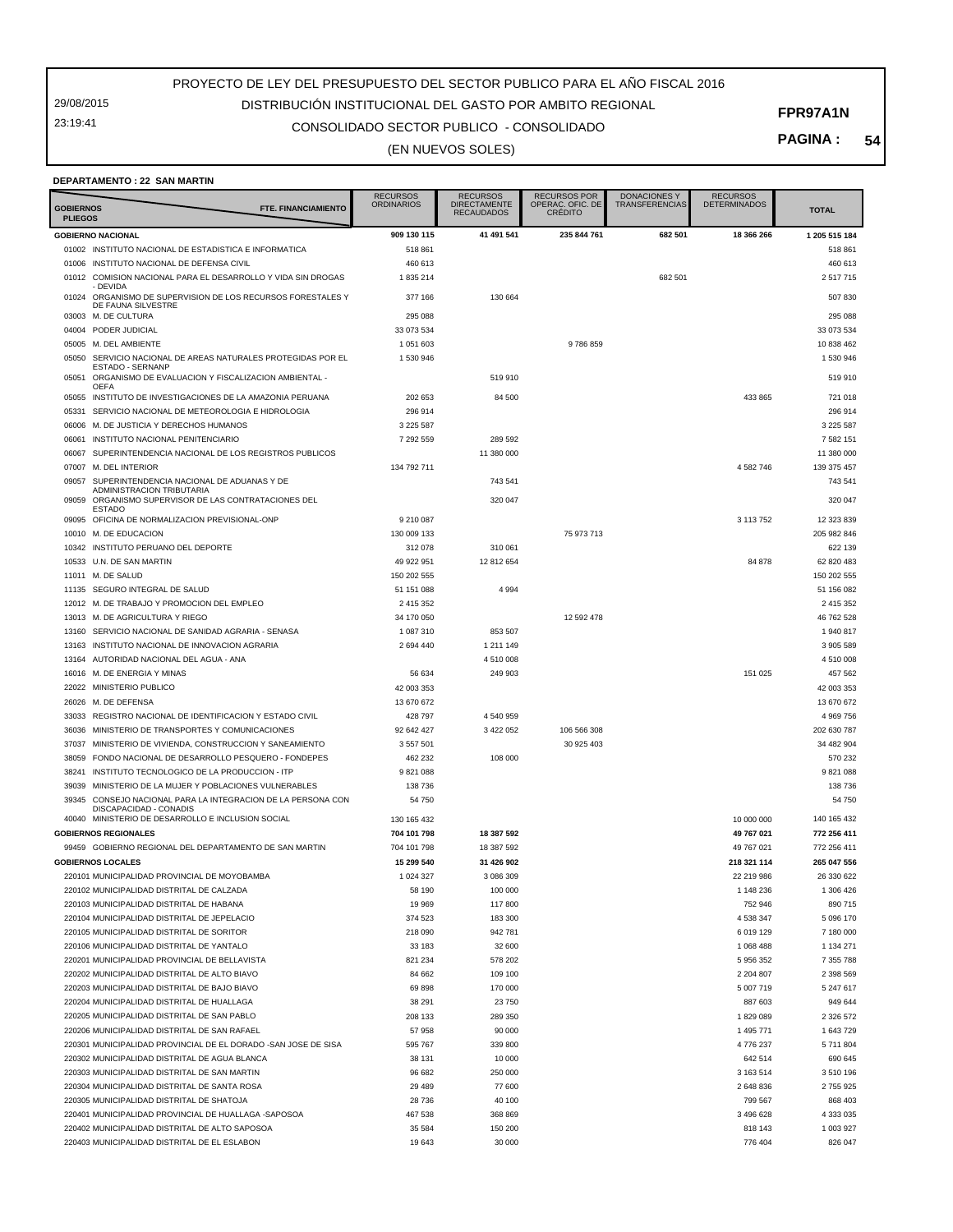29/08/2015 23:19:41

## CONSOLIDADO SECTOR PUBLICO - CONSOLIDADO DISTRIBUCIÓN INSTITUCIONAL DEL GASTO POR AMBITO REGIONAL

**PAGINA : 54**

#### (EN NUEVOS SOLES)

#### **DEPARTAMENTO : 22 SAN MARTIN**

| <b>GOBIERNOS</b><br><b>PLIEGOS</b> | FTE. FINANCIAMIENTO                                                                                    | <b>RECURSOS</b><br><b>ORDINARIOS</b> | <b>RECURSOS</b><br>DIRECTAMENTE<br><b>RECAUDADOS</b> | <b>RECURSOS POR</b><br>OPERAC. OFIC. DE<br><b>CREDITO</b> | <b>DONACIONES Y</b><br>TRANSFERENCIAS | <b>RECURSOS</b><br><b>DETERMINADOS</b> | <b>TOTAL</b>           |
|------------------------------------|--------------------------------------------------------------------------------------------------------|--------------------------------------|------------------------------------------------------|-----------------------------------------------------------|---------------------------------------|----------------------------------------|------------------------|
|                                    | <b>GOBIERNO NACIONAL</b>                                                                               | 909 130 115                          | 41 491 541                                           | 235 844 761                                               | 682 501                               | 18 366 266                             | 1 205 515 184          |
|                                    | 01002 INSTITUTO NACIONAL DE ESTADISTICA E INFORMATICA                                                  | 518 861                              |                                                      |                                                           |                                       |                                        | 518 861                |
| 01006                              | INSTITUTO NACIONAL DE DEFENSA CIVIL                                                                    | 460 613                              |                                                      |                                                           |                                       |                                        | 460 613                |
|                                    | 01012 COMISION NACIONAL PARA EL DESARROLLO Y VIDA SIN DROGAS                                           | 1835214                              |                                                      |                                                           | 682 501                               |                                        | 2 517 715              |
|                                    | - DEVIDA                                                                                               |                                      |                                                      |                                                           |                                       |                                        |                        |
| 01024                              | ORGANISMO DE SUPERVISION DE LOS RECURSOS FORESTALES Y<br>DE FAUNA SILVESTRE                            | 377 166                              | 130 664                                              |                                                           |                                       |                                        | 507 830                |
| 03003                              | M. DE CULTURA                                                                                          | 295 088                              |                                                      |                                                           |                                       |                                        | 295 088                |
| 04004                              | PODER JUDICIAL                                                                                         | 33 073 534                           |                                                      |                                                           |                                       |                                        | 33 073 534             |
| 05005                              | M. DEL AMBIENTE                                                                                        | 1051603                              |                                                      | 9786859                                                   |                                       |                                        | 10 838 462             |
| 05050                              | SERVICIO NACIONAL DE AREAS NATURALES PROTEGIDAS POR EL<br>ESTADO - SERNANP                             | 1530946                              |                                                      |                                                           |                                       |                                        | 1 530 946              |
| 05051                              | ORGANISMO DE EVALUACION Y FISCALIZACION AMBIENTAL -                                                    |                                      | 519910                                               |                                                           |                                       |                                        | 519 910                |
|                                    | <b>OEFA</b>                                                                                            |                                      |                                                      |                                                           |                                       |                                        |                        |
| 05055<br>05331                     | INSTITUTO DE INVESTIGACIONES DE LA AMAZONIA PERUANA<br>SERVICIO NACIONAL DE METEOROLOGIA E HIDROLOGIA  | 202 653<br>296 914                   | 84 500                                               |                                                           |                                       | 433 865                                | 721 018<br>296 914     |
| 06006                              | M. DE JUSTICIA Y DERECHOS HUMANOS                                                                      | 3 2 2 5 5 8 7                        |                                                      |                                                           |                                       |                                        | 3 2 2 5 5 8 7          |
| 06061                              | INSTITUTO NACIONAL PENITENCIARIO                                                                       | 7 292 559                            | 289 592                                              |                                                           |                                       |                                        | 7 582 151              |
| 06067                              | SUPERINTENDENCIA NACIONAL DE LOS REGISTROS PUBLICOS                                                    |                                      | 11 380 000                                           |                                                           |                                       |                                        | 11 380 000             |
| 07007                              | M. DEL INTERIOR                                                                                        | 134 792 711                          |                                                      |                                                           |                                       | 4 582 746                              | 139 375 457            |
| 09057                              | SUPERINTENDENCIA NACIONAL DE ADUANAS Y DE                                                              |                                      | 743 541                                              |                                                           |                                       |                                        | 743 541                |
|                                    | ADMINISTRACION TRIBUTARIA                                                                              |                                      |                                                      |                                                           |                                       |                                        |                        |
| 09059                              | ORGANISMO SUPERVISOR DE LAS CONTRATACIONES DEL<br><b>ESTADO</b>                                        |                                      | 320 047                                              |                                                           |                                       |                                        | 320 047                |
| 09095                              | OFICINA DE NORMALIZACION PREVISIONAL-ONP                                                               | 9 210 087                            |                                                      |                                                           |                                       | 3 113 752                              | 12 323 839             |
| 10010                              | M. DE EDUCACION                                                                                        | 130 009 133                          |                                                      | 75 973 713                                                |                                       |                                        | 205 982 846            |
| 10342                              | INSTITUTO PERUANO DEL DEPORTE                                                                          | 312 078                              | 310 061                                              |                                                           |                                       |                                        | 622 139                |
| 10533                              | <b>U.N. DE SAN MARTIN</b>                                                                              | 49 922 951                           | 12 812 654                                           |                                                           |                                       | 84 878                                 | 62 820 483             |
| 11011                              | M. DE SALUD                                                                                            | 150 202 555                          |                                                      |                                                           |                                       |                                        | 150 202 555            |
| 11135                              | SEGURO INTEGRAL DE SALUD                                                                               | 51 151 088                           | 4 9 9 4                                              |                                                           |                                       |                                        | 51 156 082             |
| 12012                              | M. DE TRABAJO Y PROMOCION DEL EMPLEO                                                                   | 2 415 352                            |                                                      |                                                           |                                       |                                        | 2 415 352              |
| 13013                              | M. DE AGRICULTURA Y RIEGO                                                                              | 34 170 050                           |                                                      | 12 592 478                                                |                                       |                                        | 46 762 528             |
| 13160                              | SERVICIO NACIONAL DE SANIDAD AGRARIA - SENASA                                                          | 1 087 310                            | 853 507                                              |                                                           |                                       |                                        | 1940817                |
| 13163                              | INSTITUTO NACIONAL DE INNOVACION AGRARIA                                                               | 2694440                              | 1 211 149                                            |                                                           |                                       |                                        | 3 905 589              |
| 13164                              | AUTORIDAD NACIONAL DEL AGUA - ANA                                                                      |                                      | 4 510 008                                            |                                                           |                                       |                                        | 4 510 008              |
| 16016                              | M. DE ENERGIA Y MINAS                                                                                  | 56 634                               | 249 903                                              |                                                           |                                       | 151 025                                | 457 562                |
| 22022                              | MINISTERIO PUBLICO                                                                                     | 42 003 353                           |                                                      |                                                           |                                       |                                        | 42 003 353             |
| 26026                              | M. DE DEFENSA                                                                                          | 13 670 672                           |                                                      |                                                           |                                       |                                        | 13 670 672             |
| 33033                              | REGISTRO NACIONAL DE IDENTIFICACION Y ESTADO CIVIL                                                     | 428 797                              | 4 540 959                                            |                                                           |                                       |                                        | 4 969 756              |
| 36036                              | MINISTERIO DE TRANSPORTES Y COMUNICACIONES                                                             | 92 642 427                           | 3 422 052                                            | 106 566 308                                               |                                       |                                        | 202 630 787            |
| 37037<br>38059                     | MINISTERIO DE VIVIENDA, CONSTRUCCION Y SANEAMIENTO<br>FONDO NACIONAL DE DESARROLLO PESQUERO - FONDEPES | 3 5 5 7 5 0 1<br>462 232             | 108 000                                              | 30 925 403                                                |                                       |                                        | 34 482 904<br>570 232  |
| 38241                              | INSTITUTO TECNOLOGICO DE LA PRODUCCION - ITP                                                           | 9821088                              |                                                      |                                                           |                                       |                                        | 9 821 088              |
| 39039                              | MINISTERIO DE LA MUJER Y POBLACIONES VULNERABLES                                                       | 138736                               |                                                      |                                                           |                                       |                                        | 138 736                |
| 39345                              | CONSEJO NACIONAL PARA LA INTEGRACION DE LA PERSONA CON                                                 | 54 750                               |                                                      |                                                           |                                       |                                        | 54 750                 |
|                                    | DISCAPACIDAD - CONADIS                                                                                 |                                      |                                                      |                                                           |                                       |                                        |                        |
| 40040                              | MINISTERIO DE DESARROLLO E INCLUSION SOCIAL                                                            | 130 165 432                          |                                                      |                                                           |                                       | 10 000 000                             | 140 165 432            |
|                                    | <b>GOBIERNOS REGIONALES</b>                                                                            | 704 101 798                          | 18 387 592                                           |                                                           |                                       | 49 767 021                             | 772 256 411            |
|                                    | 99459 GOBIERNO REGIONAL DEL DEPARTAMENTO DE SAN MARTIN                                                 | 704 101 798                          | 18 387 592                                           |                                                           |                                       | 49 767 021                             | 772 256 411            |
|                                    | <b>GOBIERNOS LOCALES</b>                                                                               | 15 299 540                           | 31 426 902                                           |                                                           |                                       | 218 321 114                            | 265 047 556            |
|                                    | 220101 MUNICIPALIDAD PROVINCIAL DE MOYOBAMBA                                                           | 1 024 327                            | 3 086 309                                            |                                                           |                                       | 22 219 986                             | 26 330 622             |
|                                    | 220102 MUNICIPALIDAD DISTRITAL DE CALZADA                                                              | 58 190                               | 100 000                                              |                                                           |                                       | 1 148 236                              | 1 306 426              |
|                                    | 220103 MUNICIPALIDAD DISTRITAL DE HABANA                                                               | 19 969                               | 117800                                               |                                                           |                                       | 752 946                                | 890 715                |
|                                    | 220104 MUNICIPALIDAD DISTRITAL DE JEPELACIO                                                            | 374 523                              | 183 300                                              |                                                           |                                       | 4 538 347                              | 5 096 170              |
|                                    | 220105 MUNICIPALIDAD DISTRITAL DE SORITOR                                                              | 218 090                              | 942781                                               |                                                           |                                       | 6 019 129                              | 7 180 000              |
|                                    | 220106 MUNICIPALIDAD DISTRITAL DE YANTALO<br>220201 MUNICIPALIDAD PROVINCIAL DE BELLAVISTA             | 33 183                               | 32 600                                               |                                                           |                                       | 1 068 488                              | 1 134 271<br>7 355 788 |
|                                    | 220202 MUNICIPALIDAD DISTRITAL DE ALTO BIAVO                                                           | 821 234<br>84 662                    | 578 202<br>109 100                                   |                                                           |                                       | 5 956 352<br>2 204 807                 | 2 398 569              |
|                                    | 220203 MUNICIPALIDAD DISTRITAL DE BAJO BIAVO                                                           | 69 898                               | 170 000                                              |                                                           |                                       | 5 007 719                              | 5 247 617              |
|                                    | 220204 MUNICIPALIDAD DISTRITAL DE HUALLAGA                                                             | 38 291                               | 23750                                                |                                                           |                                       | 887 603                                | 949 644                |
|                                    | 220205 MUNICIPALIDAD DISTRITAL DE SAN PABLO                                                            | 208 133                              | 289 350                                              |                                                           |                                       | 1829089                                | 2 3 2 6 5 7 2          |
|                                    | 220206 MUNICIPALIDAD DISTRITAL DE SAN RAFAEL                                                           | 57 958                               | 90 000                                               |                                                           |                                       | 1 495 771                              | 1 643 729              |
|                                    | 220301 MUNICIPALIDAD PROVINCIAL DE EL DORADO -SAN JOSE DE SISA                                         | 595 767                              | 339 800                                              |                                                           |                                       | 4 776 237                              | 5 711 804              |
|                                    | 220302 MUNICIPALIDAD DISTRITAL DE AGUA BLANCA                                                          | 38 131                               | 10 000                                               |                                                           |                                       | 642 514                                | 690 645                |
|                                    | 220303 MUNICIPALIDAD DISTRITAL DE SAN MARTIN                                                           | 96 682                               | 250 000                                              |                                                           |                                       | 3 163 514                              | 3510196                |
|                                    | 220304 MUNICIPALIDAD DISTRITAL DE SANTA ROSA                                                           | 29 4 89                              | 77 600                                               |                                                           |                                       | 2 648 836                              | 2 755 925              |
|                                    | 220305 MUNICIPALIDAD DISTRITAL DE SHATOJA                                                              | 28 736                               | 40 100                                               |                                                           |                                       | 799 567                                | 868 403                |
|                                    | 220401 MUNICIPALIDAD PROVINCIAL DE HUALLAGA -SAPOSOA                                                   | 467 538                              | 368 869                                              |                                                           |                                       | 3 496 628                              | 4 333 035              |
|                                    | 220402 MUNICIPALIDAD DISTRITAL DE ALTO SAPOSOA                                                         | 35 584                               | 150 200                                              |                                                           |                                       | 818 143                                | 1 003 927              |
|                                    | 220403 MUNICIPALIDAD DISTRITAL DE EL ESLABON                                                           | 19 643                               | 30 000                                               |                                                           |                                       | 776 404                                | 826 047                |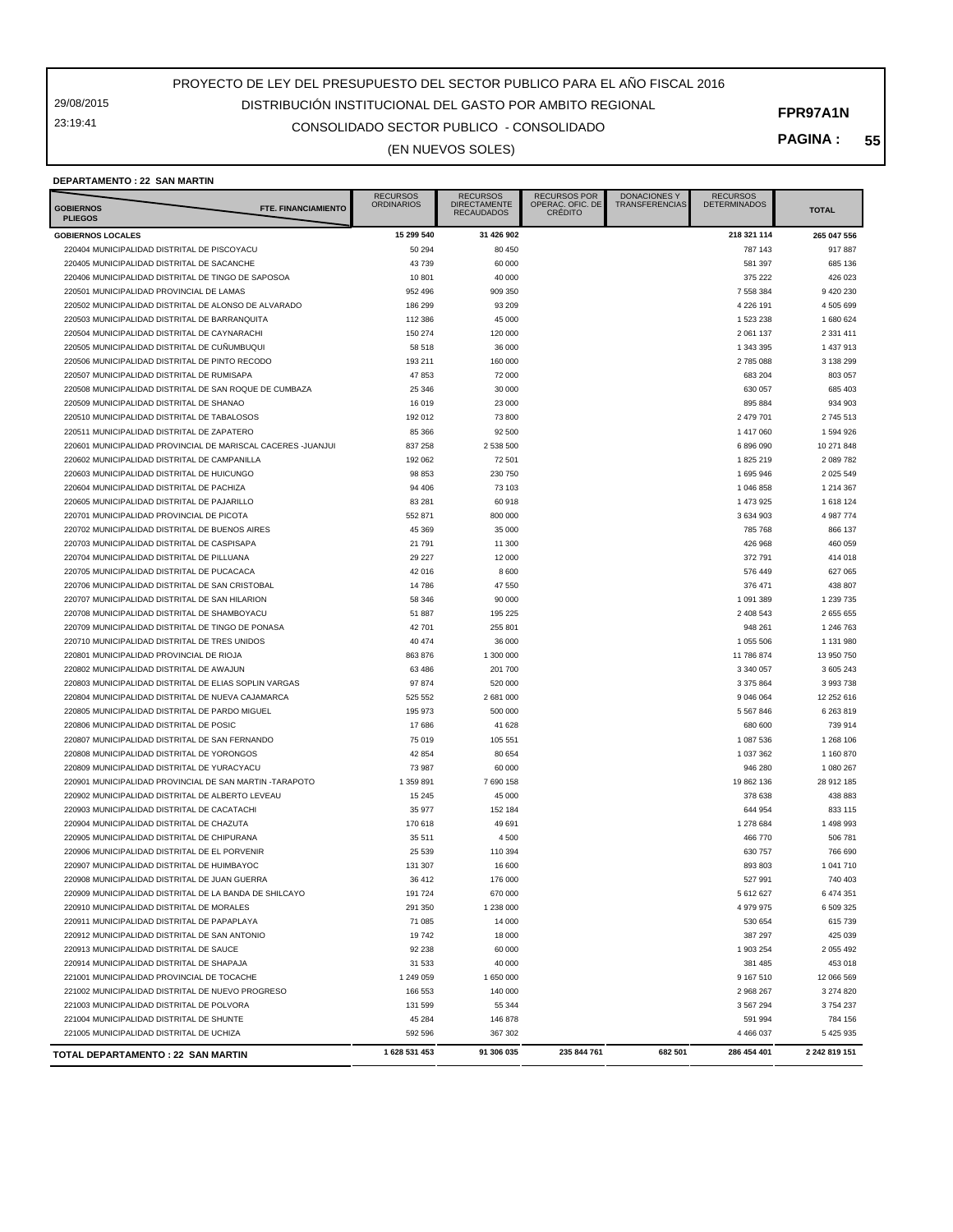29/08/2015 23:19:41

## CONSOLIDADO SECTOR PUBLICO - CONSOLIDADO DISTRIBUCIÓN INSTITUCIONAL DEL GASTO POR AMBITO REGIONAL

(EN NUEVOS SOLES)

**PAGINA : 55**

## **DEPARTAMENTO : 22 SAN MARTIN**

| FTE. FINANCIAMIENTO<br><b>GOBIERNOS</b><br><b>PLIEGOS</b>                                | <b>RECURSOS</b><br><b>ORDINARIOS</b> | <b>RECURSOS</b><br>DIRECTAMENTE<br><b>RECAUDADOS</b> | <b>RECURSOS POR</b><br>OPERAÇ. OFIC. DE<br><b>CRÉDITO</b> | <b>DONACIONES Y</b><br><b>TRANSFERENCIAS</b> | <b>RECURSOS</b><br><b>DETERMINADOS</b> | <b>TOTAL</b>           |
|------------------------------------------------------------------------------------------|--------------------------------------|------------------------------------------------------|-----------------------------------------------------------|----------------------------------------------|----------------------------------------|------------------------|
| <b>GOBIERNOS LOCALES</b>                                                                 | 15 299 540                           | 31 426 902                                           |                                                           |                                              | 218 321 114                            | 265 047 556            |
| 220404 MUNICIPALIDAD DISTRITAL DE PISCOYACU                                              | 50 294                               | 80 450                                               |                                                           |                                              | 787 143                                | 917 887                |
| 220405 MUNICIPALIDAD DISTRITAL DE SACANCHE                                               | 43 739                               | 60 000                                               |                                                           |                                              | 581 397                                | 685 136                |
| 220406 MUNICIPALIDAD DISTRITAL DE TINGO DE SAPOSOA                                       | 10 801                               | 40 000                                               |                                                           |                                              | 375 222                                | 426 023                |
| 220501 MUNICIPALIDAD PROVINCIAL DE LAMAS                                                 | 952 496                              | 909 350                                              |                                                           |                                              | 7 558 384                              | 9 420 230              |
| 220502 MUNICIPALIDAD DISTRITAL DE ALONSO DE ALVARADO                                     | 186 299                              | 93 209                                               |                                                           |                                              | 4 226 191                              | 4 505 699              |
| 220503 MUNICIPALIDAD DISTRITAL DE BARRANQUITA                                            | 112 386                              | 45 000                                               |                                                           |                                              | 1 523 238                              | 1 680 624              |
| 220504 MUNICIPALIDAD DISTRITAL DE CAYNARACHI                                             | 150 274                              | 120 000                                              |                                                           |                                              | 2 061 137                              | 2 3 3 1 4 1 1          |
| 220505 MUNICIPALIDAD DISTRITAL DE CUÑUMBUQUI                                             | 58 518                               | 36 000                                               |                                                           |                                              | 1 343 395                              | 1 437 913              |
| 220506 MUNICIPALIDAD DISTRITAL DE PINTO RECODO                                           | 193 211                              | 160 000                                              |                                                           |                                              | 2785088                                | 3 138 299              |
| 220507 MUNICIPALIDAD DISTRITAL DE RUMISAPA                                               | 47 853                               | 72 000                                               |                                                           |                                              | 683 204                                | 803 057                |
| 220508 MUNICIPALIDAD DISTRITAL DE SAN ROQUE DE CUMBAZA                                   | 25 346                               | 30 000                                               |                                                           |                                              | 630 057                                | 685 403                |
| 220509 MUNICIPALIDAD DISTRITAL DE SHANAO                                                 | 16 019                               | 23 000                                               |                                                           |                                              | 895 884                                | 934 903                |
| 220510 MUNICIPALIDAD DISTRITAL DE TABALOSOS                                              | 192 012                              | 73 800                                               |                                                           |                                              | 2 479 701                              | 2 745 513              |
| 220511 MUNICIPALIDAD DISTRITAL DE ZAPATERO                                               | 85 366                               | 92 500                                               |                                                           |                                              | 1 417 060                              | 1 594 926              |
| 220601 MUNICIPALIDAD PROVINCIAL DE MARISCAL CACERES -JUANJUI                             | 837 258                              | 2 538 500                                            |                                                           |                                              | 6 896 090                              | 10 271 848             |
| 220602 MUNICIPALIDAD DISTRITAL DE CAMPANILLA                                             | 192 062                              | 72 501                                               |                                                           |                                              | 1825219                                | 2 089 782              |
| 220603 MUNICIPALIDAD DISTRITAL DE HUICUNGO                                               | 98 853                               | 230 750                                              |                                                           |                                              | 1 695 946                              | 2 0 2 5 5 4 9          |
| 220604 MUNICIPALIDAD DISTRITAL DE PACHIZA                                                | 94 40 6                              | 73 103                                               |                                                           |                                              | 1 046 858                              | 1 214 367              |
| 220605 MUNICIPALIDAD DISTRITAL DE PAJARILLO                                              | 83 281                               | 60 918                                               |                                                           |                                              | 1 473 925                              | 1 618 124              |
| 220701 MUNICIPALIDAD PROVINCIAL DE PICOTA                                                | 552 871                              | 800 000                                              |                                                           |                                              | 3 634 903                              | 4 987 774              |
| 220702 MUNICIPALIDAD DISTRITAL DE BUENOS AIRES                                           | 45 369                               | 35 000                                               |                                                           |                                              | 785 768                                | 866 137                |
| 220703 MUNICIPALIDAD DISTRITAL DE CASPISAPA                                              | 21 791                               | 11 300                                               |                                                           |                                              | 426 968                                | 460 059                |
| 220704 MUNICIPALIDAD DISTRITAL DE PILLUANA<br>220705 MUNICIPALIDAD DISTRITAL DE PUCACACA | 29 227                               | 12 000                                               |                                                           |                                              | 372 791                                | 414 018                |
| 220706 MUNICIPALIDAD DISTRITAL DE SAN CRISTOBAL                                          | 42 016                               | 8 6 0 0                                              |                                                           |                                              | 576 449                                | 627 065                |
| 220707 MUNICIPALIDAD DISTRITAL DE SAN HILARION                                           | 14 786                               | 47 550                                               |                                                           |                                              | 376 471                                | 438 807                |
| 220708 MUNICIPALIDAD DISTRITAL DE SHAMBOYACU                                             | 58 346<br>51 887                     | 90 000<br>195 225                                    |                                                           |                                              | 1 091 389<br>2 408 543                 | 1 239 735<br>2 655 655 |
| 220709 MUNICIPALIDAD DISTRITAL DE TINGO DE PONASA                                        | 42 701                               | 255 801                                              |                                                           |                                              |                                        | 1 246 763              |
| 220710 MUNICIPALIDAD DISTRITAL DE TRES UNIDOS                                            | 40 474                               | 36 000                                               |                                                           |                                              | 948 261<br>1 055 506                   | 1 131 980              |
| 220801 MUNICIPALIDAD PROVINCIAL DE RIOJA                                                 | 863 876                              | 1 300 000                                            |                                                           |                                              | 11 786 874                             | 13 950 750             |
| 220802 MUNICIPALIDAD DISTRITAL DE AWAJUN                                                 | 63 486                               | 201700                                               |                                                           |                                              | 3 340 057                              | 3 605 243              |
| 220803 MUNICIPALIDAD DISTRITAL DE ELIAS SOPLIN VARGAS                                    | 97 874                               | 520 000                                              |                                                           |                                              | 3 375 864                              | 3 993 738              |
| 220804 MUNICIPALIDAD DISTRITAL DE NUEVA CAJAMARCA                                        | 525 552                              | 2 681 000                                            |                                                           |                                              | 9 046 064                              | 12 252 616             |
| 220805 MUNICIPALIDAD DISTRITAL DE PARDO MIGUEL                                           | 195 973                              | 500 000                                              |                                                           |                                              | 5 567 846                              | 6 263 819              |
| 220806 MUNICIPALIDAD DISTRITAL DE POSIC                                                  | 17 686                               | 41 628                                               |                                                           |                                              | 680 600                                | 739 914                |
| 220807 MUNICIPALIDAD DISTRITAL DE SAN FERNANDO                                           | 75 019                               | 105 551                                              |                                                           |                                              | 1 087 536                              | 1 268 106              |
| 220808 MUNICIPALIDAD DISTRITAL DE YORONGOS                                               | 42 854                               | 80 654                                               |                                                           |                                              | 1 037 362                              | 1 160 870              |
| 220809 MUNICIPALIDAD DISTRITAL DE YURACYACU                                              | 73 987                               | 60 000                                               |                                                           |                                              | 946 280                                | 1 080 267              |
| 220901 MUNICIPALIDAD PROVINCIAL DE SAN MARTIN -TARAPOTO                                  | 1 359 891                            | 7 690 158                                            |                                                           |                                              | 19 862 136                             | 28 912 185             |
| 220902 MUNICIPALIDAD DISTRITAL DE ALBERTO LEVEAU                                         | 15 245                               | 45 000                                               |                                                           |                                              | 378 638                                | 438 883                |
| 220903 MUNICIPALIDAD DISTRITAL DE CACATACHI                                              | 35 977                               | 152 184                                              |                                                           |                                              | 644 954                                | 833 115                |
| 220904 MUNICIPALIDAD DISTRITAL DE CHAZUTA                                                | 170 618                              | 49 691                                               |                                                           |                                              | 1 278 684                              | 1 498 993              |
| 220905 MUNICIPALIDAD DISTRITAL DE CHIPURANA                                              | 35 511                               | 4500                                                 |                                                           |                                              | 466 770                                | 506 781                |
| 220906 MUNICIPALIDAD DISTRITAL DE EL PORVENIR                                            | 25 539                               | 110 394                                              |                                                           |                                              | 630 757                                | 766 690                |
| 220907 MUNICIPALIDAD DISTRITAL DE HUIMBAYOC                                              | 131 307                              | 16 600                                               |                                                           |                                              | 893 803                                | 1 041 710              |
| 220908 MUNICIPALIDAD DISTRITAL DE JUAN GUERRA                                            | 36 412                               | 176 000                                              |                                                           |                                              | 527 991                                | 740 403                |
| 220909 MUNICIPALIDAD DISTRITAL DE LA BANDA DE SHILCAYO                                   | 191724                               | 670 000                                              |                                                           |                                              | 5 612 627                              | 6 474 351              |
| 220910 MUNICIPALIDAD DISTRITAL DE MORALES                                                | 291 350                              | 1 238 000                                            |                                                           |                                              | 4 979 975                              | 6 509 325              |
| 220911 MUNICIPALIDAD DISTRITAL DE PAPAPLAYA                                              | 71 085                               | 14 000                                               |                                                           |                                              | 530 654                                | 615 739                |
| 220912 MUNICIPALIDAD DISTRITAL DE SAN ANTONIO                                            | 19742                                | 18 000                                               |                                                           |                                              | 387 297                                | 425 039                |
| 220913 MUNICIPALIDAD DISTRITAL DE SAUCE                                                  | 92 238                               | 60 000                                               |                                                           |                                              | 1 903 254                              | 2 055 492              |
| 220914 MUNICIPALIDAD DISTRITAL DE SHAPAJA                                                | 31 533                               | 40 000                                               |                                                           |                                              | 381 485                                | 453 018                |
| 221001 MUNICIPALIDAD PROVINCIAL DE TOCACHE                                               | 1 249 059                            | 1 650 000                                            |                                                           |                                              | 9 167 510                              | 12 066 569             |
| 221002 MUNICIPALIDAD DISTRITAL DE NUEVO PROGRESO                                         | 166 553                              | 140 000                                              |                                                           |                                              | 2 968 267                              | 3 274 820              |
| 221003 MUNICIPALIDAD DISTRITAL DE POLVORA                                                | 131 599                              | 55 344                                               |                                                           |                                              | 3 567 294                              | 3 754 237              |
| 221004 MUNICIPALIDAD DISTRITAL DE SHUNTE                                                 | 45 284                               | 146 878                                              |                                                           |                                              | 591 994                                | 784 156                |
| 221005 MUNICIPALIDAD DISTRITAL DE UCHIZA                                                 | 592 596                              | 367 302                                              |                                                           |                                              | 4 466 037                              | 5 425 935              |
| TOTAL DEPARTAMENTO : 22 SAN MARTIN                                                       | 1 628 531 453                        | 91 306 035                                           | 235 844 761                                               | 682 501                                      | 286 454 401                            | 2 242 819 151          |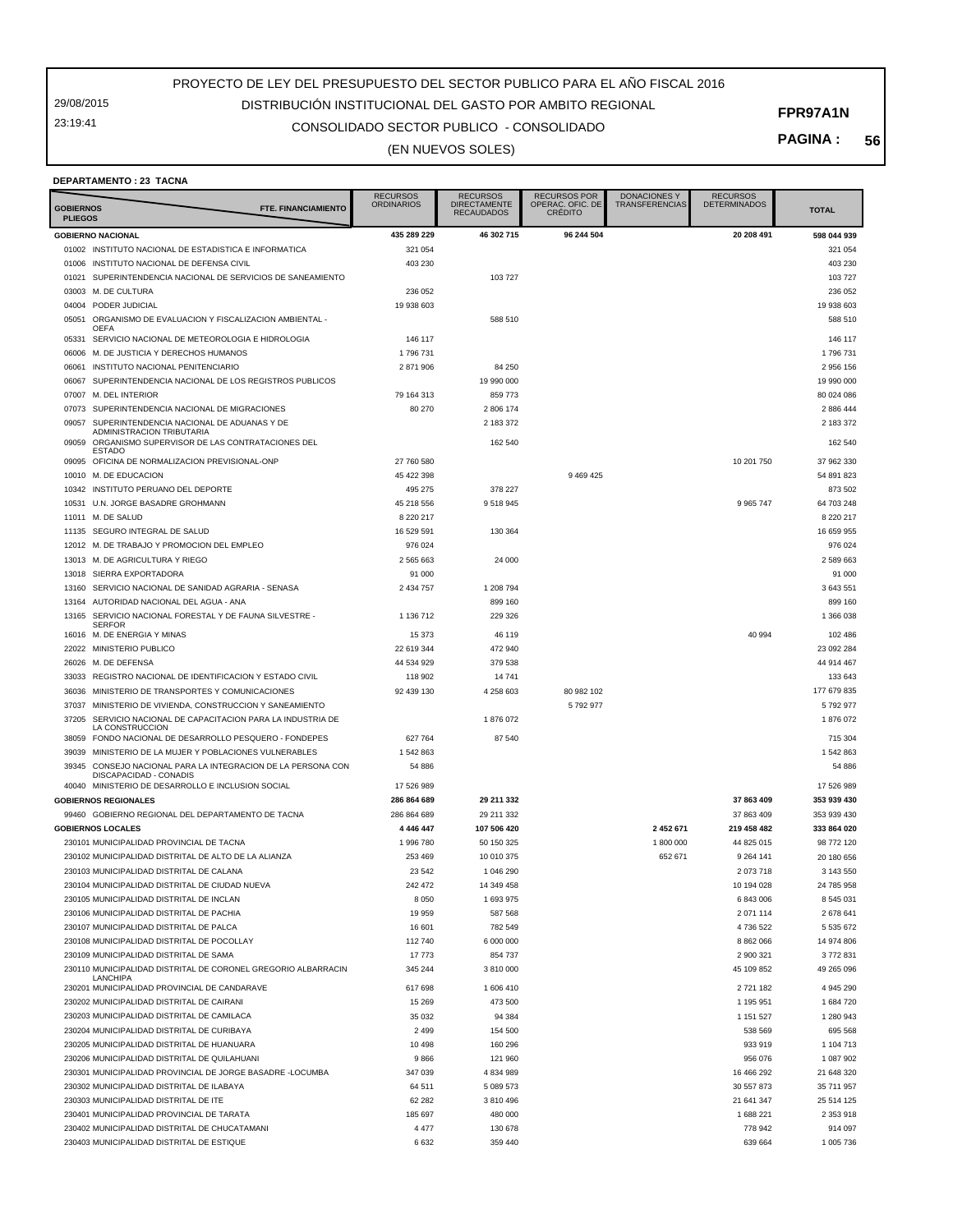29/08/2015 23:19:41

## CONSOLIDADO SECTOR PUBLICO - CONSOLIDADO DISTRIBUCIÓN INSTITUCIONAL DEL GASTO POR AMBITO REGIONAL

**PAGINA : 56**

#### (EN NUEVOS SOLES)

#### **DEPARTAMENTO : 23 TACNA**

| <b>GOBIERNOS</b><br><b>PLIEGOS</b> | FTE. FINANCIAMIENTO                                                                              | <b>RECURSOS</b><br><b>ORDINARIOS</b> | <b>RECURSOS</b><br><b>DIRECTAMENTE</b><br><b>RECAUDADOS</b> | RECURSOS POR<br>OPERAÇ. OFIC. DE<br><b>CRÉDITO</b> | <b>DONACIONES Y</b><br>TRANSFERENCIAS | <b>RECURSOS</b><br><b>DETERMINADOS</b> | <b>TOTAL</b>             |
|------------------------------------|--------------------------------------------------------------------------------------------------|--------------------------------------|-------------------------------------------------------------|----------------------------------------------------|---------------------------------------|----------------------------------------|--------------------------|
|                                    | <b>GOBIERNO NACIONAL</b>                                                                         | 435 289 229                          | 46 302 715                                                  | 96 244 504                                         |                                       | 20 208 491                             | 598 044 939              |
|                                    | 01002 INSTITUTO NACIONAL DE ESTADISTICA E INFORMATICA                                            | 321 054                              |                                                             |                                                    |                                       |                                        | 321 054                  |
|                                    | 01006 INSTITUTO NACIONAL DE DEFENSA CIVIL                                                        | 403 230                              |                                                             |                                                    |                                       |                                        | 403 230                  |
| 01021                              | SUPERINTENDENCIA NACIONAL DE SERVICIOS DE SANEAMIENTO                                            |                                      | 103727                                                      |                                                    |                                       |                                        | 103 727                  |
| 03003                              | M. DE CULTURA                                                                                    | 236 052                              |                                                             |                                                    |                                       |                                        | 236 052                  |
| 04004                              | PODER JUDICIAL                                                                                   | 19 938 603                           |                                                             |                                                    |                                       |                                        | 19 938 603               |
| 05051                              | ORGANISMO DE EVALUACION Y FISCALIZACION AMBIENTAL -<br>OEFA                                      |                                      | 588 510                                                     |                                                    |                                       |                                        | 588 510                  |
| 05331                              | SERVICIO NACIONAL DE METEOROLOGIA E HIDROLOGIA                                                   | 146 117                              |                                                             |                                                    |                                       |                                        | 146 117                  |
| 06006                              | M. DE JUSTICIA Y DERECHOS HUMANOS                                                                | 1796731                              |                                                             |                                                    |                                       |                                        | 1796731                  |
| 06061                              | INSTITUTO NACIONAL PENITENCIARIO                                                                 | 2871906                              | 84 250                                                      |                                                    |                                       |                                        | 2 956 156                |
| 06067                              | SUPERINTENDENCIA NACIONAL DE LOS REGISTROS PUBLICOS                                              |                                      | 19 990 000                                                  |                                                    |                                       |                                        | 19 990 000               |
| 07007                              | M. DEL INTERIOR                                                                                  | 79 164 313                           | 859773                                                      |                                                    |                                       |                                        | 80 024 086               |
| 07073                              | SUPERINTENDENCIA NACIONAL DE MIGRACIONES                                                         | 80 270                               | 2 806 174                                                   |                                                    |                                       |                                        | 2 886 444                |
| 09057                              | SUPERINTENDENCIA NACIONAL DE ADUANAS Y DE                                                        |                                      | 2 183 372                                                   |                                                    |                                       |                                        | 2 183 372                |
| 09059                              | ADMINISTRACION TRIBUTARIA<br>ORGANISMO SUPERVISOR DE LAS CONTRATACIONES DEL                      |                                      | 162 540                                                     |                                                    |                                       |                                        | 162 540                  |
|                                    | <b>ESTADO</b>                                                                                    |                                      |                                                             |                                                    |                                       |                                        |                          |
|                                    | 09095 OFICINA DE NORMALIZACION PREVISIONAL-ONP                                                   | 27 760 580                           |                                                             |                                                    |                                       | 10 201 750                             | 37 962 330               |
|                                    | 10010 M. DE EDUCACION<br>10342 INSTITUTO PERUANO DEL DEPORTE                                     | 45 422 398                           |                                                             | 9 4 6 9 4 2 5                                      |                                       |                                        | 54 891 823               |
| 10531                              | U.N. JORGE BASADRE GROHMANN                                                                      | 495 275                              | 378 227                                                     |                                                    |                                       |                                        | 873 502                  |
|                                    | 11011 M. DE SALUD                                                                                | 45 218 556                           | 9518945                                                     |                                                    |                                       | 9 9 65 747                             | 64 703 248               |
| 11135                              | SEGURO INTEGRAL DE SALUD                                                                         | 8 2 2 0 2 1 7<br>16 529 591          | 130 364                                                     |                                                    |                                       |                                        | 8 2 20 217<br>16 659 955 |
|                                    | 12012 M. DE TRABAJO Y PROMOCION DEL EMPLEO                                                       | 976 024                              |                                                             |                                                    |                                       |                                        | 976 024                  |
|                                    | 13013 M. DE AGRICULTURA Y RIEGO                                                                  | 2 565 663                            | 24 000                                                      |                                                    |                                       |                                        | 2 589 663                |
| 13018                              | SIERRA EXPORTADORA                                                                               | 91 000                               |                                                             |                                                    |                                       |                                        | 91 000                   |
| 13160                              | SERVICIO NACIONAL DE SANIDAD AGRARIA - SENASA                                                    | 2 434 757                            | 1 208 794                                                   |                                                    |                                       |                                        | 3 643 551                |
| 13164                              | AUTORIDAD NACIONAL DEL AGUA - ANA                                                                |                                      | 899 160                                                     |                                                    |                                       |                                        | 899 160                  |
| 13165                              | SERVICIO NACIONAL FORESTAL Y DE FAUNA SILVESTRE -                                                | 1 136 712                            | 229 326                                                     |                                                    |                                       |                                        | 1 366 038                |
|                                    | <b>SERFOR</b>                                                                                    |                                      |                                                             |                                                    |                                       |                                        |                          |
| 16016                              | M. DE ENERGIA Y MINAS                                                                            | 15 373                               | 46 119                                                      |                                                    |                                       | 40 994                                 | 102 486                  |
| 22022                              | MINISTERIO PUBLICO                                                                               | 22 619 344                           | 472 940                                                     |                                                    |                                       |                                        | 23 092 284               |
| 26026                              | M. DE DEFENSA                                                                                    | 44 534 929                           | 379 538                                                     |                                                    |                                       |                                        | 44 914 467               |
| 33033<br>36036                     | REGISTRO NACIONAL DE IDENTIFICACION Y ESTADO CIVIL<br>MINISTERIO DE TRANSPORTES Y COMUNICACIONES | 118 902                              | 14741<br>4 258 603                                          | 80 982 102                                         |                                       |                                        | 133 643<br>177 679 835   |
| 37037                              | MINISTERIO DE VIVIENDA, CONSTRUCCION Y SANEAMIENTO                                               | 92 439 130                           |                                                             | 5792977                                            |                                       |                                        | 5 792 977                |
| 37205                              | SERVICIO NACIONAL DE CAPACITACION PARA LA INDUSTRIA DE                                           |                                      | 1876072                                                     |                                                    |                                       |                                        | 1876072                  |
|                                    | LA CONSTRUCCION                                                                                  |                                      |                                                             |                                                    |                                       |                                        |                          |
|                                    | 38059 FONDO NACIONAL DE DESARROLLO PESQUERO - FONDEPES                                           | 627 764                              | 87 540                                                      |                                                    |                                       |                                        | 715 304                  |
|                                    | 39039 MINISTERIO DE LA MUJER Y POBLACIONES VULNERABLES                                           | 1542863                              |                                                             |                                                    |                                       |                                        | 1 542 863                |
| 39345                              | CONSEJO NACIONAL PARA LA INTEGRACION DE LA PERSONA CON<br>DISCAPACIDAD - CONADIS                 | 54 886                               |                                                             |                                                    |                                       |                                        | 54 886                   |
|                                    | 40040 MINISTERIO DE DESARROLLO E INCLUSION SOCIAL                                                | 17 526 989                           |                                                             |                                                    |                                       |                                        | 17 526 989               |
|                                    | <b>GOBIERNOS REGIONALES</b>                                                                      | 286 864 689                          | 29 211 332                                                  |                                                    |                                       | 37 863 409                             | 353 939 430              |
|                                    | 99460 GOBIERNO REGIONAL DEL DEPARTAMENTO DE TACNA                                                | 286 864 689                          | 29 211 332                                                  |                                                    |                                       | 37 863 409                             | 353 939 430              |
|                                    | <b>GOBIERNOS LOCALES</b>                                                                         | 4 4 4 4 4 4 7                        | 107 506 420                                                 |                                                    | 2 452 671                             | 219 458 482                            | 333 864 020              |
|                                    | 230101 MUNICIPALIDAD PROVINCIAL DE TACNA                                                         | 1996780                              | 50 150 325                                                  |                                                    | 1800000                               | 44 825 015                             | 98 772 120               |
|                                    | 230102 MUNICIPALIDAD DISTRITAL DE ALTO DE LA ALIANZA                                             | 253469                               | 10 010 375                                                  |                                                    | 652 671                               | 9 2 64 141                             | 20 180 656               |
|                                    | 230103 MUNICIPALIDAD DISTRITAL DE CALANA                                                         | 23 542                               | 1 046 290                                                   |                                                    |                                       | 2 073 718                              | 3 143 550                |
|                                    | 230104 MUNICIPALIDAD DISTRITAL DE CIUDAD NUEVA                                                   | 242 472                              | 14 349 458                                                  |                                                    |                                       | 10 194 028                             | 24 785 958               |
|                                    | 230105 MUNICIPALIDAD DISTRITAL DE INCLAN                                                         | 8 0 5 0                              | 1 693 975                                                   |                                                    |                                       | 6 843 006                              | 8 545 031                |
|                                    | 230106 MUNICIPALIDAD DISTRITAL DE PACHIA                                                         | 19 959                               | 587 568                                                     |                                                    |                                       | 2 071 114                              | 2 678 641                |
|                                    | 230107 MUNICIPALIDAD DISTRITAL DE PALCA                                                          | 16 601                               | 782 549                                                     |                                                    |                                       | 4 736 522                              | 5 535 672                |
|                                    | 230108 MUNICIPALIDAD DISTRITAL DE POCOLLAY                                                       | 112 740                              | 6 000 000                                                   |                                                    |                                       | 8 862 066                              | 14 974 806               |
|                                    | 230109 MUNICIPALIDAD DISTRITAL DE SAMA                                                           | 17 773                               | 854 737                                                     |                                                    |                                       | 2 900 321                              | 3772831                  |
|                                    | 230110 MUNICIPALIDAD DISTRITAL DE CORONEL GREGORIO ALBARRACIN<br>LANCHIPA                        | 345 244                              | 3 810 000                                                   |                                                    |                                       | 45 109 852                             | 49 265 096               |
|                                    | 230201 MUNICIPALIDAD PROVINCIAL DE CANDARAVE                                                     | 617 698                              | 1 606 410                                                   |                                                    |                                       | 2 721 182                              | 4 945 290                |
|                                    | 230202 MUNICIPALIDAD DISTRITAL DE CAIRANI                                                        | 15 26 9                              | 473 500                                                     |                                                    |                                       | 1 195 951                              | 1 684 720                |
|                                    | 230203 MUNICIPALIDAD DISTRITAL DE CAMILACA                                                       | 35 032                               | 94 384                                                      |                                                    |                                       | 1 151 527                              | 1 280 943                |
|                                    | 230204 MUNICIPALIDAD DISTRITAL DE CURIBAYA                                                       | 2 4 9 9                              | 154 500                                                     |                                                    |                                       | 538 569                                | 695 568                  |
|                                    | 230205 MUNICIPALIDAD DISTRITAL DE HUANUARA                                                       | 10 4 98                              | 160 296                                                     |                                                    |                                       | 933 919                                | 1 104 713                |
|                                    | 230206 MUNICIPALIDAD DISTRITAL DE QUILAHUANI                                                     | 9866                                 | 121 960                                                     |                                                    |                                       | 956 076                                | 1 087 902                |
|                                    | 230301 MUNICIPALIDAD PROVINCIAL DE JORGE BASADRE -LOCUMBA                                        | 347 039                              | 4 834 989                                                   |                                                    |                                       | 16 466 292                             | 21 648 320               |
|                                    | 230302 MUNICIPALIDAD DISTRITAL DE ILABAYA                                                        | 64 511                               | 5 089 573                                                   |                                                    |                                       | 30 557 873                             | 35 711 957               |
|                                    | 230303 MUNICIPALIDAD DISTRITAL DE ITE                                                            | 62 282                               | 3 810 496                                                   |                                                    |                                       | 21 641 347                             | 25 514 125               |
|                                    | 230401 MUNICIPALIDAD PROVINCIAL DE TARATA                                                        | 185 697                              | 480 000                                                     |                                                    |                                       | 1 688 221                              | 2 353 918                |
|                                    | 230402 MUNICIPALIDAD DISTRITAL DE CHUCATAMANI                                                    | 4 4 7 7                              | 130 678                                                     |                                                    |                                       | 778 942                                | 914 097                  |
|                                    | 230403 MUNICIPALIDAD DISTRITAL DE ESTIQUE                                                        | 6 6 3 2                              | 359 440                                                     |                                                    |                                       | 639 664                                | 1 005 736                |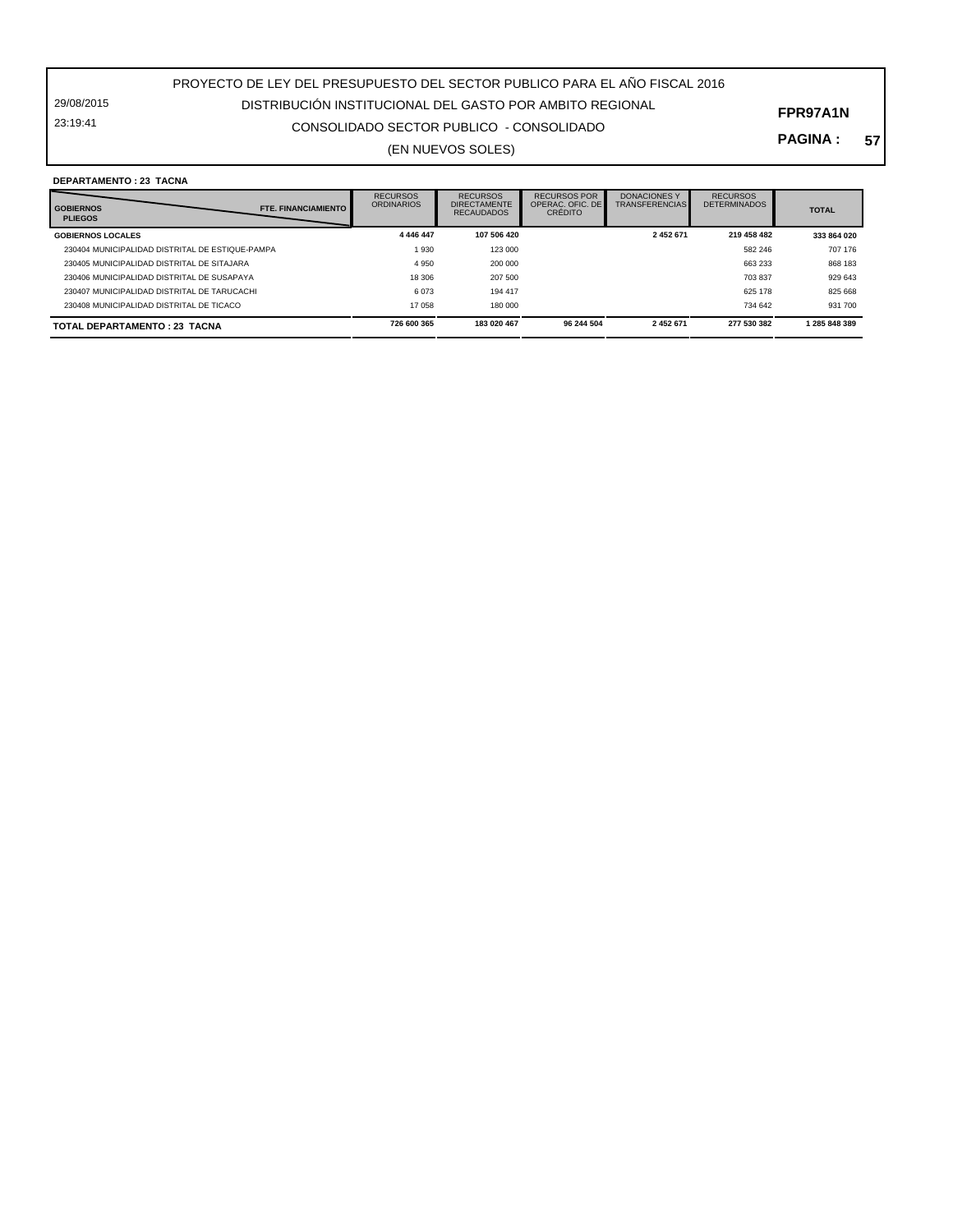#### PROYECTO DE LEY DEL PRESUPUESTO DEL SECTOR PUBLICO PARA EL AÑO FISCAL 2016 DISTRIBUCIÓN INSTITUCIONAL DEL GASTO POR AMBITO REGIONAL

29/08/2015 23:19:41

## CONSOLIDADO SECTOR PUBLICO - CONSOLIDADO

**PAGINA : 57**

**FPR97A1N**

#### (EN NUEVOS SOLES)

#### **DEPARTAMENTO : 23 TACNA**

| <b>FTE. FINANCIAMIENTO</b><br><b>GOBIERNOS</b><br><b>PLIEGOS</b> | <b>RECURSOS</b><br><b>ORDINARIOS</b> | <b>RECURSOS</b><br><b>DIRECTAMENTE</b><br><b>RECAUDADOS</b> | <b>RECURSOS POR</b><br>OPERAC, OFIC, DE<br><b>CRÉDITO</b> | <b>DONACIONES Y</b><br><b>TRANSFERENCIAS</b> | <b>RECURSOS</b><br><b>DETERMINADOS</b> | <b>TOTAL</b> |
|------------------------------------------------------------------|--------------------------------------|-------------------------------------------------------------|-----------------------------------------------------------|----------------------------------------------|----------------------------------------|--------------|
| <b>GOBIERNOS LOCALES</b>                                         | 4 4 4 4 4 4 7                        | 107 506 420                                                 |                                                           | 2 452 671                                    | 219 458 482                            | 333 864 020  |
| 230404 MUNICIPALIDAD DISTRITAL DE ESTIQUE-PAMPA                  | 1930                                 | 123 000                                                     |                                                           |                                              | 582 246                                | 707 176      |
| 230405 MUNICIPALIDAD DISTRITAL DE SITAJARA                       | 4 9 5 0                              | 200 000                                                     |                                                           |                                              | 663 233                                | 868 183      |
| 230406 MUNICIPALIDAD DISTRITAL DE SUSAPAYA                       | 18 306                               | 207 500                                                     |                                                           |                                              | 703837                                 | 929 643      |
| 230407 MUNICIPALIDAD DISTRITAL DE TARUCACHI                      | 6073                                 | 194 417                                                     |                                                           |                                              | 625 178                                | 825 668      |
| 230408 MUNICIPALIDAD DISTRITAL DE TICACO                         | 17 058                               | 180 000                                                     |                                                           |                                              | 734 642                                | 931 700      |
| TOTAL DEPARTAMENTO : 23 TACNA                                    | 726 600 365                          | 183 020 467                                                 | 96 244 504                                                | 2 452 671                                    | 277 530 382                            | 1285848389   |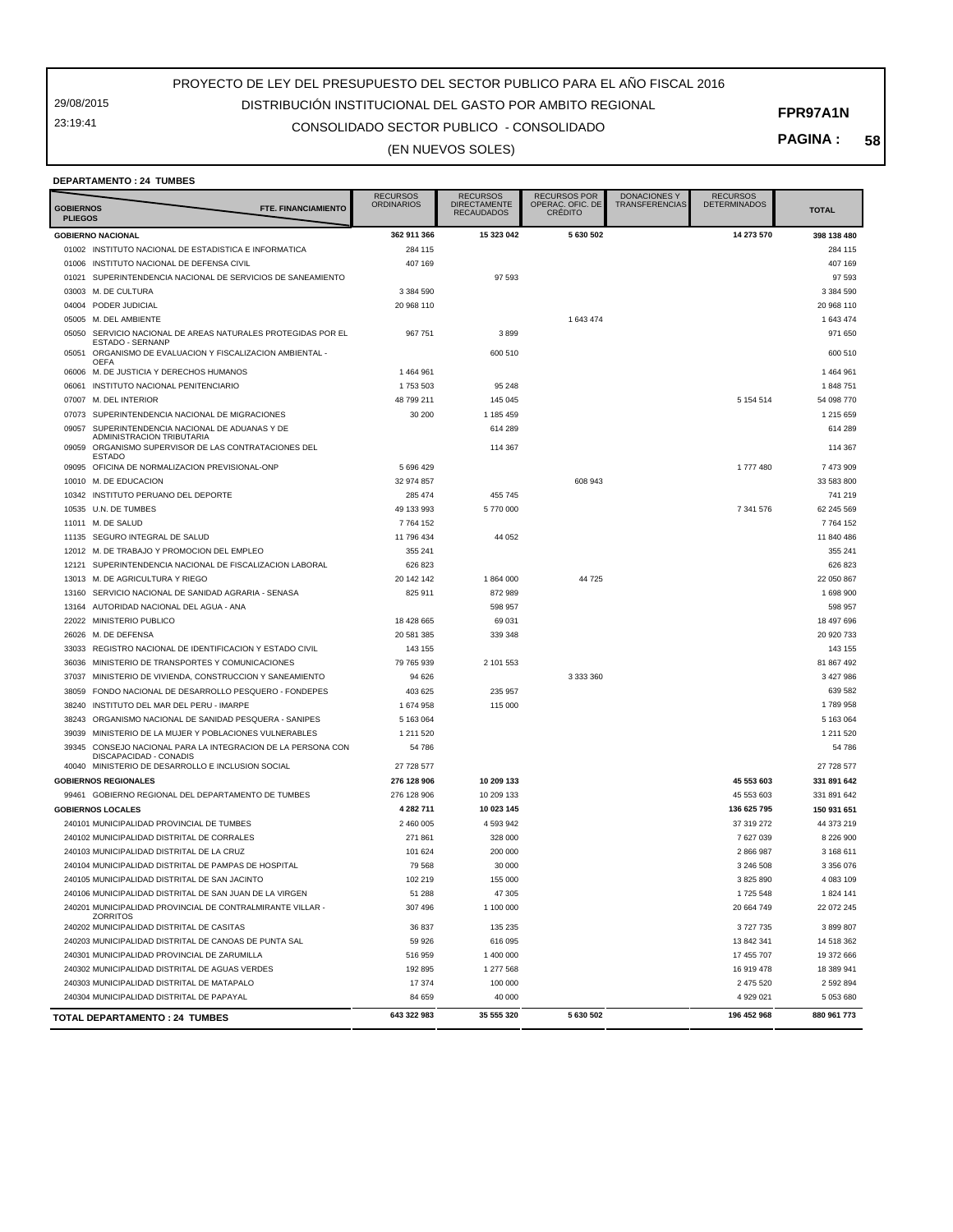29/08/2015 23:19:41

## CONSOLIDADO SECTOR PUBLICO - CONSOLIDADO DISTRIBUCIÓN INSTITUCIONAL DEL GASTO POR AMBITO REGIONAL

#### **PAGINA : 58**

(EN NUEVOS SOLES)

|  |  |  | <b>DEPARTAMENTO: 24 TUMBES</b> |
|--|--|--|--------------------------------|
|  |  |  |                                |

| <b>GOBIERNOS</b><br><b>PLIEGOS</b> | FTE. FINANCIAMIENTO                                                                                                                   | <b>RECURSOS</b><br>ORDINARIOS | <b>RECURSOS</b><br><b>DIRECTAMENTE</b><br><b>RECAUDADOS</b> | <b>RECURSOS POR</b><br>OPERAC. OFIC. DE<br><b>CRÉDITO</b> | <b>DONACIONES Y</b><br><b>TRANSFERENCIAS</b> | <b>RECURSOS</b><br><b>DETERMINADOS</b> | <b>TOTAL</b>         |
|------------------------------------|---------------------------------------------------------------------------------------------------------------------------------------|-------------------------------|-------------------------------------------------------------|-----------------------------------------------------------|----------------------------------------------|----------------------------------------|----------------------|
|                                    | <b>GOBIERNO NACIONAL</b>                                                                                                              | 362 911 366                   | 15 323 042                                                  | 5 630 502                                                 |                                              | 14 273 570                             | 398 138 480          |
|                                    | 01002 INSTITUTO NACIONAL DE ESTADISTICA E INFORMATICA                                                                                 | 284 115                       |                                                             |                                                           |                                              |                                        | 284 115              |
| 01006                              | INSTITUTO NACIONAL DE DEFENSA CIVIL                                                                                                   | 407 169                       |                                                             |                                                           |                                              |                                        | 407 169              |
|                                    | 01021 SUPERINTENDENCIA NACIONAL DE SERVICIOS DE SANEAMIENTO                                                                           |                               | 97 593                                                      |                                                           |                                              |                                        | 97 593               |
| 03003                              | M. DE CULTURA                                                                                                                         | 3 3 8 4 5 9 0                 |                                                             |                                                           |                                              |                                        | 3 384 590            |
| 04004                              | PODER JUDICIAL                                                                                                                        | 20 968 110                    |                                                             |                                                           |                                              |                                        | 20 968 110           |
| 05005                              | M. DEL AMBIENTE                                                                                                                       |                               |                                                             | 1 643 474                                                 |                                              |                                        | 1 643 474            |
| 05050                              | SERVICIO NACIONAL DE AREAS NATURALES PROTEGIDAS POR EL                                                                                | 967 751                       | 3899                                                        |                                                           |                                              |                                        | 971 650              |
| 05051                              | ESTADO - SERNANP<br>ORGANISMO DE EVALUACION Y FISCALIZACION AMBIENTAL -<br><b>OEFA</b>                                                |                               | 600 510                                                     |                                                           |                                              |                                        | 600 510              |
| 06006                              | M. DE JUSTICIA Y DERECHOS HUMANOS                                                                                                     | 1464961                       |                                                             |                                                           |                                              |                                        | 1464961              |
| 06061                              | INSTITUTO NACIONAL PENITENCIARIO                                                                                                      | 1753503                       | 95 248                                                      |                                                           |                                              |                                        | 1848751              |
| 07007                              | M. DEL INTERIOR                                                                                                                       | 48 799 211                    | 145 045                                                     |                                                           |                                              | 5 154 514                              | 54 098 770           |
| 07073                              | SUPERINTENDENCIA NACIONAL DE MIGRACIONES                                                                                              | 30 200                        | 1 185 459                                                   |                                                           |                                              |                                        | 1 215 659            |
| 09057                              | SUPERINTENDENCIA NACIONAL DE ADUANAS Y DE<br>ADMINISTRACION TRIBUTARIA                                                                |                               | 614 289                                                     |                                                           |                                              |                                        | 614 289              |
| 09059                              | ORGANISMO SUPERVISOR DE LAS CONTRATACIONES DEL<br><b>ESTADO</b>                                                                       |                               | 114 367                                                     |                                                           |                                              |                                        | 114 367              |
|                                    | 09095 OFICINA DE NORMALIZACION PREVISIONAL-ONP                                                                                        | 5 696 429                     |                                                             |                                                           |                                              | 1777480                                | 7 473 909            |
|                                    | 10010 M. DE EDUCACION                                                                                                                 | 32 974 857                    |                                                             | 608 943                                                   |                                              |                                        | 33 583 800           |
|                                    | 10342 INSTITUTO PERUANO DEL DEPORTE                                                                                                   | 285 474                       | 455 745                                                     |                                                           |                                              |                                        | 741 219              |
|                                    | 10535 U.N. DE TUMBES                                                                                                                  | 49 133 993                    | 5770 000                                                    |                                                           |                                              | 7 341 576                              | 62 245 569           |
|                                    | 11011 M. DE SALUD                                                                                                                     | 7764152                       |                                                             |                                                           |                                              |                                        | 7 7 64 1 52          |
| 11135                              | SEGURO INTEGRAL DE SALUD                                                                                                              | 11 796 434                    | 44 052                                                      |                                                           |                                              |                                        | 11 840 486           |
|                                    | 12012 M. DE TRABAJO Y PROMOCION DEL EMPLEO                                                                                            | 355 241                       |                                                             |                                                           |                                              |                                        | 355 241              |
|                                    | 12121 SUPERINTENDENCIA NACIONAL DE FISCALIZACION LABORAL                                                                              | 626 823                       |                                                             |                                                           |                                              |                                        | 626 823              |
|                                    | 13013 M. DE AGRICULTURA Y RIEGO                                                                                                       | 20 142 142                    | 1864000                                                     | 44 725                                                    |                                              |                                        | 22 050 867           |
| 13160                              | SERVICIO NACIONAL DE SANIDAD AGRARIA - SENASA                                                                                         | 825 911                       | 872 989                                                     |                                                           |                                              |                                        | 1 698 900            |
| 13164                              | AUTORIDAD NACIONAL DEL AGUA - ANA                                                                                                     |                               | 598 957                                                     |                                                           |                                              |                                        | 598 957              |
|                                    | 22022 MINISTERIO PUBLICO                                                                                                              | 18 428 665                    | 69 031                                                      |                                                           |                                              |                                        | 18 497 696           |
|                                    | 26026 M. DE DEFENSA                                                                                                                   | 20 581 385                    | 339 348                                                     |                                                           |                                              |                                        | 20 920 733           |
| 33033                              | REGISTRO NACIONAL DE IDENTIFICACION Y ESTADO CIVIL                                                                                    | 143 155                       |                                                             |                                                           |                                              |                                        | 143 155              |
| 36036                              | MINISTERIO DE TRANSPORTES Y COMUNICACIONES                                                                                            | 79 765 939                    | 2 101 553                                                   |                                                           |                                              |                                        | 81 867 492           |
| 37037                              | MINISTERIO DE VIVIENDA, CONSTRUCCION Y SANEAMIENTO                                                                                    | 94 626                        |                                                             | 3 333 360                                                 |                                              |                                        | 3 427 986            |
| 38059                              | FONDO NACIONAL DE DESARROLLO PESQUERO - FONDEPES                                                                                      | 403 625                       | 235 957                                                     |                                                           |                                              |                                        | 639 582              |
| 38240                              | INSTITUTO DEL MAR DEL PERU - IMARPE                                                                                                   | 1674958                       | 115 000                                                     |                                                           |                                              |                                        | 1789958              |
| 38243                              | ORGANISMO NACIONAL DE SANIDAD PESQUERA - SANIPES                                                                                      | 5 163 064                     |                                                             |                                                           |                                              |                                        | 5 163 064            |
| 39039                              | MINISTERIO DE LA MUJER Y POBLACIONES VULNERABLES                                                                                      | 1 211 520                     |                                                             |                                                           |                                              |                                        | 1 211 520            |
| 39345                              | CONSEJO NACIONAL PARA LA INTEGRACION DE LA PERSONA CON<br>DISCAPACIDAD - CONADIS<br>40040 MINISTERIO DE DESARROLLO E INCLUSION SOCIAL | 54 786<br>27 728 577          |                                                             |                                                           |                                              |                                        | 54 786<br>27 728 577 |
|                                    | <b>GOBIERNOS REGIONALES</b>                                                                                                           | 276 128 906                   | 10 209 133                                                  |                                                           |                                              | 45 553 603                             | 331 891 642          |
|                                    | 99461 GOBIERNO REGIONAL DEL DEPARTAMENTO DE TUMBES                                                                                    | 276 128 906                   | 10 209 133                                                  |                                                           |                                              | 45 553 603                             | 331 891 642          |
|                                    | <b>GOBIERNOS LOCALES</b>                                                                                                              | 4 282 711                     | 10 023 145                                                  |                                                           |                                              | 136 625 795                            | 150 931 651          |
|                                    | 240101 MUNICIPALIDAD PROVINCIAL DE TUMBES                                                                                             | 2 460 005                     | 4 593 942                                                   |                                                           |                                              | 37 319 272                             | 44 373 219           |
|                                    | 240102 MUNICIPALIDAD DISTRITAL DE CORRALES                                                                                            | 271 861                       | 328 000                                                     |                                                           |                                              | 7 627 039                              | 8 226 900            |
|                                    | 240103 MUNICIPALIDAD DISTRITAL DE LA CRUZ                                                                                             | 101 624                       | 200 000                                                     |                                                           |                                              | 2 866 987                              | 3 168 611            |
|                                    | 240104 MUNICIPALIDAD DISTRITAL DE PAMPAS DE HOSPITAL                                                                                  | 79 568                        | 30 000                                                      |                                                           |                                              | 3 246 508                              | 3 356 076            |
|                                    | 240105 MUNICIPALIDAD DISTRITAL DE SAN JACINTO                                                                                         | 102 219                       | 155 000                                                     |                                                           |                                              | 3 825 890                              | 4 083 109            |
|                                    | 240106 MUNICIPALIDAD DISTRITAL DE SAN JUAN DE LA VIRGEN                                                                               | 51 288                        | 47 305                                                      |                                                           |                                              | 1725 548                               | 1 824 141            |
|                                    | 240201 MUNICIPALIDAD PROVINCIAL DE CONTRALMIRANTE VILLAR -<br><b>ZORRITOS</b>                                                         | 307 496                       | 1 100 000                                                   |                                                           |                                              | 20 664 749                             | 22 072 245           |
|                                    | 240202 MUNICIPALIDAD DISTRITAL DE CASITAS                                                                                             | 36 837                        | 135 235                                                     |                                                           |                                              | 3727735                                | 3 899 807            |
|                                    | 240203 MUNICIPALIDAD DISTRITAL DE CANOAS DE PUNTA SAL                                                                                 | 59 926                        | 616 095                                                     |                                                           |                                              | 13 842 341                             | 14 518 362           |
|                                    | 240301 MUNICIPALIDAD PROVINCIAL DE ZARUMILLA                                                                                          | 516 959                       | 1 400 000                                                   |                                                           |                                              | 17 455 707                             | 19 372 666           |
|                                    | 240302 MUNICIPALIDAD DISTRITAL DE AGUAS VERDES                                                                                        | 192 895                       | 1 277 568                                                   |                                                           |                                              | 16 919 478                             | 18 389 941           |
|                                    | 240303 MUNICIPALIDAD DISTRITAL DE MATAPALO                                                                                            | 17 374                        | 100 000                                                     |                                                           |                                              | 2 475 520                              | 2 592 894            |
|                                    | 240304 MUNICIPALIDAD DISTRITAL DE PAPAYAL                                                                                             | 84 659                        | 40 000                                                      |                                                           |                                              | 4 929 021                              | 5 053 680            |
|                                    | <b>TOTAL DEPARTAMENTO: 24 TUMBES</b>                                                                                                  | 643 322 983                   | 35 555 320                                                  | 5 630 502                                                 |                                              | 196 452 968                            | 880 961 773          |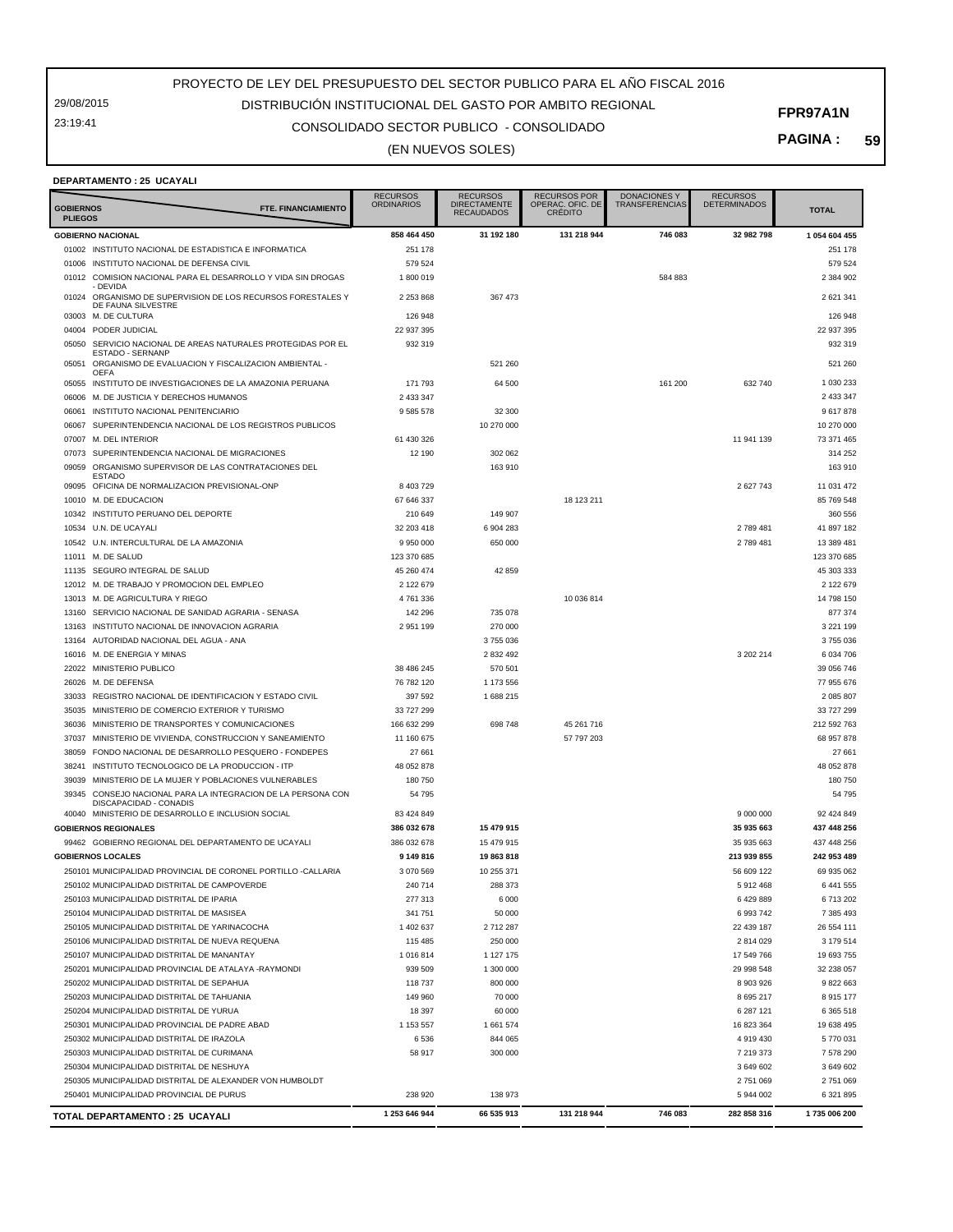29/08/2015 23:19:41

## CONSOLIDADO SECTOR PUBLICO - CONSOLIDADO DISTRIBUCIÓN INSTITUCIONAL DEL GASTO POR AMBITO REGIONAL

**PAGINA : 59**

#### (EN NUEVOS SOLES)

#### **DEPARTAMENTO : 25 UCAYALI**

|                                    |                                                                                                            | <b>RECURSOS</b><br>ORDINARIOS | <b>RECURSOS</b><br><b>DIRECTAMENTE</b> | <b>RECURSOS POR</b><br>OPERAC. OFIC. DE | <b>DONACIONES Y</b><br><b>TRANSFERENCIAS</b> | <b>RECURSOS</b><br><b>DETERMINADOS</b> |                   |
|------------------------------------|------------------------------------------------------------------------------------------------------------|-------------------------------|----------------------------------------|-----------------------------------------|----------------------------------------------|----------------------------------------|-------------------|
| <b>GOBIERNOS</b><br><b>PLIEGOS</b> | FTE. FINANCIAMIENTO                                                                                        |                               | <b>RECAUDADOS</b>                      | <b>CRÉDITO</b>                          |                                              |                                        | <b>TOTAL</b>      |
|                                    | <b>GOBIERNO NACIONAL</b>                                                                                   | 858 464 450                   | 31 192 180                             | 131 218 944                             | 746 083                                      | 32 982 798                             | 1 054 604 455     |
|                                    | 01002 INSTITUTO NACIONAL DE ESTADISTICA E INFORMATICA                                                      | 251 178                       |                                        |                                         |                                              |                                        | 251 178           |
|                                    | 01006 INSTITUTO NACIONAL DE DEFENSA CIVIL                                                                  | 579 524                       |                                        |                                         |                                              |                                        | 579 524           |
| 01012                              | COMISION NACIONAL PARA EL DESARROLLO Y VIDA SIN DROGAS<br>- DEVIDA                                         | 1800019                       |                                        |                                         | 584 883                                      |                                        | 2 384 902         |
| 01024                              | ORGANISMO DE SUPERVISION DE LOS RECURSOS FORESTALES Y<br>DE FAUNA SILVESTRE                                | 2 2 5 3 8 6 8                 | 367 473                                |                                         |                                              |                                        | 2 621 341         |
|                                    | 03003 M. DE CULTURA                                                                                        | 126 948                       |                                        |                                         |                                              |                                        | 126 948           |
| 04004                              | PODER JUDICIAL                                                                                             | 22 937 395                    |                                        |                                         |                                              |                                        | 22 937 395        |
| 05050                              | SERVICIO NACIONAL DE AREAS NATURALES PROTEGIDAS POR EL<br>ESTADO - SERNANP                                 | 932 319                       |                                        |                                         |                                              |                                        | 932 319           |
| 05051                              | ORGANISMO DE EVALUACION Y FISCALIZACION AMBIENTAL -<br><b>OEFA</b>                                         |                               | 521 260                                |                                         |                                              |                                        | 521 260           |
| 05055                              | INSTITUTO DE INVESTIGACIONES DE LA AMAZONIA PERUANA                                                        | 171 793                       | 64 500                                 |                                         | 161 200                                      | 632 740                                | 1 030 233         |
| 06006                              | M. DE JUSTICIA Y DERECHOS HUMANOS                                                                          | 2 433 347                     |                                        |                                         |                                              |                                        | 2 433 347         |
| 06061                              | INSTITUTO NACIONAL PENITENCIARIO                                                                           | 9585578                       | 32 300                                 |                                         |                                              |                                        | 9 617 878         |
| 06067                              | SUPERINTENDENCIA NACIONAL DE LOS REGISTROS PUBLICOS                                                        |                               | 10 270 000                             |                                         |                                              |                                        | 10 270 000        |
| 07007                              | M. DEL INTERIOR                                                                                            | 61 430 326                    |                                        |                                         |                                              | 11 941 139                             | 73 371 465        |
| 07073                              | SUPERINTENDENCIA NACIONAL DE MIGRACIONES                                                                   | 12 190                        | 302 062                                |                                         |                                              |                                        | 314 252           |
| 09059                              | ORGANISMO SUPERVISOR DE LAS CONTRATACIONES DEL<br><b>ESTADO</b>                                            |                               | 163 910                                |                                         |                                              |                                        | 163 910           |
| 09095                              | OFICINA DE NORMALIZACION PREVISIONAL-ONP                                                                   | 8 403 729                     |                                        |                                         |                                              | 2 627 743                              | 11 031 472        |
| 10010                              | M. DE EDUCACION                                                                                            | 67 646 337                    |                                        | 18 123 211                              |                                              |                                        | 85 769 548        |
| 10342                              | INSTITUTO PERUANO DEL DEPORTE                                                                              | 210 649                       | 149 907                                |                                         |                                              |                                        | 360 556           |
| 10534                              | U.N. DE UCAYALI                                                                                            | 32 203 418                    | 6 904 283                              |                                         |                                              | 2 789 481                              | 41 897 182        |
| 10542                              | U.N. INTERCULTURAL DE LA AMAZONIA                                                                          | 9950000                       | 650 000                                |                                         |                                              | 2 789 481                              | 13 389 481        |
| 11011                              | M. DE SALUD                                                                                                | 123 370 685                   |                                        |                                         |                                              |                                        | 123 370 685       |
| 11135                              | SEGURO INTEGRAL DE SALUD                                                                                   | 45 260 474                    | 42 859                                 |                                         |                                              |                                        | 45 303 333        |
| 12012                              | M. DE TRABAJO Y PROMOCION DEL EMPLEO                                                                       | 2 122 679                     |                                        |                                         |                                              |                                        | 2 122 679         |
| 13013                              | M. DE AGRICULTURA Y RIEGO                                                                                  | 4761336                       |                                        | 10 036 814                              |                                              |                                        | 14 798 150        |
| 13160                              | SERVICIO NACIONAL DE SANIDAD AGRARIA - SENASA                                                              | 142 296                       | 735 078                                |                                         |                                              |                                        | 877 374           |
| 13163                              | INSTITUTO NACIONAL DE INNOVACION AGRARIA                                                                   | 2951199                       | 270 000                                |                                         |                                              |                                        | 3 2 2 1 1 9 9     |
| 13164                              | AUTORIDAD NACIONAL DEL AGUA - ANA                                                                          |                               | 3755036                                |                                         |                                              |                                        | 3755036           |
| 16016                              | M. DE ENERGIA Y MINAS                                                                                      |                               | 2 832 492                              |                                         |                                              | 3 202 214                              | 6 034 706         |
| 22022                              | MINISTERIO PUBLICO                                                                                         | 38 486 245                    | 570 501                                |                                         |                                              |                                        | 39 056 746        |
| 26026                              | M. DE DEFENSA                                                                                              | 76 782 120                    | 1 173 556                              |                                         |                                              |                                        | 77 955 676        |
| 33033                              | REGISTRO NACIONAL DE IDENTIFICACION Y ESTADO CIVIL                                                         | 397 592                       | 1688215                                |                                         |                                              |                                        | 2 085 807         |
| 35035                              | MINISTERIO DE COMERCIO EXTERIOR Y TURISMO                                                                  | 33 727 299                    |                                        |                                         |                                              |                                        | 33 727 299        |
| 36036                              | MINISTERIO DE TRANSPORTES Y COMUNICACIONES                                                                 | 166 632 299                   | 698748                                 | 45 261 716                              |                                              |                                        | 212 592 763       |
| 37037                              | MINISTERIO DE VIVIENDA, CONSTRUCCION Y SANEAMIENTO                                                         | 11 160 675                    |                                        | 57 797 203                              |                                              |                                        | 68 957 878        |
| 38059                              | FONDO NACIONAL DE DESARROLLO PESQUERO - FONDEPES                                                           | 27 661                        |                                        |                                         |                                              |                                        | 27 661            |
| 38241                              | INSTITUTO TECNOLOGICO DE LA PRODUCCION - ITP                                                               | 48 052 878                    |                                        |                                         |                                              |                                        | 48 052 878        |
| 39039<br>39345                     | MINISTERIO DE LA MUJER Y POBLACIONES VULNERABLES<br>CONSEJO NACIONAL PARA LA INTEGRACION DE LA PERSONA CON | 180750<br>54 795              |                                        |                                         |                                              |                                        | 180 750<br>54 795 |
|                                    | DISCAPACIDAD - CONADIS<br>40040 MINISTERIO DE DESARROLLO E INCLUSION SOCIAL                                | 83 424 849                    |                                        |                                         |                                              | 9 000 000                              | 92 424 849        |
|                                    | <b>GOBIERNOS REGIONALES</b>                                                                                | 386 032 678                   | 15 479 915                             |                                         |                                              | 35 935 663                             | 437 448 256       |
|                                    | 99462 GOBIERNO REGIONAL DEL DEPARTAMENTO DE UCAYALI                                                        | 386 032 678                   | 15 479 915                             |                                         |                                              | 35 935 663                             | 437 448 256       |
|                                    | <b>GOBIERNOS LOCALES</b>                                                                                   | 9 149 816                     | 19863818                               |                                         |                                              | 213 939 855                            | 242 953 489       |
|                                    | 250101 MUNICIPALIDAD PROVINCIAL DE CORONEL PORTILLO -CALLARIA                                              | 3 070 569                     | 10 255 371                             |                                         |                                              | 56 609 122                             | 69 935 062        |
|                                    | 250102 MUNICIPALIDAD DISTRITAL DE CAMPOVERDE                                                               | 240 714                       | 288 373                                |                                         |                                              | 5 912 468                              | 6 441 555         |
|                                    | 250103 MUNICIPALIDAD DISTRITAL DE IPARIA                                                                   | 277 313                       | 6000                                   |                                         |                                              | 6 429 889                              | 6713202           |
|                                    | 250104 MUNICIPALIDAD DISTRITAL DE MASISEA                                                                  | 341 751                       | 50 000                                 |                                         |                                              | 6 993 742                              | 7 385 493         |
|                                    | 250105 MUNICIPALIDAD DISTRITAL DE YARINACOCHA                                                              | 1 402 637                     | 2 712 287                              |                                         |                                              | 22 439 187                             | 26 554 111        |
|                                    | 250106 MUNICIPALIDAD DISTRITAL DE NUEVA REQUENA                                                            | 115 485                       | 250 000                                |                                         |                                              | 2 814 029                              | 3 179 514         |
|                                    | 250107 MUNICIPALIDAD DISTRITAL DE MANANTAY                                                                 | 1016814                       | 1 127 175                              |                                         |                                              | 17 549 766                             | 19 693 755        |
|                                    | 250201 MUNICIPALIDAD PROVINCIAL DE ATALAYA -RAYMONDI                                                       | 939 509                       | 1 300 000                              |                                         |                                              | 29 998 548                             | 32 238 057        |
|                                    | 250202 MUNICIPALIDAD DISTRITAL DE SEPAHUA                                                                  | 118737                        | 800 000                                |                                         |                                              | 8 903 926                              | 9 822 663         |
|                                    | 250203 MUNICIPALIDAD DISTRITAL DE TAHUANIA                                                                 | 149 960                       | 70 000                                 |                                         |                                              | 8 695 217                              | 8 915 177         |
|                                    | 250204 MUNICIPALIDAD DISTRITAL DE YURUA                                                                    | 18 397                        | 60 000                                 |                                         |                                              | 6 287 121                              | 6 365 518         |
|                                    | 250301 MUNICIPALIDAD PROVINCIAL DE PADRE ABAD                                                              | 1 153 557                     | 1 661 574                              |                                         |                                              | 16 823 364                             | 19 638 495        |
|                                    | 250302 MUNICIPALIDAD DISTRITAL DE IRAZOLA                                                                  | 6 5 3 6                       | 844 065                                |                                         |                                              | 4 919 430                              | 5 770 031         |
|                                    | 250303 MUNICIPALIDAD DISTRITAL DE CURIMANA                                                                 | 58 917                        | 300 000                                |                                         |                                              | 7 219 373                              | 7 578 290         |
|                                    | 250304 MUNICIPALIDAD DISTRITAL DE NESHUYA                                                                  |                               |                                        |                                         |                                              | 3 649 602                              | 3 649 602         |
|                                    | 250305 MUNICIPALIDAD DISTRITAL DE ALEXANDER VON HUMBOLDT                                                   |                               |                                        |                                         |                                              | 2 751 069                              | 2 751 069         |
|                                    | 250401 MUNICIPALIDAD PROVINCIAL DE PURUS                                                                   | 238 920                       | 138 973                                |                                         |                                              | 5 944 002                              | 6 321 895         |
|                                    | TOTAL DEPARTAMENTO : 25 UCAYALI                                                                            | 1 253 646 944                 | 66 535 913                             | 131 218 944                             | 746 083                                      | 282 858 316                            | 1735 006 200      |